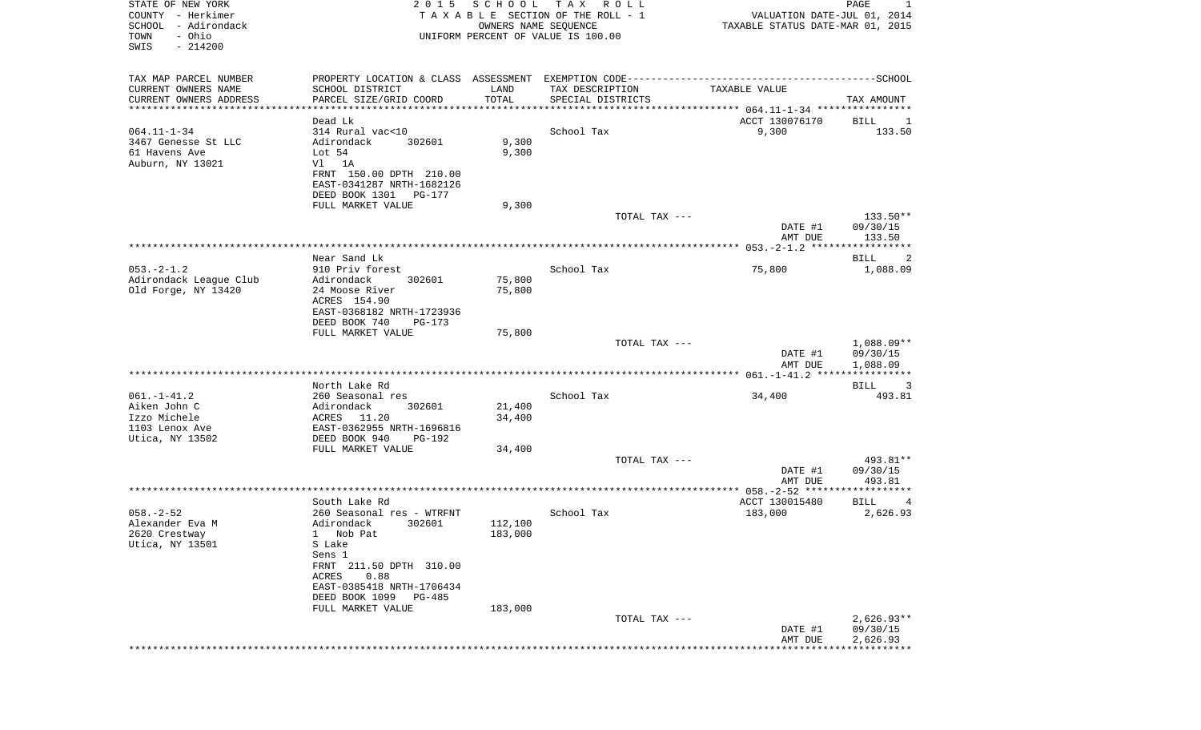| STATE OF NEW YORK<br>COUNTY - Herkimer<br>SCHOOL - Adirondack<br>- Ohio<br>TOWN<br>SWIS<br>$-214200$ | 2 0 1 5                                                                                      | SCHOOL<br>OWNERS NAME SEQUENCE | T A X<br>R O L L<br>TAXABLE SECTION OF THE ROLL - 1<br>UNIFORM PERCENT OF VALUE IS 100.00 | VALUATION DATE-JUL 01, 2014<br>TAXABLE STATUS DATE-MAR 01, 2015 | PAGE<br>1                         |
|------------------------------------------------------------------------------------------------------|----------------------------------------------------------------------------------------------|--------------------------------|-------------------------------------------------------------------------------------------|-----------------------------------------------------------------|-----------------------------------|
| TAX MAP PARCEL NUMBER                                                                                | PROPERTY LOCATION & CLASS ASSESSMENT EXEMPTION CODE-----------------------------------SCHOOL |                                |                                                                                           |                                                                 |                                   |
| CURRENT OWNERS NAME<br>CURRENT OWNERS ADDRESS                                                        | SCHOOL DISTRICT<br>PARCEL SIZE/GRID COORD                                                    | LAND<br>TOTAL                  | TAX DESCRIPTION<br>SPECIAL DISTRICTS                                                      | TAXABLE VALUE                                                   | TAX AMOUNT                        |
| **********************                                                                               | ****************                                                                             |                                |                                                                                           |                                                                 |                                   |
| $064.11 - 1 - 34$<br>3467 Genesse St LLC<br>61 Havens Ave                                            | Dead Lk<br>314 Rural vac<10<br>Adirondack<br>302601<br>Lot $54$                              | 9,300<br>9,300                 | School Tax                                                                                | ACCT 130076170<br>9,300                                         | BILL<br>1<br>133.50               |
| Auburn, NY 13021                                                                                     | 1A<br>Vl<br>FRNT 150.00 DPTH 210.00<br>EAST-0341287 NRTH-1682126<br>DEED BOOK 1301<br>PG-177 |                                |                                                                                           |                                                                 |                                   |
|                                                                                                      | FULL MARKET VALUE                                                                            | 9,300                          |                                                                                           |                                                                 |                                   |
|                                                                                                      |                                                                                              |                                | TOTAL TAX ---                                                                             | DATE #1                                                         | 133.50**<br>09/30/15              |
|                                                                                                      |                                                                                              |                                |                                                                                           | AMT DUE                                                         | 133.50                            |
|                                                                                                      | Near Sand Lk                                                                                 |                                |                                                                                           |                                                                 | BILL<br>2                         |
| $053. -2 - 1.2$<br>Adirondack League Club                                                            | 910 Priv forest<br>Adirondack<br>302601                                                      | 75,800                         | School Tax                                                                                | 75,800                                                          | 1,088.09                          |
| Old Forge, NY 13420                                                                                  | 24 Moose River<br>ACRES 154.90<br>EAST-0368182 NRTH-1723936<br>DEED BOOK 740<br>$PG-173$     | 75,800                         |                                                                                           |                                                                 |                                   |
|                                                                                                      | FULL MARKET VALUE                                                                            | 75,800                         | TOTAL TAX ---                                                                             | DATE #1                                                         | 1,088.09**<br>09/30/15            |
|                                                                                                      |                                                                                              |                                |                                                                                           | AMT DUE                                                         | 1,088.09<br>* * * * * * * * * * * |
|                                                                                                      | North Lake Rd                                                                                |                                |                                                                                           |                                                                 | BILL<br>3                         |
| $061. - 1 - 41.2$                                                                                    | 260 Seasonal res                                                                             |                                | School Tax                                                                                | 34,400                                                          | 493.81                            |
| Aiken John C                                                                                         | Adirondack<br>302601                                                                         | 21,400                         |                                                                                           |                                                                 |                                   |
| Izzo Michele<br>1103 Lenox Ave                                                                       | ACRES<br>11.20<br>EAST-0362955 NRTH-1696816                                                  | 34,400                         |                                                                                           |                                                                 |                                   |
| Utica, NY 13502                                                                                      | DEED BOOK 940<br><b>PG-192</b><br>FULL MARKET VALUE                                          | 34,400                         |                                                                                           |                                                                 |                                   |
|                                                                                                      |                                                                                              |                                | TOTAL TAX ---                                                                             |                                                                 | 493.81**                          |
|                                                                                                      |                                                                                              |                                |                                                                                           | DATE #1<br>AMT DUE                                              | 09/30/15<br>493.81                |
|                                                                                                      |                                                                                              |                                |                                                                                           |                                                                 |                                   |
| $058. - 2 - 52$                                                                                      | South Lake Rd<br>260 Seasonal res - WTRFNT                                                   |                                | School Tax                                                                                | ACCT 130015480<br>183,000                                       | BILL<br>4<br>2,626.93             |
| Alexander Eva M<br>2620 Crestway<br>Utica, NY 13501                                                  | Adirondack<br>302601<br>1 Nob Pat<br>S Lake                                                  | 112,100<br>183,000             |                                                                                           |                                                                 |                                   |
|                                                                                                      | Sens 1<br>FRNT 211.50 DPTH 310.00<br>ACRES<br>0.88                                           |                                |                                                                                           |                                                                 |                                   |
|                                                                                                      | EAST-0385418 NRTH-1706434<br>DEED BOOK 1099 PG-485                                           |                                |                                                                                           |                                                                 |                                   |
|                                                                                                      | FULL MARKET VALUE                                                                            | 183,000                        | TOTAL TAX ---                                                                             |                                                                 | $2,626.93**$                      |
|                                                                                                      |                                                                                              |                                |                                                                                           | DATE #1<br>AMT DUE                                              | 09/30/15<br>2,626.93              |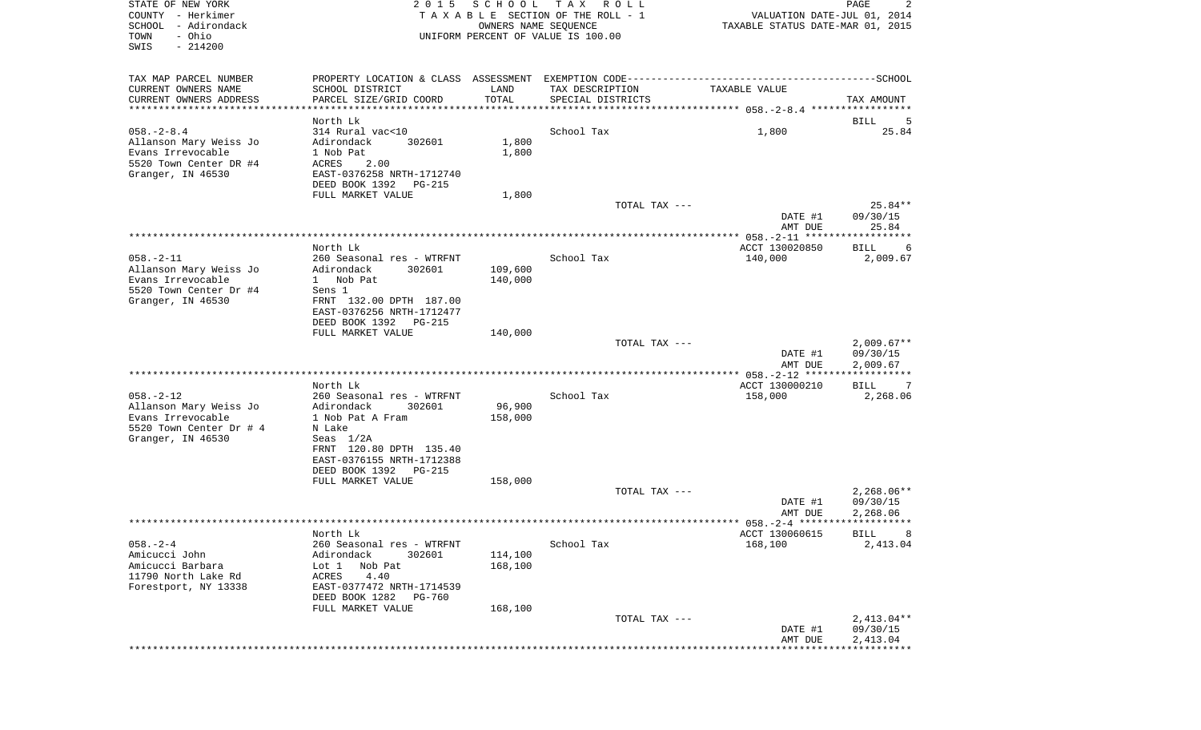| STATE OF NEW YORK<br>COUNTY - Herkimer<br>SCHOOL - Adirondack<br>- Ohio<br>TOWN<br>SWIS<br>$-214200$           | 2 0 1 5                                                                                                                         | SCHOOL<br>OWNERS NAME SEQUENCE | T A X<br>R O L L<br>TAXABLE SECTION OF THE ROLL - 1<br>UNIFORM PERCENT OF VALUE IS 100.00 | VALUATION DATE-JUL 01, 2014<br>TAXABLE STATUS DATE-MAR 01, 2015 | PAGE<br>2                            |
|----------------------------------------------------------------------------------------------------------------|---------------------------------------------------------------------------------------------------------------------------------|--------------------------------|-------------------------------------------------------------------------------------------|-----------------------------------------------------------------|--------------------------------------|
| TAX MAP PARCEL NUMBER                                                                                          |                                                                                                                                 |                                |                                                                                           |                                                                 |                                      |
| CURRENT OWNERS NAME<br>CURRENT OWNERS ADDRESS<br>************************                                      | SCHOOL DISTRICT<br>PARCEL SIZE/GRID COORD                                                                                       | LAND<br>TOTAL                  | TAX DESCRIPTION<br>SPECIAL DISTRICTS                                                      | TAXABLE VALUE                                                   | TAX AMOUNT                           |
|                                                                                                                | North Lk                                                                                                                        |                                |                                                                                           |                                                                 | BILL<br>5                            |
| $058. - 2 - 8.4$<br>Allanson Mary Weiss Jo<br>Evans Irrevocable<br>5520 Town Center DR #4<br>Granger, IN 46530 | 314 Rural vac<10<br>Adirondack<br>302601<br>1 Nob Pat<br>ACRES<br>2.00<br>EAST-0376258 NRTH-1712740<br>DEED BOOK 1392<br>PG-215 | 1,800<br>1,800                 | School Tax                                                                                | 1,800                                                           | 25.84                                |
|                                                                                                                | FULL MARKET VALUE                                                                                                               | 1,800                          |                                                                                           |                                                                 |                                      |
|                                                                                                                |                                                                                                                                 |                                | TOTAL TAX ---                                                                             | DATE #1<br>AMT DUE                                              | 25.84**<br>09/30/15<br>25.84         |
|                                                                                                                |                                                                                                                                 |                                |                                                                                           |                                                                 |                                      |
| $058. - 2 - 11$                                                                                                | North Lk<br>260 Seasonal res - WTRFNT                                                                                           |                                | School Tax                                                                                | ACCT 130020850<br>140,000                                       | <b>BILL</b><br>6<br>2,009.67         |
| Allanson Mary Weiss Jo<br>Evans Irrevocable<br>5520 Town Center Dr #4<br>Granger, IN 46530                     | Adirondack<br>302601<br>1 Nob Pat<br>Sens 1<br>FRNT 132.00 DPTH 187.00<br>EAST-0376256 NRTH-1712477<br>DEED BOOK 1392 PG-215    | 109,600<br>140,000             |                                                                                           |                                                                 |                                      |
|                                                                                                                | FULL MARKET VALUE                                                                                                               | 140,000                        |                                                                                           |                                                                 |                                      |
|                                                                                                                |                                                                                                                                 |                                | TOTAL TAX ---                                                                             | DATE #1<br>AMT DUE                                              | $2,009.67**$<br>09/30/15<br>2,009.67 |
|                                                                                                                |                                                                                                                                 |                                |                                                                                           | **************** 058.-2-12 *******************                  |                                      |
| $058. - 2 - 12$<br>Allanson Mary Weiss Jo<br>Evans Irrevocable<br>5520 Town Center Dr # 4<br>Granger, IN 46530 | North Lk<br>260 Seasonal res - WTRFNT<br>Adirondack<br>302601<br>1 Nob Pat A Fram<br>N Lake<br>Seas $1/2A$                      | 96,900<br>158,000              | School Tax                                                                                | ACCT 130000210<br>158,000                                       | <b>BILL</b><br>7<br>2,268.06         |
|                                                                                                                | FRNT 120.80 DPTH 135.40<br>EAST-0376155 NRTH-1712388<br>DEED BOOK 1392<br><b>PG-215</b>                                         |                                |                                                                                           |                                                                 |                                      |
|                                                                                                                | FULL MARKET VALUE                                                                                                               | 158,000                        |                                                                                           |                                                                 |                                      |
|                                                                                                                |                                                                                                                                 |                                | TOTAL TAX ---                                                                             | DATE #1<br>AMT DUE                                              | $2,268.06**$<br>09/30/15<br>2,268.06 |
|                                                                                                                |                                                                                                                                 |                                |                                                                                           |                                                                 |                                      |
|                                                                                                                | North Lk                                                                                                                        |                                |                                                                                           | ACCT 130060615                                                  | <b>BILL</b>                          |
| $058. - 2 - 4$                                                                                                 | 260 Seasonal res - WTRFNT                                                                                                       |                                | School Tax                                                                                | 168,100                                                         | 2,413.04                             |
| Amicucci John                                                                                                  | Adirondack<br>302601                                                                                                            | 114,100                        |                                                                                           |                                                                 |                                      |
| Amicucci Barbara                                                                                               | Lot 1<br>Nob Pat                                                                                                                | 168,100                        |                                                                                           |                                                                 |                                      |
| 11790 North Lake Rd<br>Forestport, NY 13338                                                                    | ACRES<br>4.40<br>EAST-0377472 NRTH-1714539<br>DEED BOOK 1282<br>PG-760                                                          |                                |                                                                                           |                                                                 |                                      |
|                                                                                                                | FULL MARKET VALUE                                                                                                               | 168,100                        |                                                                                           |                                                                 |                                      |
|                                                                                                                |                                                                                                                                 |                                | TOTAL TAX ---                                                                             | DATE #1<br>AMT DUE                                              | $2,413.04**$<br>09/30/15<br>2,413.04 |
|                                                                                                                |                                                                                                                                 |                                |                                                                                           | **************                                                  |                                      |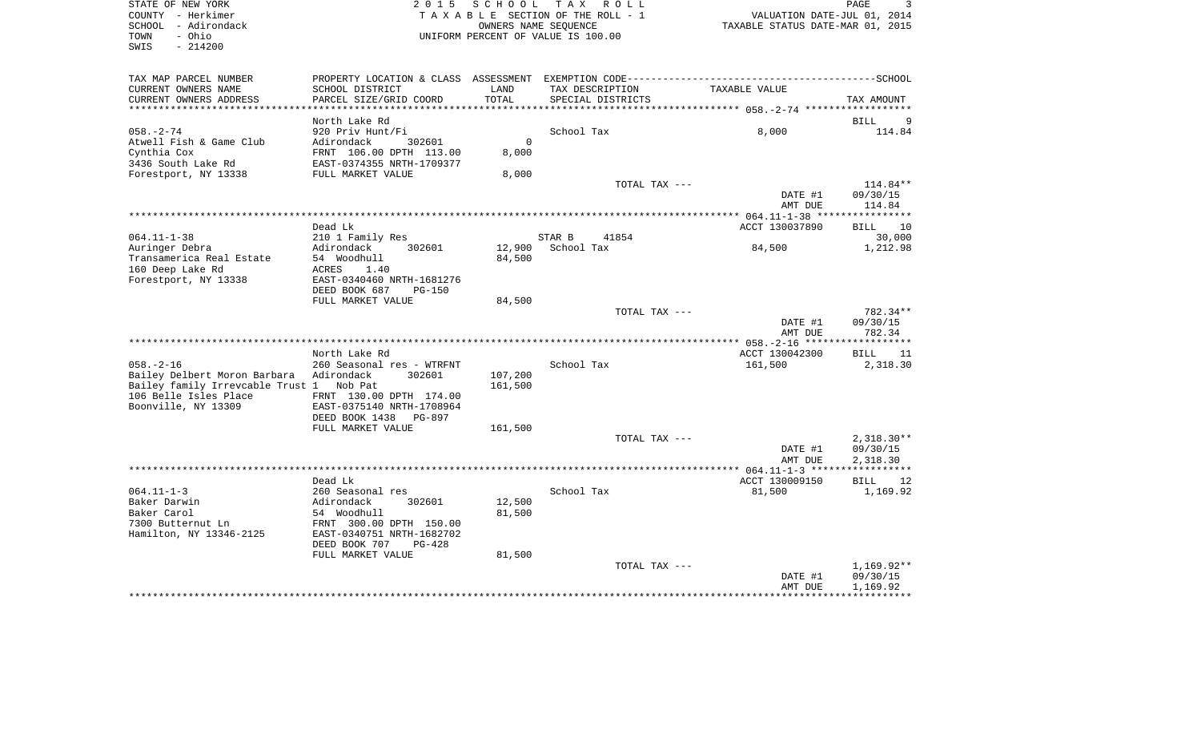STATE OF NEW YORK 2 0 1 5 S C H O O L T A X R O L L PAGE 3COUNTY - Herkimer **TA X A B L E** SECTION OF THE ROLL - 1 VALUATION DATE-JUL 01, 2014 SCHOOL - Adirondack OWNERS NAME SEQUENCE TAXABLE STATUS DATE-MAR 01, 2015 TOWN - Ohio UNIFORM PERCENT OF VALUE IS 100.00 SWIS - 214200TAX MAP PARCEL NUMBER PROPERTY LOCATION & CLASS ASSESSMENT EXEMPTION CODE------------------------------------------SCHOOL CURRENT OWNERS NAME SCHOOL DISTRICT SCHOOL DISTRICT TAX DESCRIPTION TAXABLE VALUE CURRENT OWNERS ADDRESS PARCEL SIZE/GRID COORD TOTAL SPECIAL DISTRICTS TAX AMOUNT

 $\overline{\mathbf{3}}$ 

|                                              |                                                      |          |            |               | ********************** 058.-2-74 ****************** |                   |
|----------------------------------------------|------------------------------------------------------|----------|------------|---------------|-----------------------------------------------------|-------------------|
|                                              | North Lake Rd                                        |          |            |               |                                                     | <b>BILL</b><br>9  |
| $058. - 2 - 74$                              | 920 Priv Hunt/Fi                                     |          | School Tax |               | 8,000                                               | 114.84            |
| Atwell Fish & Game Club                      | Adirondack<br>302601                                 | $\Omega$ |            |               |                                                     |                   |
| Cynthia Cox                                  | FRNT 106.00 DPTH 113.00                              | 8,000    |            |               |                                                     |                   |
| 3436 South Lake Rd                           | EAST-0374355 NRTH-1709377                            |          |            |               |                                                     |                   |
| Forestport, NY 13338                         | FULL MARKET VALUE                                    | 8,000    |            |               |                                                     |                   |
|                                              |                                                      |          |            | TOTAL TAX --- |                                                     | $114.84**$        |
|                                              |                                                      |          |            |               | DATE #1                                             | 09/30/15          |
|                                              |                                                      |          |            |               | AMT DUE                                             | 114.84            |
|                                              |                                                      |          |            |               |                                                     |                   |
|                                              | Dead Lk                                              |          |            |               | ACCT 130037890                                      | <b>BILL</b><br>10 |
| $064.11 - 1 - 38$                            | 210 1 Family Res                                     |          | STAR B     | 41854         |                                                     | 30,000            |
| Auringer Debra                               | Adirondack<br>302601                                 | 12,900   | School Tax |               | 84,500                                              | 1,212.98          |
| Transamerica Real Estate                     | 54 Woodhull                                          | 84,500   |            |               |                                                     |                   |
| 160 Deep Lake Rd                             | <b>ACRES</b><br>1.40                                 |          |            |               |                                                     |                   |
| Forestport, NY 13338                         | EAST-0340460 NRTH-1681276                            |          |            |               |                                                     |                   |
|                                              | DEED BOOK 687<br><b>PG-150</b>                       |          |            |               |                                                     |                   |
|                                              | FULL MARKET VALUE                                    | 84,500   |            |               |                                                     |                   |
|                                              |                                                      |          |            | TOTAL TAX --- |                                                     | 782.34**          |
|                                              |                                                      |          |            |               | DATE #1                                             | 09/30/15          |
|                                              |                                                      |          |            |               | AMT DUE                                             | 782.34            |
|                                              |                                                      |          |            |               |                                                     |                   |
|                                              | North Lake Rd                                        |          |            |               | ACCT 130042300                                      | 11<br><b>BILL</b> |
| $058. - 2 - 16$                              | 260 Seasonal res - WTRFNT                            |          | School Tax |               | 161,500                                             | 2,318.30          |
| Bailey Delbert Moron Barbara                 | Adirondack<br>302601                                 | 107,200  |            |               |                                                     |                   |
| Bailey family Irrevcable Trust 1             | Nob Pat                                              | 161,500  |            |               |                                                     |                   |
| 106 Belle Isles Place<br>Boonville, NY 13309 | FRNT 130.00 DPTH 174.00<br>EAST-0375140 NRTH-1708964 |          |            |               |                                                     |                   |
|                                              | DEED BOOK 1438<br>PG-897                             |          |            |               |                                                     |                   |
|                                              | FULL MARKET VALUE                                    | 161,500  |            |               |                                                     |                   |
|                                              |                                                      |          |            | TOTAL TAX --- |                                                     | $2,318.30**$      |
|                                              |                                                      |          |            |               | DATE #1                                             | 09/30/15          |
|                                              |                                                      |          |            |               | AMT DUE                                             | 2,318.30          |
|                                              |                                                      |          |            |               |                                                     | * * * * * * *     |
|                                              | Dead Lk                                              |          |            |               | ACCT 130009150                                      | <b>BILL</b><br>12 |
| $064.11 - 1 - 3$                             | 260 Seasonal res                                     |          | School Tax |               | 81,500                                              | 1,169.92          |
| Baker Darwin                                 | Adirondack<br>302601                                 | 12,500   |            |               |                                                     |                   |
| Baker Carol                                  | 54 Woodhull                                          | 81,500   |            |               |                                                     |                   |
| 7300 Butternut Ln                            | FRNT 300.00 DPTH 150.00                              |          |            |               |                                                     |                   |
| Hamilton, NY 13346-2125                      | EAST-0340751 NRTH-1682702                            |          |            |               |                                                     |                   |
|                                              | DEED BOOK 707<br>$PG-428$                            |          |            |               |                                                     |                   |
|                                              | FULL MARKET VALUE                                    | 81,500   |            |               |                                                     |                   |
|                                              |                                                      |          |            | TOTAL TAX --- |                                                     | $1,169.92**$      |
|                                              |                                                      |          |            |               | DATE #1                                             | 09/30/15          |
|                                              |                                                      |          |            |               | AMT DUE                                             | 1,169.92          |
|                                              |                                                      |          |            |               |                                                     |                   |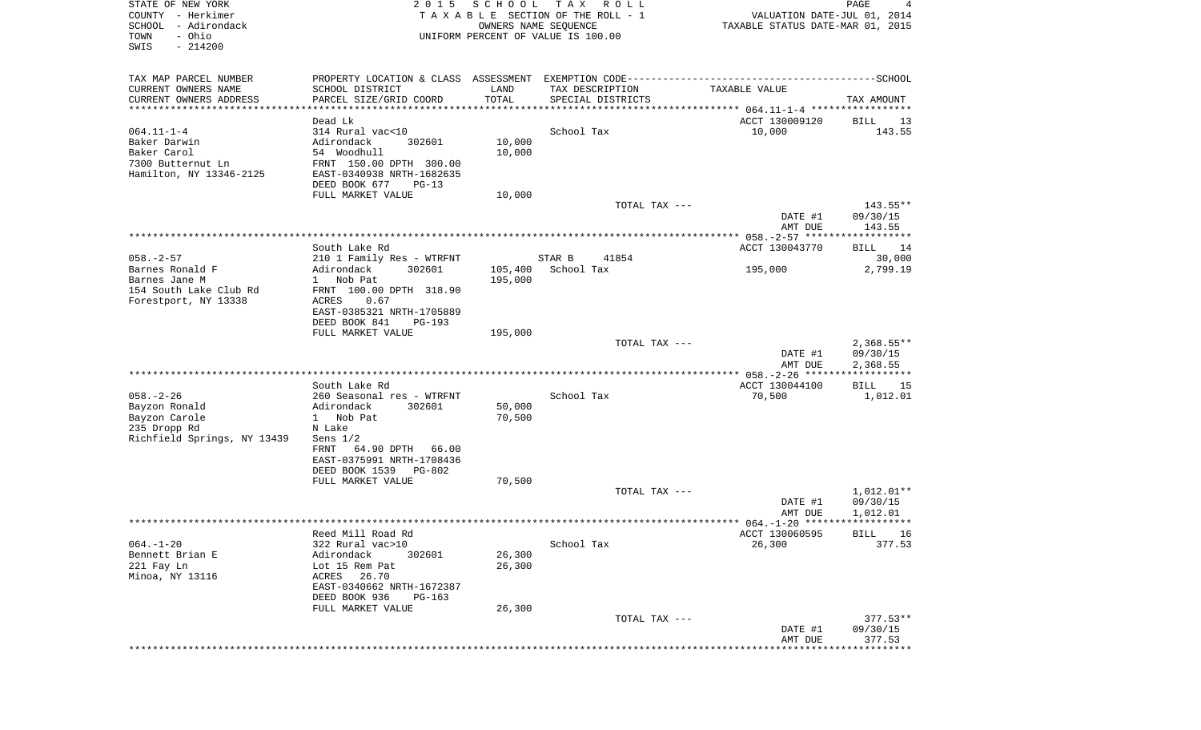| STATE OF NEW YORK<br>COUNTY - Herkimer<br>SCHOOL - Adirondack<br>- Ohio<br>TOWN<br>SWIS<br>$-214200$  | 2 0 1 5                                                                                                                                                                                                    | SCHOOL                     | T A X<br>R O L L<br>TAXABLE SECTION OF THE ROLL - 1<br>OWNERS NAME SEQUENCE<br>UNIFORM PERCENT OF VALUE IS 100.00 | VALUATION DATE-JUL 01, 2014<br>TAXABLE STATUS DATE-MAR 01, 2015 | PAGE<br>4                                    |
|-------------------------------------------------------------------------------------------------------|------------------------------------------------------------------------------------------------------------------------------------------------------------------------------------------------------------|----------------------------|-------------------------------------------------------------------------------------------------------------------|-----------------------------------------------------------------|----------------------------------------------|
| TAX MAP PARCEL NUMBER<br>CURRENT OWNERS NAME<br>CURRENT OWNERS ADDRESS<br>*************************   | SCHOOL DISTRICT<br>PARCEL SIZE/GRID COORD                                                                                                                                                                  | LAND<br>TOTAL              | TAX DESCRIPTION<br>SPECIAL DISTRICTS                                                                              | TAXABLE VALUE                                                   | TAX AMOUNT                                   |
| $064.11 - 1 - 4$<br>Baker Darwin<br>Baker Carol<br>7300 Butternut Ln<br>Hamilton, NY 13346-2125       | Dead Lk<br>314 Rural vac<10<br>Adirondack<br>302601<br>54 Woodhull<br>FRNT 150.00 DPTH 300.00<br>EAST-0340938 NRTH-1682635<br>DEED BOOK 677<br>$PG-13$<br>FULL MARKET VALUE                                | 10,000<br>10,000<br>10,000 | School Tax                                                                                                        | ACCT 130009120<br>10,000                                        | BILL<br>13<br>143.55                         |
|                                                                                                       |                                                                                                                                                                                                            |                            | TOTAL TAX ---                                                                                                     | DATE #1<br>AMT DUE                                              | 143.55**<br>09/30/15<br>143.55               |
| $058. - 2 - 57$<br>Barnes Ronald F<br>Barnes Jane M<br>154 South Lake Club Rd<br>Forestport, NY 13338 | South Lake Rd<br>210 1 Family Res - WTRFNT<br>Adirondack<br>302601<br>1 Nob Pat<br>FRNT 100.00 DPTH 318.90<br>ACRES<br>0.67<br>EAST-0385321 NRTH-1705889                                                   | 105,400<br>195,000         | 41854<br>STAR B<br>School Tax                                                                                     | ACCT 130043770<br>195,000                                       | BILL<br>14<br>30,000<br>2,799.19             |
|                                                                                                       | DEED BOOK 841<br>$PG-193$<br>FULL MARKET VALUE                                                                                                                                                             | 195,000                    | TOTAL TAX ---                                                                                                     | DATE #1<br>AMT DUE                                              | $2,368.55**$<br>09/30/15<br>2,368.55         |
| $058. - 2 - 26$<br>Bayzon Ronald<br>Bayzon Carole<br>235 Dropp Rd<br>Richfield Springs, NY 13439      | South Lake Rd<br>260 Seasonal res - WTRFNT<br>Adirondack<br>302601<br>Nob Pat<br>$1 \quad$<br>N Lake<br>Sens $1/2$<br>64.90 DPTH<br>FRNT<br>66.00<br>EAST-0375991 NRTH-1708436<br>DEED BOOK 1539<br>PG-802 | 50,000<br>70,500           | School Tax                                                                                                        | ACCT 130044100<br>70,500                                        | ***********<br>BILL<br>15<br>1,012.01        |
|                                                                                                       | FULL MARKET VALUE                                                                                                                                                                                          | 70,500                     | TOTAL TAX ---                                                                                                     | DATE #1<br>AMT DUE                                              | $1,012.01**$<br>09/30/15<br>1,012.01         |
| $064. -1 - 20$<br>Bennett Brian E<br>221 Fay Ln<br>Minoa, NY 13116                                    | Reed Mill Road Rd<br>322 Rural vac>10<br>Adirondack<br>302601<br>Lot 15 Rem Pat<br>ACRES 26.70<br>EAST-0340662 NRTH-1672387<br>DEED BOOK 936<br>PG-163<br>FULL MARKET VALUE                                | 26,300<br>26,300<br>26,300 | School Tax                                                                                                        | ACCT 130060595<br>26,300                                        | BILL 16<br>377.53                            |
|                                                                                                       |                                                                                                                                                                                                            |                            | TOTAL TAX ---                                                                                                     | DATE #1<br>AMT DUE                                              | $377.53**$<br>09/30/15<br>377.53<br>******** |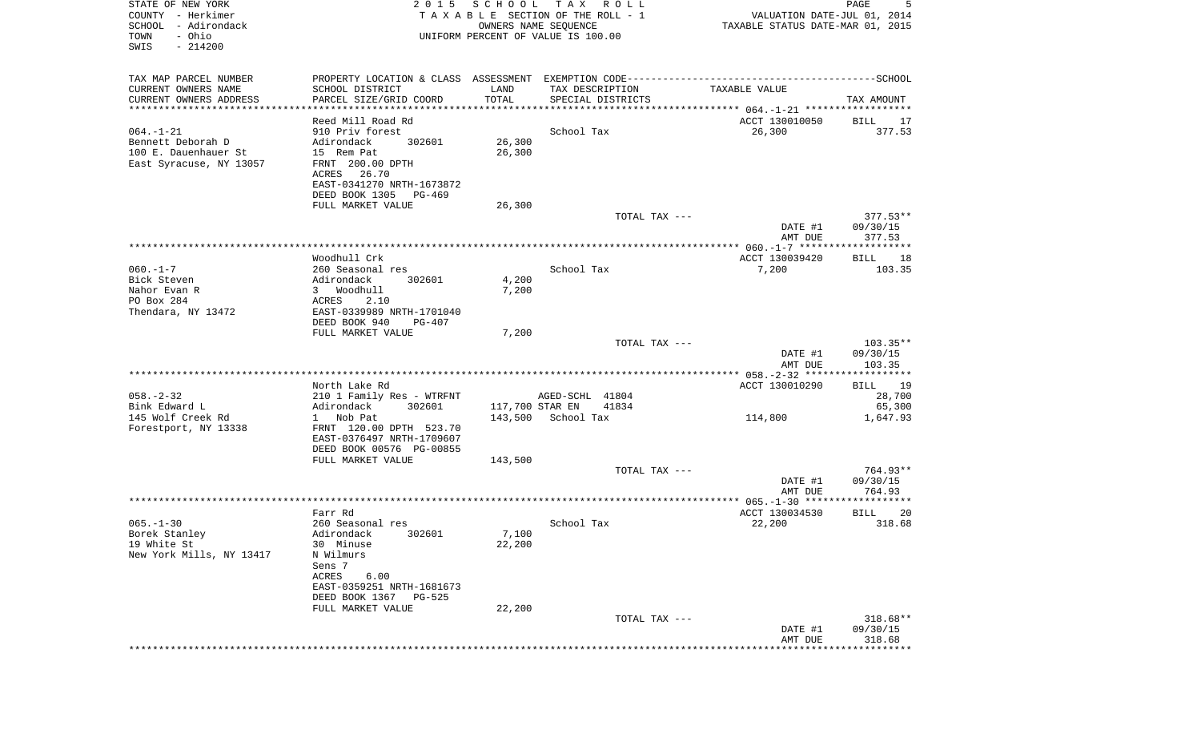| STATE OF NEW YORK<br>COUNTY - Herkimer<br>SCHOOL - Adirondack<br>- Ohio<br>TOWN<br>SWIS<br>$-214200$ | 2 0 1 5                                              | SCHOOL                | T A X<br>R O L L<br>TAXABLE SECTION OF THE ROLL - 1<br>OWNERS NAME SEQUENCE<br>UNIFORM PERCENT OF VALUE IS 100.00 | VALUATION DATE-JUL 01, 2014<br>TAXABLE STATUS DATE-MAR 01, 2015 | 5<br>PAGE            |
|------------------------------------------------------------------------------------------------------|------------------------------------------------------|-----------------------|-------------------------------------------------------------------------------------------------------------------|-----------------------------------------------------------------|----------------------|
| TAX MAP PARCEL NUMBER                                                                                |                                                      |                       |                                                                                                                   |                                                                 |                      |
| CURRENT OWNERS NAME<br>CURRENT OWNERS ADDRESS                                                        | SCHOOL DISTRICT<br>PARCEL SIZE/GRID COORD            | LAND<br>TOTAL         | TAX DESCRIPTION<br>SPECIAL DISTRICTS                                                                              | TAXABLE VALUE                                                   | TAX AMOUNT           |
| ***********************                                                                              |                                                      | * * * * * * * * * * * |                                                                                                                   |                                                                 |                      |
|                                                                                                      | Reed Mill Road Rd                                    |                       |                                                                                                                   | ACCT 130010050                                                  | BILL<br>17           |
| $064. -1 - 21$<br>Bennett Deborah D                                                                  | 910 Priv forest<br>302601<br>Adirondack              | 26,300                | School Tax                                                                                                        | 26,300                                                          | 377.53               |
| 100 E. Dauenhauer St                                                                                 | 15 Rem Pat                                           | 26,300                |                                                                                                                   |                                                                 |                      |
| East Syracuse, NY 13057                                                                              | FRNT 200.00 DPTH                                     |                       |                                                                                                                   |                                                                 |                      |
|                                                                                                      | ACRES<br>26.70                                       |                       |                                                                                                                   |                                                                 |                      |
|                                                                                                      | EAST-0341270 NRTH-1673872                            |                       |                                                                                                                   |                                                                 |                      |
|                                                                                                      | DEED BOOK 1305<br>PG-469                             |                       |                                                                                                                   |                                                                 |                      |
|                                                                                                      | FULL MARKET VALUE                                    | 26,300                | TOTAL TAX ---                                                                                                     |                                                                 | $377.53**$           |
|                                                                                                      |                                                      |                       |                                                                                                                   | DATE #1                                                         | 09/30/15             |
|                                                                                                      |                                                      |                       |                                                                                                                   | AMT DUE                                                         | 377.53               |
|                                                                                                      |                                                      |                       |                                                                                                                   |                                                                 |                      |
|                                                                                                      | Woodhull Crk                                         |                       |                                                                                                                   | ACCT 130039420                                                  | BILL<br>18           |
| $060. -1 - 7$                                                                                        | 260 Seasonal res                                     |                       | School Tax                                                                                                        | 7,200                                                           | 103.35               |
| Bick Steven<br>Nahor Evan R                                                                          | Adirondack<br>302601<br>3 Woodhull                   | 4,200                 |                                                                                                                   |                                                                 |                      |
| PO Box 284                                                                                           | ACRES<br>2.10                                        | 7,200                 |                                                                                                                   |                                                                 |                      |
| Thendara, NY 13472                                                                                   | EAST-0339989 NRTH-1701040                            |                       |                                                                                                                   |                                                                 |                      |
|                                                                                                      | DEED BOOK 940<br>PG-407                              |                       |                                                                                                                   |                                                                 |                      |
|                                                                                                      | FULL MARKET VALUE                                    | 7,200                 |                                                                                                                   |                                                                 |                      |
|                                                                                                      |                                                      |                       | TOTAL TAX ---                                                                                                     |                                                                 | 103.35**             |
|                                                                                                      |                                                      |                       |                                                                                                                   | DATE #1<br>AMT DUE                                              | 09/30/15<br>103.35   |
|                                                                                                      |                                                      |                       |                                                                                                                   | ***************** 058.-2-32 ******************                  |                      |
|                                                                                                      | North Lake Rd                                        |                       |                                                                                                                   | ACCT 130010290                                                  | BILL<br>19           |
| $058. - 2 - 32$                                                                                      | 210 1 Family Res - WTRFNT                            |                       | AGED-SCHL 41804                                                                                                   |                                                                 | 28,700               |
| Bink Edward L                                                                                        | Adirondack<br>302601                                 |                       | 117,700 STAR EN<br>41834                                                                                          |                                                                 | 65,300               |
| 145 Wolf Creek Rd                                                                                    | 1 Nob Pat                                            | 143,500               | School Tax                                                                                                        | 114,800                                                         | 1,647.93             |
| Forestport, NY 13338                                                                                 | FRNT 120.00 DPTH 523.70<br>EAST-0376497 NRTH-1709607 |                       |                                                                                                                   |                                                                 |                      |
|                                                                                                      | DEED BOOK 00576 PG-00855                             |                       |                                                                                                                   |                                                                 |                      |
|                                                                                                      | FULL MARKET VALUE                                    | 143,500               |                                                                                                                   |                                                                 |                      |
|                                                                                                      |                                                      |                       | TOTAL TAX ---                                                                                                     |                                                                 | $764.93**$           |
|                                                                                                      |                                                      |                       |                                                                                                                   | DATE #1                                                         | 09/30/15             |
|                                                                                                      |                                                      |                       |                                                                                                                   | AMT DUE                                                         | 764.93               |
|                                                                                                      | Farr Rd                                              |                       |                                                                                                                   | ACCT 130034530                                                  | BILL<br>20           |
| $065. -1 - 30$                                                                                       | 260 Seasonal res                                     |                       | School Tax                                                                                                        | 22,200                                                          | 318.68               |
| Borek Stanley                                                                                        | Adirondack<br>302601                                 | 7,100                 |                                                                                                                   |                                                                 |                      |
| 19 White St                                                                                          | 30 Minuse                                            | 22,200                |                                                                                                                   |                                                                 |                      |
| New York Mills, NY 13417                                                                             | N Wilmurs                                            |                       |                                                                                                                   |                                                                 |                      |
|                                                                                                      | Sens 7<br>ACRES<br>6.00                              |                       |                                                                                                                   |                                                                 |                      |
|                                                                                                      | EAST-0359251 NRTH-1681673                            |                       |                                                                                                                   |                                                                 |                      |
|                                                                                                      | DEED BOOK 1367 PG-525                                |                       |                                                                                                                   |                                                                 |                      |
|                                                                                                      | FULL MARKET VALUE                                    | 22,200                |                                                                                                                   |                                                                 |                      |
|                                                                                                      |                                                      |                       | TOTAL TAX ---                                                                                                     |                                                                 | 318.68**             |
|                                                                                                      |                                                      |                       |                                                                                                                   | DATE #1                                                         | 09/30/15             |
|                                                                                                      |                                                      |                       |                                                                                                                   | AMT DUE                                                         | 318.68<br>********** |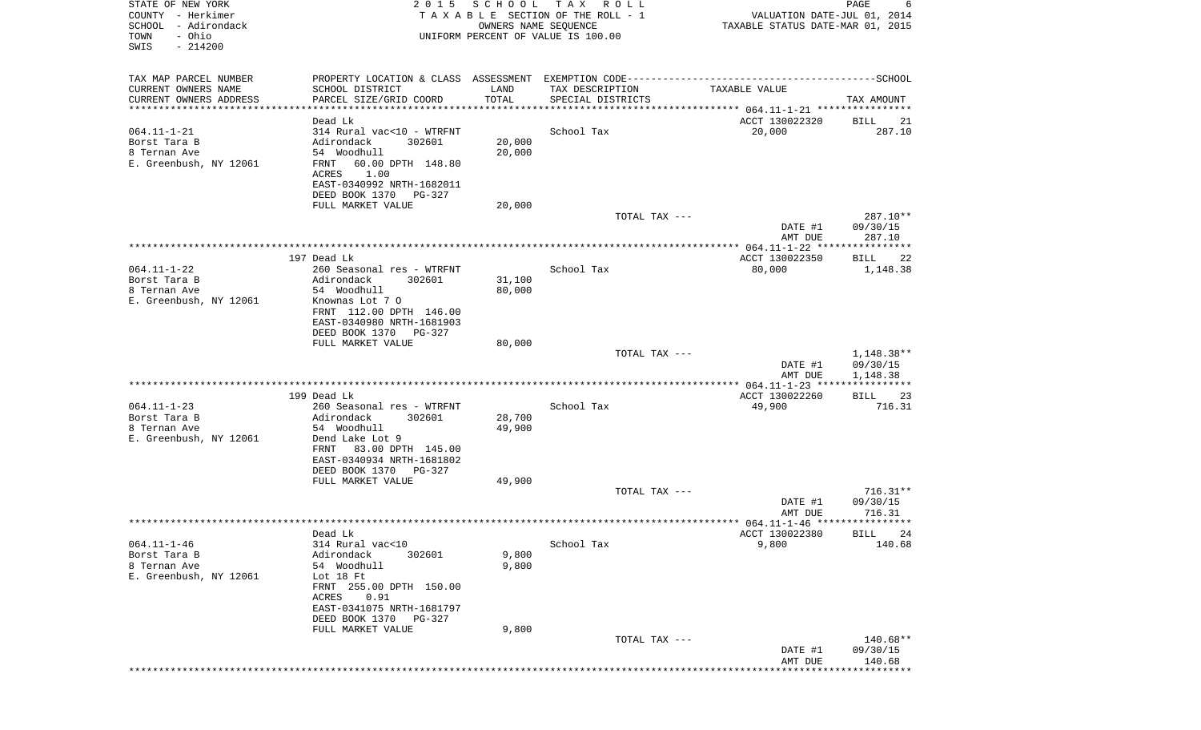| STATE OF NEW YORK<br>COUNTY - Herkimer<br>SCHOOL<br>- Adirondack<br>- Ohio<br>TOWN<br>SWIS<br>$-214200$ | 2 0 1 5                                               | SCHOOL<br>OWNERS NAME SEQUENCE | T A X<br>R O L L<br>TAXABLE SECTION OF THE ROLL - 1<br>UNIFORM PERCENT OF VALUE IS 100.00 | VALUATION DATE-JUL 01, 2014<br>TAXABLE STATUS DATE-MAR 01, 2015 | PAGE<br>6            |
|---------------------------------------------------------------------------------------------------------|-------------------------------------------------------|--------------------------------|-------------------------------------------------------------------------------------------|-----------------------------------------------------------------|----------------------|
| TAX MAP PARCEL NUMBER                                                                                   |                                                       |                                |                                                                                           |                                                                 |                      |
| CURRENT OWNERS NAME                                                                                     | SCHOOL DISTRICT                                       | LAND                           | TAX DESCRIPTION                                                                           | TAXABLE VALUE                                                   |                      |
| CURRENT OWNERS ADDRESS                                                                                  | PARCEL SIZE/GRID COORD                                | TOTAL                          | SPECIAL DISTRICTS                                                                         |                                                                 | TAX AMOUNT           |
| **********************                                                                                  | *********************************                     |                                |                                                                                           |                                                                 |                      |
| $064.11 - 1 - 21$                                                                                       | Dead Lk<br>314 Rural vac<10 - WTRFNT                  |                                | School Tax                                                                                | ACCT 130022320<br>20,000                                        | BILL<br>21<br>287.10 |
| Borst Tara B                                                                                            | Adirondack<br>302601                                  | 20,000                         |                                                                                           |                                                                 |                      |
| 8 Ternan Ave                                                                                            | 54 Woodhull                                           | 20,000                         |                                                                                           |                                                                 |                      |
| E. Greenbush, NY 12061                                                                                  | FRNT<br>60.00 DPTH 148.80                             |                                |                                                                                           |                                                                 |                      |
|                                                                                                         | ACRES<br>1.00                                         |                                |                                                                                           |                                                                 |                      |
|                                                                                                         | EAST-0340992 NRTH-1682011                             |                                |                                                                                           |                                                                 |                      |
|                                                                                                         | DEED BOOK 1370<br>PG-327<br>FULL MARKET VALUE         | 20,000                         |                                                                                           |                                                                 |                      |
|                                                                                                         |                                                       |                                | TOTAL TAX ---                                                                             |                                                                 | 287.10**             |
|                                                                                                         |                                                       |                                |                                                                                           | DATE #1                                                         | 09/30/15             |
|                                                                                                         |                                                       |                                |                                                                                           | AMT DUE                                                         | 287.10               |
|                                                                                                         |                                                       |                                |                                                                                           |                                                                 |                      |
|                                                                                                         | 197 Dead Lk                                           |                                |                                                                                           | ACCT 130022350                                                  | BILL<br>22           |
| $064.11 - 1 - 22$<br>Borst Tara B                                                                       | 260 Seasonal res - WTRFNT<br>Adirondack<br>302601     | 31,100                         | School Tax                                                                                | 80,000                                                          | 1,148.38             |
| 8 Ternan Ave                                                                                            | 54 Woodhull                                           | 80,000                         |                                                                                           |                                                                 |                      |
| E. Greenbush, NY 12061                                                                                  | Knownas Lot 7 0                                       |                                |                                                                                           |                                                                 |                      |
|                                                                                                         | FRNT 112.00 DPTH 146.00                               |                                |                                                                                           |                                                                 |                      |
|                                                                                                         | EAST-0340980 NRTH-1681903                             |                                |                                                                                           |                                                                 |                      |
|                                                                                                         | DEED BOOK 1370<br>PG-327                              |                                |                                                                                           |                                                                 |                      |
|                                                                                                         | FULL MARKET VALUE                                     | 80,000                         | TOTAL TAX ---                                                                             |                                                                 | 1,148.38**           |
|                                                                                                         |                                                       |                                |                                                                                           | DATE #1                                                         | 09/30/15             |
|                                                                                                         |                                                       |                                |                                                                                           | AMT DUE                                                         | 1,148.38             |
|                                                                                                         |                                                       |                                |                                                                                           |                                                                 |                      |
| $064.11 - 1 - 23$                                                                                       | 199 Dead Lk<br>260 Seasonal res - WTRFNT              |                                | School Tax                                                                                | ACCT 130022260<br>49,900                                        | 23<br>BILL<br>716.31 |
| Borst Tara B                                                                                            | Adirondack<br>302601                                  | 28,700                         |                                                                                           |                                                                 |                      |
| 8 Ternan Ave                                                                                            | 54 Woodhull                                           | 49,900                         |                                                                                           |                                                                 |                      |
| E. Greenbush, NY 12061                                                                                  | Dend Lake Lot 9                                       |                                |                                                                                           |                                                                 |                      |
|                                                                                                         | 83.00 DPTH 145.00<br>FRNT                             |                                |                                                                                           |                                                                 |                      |
|                                                                                                         | EAST-0340934 NRTH-1681802                             |                                |                                                                                           |                                                                 |                      |
|                                                                                                         | DEED BOOK 1370<br>$PG-327$<br>FULL MARKET VALUE       | 49,900                         |                                                                                           |                                                                 |                      |
|                                                                                                         |                                                       |                                | TOTAL TAX ---                                                                             |                                                                 | $716.31**$           |
|                                                                                                         |                                                       |                                |                                                                                           | DATE #1                                                         | 09/30/15             |
|                                                                                                         |                                                       |                                |                                                                                           | AMT DUE                                                         | 716.31               |
|                                                                                                         |                                                       |                                |                                                                                           |                                                                 |                      |
| $064.11 - 1 - 46$                                                                                       | Dead Lk<br>314 Rural vac<10                           |                                | School Tax                                                                                | ACCT 130022380<br>9,800                                         | BILL 24<br>140.68    |
| Borst Tara B                                                                                            | Adirondack<br>302601                                  | 9,800                          |                                                                                           |                                                                 |                      |
| 8 Ternan Ave                                                                                            | 54 Woodhull                                           | 9,800                          |                                                                                           |                                                                 |                      |
| E. Greenbush, NY 12061                                                                                  | Lot 18 Ft                                             |                                |                                                                                           |                                                                 |                      |
|                                                                                                         | FRNT 255.00 DPTH 150.00                               |                                |                                                                                           |                                                                 |                      |
|                                                                                                         | 0.91<br>ACRES                                         |                                |                                                                                           |                                                                 |                      |
|                                                                                                         | EAST-0341075 NRTH-1681797<br>DEED BOOK 1370<br>PG-327 |                                |                                                                                           |                                                                 |                      |
|                                                                                                         | FULL MARKET VALUE                                     | 9,800                          |                                                                                           |                                                                 |                      |
|                                                                                                         |                                                       |                                | TOTAL TAX ---                                                                             |                                                                 | 140.68**             |
|                                                                                                         |                                                       |                                |                                                                                           | DATE #1                                                         | 09/30/15             |
|                                                                                                         |                                                       |                                |                                                                                           | AMT DUE                                                         | 140.68               |
|                                                                                                         |                                                       |                                |                                                                                           |                                                                 |                      |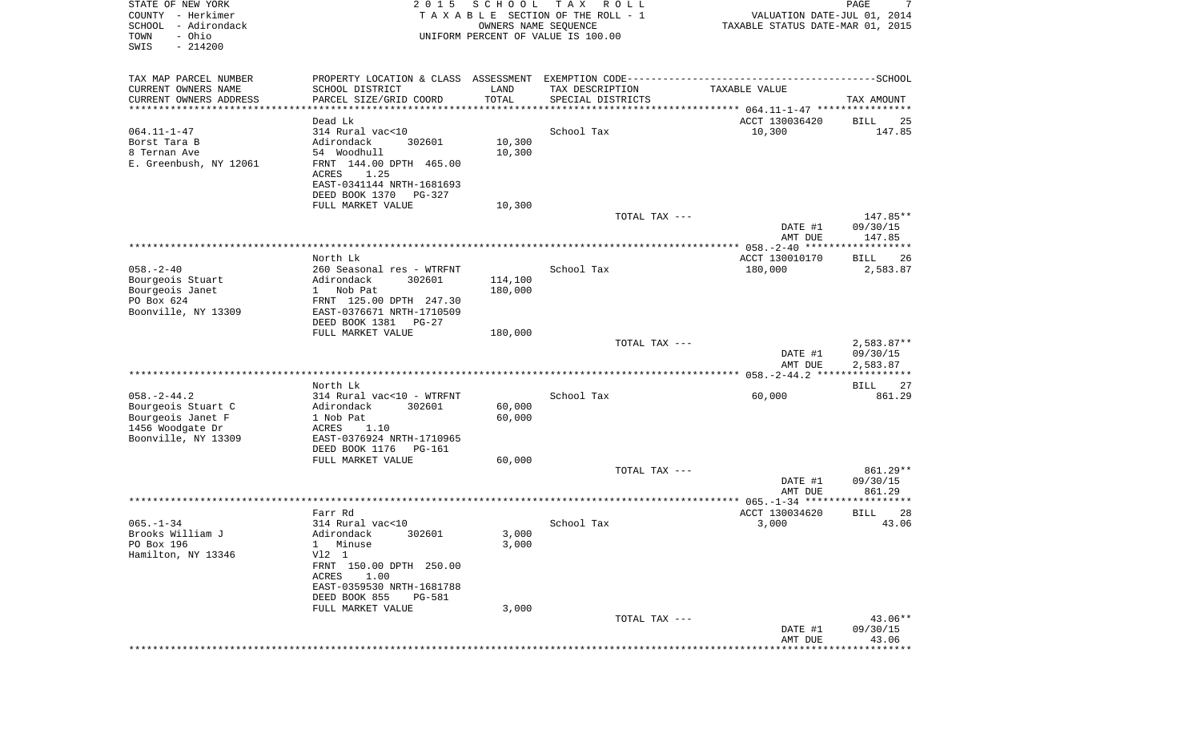| STATE OF NEW YORK<br>COUNTY - Herkimer<br>SCHOOL<br>- Adirondack<br>- Ohio<br>TOWN<br>SWIS<br>$-214200$ | 2 0 1 5                                        | SCHOOL           | T A X<br>R O L L<br>TAXABLE SECTION OF THE ROLL - 1<br>OWNERS NAME SEQUENCE<br>UNIFORM PERCENT OF VALUE IS 100.00 | VALUATION DATE-JUL 01, 2014<br>TAXABLE STATUS DATE-MAR 01, 2015 | PAGE<br>7         |
|---------------------------------------------------------------------------------------------------------|------------------------------------------------|------------------|-------------------------------------------------------------------------------------------------------------------|-----------------------------------------------------------------|-------------------|
| TAX MAP PARCEL NUMBER                                                                                   |                                                |                  |                                                                                                                   |                                                                 |                   |
| CURRENT OWNERS NAME<br>CURRENT OWNERS ADDRESS                                                           | SCHOOL DISTRICT<br>PARCEL SIZE/GRID COORD      | LAND<br>TOTAL    | TAX DESCRIPTION<br>SPECIAL DISTRICTS                                                                              | TAXABLE VALUE                                                   | TAX AMOUNT        |
| ***********************                                                                                 | ***************                                |                  |                                                                                                                   |                                                                 |                   |
|                                                                                                         | Dead Lk                                        |                  |                                                                                                                   | ACCT 130036420                                                  | BILL<br>25        |
| $064.11 - 1 - 47$                                                                                       | 314 Rural vac<10                               |                  | School Tax                                                                                                        | 10,300                                                          | 147.85            |
| Borst Tara B<br>8 Ternan Ave                                                                            | 302601<br>Adirondack<br>54 Woodhull            | 10,300<br>10,300 |                                                                                                                   |                                                                 |                   |
| E. Greenbush, NY 12061                                                                                  | FRNT 144.00 DPTH 465.00                        |                  |                                                                                                                   |                                                                 |                   |
|                                                                                                         | ACRES<br>1.25                                  |                  |                                                                                                                   |                                                                 |                   |
|                                                                                                         | EAST-0341144 NRTH-1681693                      |                  |                                                                                                                   |                                                                 |                   |
|                                                                                                         | DEED BOOK 1370<br>PG-327                       |                  |                                                                                                                   |                                                                 |                   |
|                                                                                                         | FULL MARKET VALUE                              | 10,300           |                                                                                                                   |                                                                 |                   |
|                                                                                                         |                                                |                  | TOTAL TAX ---                                                                                                     |                                                                 | 147.85**          |
|                                                                                                         |                                                |                  |                                                                                                                   | DATE #1                                                         | 09/30/15          |
|                                                                                                         |                                                |                  |                                                                                                                   | AMT DUE                                                         | 147.85            |
|                                                                                                         | North Lk                                       |                  |                                                                                                                   | ACCT 130010170                                                  | 26<br>BILL        |
| $058. - 2 - 40$                                                                                         | 260 Seasonal res - WTRFNT                      |                  | School Tax                                                                                                        | 180,000                                                         | 2,583.87          |
| Bourgeois Stuart                                                                                        | Adirondack<br>302601                           | 114,100          |                                                                                                                   |                                                                 |                   |
| Bourgeois Janet                                                                                         | 1 Nob Pat                                      | 180,000          |                                                                                                                   |                                                                 |                   |
| PO Box 624                                                                                              | FRNT 125.00 DPTH 247.30                        |                  |                                                                                                                   |                                                                 |                   |
| Boonville, NY 13309                                                                                     | EAST-0376671 NRTH-1710509                      |                  |                                                                                                                   |                                                                 |                   |
|                                                                                                         | DEED BOOK 1381<br>$PG-27$<br>FULL MARKET VALUE | 180,000          |                                                                                                                   |                                                                 |                   |
|                                                                                                         |                                                |                  | TOTAL TAX ---                                                                                                     |                                                                 | $2,583.87**$      |
|                                                                                                         |                                                |                  |                                                                                                                   | DATE #1                                                         | 09/30/15          |
|                                                                                                         |                                                |                  |                                                                                                                   | AMT DUE                                                         | 2,583.87          |
|                                                                                                         |                                                |                  |                                                                                                                   |                                                                 |                   |
|                                                                                                         | North Lk                                       |                  |                                                                                                                   |                                                                 | BILL<br>27        |
| $058. - 2 - 44.2$                                                                                       | 314 Rural vac<10 - WTRFNT                      |                  | School Tax                                                                                                        | 60,000                                                          | 861.29            |
| Bourgeois Stuart C<br>Bourgeois Janet F                                                                 | 302601<br>Adirondack<br>1 Nob Pat              | 60,000<br>60,000 |                                                                                                                   |                                                                 |                   |
| 1456 Woodgate Dr                                                                                        | ACRES<br>1.10                                  |                  |                                                                                                                   |                                                                 |                   |
| Boonville, NY 13309                                                                                     | EAST-0376924 NRTH-1710965                      |                  |                                                                                                                   |                                                                 |                   |
|                                                                                                         | DEED BOOK 1176<br>PG-161                       |                  |                                                                                                                   |                                                                 |                   |
|                                                                                                         | FULL MARKET VALUE                              | 60,000           |                                                                                                                   |                                                                 |                   |
|                                                                                                         |                                                |                  | TOTAL TAX ---                                                                                                     |                                                                 | 861.29**          |
|                                                                                                         |                                                |                  |                                                                                                                   | DATE #1                                                         | 09/30/15          |
|                                                                                                         |                                                |                  |                                                                                                                   | AMT DUE                                                         | 861.29            |
|                                                                                                         | Farr Rd                                        |                  |                                                                                                                   | ACCT 130034620                                                  | <b>BILL</b><br>28 |
| $065. -1 - 34$                                                                                          | 314 Rural vac<10                               |                  | School Tax                                                                                                        | 3,000                                                           | 43.06             |
| Brooks William J                                                                                        | 302601<br>Adirondack                           | 3,000            |                                                                                                                   |                                                                 |                   |
| PO Box 196                                                                                              | 1 Minuse                                       | 3,000            |                                                                                                                   |                                                                 |                   |
| Hamilton, NY 13346                                                                                      | V12 1                                          |                  |                                                                                                                   |                                                                 |                   |
|                                                                                                         | FRNT 150.00 DPTH 250.00                        |                  |                                                                                                                   |                                                                 |                   |
|                                                                                                         | 1.00<br>ACRES<br>EAST-0359530 NRTH-1681788     |                  |                                                                                                                   |                                                                 |                   |
|                                                                                                         | DEED BOOK 855<br>PG-581                        |                  |                                                                                                                   |                                                                 |                   |
|                                                                                                         | FULL MARKET VALUE                              | 3,000            |                                                                                                                   |                                                                 |                   |
|                                                                                                         |                                                |                  | TOTAL TAX ---                                                                                                     |                                                                 | 43.06**           |
|                                                                                                         |                                                |                  |                                                                                                                   | DATE #1                                                         | 09/30/15          |
|                                                                                                         |                                                |                  |                                                                                                                   | AMT DUE                                                         | 43.06             |
|                                                                                                         |                                                |                  |                                                                                                                   |                                                                 | **********        |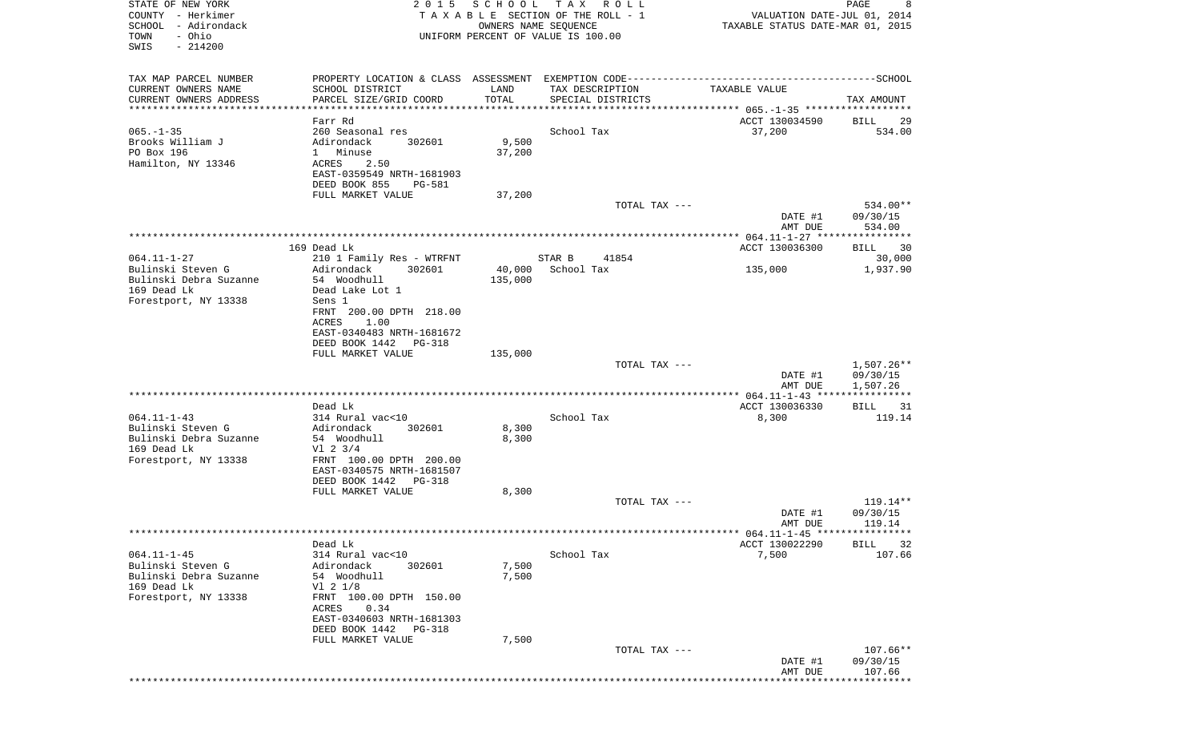| STATE OF NEW YORK<br>COUNTY - Herkimer<br>SCHOOL - Adirondack<br>- Ohio<br>TOWN<br>$-214200$<br>SWIS | 2 0 1 5                                                                                                                                  |                 | SCHOOL TAX ROLL<br>TAXABLE SECTION OF THE ROLL - 1<br>OWNERS NAME SEQUENCE<br>UNIFORM PERCENT OF VALUE IS 100.00                     | VALUATION DATE-JUL 01, 2014<br>TAXABLE STATUS DATE-MAR 01, 2015 | 8<br>PAGE                        |
|------------------------------------------------------------------------------------------------------|------------------------------------------------------------------------------------------------------------------------------------------|-----------------|--------------------------------------------------------------------------------------------------------------------------------------|-----------------------------------------------------------------|----------------------------------|
|                                                                                                      |                                                                                                                                          |                 |                                                                                                                                      |                                                                 |                                  |
| TAX MAP PARCEL NUMBER<br>CURRENT OWNERS NAME<br>CURRENT OWNERS ADDRESS                               | SCHOOL DISTRICT<br>PARCEL SIZE/GRID COORD                                                                                                | LAND<br>TOTAL   | PROPERTY LOCATION & CLASS ASSESSMENT EXEMPTION CODE-----------------------------------SCHOOL<br>TAX DESCRIPTION<br>SPECIAL DISTRICTS | TAXABLE VALUE                                                   | TAX AMOUNT                       |
| ************************                                                                             |                                                                                                                                          |                 |                                                                                                                                      |                                                                 |                                  |
| $065. -1 - 35$<br>Brooks William J<br>PO Box 196<br>Hamilton, NY 13346                               | Farr Rd<br>260 Seasonal res<br>Adirondack<br>302601<br>1 Minuse<br>2.50<br>ACRES<br>EAST-0359549 NRTH-1681903<br>DEED BOOK 855<br>PG-581 | 9,500<br>37,200 | School Tax                                                                                                                           | ACCT 130034590<br>37,200                                        | BILL<br>29<br>534.00             |
|                                                                                                      | FULL MARKET VALUE                                                                                                                        | 37,200          |                                                                                                                                      |                                                                 |                                  |
|                                                                                                      |                                                                                                                                          |                 | TOTAL TAX ---                                                                                                                        | DATE #1<br>AMT DUE                                              | 534.00**<br>09/30/15<br>534.00   |
|                                                                                                      |                                                                                                                                          |                 |                                                                                                                                      |                                                                 |                                  |
| $064.11 - 1 - 27$                                                                                    | 169 Dead Lk<br>210 1 Family Res - WTRFNT                                                                                                 |                 | 41854<br>STAR B                                                                                                                      | ACCT 130036300                                                  | BILL 30<br>30,000                |
| Bulinski Steven G                                                                                    | Adirondack<br>302601                                                                                                                     | 40,000          | School Tax                                                                                                                           | 135,000                                                         | 1,937.90                         |
| Bulinski Debra Suzanne                                                                               | 54 Woodhull                                                                                                                              | 135,000         |                                                                                                                                      |                                                                 |                                  |
| 169 Dead Lk<br>Forestport, NY 13338                                                                  | Dead Lake Lot 1<br>Sens 1                                                                                                                |                 |                                                                                                                                      |                                                                 |                                  |
|                                                                                                      | FRNT 200.00 DPTH 218.00<br>ACRES<br>1.00                                                                                                 |                 |                                                                                                                                      |                                                                 |                                  |
|                                                                                                      | EAST-0340483 NRTH-1681672<br>DEED BOOK 1442 PG-318                                                                                       |                 |                                                                                                                                      |                                                                 |                                  |
|                                                                                                      | FULL MARKET VALUE                                                                                                                        | 135,000         |                                                                                                                                      |                                                                 |                                  |
|                                                                                                      |                                                                                                                                          |                 | TOTAL TAX ---                                                                                                                        |                                                                 | 1,507.26**                       |
|                                                                                                      |                                                                                                                                          |                 |                                                                                                                                      | DATE #1<br>AMT DUE                                              | 09/30/15<br>1,507.26             |
|                                                                                                      |                                                                                                                                          |                 |                                                                                                                                      |                                                                 |                                  |
| $064.11 - 1 - 43$                                                                                    | Dead Lk<br>314 Rural vac<10                                                                                                              |                 | School Tax                                                                                                                           | ACCT 130036330<br>8,300                                         | BILL<br>31<br>119.14             |
| Bulinski Steven G                                                                                    | Adirondack<br>302601                                                                                                                     | 8,300           |                                                                                                                                      |                                                                 |                                  |
| Bulinski Debra Suzanne                                                                               | 54 Woodhull                                                                                                                              | 8,300           |                                                                                                                                      |                                                                 |                                  |
| 169 Dead Lk<br>Forestport, NY 13338                                                                  | $VI$ 2 3/4<br>FRNT 100.00 DPTH 200.00                                                                                                    |                 |                                                                                                                                      |                                                                 |                                  |
|                                                                                                      | EAST-0340575 NRTH-1681507<br>DEED BOOK 1442 PG-318                                                                                       |                 |                                                                                                                                      |                                                                 |                                  |
|                                                                                                      | FULL MARKET VALUE                                                                                                                        | 8,300           |                                                                                                                                      |                                                                 |                                  |
|                                                                                                      |                                                                                                                                          |                 | TOTAL TAX ---                                                                                                                        | DATE #1                                                         | $119.14**$<br>09/30/15           |
|                                                                                                      |                                                                                                                                          |                 |                                                                                                                                      | AMT DUE                                                         | 119.14                           |
|                                                                                                      | Dead Lk                                                                                                                                  |                 |                                                                                                                                      | ACCT 130022290                                                  | <b>BILL</b><br>32                |
| $064.11 - 1 - 45$                                                                                    | 314 Rural vac<10                                                                                                                         |                 | School Tax                                                                                                                           | 7,500                                                           | 107.66                           |
| Bulinski Steven G<br>Bulinski Debra Suzanne<br>169 Dead Lk                                           | Adirondack<br>302601<br>54 Woodhull<br>$VI$ 2 $1/8$                                                                                      | 7,500<br>7,500  |                                                                                                                                      |                                                                 |                                  |
| Forestport, NY 13338                                                                                 | FRNT 100.00 DPTH 150.00<br>0.34<br>ACRES<br>EAST-0340603 NRTH-1681303                                                                    |                 |                                                                                                                                      |                                                                 |                                  |
|                                                                                                      | DEED BOOK 1442<br>PG-318                                                                                                                 |                 |                                                                                                                                      |                                                                 |                                  |
|                                                                                                      | FULL MARKET VALUE                                                                                                                        | 7,500           |                                                                                                                                      |                                                                 |                                  |
|                                                                                                      |                                                                                                                                          |                 | TOTAL TAX ---                                                                                                                        | DATE #1<br>AMT DUE                                              | $107.66**$<br>09/30/15<br>107.66 |
|                                                                                                      |                                                                                                                                          |                 |                                                                                                                                      |                                                                 |                                  |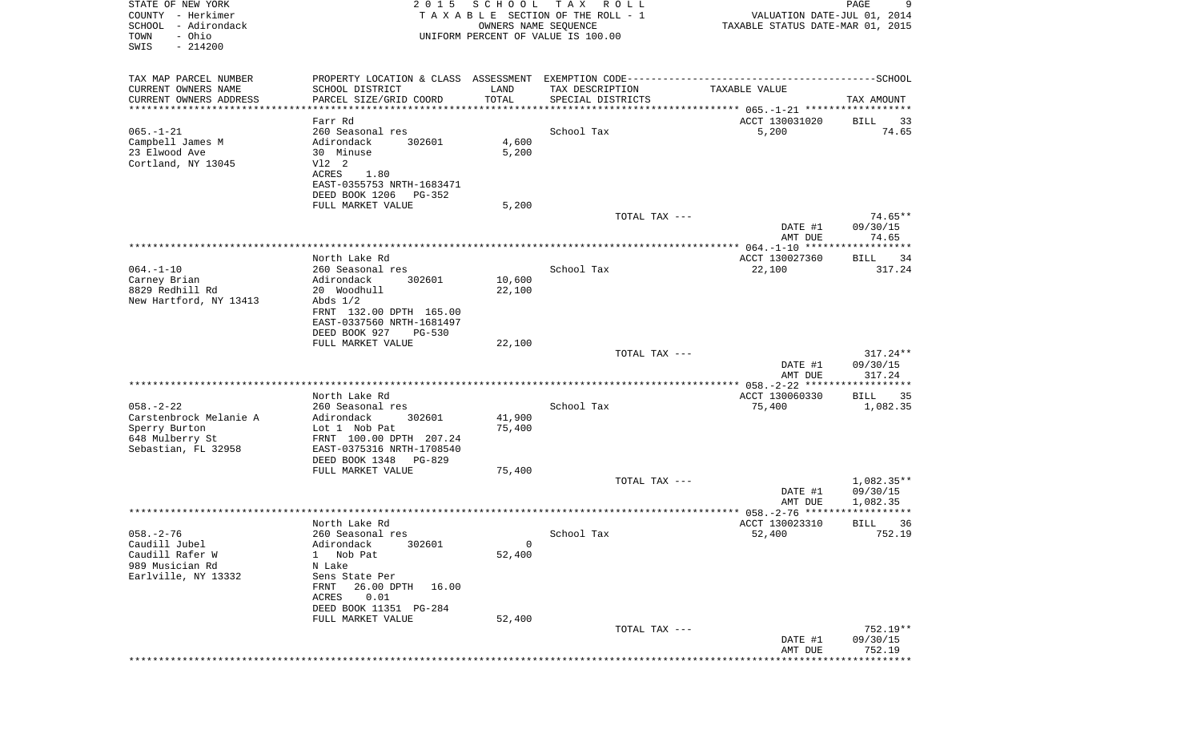| STATE OF NEW YORK<br>COUNTY - Herkimer<br>SCHOOL<br>- Adirondack<br>- Ohio<br>TOWN<br>SWIS<br>$-214200$ | 2 0 1 5                                               | SCHOOL<br>OWNERS NAME SEQUENCE | T A X<br>R O L L<br>TAXABLE SECTION OF THE ROLL - 1<br>UNIFORM PERCENT OF VALUE IS 100.00 | VALUATION DATE-JUL 01, 2014<br>TAXABLE STATUS DATE-MAR 01, 2015 | 9<br>PAGE              |
|---------------------------------------------------------------------------------------------------------|-------------------------------------------------------|--------------------------------|-------------------------------------------------------------------------------------------|-----------------------------------------------------------------|------------------------|
| TAX MAP PARCEL NUMBER                                                                                   |                                                       |                                |                                                                                           |                                                                 |                        |
| CURRENT OWNERS NAME                                                                                     | SCHOOL DISTRICT                                       | LAND                           | TAX DESCRIPTION                                                                           | TAXABLE VALUE                                                   |                        |
| CURRENT OWNERS ADDRESS<br>**********************                                                        | PARCEL SIZE/GRID COORD<br>***********************     | TOTAL<br>*************         | SPECIAL DISTRICTS                                                                         |                                                                 | TAX AMOUNT             |
|                                                                                                         | Farr Rd                                               |                                |                                                                                           | ACCT 130031020                                                  | BILL<br>33             |
| $065. - 1 - 21$                                                                                         | 260 Seasonal res                                      |                                | School Tax                                                                                | 5,200                                                           | 74.65                  |
| Campbell James M<br>23 Elwood Ave                                                                       | Adirondack<br>302601<br>30 Minuse                     | 4,600<br>5,200                 |                                                                                           |                                                                 |                        |
| Cortland, NY 13045                                                                                      | V12 2                                                 |                                |                                                                                           |                                                                 |                        |
|                                                                                                         | ACRES<br>1.80                                         |                                |                                                                                           |                                                                 |                        |
|                                                                                                         | EAST-0355753 NRTH-1683471<br>DEED BOOK 1206<br>PG-352 |                                |                                                                                           |                                                                 |                        |
|                                                                                                         | FULL MARKET VALUE                                     | 5,200                          |                                                                                           |                                                                 |                        |
|                                                                                                         |                                                       |                                | TOTAL TAX ---                                                                             |                                                                 | $74.65**$              |
|                                                                                                         |                                                       |                                |                                                                                           | DATE #1                                                         | 09/30/15               |
|                                                                                                         |                                                       |                                |                                                                                           | AMT DUE                                                         | 74.65                  |
|                                                                                                         | North Lake Rd                                         |                                |                                                                                           | ACCT 130027360                                                  | BILL<br>34             |
| $064. -1 - 10$                                                                                          | 260 Seasonal res<br>Adirondack<br>302601              |                                | School Tax                                                                                | 22,100                                                          | 317.24                 |
| Carney Brian<br>8829 Redhill Rd                                                                         | 20 Woodhull                                           | 10,600<br>22,100               |                                                                                           |                                                                 |                        |
| New Hartford, NY 13413                                                                                  | Abds $1/2$                                            |                                |                                                                                           |                                                                 |                        |
|                                                                                                         | FRNT 132.00 DPTH 165.00<br>EAST-0337560 NRTH-1681497  |                                |                                                                                           |                                                                 |                        |
|                                                                                                         | DEED BOOK 927<br><b>PG-530</b>                        |                                |                                                                                           |                                                                 |                        |
|                                                                                                         | FULL MARKET VALUE                                     | 22,100                         |                                                                                           |                                                                 |                        |
|                                                                                                         |                                                       |                                | TOTAL TAX ---                                                                             | DATE #1                                                         | $317.24**$<br>09/30/15 |
|                                                                                                         |                                                       |                                |                                                                                           | AMT DUE                                                         | 317.24                 |
|                                                                                                         |                                                       |                                |                                                                                           |                                                                 |                        |
| $058. - 2 - 22$                                                                                         | North Lake Rd<br>260 Seasonal res                     |                                | School Tax                                                                                | ACCT 130060330<br>75,400                                        | BILL<br>35<br>1,082.35 |
| Carstenbrock Melanie A                                                                                  | Adirondack<br>302601                                  | 41,900                         |                                                                                           |                                                                 |                        |
| Sperry Burton                                                                                           | Lot 1 Nob Pat                                         | 75,400                         |                                                                                           |                                                                 |                        |
| 648 Mulberry St                                                                                         | FRNT 100.00 DPTH 207.24                               |                                |                                                                                           |                                                                 |                        |
| Sebastian, FL 32958                                                                                     | EAST-0375316 NRTH-1708540<br>DEED BOOK 1348<br>PG-829 |                                |                                                                                           |                                                                 |                        |
|                                                                                                         | FULL MARKET VALUE                                     | 75,400                         |                                                                                           |                                                                 |                        |
|                                                                                                         |                                                       |                                | TOTAL TAX ---                                                                             |                                                                 | 1,082.35**             |
|                                                                                                         |                                                       |                                |                                                                                           | DATE #1<br>AMT DUE                                              | 09/30/15<br>1,082.35   |
|                                                                                                         |                                                       |                                |                                                                                           |                                                                 | *****                  |
|                                                                                                         | North Lake Rd                                         |                                |                                                                                           | ACCT 130023310                                                  | 36<br>BILL             |
| $058. - 2 - 76$<br>Caudill Jubel                                                                        | 260 Seasonal res<br>Adirondack<br>302601              | 0                              | School Tax                                                                                | 52,400                                                          | 752.19                 |
| Caudill Rafer W                                                                                         | Nob Pat<br>$1 \quad$                                  | 52,400                         |                                                                                           |                                                                 |                        |
| 989 Musician Rd                                                                                         | N Lake                                                |                                |                                                                                           |                                                                 |                        |
| Earlville, NY 13332                                                                                     | Sens State Per<br>26.00 DPTH<br>FRNT<br>16.00         |                                |                                                                                           |                                                                 |                        |
|                                                                                                         | 0.01<br>ACRES                                         |                                |                                                                                           |                                                                 |                        |
|                                                                                                         | DEED BOOK 11351 PG-284                                |                                |                                                                                           |                                                                 |                        |
|                                                                                                         | FULL MARKET VALUE                                     | 52,400                         | TOTAL TAX ---                                                                             |                                                                 | 752.19**               |
|                                                                                                         |                                                       |                                |                                                                                           | DATE #1                                                         | 09/30/15               |
|                                                                                                         |                                                       |                                |                                                                                           | AMT DUE<br>************************************                 | 752.19                 |
|                                                                                                         |                                                       |                                |                                                                                           |                                                                 |                        |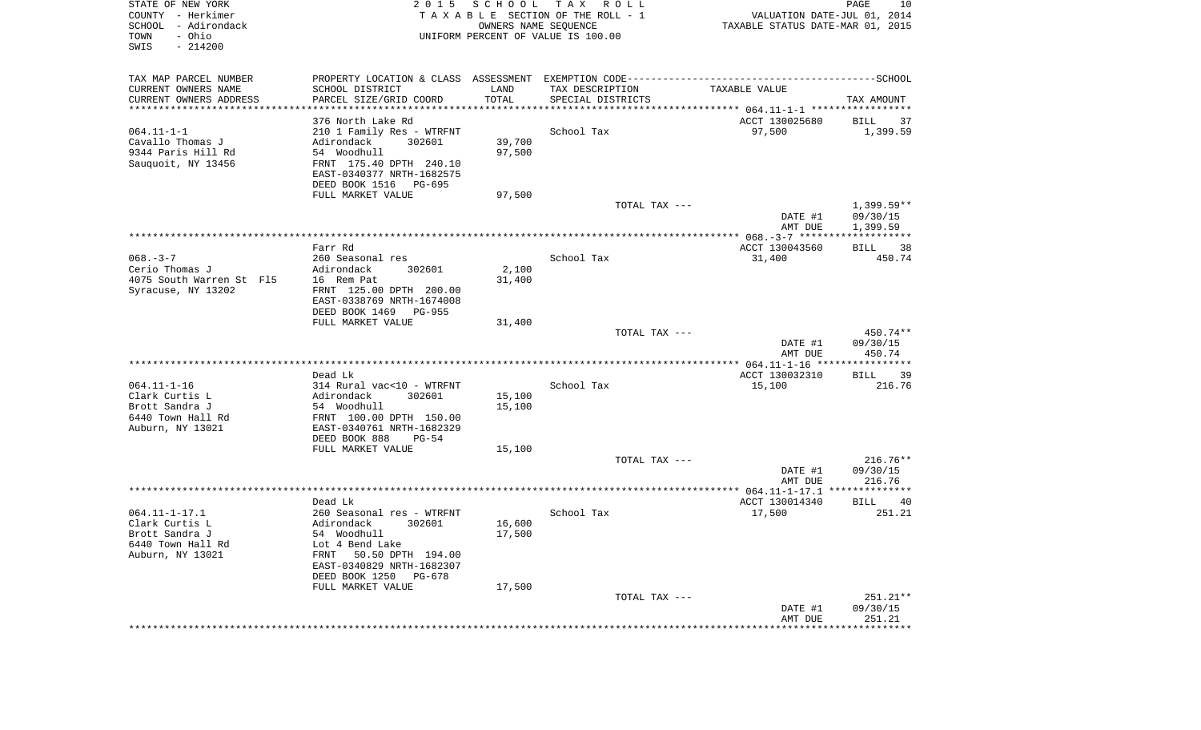| STATE OF NEW YORK<br>COUNTY - Herkimer<br>SCHOOL - Adirondack<br>- Ohio<br>TOWN<br>SWIS<br>$-214200$ | 2 0 1 5                                            | SCHOOL           | T A X<br>R O L L<br>TAXABLE SECTION OF THE ROLL - 1<br>OWNERS NAME SEQUENCE<br>UNIFORM PERCENT OF VALUE IS 100.00 | VALUATION DATE-JUL 01, 2014<br>TAXABLE STATUS DATE-MAR 01, 2015 | PAGE<br>10               |
|------------------------------------------------------------------------------------------------------|----------------------------------------------------|------------------|-------------------------------------------------------------------------------------------------------------------|-----------------------------------------------------------------|--------------------------|
| TAX MAP PARCEL NUMBER                                                                                |                                                    |                  |                                                                                                                   |                                                                 |                          |
| CURRENT OWNERS NAME<br>CURRENT OWNERS ADDRESS                                                        | SCHOOL DISTRICT<br>PARCEL SIZE/GRID COORD          | LAND<br>TOTAL    | TAX DESCRIPTION<br>SPECIAL DISTRICTS                                                                              | TAXABLE VALUE                                                   | TAX AMOUNT               |
| **********************                                                                               |                                                    |                  |                                                                                                                   |                                                                 |                          |
|                                                                                                      | 376 North Lake Rd                                  |                  |                                                                                                                   | ACCT 130025680                                                  | BILL<br>37               |
| $064.11 - 1 - 1$                                                                                     | 210 1 Family Res - WTRFNT                          |                  | School Tax                                                                                                        | 97,500                                                          | 1,399.59                 |
| Cavallo Thomas J                                                                                     | 302601<br>Adirondack                               | 39,700           |                                                                                                                   |                                                                 |                          |
| 9344 Paris Hill Rd<br>Sauquoit, NY 13456                                                             | 54 Woodhull<br>FRNT 175.40 DPTH 240.10             | 97,500           |                                                                                                                   |                                                                 |                          |
|                                                                                                      | EAST-0340377 NRTH-1682575                          |                  |                                                                                                                   |                                                                 |                          |
|                                                                                                      | DEED BOOK 1516 PG-695                              |                  |                                                                                                                   |                                                                 |                          |
|                                                                                                      | FULL MARKET VALUE                                  | 97,500           |                                                                                                                   |                                                                 |                          |
|                                                                                                      |                                                    |                  | TOTAL TAX ---                                                                                                     | DATE #1                                                         | $1,399.59**$<br>09/30/15 |
|                                                                                                      |                                                    |                  |                                                                                                                   | AMT DUE                                                         | 1,399.59                 |
|                                                                                                      | Farr Rd                                            |                  |                                                                                                                   | ACCT 130043560                                                  | 38<br>BILL               |
| $068. - 3 - 7$                                                                                       | 260 Seasonal res                                   |                  | School Tax                                                                                                        | 31,400                                                          | 450.74                   |
| Cerio Thomas J                                                                                       | Adirondack<br>302601                               | 2,100            |                                                                                                                   |                                                                 |                          |
| 4075 South Warren St F15<br>Syracuse, NY 13202                                                       | 16 Rem Pat<br>FRNT 125.00 DPTH 200.00              | 31,400           |                                                                                                                   |                                                                 |                          |
|                                                                                                      | EAST-0338769 NRTH-1674008                          |                  |                                                                                                                   |                                                                 |                          |
|                                                                                                      | DEED BOOK 1469 PG-955                              |                  |                                                                                                                   |                                                                 |                          |
|                                                                                                      | FULL MARKET VALUE                                  | 31,400           |                                                                                                                   |                                                                 |                          |
|                                                                                                      |                                                    |                  | TOTAL TAX ---                                                                                                     | DATE #1                                                         | 450.74**<br>09/30/15     |
|                                                                                                      |                                                    |                  |                                                                                                                   | AMT DUE                                                         | 450.74                   |
|                                                                                                      |                                                    |                  |                                                                                                                   |                                                                 |                          |
|                                                                                                      | Dead Lk                                            |                  |                                                                                                                   | ACCT 130032310                                                  | BILL<br>39               |
| $064.11 - 1 - 16$                                                                                    | 314 Rural vac<10 - WTRFNT                          |                  | School Tax                                                                                                        | 15,100                                                          | 216.76                   |
| Clark Curtis L<br>Brott Sandra J                                                                     | Adirondack<br>302601<br>54 Woodhull                | 15,100<br>15,100 |                                                                                                                   |                                                                 |                          |
| 6440 Town Hall Rd                                                                                    | FRNT 100.00 DPTH 150.00                            |                  |                                                                                                                   |                                                                 |                          |
| Auburn, NY 13021                                                                                     | EAST-0340761 NRTH-1682329                          |                  |                                                                                                                   |                                                                 |                          |
|                                                                                                      | DEED BOOK 888<br>$PG-54$                           |                  |                                                                                                                   |                                                                 |                          |
|                                                                                                      | FULL MARKET VALUE                                  | 15,100           | TOTAL TAX ---                                                                                                     |                                                                 | $216.76**$               |
|                                                                                                      |                                                    |                  |                                                                                                                   | DATE #1                                                         | 09/30/15                 |
|                                                                                                      |                                                    |                  |                                                                                                                   | AMT DUE                                                         | 216.76                   |
|                                                                                                      |                                                    |                  |                                                                                                                   |                                                                 |                          |
| $064.11 - 1 - 17.1$                                                                                  | Dead Lk<br>260 Seasonal res - WTRFNT               |                  | School Tax                                                                                                        | ACCT 130014340<br>17,500                                        | BILL<br>40<br>251.21     |
| Clark Curtis L                                                                                       | 302601<br>Adirondack                               | 16,600           |                                                                                                                   |                                                                 |                          |
| Brott Sandra J                                                                                       | 54 Woodhull                                        | 17,500           |                                                                                                                   |                                                                 |                          |
| 6440 Town Hall Rd                                                                                    | Lot 4 Bend Lake                                    |                  |                                                                                                                   |                                                                 |                          |
| Auburn, NY 13021                                                                                     | 50.50 DPTH 194.00<br>FRNT                          |                  |                                                                                                                   |                                                                 |                          |
|                                                                                                      | EAST-0340829 NRTH-1682307<br>DEED BOOK 1250 PG-678 |                  |                                                                                                                   |                                                                 |                          |
|                                                                                                      | FULL MARKET VALUE                                  | 17,500           |                                                                                                                   |                                                                 |                          |
|                                                                                                      |                                                    |                  | TOTAL TAX ---                                                                                                     |                                                                 | $251.21**$               |
|                                                                                                      |                                                    |                  |                                                                                                                   | DATE #1                                                         | 09/30/15                 |
|                                                                                                      |                                                    |                  |                                                                                                                   | AMT DUE<br>********************                                 | 251.21<br>************** |
|                                                                                                      |                                                    |                  |                                                                                                                   |                                                                 |                          |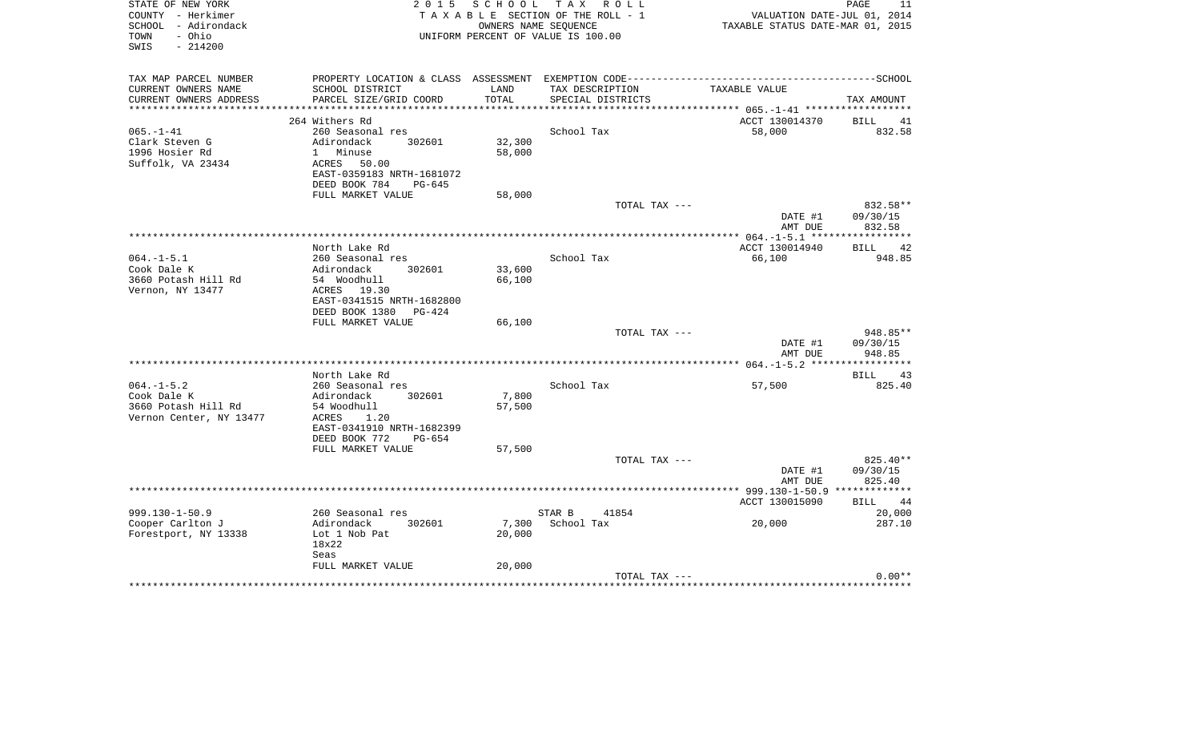| STATE OF NEW YORK<br>COUNTY - Herkimer<br>SCHOOL - Adirondack<br>- Ohio<br>TOWN<br>SWIS<br>$-214200$ | 2 0 1 5                                                                                                            | S C H O O L<br>OWNERS NAME SEQUENCE | TAX ROLL<br>TAXABLE SECTION OF THE ROLL - 1<br>UNIFORM PERCENT OF VALUE IS 100.00 | VALUATION DATE-JUL 01, 2014<br>TAXABLE STATUS DATE-MAR 01, 2015 | PAGE<br>11           |
|------------------------------------------------------------------------------------------------------|--------------------------------------------------------------------------------------------------------------------|-------------------------------------|-----------------------------------------------------------------------------------|-----------------------------------------------------------------|----------------------|
| TAX MAP PARCEL NUMBER<br>CURRENT OWNERS NAME<br>CURRENT OWNERS ADDRESS                               | PROPERTY LOCATION & CLASS ASSESSMENT EXEMPTION CODE------------------<br>SCHOOL DISTRICT<br>PARCEL SIZE/GRID COORD | LAND<br>TOTAL                       | TAX DESCRIPTION<br>SPECIAL DISTRICTS                                              | ----------------------SCHOOL<br>TAXABLE VALUE                   | TAX AMOUNT           |
| ***********************                                                                              |                                                                                                                    |                                     |                                                                                   |                                                                 |                      |
|                                                                                                      | 264 Withers Rd                                                                                                     |                                     |                                                                                   | ACCT 130014370                                                  | BILL<br>41           |
| $065. - 1 - 41$                                                                                      | 260 Seasonal res                                                                                                   |                                     | School Tax                                                                        | 58,000                                                          | 832.58               |
| Clark Steven G                                                                                       | Adirondack<br>302601                                                                                               | 32,300                              |                                                                                   |                                                                 |                      |
| 1996 Hosier Rd                                                                                       | 1 Minuse                                                                                                           | 58,000                              |                                                                                   |                                                                 |                      |
| Suffolk, VA 23434                                                                                    | ACRES<br>50.00                                                                                                     |                                     |                                                                                   |                                                                 |                      |
|                                                                                                      | EAST-0359183 NRTH-1681072                                                                                          |                                     |                                                                                   |                                                                 |                      |
|                                                                                                      | DEED BOOK 784<br>PG-645                                                                                            |                                     |                                                                                   |                                                                 |                      |
|                                                                                                      | FULL MARKET VALUE                                                                                                  | 58,000                              | TOTAL TAX ---                                                                     |                                                                 | 832.58**             |
|                                                                                                      |                                                                                                                    |                                     |                                                                                   | DATE #1<br>AMT DUE                                              | 09/30/15<br>832.58   |
|                                                                                                      |                                                                                                                    |                                     |                                                                                   |                                                                 |                      |
|                                                                                                      | North Lake Rd                                                                                                      |                                     |                                                                                   | ACCT 130014940                                                  | 42<br>BILL           |
| $064. -1 - 5.1$                                                                                      | 260 Seasonal res                                                                                                   |                                     | School Tax                                                                        | 66,100                                                          | 948.85               |
| Cook Dale K                                                                                          | 302601<br>Adirondack                                                                                               | 33,600                              |                                                                                   |                                                                 |                      |
| 3660 Potash Hill Rd                                                                                  | 54 Woodhull                                                                                                        | 66,100                              |                                                                                   |                                                                 |                      |
| Vernon, NY 13477                                                                                     | ACRES 19.30<br>EAST-0341515 NRTH-1682800                                                                           |                                     |                                                                                   |                                                                 |                      |
|                                                                                                      | DEED BOOK 1380<br>PG-424                                                                                           |                                     |                                                                                   |                                                                 |                      |
|                                                                                                      | FULL MARKET VALUE                                                                                                  | 66,100                              |                                                                                   |                                                                 |                      |
|                                                                                                      |                                                                                                                    |                                     | TOTAL TAX ---                                                                     |                                                                 | 948.85**             |
|                                                                                                      |                                                                                                                    |                                     |                                                                                   | DATE #1                                                         | 09/30/15             |
|                                                                                                      |                                                                                                                    |                                     |                                                                                   | AMT DUE                                                         | 948.85               |
|                                                                                                      |                                                                                                                    |                                     |                                                                                   |                                                                 |                      |
|                                                                                                      | North Lake Rd                                                                                                      |                                     |                                                                                   |                                                                 | <b>BILL</b><br>43    |
| $064. -1 - 5.2$                                                                                      | 260 Seasonal res                                                                                                   |                                     | School Tax                                                                        | 57,500                                                          | 825.40               |
| Cook Dale K<br>3660 Potash Hill Rd                                                                   | Adirondack<br>302601<br>54 Woodhull                                                                                | 7,800<br>57,500                     |                                                                                   |                                                                 |                      |
| Vernon Center, NY 13477                                                                              | ACRES<br>1.20                                                                                                      |                                     |                                                                                   |                                                                 |                      |
|                                                                                                      | EAST-0341910 NRTH-1682399                                                                                          |                                     |                                                                                   |                                                                 |                      |
|                                                                                                      | DEED BOOK 772<br>$PG-654$                                                                                          |                                     |                                                                                   |                                                                 |                      |
|                                                                                                      | FULL MARKET VALUE                                                                                                  | 57,500                              |                                                                                   |                                                                 |                      |
|                                                                                                      |                                                                                                                    |                                     | TOTAL TAX ---                                                                     |                                                                 | 825.40**             |
|                                                                                                      |                                                                                                                    |                                     |                                                                                   | DATE #1                                                         | 09/30/15             |
|                                                                                                      |                                                                                                                    |                                     | *********************                                                             | AMT DUE                                                         | 825.40               |
|                                                                                                      |                                                                                                                    |                                     |                                                                                   | ** 999.130-1-50.9 ***                                           |                      |
| $999.130 - 1 - 50.9$                                                                                 | 260 Seasonal res                                                                                                   |                                     | STAR B<br>41854                                                                   | ACCT 130015090                                                  | 44<br>BILL<br>20,000 |
| Cooper Carlton J                                                                                     | 302601<br>Adirondack                                                                                               | 7,300                               | School Tax                                                                        | 20,000                                                          | 287.10               |
| Forestport, NY 13338                                                                                 | Lot 1 Nob Pat                                                                                                      | 20,000                              |                                                                                   |                                                                 |                      |
|                                                                                                      | 18x22                                                                                                              |                                     |                                                                                   |                                                                 |                      |
|                                                                                                      | Seas                                                                                                               |                                     |                                                                                   |                                                                 |                      |
|                                                                                                      | FULL MARKET VALUE                                                                                                  | 20,000                              |                                                                                   |                                                                 |                      |
|                                                                                                      |                                                                                                                    |                                     | TOTAL TAX ---                                                                     |                                                                 | $0.00**$             |
|                                                                                                      |                                                                                                                    |                                     |                                                                                   |                                                                 |                      |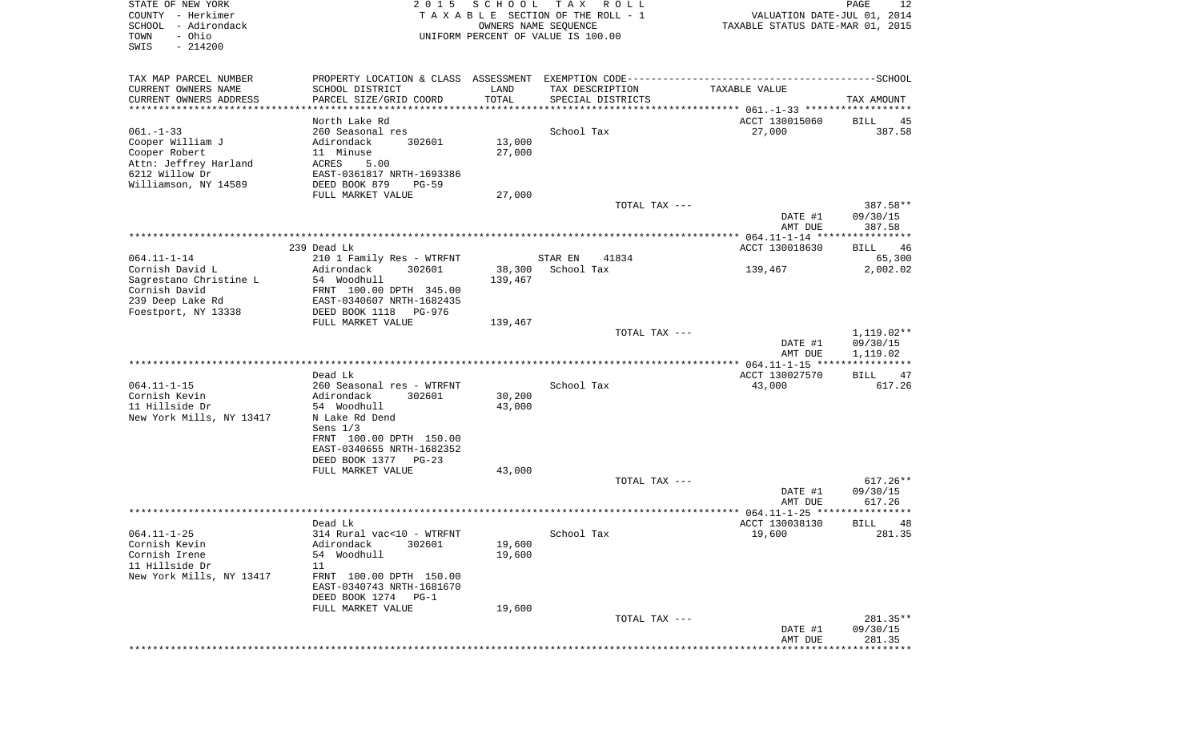| STATE OF NEW YORK<br>COUNTY - Herkimer | 2015                                                                                         | SCHOOL           | T A X<br>R O L L<br>TAXABLE SECTION OF THE ROLL - 1 | VALUATION DATE-JUL 01, 2014                      | 12<br>PAGE           |
|----------------------------------------|----------------------------------------------------------------------------------------------|------------------|-----------------------------------------------------|--------------------------------------------------|----------------------|
| SCHOOL - Adirondack                    |                                                                                              |                  | OWNERS NAME SEQUENCE                                | TAXABLE STATUS DATE-MAR 01, 2015                 |                      |
| - Ohio<br>TOWN                         |                                                                                              |                  | UNIFORM PERCENT OF VALUE IS 100.00                  |                                                  |                      |
| SWIS<br>$-214200$                      |                                                                                              |                  |                                                     |                                                  |                      |
| TAX MAP PARCEL NUMBER                  | PROPERTY LOCATION & CLASS ASSESSMENT EXEMPTION CODE-----------------------------------SCHOOL |                  |                                                     |                                                  |                      |
| CURRENT OWNERS NAME                    | SCHOOL DISTRICT                                                                              | LAND             | TAX DESCRIPTION                                     | TAXABLE VALUE                                    |                      |
| CURRENT OWNERS ADDRESS                 | PARCEL SIZE/GRID COORD                                                                       | TOTAL            | SPECIAL DISTRICTS                                   |                                                  | TAX AMOUNT           |
|                                        |                                                                                              |                  |                                                     |                                                  |                      |
|                                        | North Lake Rd                                                                                |                  |                                                     | ACCT 130015060                                   | BILL<br>45           |
| 061.-1-33                              | 260 Seasonal res                                                                             |                  | School Tax                                          | 27,000                                           | 387.58               |
| Cooper William J                       | Adirondack<br>302601                                                                         | 13,000           |                                                     |                                                  |                      |
| Cooper Robert                          | 11 Minuse                                                                                    | 27,000           |                                                     |                                                  |                      |
| Attn: Jeffrey Harland                  | ACRES<br>5.00                                                                                |                  |                                                     |                                                  |                      |
| 6212 Willow Dr<br>Williamson, NY 14589 | EAST-0361817 NRTH-1693386<br>DEED BOOK 879<br>$PG-59$                                        |                  |                                                     |                                                  |                      |
|                                        | FULL MARKET VALUE                                                                            | 27,000           |                                                     |                                                  |                      |
|                                        |                                                                                              |                  | TOTAL TAX ---                                       |                                                  | 387.58**             |
|                                        |                                                                                              |                  |                                                     | DATE #1                                          | 09/30/15             |
|                                        |                                                                                              |                  |                                                     | AMT DUE                                          | 387.58               |
|                                        |                                                                                              |                  |                                                     |                                                  |                      |
|                                        | 239 Dead Lk                                                                                  |                  |                                                     | ACCT 130018630                                   | BILL<br>46           |
| 064.11-1-14                            | 210 1 Family Res - WTRFNT                                                                    |                  | STAR EN<br>41834                                    |                                                  | 65,300               |
| Cornish David L                        | Adirondack<br>302601                                                                         | 38,300           | School Tax                                          | 139,467                                          | 2,002.02             |
| Sagrestano Christine L                 | 54 Woodhull                                                                                  | 139,467          |                                                     |                                                  |                      |
| Cornish David                          | FRNT 100.00 DPTH 345.00                                                                      |                  |                                                     |                                                  |                      |
| 239 Deep Lake Rd                       | EAST-0340607 NRTH-1682435                                                                    |                  |                                                     |                                                  |                      |
| Foestport, NY 13338                    | DEED BOOK 1118<br>PG-976                                                                     |                  |                                                     |                                                  |                      |
|                                        | FULL MARKET VALUE                                                                            | 139,467          |                                                     |                                                  |                      |
|                                        |                                                                                              |                  | TOTAL TAX ---                                       |                                                  | $1,119.02**$         |
|                                        |                                                                                              |                  |                                                     | DATE #1<br>AMT DUE                               | 09/30/15<br>1,119.02 |
|                                        |                                                                                              |                  |                                                     |                                                  |                      |
|                                        | Dead Lk                                                                                      |                  |                                                     | ACCT 130027570                                   | BILL<br>47           |
| 064.11-1-15                            | 260 Seasonal res - WTRFNT                                                                    |                  | School Tax                                          | 43,000                                           | 617.26               |
| Cornish Kevin<br>11 Hillside Dr        | Adirondack<br>302601<br>54 Woodhull                                                          | 30,200<br>43,000 |                                                     |                                                  |                      |
| New York Mills, NY 13417               | N Lake Rd Dend                                                                               |                  |                                                     |                                                  |                      |
|                                        | Sens $1/3$                                                                                   |                  |                                                     |                                                  |                      |
|                                        | FRNT 100.00 DPTH 150.00                                                                      |                  |                                                     |                                                  |                      |
|                                        | EAST-0340655 NRTH-1682352                                                                    |                  |                                                     |                                                  |                      |
|                                        | DEED BOOK 1377<br>$PG-23$                                                                    |                  |                                                     |                                                  |                      |
|                                        | FULL MARKET VALUE                                                                            | 43,000           |                                                     |                                                  |                      |
|                                        |                                                                                              |                  | TOTAL TAX ---                                       |                                                  | $617.26**$           |
|                                        |                                                                                              |                  |                                                     | DATE #1                                          | 09/30/15             |
|                                        |                                                                                              |                  |                                                     | AMT DUE                                          | 617.26               |
|                                        |                                                                                              |                  |                                                     | ****************** 064.11-1-25 ***************** |                      |
| 064.11-1-25                            | Dead Lk<br>314 Rural vac<10 - WTRFNT                                                         |                  | School Tax                                          | ACCT 130038130<br>19,600                         | BILL<br>48<br>281.35 |
| Cornish Kevin                          | Adirondack<br>302601                                                                         | 19,600           |                                                     |                                                  |                      |
| Cornish Irene                          | 54 Woodhull                                                                                  | 19,600           |                                                     |                                                  |                      |
| 11 Hillside Dr                         | 11                                                                                           |                  |                                                     |                                                  |                      |
| New York Mills, NY 13417               | FRNT 100.00 DPTH 150.00                                                                      |                  |                                                     |                                                  |                      |
|                                        | EAST-0340743 NRTH-1681670                                                                    |                  |                                                     |                                                  |                      |
|                                        | DEED BOOK 1274<br>$PG-1$                                                                     |                  |                                                     |                                                  |                      |
|                                        | FULL MARKET VALUE                                                                            | 19,600           |                                                     |                                                  |                      |
|                                        |                                                                                              |                  | TOTAL TAX ---                                       |                                                  | 281.35**             |
|                                        |                                                                                              |                  |                                                     | DATE #1                                          | 09/30/15             |
|                                        |                                                                                              |                  |                                                     | AMT DUE                                          | 281.35               |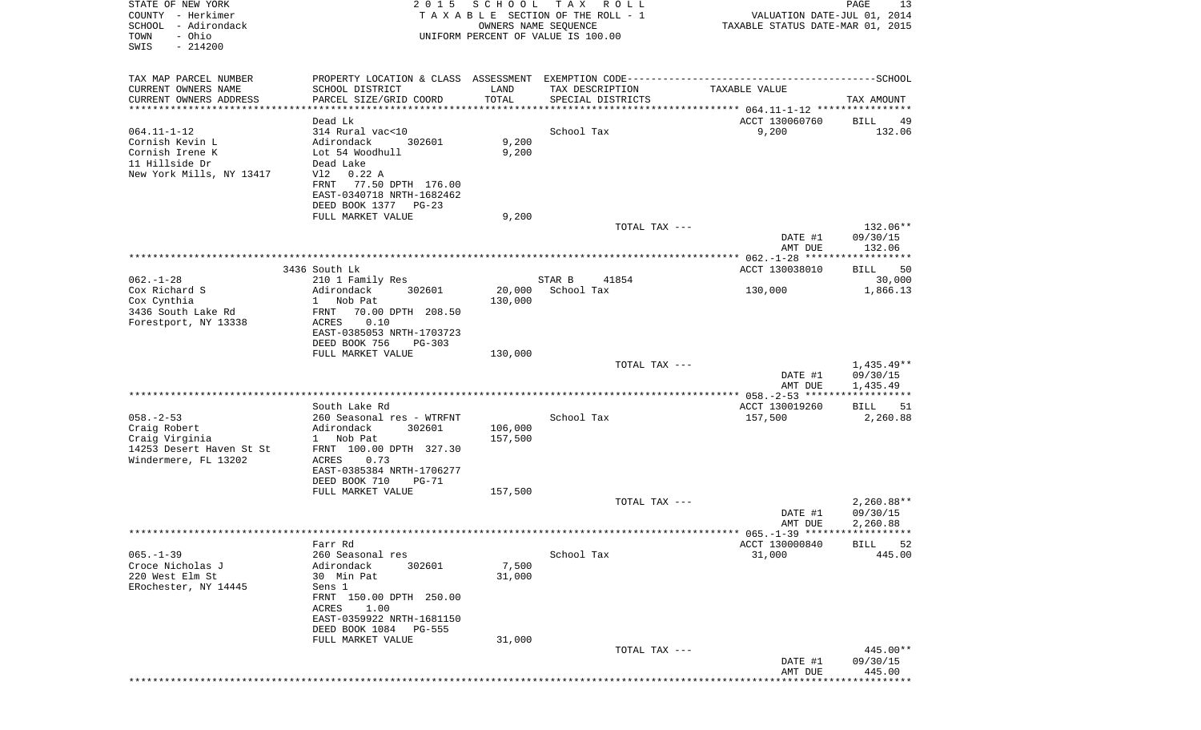| STATE OF NEW YORK<br>COUNTY - Herkimer<br>SCHOOL - Adirondack<br>- Ohio<br>TOWN<br>SWIS<br>$-214200$ | 2 0 1 5                                           | SCHOOL            | T A X<br>R O L L<br>TAXABLE SECTION OF THE ROLL - 1<br>OWNERS NAME SEQUENCE<br>UNIFORM PERCENT OF VALUE IS 100.00 | VALUATION DATE-JUL 01, 2014<br>TAXABLE STATUS DATE-MAR 01, 2015 | PAGE<br>13         |
|------------------------------------------------------------------------------------------------------|---------------------------------------------------|-------------------|-------------------------------------------------------------------------------------------------------------------|-----------------------------------------------------------------|--------------------|
| TAX MAP PARCEL NUMBER                                                                                |                                                   |                   |                                                                                                                   |                                                                 |                    |
| CURRENT OWNERS NAME                                                                                  | SCHOOL DISTRICT                                   | LAND              | TAX DESCRIPTION                                                                                                   | TAXABLE VALUE                                                   |                    |
| CURRENT OWNERS ADDRESS<br>***********************                                                    | PARCEL SIZE/GRID COORD                            | TOTAL             | SPECIAL DISTRICTS                                                                                                 |                                                                 | TAX AMOUNT         |
|                                                                                                      | Dead Lk                                           |                   |                                                                                                                   | ACCT 130060760                                                  | BILL<br>49         |
| $064.11 - 1 - 12$                                                                                    | 314 Rural vac<10                                  |                   | School Tax                                                                                                        | 9,200                                                           | 132.06             |
| Cornish Kevin L<br>Cornish Irene K                                                                   | Adirondack<br>302601<br>Lot 54 Woodhull           | 9,200<br>9,200    |                                                                                                                   |                                                                 |                    |
| 11 Hillside Dr                                                                                       | Dead Lake                                         |                   |                                                                                                                   |                                                                 |                    |
| New York Mills, NY 13417                                                                             | V12 0.22 A                                        |                   |                                                                                                                   |                                                                 |                    |
|                                                                                                      | 77.50 DPTH 176.00<br>FRNT                         |                   |                                                                                                                   |                                                                 |                    |
|                                                                                                      | EAST-0340718 NRTH-1682462<br>DEED BOOK 1377 PG-23 |                   |                                                                                                                   |                                                                 |                    |
|                                                                                                      | FULL MARKET VALUE                                 | 9,200             |                                                                                                                   |                                                                 |                    |
|                                                                                                      |                                                   |                   | TOTAL TAX ---                                                                                                     |                                                                 | 132.06**           |
|                                                                                                      |                                                   |                   |                                                                                                                   | DATE #1<br>AMT DUE                                              | 09/30/15<br>132.06 |
|                                                                                                      |                                                   |                   |                                                                                                                   |                                                                 |                    |
|                                                                                                      | 3436 South Lk                                     |                   |                                                                                                                   | ACCT 130038010                                                  | 50<br>BILL         |
| $062. - 1 - 28$                                                                                      | 210 1 Family Res                                  |                   | STAR B<br>41854                                                                                                   |                                                                 | 30,000             |
| Cox Richard S<br>Cox Cynthia                                                                         | Adirondack<br>302601<br>Nob Pat<br>$\mathbf{1}$   | 20,000<br>130,000 | School Tax                                                                                                        | 130,000                                                         | 1,866.13           |
| 3436 South Lake Rd                                                                                   | 70.00 DPTH 208.50<br>FRNT                         |                   |                                                                                                                   |                                                                 |                    |
| Forestport, NY 13338                                                                                 | 0.10<br>ACRES                                     |                   |                                                                                                                   |                                                                 |                    |
|                                                                                                      | EAST-0385053 NRTH-1703723                         |                   |                                                                                                                   |                                                                 |                    |
|                                                                                                      | DEED BOOK 756<br>$PG-303$<br>FULL MARKET VALUE    | 130,000           |                                                                                                                   |                                                                 |                    |
|                                                                                                      |                                                   |                   | TOTAL TAX ---                                                                                                     |                                                                 | $1,435.49**$       |
|                                                                                                      |                                                   |                   |                                                                                                                   | DATE #1                                                         | 09/30/15           |
|                                                                                                      |                                                   |                   |                                                                                                                   | AMT DUE                                                         | 1,435.49           |
|                                                                                                      | South Lake Rd                                     |                   |                                                                                                                   | ACCT 130019260                                                  | BILL<br>51         |
| $058. - 2 - 53$                                                                                      | 260 Seasonal res - WTRFNT                         |                   | School Tax                                                                                                        | 157,500                                                         | 2,260.88           |
| Craig Robert                                                                                         | Adirondack<br>302601                              | 106,000           |                                                                                                                   |                                                                 |                    |
| Craig Virginia<br>14253 Desert Haven St St                                                           | Nob Pat<br>$1 \quad$<br>FRNT 100.00 DPTH 327.30   | 157,500           |                                                                                                                   |                                                                 |                    |
| Windermere, FL 13202                                                                                 | ACRES<br>0.73                                     |                   |                                                                                                                   |                                                                 |                    |
|                                                                                                      | EAST-0385384 NRTH-1706277                         |                   |                                                                                                                   |                                                                 |                    |
|                                                                                                      | DEED BOOK 710<br><b>PG-71</b>                     |                   |                                                                                                                   |                                                                 |                    |
|                                                                                                      | FULL MARKET VALUE                                 | 157,500           | TOTAL TAX ---                                                                                                     |                                                                 | $2,260.88**$       |
|                                                                                                      |                                                   |                   |                                                                                                                   | DATE #1                                                         | 09/30/15           |
|                                                                                                      |                                                   |                   |                                                                                                                   | AMT DUE                                                         | 2,260.88           |
|                                                                                                      | Farr Rd                                           |                   |                                                                                                                   | ACCT 130000840                                                  | <b>BILL</b><br>52  |
| $065. -1 - 39$                                                                                       | 260 Seasonal res                                  |                   | School Tax                                                                                                        | 31,000                                                          | 445.00             |
| Croce Nicholas J                                                                                     | Adirondack<br>302601                              | 7,500             |                                                                                                                   |                                                                 |                    |
| 220 West Elm St                                                                                      | 30 Min Pat                                        | 31,000            |                                                                                                                   |                                                                 |                    |
| ERochester, NY 14445                                                                                 | Sens 1<br>FRNT 150.00 DPTH 250.00                 |                   |                                                                                                                   |                                                                 |                    |
|                                                                                                      | 1.00<br>ACRES                                     |                   |                                                                                                                   |                                                                 |                    |
|                                                                                                      | EAST-0359922 NRTH-1681150                         |                   |                                                                                                                   |                                                                 |                    |
|                                                                                                      | DEED BOOK 1084<br>PG-555<br>FULL MARKET VALUE     | 31,000            |                                                                                                                   |                                                                 |                    |
|                                                                                                      |                                                   |                   | TOTAL TAX ---                                                                                                     |                                                                 | 445.00**           |
|                                                                                                      |                                                   |                   |                                                                                                                   | DATE #1                                                         | 09/30/15           |
|                                                                                                      |                                                   |                   |                                                                                                                   | AMT DUE                                                         | 445.00             |
|                                                                                                      |                                                   |                   |                                                                                                                   |                                                                 |                    |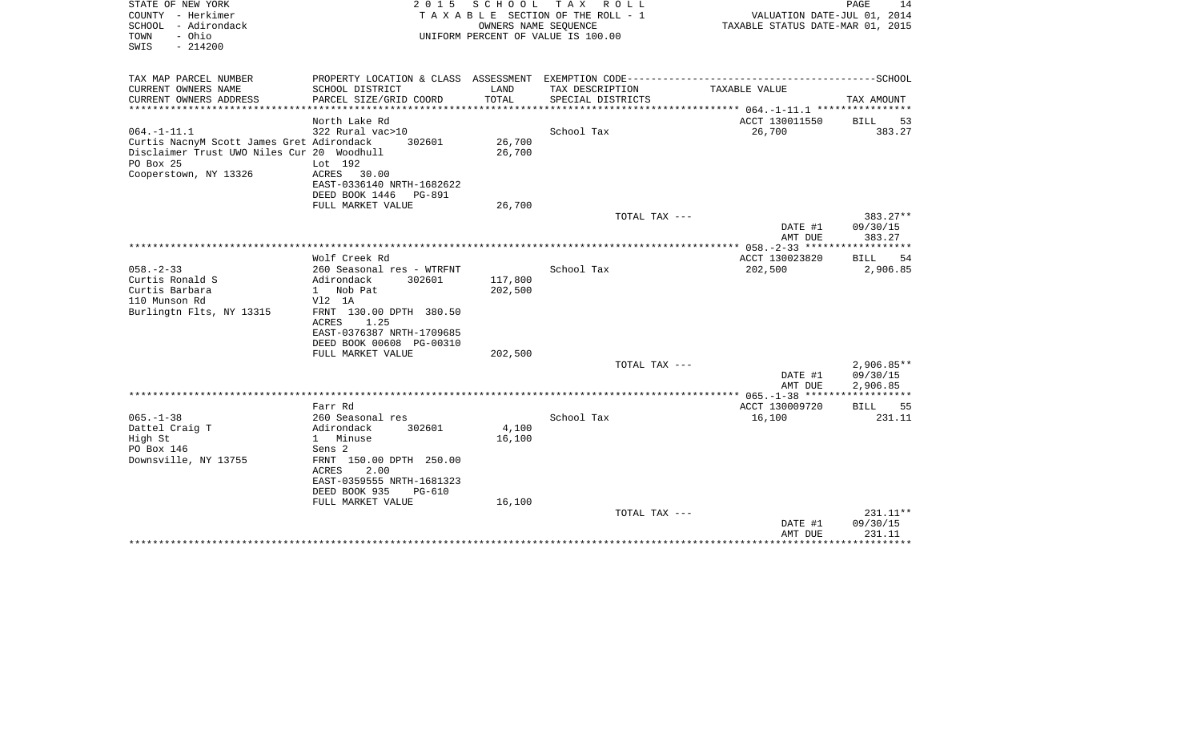| STATE OF NEW YORK<br>COUNTY - Herkimer<br>- Adirondack<br>SCHOOL<br>- Ohio<br>TOWN<br>$-214200$<br>SWIS                                           | 2 0 1 5                                                                                                                                                                               | SCHOOL<br>OWNERS NAME SEQUENCE | T A X<br>R O L L<br>T A X A B L E SECTION OF THE ROLL - 1<br>UNIFORM PERCENT OF VALUE IS 100.00 | VALUATION DATE-JUL 01, 2014<br>TAXABLE STATUS DATE-MAR 01, 2015 | PAGE<br>14                     |
|---------------------------------------------------------------------------------------------------------------------------------------------------|---------------------------------------------------------------------------------------------------------------------------------------------------------------------------------------|--------------------------------|-------------------------------------------------------------------------------------------------|-----------------------------------------------------------------|--------------------------------|
| TAX MAP PARCEL NUMBER                                                                                                                             |                                                                                                                                                                                       |                                | PROPERTY LOCATION & CLASS ASSESSMENT EXEMPTION CODE-----------------------------------SCHOOL    |                                                                 |                                |
| CURRENT OWNERS NAME<br>CURRENT OWNERS ADDRESS                                                                                                     | SCHOOL DISTRICT<br>PARCEL SIZE/GRID COORD                                                                                                                                             | LAND<br>TOTAL                  | TAX DESCRIPTION<br>SPECIAL DISTRICTS                                                            | TAXABLE VALUE                                                   | TAX AMOUNT                     |
| **********************                                                                                                                            | ***********************                                                                                                                                                               |                                |                                                                                                 |                                                                 |                                |
|                                                                                                                                                   | North Lake Rd                                                                                                                                                                         |                                |                                                                                                 | ACCT 130011550                                                  | BILL<br>53                     |
| $064. -1 - 11.1$<br>Curtis NacnyM Scott James Gret Adirondack<br>Disclaimer Trust UWO Niles Cur 20 Woodhull<br>PO Box 25<br>Cooperstown, NY 13326 | 322 Rural vac>10<br>302601<br>Lot 192<br>ACRES<br>30.00<br>EAST-0336140 NRTH-1682622                                                                                                  | 26,700<br>26,700               | School Tax                                                                                      | 26,700                                                          | 383.27                         |
|                                                                                                                                                   | DEED BOOK 1446<br><b>PG-891</b>                                                                                                                                                       |                                |                                                                                                 |                                                                 |                                |
|                                                                                                                                                   | FULL MARKET VALUE                                                                                                                                                                     | 26,700                         | TOTAL TAX ---                                                                                   |                                                                 | 383.27**                       |
|                                                                                                                                                   |                                                                                                                                                                                       |                                |                                                                                                 | DATE #1<br>AMT DUE                                              | 09/30/15<br>383.27             |
|                                                                                                                                                   |                                                                                                                                                                                       |                                | *************************************                                                           | ************ 058. -2-33 *****                                   |                                |
| $058. - 2 - 33$                                                                                                                                   | Wolf Creek Rd<br>260 Seasonal res - WTRFNT                                                                                                                                            |                                | School Tax                                                                                      | ACCT 130023820<br>202,500                                       | BILL<br>54<br>2,906.85         |
| Curtis Ronald S<br>Curtis Barbara<br>110 Munson Rd<br>Burlingtn Flts, NY 13315                                                                    | Adirondack<br>302601<br>Nob Pat<br>$\mathbf{1}$<br>$V12$ 1A<br>FRNT 130.00 DPTH 380.50<br>1.25<br>ACRES<br>EAST-0376387 NRTH-1709685<br>DEED BOOK 00608 PG-00310<br>FULL MARKET VALUE | 117,800<br>202,500<br>202,500  |                                                                                                 |                                                                 |                                |
|                                                                                                                                                   |                                                                                                                                                                                       |                                | TOTAL TAX ---                                                                                   |                                                                 | $2,906.85**$                   |
|                                                                                                                                                   |                                                                                                                                                                                       |                                |                                                                                                 | DATE #1<br>AMT DUE                                              | 09/30/15<br>2,906.85           |
|                                                                                                                                                   |                                                                                                                                                                                       |                                |                                                                                                 |                                                                 | * * * * * * * * * * *          |
| $065. -1 - 38$                                                                                                                                    | Farr Rd<br>260 Seasonal res                                                                                                                                                           |                                | School Tax                                                                                      | ACCT 130009720<br>16,100                                        | 55<br><b>BILL</b><br>231.11    |
| Dattel Craig T<br>High St<br>PO Box 146<br>Downsville, NY 13755                                                                                   | Adirondack<br>302601<br>1 Minuse<br>Sens 2<br>FRNT 150.00 DPTH 250.00<br>ACRES<br>2.00<br>EAST-0359555 NRTH-1681323<br>DEED BOOK 935<br>PG-610<br>FULL MARKET VALUE                   | 4,100<br>16,100<br>16,100      |                                                                                                 |                                                                 |                                |
|                                                                                                                                                   |                                                                                                                                                                                       |                                | TOTAL TAX ---                                                                                   | DATE #1<br>AMT DUE                                              | 231.11**<br>09/30/15<br>231.11 |
|                                                                                                                                                   |                                                                                                                                                                                       |                                |                                                                                                 |                                                                 |                                |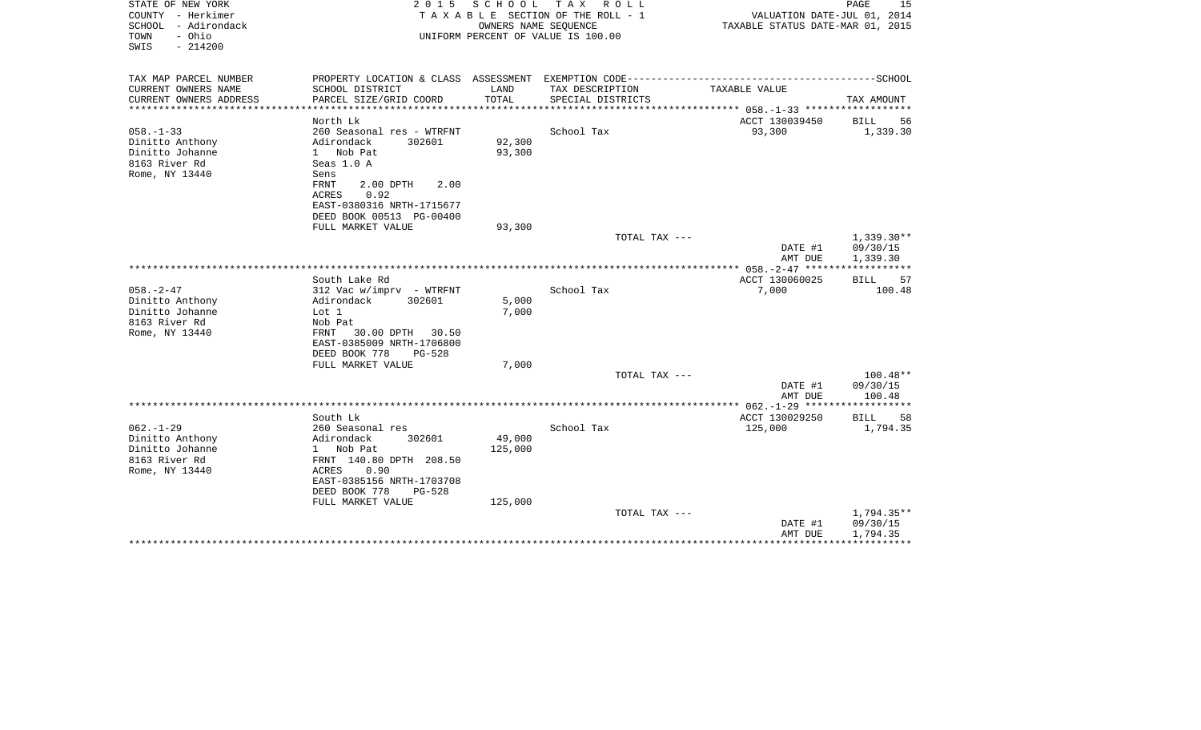| STATE OF NEW YORK<br>COUNTY - Herkimer<br>SCHOOL - Adirondack<br>- Ohio<br>TOWN<br>SWIS<br>$-214200$ | 2 0 1 5                                                | SCHOOL<br>OWNERS NAME SEQUENCE | T A X<br>R O L L<br>T A X A B L E SECTION OF THE ROLL - 1<br>UNIFORM PERCENT OF VALUE IS 100.00                 | VALUATION DATE-JUL 01, 2014<br>TAXABLE STATUS DATE-MAR 01, 2015 | PAGE<br>15           |
|------------------------------------------------------------------------------------------------------|--------------------------------------------------------|--------------------------------|-----------------------------------------------------------------------------------------------------------------|-----------------------------------------------------------------|----------------------|
| TAX MAP PARCEL NUMBER<br>CURRENT OWNERS NAME                                                         | SCHOOL DISTRICT                                        | LAND                           | PROPERTY LOCATION & CLASS ASSESSMENT EXEMPTION CODE-----------------------------------SCHOOL<br>TAX DESCRIPTION | TAXABLE VALUE                                                   |                      |
| CURRENT OWNERS ADDRESS                                                                               | PARCEL SIZE/GRID COORD                                 | TOTAL                          | SPECIAL DISTRICTS                                                                                               |                                                                 | TAX AMOUNT           |
| *******************                                                                                  | *******************                                    | ***********                    | *******************                                                                                             | ************* 058. -1-33 *******************                    |                      |
|                                                                                                      | North Lk                                               |                                |                                                                                                                 | ACCT 130039450                                                  | <b>BILL</b><br>56    |
| $058. - 1 - 33$                                                                                      | 260 Seasonal res - WTRFNT                              |                                | School Tax                                                                                                      | 93,300                                                          | 1,339.30             |
| Dinitto Anthony                                                                                      | Adirondack<br>302601                                   | 92,300                         |                                                                                                                 |                                                                 |                      |
| Dinitto Johanne<br>8163 River Rd                                                                     | 1 Nob Pat<br>Seas 1.0 A                                | 93,300                         |                                                                                                                 |                                                                 |                      |
| Rome, NY 13440                                                                                       | Sens                                                   |                                |                                                                                                                 |                                                                 |                      |
|                                                                                                      | 2.00 DPTH<br>2.00<br>FRNT                              |                                |                                                                                                                 |                                                                 |                      |
|                                                                                                      | 0.92<br>ACRES                                          |                                |                                                                                                                 |                                                                 |                      |
|                                                                                                      | EAST-0380316 NRTH-1715677                              |                                |                                                                                                                 |                                                                 |                      |
|                                                                                                      | DEED BOOK 00513 PG-00400                               |                                |                                                                                                                 |                                                                 |                      |
|                                                                                                      | FULL MARKET VALUE                                      | 93,300                         |                                                                                                                 |                                                                 |                      |
|                                                                                                      |                                                        |                                | TOTAL TAX ---                                                                                                   |                                                                 | $1,339.30**$         |
|                                                                                                      |                                                        |                                |                                                                                                                 | DATE #1<br>AMT DUE                                              | 09/30/15<br>1,339.30 |
|                                                                                                      |                                                        |                                |                                                                                                                 | ************** 058.-2-47 *****                                  |                      |
|                                                                                                      | South Lake Rd                                          |                                |                                                                                                                 | ACCT 130060025                                                  | <b>BILL</b><br>57    |
| $058. - 2 - 47$                                                                                      | 312 Vac w/imprv - WTRFNT                               |                                | School Tax                                                                                                      | 7,000                                                           | 100.48               |
| Dinitto Anthony                                                                                      | Adirondack<br>302601                                   | 5,000                          |                                                                                                                 |                                                                 |                      |
| Dinitto Johanne                                                                                      | Lot 1                                                  | 7,000                          |                                                                                                                 |                                                                 |                      |
| 8163 River Rd                                                                                        | Nob Pat                                                |                                |                                                                                                                 |                                                                 |                      |
| Rome, NY 13440                                                                                       | FRNT<br>30.00 DPTH<br>30.50                            |                                |                                                                                                                 |                                                                 |                      |
|                                                                                                      | EAST-0385009 NRTH-1706800<br>DEED BOOK 778<br>$PG-528$ |                                |                                                                                                                 |                                                                 |                      |
|                                                                                                      | FULL MARKET VALUE                                      | 7,000                          |                                                                                                                 |                                                                 |                      |
|                                                                                                      |                                                        |                                | TOTAL TAX ---                                                                                                   |                                                                 | $100.48**$           |
|                                                                                                      |                                                        |                                |                                                                                                                 | DATE #1                                                         | 09/30/15             |
|                                                                                                      |                                                        |                                |                                                                                                                 | AMT DUE                                                         | 100.48               |
|                                                                                                      |                                                        |                                |                                                                                                                 | ***** 062. -1-29 *******************                            |                      |
|                                                                                                      | South Lk                                               |                                |                                                                                                                 | ACCT 130029250                                                  | 58<br>BILL           |
| $062. -1 - 29$<br>Dinitto Anthony                                                                    | 260 Seasonal res<br>Adirondack<br>302601               | 49,000                         | School Tax                                                                                                      | 125,000                                                         | 1,794.35             |
| Dinitto Johanne                                                                                      | Nob Pat<br>$1 \quad$                                   | 125,000                        |                                                                                                                 |                                                                 |                      |
| 8163 River Rd                                                                                        | FRNT 140.80 DPTH 208.50                                |                                |                                                                                                                 |                                                                 |                      |
| Rome, NY 13440                                                                                       | ACRES<br>0.90                                          |                                |                                                                                                                 |                                                                 |                      |
|                                                                                                      | EAST-0385156 NRTH-1703708                              |                                |                                                                                                                 |                                                                 |                      |
|                                                                                                      | DEED BOOK 778<br>PG-528                                |                                |                                                                                                                 |                                                                 |                      |
|                                                                                                      | FULL MARKET VALUE                                      | 125,000                        |                                                                                                                 |                                                                 |                      |
|                                                                                                      |                                                        |                                | TOTAL TAX ---                                                                                                   |                                                                 | $1,794.35**$         |
|                                                                                                      |                                                        |                                |                                                                                                                 | DATE #1                                                         | 09/30/15             |
|                                                                                                      |                                                        |                                |                                                                                                                 | AMT DUE                                                         | 1,794.35             |
|                                                                                                      |                                                        |                                |                                                                                                                 |                                                                 |                      |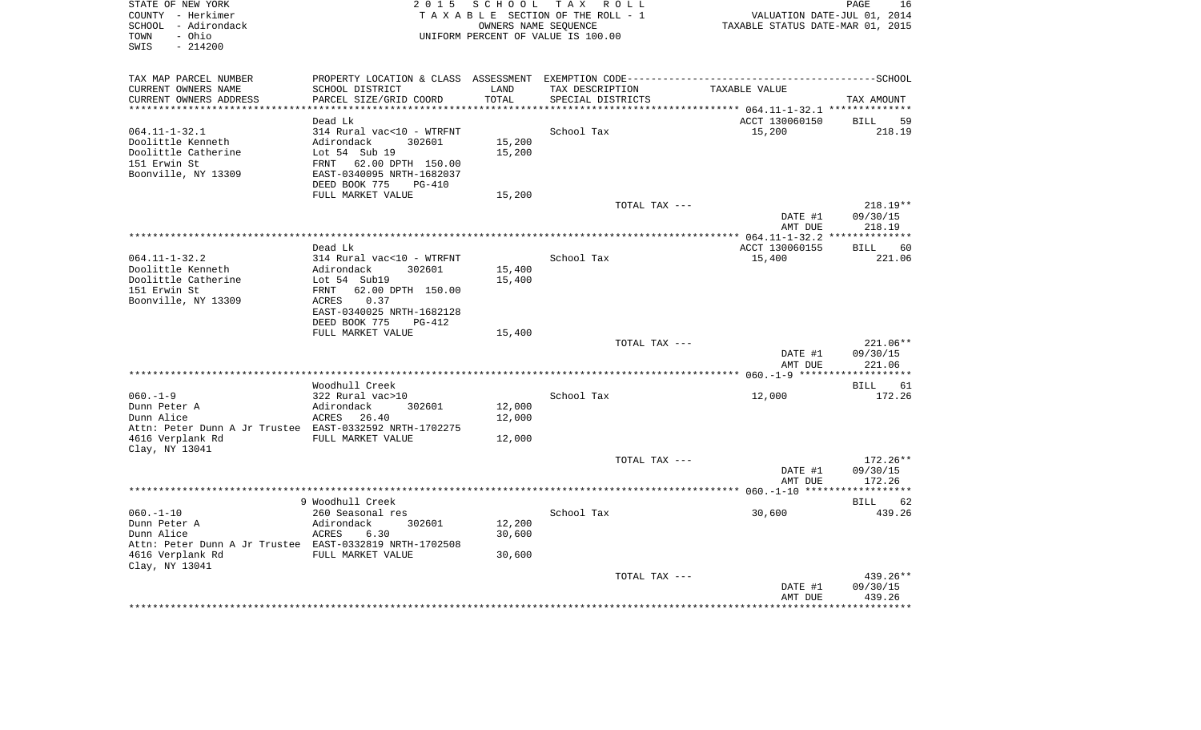| STATE OF NEW YORK<br>COUNTY - Herkimer<br>SCHOOL - Adirondack<br>- Ohio<br>TOWN<br>SWIS<br>$-214200$                        | 2 0 1 5                                                                                                                                                                   | S C H O O L                 | TAX ROLL<br>TAXABLE SECTION OF THE ROLL - 1<br>OWNERS NAME SEOUENCE<br>UNIFORM PERCENT OF VALUE IS 100.00 |               | VALUATION DATE-JUL 01, 2014<br>TAXABLE STATUS DATE-MAR 01, 2015 | PAGE<br>16                     |
|-----------------------------------------------------------------------------------------------------------------------------|---------------------------------------------------------------------------------------------------------------------------------------------------------------------------|-----------------------------|-----------------------------------------------------------------------------------------------------------|---------------|-----------------------------------------------------------------|--------------------------------|
| TAX MAP PARCEL NUMBER<br>CURRENT OWNERS NAME<br>CURRENT OWNERS ADDRESS<br>*********************                             | PROPERTY LOCATION & CLASS ASSESSMENT EXEMPTION CODE-----------------------------------SCHOOL<br>SCHOOL DISTRICT<br>PARCEL SIZE/GRID COORD                                 | LAND<br>TOTAL<br>********** | TAX DESCRIPTION<br>SPECIAL DISTRICTS                                                                      |               | TAXABLE VALUE                                                   | TAX AMOUNT                     |
|                                                                                                                             | Dead Lk                                                                                                                                                                   |                             |                                                                                                           |               | ACCT 130060150                                                  | BILL<br>59                     |
| $064.11 - 1 - 32.1$<br>Doolittle Kenneth<br>Doolittle Catherine<br>151 Erwin St<br>Boonville, NY 13309                      | 314 Rural vac<10 - WTRFNT<br>Adirondack<br>302601<br>Lot 54 Sub 19<br>FRNT 62.00 DPTH 150.00<br>EAST-0340095 NRTH-1682037<br>DEED BOOK 775<br>$PG-410$                    | 15,200<br>15,200            | School Tax                                                                                                |               | 15,200                                                          | 218.19                         |
|                                                                                                                             | FULL MARKET VALUE                                                                                                                                                         | 15,200                      |                                                                                                           | TOTAL TAX --- |                                                                 | $218.19**$                     |
|                                                                                                                             |                                                                                                                                                                           |                             |                                                                                                           |               | DATE #1<br>AMT DUE                                              | 09/30/15<br>218.19             |
|                                                                                                                             | Dead Lk                                                                                                                                                                   |                             |                                                                                                           |               | ACCT 130060155                                                  | 60<br>BILL                     |
| $064.11 - 1 - 32.2$<br>Doolittle Kenneth<br>Doolittle Catherine<br>151 Erwin St<br>Boonville, NY 13309                      | 314 Rural vac<10 - WTRFNT<br>Adirondack<br>302601<br>Lot 54 Sub19<br>FRNT<br>62.00 DPTH 150.00<br>0.37<br>ACRES<br>EAST-0340025 NRTH-1682128<br>DEED BOOK 775<br>$PG-412$ | 15,400<br>15,400            | School Tax                                                                                                |               | 15,400                                                          | 221.06                         |
|                                                                                                                             | FULL MARKET VALUE                                                                                                                                                         | 15,400                      |                                                                                                           |               |                                                                 |                                |
|                                                                                                                             |                                                                                                                                                                           |                             |                                                                                                           | TOTAL TAX --- | DATE #1<br>AMT DUE                                              | 221.06**<br>09/30/15<br>221.06 |
|                                                                                                                             | Woodhull Creek                                                                                                                                                            |                             |                                                                                                           |               |                                                                 | 61<br>BILL                     |
| $060. -1 -9$<br>Dunn Peter A<br>Dunn Alice<br>Attn: Peter Dunn A Jr Trustee EAST-0332592 NRTH-1702275<br>4616 Verplank Rd   | 322 Rural vac>10<br>Adirondack<br>302601<br>ACRES 26.40<br>FULL MARKET VALUE                                                                                              | 12,000<br>12,000<br>12,000  | School Tax                                                                                                |               | 12,000                                                          | 172.26                         |
| Clay, NY 13041                                                                                                              |                                                                                                                                                                           |                             |                                                                                                           | TOTAL TAX --- |                                                                 | $172.26**$                     |
|                                                                                                                             |                                                                                                                                                                           |                             |                                                                                                           |               | DATE #1<br>AMT DUE                                              | 09/30/15<br>172.26             |
|                                                                                                                             |                                                                                                                                                                           |                             |                                                                                                           |               |                                                                 | **********                     |
| $060. -1 - 10$<br>Dunn Peter A<br>Dunn Alice<br>Attn: Peter Dunn A Jr Trustee EAST-0332819 NRTH-1702508<br>4616 Verplank Rd | 9 Woodhull Creek<br>260 Seasonal res<br>Adirondack<br>302601<br>ACRES<br>6.30<br>FULL MARKET VALUE                                                                        | 12,200<br>30,600<br>30,600  | School Tax                                                                                                |               | 30,600                                                          | 62<br>BILL<br>439.26           |
| Clay, NY 13041                                                                                                              |                                                                                                                                                                           |                             |                                                                                                           | TOTAL TAX --- | DATE #1<br>AMT DUE                                              | 439.26**<br>09/30/15<br>439.26 |
|                                                                                                                             |                                                                                                                                                                           |                             |                                                                                                           |               |                                                                 |                                |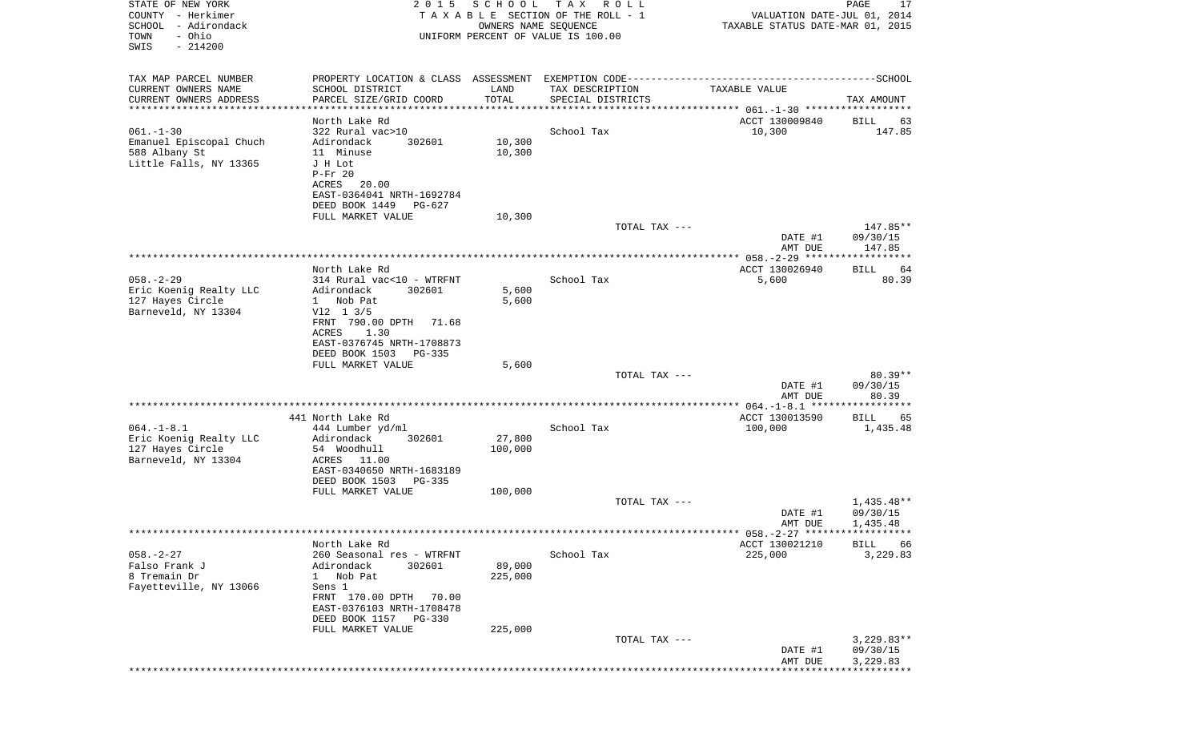| STATE OF NEW YORK<br>COUNTY - Herkimer<br>SCHOOL - Adirondack<br>- Ohio<br>TOWN<br>$-214200$<br>SWIS | 2 0 1 5                                                                                                                                                                                        | SCHOOL<br>OWNERS NAME SEQUENCE | T A X<br>R O L L<br>TAXABLE SECTION OF THE ROLL - 1<br>UNIFORM PERCENT OF VALUE IS 100.00 | VALUATION DATE-JUL 01, 2014<br>TAXABLE STATUS DATE-MAR 01, 2015 | PAGE<br>17                           |
|------------------------------------------------------------------------------------------------------|------------------------------------------------------------------------------------------------------------------------------------------------------------------------------------------------|--------------------------------|-------------------------------------------------------------------------------------------|-----------------------------------------------------------------|--------------------------------------|
| TAX MAP PARCEL NUMBER<br>CURRENT OWNERS NAME                                                         | SCHOOL DISTRICT                                                                                                                                                                                | LAND                           | TAX DESCRIPTION                                                                           | TAXABLE VALUE                                                   |                                      |
| CURRENT OWNERS ADDRESS                                                                               | PARCEL SIZE/GRID COORD                                                                                                                                                                         | TOTAL                          | SPECIAL DISTRICTS                                                                         |                                                                 | TAX AMOUNT                           |
| **********************                                                                               | North Lake Rd                                                                                                                                                                                  |                                |                                                                                           | ACCT 130009840                                                  | BILL<br>63                           |
| $061. - 1 - 30$<br>Emanuel Episcopal Chuch<br>588 Albany St<br>Little Falls, NY 13365                | 322 Rural vac>10<br>Adirondack<br>302601<br>11 Minuse<br>J H Lot<br>$P-Fr 20$<br>ACRES<br>20.00<br>EAST-0364041 NRTH-1692784<br>DEED BOOK 1449<br>PG-627                                       | 10,300<br>10,300               | School Tax                                                                                | 10,300                                                          | 147.85                               |
|                                                                                                      | FULL MARKET VALUE                                                                                                                                                                              | 10,300                         | TOTAL TAX ---                                                                             |                                                                 | 147.85**                             |
|                                                                                                      |                                                                                                                                                                                                |                                |                                                                                           | DATE #1<br>AMT DUE                                              | 09/30/15<br>147.85                   |
|                                                                                                      | North Lake Rd                                                                                                                                                                                  |                                |                                                                                           | ACCT 130026940                                                  | 64<br>BILL                           |
| $058. - 2 - 29$<br>Eric Koenig Realty LLC<br>127 Hayes Circle<br>Barneveld, NY 13304                 | 314 Rural vac<10 - WTRFNT<br>Adirondack<br>302601<br>Nob Pat<br>$\mathbf{1}$<br>$V12 \t13/5$<br>FRNT 790.00 DPTH 71.68<br>1.30<br><b>ACRES</b><br>EAST-0376745 NRTH-1708873                    | 5,600<br>5,600                 | School Tax                                                                                | 5,600                                                           | 80.39                                |
|                                                                                                      | DEED BOOK 1503<br>PG-335                                                                                                                                                                       |                                |                                                                                           |                                                                 |                                      |
|                                                                                                      | FULL MARKET VALUE                                                                                                                                                                              | 5,600                          | TOTAL TAX ---                                                                             | DATE #1                                                         | $80.39**$<br>09/30/15                |
|                                                                                                      |                                                                                                                                                                                                |                                |                                                                                           | AMT DUE                                                         | 80.39                                |
|                                                                                                      | 441 North Lake Rd                                                                                                                                                                              |                                |                                                                                           | ACCT 130013590                                                  | <b>BILL</b><br>65                    |
| $064. -1 - 8.1$<br>Eric Koenig Realty LLC<br>127 Hayes Circle<br>Barneveld, NY 13304                 | 444 Lumber yd/ml<br>Adirondack<br>302601<br>54 Woodhull<br>ACRES 11.00<br>EAST-0340650 NRTH-1683189<br>DEED BOOK 1503<br>PG-335<br>FULL MARKET VALUE                                           | 27,800<br>100,000<br>100,000   | School Tax                                                                                | 100,000                                                         | 1,435.48                             |
|                                                                                                      |                                                                                                                                                                                                |                                | TOTAL TAX ---                                                                             |                                                                 | $1,435.48**$                         |
|                                                                                                      |                                                                                                                                                                                                |                                |                                                                                           | DATE #1<br>AMT DUE                                              | 09/30/15<br>1,435.48                 |
|                                                                                                      | North Lake Rd                                                                                                                                                                                  |                                |                                                                                           | ACCT 130021210                                                  | <b>BILL</b><br>66                    |
| $058. - 2 - 27$<br>Falso Frank J<br>8 Tremain Dr<br>Fayetteville, NY 13066                           | 260 Seasonal res - WTRFNT<br>Adirondack<br>302601<br>Nob Pat<br>$\mathbf{1}$<br>Sens 1<br>FRNT 170.00 DPTH<br>70.00<br>EAST-0376103 NRTH-1708478<br>DEED BOOK 1157 PG-330<br>FULL MARKET VALUE | 89,000<br>225,000<br>225,000   | School Tax                                                                                | 225,000                                                         | 3,229.83                             |
|                                                                                                      |                                                                                                                                                                                                |                                | TOTAL TAX ---                                                                             | DATE #1<br>AMT DUE                                              | $3,229.83**$<br>09/30/15<br>3,229.83 |
|                                                                                                      |                                                                                                                                                                                                |                                |                                                                                           |                                                                 |                                      |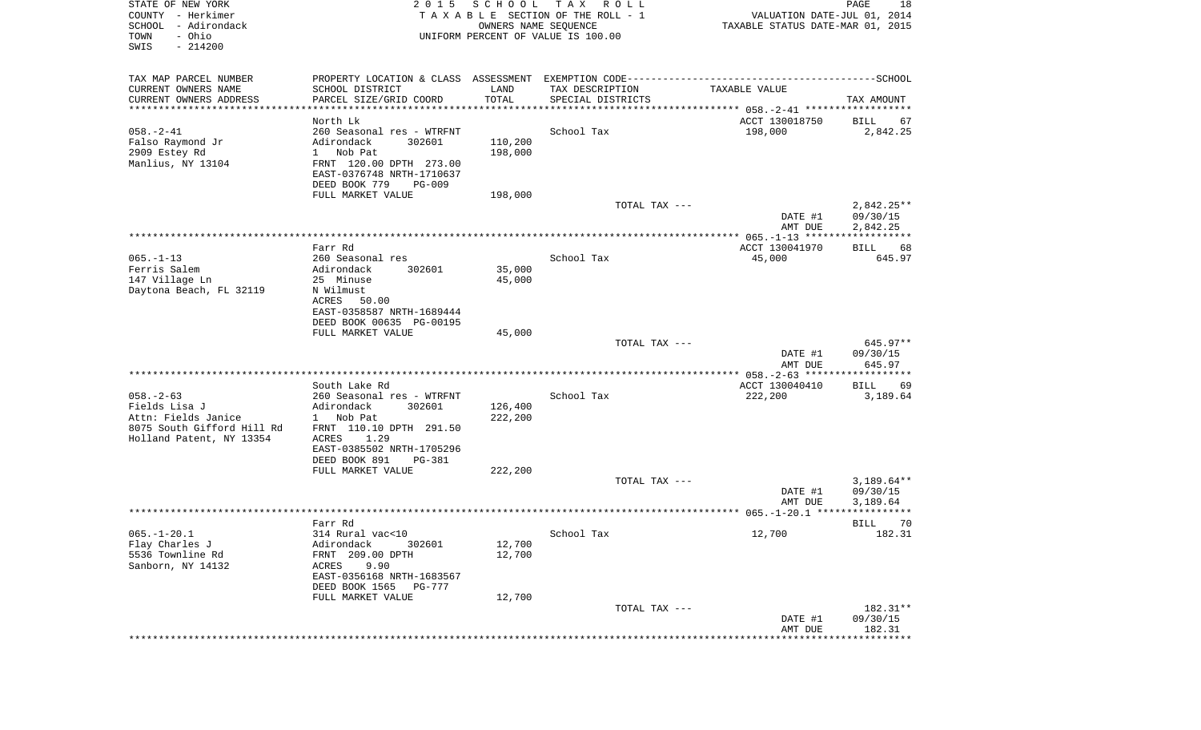| STATE OF NEW YORK<br>COUNTY - Herkimer<br>SCHOOL - Adirondack<br>- Ohio<br>TOWN<br>SWIS<br>$-214200$ | 2 0 1 5                                                                                      | SCHOOL<br>OWNERS NAME SEQUENCE | TAX ROLL<br>TAXABLE SECTION OF THE ROLL - 1<br>UNIFORM PERCENT OF VALUE IS 100.00 | VALUATION DATE-JUL 01, 2014<br>TAXABLE STATUS DATE-MAR 01, 2015 | PAGE<br>18                 |
|------------------------------------------------------------------------------------------------------|----------------------------------------------------------------------------------------------|--------------------------------|-----------------------------------------------------------------------------------|-----------------------------------------------------------------|----------------------------|
| TAX MAP PARCEL NUMBER                                                                                | PROPERTY LOCATION & CLASS ASSESSMENT EXEMPTION CODE-----------------------------------SCHOOL |                                |                                                                                   |                                                                 |                            |
| CURRENT OWNERS NAME                                                                                  | SCHOOL DISTRICT                                                                              | LAND                           | TAX DESCRIPTION                                                                   | TAXABLE VALUE                                                   |                            |
| CURRENT OWNERS ADDRESS<br>***********************                                                    | PARCEL SIZE/GRID COORD                                                                       | TOTAL                          | SPECIAL DISTRICTS                                                                 |                                                                 | TAX AMOUNT                 |
|                                                                                                      | North Lk                                                                                     |                                |                                                                                   | ACCT 130018750                                                  | BILL<br>67                 |
| $058. - 2 - 41$                                                                                      | 260 Seasonal res - WTRFNT                                                                    |                                | School Tax                                                                        | 198,000                                                         | 2,842.25                   |
| Falso Raymond Jr                                                                                     | 302601<br>Adirondack                                                                         | 110,200                        |                                                                                   |                                                                 |                            |
| 2909 Estey Rd                                                                                        | Nob Pat<br>$1 \quad$                                                                         | 198,000                        |                                                                                   |                                                                 |                            |
| Manlius, NY 13104                                                                                    | FRNT 120.00 DPTH 273.00                                                                      |                                |                                                                                   |                                                                 |                            |
|                                                                                                      | EAST-0376748 NRTH-1710637                                                                    |                                |                                                                                   |                                                                 |                            |
|                                                                                                      | DEED BOOK 779<br>PG-009<br>FULL MARKET VALUE                                                 | 198,000                        |                                                                                   |                                                                 |                            |
|                                                                                                      |                                                                                              |                                | TOTAL TAX ---                                                                     |                                                                 | $2,842.25**$               |
|                                                                                                      |                                                                                              |                                |                                                                                   | DATE #1<br>AMT DUE                                              | 09/30/15<br>2,842.25       |
|                                                                                                      |                                                                                              |                                |                                                                                   |                                                                 |                            |
|                                                                                                      | Farr Rd                                                                                      |                                |                                                                                   | ACCT 130041970                                                  | <b>BILL</b><br>68          |
| $065. -1 - 13$                                                                                       | 260 Seasonal res                                                                             |                                | School Tax                                                                        | 45,000                                                          | 645.97                     |
| Ferris Salem<br>147 Village Ln                                                                       | Adirondack<br>302601<br>25 Minuse                                                            | 35,000<br>45,000               |                                                                                   |                                                                 |                            |
| Daytona Beach, FL 32119                                                                              | N Wilmust                                                                                    |                                |                                                                                   |                                                                 |                            |
|                                                                                                      | ACRES<br>50.00                                                                               |                                |                                                                                   |                                                                 |                            |
|                                                                                                      | EAST-0358587 NRTH-1689444                                                                    |                                |                                                                                   |                                                                 |                            |
|                                                                                                      | DEED BOOK 00635 PG-00195                                                                     |                                |                                                                                   |                                                                 |                            |
|                                                                                                      | FULL MARKET VALUE                                                                            | 45,000                         | TOTAL TAX ---                                                                     |                                                                 | 645.97**                   |
|                                                                                                      |                                                                                              |                                |                                                                                   | DATE #1<br>AMT DUE                                              | 09/30/15<br>645.97         |
|                                                                                                      |                                                                                              |                                |                                                                                   | ****************** 058. -2-63 *******************               |                            |
|                                                                                                      | South Lake Rd                                                                                |                                |                                                                                   | ACCT 130040410                                                  | BILL<br>69                 |
| $058. - 2 - 63$                                                                                      | 260 Seasonal res - WTRFNT                                                                    |                                | School Tax                                                                        | 222,200                                                         | 3,189.64                   |
| Fields Lisa J<br>Attn: Fields Janice                                                                 | Adirondack<br>302601<br>1 Nob Pat                                                            | 126,400<br>222,200             |                                                                                   |                                                                 |                            |
| 8075 South Gifford Hill Rd                                                                           | FRNT 110.10 DPTH 291.50                                                                      |                                |                                                                                   |                                                                 |                            |
| Holland Patent, NY 13354                                                                             | ACRES<br>1.29                                                                                |                                |                                                                                   |                                                                 |                            |
|                                                                                                      | EAST-0385502 NRTH-1705296                                                                    |                                |                                                                                   |                                                                 |                            |
|                                                                                                      | DEED BOOK 891<br>PG-381                                                                      |                                |                                                                                   |                                                                 |                            |
|                                                                                                      | FULL MARKET VALUE                                                                            | 222,200                        |                                                                                   |                                                                 |                            |
|                                                                                                      |                                                                                              |                                | TOTAL TAX ---                                                                     | DATE #1                                                         | $3,189.64**$<br>09/30/15   |
|                                                                                                      |                                                                                              |                                |                                                                                   | AMT DUE                                                         | 3,189.64                   |
|                                                                                                      |                                                                                              |                                |                                                                                   |                                                                 |                            |
|                                                                                                      | Farr Rd                                                                                      |                                |                                                                                   |                                                                 | 70<br>BILL                 |
| $065. - 1 - 20.1$                                                                                    | 314 Rural vac<10                                                                             |                                | School Tax                                                                        | 12,700                                                          | 182.31                     |
| Flay Charles J<br>5536 Townline Rd                                                                   | Adirondack<br>302601<br>FRNT 209.00 DPTH                                                     | 12,700<br>12,700               |                                                                                   |                                                                 |                            |
| Sanborn, NY 14132                                                                                    | 9.90<br>ACRES                                                                                |                                |                                                                                   |                                                                 |                            |
|                                                                                                      | EAST-0356168 NRTH-1683567                                                                    |                                |                                                                                   |                                                                 |                            |
|                                                                                                      | DEED BOOK 1565<br><b>PG-777</b>                                                              |                                |                                                                                   |                                                                 |                            |
|                                                                                                      | FULL MARKET VALUE                                                                            | 12,700                         |                                                                                   |                                                                 |                            |
|                                                                                                      |                                                                                              |                                | TOTAL TAX ---                                                                     |                                                                 | 182.31**<br>09/30/15       |
|                                                                                                      |                                                                                              |                                |                                                                                   | DATE #1<br>AMT DUE                                              | 182.31                     |
|                                                                                                      |                                                                                              |                                |                                                                                   |                                                                 | ************************** |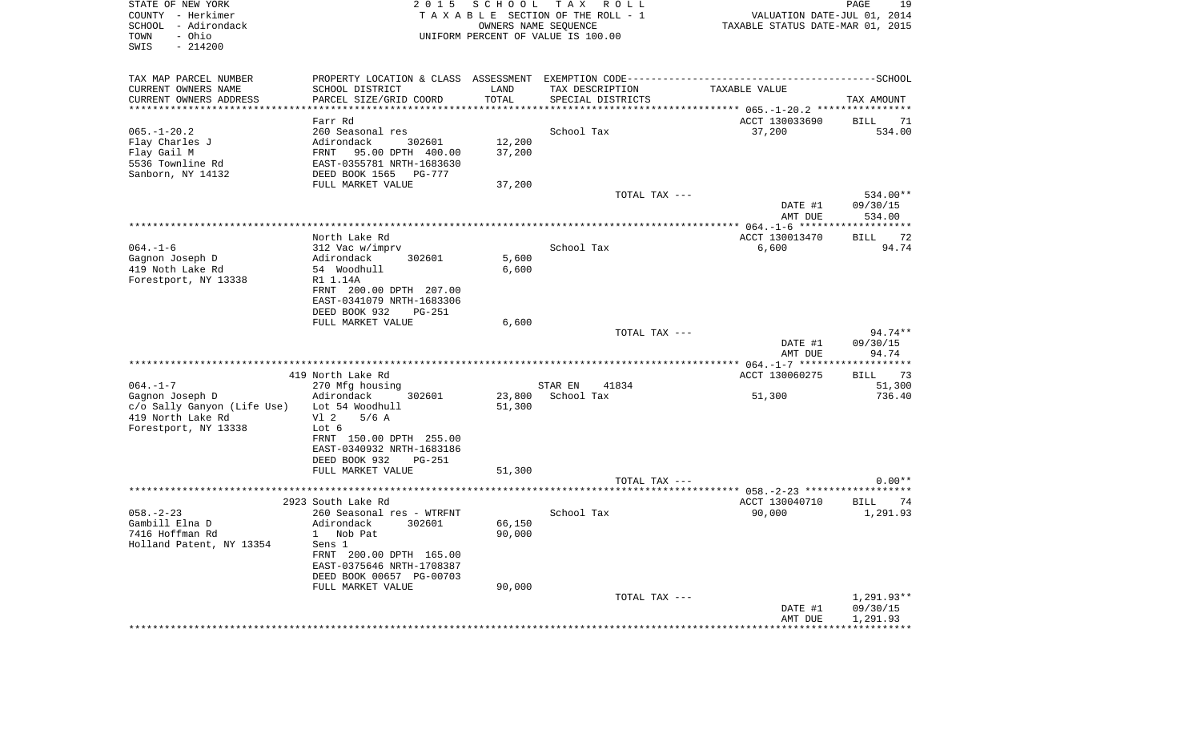| STATE OF NEW YORK<br>COUNTY - Herkimer<br>SCHOOL - Adirondack<br>TOWN<br>- Ohio<br>$-214200$<br>SWIS | 2 0 1 5<br>TAXABLE SECTION OF THE ROLL - 1<br>UNIFORM PERCENT OF VALUE IS 100.00 | VALUATION DATE-JUL 01, 2014<br>TAXABLE STATUS DATE-MAR 01, 2015 | PAGE<br>19        |                         |                      |
|------------------------------------------------------------------------------------------------------|----------------------------------------------------------------------------------|-----------------------------------------------------------------|-------------------|-------------------------|----------------------|
|                                                                                                      |                                                                                  |                                                                 |                   |                         |                      |
| TAX MAP PARCEL NUMBER                                                                                |                                                                                  |                                                                 |                   |                         |                      |
| CURRENT OWNERS NAME                                                                                  | SCHOOL DISTRICT                                                                  | LAND                                                            | TAX DESCRIPTION   | TAXABLE VALUE           |                      |
| CURRENT OWNERS ADDRESS<br>**********************                                                     | PARCEL SIZE/GRID COORD                                                           | TOTAL                                                           | SPECIAL DISTRICTS |                         | TAX AMOUNT           |
|                                                                                                      | Farr Rd                                                                          |                                                                 |                   | ACCT 130033690          | BILL<br>71           |
| 065.-1-20.2                                                                                          | 260 Seasonal res                                                                 |                                                                 | School Tax        | 37,200                  | 534.00               |
| Flay Charles J                                                                                       | Adirondack<br>302601                                                             | 12,200                                                          |                   |                         |                      |
| Flay Gail M                                                                                          | FRNT 95.00 DPTH 400.00                                                           | 37,200                                                          |                   |                         |                      |
| 5536 Townline Rd                                                                                     | EAST-0355781 NRTH-1683630                                                        |                                                                 |                   |                         |                      |
| Sanborn, NY 14132                                                                                    | DEED BOOK 1565 PG-777                                                            |                                                                 |                   |                         |                      |
|                                                                                                      | FULL MARKET VALUE                                                                | 37,200                                                          |                   |                         |                      |
|                                                                                                      |                                                                                  |                                                                 | TOTAL TAX ---     |                         | 534.00**             |
|                                                                                                      |                                                                                  |                                                                 |                   | DATE #1                 | 09/30/15             |
|                                                                                                      |                                                                                  |                                                                 |                   | AMT DUE                 | 534.00               |
|                                                                                                      |                                                                                  |                                                                 |                   |                         |                      |
| 064.-1-6                                                                                             | North Lake Rd<br>312 Vac w/imprv                                                 |                                                                 | School Tax        | ACCT 130013470<br>6,600 | BILL<br>72<br>94.74  |
| Gagnon Joseph D                                                                                      | Adirondack<br>302601                                                             | 5,600                                                           |                   |                         |                      |
| 419 Noth Lake Rd                                                                                     | 54 Woodhull                                                                      | 6,600                                                           |                   |                         |                      |
| Forestport, NY 13338                                                                                 | R1 1.14A                                                                         |                                                                 |                   |                         |                      |
|                                                                                                      | FRNT 200.00 DPTH 207.00                                                          |                                                                 |                   |                         |                      |
|                                                                                                      | EAST-0341079 NRTH-1683306                                                        |                                                                 |                   |                         |                      |
|                                                                                                      | DEED BOOK 932<br>PG-251                                                          |                                                                 |                   |                         |                      |
|                                                                                                      | FULL MARKET VALUE                                                                | 6,600                                                           |                   |                         |                      |
|                                                                                                      |                                                                                  |                                                                 | TOTAL TAX ---     |                         | 94.74**              |
|                                                                                                      |                                                                                  |                                                                 |                   | DATE #1                 | 09/30/15             |
|                                                                                                      |                                                                                  |                                                                 |                   | AMT DUE                 | 94.74                |
|                                                                                                      | 419 North Lake Rd                                                                |                                                                 |                   | ACCT 130060275          | BILL 73              |
| 064.-1-7                                                                                             | 270 Mfg housing                                                                  |                                                                 | STAR EN<br>41834  |                         | 51,300               |
| Gagnon Joseph D                                                                                      | Adirondack<br>302601                                                             | 23,800                                                          | School Tax        | 51,300                  | 736.40               |
| c/o Sally Ganyon (Life Use)    Lot 54 Woodhull                                                       |                                                                                  | 51,300                                                          |                   |                         |                      |
| 419 North Lake Rd                                                                                    | Vl 2<br>$5/6$ A                                                                  |                                                                 |                   |                         |                      |
| Forestport, NY 13338                                                                                 | Lot 6                                                                            |                                                                 |                   |                         |                      |
|                                                                                                      | FRNT 150.00 DPTH 255.00                                                          |                                                                 |                   |                         |                      |
|                                                                                                      | EAST-0340932 NRTH-1683186                                                        |                                                                 |                   |                         |                      |
|                                                                                                      |                                                                                  |                                                                 |                   |                         |                      |
|                                                                                                      | DEED BOOK 932<br>PG-251                                                          |                                                                 |                   |                         |                      |
|                                                                                                      | FULL MARKET VALUE                                                                | 51,300                                                          |                   |                         |                      |
|                                                                                                      |                                                                                  |                                                                 | TOTAL TAX ---     |                         | $0.00**$             |
|                                                                                                      |                                                                                  |                                                                 |                   |                         |                      |
|                                                                                                      | 2923 South Lake Rd                                                               |                                                                 |                   | ACCT 130040710          | BILL<br>74           |
| 058.-2-23                                                                                            | 260 Seasonal res - WTRFNT                                                        |                                                                 | School Tax        | 90,000                  | 1,291.93             |
| Gambill Elna D                                                                                       | Adirondack<br>302601                                                             | 66,150                                                          |                   |                         |                      |
| 7416 Hoffman Rd                                                                                      | 1 Nob Pat                                                                        | 90,000                                                          |                   |                         |                      |
| Holland Patent, NY 13354                                                                             | Sens 1                                                                           |                                                                 |                   |                         |                      |
|                                                                                                      | FRNT 200.00 DPTH 165.00<br>EAST-0375646 NRTH-1708387                             |                                                                 |                   |                         |                      |
|                                                                                                      | DEED BOOK 00657 PG-00703                                                         |                                                                 |                   |                         |                      |
|                                                                                                      | FULL MARKET VALUE                                                                | 90,000                                                          |                   |                         |                      |
|                                                                                                      |                                                                                  |                                                                 | TOTAL TAX ---     |                         | 1,291.93**           |
|                                                                                                      |                                                                                  |                                                                 |                   | DATE #1<br>AMT DUE      | 09/30/15<br>1,291.93 |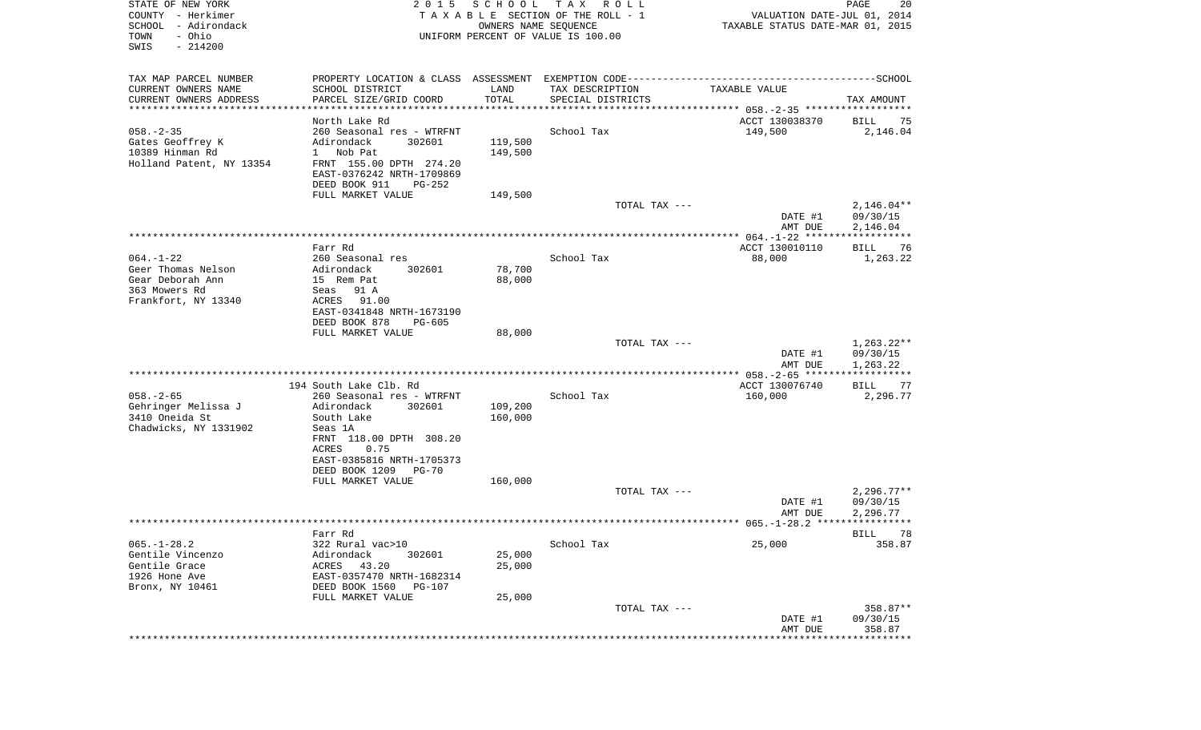| STATE OF NEW YORK<br>COUNTY - Herkimer<br>SCHOOL - Adirondack<br>- Ohio<br>TOWN<br>SWIS<br>$-214200$ | 2 0 1 5                                              | SCHOOL<br>OWNERS NAME SEQUENCE | T A X<br>R O L L<br>TAXABLE SECTION OF THE ROLL - 1<br>UNIFORM PERCENT OF VALUE IS 100.00 | VALUATION DATE-JUL 01, 2014<br>TAXABLE STATUS DATE-MAR 01, 2015 | PAGE<br>20           |
|------------------------------------------------------------------------------------------------------|------------------------------------------------------|--------------------------------|-------------------------------------------------------------------------------------------|-----------------------------------------------------------------|----------------------|
| TAX MAP PARCEL NUMBER                                                                                |                                                      |                                |                                                                                           |                                                                 |                      |
| CURRENT OWNERS NAME                                                                                  | SCHOOL DISTRICT                                      | LAND                           | TAX DESCRIPTION                                                                           | TAXABLE VALUE                                                   |                      |
| CURRENT OWNERS ADDRESS<br>************************                                                   | PARCEL SIZE/GRID COORD                               | TOTAL                          | SPECIAL DISTRICTS                                                                         |                                                                 | TAX AMOUNT           |
|                                                                                                      | North Lake Rd                                        |                                |                                                                                           | ACCT 130038370                                                  | BILL<br>75           |
| $058. - 2 - 35$                                                                                      | 260 Seasonal res - WTRFNT                            |                                | School Tax                                                                                | 149,500                                                         | 2,146.04             |
| Gates Geoffrey K                                                                                     | 302601<br>Adirondack                                 | 119,500                        |                                                                                           |                                                                 |                      |
| 10389 Hinman Rd                                                                                      | 1 Nob Pat                                            | 149,500                        |                                                                                           |                                                                 |                      |
| Holland Patent, NY 13354                                                                             | FRNT 155.00 DPTH 274.20                              |                                |                                                                                           |                                                                 |                      |
|                                                                                                      | EAST-0376242 NRTH-1709869<br>DEED BOOK 911<br>PG-252 |                                |                                                                                           |                                                                 |                      |
|                                                                                                      | FULL MARKET VALUE                                    | 149,500                        |                                                                                           |                                                                 |                      |
|                                                                                                      |                                                      |                                | TOTAL TAX ---                                                                             |                                                                 | $2,146.04**$         |
|                                                                                                      |                                                      |                                |                                                                                           | DATE #1<br>AMT DUE                                              | 09/30/15<br>2,146.04 |
|                                                                                                      |                                                      |                                |                                                                                           |                                                                 |                      |
| $064. - 1 - 22$                                                                                      | Farr Rd<br>260 Seasonal res                          |                                | School Tax                                                                                | ACCT 130010110                                                  | 76<br>BILL           |
| Geer Thomas Nelson                                                                                   | Adirondack<br>302601                                 | 78,700                         |                                                                                           | 88,000                                                          | 1,263.22             |
| Gear Deborah Ann                                                                                     | 15 Rem Pat                                           | 88,000                         |                                                                                           |                                                                 |                      |
| 363 Mowers Rd                                                                                        | 91 A<br>Seas                                         |                                |                                                                                           |                                                                 |                      |
| Frankfort, NY 13340                                                                                  | ACRES<br>91.00                                       |                                |                                                                                           |                                                                 |                      |
|                                                                                                      | EAST-0341848 NRTH-1673190<br>DEED BOOK 878           |                                |                                                                                           |                                                                 |                      |
|                                                                                                      | $PG-605$<br>FULL MARKET VALUE                        | 88,000                         |                                                                                           |                                                                 |                      |
|                                                                                                      |                                                      |                                | TOTAL TAX ---                                                                             |                                                                 | $1,263.22**$         |
|                                                                                                      |                                                      |                                |                                                                                           | DATE #1                                                         | 09/30/15             |
|                                                                                                      |                                                      |                                |                                                                                           | AMT DUE<br>***************** 058.-2-65 *******************      | 1,263.22             |
|                                                                                                      | 194 South Lake Clb. Rd                               |                                |                                                                                           | ACCT 130076740                                                  | <b>BILL</b><br>77    |
| $058. - 2 - 65$                                                                                      | 260 Seasonal res - WTRFNT                            |                                | School Tax                                                                                | 160,000                                                         | 2,296.77             |
| Gehringer Melissa J                                                                                  | Adirondack<br>302601                                 | 109,200                        |                                                                                           |                                                                 |                      |
| 3410 Oneida St<br>Chadwicks, NY 1331902                                                              | South Lake<br>Seas 1A                                | 160,000                        |                                                                                           |                                                                 |                      |
|                                                                                                      | FRNT 118.00 DPTH 308.20                              |                                |                                                                                           |                                                                 |                      |
|                                                                                                      | ACRES<br>0.75                                        |                                |                                                                                           |                                                                 |                      |
|                                                                                                      | EAST-0385816 NRTH-1705373                            |                                |                                                                                           |                                                                 |                      |
|                                                                                                      | DEED BOOK 1209<br>$PG-70$                            |                                |                                                                                           |                                                                 |                      |
|                                                                                                      | FULL MARKET VALUE                                    | 160,000                        |                                                                                           |                                                                 | $2,296.77**$         |
|                                                                                                      |                                                      |                                | TOTAL TAX ---                                                                             | DATE #1                                                         | 09/30/15             |
|                                                                                                      |                                                      |                                |                                                                                           | AMT DUE                                                         | 2,296.77             |
|                                                                                                      |                                                      |                                |                                                                                           |                                                                 |                      |
|                                                                                                      | Farr Rd                                              |                                |                                                                                           |                                                                 | BILL 78              |
| $065. - 1 - 28.2$                                                                                    | 322 Rural vac>10                                     |                                | School Tax                                                                                | 25,000                                                          | 358.87               |
| Gentile Vincenzo<br>Gentile Grace                                                                    | Adirondack<br>302601<br>ACRES<br>43.20               | 25,000<br>25,000               |                                                                                           |                                                                 |                      |
| 1926 Hone Ave                                                                                        | EAST-0357470 NRTH-1682314                            |                                |                                                                                           |                                                                 |                      |
| Bronx, NY 10461                                                                                      | DEED BOOK 1560<br><b>PG-107</b>                      |                                |                                                                                           |                                                                 |                      |
|                                                                                                      | FULL MARKET VALUE                                    | 25,000                         |                                                                                           |                                                                 |                      |
|                                                                                                      |                                                      |                                | TOTAL TAX ---                                                                             |                                                                 | 358.87**             |
|                                                                                                      |                                                      |                                |                                                                                           | DATE #1<br>AMT DUE                                              | 09/30/15<br>358.87   |
|                                                                                                      |                                                      |                                |                                                                                           | **************************                                      |                      |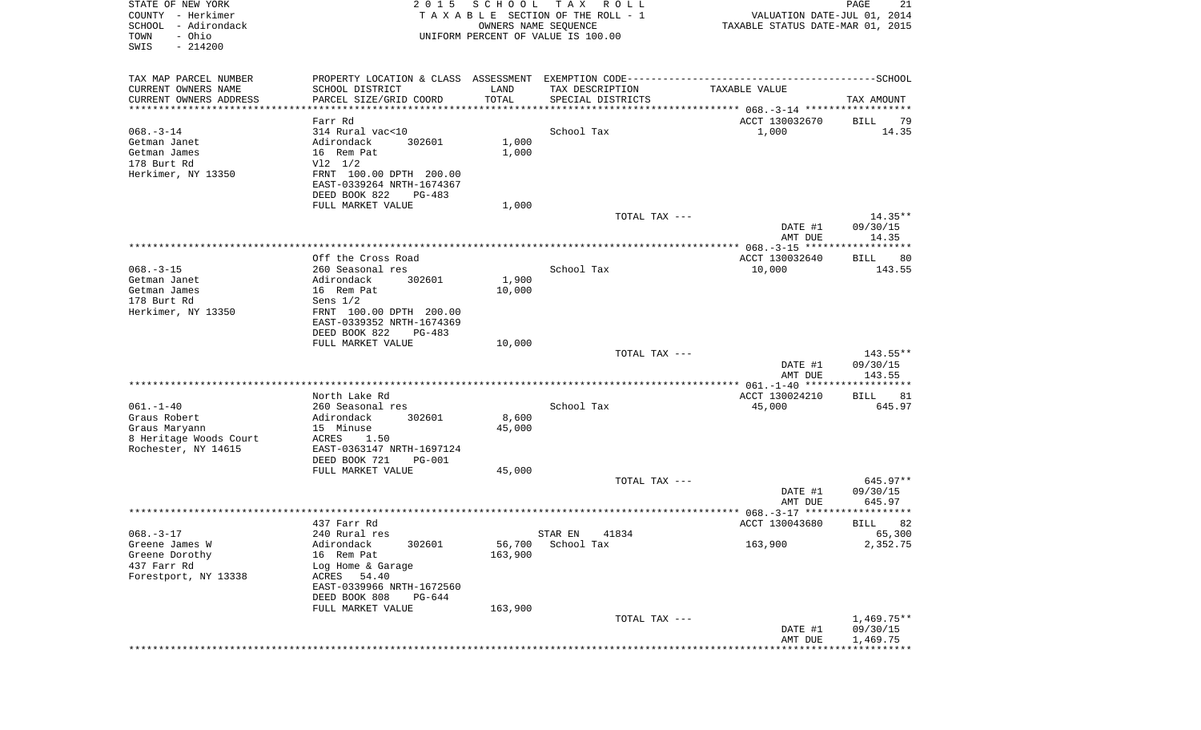| STATE OF NEW YORK<br>COUNTY - Herkimer<br>SCHOOL<br>- Adirondack<br>- Ohio<br>TOWN | 2 0 1 5                                                     | SCHOOL                         | T A X<br>R O L L<br>TAXABLE SECTION OF THE ROLL - 1<br>OWNERS NAME SEQUENCE<br>UNIFORM PERCENT OF VALUE IS 100.00 | VALUATION DATE-JUL 01, 2014<br>TAXABLE STATUS DATE-MAR 01, 2015 | 21<br>PAGE           |
|------------------------------------------------------------------------------------|-------------------------------------------------------------|--------------------------------|-------------------------------------------------------------------------------------------------------------------|-----------------------------------------------------------------|----------------------|
| SWIS<br>$-214200$                                                                  |                                                             |                                |                                                                                                                   |                                                                 |                      |
| TAX MAP PARCEL NUMBER                                                              |                                                             |                                |                                                                                                                   |                                                                 |                      |
| CURRENT OWNERS NAME                                                                | SCHOOL DISTRICT                                             | LAND                           | TAX DESCRIPTION                                                                                                   | TAXABLE VALUE                                                   |                      |
| CURRENT OWNERS ADDRESS<br>***********************                                  | PARCEL SIZE/GRID COORD<br>* * * * * * * * * * * * * * * * * | TOTAL<br>* * * * * * * * * * * | SPECIAL DISTRICTS                                                                                                 |                                                                 | TAX AMOUNT           |
| $068. -3 - 14$                                                                     | Farr Rd<br>314 Rural vac<10                                 |                                | School Tax                                                                                                        | ACCT 130032670                                                  | 79<br>BILL<br>14.35  |
| Getman Janet                                                                       | Adirondack<br>302601                                        | 1,000                          |                                                                                                                   | 1,000                                                           |                      |
| Getman James                                                                       | 16 Rem Pat                                                  | 1,000                          |                                                                                                                   |                                                                 |                      |
| 178 Burt Rd                                                                        | $V12$ $1/2$                                                 |                                |                                                                                                                   |                                                                 |                      |
| Herkimer, NY 13350                                                                 | FRNT 100.00 DPTH 200.00                                     |                                |                                                                                                                   |                                                                 |                      |
|                                                                                    | EAST-0339264 NRTH-1674367                                   |                                |                                                                                                                   |                                                                 |                      |
|                                                                                    | DEED BOOK 822<br>PG-483                                     |                                |                                                                                                                   |                                                                 |                      |
|                                                                                    | FULL MARKET VALUE                                           | 1,000                          | TOTAL TAX ---                                                                                                     |                                                                 | $14.35**$            |
|                                                                                    |                                                             |                                |                                                                                                                   | DATE #1                                                         | 09/30/15             |
|                                                                                    |                                                             |                                |                                                                                                                   | AMT DUE                                                         | 14.35                |
|                                                                                    |                                                             |                                |                                                                                                                   |                                                                 |                      |
|                                                                                    | Off the Cross Road                                          |                                |                                                                                                                   | ACCT 130032640                                                  | 80<br>BILL           |
| $068. - 3 - 15$<br>Getman Janet                                                    | 260 Seasonal res<br>Adirondack<br>302601                    | 1,900                          | School Tax                                                                                                        | 10,000                                                          | 143.55               |
| Getman James                                                                       | 16 Rem Pat                                                  | 10,000                         |                                                                                                                   |                                                                 |                      |
| 178 Burt Rd                                                                        | Sens $1/2$                                                  |                                |                                                                                                                   |                                                                 |                      |
| Herkimer, NY 13350                                                                 | FRNT 100.00 DPTH 200.00                                     |                                |                                                                                                                   |                                                                 |                      |
|                                                                                    | EAST-0339352 NRTH-1674369                                   |                                |                                                                                                                   |                                                                 |                      |
|                                                                                    | DEED BOOK 822<br><b>PG-483</b>                              |                                |                                                                                                                   |                                                                 |                      |
|                                                                                    | FULL MARKET VALUE                                           | 10,000                         | TOTAL TAX ---                                                                                                     |                                                                 | $143.55**$           |
|                                                                                    |                                                             |                                |                                                                                                                   | DATE #1                                                         | 09/30/15             |
|                                                                                    |                                                             |                                |                                                                                                                   | AMT DUE                                                         | 143.55               |
|                                                                                    |                                                             |                                |                                                                                                                   |                                                                 |                      |
|                                                                                    | North Lake Rd                                               |                                |                                                                                                                   | ACCT 130024210                                                  | BILL<br>81           |
| $061. - 1 - 40$<br>Graus Robert                                                    | 260 Seasonal res<br>Adirondack<br>302601                    | 8,600                          | School Tax                                                                                                        | 45,000                                                          | 645.97               |
| Graus Maryann                                                                      | 15 Minuse                                                   | 45,000                         |                                                                                                                   |                                                                 |                      |
| 8 Heritage Woods Court                                                             | ACRES<br>1.50                                               |                                |                                                                                                                   |                                                                 |                      |
| Rochester, NY 14615                                                                | EAST-0363147 NRTH-1697124                                   |                                |                                                                                                                   |                                                                 |                      |
|                                                                                    | DEED BOOK 721<br><b>PG-001</b>                              |                                |                                                                                                                   |                                                                 |                      |
|                                                                                    | FULL MARKET VALUE                                           | 45,000                         |                                                                                                                   |                                                                 |                      |
|                                                                                    |                                                             |                                | TOTAL TAX ---                                                                                                     | DATE #1                                                         | 645.97**<br>09/30/15 |
|                                                                                    |                                                             |                                |                                                                                                                   | AMT DUE                                                         | 645.97               |
|                                                                                    |                                                             |                                |                                                                                                                   |                                                                 | *****                |
|                                                                                    | 437 Farr Rd                                                 |                                |                                                                                                                   | ACCT 130043680                                                  | 82<br>BILL           |
| $068. -3 - 17$                                                                     | 240 Rural res                                               |                                | STAR EN<br>41834                                                                                                  |                                                                 | 65,300               |
| Greene James W                                                                     | Adirondack<br>302601                                        | 56,700<br>163,900              | School Tax                                                                                                        | 163,900                                                         | 2,352.75             |
| Greene Dorothy<br>437 Farr Rd                                                      | 16 Rem Pat<br>Log Home & Garage                             |                                |                                                                                                                   |                                                                 |                      |
| Forestport, NY 13338                                                               | 54.40<br>ACRES                                              |                                |                                                                                                                   |                                                                 |                      |
|                                                                                    | EAST-0339966 NRTH-1672560                                   |                                |                                                                                                                   |                                                                 |                      |
|                                                                                    | DEED BOOK 808<br>$PG-644$                                   |                                |                                                                                                                   |                                                                 |                      |
|                                                                                    | FULL MARKET VALUE                                           | 163,900                        |                                                                                                                   |                                                                 |                      |
|                                                                                    |                                                             |                                | TOTAL TAX ---                                                                                                     |                                                                 | $1,469.75**$         |
|                                                                                    |                                                             |                                |                                                                                                                   | DATE #1<br>AMT DUE                                              | 09/30/15<br>1,469.75 |
|                                                                                    |                                                             |                                |                                                                                                                   |                                                                 |                      |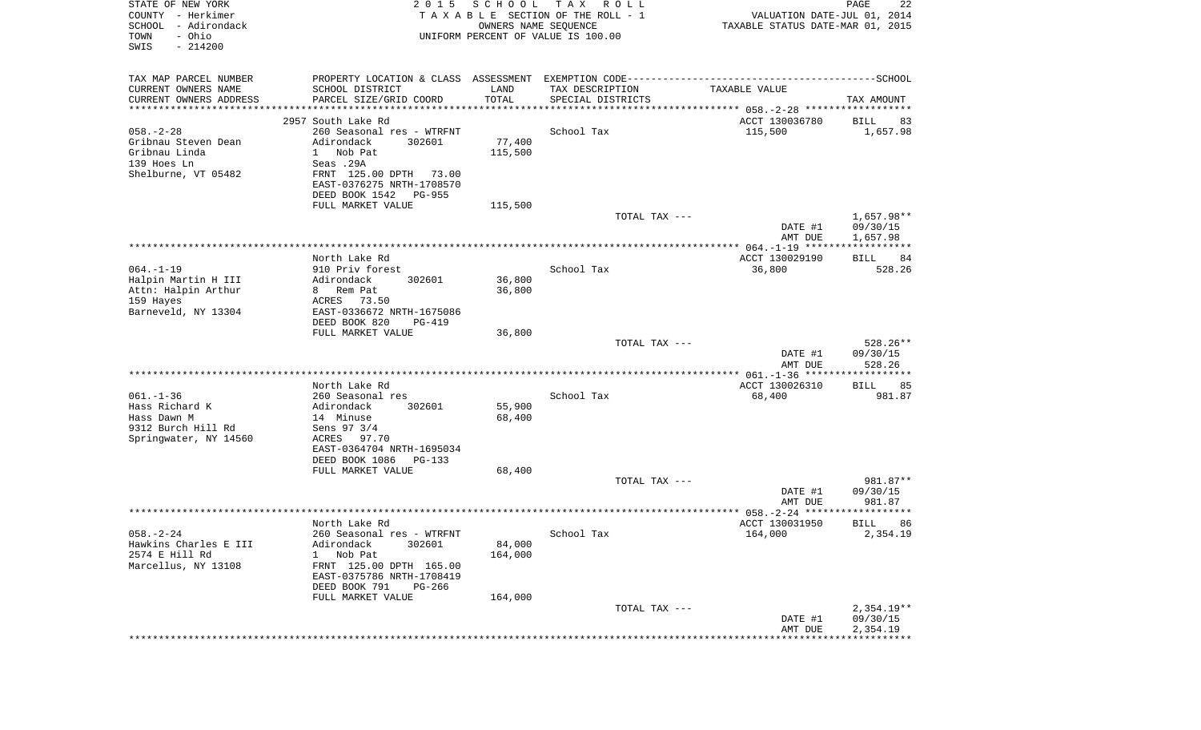| STATE OF NEW YORK<br>COUNTY - Herkimer<br>SCHOOL<br>- Adirondack<br>- Ohio<br>TOWN<br>SWIS<br>$-214200$ | 2 0 1 5                                              | SCHOOL<br>OWNERS NAME SEQUENCE | T A X<br>R O L L<br>TAXABLE SECTION OF THE ROLL - 1<br>UNIFORM PERCENT OF VALUE IS 100.00 | VALUATION DATE-JUL 01, 2014<br>TAXABLE STATUS DATE-MAR 01, 2015 | PAGE<br>22           |
|---------------------------------------------------------------------------------------------------------|------------------------------------------------------|--------------------------------|-------------------------------------------------------------------------------------------|-----------------------------------------------------------------|----------------------|
| TAX MAP PARCEL NUMBER                                                                                   |                                                      |                                |                                                                                           |                                                                 |                      |
| CURRENT OWNERS NAME                                                                                     | SCHOOL DISTRICT                                      | LAND                           | TAX DESCRIPTION                                                                           | TAXABLE VALUE                                                   |                      |
| CURRENT OWNERS ADDRESS<br>**********************                                                        | PARCEL SIZE/GRID COORD                               | TOTAL                          | SPECIAL DISTRICTS                                                                         |                                                                 | TAX AMOUNT           |
|                                                                                                         | 2957 South Lake Rd                                   |                                |                                                                                           | ACCT 130036780                                                  | 83<br>BILL           |
| $058. - 2 - 28$                                                                                         | 260 Seasonal res - WTRFNT                            |                                | School Tax                                                                                | 115,500                                                         | 1,657.98             |
| Gribnau Steven Dean                                                                                     | 302601<br>Adirondack                                 | 77,400                         |                                                                                           |                                                                 |                      |
| Gribnau Linda                                                                                           | Nob Pat<br>$\mathbf{1}$                              | 115,500                        |                                                                                           |                                                                 |                      |
| 139 Hoes Ln                                                                                             | Seas .29A                                            |                                |                                                                                           |                                                                 |                      |
| Shelburne, VT 05482                                                                                     | FRNT 125.00 DPTH 73.00<br>EAST-0376275 NRTH-1708570  |                                |                                                                                           |                                                                 |                      |
|                                                                                                         | DEED BOOK 1542<br>PG-955                             |                                |                                                                                           |                                                                 |                      |
|                                                                                                         | FULL MARKET VALUE                                    | 115,500                        |                                                                                           |                                                                 |                      |
|                                                                                                         |                                                      |                                | TOTAL TAX ---                                                                             |                                                                 | 1,657.98**           |
|                                                                                                         |                                                      |                                |                                                                                           | DATE #1                                                         | 09/30/15             |
|                                                                                                         |                                                      |                                |                                                                                           | AMT DUE                                                         | 1,657.98             |
|                                                                                                         | North Lake Rd                                        |                                |                                                                                           | ACCT 130029190                                                  | BILL<br>84           |
| $064. - 1 - 19$                                                                                         | 910 Priv forest                                      |                                | School Tax                                                                                | 36,800                                                          | 528.26               |
| Halpin Martin H III                                                                                     | Adirondack<br>302601                                 | 36,800                         |                                                                                           |                                                                 |                      |
| Attn: Halpin Arthur                                                                                     | 8 Rem Pat                                            | 36,800                         |                                                                                           |                                                                 |                      |
| 159 Hayes                                                                                               | ACRES<br>73.50                                       |                                |                                                                                           |                                                                 |                      |
| Barneveld, NY 13304                                                                                     | EAST-0336672 NRTH-1675086<br>DEED BOOK 820<br>PG-419 |                                |                                                                                           |                                                                 |                      |
|                                                                                                         | FULL MARKET VALUE                                    | 36,800                         |                                                                                           |                                                                 |                      |
|                                                                                                         |                                                      |                                | TOTAL TAX ---                                                                             |                                                                 | 528.26**             |
|                                                                                                         |                                                      |                                |                                                                                           | DATE #1<br>AMT DUE                                              | 09/30/15<br>528.26   |
|                                                                                                         |                                                      |                                |                                                                                           |                                                                 |                      |
| $061. - 1 - 36$                                                                                         | North Lake Rd<br>260 Seasonal res                    |                                | School Tax                                                                                | ACCT 130026310<br>68,400                                        | BILL<br>85<br>981.87 |
| Hass Richard K                                                                                          | Adirondack<br>302601                                 | 55,900                         |                                                                                           |                                                                 |                      |
| Hass Dawn M                                                                                             | 14 Minuse                                            | 68,400                         |                                                                                           |                                                                 |                      |
| 9312 Burch Hill Rd                                                                                      | Sens 97 3/4                                          |                                |                                                                                           |                                                                 |                      |
| Springwater, NY 14560                                                                                   | ACRES 97.70                                          |                                |                                                                                           |                                                                 |                      |
|                                                                                                         | EAST-0364704 NRTH-1695034                            |                                |                                                                                           |                                                                 |                      |
|                                                                                                         | DEED BOOK 1086<br>PG-133<br>FULL MARKET VALUE        | 68,400                         |                                                                                           |                                                                 |                      |
|                                                                                                         |                                                      |                                | TOTAL TAX ---                                                                             |                                                                 | 981.87**             |
|                                                                                                         |                                                      |                                |                                                                                           | DATE #1                                                         | 09/30/15             |
|                                                                                                         |                                                      |                                |                                                                                           | AMT DUE                                                         | 981.87               |
|                                                                                                         | North Lake Rd                                        |                                |                                                                                           | ACCT 130031950                                                  | 86<br>BILL           |
| $058. - 2 - 24$                                                                                         | 260 Seasonal res - WTRFNT                            |                                | School Tax                                                                                | 164,000                                                         | 2,354.19             |
| Hawkins Charles E III<br>2574 E Hill Rd                                                                 | Adirondack<br>302601                                 | 84,000                         |                                                                                           |                                                                 |                      |
| Marcellus, NY 13108                                                                                     | Nob Pat<br>$\mathbf{1}$<br>FRNT 125.00 DPTH 165.00   | 164,000                        |                                                                                           |                                                                 |                      |
|                                                                                                         | EAST-0375786 NRTH-1708419                            |                                |                                                                                           |                                                                 |                      |
|                                                                                                         | DEED BOOK 791<br>PG-266                              |                                |                                                                                           |                                                                 |                      |
|                                                                                                         | FULL MARKET VALUE                                    | 164,000                        |                                                                                           |                                                                 |                      |
|                                                                                                         |                                                      |                                | TOTAL TAX ---                                                                             |                                                                 | $2,354.19**$         |
|                                                                                                         |                                                      |                                |                                                                                           | DATE #1<br>AMT DUE                                              | 09/30/15<br>2,354.19 |
|                                                                                                         |                                                      |                                |                                                                                           |                                                                 |                      |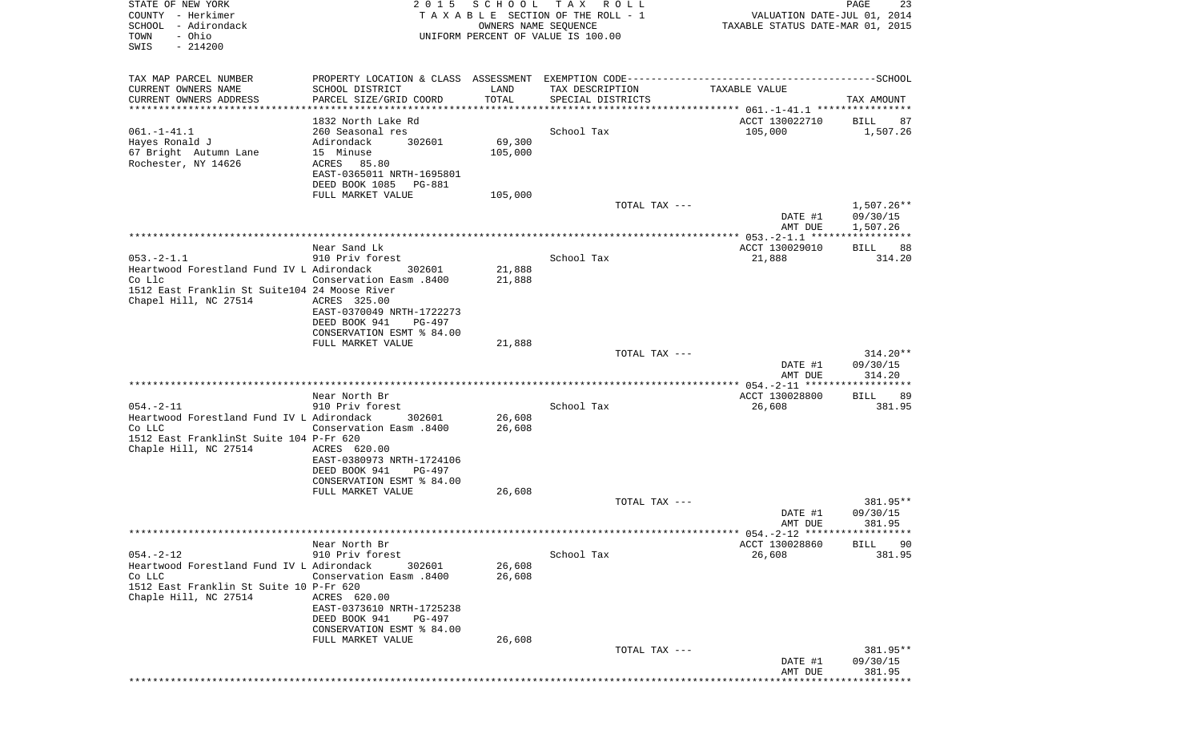| STATE OF NEW YORK<br>COUNTY - Herkimer<br>SCHOOL - Adirondack<br>- Ohio<br>TOWN                                                                  | 2 0 1 5                                                                                                                                                                    | S C H O O L<br>OWNERS NAME SEQUENCE | TAX ROLL<br>TAXABLE SECTION OF THE ROLL - 1<br>UNIFORM PERCENT OF VALUE IS 100.00 | VALUATION DATE-JUL 01, 2014<br>TAXABLE STATUS DATE-MAR 01, 2015 | PAGE<br>23                         |
|--------------------------------------------------------------------------------------------------------------------------------------------------|----------------------------------------------------------------------------------------------------------------------------------------------------------------------------|-------------------------------------|-----------------------------------------------------------------------------------|-----------------------------------------------------------------|------------------------------------|
| SWIS<br>$-214200$                                                                                                                                |                                                                                                                                                                            |                                     |                                                                                   |                                                                 |                                    |
| TAX MAP PARCEL NUMBER<br>CURRENT OWNERS NAME<br>CURRENT OWNERS ADDRESS                                                                           | SCHOOL DISTRICT<br>PARCEL SIZE/GRID COORD                                                                                                                                  | LAND<br>TOTAL                       | TAX DESCRIPTION<br>SPECIAL DISTRICTS                                              | TAXABLE VALUE                                                   | TAX AMOUNT                         |
| **********************                                                                                                                           |                                                                                                                                                                            | *************                       | ********************************* 061.-1-41.1 ****************                    |                                                                 |                                    |
| $061. - 1 - 41.1$<br>Hayes Ronald J<br>67 Bright Autumn Lane<br>Rochester, NY 14626                                                              | 1832 North Lake Rd<br>260 Seasonal res<br>Adirondack<br>302601<br>15 Minuse<br>ACRES<br>85.80<br>EAST-0365011 NRTH-1695801<br>DEED BOOK 1085<br>PG-881                     | 69,300<br>105,000                   | School Tax                                                                        | ACCT 130022710<br>105,000                                       | BILL<br>87<br>1,507.26             |
|                                                                                                                                                  | FULL MARKET VALUE                                                                                                                                                          | 105,000                             |                                                                                   |                                                                 |                                    |
|                                                                                                                                                  |                                                                                                                                                                            |                                     | TOTAL TAX ---                                                                     | DATE #1<br>AMT DUE                                              | 1,507.26**<br>09/30/15<br>1,507.26 |
|                                                                                                                                                  |                                                                                                                                                                            |                                     |                                                                                   |                                                                 |                                    |
| $053. -2 - 1.1$<br>Heartwood Forestland Fund IV L Adirondack<br>Co Llc<br>1512 East Franklin St Suite104 24 Moose River<br>Chapel Hill, NC 27514 | Near Sand Lk<br>910 Priv forest<br>302601<br>Conservation Easm .8400<br>ACRES 325.00<br>EAST-0370049 NRTH-1722273                                                          | 21,888<br>21,888                    | School Tax                                                                        | ACCT 130029010<br>21,888                                        | <b>BILL</b><br>88<br>314.20        |
|                                                                                                                                                  | DEED BOOK 941<br>PG-497<br>CONSERVATION ESMT % 84.00<br>FULL MARKET VALUE                                                                                                  | 21,888                              |                                                                                   |                                                                 |                                    |
|                                                                                                                                                  |                                                                                                                                                                            |                                     | TOTAL TAX ---                                                                     | DATE #1<br>AMT DUE                                              | $314.20**$<br>09/30/15<br>314.20   |
|                                                                                                                                                  |                                                                                                                                                                            |                                     |                                                                                   |                                                                 |                                    |
| $054. - 2 - 11$<br>Heartwood Forestland Fund IV L Adirondack<br>Co LLC<br>1512 East FranklinSt Suite 104 P-Fr 620<br>Chaple Hill, NC 27514       | Near North Br<br>910 Priv forest<br>302601<br>008. Conservation Easm<br>ACRES 620.00                                                                                       | 26,608<br>26,608                    | School Tax                                                                        | ACCT 130028800<br>26,608                                        | 89<br>BILL<br>381.95               |
|                                                                                                                                                  | EAST-0380973 NRTH-1724106<br>DEED BOOK 941<br>PG-497<br>CONSERVATION ESMT % 84.00                                                                                          |                                     |                                                                                   |                                                                 |                                    |
|                                                                                                                                                  | FULL MARKET VALUE                                                                                                                                                          | 26,608                              | TOTAL TAX ---                                                                     |                                                                 | 381.95**                           |
|                                                                                                                                                  |                                                                                                                                                                            |                                     |                                                                                   | DATE #1<br>AMT DUE                                              | 09/30/15<br>381.95                 |
|                                                                                                                                                  |                                                                                                                                                                            |                                     |                                                                                   |                                                                 | ***********                        |
| $054. -2 - 12$<br>Heartwood Forestland Fund IV L Adirondack<br>Co LLC<br>1512 East Franklin St Suite 10 P-Fr 620<br>Chaple Hill, NC 27514        | Near North Br<br>910 Priv forest<br>302601<br>Conservation Easm .8400<br>ACRES 620.00<br>EAST-0373610 NRTH-1725238<br>DEED BOOK 941<br>PG-497<br>CONSERVATION ESMT % 84.00 | 26,608<br>26,608                    | School Tax                                                                        | ACCT 130028860<br>26,608                                        | <b>BILL</b><br>90<br>381.95        |
|                                                                                                                                                  | FULL MARKET VALUE                                                                                                                                                          | 26,608                              | TOTAL TAX ---                                                                     | DATE #1                                                         | 381.95**<br>09/30/15               |
|                                                                                                                                                  |                                                                                                                                                                            |                                     |                                                                                   | AMT DUE                                                         | 381.95                             |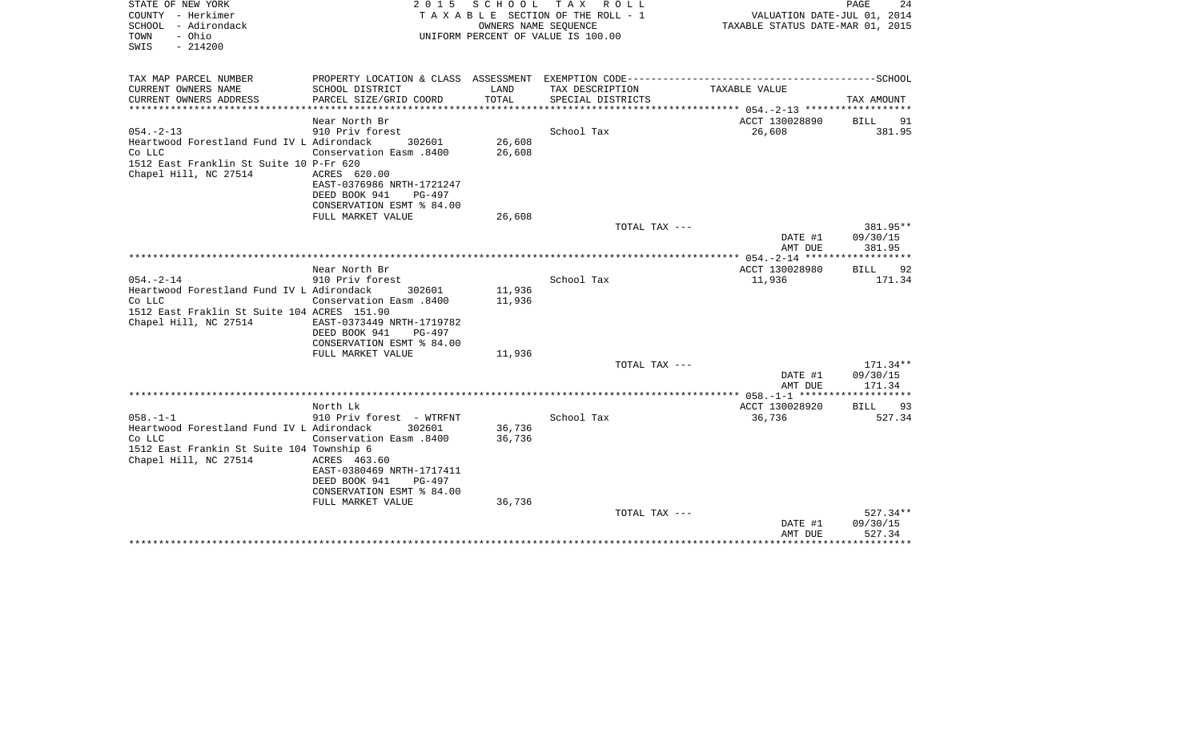| STATE OF NEW YORK<br>COUNTY - Herkimer<br>SCHOOL - Adirondack<br>- Ohio<br>TOWN<br>SWIS<br>$-214200$                                          | 2 0 1 5                                                                                                                                                                                            | SCHOOL<br>OWNERS NAME SEQUENCE  | T A X<br>R O L L<br>T A X A B L E SECTION OF THE ROLL - 1<br>UNIFORM PERCENT OF VALUE IS 100.00 | VALUATION DATE-JUL 01, 2014<br>TAXABLE STATUS DATE-MAR 01, 2015 | PAGE<br>24                     |
|-----------------------------------------------------------------------------------------------------------------------------------------------|----------------------------------------------------------------------------------------------------------------------------------------------------------------------------------------------------|---------------------------------|-------------------------------------------------------------------------------------------------|-----------------------------------------------------------------|--------------------------------|
| TAX MAP PARCEL NUMBER                                                                                                                         |                                                                                                                                                                                                    |                                 |                                                                                                 |                                                                 |                                |
| CURRENT OWNERS NAME<br>CURRENT OWNERS ADDRESS<br>*********************                                                                        | SCHOOL DISTRICT<br>PARCEL SIZE/GRID COORD<br>********************                                                                                                                                  | LAND<br>TOTAL<br>************** | TAX DESCRIPTION<br>SPECIAL DISTRICTS                                                            | TAXABLE VALUE<br>*********** 054. - 2-13 *******************    | TAX AMOUNT                     |
|                                                                                                                                               | Near North Br                                                                                                                                                                                      |                                 |                                                                                                 | ACCT 130028890                                                  | <b>BILL</b><br>91              |
| $054. -2 - 13$<br>Heartwood Forestland Fund IV L Adirondack<br>Co LLC<br>1512 East Franklin St Suite 10 P-Fr 620<br>Chapel Hill, NC 27514     | 910 Priv forest<br>302601<br><b>Conservation Easm.8400</b><br>ACRES 620.00<br>EAST-0376986 NRTH-1721247<br>DEED BOOK 941<br>PG-497                                                                 | 26,608<br>26,608                | School Tax                                                                                      | 26,608                                                          | 381.95                         |
|                                                                                                                                               | CONSERVATION ESMT % 84.00                                                                                                                                                                          | 26,608                          |                                                                                                 |                                                                 |                                |
|                                                                                                                                               | FULL MARKET VALUE                                                                                                                                                                                  |                                 | TOTAL TAX ---                                                                                   | DATE #1                                                         | 381.95**<br>09/30/15           |
|                                                                                                                                               |                                                                                                                                                                                                    |                                 |                                                                                                 | AMT DUE                                                         | 381.95                         |
|                                                                                                                                               | Near North Br                                                                                                                                                                                      |                                 |                                                                                                 | ACCT 130028980                                                  | 92<br>BILL                     |
| $054. -2 - 14$<br>Heartwood Forestland Fund IV L Adirondack<br>Co LLC<br>1512 East Fraklin St Suite 104 ACRES 151.90<br>Chapel Hill, NC 27514 | 910 Priv forest<br>302601<br>Conservation Easm .8400<br>EAST-0373449 NRTH-1719782<br>DEED BOOK 941<br><b>PG-497</b><br>CONSERVATION ESMT % 84.00                                                   | 11,936<br>11,936                | School Tax                                                                                      | 11,936                                                          | 171.34                         |
|                                                                                                                                               | FULL MARKET VALUE                                                                                                                                                                                  | 11,936                          | TOTAL TAX ---                                                                                   |                                                                 | $171.34**$                     |
|                                                                                                                                               |                                                                                                                                                                                                    |                                 |                                                                                                 | DATE #1<br>AMT DUE                                              | 09/30/15<br>171.34             |
|                                                                                                                                               |                                                                                                                                                                                                    |                                 | ********************                                                                            | ***** 058.-1-1 ******                                           |                                |
| $058. -1 -1$<br>Heartwood Forestland Fund IV L Adirondack<br>Co LLC<br>1512 East Frankin St Suite 104 Township 6<br>Chapel Hill, NC 27514     | North Lk<br>910 Priv forest - WTRFNT<br>302601<br>008. Conservation Easm<br>ACRES 463.60<br>EAST-0380469 NRTH-1717411<br>DEED BOOK 941<br>PG-497<br>CONSERVATION ESMT % 84.00<br>FULL MARKET VALUE | 36,736<br>36,736<br>36,736      | School Tax                                                                                      | ACCT 130028920<br>36,736                                        | 93<br>BILL<br>527.34           |
|                                                                                                                                               |                                                                                                                                                                                                    |                                 | TOTAL TAX ---                                                                                   |                                                                 | $527.34**$                     |
|                                                                                                                                               |                                                                                                                                                                                                    |                                 |                                                                                                 | DATE #1<br>AMT DUE                                              | 09/30/15<br>527.34<br>******** |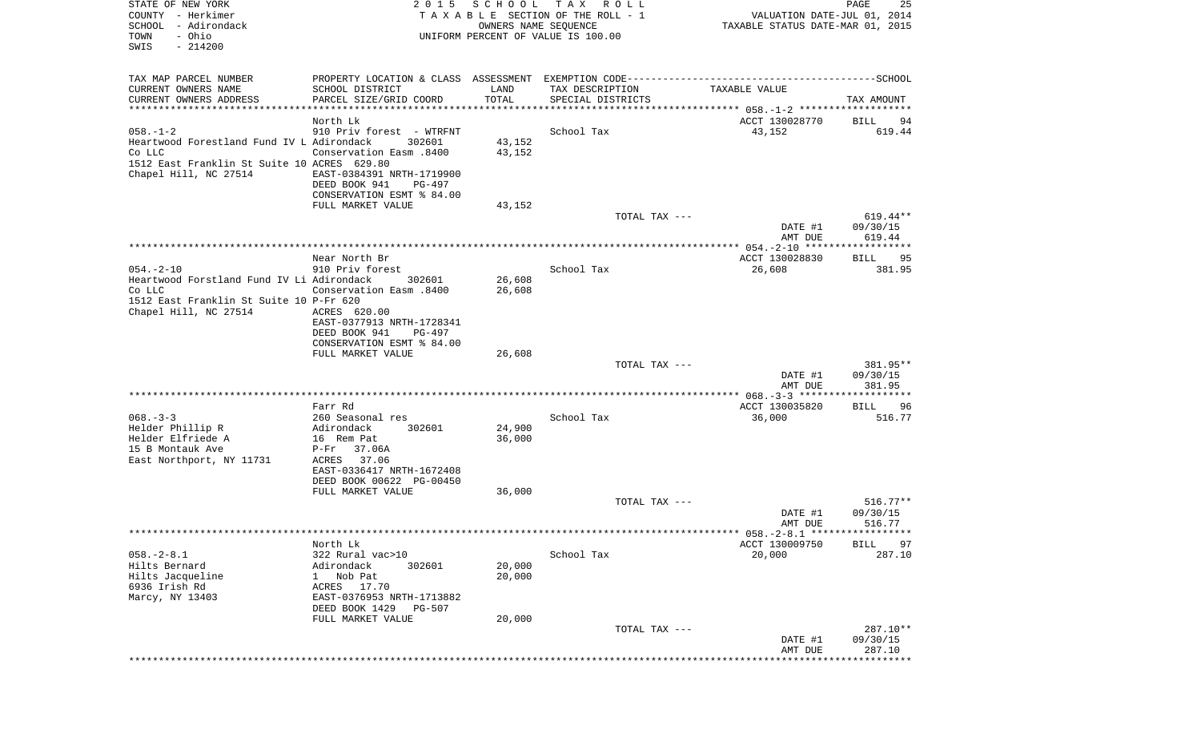| STATE OF NEW YORK<br>COUNTY - Herkimer<br>SCHOOL - Adirondack<br>- Ohio<br>TOWN<br>SWIS<br>$-214200$                                          | 2 0 1 5                                                                                                                                            | S C H O O L<br>OWNERS NAME SEQUENCE | T A X<br>R O L L<br>TAXABLE SECTION OF THE ROLL - 1<br>UNIFORM PERCENT OF VALUE IS 100.00 | VALUATION DATE-JUL 01, 2014<br>TAXABLE STATUS DATE-MAR 01, 2015 | PAGE<br>25                       |
|-----------------------------------------------------------------------------------------------------------------------------------------------|----------------------------------------------------------------------------------------------------------------------------------------------------|-------------------------------------|-------------------------------------------------------------------------------------------|-----------------------------------------------------------------|----------------------------------|
| TAX MAP PARCEL NUMBER                                                                                                                         |                                                                                                                                                    |                                     |                                                                                           |                                                                 |                                  |
| CURRENT OWNERS NAME                                                                                                                           | SCHOOL DISTRICT                                                                                                                                    | LAND                                | TAX DESCRIPTION                                                                           | TAXABLE VALUE                                                   |                                  |
| CURRENT OWNERS ADDRESS<br>***********************                                                                                             | PARCEL SIZE/GRID COORD<br>***********************************                                                                                      | TOTAL                               | SPECIAL DISTRICTS                                                                         |                                                                 | TAX AMOUNT                       |
|                                                                                                                                               | North Lk                                                                                                                                           |                                     |                                                                                           | ACCT 130028770                                                  | BILL<br>94                       |
| $058. - 1 - 2$<br>Heartwood Forestland Fund IV L Adirondack<br>Co LLC<br>1512 East Franklin St Suite 10 ACRES 629.80<br>Chapel Hill, NC 27514 | 910 Priv forest - WTRFNT<br>302601<br>008. Conservation Easm<br>EAST-0384391 NRTH-1719900<br>DEED BOOK 941<br>PG-497<br>CONSERVATION ESMT % 84.00  | 43,152<br>43,152                    | School Tax                                                                                | 43,152                                                          | 619.44                           |
|                                                                                                                                               | FULL MARKET VALUE                                                                                                                                  | 43,152                              |                                                                                           |                                                                 |                                  |
|                                                                                                                                               |                                                                                                                                                    |                                     | TOTAL TAX ---                                                                             | DATE #1                                                         | $619.44**$<br>09/30/15           |
|                                                                                                                                               |                                                                                                                                                    |                                     |                                                                                           | AMT DUE                                                         | 619.44                           |
|                                                                                                                                               | Near North Br                                                                                                                                      |                                     |                                                                                           | ACCT 130028830                                                  | BILL<br>95                       |
| $054. -2 - 10$                                                                                                                                | 910 Priv forest                                                                                                                                    |                                     | School Tax                                                                                | 26,608                                                          | 381.95                           |
| Heartwood Forstland Fund IV Li Adirondack<br>Co LLC                                                                                           | 302601<br><b>Conservation Easm.8400</b>                                                                                                            | 26,608<br>26,608                    |                                                                                           |                                                                 |                                  |
| 1512 East Franklin St Suite 10 P-Fr 620<br>Chapel Hill, NC 27514                                                                              | ACRES 620.00<br>EAST-0377913 NRTH-1728341<br>DEED BOOK 941<br>PG-497<br>CONSERVATION ESMT % 84.00                                                  |                                     |                                                                                           |                                                                 |                                  |
|                                                                                                                                               | FULL MARKET VALUE                                                                                                                                  | 26,608                              |                                                                                           |                                                                 |                                  |
|                                                                                                                                               |                                                                                                                                                    |                                     | TOTAL TAX ---                                                                             | DATE #1<br>AMT DUE                                              | 381.95**<br>09/30/15<br>381.95   |
|                                                                                                                                               | Farr Rd                                                                                                                                            |                                     |                                                                                           | ACCT 130035820                                                  |                                  |
| $068. - 3 - 3$                                                                                                                                | 260 Seasonal res                                                                                                                                   |                                     | School Tax                                                                                | 36,000                                                          | BILL<br>96<br>516.77             |
| Helder Phillip R<br>Helder Elfriede A<br>15 B Montauk Ave<br>East Northport, NY 11731                                                         | Adirondack<br>302601<br>16 Rem Pat<br>$P-Fr$<br>37.06A<br>ACRES 37.06                                                                              | 24,900<br>36,000                    |                                                                                           |                                                                 |                                  |
|                                                                                                                                               | EAST-0336417 NRTH-1672408<br>DEED BOOK 00622 PG-00450                                                                                              |                                     |                                                                                           |                                                                 |                                  |
|                                                                                                                                               | FULL MARKET VALUE                                                                                                                                  | 36,000                              |                                                                                           |                                                                 |                                  |
|                                                                                                                                               |                                                                                                                                                    |                                     | TOTAL TAX ---                                                                             | DATE #1<br>AMT DUE                                              | $516.77**$<br>09/30/15<br>516.77 |
|                                                                                                                                               |                                                                                                                                                    |                                     |                                                                                           |                                                                 |                                  |
|                                                                                                                                               | North Lk                                                                                                                                           |                                     |                                                                                           | ACCT 130009750                                                  | <b>BILL</b><br>97                |
| $058. - 2 - 8.1$<br>Hilts Bernard<br>Hilts Jacqueline<br>6936 Irish Rd<br>Marcy, NY 13403                                                     | 322 Rural vac>10<br>Adirondack<br>302601<br>Nob Pat<br>$\mathbf{1}$<br>ACRES 17.70<br>EAST-0376953 NRTH-1713882<br>DEED BOOK 1429<br><b>PG-507</b> | 20,000<br>20,000                    | School Tax                                                                                | 20,000                                                          | 287.10                           |
|                                                                                                                                               | FULL MARKET VALUE                                                                                                                                  | 20,000                              |                                                                                           |                                                                 |                                  |
|                                                                                                                                               |                                                                                                                                                    |                                     | TOTAL TAX ---                                                                             | DATE #1<br>AMT DUE                                              | 287.10**<br>09/30/15<br>287.10   |
|                                                                                                                                               |                                                                                                                                                    |                                     |                                                                                           |                                                                 | ********                         |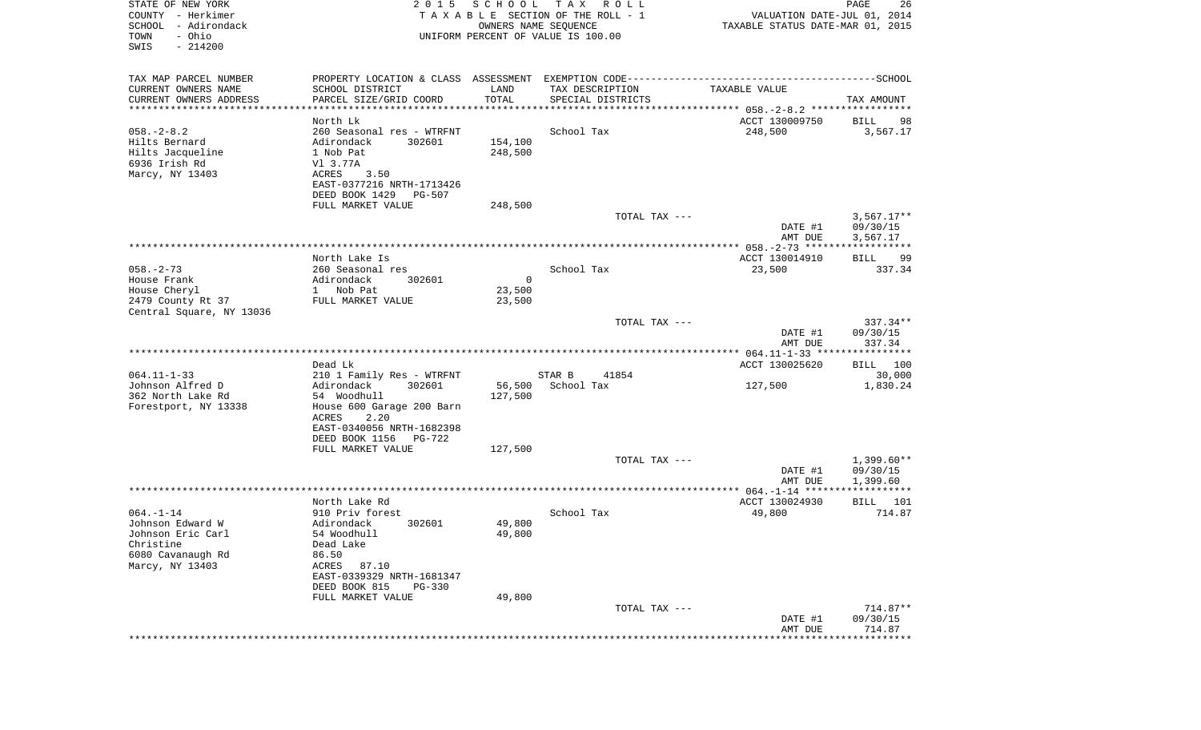| STATE OF NEW YORK<br>COUNTY - Herkimer<br>SCHOOL - Adirondack<br>- Ohio<br>TOWN<br>SWIS<br>$-214200$ | 2 0 1 5                                                     | SCHOOL  | T A X<br>R O L L<br>TAXABLE SECTION OF THE ROLL - 1<br>OWNERS NAME SEQUENCE<br>UNIFORM PERCENT OF VALUE IS 100.00 | VALUATION DATE-JUL 01, 2014<br>TAXABLE STATUS DATE-MAR 01, 2015 | PAGE<br>26         |
|------------------------------------------------------------------------------------------------------|-------------------------------------------------------------|---------|-------------------------------------------------------------------------------------------------------------------|-----------------------------------------------------------------|--------------------|
| TAX MAP PARCEL NUMBER                                                                                |                                                             |         |                                                                                                                   |                                                                 |                    |
| CURRENT OWNERS NAME                                                                                  | SCHOOL DISTRICT                                             | LAND    | TAX DESCRIPTION                                                                                                   | TAXABLE VALUE                                                   |                    |
| CURRENT OWNERS ADDRESS<br>************************                                                   | PARCEL SIZE/GRID COORD                                      | TOTAL   | SPECIAL DISTRICTS                                                                                                 |                                                                 | TAX AMOUNT         |
|                                                                                                      | North Lk                                                    |         |                                                                                                                   | ACCT 130009750                                                  | BILL<br>98         |
| $058. - 2 - 8.2$                                                                                     | 260 Seasonal res - WTRFNT                                   |         | School Tax                                                                                                        | 248,500                                                         | 3,567.17           |
| Hilts Bernard                                                                                        | Adirondack<br>302601                                        | 154,100 |                                                                                                                   |                                                                 |                    |
| Hilts Jacqueline                                                                                     | 1 Nob Pat                                                   | 248,500 |                                                                                                                   |                                                                 |                    |
| 6936 Irish Rd<br>Marcy, NY 13403                                                                     | V1 3.77A<br>ACRES<br>3.50                                   |         |                                                                                                                   |                                                                 |                    |
|                                                                                                      | EAST-0377216 NRTH-1713426                                   |         |                                                                                                                   |                                                                 |                    |
|                                                                                                      | DEED BOOK 1429<br>PG-507                                    |         |                                                                                                                   |                                                                 |                    |
|                                                                                                      | FULL MARKET VALUE                                           | 248,500 |                                                                                                                   |                                                                 |                    |
|                                                                                                      |                                                             |         | TOTAL TAX ---                                                                                                     |                                                                 | $3,567.17**$       |
|                                                                                                      |                                                             |         |                                                                                                                   | DATE #1                                                         | 09/30/15           |
|                                                                                                      |                                                             |         |                                                                                                                   | AMT DUE                                                         | 3,567.17           |
|                                                                                                      | North Lake Is                                               |         |                                                                                                                   | ACCT 130014910                                                  | BILL<br>99         |
| $058. - 2 - 73$                                                                                      | 260 Seasonal res                                            |         | School Tax                                                                                                        | 23,500                                                          | 337.34             |
| House Frank                                                                                          | Adirondack<br>302601                                        | 0       |                                                                                                                   |                                                                 |                    |
| House Cheryl                                                                                         | 1 Nob Pat                                                   | 23,500  |                                                                                                                   |                                                                 |                    |
| 2479 County Rt 37                                                                                    | FULL MARKET VALUE                                           | 23,500  |                                                                                                                   |                                                                 |                    |
| Central Square, NY 13036                                                                             |                                                             |         | TOTAL TAX ---                                                                                                     |                                                                 | $337.34**$         |
|                                                                                                      |                                                             |         |                                                                                                                   | DATE #1                                                         | 09/30/15           |
|                                                                                                      |                                                             |         |                                                                                                                   | AMT DUE                                                         | 337.34             |
|                                                                                                      |                                                             |         |                                                                                                                   |                                                                 |                    |
| $064.11 - 1 - 33$                                                                                    | Dead Lk<br>210 1 Family Res - WTRFNT                        |         | STAR B<br>41854                                                                                                   | ACCT 130025620                                                  | BILL 100<br>30,000 |
| Johnson Alfred D                                                                                     | Adirondack<br>302601                                        | 56,500  | School Tax                                                                                                        | 127,500                                                         | 1,830.24           |
| 362 North Lake Rd                                                                                    | 54 Woodhull                                                 | 127,500 |                                                                                                                   |                                                                 |                    |
| Forestport, NY 13338                                                                                 | House 600 Garage 200 Barn                                   |         |                                                                                                                   |                                                                 |                    |
|                                                                                                      | ACRES<br>2.20                                               |         |                                                                                                                   |                                                                 |                    |
|                                                                                                      | EAST-0340056 NRTH-1682398                                   |         |                                                                                                                   |                                                                 |                    |
|                                                                                                      | DEED BOOK 1156<br>PG-722<br>FULL MARKET VALUE               | 127,500 |                                                                                                                   |                                                                 |                    |
|                                                                                                      |                                                             |         | TOTAL TAX ---                                                                                                     |                                                                 | $1,399.60**$       |
|                                                                                                      |                                                             |         |                                                                                                                   | DATE #1                                                         | 09/30/15           |
|                                                                                                      |                                                             |         |                                                                                                                   | AMT DUE                                                         | 1,399.60           |
|                                                                                                      |                                                             |         |                                                                                                                   |                                                                 |                    |
| $064. -1 - 14$                                                                                       | North Lake Rd<br>910 Priv forest                            |         | School Tax                                                                                                        | ACCT 130024930<br>49,800                                        | BILL 101<br>714.87 |
| Johnson Edward W                                                                                     | 302601<br>Adirondack                                        | 49,800  |                                                                                                                   |                                                                 |                    |
| Johnson Eric Carl                                                                                    | 54 Woodhull                                                 | 49,800  |                                                                                                                   |                                                                 |                    |
| Christine                                                                                            | Dead Lake                                                   |         |                                                                                                                   |                                                                 |                    |
| 6080 Cavanaugh Rd                                                                                    | 86.50                                                       |         |                                                                                                                   |                                                                 |                    |
| Marcy, NY 13403                                                                                      | ACRES<br>87.10                                              |         |                                                                                                                   |                                                                 |                    |
|                                                                                                      | EAST-0339329 NRTH-1681347<br>DEED BOOK 815<br><b>PG-330</b> |         |                                                                                                                   |                                                                 |                    |
|                                                                                                      | FULL MARKET VALUE                                           | 49,800  |                                                                                                                   |                                                                 |                    |
|                                                                                                      |                                                             |         | TOTAL TAX ---                                                                                                     |                                                                 | $714.87**$         |
|                                                                                                      |                                                             |         |                                                                                                                   | DATE #1                                                         | 09/30/15           |
|                                                                                                      |                                                             |         |                                                                                                                   | AMT DUE                                                         | 714.87             |
|                                                                                                      |                                                             |         |                                                                                                                   |                                                                 | **************     |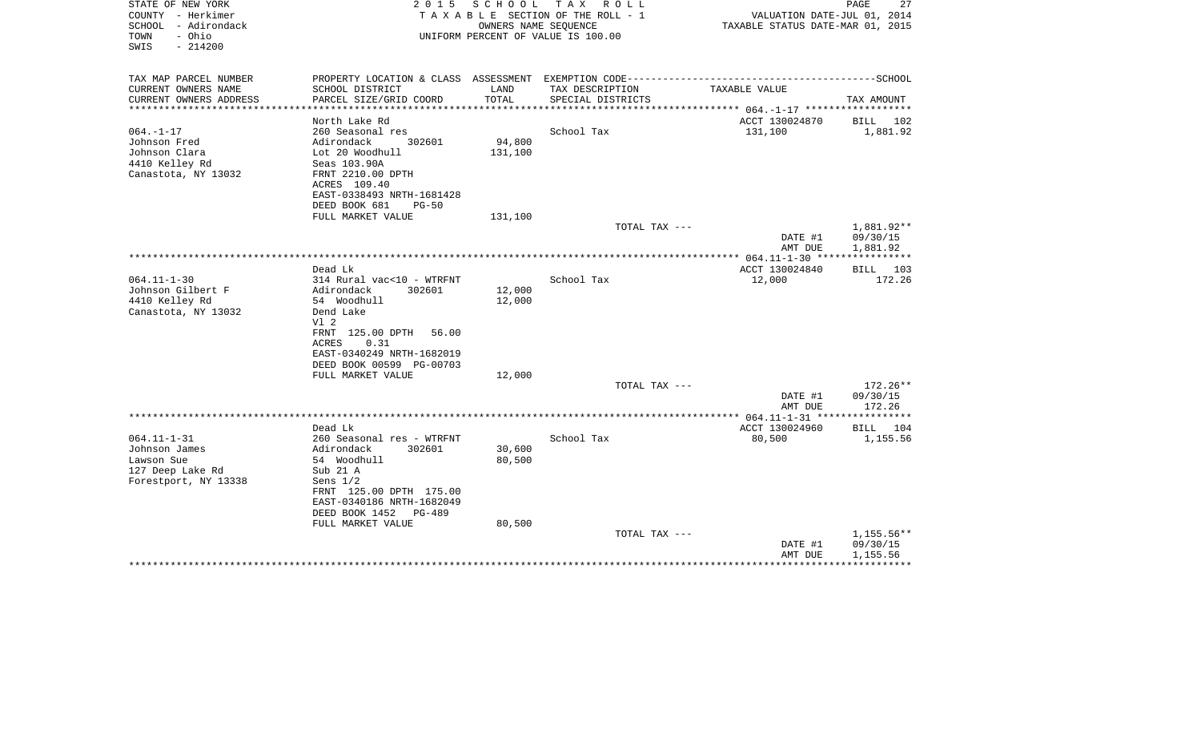| STATE OF NEW YORK<br>COUNTY - Herkimer<br>SCHOOL - Adirondack<br>- Ohio<br>TOWN<br>SWIS<br>$-214200$ | 2 0 1 5                                                                                                                  | SCHOOL<br>OWNERS NAME SEQUENCE | TAX ROLL<br>TAXABLE SECTION OF THE ROLL - 1<br>UNIFORM PERCENT OF VALUE IS 100.00 | VALUATION DATE-JUL 01, 2014<br>TAXABLE STATUS DATE-MAR 01, 2015 | PAGE<br>27                         |
|------------------------------------------------------------------------------------------------------|--------------------------------------------------------------------------------------------------------------------------|--------------------------------|-----------------------------------------------------------------------------------|-----------------------------------------------------------------|------------------------------------|
| TAX MAP PARCEL NUMBER                                                                                | PROPERTY LOCATION & CLASS ASSESSMENT EXEMPTION CODE---------------------                                                 |                                |                                                                                   |                                                                 | -------------------SCHOOL          |
| CURRENT OWNERS NAME                                                                                  | SCHOOL DISTRICT                                                                                                          | LAND<br>TOTAL                  | TAX DESCRIPTION                                                                   | TAXABLE VALUE                                                   |                                    |
| CURRENT OWNERS ADDRESS<br>**********************                                                     | PARCEL SIZE/GRID COORD                                                                                                   |                                | SPECIAL DISTRICTS                                                                 |                                                                 | TAX AMOUNT                         |
| $064. - 1 - 17$<br>Johnson Fred                                                                      | North Lake Rd<br>260 Seasonal res<br>Adirondack<br>302601                                                                | 94,800                         | School Tax                                                                        | ACCT 130024870<br>131,100                                       | BILL 102<br>1,881.92               |
| Johnson Clara<br>4410 Kelley Rd<br>Canastota, NY 13032                                               | Lot 20 Woodhull<br>Seas 103.90A<br>FRNT 2210.00 DPTH                                                                     | 131,100                        |                                                                                   |                                                                 |                                    |
|                                                                                                      | ACRES 109.40<br>EAST-0338493 NRTH-1681428<br>DEED BOOK 681<br>$PG-50$                                                    |                                |                                                                                   |                                                                 |                                    |
|                                                                                                      | FULL MARKET VALUE                                                                                                        | 131,100                        |                                                                                   |                                                                 |                                    |
|                                                                                                      |                                                                                                                          |                                | TOTAL TAX ---                                                                     | DATE #1<br>AMT DUE                                              | 1,881.92**<br>09/30/15<br>1,881.92 |
|                                                                                                      |                                                                                                                          |                                |                                                                                   | *************** 064.11-1-30 ****                                |                                    |
| $064.11 - 1 - 30$                                                                                    | Dead Lk<br>314 Rural vac<10 - WTRFNT                                                                                     |                                | School Tax                                                                        | ACCT 130024840<br>12,000                                        | BILL 103<br>172.26                 |
| Johnson Gilbert F<br>4410 Kelley Rd                                                                  | Adirondack<br>302601<br>54 Woodhull                                                                                      | 12,000<br>12,000               |                                                                                   |                                                                 |                                    |
| Canastota, NY 13032                                                                                  | Dend Lake<br>Vl 2<br>FRNT 125.00 DPTH<br>56.00<br>0.31<br>ACRES<br>EAST-0340249 NRTH-1682019<br>DEED BOOK 00599 PG-00703 |                                |                                                                                   |                                                                 |                                    |
|                                                                                                      | FULL MARKET VALUE                                                                                                        | 12,000                         |                                                                                   |                                                                 |                                    |
|                                                                                                      |                                                                                                                          |                                | TOTAL TAX ---                                                                     | DATE #1<br>AMT DUE                                              | 172.26**<br>09/30/15<br>172.26     |
|                                                                                                      |                                                                                                                          |                                |                                                                                   |                                                                 |                                    |
|                                                                                                      | Dead Lk                                                                                                                  |                                |                                                                                   | ACCT 130024960                                                  | BILL 104                           |
| $064.11 - 1 - 31$<br>Johnson James                                                                   | 260 Seasonal res - WTRFNT<br>Adirondack<br>302601                                                                        | 30,600                         | School Tax                                                                        | 80,500                                                          | 1,155.56                           |
| Lawson Sue                                                                                           | 54 Woodhull                                                                                                              | 80,500                         |                                                                                   |                                                                 |                                    |
| 127 Deep Lake Rd                                                                                     | Sub 21 A                                                                                                                 |                                |                                                                                   |                                                                 |                                    |
| Forestport, NY 13338                                                                                 | Sens $1/2$                                                                                                               |                                |                                                                                   |                                                                 |                                    |
|                                                                                                      | FRNT 125.00 DPTH 175.00<br>EAST-0340186 NRTH-1682049<br>DEED BOOK 1452<br>PG-489                                         |                                |                                                                                   |                                                                 |                                    |
|                                                                                                      | FULL MARKET VALUE                                                                                                        | 80,500                         |                                                                                   |                                                                 |                                    |
|                                                                                                      |                                                                                                                          |                                | TOTAL TAX ---                                                                     | DATE #1<br>AMT DUE                                              | 1,155.56**<br>09/30/15<br>1,155.56 |
|                                                                                                      |                                                                                                                          |                                |                                                                                   |                                                                 |                                    |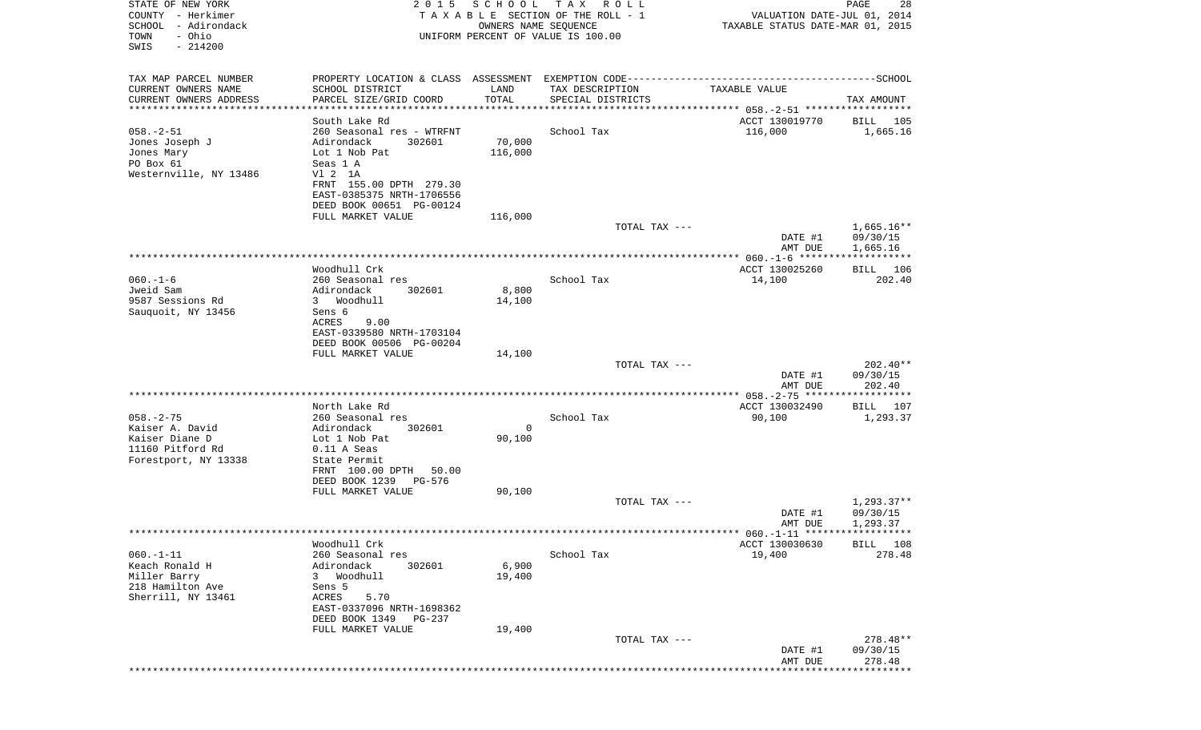| STATE OF NEW YORK<br>COUNTY - Herkimer<br>SCHOOL - Adirondack<br>- Ohio<br>TOWN<br>SWIS<br>$-214200$ | 2 0 1 5                                                                                                                                                                                        | S C H O O L<br>OWNERS NAME SEQUENCE | T A X<br>R O L L<br>TAXABLE SECTION OF THE ROLL - 1<br>UNIFORM PERCENT OF VALUE IS 100.00 | VALUATION DATE-JUL 01, 2014<br>TAXABLE STATUS DATE-MAR 01, 2015 | PAGE<br>28                           |
|------------------------------------------------------------------------------------------------------|------------------------------------------------------------------------------------------------------------------------------------------------------------------------------------------------|-------------------------------------|-------------------------------------------------------------------------------------------|-----------------------------------------------------------------|--------------------------------------|
| TAX MAP PARCEL NUMBER<br>CURRENT OWNERS NAME<br>CURRENT OWNERS ADDRESS                               | SCHOOL DISTRICT<br>PARCEL SIZE/GRID COORD                                                                                                                                                      | LAND<br>TOTAL                       | TAX DESCRIPTION<br>SPECIAL DISTRICTS                                                      | TAXABLE VALUE                                                   | TAX AMOUNT                           |
| **********************                                                                               | ************************************                                                                                                                                                           |                                     |                                                                                           |                                                                 |                                      |
| $058. - 2 - 51$<br>Jones Joseph J<br>Jones Mary<br>PO Box 61<br>Westernville, NY 13486               | South Lake Rd<br>260 Seasonal res - WTRFNT<br>Adirondack<br>302601<br>Lot 1 Nob Pat<br>Seas 1 A<br>V1 2 1A<br>FRNT 155.00 DPTH 279.30<br>EAST-0385375 NRTH-1706556<br>DEED BOOK 00651 PG-00124 | 70,000<br>116,000                   | School Tax                                                                                | ACCT 130019770<br>116,000                                       | BILL 105<br>1,665.16                 |
|                                                                                                      | FULL MARKET VALUE                                                                                                                                                                              | 116,000                             | TOTAL TAX ---                                                                             |                                                                 | $1,665.16**$                         |
|                                                                                                      |                                                                                                                                                                                                |                                     |                                                                                           | DATE #1<br>AMT DUE                                              | 09/30/15<br>1,665.16                 |
|                                                                                                      | Woodhull Crk                                                                                                                                                                                   |                                     |                                                                                           | ACCT 130025260                                                  | BILL 106                             |
| $060. -1 - 6$<br>Jweid Sam<br>9587 Sessions Rd<br>Sauquoit, NY 13456                                 | 260 Seasonal res<br>Adirondack<br>302601<br>3 Woodhull<br>Sens 6                                                                                                                               | 8,800<br>14,100                     | School Tax                                                                                | 14,100                                                          | 202.40                               |
|                                                                                                      | ACRES<br>9.00<br>EAST-0339580 NRTH-1703104<br>DEED BOOK 00506 PG-00204<br>FULL MARKET VALUE                                                                                                    | 14,100                              |                                                                                           |                                                                 |                                      |
|                                                                                                      |                                                                                                                                                                                                |                                     | TOTAL TAX ---                                                                             | DATE #1<br>AMT DUE                                              | $202.40**$<br>09/30/15<br>202.40     |
|                                                                                                      |                                                                                                                                                                                                |                                     |                                                                                           |                                                                 |                                      |
|                                                                                                      | North Lake Rd                                                                                                                                                                                  |                                     |                                                                                           | ACCT 130032490                                                  | BILL 107                             |
| $058. - 2 - 75$<br>Kaiser A. David<br>Kaiser Diane D<br>11160 Pitford Rd<br>Forestport, NY 13338     | 260 Seasonal res<br>Adirondack<br>302601<br>Lot 1 Nob Pat<br>0.11 A Seas<br>State Permit<br>FRNT 100.00 DPTH<br>50.00<br>DEED BOOK 1239<br>PG-576                                              | 0<br>90,100                         | School Tax                                                                                | 90,100                                                          | 1,293.37                             |
|                                                                                                      | FULL MARKET VALUE                                                                                                                                                                              | 90,100                              | TOTAL TAX ---                                                                             |                                                                 |                                      |
|                                                                                                      |                                                                                                                                                                                                |                                     |                                                                                           | DATE #1<br>AMT DUE                                              | $1,293.37**$<br>09/30/15<br>1,293.37 |
|                                                                                                      | Woodhull Crk                                                                                                                                                                                   |                                     |                                                                                           | ACCT 130030630                                                  | BILL 108                             |
| $060. -1 - 11$<br>Keach Ronald H<br>Miller Barry<br>218 Hamilton Ave<br>Sherrill, NY 13461           | 260 Seasonal res<br>Adirondack<br>302601<br>Woodhull<br>3<br>Sens 5<br>ACRES<br>5.70<br>EAST-0337096 NRTH-1698362<br>DEED BOOK 1349<br><b>PG-237</b><br>FULL MARKET VALUE                      | 6,900<br>19,400<br>19,400           | School Tax                                                                                | 19,400                                                          | 278.48                               |
|                                                                                                      |                                                                                                                                                                                                |                                     | TOTAL TAX ---                                                                             | DATE #1<br>AMT DUE                                              | 278.48**<br>09/30/15<br>278.48       |
|                                                                                                      |                                                                                                                                                                                                |                                     |                                                                                           |                                                                 |                                      |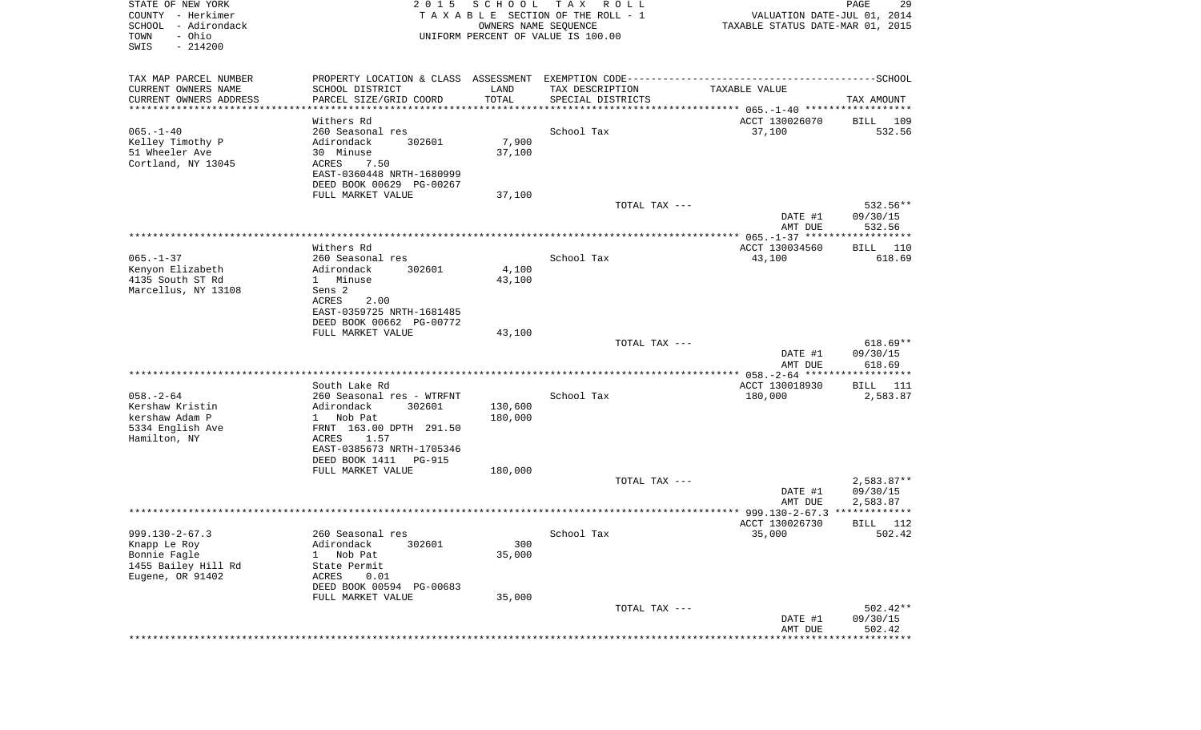| STATE OF NEW YORK<br>COUNTY - Herkimer<br>SCHOOL<br>- Adirondack<br>- Ohio<br>TOWN<br>SWIS<br>$-214200$ | 2 0 1 5                                               | SCHOOL<br>OWNERS NAME SEQUENCE | T A X<br>R O L L<br>TAXABLE SECTION OF THE ROLL - 1<br>UNIFORM PERCENT OF VALUE IS 100.00 | VALUATION DATE-JUL 01, 2014<br>TAXABLE STATUS DATE-MAR 01, 2015 | PAGE<br>29                |
|---------------------------------------------------------------------------------------------------------|-------------------------------------------------------|--------------------------------|-------------------------------------------------------------------------------------------|-----------------------------------------------------------------|---------------------------|
| TAX MAP PARCEL NUMBER                                                                                   |                                                       |                                |                                                                                           |                                                                 |                           |
| CURRENT OWNERS NAME                                                                                     | SCHOOL DISTRICT                                       | LAND                           | TAX DESCRIPTION                                                                           | TAXABLE VALUE                                                   |                           |
| CURRENT OWNERS ADDRESS<br>**********************                                                        | PARCEL SIZE/GRID COORD<br>*******************         | TOTAL                          | SPECIAL DISTRICTS                                                                         |                                                                 | TAX AMOUNT                |
|                                                                                                         | Withers Rd                                            |                                |                                                                                           | ACCT 130026070                                                  | BILL<br>109               |
| $065. -1 - 40$                                                                                          | 260 Seasonal res                                      |                                | School Tax                                                                                | 37,100                                                          | 532.56                    |
| Kelley Timothy P                                                                                        | Adirondack<br>302601                                  | 7,900                          |                                                                                           |                                                                 |                           |
| 51 Wheeler Ave<br>Cortland, NY 13045                                                                    | 30 Minuse<br>ACRES<br>7.50                            | 37,100                         |                                                                                           |                                                                 |                           |
|                                                                                                         | EAST-0360448 NRTH-1680999                             |                                |                                                                                           |                                                                 |                           |
|                                                                                                         | DEED BOOK 00629 PG-00267                              |                                |                                                                                           |                                                                 |                           |
|                                                                                                         | FULL MARKET VALUE                                     | 37,100                         |                                                                                           |                                                                 |                           |
|                                                                                                         |                                                       |                                | TOTAL TAX ---                                                                             | DATE #1                                                         | 532.56**<br>09/30/15      |
|                                                                                                         |                                                       |                                |                                                                                           | AMT DUE                                                         | 532.56                    |
|                                                                                                         |                                                       |                                |                                                                                           |                                                                 |                           |
|                                                                                                         | Withers Rd                                            |                                |                                                                                           | ACCT 130034560                                                  | BILL<br>110               |
| $065. - 1 - 37$<br>Kenyon Elizabeth                                                                     | 260 Seasonal res<br>Adirondack<br>302601              | 4,100                          | School Tax                                                                                | 43,100                                                          | 618.69                    |
| 4135 South ST Rd                                                                                        | 1 Minuse                                              | 43,100                         |                                                                                           |                                                                 |                           |
| Marcellus, NY 13108                                                                                     | Sens 2                                                |                                |                                                                                           |                                                                 |                           |
|                                                                                                         | ACRES<br>2.00<br>EAST-0359725 NRTH-1681485            |                                |                                                                                           |                                                                 |                           |
|                                                                                                         | DEED BOOK 00662 PG-00772                              |                                |                                                                                           |                                                                 |                           |
|                                                                                                         | FULL MARKET VALUE                                     | 43,100                         |                                                                                           |                                                                 |                           |
|                                                                                                         |                                                       |                                | TOTAL TAX ---                                                                             |                                                                 | $618.69**$                |
|                                                                                                         |                                                       |                                |                                                                                           | DATE #1<br>AMT DUE                                              | 09/30/15<br>618.69        |
|                                                                                                         |                                                       |                                |                                                                                           | ************* 058. - 2-64 *******************                   |                           |
|                                                                                                         | South Lake Rd                                         |                                |                                                                                           | ACCT 130018930                                                  | BILL<br>111               |
| $058. - 2 - 64$                                                                                         | 260 Seasonal res - WTRFNT                             |                                | School Tax                                                                                | 180,000                                                         | 2,583.87                  |
| Kershaw Kristin<br>kershaw Adam P                                                                       | Adirondack<br>302601<br>1 Nob Pat                     | 130,600<br>180,000             |                                                                                           |                                                                 |                           |
| 5334 English Ave                                                                                        | FRNT 163.00 DPTH 291.50                               |                                |                                                                                           |                                                                 |                           |
| Hamilton, NY                                                                                            | ACRES<br>1.57                                         |                                |                                                                                           |                                                                 |                           |
|                                                                                                         | EAST-0385673 NRTH-1705346<br>DEED BOOK 1411<br>PG-915 |                                |                                                                                           |                                                                 |                           |
|                                                                                                         | FULL MARKET VALUE                                     | 180,000                        |                                                                                           |                                                                 |                           |
|                                                                                                         |                                                       |                                | TOTAL TAX ---                                                                             |                                                                 | $2,583.87**$              |
|                                                                                                         |                                                       |                                |                                                                                           | DATE #1                                                         | 09/30/15                  |
|                                                                                                         |                                                       |                                |                                                                                           | AMT DUE                                                         | 2,583.87<br>************* |
|                                                                                                         |                                                       |                                |                                                                                           | ACCT 130026730                                                  | 112<br>BILL               |
| $999.130 - 2 - 67.3$                                                                                    | 260 Seasonal res                                      |                                | School Tax                                                                                | 35,000                                                          | 502.42                    |
| Knapp Le Roy                                                                                            | Adirondack<br>302601                                  | 300                            |                                                                                           |                                                                 |                           |
| Bonnie Fagle<br>1455 Bailey Hill Rd                                                                     | Nob Pat<br>1<br>State Permit                          | 35,000                         |                                                                                           |                                                                 |                           |
| Eugene, OR 91402                                                                                        | ACRES<br>0.01                                         |                                |                                                                                           |                                                                 |                           |
|                                                                                                         | DEED BOOK 00594 PG-00683                              |                                |                                                                                           |                                                                 |                           |
|                                                                                                         | FULL MARKET VALUE                                     | 35,000                         |                                                                                           |                                                                 |                           |
|                                                                                                         |                                                       |                                | TOTAL TAX ---                                                                             | DATE #1                                                         | $502.42**$<br>09/30/15    |
|                                                                                                         |                                                       |                                |                                                                                           | AMT DUE                                                         | 502.42                    |
|                                                                                                         |                                                       |                                |                                                                                           |                                                                 | ************              |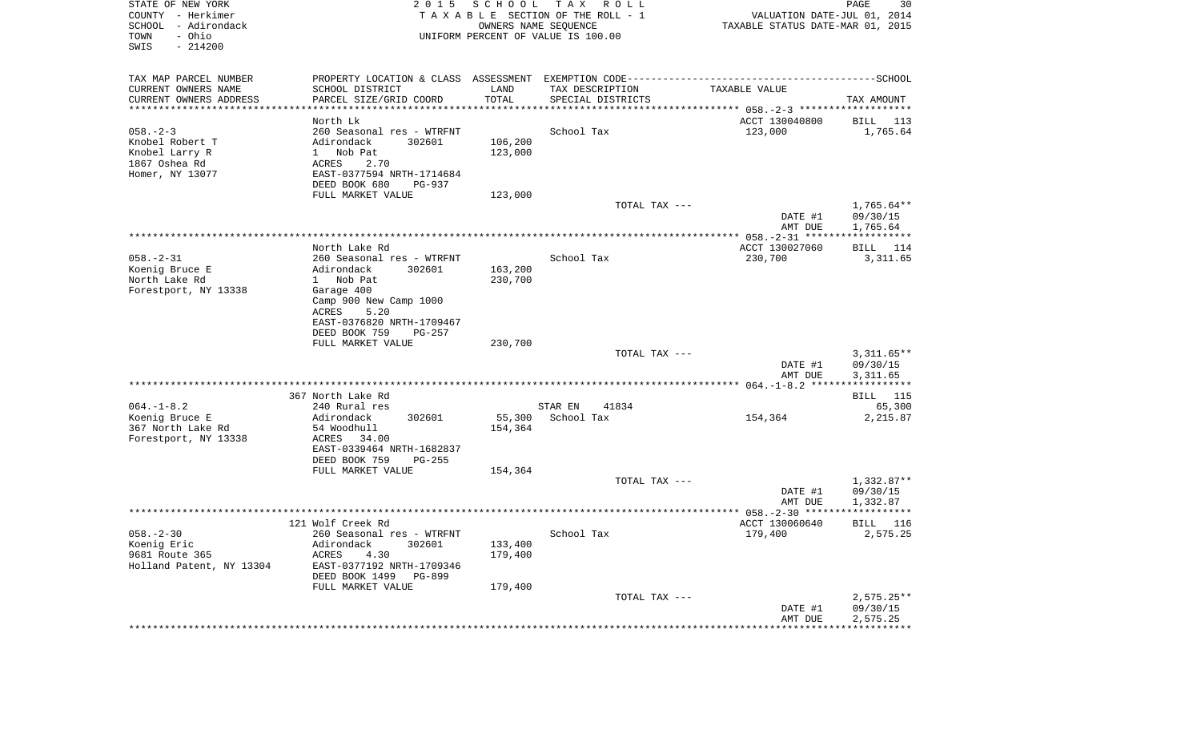| STATE OF NEW YORK<br>COUNTY - Herkimer<br>SCHOOL - Adirondack<br>- Ohio<br>TOWN<br>SWIS<br>$-214200$ | 2 0 1 5                                            | S C H O O L<br>OWNERS NAME SEQUENCE | T A X<br>R O L L<br>TAXABLE SECTION OF THE ROLL - 1<br>UNIFORM PERCENT OF VALUE IS 100.00 | VALUATION DATE-JUL 01, 2014<br>TAXABLE STATUS DATE-MAR 01, 2015 | PAGE<br>30               |
|------------------------------------------------------------------------------------------------------|----------------------------------------------------|-------------------------------------|-------------------------------------------------------------------------------------------|-----------------------------------------------------------------|--------------------------|
| TAX MAP PARCEL NUMBER                                                                                |                                                    |                                     |                                                                                           |                                                                 |                          |
| CURRENT OWNERS NAME                                                                                  | SCHOOL DISTRICT                                    | LAND<br>TOTAL                       | TAX DESCRIPTION                                                                           | TAXABLE VALUE                                                   |                          |
| CURRENT OWNERS ADDRESS<br>*************************                                                  | PARCEL SIZE/GRID COORD                             |                                     | SPECIAL DISTRICTS                                                                         |                                                                 | TAX AMOUNT               |
|                                                                                                      | North Lk                                           |                                     |                                                                                           | ACCT 130040800                                                  | BILL 113                 |
| $058. - 2 - 3$                                                                                       | 260 Seasonal res - WTRFNT                          |                                     | School Tax                                                                                | 123,000                                                         | 1,765.64                 |
| Knobel Robert T                                                                                      | Adirondack<br>302601                               | 106,200                             |                                                                                           |                                                                 |                          |
| Knobel Larry R                                                                                       | Nob Pat<br>$\mathbf{1}$                            | 123,000                             |                                                                                           |                                                                 |                          |
| 1867 Oshea Rd                                                                                        | <b>ACRES</b><br>2.70                               |                                     |                                                                                           |                                                                 |                          |
| Homer, NY 13077                                                                                      | EAST-0377594 NRTH-1714684                          |                                     |                                                                                           |                                                                 |                          |
|                                                                                                      | DEED BOOK 680<br>PG-937                            |                                     |                                                                                           |                                                                 |                          |
|                                                                                                      | FULL MARKET VALUE                                  | 123,000                             |                                                                                           |                                                                 |                          |
|                                                                                                      |                                                    |                                     | TOTAL TAX ---                                                                             | DATE #1                                                         | $1,765.64**$<br>09/30/15 |
|                                                                                                      |                                                    |                                     |                                                                                           | AMT DUE                                                         | 1,765.64                 |
|                                                                                                      | North Lake Rd                                      |                                     |                                                                                           | ACCT 130027060                                                  | BILL 114                 |
| $058. - 2 - 31$                                                                                      | 260 Seasonal res - WTRFNT                          |                                     | School Tax                                                                                | 230,700                                                         | 3,311.65                 |
| Koenig Bruce E                                                                                       | 302601<br>Adirondack                               | 163,200                             |                                                                                           |                                                                 |                          |
| North Lake Rd                                                                                        | 1 Nob Pat                                          | 230,700                             |                                                                                           |                                                                 |                          |
| Forestport, NY 13338                                                                                 | Garage 400                                         |                                     |                                                                                           |                                                                 |                          |
|                                                                                                      | Camp 900 New Camp 1000                             |                                     |                                                                                           |                                                                 |                          |
|                                                                                                      | 5.20<br>ACRES                                      |                                     |                                                                                           |                                                                 |                          |
|                                                                                                      | EAST-0376820 NRTH-1709467                          |                                     |                                                                                           |                                                                 |                          |
|                                                                                                      | DEED BOOK 759<br>PG-257<br>FULL MARKET VALUE       | 230,700                             |                                                                                           |                                                                 |                          |
|                                                                                                      |                                                    |                                     | TOTAL TAX ---                                                                             |                                                                 | $3,311.65**$             |
|                                                                                                      |                                                    |                                     |                                                                                           | DATE #1                                                         | 09/30/15                 |
|                                                                                                      |                                                    |                                     |                                                                                           | AMT DUE                                                         | 3,311.65                 |
|                                                                                                      |                                                    |                                     |                                                                                           |                                                                 |                          |
|                                                                                                      | 367 North Lake Rd                                  |                                     |                                                                                           |                                                                 | BILL 115                 |
| $064. -1 - 8.2$                                                                                      | 240 Rural res                                      |                                     | 41834<br>STAR EN                                                                          |                                                                 | 65,300                   |
| Koenig Bruce E                                                                                       | 302601<br>Adirondack                               | 55,300                              | School Tax                                                                                | 154,364                                                         | 2,215.87                 |
| 367 North Lake Rd                                                                                    | 54 Woodhull                                        | 154,364                             |                                                                                           |                                                                 |                          |
| Forestport, NY 13338                                                                                 | ACRES<br>34.00<br>EAST-0339464 NRTH-1682837        |                                     |                                                                                           |                                                                 |                          |
|                                                                                                      | DEED BOOK 759<br>$PG-255$                          |                                     |                                                                                           |                                                                 |                          |
|                                                                                                      | FULL MARKET VALUE                                  | 154,364                             |                                                                                           |                                                                 |                          |
|                                                                                                      |                                                    |                                     | TOTAL TAX ---                                                                             |                                                                 | $1,332.87**$             |
|                                                                                                      |                                                    |                                     |                                                                                           | DATE #1                                                         | 09/30/15                 |
|                                                                                                      |                                                    |                                     |                                                                                           | AMT DUE                                                         | 1,332.87                 |
|                                                                                                      |                                                    |                                     |                                                                                           |                                                                 |                          |
|                                                                                                      | 121 Wolf Creek Rd                                  |                                     |                                                                                           | ACCT 130060640                                                  | BILL 116                 |
| $058. - 2 - 30$                                                                                      | 260 Seasonal res - WTRFNT                          |                                     | School Tax                                                                                | 179,400                                                         | 2,575.25                 |
| Koenig Eric                                                                                          | Adirondack<br>302601                               | 133,400                             |                                                                                           |                                                                 |                          |
| 9681 Route 365                                                                                       | ACRES<br>4.30                                      | 179,400                             |                                                                                           |                                                                 |                          |
| Holland Patent, NY 13304                                                                             | EAST-0377192 NRTH-1709346<br>DEED BOOK 1499 PG-899 |                                     |                                                                                           |                                                                 |                          |
|                                                                                                      | FULL MARKET VALUE                                  | 179,400                             |                                                                                           |                                                                 |                          |
|                                                                                                      |                                                    |                                     | TOTAL TAX ---                                                                             |                                                                 | $2,575.25**$             |
|                                                                                                      |                                                    |                                     |                                                                                           | DATE #1                                                         | 09/30/15                 |
|                                                                                                      |                                                    |                                     |                                                                                           | AMT DUE                                                         | 2,575.25                 |
|                                                                                                      |                                                    |                                     |                                                                                           |                                                                 |                          |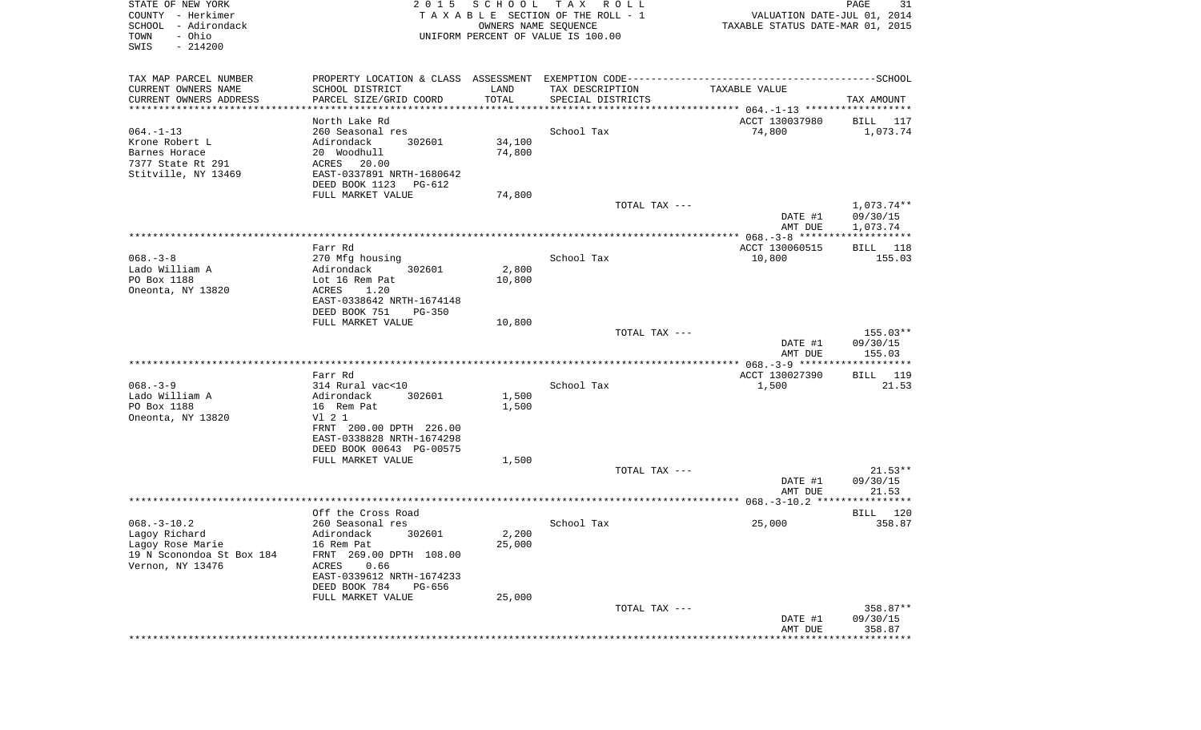| STATE OF NEW YORK<br>COUNTY - Herkimer<br>SCHOOL - Adirondack<br>- Ohio<br>TOWN<br>SWIS<br>$-214200$ | 2 0 1 5                                               | SCHOOL<br>OWNERS NAME SEQUENCE | TAX ROLL<br>TAXABLE SECTION OF THE ROLL - 1<br>UNIFORM PERCENT OF VALUE IS 100.00 | VALUATION DATE-JUL 01, 2014<br>TAXABLE STATUS DATE-MAR 01, 2015                              | PAGE<br>31           |
|------------------------------------------------------------------------------------------------------|-------------------------------------------------------|--------------------------------|-----------------------------------------------------------------------------------|----------------------------------------------------------------------------------------------|----------------------|
| TAX MAP PARCEL NUMBER                                                                                |                                                       |                                |                                                                                   | PROPERTY LOCATION & CLASS ASSESSMENT EXEMPTION CODE-----------------------------------SCHOOL |                      |
| CURRENT OWNERS NAME<br>CURRENT OWNERS ADDRESS                                                        | SCHOOL DISTRICT<br>PARCEL SIZE/GRID COORD             | LAND<br>TOTAL                  | TAX DESCRIPTION<br>SPECIAL DISTRICTS                                              | TAXABLE VALUE                                                                                | TAX AMOUNT           |
| **********************                                                                               | *********************                                 | * * * * * * * * * * *          |                                                                                   |                                                                                              |                      |
|                                                                                                      | North Lake Rd                                         |                                |                                                                                   | ACCT 130037980                                                                               | BILL 117             |
| $064. -1 - 13$                                                                                       | 260 Seasonal res                                      |                                | School Tax                                                                        | 74,800                                                                                       | 1,073.74             |
| Krone Robert L<br>Barnes Horace                                                                      | 302601<br>Adirondack<br>20 Woodhull                   | 34,100<br>74,800               |                                                                                   |                                                                                              |                      |
| 7377 State Rt 291                                                                                    | ACRES<br>20.00                                        |                                |                                                                                   |                                                                                              |                      |
| Stitville, NY 13469                                                                                  | EAST-0337891 NRTH-1680642                             |                                |                                                                                   |                                                                                              |                      |
|                                                                                                      | DEED BOOK 1123<br>PG-612                              |                                |                                                                                   |                                                                                              |                      |
|                                                                                                      | FULL MARKET VALUE                                     | 74,800                         | TOTAL TAX ---                                                                     |                                                                                              | 1,073.74**           |
|                                                                                                      |                                                       |                                |                                                                                   | DATE #1<br>AMT DUE                                                                           | 09/30/15<br>1,073.74 |
|                                                                                                      |                                                       |                                |                                                                                   |                                                                                              |                      |
|                                                                                                      | Farr Rd                                               |                                |                                                                                   | ACCT 130060515                                                                               | BILL 118             |
| $068. - 3 - 8$<br>Lado William A                                                                     | 270 Mfg housing<br>Adirondack<br>302601               | 2,800                          | School Tax                                                                        | 10,800                                                                                       | 155.03               |
| PO Box 1188                                                                                          | Lot 16 Rem Pat                                        | 10,800                         |                                                                                   |                                                                                              |                      |
| Oneonta, NY 13820                                                                                    | ACRES<br>1.20                                         |                                |                                                                                   |                                                                                              |                      |
|                                                                                                      | EAST-0338642 NRTH-1674148                             |                                |                                                                                   |                                                                                              |                      |
|                                                                                                      | DEED BOOK 751<br>$PG-350$<br>FULL MARKET VALUE        | 10,800                         |                                                                                   |                                                                                              |                      |
|                                                                                                      |                                                       |                                | TOTAL TAX ---                                                                     |                                                                                              | $155.03**$           |
|                                                                                                      |                                                       |                                |                                                                                   | DATE #1<br>AMT DUE                                                                           | 09/30/15<br>155.03   |
|                                                                                                      |                                                       |                                |                                                                                   |                                                                                              |                      |
| $068. - 3 - 9$                                                                                       | Farr Rd<br>314 Rural vac<10                           |                                | School Tax                                                                        | ACCT 130027390<br>1,500                                                                      | BILL 119<br>21.53    |
| Lado William A                                                                                       | Adirondack<br>302601                                  | 1,500                          |                                                                                   |                                                                                              |                      |
| PO Box 1188                                                                                          | 16 Rem Pat                                            | 1,500                          |                                                                                   |                                                                                              |                      |
| Oneonta, NY 13820                                                                                    | V1 2 1                                                |                                |                                                                                   |                                                                                              |                      |
|                                                                                                      | FRNT 200.00 DPTH 226.00                               |                                |                                                                                   |                                                                                              |                      |
|                                                                                                      | EAST-0338828 NRTH-1674298<br>DEED BOOK 00643 PG-00575 |                                |                                                                                   |                                                                                              |                      |
|                                                                                                      | FULL MARKET VALUE                                     | 1,500                          |                                                                                   |                                                                                              |                      |
|                                                                                                      |                                                       |                                | TOTAL TAX ---                                                                     |                                                                                              | $21.53**$            |
|                                                                                                      |                                                       |                                |                                                                                   | DATE #1                                                                                      | 09/30/15             |
|                                                                                                      |                                                       |                                |                                                                                   | AMT DUE                                                                                      | 21.53                |
|                                                                                                      | Off the Cross Road                                    |                                |                                                                                   |                                                                                              | 120<br>BILL          |
| $068. -3 - 10.2$                                                                                     | 260 Seasonal res                                      |                                | School Tax                                                                        | 25,000                                                                                       | 358.87               |
| Lagoy Richard                                                                                        | Adirondack 302601                                     | 2,200                          |                                                                                   |                                                                                              |                      |
| Lagoy Rose Marie<br>19 N Sconondoa St Box 184                                                        | 16 Rem Pat<br>FRNT 269.00 DPTH 108.00                 | 25,000                         |                                                                                   |                                                                                              |                      |
| Vernon, NY 13476                                                                                     | 0.66<br>ACRES                                         |                                |                                                                                   |                                                                                              |                      |
|                                                                                                      | EAST-0339612 NRTH-1674233                             |                                |                                                                                   |                                                                                              |                      |
|                                                                                                      | DEED BOOK 784<br>PG-656                               |                                |                                                                                   |                                                                                              |                      |
|                                                                                                      | FULL MARKET VALUE                                     | 25,000                         | TOTAL TAX ---                                                                     |                                                                                              | 358.87**             |
|                                                                                                      |                                                       |                                |                                                                                   | DATE #1                                                                                      | 09/30/15             |
|                                                                                                      |                                                       |                                |                                                                                   | AMT DUE                                                                                      | 358.87               |
|                                                                                                      |                                                       |                                |                                                                                   |                                                                                              | . * * * * * * * *    |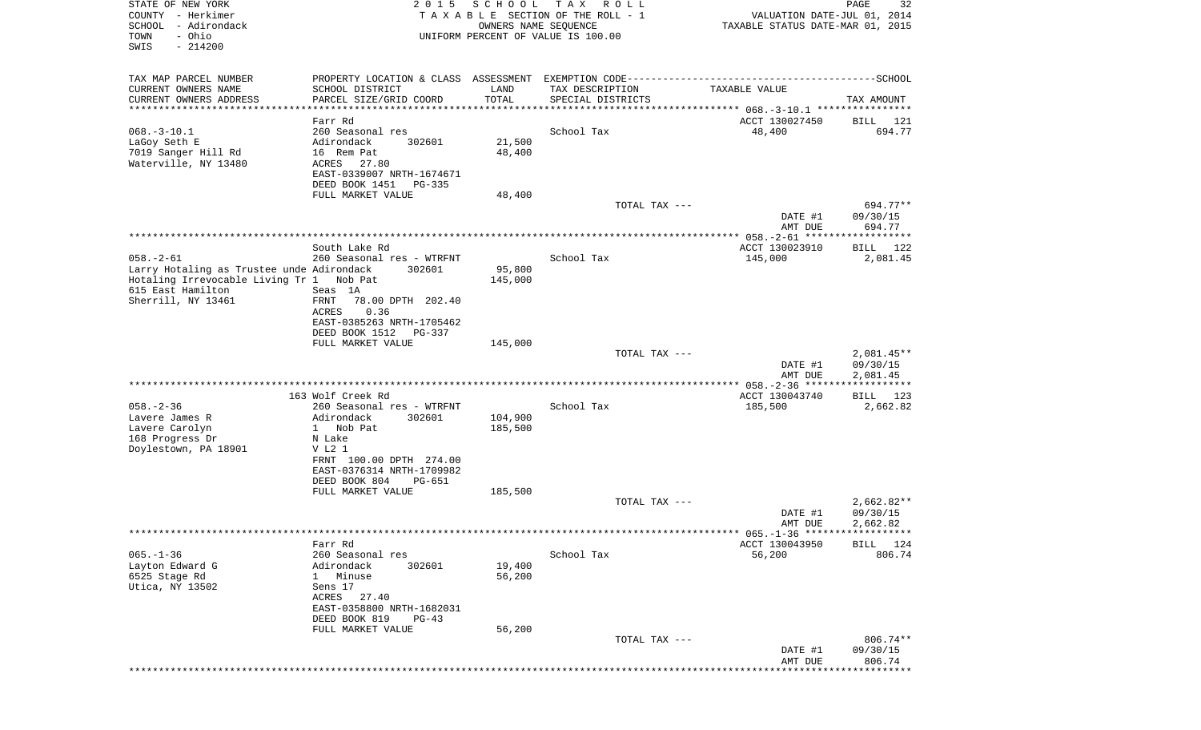| STATE OF NEW YORK<br>COUNTY - Herkimer<br>SCHOOL - Adirondack<br>- Ohio<br>TOWN<br>SWIS<br>$-214200$     | 2 0 1 5                                                                                                                                      | SCHOOL<br>OWNERS NAME SEQUENCE | T A X<br>R O L L<br>TAXABLE SECTION OF THE ROLL - 1<br>UNIFORM PERCENT OF VALUE IS 100.00 | VALUATION DATE-JUL 01, 2014<br>TAXABLE STATUS DATE-MAR 01, 2015 | 32<br>PAGE                           |
|----------------------------------------------------------------------------------------------------------|----------------------------------------------------------------------------------------------------------------------------------------------|--------------------------------|-------------------------------------------------------------------------------------------|-----------------------------------------------------------------|--------------------------------------|
| TAX MAP PARCEL NUMBER                                                                                    |                                                                                                                                              |                                |                                                                                           |                                                                 |                                      |
| CURRENT OWNERS NAME<br>CURRENT OWNERS ADDRESS                                                            | SCHOOL DISTRICT<br>PARCEL SIZE/GRID COORD                                                                                                    | LAND<br>TOTAL                  | TAX DESCRIPTION<br>SPECIAL DISTRICTS                                                      | TAXABLE VALUE                                                   | TAX AMOUNT                           |
| **********************                                                                                   | ******************                                                                                                                           | ***********                    |                                                                                           |                                                                 |                                      |
| $068. -3 - 10.1$<br>LaGoy Seth E<br>7019 Sanger Hill Rd<br>Waterville, NY 13480                          | Farr Rd<br>260 Seasonal res<br>Adirondack<br>302601<br>16 Rem Pat<br>ACRES<br>27.80<br>EAST-0339007 NRTH-1674671<br>DEED BOOK 1451<br>PG-335 | 21,500<br>48,400               | School Tax                                                                                | ACCT 130027450<br>48,400                                        | BILL 121<br>694.77                   |
|                                                                                                          | FULL MARKET VALUE                                                                                                                            | 48,400                         |                                                                                           |                                                                 |                                      |
|                                                                                                          |                                                                                                                                              |                                | TOTAL TAX ---                                                                             | DATE #1<br>AMT DUE                                              | 694.77**<br>09/30/15<br>694.77       |
|                                                                                                          |                                                                                                                                              |                                |                                                                                           |                                                                 |                                      |
| $058. - 2 - 61$<br>Larry Hotaling as Trustee unde Adirondack<br>Hotaling Irrevocable Living Tr 1 Nob Pat | South Lake Rd<br>260 Seasonal res - WTRFNT<br>302601                                                                                         | 95,800<br>145,000              | School Tax                                                                                | ACCT 130023910<br>145,000                                       | BILL<br>122<br>2,081.45              |
| 615 East Hamilton<br>Sherrill, NY 13461                                                                  | Seas 1A<br>FRNT<br>78.00 DPTH 202.40<br>ACRES<br>0.36<br>EAST-0385263 NRTH-1705462<br>DEED BOOK 1512<br>PG-337<br>FULL MARKET VALUE          | 145,000                        |                                                                                           |                                                                 |                                      |
|                                                                                                          |                                                                                                                                              |                                | TOTAL TAX ---                                                                             | DATE #1                                                         | $2,081.45**$<br>09/30/15             |
|                                                                                                          |                                                                                                                                              |                                |                                                                                           | AMT DUE                                                         | 2,081.45<br>***********              |
|                                                                                                          | 163 Wolf Creek Rd                                                                                                                            |                                |                                                                                           | ACCT 130043740                                                  | BILL 123                             |
| $058. - 2 - 36$                                                                                          | 260 Seasonal res - WTRFNT                                                                                                                    |                                | School Tax                                                                                | 185,500                                                         | 2,662.82                             |
| Lavere James R<br>Lavere Carolyn                                                                         | Adirondack<br>302601<br>1 Nob Pat                                                                                                            | 104,900<br>185,500             |                                                                                           |                                                                 |                                      |
| 168 Progress Dr                                                                                          | N Lake                                                                                                                                       |                                |                                                                                           |                                                                 |                                      |
| Doylestown, PA 18901                                                                                     | V L2 1<br>FRNT 100.00 DPTH 274.00                                                                                                            |                                |                                                                                           |                                                                 |                                      |
|                                                                                                          | EAST-0376314 NRTH-1709982<br>DEED BOOK 804<br>PG-651                                                                                         |                                |                                                                                           |                                                                 |                                      |
|                                                                                                          | FULL MARKET VALUE                                                                                                                            | 185,500                        |                                                                                           |                                                                 |                                      |
|                                                                                                          |                                                                                                                                              |                                | TOTAL TAX ---                                                                             | DATE #1<br>AMT DUE                                              | $2,662.82**$<br>09/30/15<br>2,662.82 |
|                                                                                                          |                                                                                                                                              |                                |                                                                                           |                                                                 |                                      |
| $065. - 1 - 36$                                                                                          | Farr Rd<br>260 Seasonal res                                                                                                                  |                                | School Tax                                                                                | ACCT 130043950                                                  | BILL 124<br>806.74                   |
| Layton Edward G<br>6525 Stage Rd<br>Utica, NY 13502                                                      | Adirondack<br>302601<br>Minuse<br>$1 \quad$<br>Sens 17<br>ACRES<br>27.40                                                                     | 19,400<br>56,200               |                                                                                           | 56,200                                                          |                                      |
|                                                                                                          | EAST-0358800 NRTH-1682031<br>DEED BOOK 819<br>PG-43                                                                                          |                                |                                                                                           |                                                                 |                                      |
|                                                                                                          | FULL MARKET VALUE                                                                                                                            | 56,200                         | TOTAL TAX ---                                                                             | DATE #1                                                         | 806.74**<br>09/30/15                 |
|                                                                                                          |                                                                                                                                              |                                |                                                                                           | AMT DUE                                                         | 806.74                               |
|                                                                                                          |                                                                                                                                              |                                |                                                                                           |                                                                 |                                      |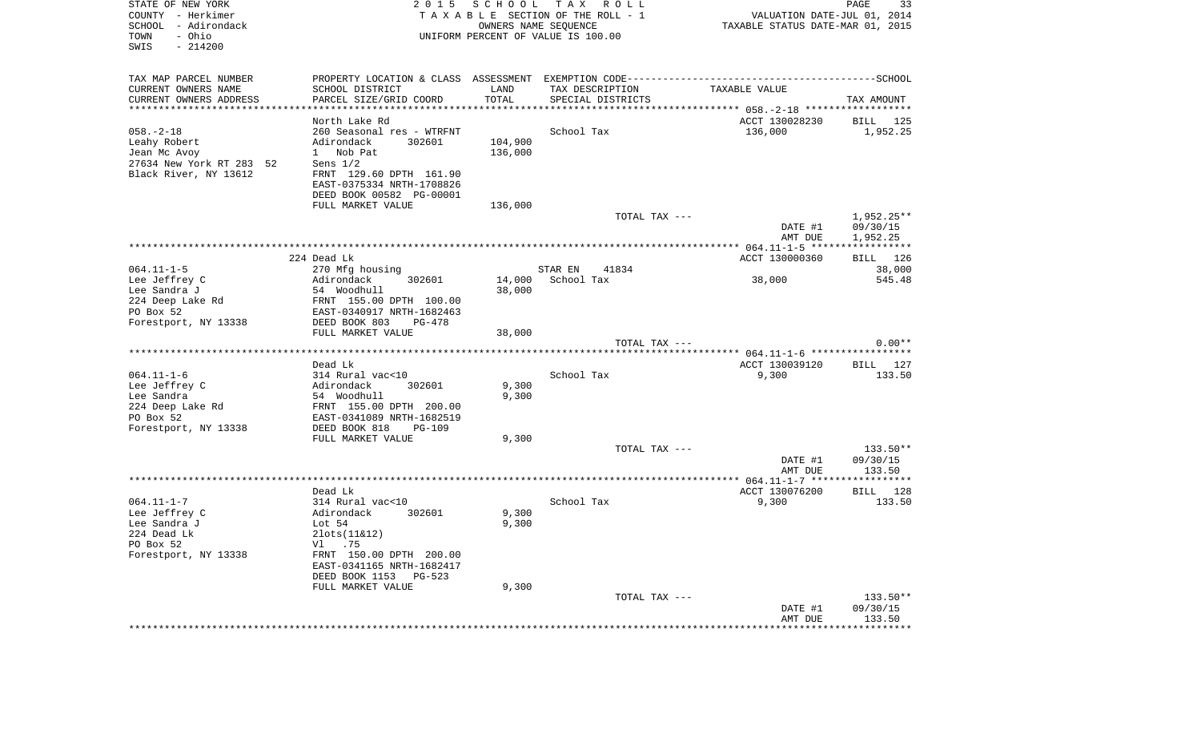| STATE OF NEW YORK<br>COUNTY - Herkimer<br>SCHOOL - Adirondack<br>- Ohio<br>TOWN<br>$-214200$<br>SWIS | 2 0 1 5                                                                                      | SCHOOL  | T A X<br>R O L L<br>TAXABLE SECTION OF THE ROLL - 1<br>OWNERS NAME SEQUENCE<br>UNIFORM PERCENT OF VALUE IS 100.00 | VALUATION DATE-JUL 01, 2014<br>TAXABLE STATUS DATE-MAR 01, 2015 | PAGE<br>33                  |
|------------------------------------------------------------------------------------------------------|----------------------------------------------------------------------------------------------|---------|-------------------------------------------------------------------------------------------------------------------|-----------------------------------------------------------------|-----------------------------|
| TAX MAP PARCEL NUMBER                                                                                | PROPERTY LOCATION & CLASS ASSESSMENT EXEMPTION CODE-----------------------------------SCHOOL |         |                                                                                                                   |                                                                 |                             |
| CURRENT OWNERS NAME                                                                                  | SCHOOL DISTRICT                                                                              | LAND    | TAX DESCRIPTION                                                                                                   | TAXABLE VALUE                                                   |                             |
| CURRENT OWNERS ADDRESS                                                                               | PARCEL SIZE/GRID COORD                                                                       | TOTAL   | SPECIAL DISTRICTS                                                                                                 |                                                                 | TAX AMOUNT                  |
| ************************                                                                             |                                                                                              |         |                                                                                                                   |                                                                 |                             |
| $058. - 2 - 18$                                                                                      | North Lake Rd<br>260 Seasonal res - WTRFNT                                                   |         | School Tax                                                                                                        | ACCT 130028230<br>136,000                                       | BILL 125<br>1,952.25        |
| Leahy Robert                                                                                         | Adirondack<br>302601                                                                         | 104,900 |                                                                                                                   |                                                                 |                             |
| Jean Mc Avoy                                                                                         | 1 Nob Pat                                                                                    | 136,000 |                                                                                                                   |                                                                 |                             |
| 27634 New York RT 283 52                                                                             | Sens $1/2$                                                                                   |         |                                                                                                                   |                                                                 |                             |
| Black River, NY 13612                                                                                | FRNT 129.60 DPTH 161.90                                                                      |         |                                                                                                                   |                                                                 |                             |
|                                                                                                      | EAST-0375334 NRTH-1708826                                                                    |         |                                                                                                                   |                                                                 |                             |
|                                                                                                      | DEED BOOK 00582 PG-00001                                                                     |         |                                                                                                                   |                                                                 |                             |
|                                                                                                      | FULL MARKET VALUE                                                                            | 136,000 |                                                                                                                   |                                                                 |                             |
|                                                                                                      |                                                                                              |         | TOTAL TAX ---                                                                                                     |                                                                 | 1,952.25**                  |
|                                                                                                      |                                                                                              |         |                                                                                                                   | DATE #1<br>AMT DUE                                              | 09/30/15<br>1,952.25        |
|                                                                                                      |                                                                                              |         |                                                                                                                   |                                                                 |                             |
|                                                                                                      | 224 Dead Lk                                                                                  |         |                                                                                                                   | ACCT 130000360                                                  | BILL 126                    |
| $064.11 - 1 - 5$                                                                                     | 270 Mfg housing                                                                              |         | STAR EN<br>41834                                                                                                  |                                                                 | 38,000                      |
| Lee Jeffrey C                                                                                        | Adirondack<br>302601                                                                         | 14,000  | School Tax                                                                                                        | 38,000                                                          | 545.48                      |
| Lee Sandra J                                                                                         | 54 Woodhull                                                                                  | 38,000  |                                                                                                                   |                                                                 |                             |
| 224 Deep Lake Rd                                                                                     | FRNT 155.00 DPTH 100.00                                                                      |         |                                                                                                                   |                                                                 |                             |
| PO Box 52<br>Forestport, NY 13338                                                                    | EAST-0340917 NRTH-1682463<br>DEED BOOK 803<br>PG-478                                         |         |                                                                                                                   |                                                                 |                             |
|                                                                                                      | FULL MARKET VALUE                                                                            | 38,000  |                                                                                                                   |                                                                 |                             |
|                                                                                                      |                                                                                              |         | TOTAL TAX ---                                                                                                     |                                                                 | $0.00**$                    |
|                                                                                                      |                                                                                              |         |                                                                                                                   |                                                                 |                             |
|                                                                                                      | Dead Lk                                                                                      |         |                                                                                                                   | ACCT 130039120                                                  | BILL 127                    |
| $064.11 - 1 - 6$                                                                                     | 314 Rural vac<10                                                                             |         | School Tax                                                                                                        | 9,300                                                           | 133.50                      |
| Lee Jeffrey C                                                                                        | Adirondack<br>302601                                                                         | 9,300   |                                                                                                                   |                                                                 |                             |
| Lee Sandra<br>224 Deep Lake Rd                                                                       | 54 Woodhull<br>FRNT 155.00 DPTH 200.00                                                       | 9,300   |                                                                                                                   |                                                                 |                             |
| PO Box 52                                                                                            | EAST-0341089 NRTH-1682519                                                                    |         |                                                                                                                   |                                                                 |                             |
| Forestport, NY 13338                                                                                 | DEED BOOK 818<br>PG-109                                                                      |         |                                                                                                                   |                                                                 |                             |
|                                                                                                      | FULL MARKET VALUE                                                                            | 9,300   |                                                                                                                   |                                                                 |                             |
|                                                                                                      |                                                                                              |         | TOTAL TAX ---                                                                                                     |                                                                 | 133.50**                    |
|                                                                                                      |                                                                                              |         |                                                                                                                   | DATE #1                                                         | 09/30/15                    |
|                                                                                                      |                                                                                              |         |                                                                                                                   | AMT DUE                                                         | 133.50                      |
|                                                                                                      | Dead Lk                                                                                      |         |                                                                                                                   | ACCT 130076200                                                  | BILL<br>128                 |
| $064.11 - 1 - 7$                                                                                     | 314 Rural vac<10                                                                             |         | School Tax                                                                                                        | 9,300                                                           | 133.50                      |
| Lee Jeffrey C                                                                                        | 302601<br>Adirondack                                                                         | 9,300   |                                                                                                                   |                                                                 |                             |
| Lee Sandra J                                                                                         | Lot 54                                                                                       | 9,300   |                                                                                                                   |                                                                 |                             |
| 224 Dead Lk                                                                                          | $2$ lots $(11\&12)$                                                                          |         |                                                                                                                   |                                                                 |                             |
| PO Box 52                                                                                            | V1.75                                                                                        |         |                                                                                                                   |                                                                 |                             |
| Forestport, NY 13338                                                                                 | FRNT 150.00 DPTH 200.00                                                                      |         |                                                                                                                   |                                                                 |                             |
|                                                                                                      | EAST-0341165 NRTH-1682417<br>DEED BOOK 1153<br>PG-523                                        |         |                                                                                                                   |                                                                 |                             |
|                                                                                                      | FULL MARKET VALUE                                                                            | 9,300   |                                                                                                                   |                                                                 |                             |
|                                                                                                      |                                                                                              |         | TOTAL TAX ---                                                                                                     |                                                                 | $133.50**$                  |
|                                                                                                      |                                                                                              |         |                                                                                                                   | DATE #1                                                         | 09/30/15                    |
|                                                                                                      |                                                                                              |         |                                                                                                                   | AMT DUE                                                         | 133.50                      |
|                                                                                                      |                                                                                              |         |                                                                                                                   |                                                                 | * * * * * * * * * * * * * * |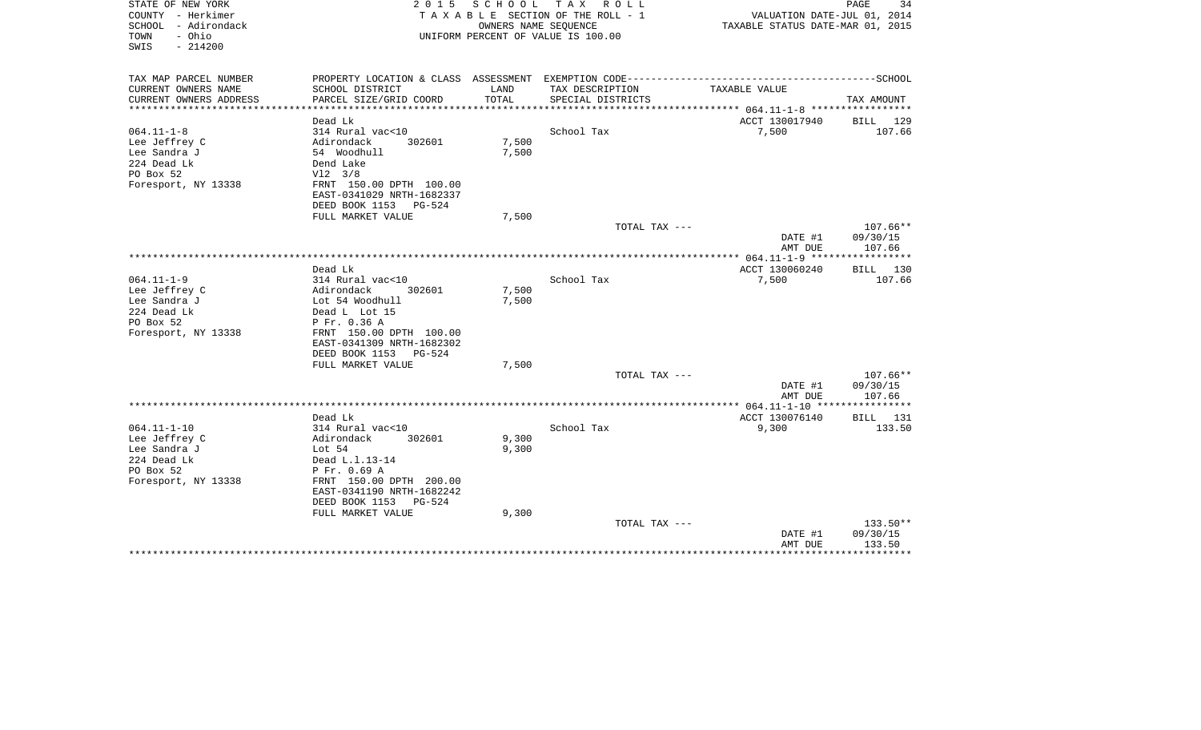| STATE OF NEW YORK<br>COUNTY - Herkimer<br>- Adirondack<br>SCHOOL<br>- Ohio<br>TOWN<br>$-214200$<br>SWIS                                                                                                      | 2 0 1 5                                                                  | SCHOOL<br>OWNERS NAME SEQUENCE | TAX ROLL<br>TAXABLE SECTION OF THE ROLL - 1<br>UNIFORM PERCENT OF VALUE IS 100.00 | VALUATION DATE-JUL 01, 2014<br>TAXABLE STATUS DATE-MAR 01, 2015       | PAGE<br>34                       |
|--------------------------------------------------------------------------------------------------------------------------------------------------------------------------------------------------------------|--------------------------------------------------------------------------|--------------------------------|-----------------------------------------------------------------------------------|-----------------------------------------------------------------------|----------------------------------|
| TAX MAP PARCEL NUMBER<br>CURRENT OWNERS NAME<br>SCHOOL DISTRICT                                                                                                                                              |                                                                          | LAND                           | TAX DESCRIPTION                                                                   | TAXABLE VALUE                                                         |                                  |
| CURRENT OWNERS ADDRESS                                                                                                                                                                                       | PARCEL SIZE/GRID COORD                                                   | TOTAL                          | SPECIAL DISTRICTS                                                                 |                                                                       | TAX AMOUNT                       |
|                                                                                                                                                                                                              |                                                                          |                                |                                                                                   | *********** 064.11-1-8 *************                                  |                                  |
| Dead Lk                                                                                                                                                                                                      |                                                                          |                                |                                                                                   | ACCT 130017940                                                        | BILL 129                         |
| $064.11 - 1 - 8$<br>314 Rural vac<10<br>Lee Jeffrey C<br>Adirondack<br>Lee Sandra J<br>54 Woodhull<br>224 Dead Lk<br>Dend Lake<br>PO Box 52<br>$V12 \t3/8$<br>Foresport, NY 13338                            | 302601<br>FRNT 150.00 DPTH 100.00<br>EAST-0341029 NRTH-1682337           | 7,500<br>7,500                 | School Tax                                                                        | 7,500                                                                 | 107.66                           |
| DEED BOOK 1153<br>FULL MARKET VALUE                                                                                                                                                                          | $PG-524$                                                                 | 7,500                          |                                                                                   |                                                                       |                                  |
|                                                                                                                                                                                                              |                                                                          |                                | TOTAL TAX ---                                                                     |                                                                       | $107.66**$                       |
|                                                                                                                                                                                                              |                                                                          |                                |                                                                                   | DATE #1<br>AMT DUE<br>***************** 064.11-1-9 ****************** | 09/30/15<br>107.66               |
| Dead Lk                                                                                                                                                                                                      |                                                                          |                                |                                                                                   | ACCT 130060240                                                        | BILL 130                         |
| $064.11 - 1 - 9$<br>314 Rural vac<10<br>Lee Jeffrey C<br>Adirondack<br>Lee Sandra J<br>Lot 54 Woodhull<br>224 Dead Lk<br>Dead L Lot 15<br>PO Box 52<br>P Fr. 0.36 A<br>Foresport, NY 13338<br>DEED BOOK 1153 | 302601<br>FRNT 150.00 DPTH 100.00<br>EAST-0341309 NRTH-1682302<br>PG-524 | 7,500<br>7,500                 | School Tax                                                                        | 7,500                                                                 | 107.66                           |
| FULL MARKET VALUE                                                                                                                                                                                            |                                                                          | 7,500                          |                                                                                   |                                                                       |                                  |
|                                                                                                                                                                                                              |                                                                          |                                | TOTAL TAX ---                                                                     | DATE #1<br>AMT DUE                                                    | $107.66**$<br>09/30/15<br>107.66 |
|                                                                                                                                                                                                              |                                                                          |                                |                                                                                   |                                                                       |                                  |
| Dead Lk<br>$064.11 - 1 - 10$<br>314 Rural vac<10<br>Lee Jeffrey C<br>Adirondack<br>Lee Sandra J<br>Lot $54$<br>224 Dead Lk<br>Dead L.1.13-14<br>PO Box 52<br>P Fr. 0.69 A                                    | 302601                                                                   | 9,300<br>9,300                 | School Tax                                                                        | ACCT 130076140<br>9,300                                               | BILL 131<br>133.50               |
| Foresport, NY 13338<br>DEED BOOK 1153<br>FULL MARKET VALUE                                                                                                                                                   | FRNT 150.00 DPTH 200.00<br>EAST-0341190 NRTH-1682242<br>PG-524           | 9,300                          | TOTAL TAX ---                                                                     |                                                                       | 133.50**                         |
|                                                                                                                                                                                                              |                                                                          |                                |                                                                                   | DATE #1<br>AMT DUE                                                    | 09/30/15<br>133.50               |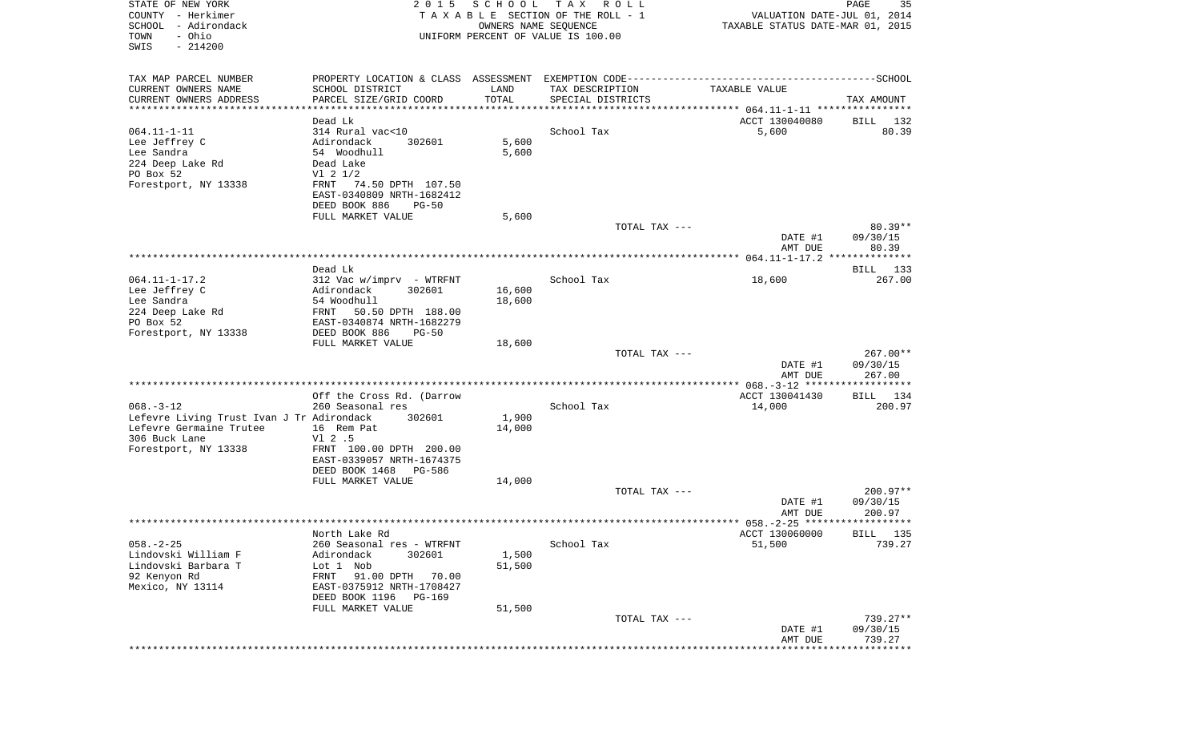| STATE OF NEW YORK<br>COUNTY - Herkimer<br>SCHOOL<br>- Adirondack<br>- Ohio<br>TOWN<br>SWIS<br>$-214200$ | 2 0 1 5                                                           | SCHOOL<br>OWNERS NAME SEQUENCE | T A X<br>R O L L<br>TAXABLE SECTION OF THE ROLL - 1<br>UNIFORM PERCENT OF VALUE IS 100.00 | VALUATION DATE-JUL 01, 2014<br>TAXABLE STATUS DATE-MAR 01, 2015 | PAGE<br>35         |
|---------------------------------------------------------------------------------------------------------|-------------------------------------------------------------------|--------------------------------|-------------------------------------------------------------------------------------------|-----------------------------------------------------------------|--------------------|
|                                                                                                         |                                                                   |                                |                                                                                           |                                                                 |                    |
| TAX MAP PARCEL NUMBER                                                                                   |                                                                   |                                |                                                                                           |                                                                 |                    |
| CURRENT OWNERS NAME                                                                                     | SCHOOL DISTRICT                                                   | LAND                           | TAX DESCRIPTION                                                                           | TAXABLE VALUE                                                   |                    |
| CURRENT OWNERS ADDRESS<br>************************                                                      | PARCEL SIZE/GRID COORD<br>* * * * * * * * * * * * * * * * * * * * | TOTAL<br>****************      | SPECIAL DISTRICTS                                                                         |                                                                 | TAX AMOUNT         |
|                                                                                                         | Dead Lk                                                           |                                |                                                                                           | ACCT 130040080                                                  | BILL<br>132        |
| $064.11 - 1 - 11$                                                                                       | 314 Rural vac<10                                                  |                                | School Tax                                                                                | 5,600                                                           | 80.39              |
| Lee Jeffrey C                                                                                           | Adirondack<br>302601                                              | 5,600                          |                                                                                           |                                                                 |                    |
| Lee Sandra                                                                                              | 54 Woodhull<br>Dead Lake                                          | 5,600                          |                                                                                           |                                                                 |                    |
| 224 Deep Lake Rd<br>PO Box 52                                                                           | $VI$ 2 $1/2$                                                      |                                |                                                                                           |                                                                 |                    |
| Forestport, NY 13338                                                                                    | 74.50 DPTH 107.50<br>FRNT                                         |                                |                                                                                           |                                                                 |                    |
|                                                                                                         | EAST-0340809 NRTH-1682412                                         |                                |                                                                                           |                                                                 |                    |
|                                                                                                         | DEED BOOK 886<br>$PG-50$                                          |                                |                                                                                           |                                                                 |                    |
|                                                                                                         | FULL MARKET VALUE                                                 | 5,600                          | TOTAL TAX ---                                                                             |                                                                 | $80.39**$          |
|                                                                                                         |                                                                   |                                |                                                                                           | DATE #1                                                         | 09/30/15           |
|                                                                                                         |                                                                   |                                |                                                                                           | AMT DUE                                                         | 80.39              |
|                                                                                                         | Dead Lk                                                           |                                |                                                                                           |                                                                 | 133<br>BILL        |
| $064.11 - 1 - 17.2$                                                                                     | $312$ Vac w/imprv - WTRFNT                                        |                                | School Tax                                                                                | 18,600                                                          | 267.00             |
| Lee Jeffrey C                                                                                           | Adirondack<br>302601                                              | 16,600                         |                                                                                           |                                                                 |                    |
| Lee Sandra                                                                                              | 54 Woodhull                                                       | 18,600                         |                                                                                           |                                                                 |                    |
| 224 Deep Lake Rd                                                                                        | 50.50 DPTH 188.00<br>FRNT                                         |                                |                                                                                           |                                                                 |                    |
| PO Box 52<br>Forestport, NY 13338                                                                       | EAST-0340874 NRTH-1682279<br>DEED BOOK 886<br>$PG-50$             |                                |                                                                                           |                                                                 |                    |
|                                                                                                         | FULL MARKET VALUE                                                 | 18,600                         |                                                                                           |                                                                 |                    |
|                                                                                                         |                                                                   |                                | TOTAL TAX ---                                                                             |                                                                 | $267.00**$         |
|                                                                                                         |                                                                   |                                |                                                                                           | DATE #1<br>AMT DUE                                              | 09/30/15<br>267.00 |
|                                                                                                         |                                                                   |                                |                                                                                           |                                                                 |                    |
|                                                                                                         | Off the Cross Rd. (Darrow                                         |                                |                                                                                           | ACCT 130041430                                                  | BILL 134           |
| $068. -3 - 12$                                                                                          | 260 Seasonal res                                                  |                                | School Tax                                                                                | 14,000                                                          | 200.97             |
| Lefevre Living Trust Ivan J Tr Adirondack<br>Lefevre Germaine Trutee                                    | 302601                                                            | 1,900                          |                                                                                           |                                                                 |                    |
| 306 Buck Lane                                                                                           | 16 Rem Pat<br>$VI$ 2.5                                            | 14,000                         |                                                                                           |                                                                 |                    |
| Forestport, NY 13338                                                                                    | FRNT 100.00 DPTH 200.00                                           |                                |                                                                                           |                                                                 |                    |
|                                                                                                         | EAST-0339057 NRTH-1674375                                         |                                |                                                                                           |                                                                 |                    |
|                                                                                                         | DEED BOOK 1468<br>PG-586                                          |                                |                                                                                           |                                                                 |                    |
|                                                                                                         | FULL MARKET VALUE                                                 | 14,000                         | TOTAL TAX ---                                                                             |                                                                 | $200.97**$         |
|                                                                                                         |                                                                   |                                |                                                                                           | DATE #1                                                         | 09/30/15           |
|                                                                                                         |                                                                   |                                |                                                                                           | AMT DUE                                                         | 200.97             |
|                                                                                                         |                                                                   |                                |                                                                                           |                                                                 | <b>BTLL</b> 135    |
| $058. - 2 - 25$                                                                                         | North Lake Rd<br>260 Seasonal res - WTRFNT                        |                                | School Tax                                                                                | ACCT 130060000<br>51,500                                        | 739.27             |
| Lindovski William F                                                                                     | Adirondack<br>302601                                              | 1,500                          |                                                                                           |                                                                 |                    |
| Lindovski Barbara T                                                                                     | Lot 1 Nob                                                         | 51,500                         |                                                                                           |                                                                 |                    |
| 92 Kenyon Rd                                                                                            | 91.00 DPTH<br>FRNT<br>70.00                                       |                                |                                                                                           |                                                                 |                    |
| Mexico, NY 13114                                                                                        | EAST-0375912 NRTH-1708427<br>DEED BOOK 1196<br>PG-169             |                                |                                                                                           |                                                                 |                    |
|                                                                                                         | FULL MARKET VALUE                                                 | 51,500                         |                                                                                           |                                                                 |                    |
|                                                                                                         |                                                                   |                                | TOTAL TAX ---                                                                             |                                                                 | 739.27**           |
|                                                                                                         |                                                                   |                                |                                                                                           | DATE #1                                                         | 09/30/15           |
|                                                                                                         |                                                                   |                                |                                                                                           | AMT DUE                                                         | 739.27             |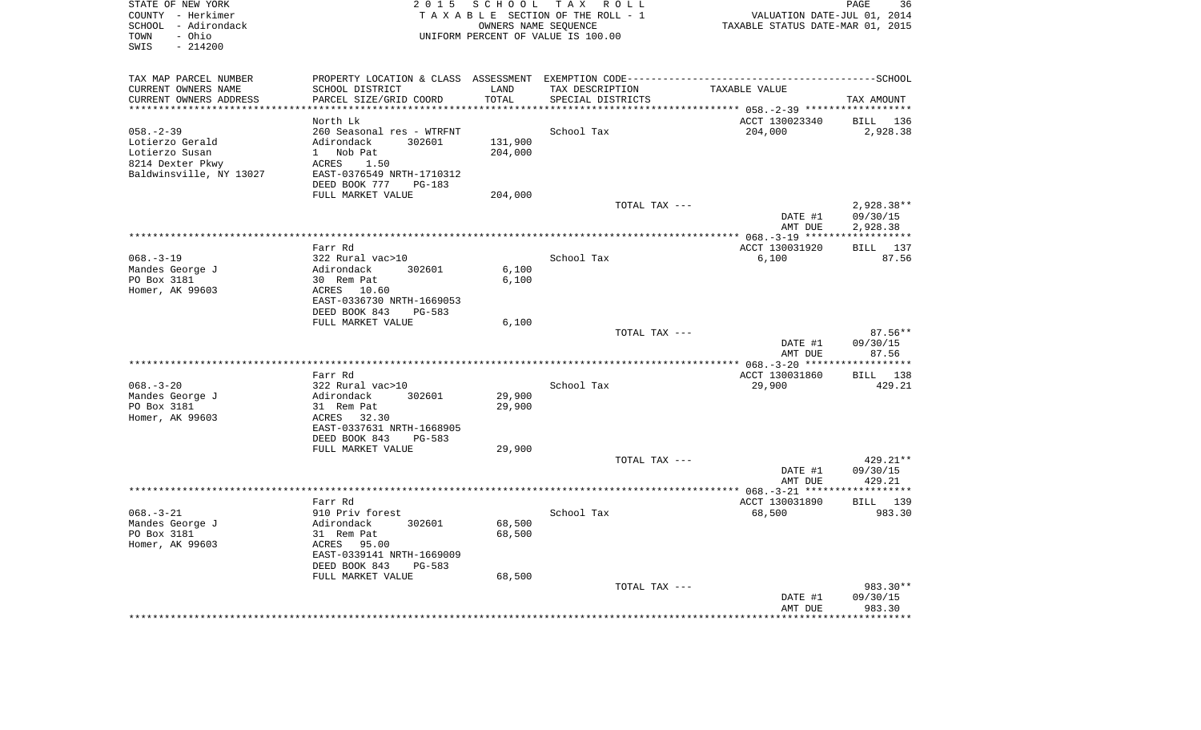| STATE OF NEW YORK<br>COUNTY - Herkimer<br>SCHOOL - Adirondack<br>- Ohio<br>TOWN<br>SWIS<br>$-214200$ | 2 0 1 5                                                | S C H O O L             | T A X<br>R O L L<br>TAXABLE SECTION OF THE ROLL - 1<br>OWNERS NAME SEQUENCE<br>UNIFORM PERCENT OF VALUE IS 100.00 | VALUATION DATE-JUL 01, 2014<br>TAXABLE STATUS DATE-MAR 01, 2015 | PAGE<br>36                |
|------------------------------------------------------------------------------------------------------|--------------------------------------------------------|-------------------------|-------------------------------------------------------------------------------------------------------------------|-----------------------------------------------------------------|---------------------------|
| TAX MAP PARCEL NUMBER                                                                                |                                                        |                         |                                                                                                                   |                                                                 |                           |
| CURRENT OWNERS NAME                                                                                  | SCHOOL DISTRICT                                        | LAND                    | TAX DESCRIPTION                                                                                                   | TAXABLE VALUE                                                   |                           |
| CURRENT OWNERS ADDRESS                                                                               | PARCEL SIZE/GRID COORD                                 | TOTAL<br>************** | SPECIAL DISTRICTS                                                                                                 |                                                                 | TAX AMOUNT                |
| **********************                                                                               | ************************                               |                         |                                                                                                                   |                                                                 |                           |
| $058. - 2 - 39$                                                                                      | North Lk<br>260 Seasonal res - WTRFNT                  |                         | School Tax                                                                                                        | ACCT 130023340<br>204,000                                       | BILL 136<br>2,928.38      |
| Lotierzo Gerald                                                                                      | Adirondack<br>302601                                   | 131,900                 |                                                                                                                   |                                                                 |                           |
| Lotierzo Susan                                                                                       | 1 Nob Pat                                              | 204,000                 |                                                                                                                   |                                                                 |                           |
| 8214 Dexter Pkwy                                                                                     | ACRES<br>1.50                                          |                         |                                                                                                                   |                                                                 |                           |
| Baldwinsville, NY 13027                                                                              | EAST-0376549 NRTH-1710312                              |                         |                                                                                                                   |                                                                 |                           |
|                                                                                                      | DEED BOOK 777<br>$PG-183$                              |                         |                                                                                                                   |                                                                 |                           |
|                                                                                                      | FULL MARKET VALUE                                      | 204,000                 |                                                                                                                   |                                                                 |                           |
|                                                                                                      |                                                        |                         | TOTAL TAX ---                                                                                                     |                                                                 | 2,928.38**                |
|                                                                                                      |                                                        |                         |                                                                                                                   | DATE #1<br>AMT DUE                                              | 09/30/15<br>2,928.38      |
|                                                                                                      |                                                        |                         |                                                                                                                   |                                                                 |                           |
|                                                                                                      | Farr Rd                                                |                         |                                                                                                                   | ACCT 130031920                                                  | BILL 137                  |
| $068. -3 - 19$                                                                                       | 322 Rural vac>10                                       |                         | School Tax                                                                                                        | 6,100                                                           | 87.56                     |
| Mandes George J                                                                                      | Adirondack<br>302601                                   | 6,100                   |                                                                                                                   |                                                                 |                           |
| PO Box 3181                                                                                          | 30 Rem Pat                                             | 6,100                   |                                                                                                                   |                                                                 |                           |
| Homer, AK 99603                                                                                      | ACRES<br>10.60                                         |                         |                                                                                                                   |                                                                 |                           |
|                                                                                                      | EAST-0336730 NRTH-1669053<br>DEED BOOK 843<br>$PG-583$ |                         |                                                                                                                   |                                                                 |                           |
|                                                                                                      | FULL MARKET VALUE                                      | 6,100                   |                                                                                                                   |                                                                 |                           |
|                                                                                                      |                                                        |                         | TOTAL TAX ---                                                                                                     |                                                                 | 87.56**                   |
|                                                                                                      |                                                        |                         |                                                                                                                   | DATE #1                                                         | 09/30/15                  |
|                                                                                                      |                                                        |                         |                                                                                                                   | AMT DUE                                                         | 87.56                     |
|                                                                                                      |                                                        |                         | *******************                                                                                               | ************* 068.-3-20 *****                                   | **********                |
| $068. - 3 - 20$                                                                                      | Farr Rd<br>322 Rural vac>10                            |                         | School Tax                                                                                                        | ACCT 130031860<br>29,900                                        | BILL 138<br>429.21        |
| Mandes George J                                                                                      | Adirondack<br>302601                                   | 29,900                  |                                                                                                                   |                                                                 |                           |
| PO Box 3181                                                                                          | 31 Rem Pat                                             | 29,900                  |                                                                                                                   |                                                                 |                           |
| Homer, AK 99603                                                                                      | ACRES<br>32.30                                         |                         |                                                                                                                   |                                                                 |                           |
|                                                                                                      | EAST-0337631 NRTH-1668905                              |                         |                                                                                                                   |                                                                 |                           |
|                                                                                                      | DEED BOOK 843<br><b>PG-583</b>                         |                         |                                                                                                                   |                                                                 |                           |
|                                                                                                      | FULL MARKET VALUE                                      | 29,900                  |                                                                                                                   |                                                                 |                           |
|                                                                                                      |                                                        |                         | TOTAL TAX ---                                                                                                     |                                                                 | $429.21**$<br>09/30/15    |
|                                                                                                      |                                                        |                         |                                                                                                                   | DATE #1<br>AMT DUE                                              | 429.21                    |
|                                                                                                      |                                                        |                         |                                                                                                                   |                                                                 |                           |
|                                                                                                      | Farr Rd                                                |                         |                                                                                                                   | ACCT 130031890                                                  | BILL 139                  |
| $068. - 3 - 21$                                                                                      | 910 Priv forest                                        |                         | School Tax                                                                                                        | 68,500                                                          | 983.30                    |
| Mandes George J                                                                                      | Adirondack<br>302601                                   | 68,500                  |                                                                                                                   |                                                                 |                           |
| PO Box 3181                                                                                          | 31 Rem Pat                                             | 68,500                  |                                                                                                                   |                                                                 |                           |
| Homer, AK 99603                                                                                      | ACRES<br>95.00<br>EAST-0339141 NRTH-1669009            |                         |                                                                                                                   |                                                                 |                           |
|                                                                                                      | DEED BOOK 843<br><b>PG-583</b>                         |                         |                                                                                                                   |                                                                 |                           |
|                                                                                                      | FULL MARKET VALUE                                      | 68,500                  |                                                                                                                   |                                                                 |                           |
|                                                                                                      |                                                        |                         | TOTAL TAX ---                                                                                                     |                                                                 | 983.30**                  |
|                                                                                                      |                                                        |                         |                                                                                                                   | DATE #1                                                         | 09/30/15                  |
|                                                                                                      |                                                        |                         |                                                                                                                   | AMT DUE                                                         | 983.30<br>* * * * * * * * |
|                                                                                                      |                                                        |                         |                                                                                                                   |                                                                 |                           |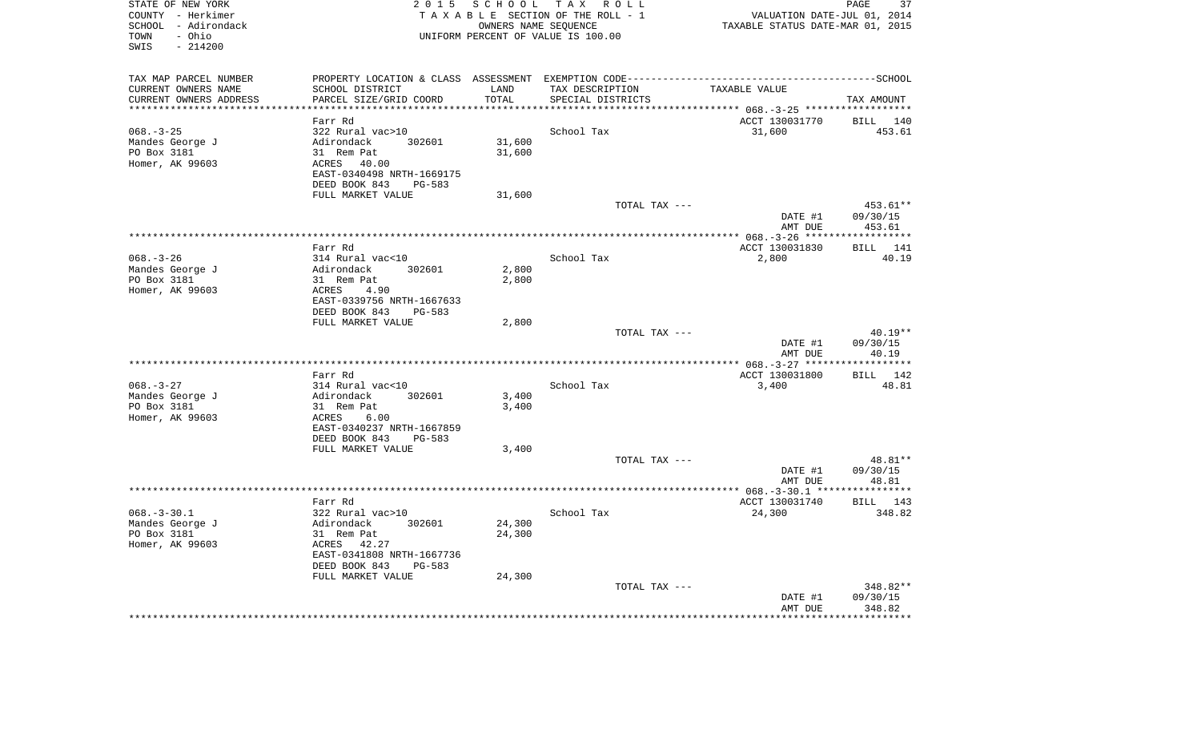| STATE OF NEW YORK<br>COUNTY - Herkimer<br>SCHOOL - Adirondack<br>TOWN<br>- Ohio<br>SWIS<br>$-214200$ |                                                      |                     | 2015 SCHOOL TAX ROLL<br>TAXABLE SECTION OF THE ROLL - 1<br>OWNERS NAME SEQUENCE<br>UNIFORM PERCENT OF VALUE IS 100.00 | VALUATION DATE-JUL 01, 2014<br>TAXABLE STATUS DATE-MAR 01, 2015 | PAGE<br>37          |
|------------------------------------------------------------------------------------------------------|------------------------------------------------------|---------------------|-----------------------------------------------------------------------------------------------------------------------|-----------------------------------------------------------------|---------------------|
| TAX MAP PARCEL NUMBER                                                                                |                                                      |                     |                                                                                                                       |                                                                 |                     |
| CURRENT OWNERS NAME                                                                                  | SCHOOL DISTRICT                                      | LAND                | TAX DESCRIPTION                                                                                                       | TAXABLE VALUE                                                   |                     |
| CURRENT OWNERS ADDRESS<br>********************                                                       | PARCEL SIZE/GRID COORD                               | TOTAL<br>********** | SPECIAL DISTRICTS                                                                                                     |                                                                 | TAX AMOUNT          |
|                                                                                                      | Farr Rd                                              |                     |                                                                                                                       | ACCT 130031770                                                  |                     |
| $068. - 3 - 25$                                                                                      | 322 Rural vac>10                                     |                     | School Tax                                                                                                            | 31,600                                                          | BILL 140<br>453.61  |
| Mandes George J                                                                                      | Adirondack<br>302601                                 | 31,600              |                                                                                                                       |                                                                 |                     |
| PO Box 3181                                                                                          | 31 Rem Pat                                           | 31,600              |                                                                                                                       |                                                                 |                     |
| Homer, AK 99603                                                                                      | ACRES 40.00                                          |                     |                                                                                                                       |                                                                 |                     |
|                                                                                                      | EAST-0340498 NRTH-1669175                            |                     |                                                                                                                       |                                                                 |                     |
|                                                                                                      | DEED BOOK 843<br>PG-583                              |                     |                                                                                                                       |                                                                 |                     |
|                                                                                                      | FULL MARKET VALUE                                    | 31,600              |                                                                                                                       |                                                                 |                     |
|                                                                                                      |                                                      |                     | TOTAL TAX ---                                                                                                         |                                                                 | 453.61**            |
|                                                                                                      |                                                      |                     |                                                                                                                       | DATE #1<br>AMT DUE                                              | 09/30/15<br>453.61  |
|                                                                                                      |                                                      |                     |                                                                                                                       |                                                                 |                     |
|                                                                                                      | Farr Rd                                              |                     |                                                                                                                       | ACCT 130031830                                                  | 141<br>BILL         |
| $068. - 3 - 26$                                                                                      | 314 Rural vac<10                                     |                     | School Tax                                                                                                            | 2,800                                                           | 40.19               |
| Mandes George J                                                                                      | 302601<br>Adirondack                                 | 2,800               |                                                                                                                       |                                                                 |                     |
| PO Box 3181                                                                                          | 31 Rem Pat                                           | 2,800               |                                                                                                                       |                                                                 |                     |
| Homer, AK 99603                                                                                      | ACRES<br>4.90                                        |                     |                                                                                                                       |                                                                 |                     |
|                                                                                                      | EAST-0339756 NRTH-1667633<br>DEED BOOK 843<br>PG-583 |                     |                                                                                                                       |                                                                 |                     |
|                                                                                                      | FULL MARKET VALUE                                    | 2,800               |                                                                                                                       |                                                                 |                     |
|                                                                                                      |                                                      |                     | TOTAL TAX ---                                                                                                         |                                                                 | $40.19**$           |
|                                                                                                      |                                                      |                     |                                                                                                                       | DATE #1                                                         | 09/30/15            |
|                                                                                                      |                                                      |                     |                                                                                                                       | AMT DUE                                                         | 40.19               |
|                                                                                                      |                                                      |                     | *******************                                                                                                   | ************* 068. - 3-27 *****                                 | * * * * * * * * * * |
|                                                                                                      | Farr Rd                                              |                     |                                                                                                                       | ACCT 130031800                                                  | BILL 142            |
| $068. - 3 - 27$                                                                                      | 314 Rural vac<10                                     | 3,400               | School Tax                                                                                                            | 3,400                                                           | 48.81               |
| Mandes George J<br>PO Box 3181                                                                       | Adirondack<br>302601<br>31 Rem Pat                   | 3,400               |                                                                                                                       |                                                                 |                     |
| Homer, AK 99603                                                                                      | ACRES<br>6.00                                        |                     |                                                                                                                       |                                                                 |                     |
|                                                                                                      | EAST-0340237 NRTH-1667859                            |                     |                                                                                                                       |                                                                 |                     |
|                                                                                                      | DEED BOOK 843<br>PG-583                              |                     |                                                                                                                       |                                                                 |                     |
|                                                                                                      | FULL MARKET VALUE                                    | 3,400               |                                                                                                                       |                                                                 |                     |
|                                                                                                      |                                                      |                     | TOTAL TAX ---                                                                                                         |                                                                 | 48.81**             |
|                                                                                                      |                                                      |                     |                                                                                                                       | DATE #1                                                         | 09/30/15            |
|                                                                                                      |                                                      |                     |                                                                                                                       | AMT DUE                                                         | 48.81               |
|                                                                                                      | Farr Rd                                              |                     |                                                                                                                       | ACCT 130031740                                                  | BILL 143            |
| $068. - 3 - 30.1$                                                                                    | 322 Rural vac>10                                     |                     | School Tax                                                                                                            | 24,300                                                          | 348.82              |
| Mandes George J                                                                                      | Adirondack<br>302601                                 | 24,300              |                                                                                                                       |                                                                 |                     |
| PO Box 3181                                                                                          | 31 Rem Pat                                           | 24,300              |                                                                                                                       |                                                                 |                     |
| Homer, AK 99603                                                                                      | ACRES 42.27                                          |                     |                                                                                                                       |                                                                 |                     |
|                                                                                                      | EAST-0341808 NRTH-1667736                            |                     |                                                                                                                       |                                                                 |                     |
|                                                                                                      | DEED BOOK 843<br>PG-583                              |                     |                                                                                                                       |                                                                 |                     |
|                                                                                                      | FULL MARKET VALUE                                    | 24,300              | TOTAL TAX ---                                                                                                         |                                                                 | 348.82**            |
|                                                                                                      |                                                      |                     |                                                                                                                       | DATE #1                                                         | 09/30/15            |
|                                                                                                      |                                                      |                     |                                                                                                                       | AMT DUE                                                         | 348.82              |
|                                                                                                      |                                                      |                     |                                                                                                                       |                                                                 |                     |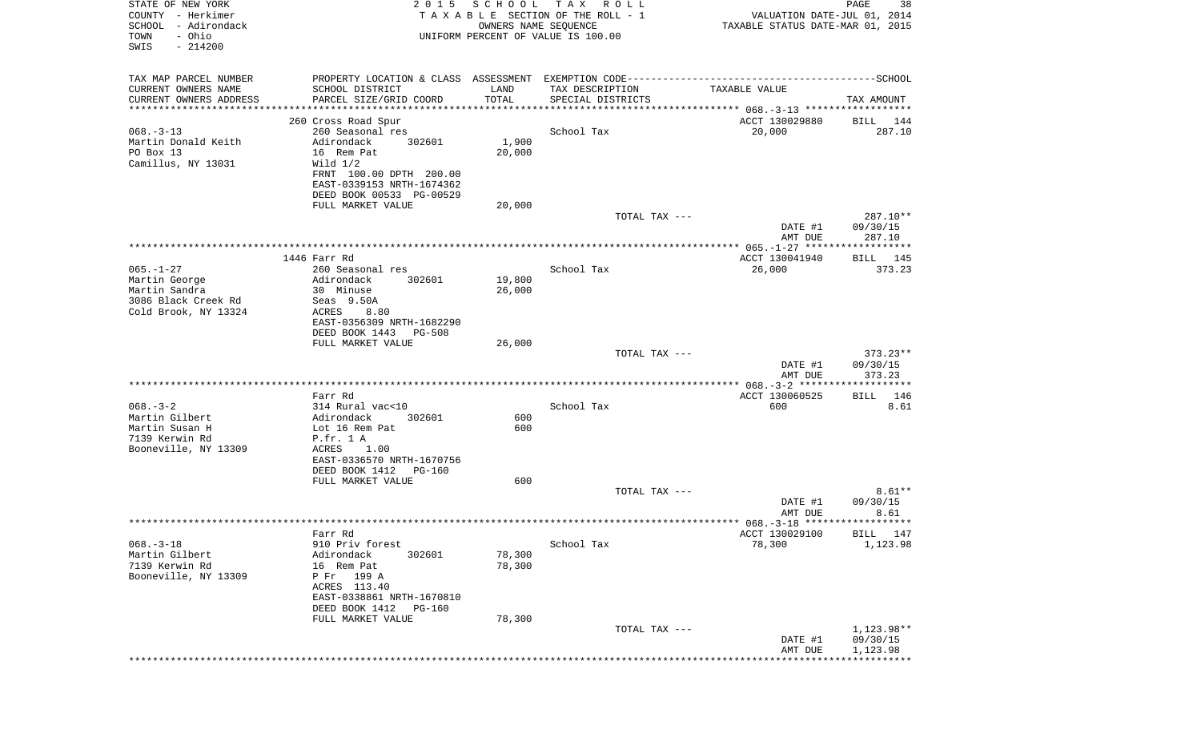| STATE OF NEW YORK<br>COUNTY - Herkimer<br>SCHOOL - Adirondack<br>- Ohio<br>TOWN<br>SWIS<br>$-214200$ | 2 0 1 5                                                                                      | SCHOOL TAX<br>OWNERS NAME SEQUENCE | R O L L<br>TAXABLE SECTION OF THE ROLL - 1<br>UNIFORM PERCENT OF VALUE IS 100.00 | VALUATION DATE-JUL 01, 2014<br>TAXABLE STATUS DATE-MAR 01, 2015 | PAGE<br>38              |
|------------------------------------------------------------------------------------------------------|----------------------------------------------------------------------------------------------|------------------------------------|----------------------------------------------------------------------------------|-----------------------------------------------------------------|-------------------------|
| TAX MAP PARCEL NUMBER                                                                                | PROPERTY LOCATION & CLASS ASSESSMENT EXEMPTION CODE-----------------------------------SCHOOL |                                    |                                                                                  |                                                                 |                         |
| CURRENT OWNERS NAME<br>CURRENT OWNERS ADDRESS                                                        | SCHOOL DISTRICT<br>PARCEL SIZE/GRID COORD                                                    | LAND<br>TOTAL                      | TAX DESCRIPTION<br>SPECIAL DISTRICTS                                             | TAXABLE VALUE                                                   | TAX AMOUNT              |
| ************************                                                                             |                                                                                              |                                    |                                                                                  |                                                                 |                         |
|                                                                                                      | 260 Cross Road Spur                                                                          |                                    |                                                                                  | ACCT 130029880                                                  | BILL 144                |
| $068. -3 - 13$<br>Martin Donald Keith                                                                | 260 Seasonal res<br>Adirondack<br>302601                                                     | 1,900                              | School Tax                                                                       | 20,000                                                          | 287.10                  |
| PO Box 13                                                                                            | 16 Rem Pat                                                                                   | 20,000                             |                                                                                  |                                                                 |                         |
| Camillus, NY 13031                                                                                   | Wild $1/2$                                                                                   |                                    |                                                                                  |                                                                 |                         |
|                                                                                                      | FRNT 100.00 DPTH 200.00                                                                      |                                    |                                                                                  |                                                                 |                         |
|                                                                                                      | EAST-0339153 NRTH-1674362                                                                    |                                    |                                                                                  |                                                                 |                         |
|                                                                                                      | DEED BOOK 00533 PG-00529<br>FULL MARKET VALUE                                                | 20,000                             |                                                                                  |                                                                 |                         |
|                                                                                                      |                                                                                              |                                    | TOTAL TAX ---                                                                    |                                                                 | 287.10**                |
|                                                                                                      |                                                                                              |                                    |                                                                                  | DATE #1                                                         | 09/30/15                |
|                                                                                                      |                                                                                              |                                    |                                                                                  | AMT DUE                                                         | 287.10                  |
|                                                                                                      | 1446 Farr Rd                                                                                 |                                    |                                                                                  | ACCT 130041940                                                  | BILL 145                |
| $065. - 1 - 27$                                                                                      | 260 Seasonal res                                                                             |                                    | School Tax                                                                       | 26,000                                                          | 373.23                  |
| Martin George                                                                                        | Adirondack<br>302601                                                                         | 19,800                             |                                                                                  |                                                                 |                         |
| Martin Sandra<br>3086 Black Creek Rd                                                                 | 30 Minuse<br>Seas 9.50A                                                                      | 26,000                             |                                                                                  |                                                                 |                         |
| Cold Brook, NY 13324                                                                                 | ACRES<br>8.80                                                                                |                                    |                                                                                  |                                                                 |                         |
|                                                                                                      | EAST-0356309 NRTH-1682290                                                                    |                                    |                                                                                  |                                                                 |                         |
|                                                                                                      | DEED BOOK 1443<br>PG-508                                                                     |                                    |                                                                                  |                                                                 |                         |
|                                                                                                      | FULL MARKET VALUE                                                                            | 26,000                             | TOTAL TAX ---                                                                    |                                                                 | $373.23**$              |
|                                                                                                      |                                                                                              |                                    |                                                                                  | DATE #1                                                         | 09/30/15                |
|                                                                                                      |                                                                                              |                                    |                                                                                  | AMT DUE                                                         | 373.23                  |
|                                                                                                      |                                                                                              |                                    |                                                                                  |                                                                 |                         |
| $068. - 3 - 2$                                                                                       | Farr Rd<br>314 Rural vac<10                                                                  |                                    | School Tax                                                                       | ACCT 130060525<br>600                                           | 146<br>BILL<br>8.61     |
| Martin Gilbert                                                                                       | Adirondack<br>302601                                                                         | 600                                |                                                                                  |                                                                 |                         |
| Martin Susan H                                                                                       | Lot 16 Rem Pat                                                                               | 600                                |                                                                                  |                                                                 |                         |
| 7139 Kerwin Rd                                                                                       | P.fr. 1 A                                                                                    |                                    |                                                                                  |                                                                 |                         |
| Booneville, NY 13309                                                                                 | ACRES<br>1.00<br>EAST-0336570 NRTH-1670756                                                   |                                    |                                                                                  |                                                                 |                         |
|                                                                                                      | DEED BOOK 1412<br>PG-160                                                                     |                                    |                                                                                  |                                                                 |                         |
|                                                                                                      | FULL MARKET VALUE                                                                            | 600                                |                                                                                  |                                                                 |                         |
|                                                                                                      |                                                                                              |                                    | TOTAL TAX ---                                                                    |                                                                 | $8.61**$                |
|                                                                                                      |                                                                                              |                                    |                                                                                  | DATE #1<br>AMT DUE                                              | 09/30/15<br>8.61        |
|                                                                                                      |                                                                                              |                                    |                                                                                  |                                                                 |                         |
|                                                                                                      | Farr Rd                                                                                      |                                    |                                                                                  | ACCT 130029100 BILL 147                                         |                         |
| $068. - 3 - 18$                                                                                      | 910 Priv forest                                                                              |                                    | School Tax                                                                       | 78,300                                                          | 1,123.98                |
| Martin Gilbert<br>7139 Kerwin Rd                                                                     | Adirondack<br>302601<br>16 Rem Pat                                                           | 78,300<br>78,300                   |                                                                                  |                                                                 |                         |
| Booneville, NY 13309                                                                                 | P Fr 199 A                                                                                   |                                    |                                                                                  |                                                                 |                         |
|                                                                                                      | ACRES 113.40                                                                                 |                                    |                                                                                  |                                                                 |                         |
|                                                                                                      | EAST-0338861 NRTH-1670810                                                                    |                                    |                                                                                  |                                                                 |                         |
|                                                                                                      | DEED BOOK 1412<br>PG-160<br>FULL MARKET VALUE                                                | 78,300                             |                                                                                  |                                                                 |                         |
|                                                                                                      |                                                                                              |                                    | TOTAL TAX ---                                                                    |                                                                 | 1,123.98**              |
|                                                                                                      |                                                                                              |                                    |                                                                                  | DATE #1                                                         | 09/30/15                |
|                                                                                                      |                                                                                              |                                    |                                                                                  | AMT DUE                                                         | 1,123.98<br>*********** |
|                                                                                                      |                                                                                              |                                    |                                                                                  |                                                                 |                         |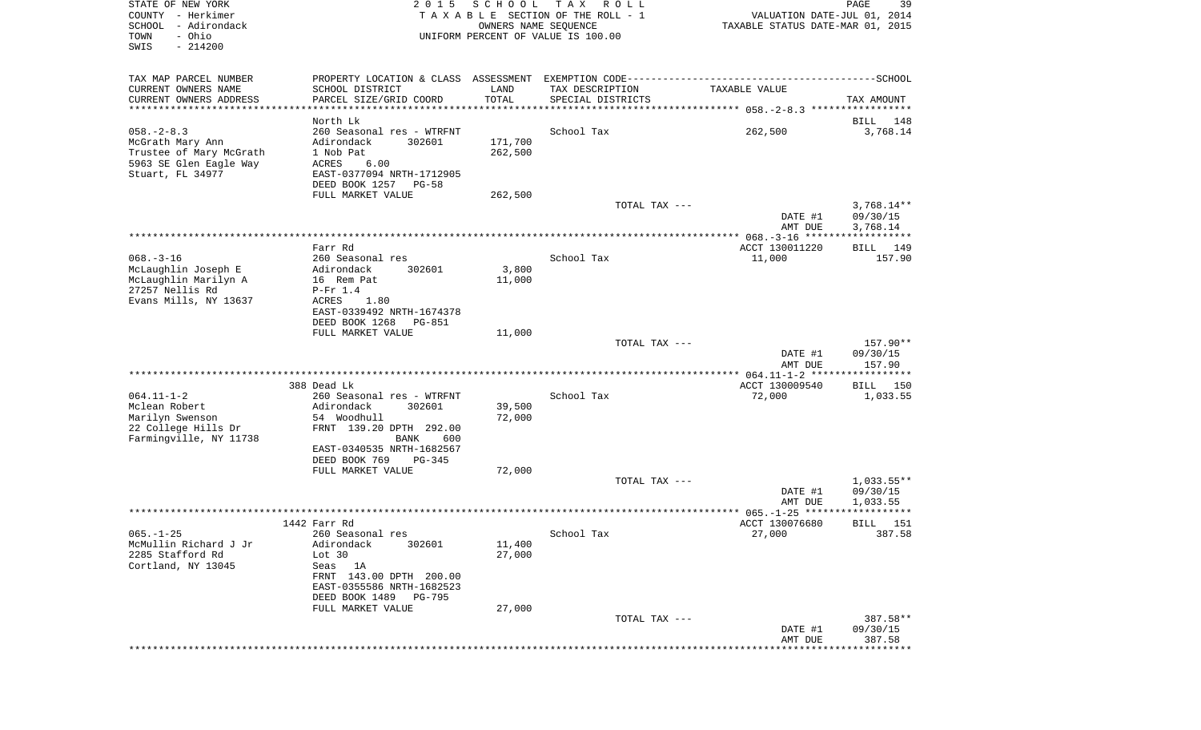| STATE OF NEW YORK<br>COUNTY - Herkimer<br>SCHOOL<br>- Adirondack<br>- Ohio<br>TOWN<br>SWIS<br>$-214200$       | 2 0 1 5                                                                                                                                                                       | SCHOOL<br>OWNERS NAME SEQUENCE | T A X<br>R O L L<br>TAXABLE SECTION OF THE ROLL - 1<br>UNIFORM PERCENT OF VALUE IS 100.00 | VALUATION DATE-JUL 01, 2014<br>TAXABLE STATUS DATE-MAR 01, 2015 | PAGE<br>39                           |
|---------------------------------------------------------------------------------------------------------------|-------------------------------------------------------------------------------------------------------------------------------------------------------------------------------|--------------------------------|-------------------------------------------------------------------------------------------|-----------------------------------------------------------------|--------------------------------------|
| TAX MAP PARCEL NUMBER                                                                                         |                                                                                                                                                                               |                                |                                                                                           |                                                                 |                                      |
| CURRENT OWNERS NAME<br>CURRENT OWNERS ADDRESS<br>************************                                     | SCHOOL DISTRICT<br>PARCEL SIZE/GRID COORD<br>*****************************                                                                                                    | LAND<br>TOTAL                  | TAX DESCRIPTION<br>SPECIAL DISTRICTS                                                      | TAXABLE VALUE                                                   | TAX AMOUNT                           |
|                                                                                                               | North Lk                                                                                                                                                                      |                                |                                                                                           |                                                                 | 148<br>BILL                          |
| $058. - 2 - 8.3$<br>McGrath Mary Ann<br>Trustee of Mary McGrath<br>5963 SE Glen Eagle Way<br>Stuart, FL 34977 | 260 Seasonal res - WTRFNT<br>302601<br>Adirondack<br>1 Nob Pat<br>ACRES<br>6.00<br>EAST-0377094 NRTH-1712905<br>DEED BOOK 1257<br>PG-58                                       | 171,700<br>262,500             | School Tax                                                                                | 262,500                                                         | 3,768.14                             |
|                                                                                                               | FULL MARKET VALUE                                                                                                                                                             | 262,500                        |                                                                                           |                                                                 |                                      |
|                                                                                                               |                                                                                                                                                                               |                                | TOTAL TAX ---                                                                             | DATE #1<br>AMT DUE                                              | $3,768.14**$<br>09/30/15<br>3,768.14 |
|                                                                                                               |                                                                                                                                                                               |                                |                                                                                           |                                                                 |                                      |
| $068. -3 - 16$<br>McLaughlin Joseph E<br>McLaughlin Marilyn A                                                 | Farr Rd<br>260 Seasonal res<br>302601<br>Adirondack<br>16 Rem Pat                                                                                                             | 3,800<br>11,000                | School Tax                                                                                | ACCT 130011220<br>11,000                                        | 149<br>BILL<br>157.90                |
| 27257 Nellis Rd<br>Evans Mills, NY 13637                                                                      | $P-Fr 1.4$<br>ACRES<br>1.80<br>EAST-0339492 NRTH-1674378<br>DEED BOOK 1268<br>PG-851                                                                                          |                                |                                                                                           |                                                                 |                                      |
|                                                                                                               | FULL MARKET VALUE                                                                                                                                                             | 11,000                         | TOTAL TAX ---                                                                             | DATE #1                                                         | 157.90**<br>09/30/15                 |
|                                                                                                               |                                                                                                                                                                               |                                |                                                                                           | AMT DUE                                                         | 157.90                               |
|                                                                                                               | 388 Dead Lk                                                                                                                                                                   |                                |                                                                                           | ************* 064.11-1-2 *****************<br>ACCT 130009540    | 150<br>BILL                          |
| $064.11 - 1 - 2$<br>Mclean Robert<br>Marilyn Swenson<br>22 College Hills Dr<br>Farmingville, NY 11738         | 260 Seasonal res - WTRFNT<br>Adirondack<br>302601<br>54 Woodhull<br>FRNT 139.20 DPTH 292.00<br>BANK<br>600                                                                    | 39,500<br>72,000               | School Tax                                                                                | 72,000                                                          | 1,033.55                             |
|                                                                                                               | EAST-0340535 NRTH-1682567<br>DEED BOOK 769<br>PG-345                                                                                                                          |                                |                                                                                           |                                                                 |                                      |
|                                                                                                               | FULL MARKET VALUE                                                                                                                                                             | 72,000                         | TOTAL TAX ---                                                                             | DATE #1<br>AMT DUE                                              | $1,033.55**$<br>09/30/15<br>1,033.55 |
|                                                                                                               |                                                                                                                                                                               |                                |                                                                                           |                                                                 | ***********                          |
|                                                                                                               | 1442 Farr Rd                                                                                                                                                                  |                                |                                                                                           | ACCT 130076680                                                  | 151<br>BILL                          |
| $065. - 1 - 25$<br>McMullin Richard J Jr<br>2285 Stafford Rd<br>Cortland, NY 13045                            | 260 Seasonal res<br>Adirondack<br>302601<br>Lot 30<br>Seas 1A<br>FRNT 143.00 DPTH 200.00<br>EAST-0355586 NRTH-1682523<br>DEED BOOK 1489<br><b>PG-795</b><br>FULL MARKET VALUE | 11,400<br>27,000<br>27,000     | School Tax                                                                                | 27,000                                                          | 387.58                               |
|                                                                                                               |                                                                                                                                                                               |                                | TOTAL TAX ---                                                                             | DATE #1<br>AMT DUE                                              | 387.58**<br>09/30/15<br>387.58       |
|                                                                                                               |                                                                                                                                                                               |                                |                                                                                           |                                                                 | * * * * * * * * *                    |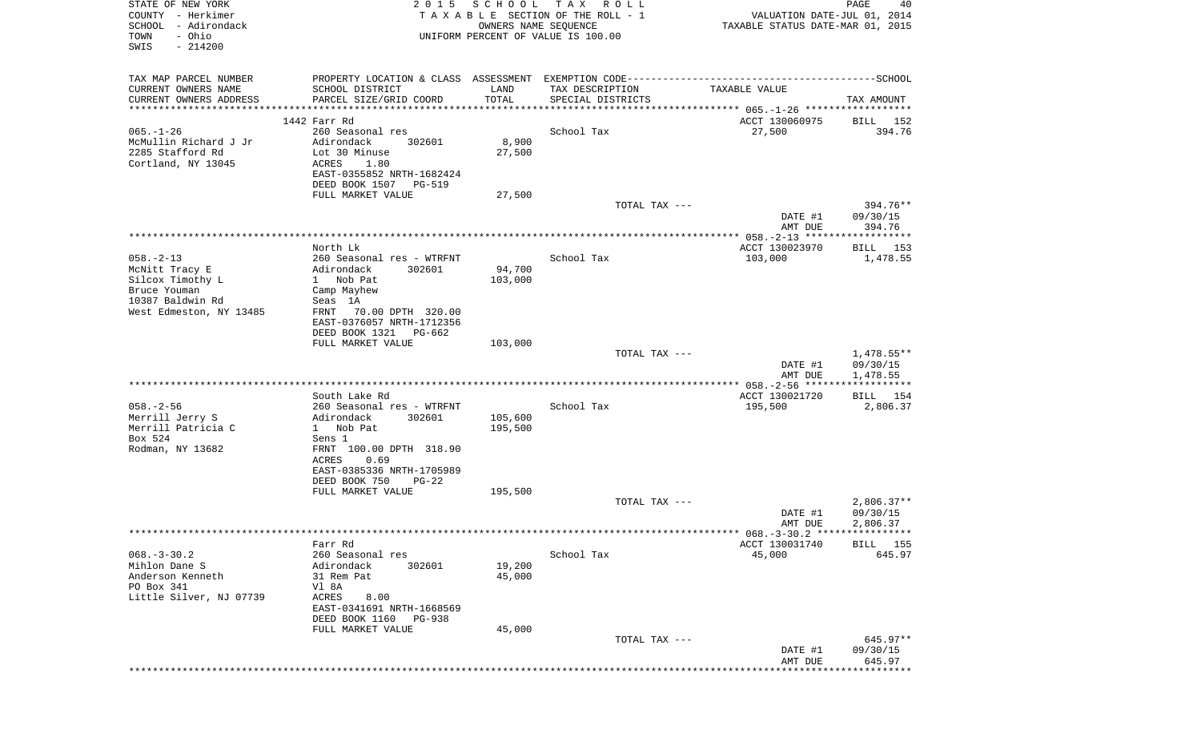| STATE OF NEW YORK<br>COUNTY - Herkimer<br>SCHOOL - Adirondack<br>- Ohio<br>TOWN<br>$-214200$<br>SWIS | 2 0 1 5                                            | SCHOOL TAX<br>OWNERS NAME SEQUENCE | R O L L<br>TAXABLE SECTION OF THE ROLL - 1<br>UNIFORM PERCENT OF VALUE IS 100.00             | VALUATION DATE-JUL 01, 2014<br>TAXABLE STATUS DATE-MAR 01, 2015 | PAGE<br>40           |
|------------------------------------------------------------------------------------------------------|----------------------------------------------------|------------------------------------|----------------------------------------------------------------------------------------------|-----------------------------------------------------------------|----------------------|
| TAX MAP PARCEL NUMBER                                                                                |                                                    |                                    | PROPERTY LOCATION & CLASS ASSESSMENT EXEMPTION CODE-----------------------------------SCHOOL |                                                                 |                      |
| CURRENT OWNERS NAME<br>CURRENT OWNERS ADDRESS                                                        | SCHOOL DISTRICT<br>PARCEL SIZE/GRID COORD          | LAND<br>TOTAL                      | TAX DESCRIPTION<br>SPECIAL DISTRICTS                                                         | TAXABLE VALUE                                                   | TAX AMOUNT           |
| *************************                                                                            |                                                    |                                    |                                                                                              |                                                                 |                      |
|                                                                                                      | 1442 Farr Rd                                       |                                    |                                                                                              | ACCT 130060975                                                  | BILL 152             |
| $065. - 1 - 26$<br>McMullin Richard J Jr                                                             | 260 Seasonal res<br>Adirondack<br>302601           | 8,900                              | School Tax                                                                                   | 27,500                                                          | 394.76               |
| 2285 Stafford Rd                                                                                     | Lot 30 Minuse                                      | 27,500                             |                                                                                              |                                                                 |                      |
| Cortland, NY 13045                                                                                   | ACRES<br>1.80                                      |                                    |                                                                                              |                                                                 |                      |
|                                                                                                      | EAST-0355852 NRTH-1682424                          |                                    |                                                                                              |                                                                 |                      |
|                                                                                                      | DEED BOOK 1507 PG-519                              |                                    |                                                                                              |                                                                 |                      |
|                                                                                                      | FULL MARKET VALUE                                  | 27,500                             |                                                                                              |                                                                 |                      |
|                                                                                                      |                                                    |                                    | TOTAL TAX ---                                                                                |                                                                 | 394.76**             |
|                                                                                                      |                                                    |                                    |                                                                                              | DATE #1                                                         | 09/30/15             |
|                                                                                                      |                                                    |                                    |                                                                                              | AMT DUE                                                         | 394.76               |
|                                                                                                      | North Lk                                           |                                    |                                                                                              | ACCT 130023970                                                  | BILL 153             |
| $058. - 2 - 13$                                                                                      | 260 Seasonal res - WTRFNT                          |                                    | School Tax                                                                                   | 103,000                                                         | 1,478.55             |
| McNitt Tracy E                                                                                       | Adirondack<br>302601                               | 94,700                             |                                                                                              |                                                                 |                      |
| Silcox Timothy L                                                                                     | 1 Nob Pat                                          | 103,000                            |                                                                                              |                                                                 |                      |
| Bruce Youman                                                                                         | Camp Mayhew                                        |                                    |                                                                                              |                                                                 |                      |
| 10387 Baldwin Rd                                                                                     | Seas 1A                                            |                                    |                                                                                              |                                                                 |                      |
| West Edmeston, NY 13485                                                                              | FRNT<br>70.00 DPTH 320.00                          |                                    |                                                                                              |                                                                 |                      |
|                                                                                                      | EAST-0376057 NRTH-1712356<br>DEED BOOK 1321 PG-662 |                                    |                                                                                              |                                                                 |                      |
|                                                                                                      | FULL MARKET VALUE                                  | 103,000                            |                                                                                              |                                                                 |                      |
|                                                                                                      |                                                    |                                    | TOTAL TAX ---                                                                                |                                                                 | $1,478.55**$         |
|                                                                                                      |                                                    |                                    |                                                                                              | DATE #1                                                         | 09/30/15             |
|                                                                                                      |                                                    |                                    |                                                                                              | AMT DUE                                                         | 1,478.55             |
|                                                                                                      |                                                    |                                    |                                                                                              |                                                                 |                      |
|                                                                                                      | South Lake Rd                                      |                                    |                                                                                              | ACCT 130021720                                                  | BILL 154             |
| $058. - 2 - 56$                                                                                      | 260 Seasonal res - WTRFNT                          |                                    | School Tax                                                                                   | 195,500                                                         | 2,806.37             |
| Merrill Jerry S<br>Merrill Patricia C                                                                | Adirondack<br>302601                               | 105,600                            |                                                                                              |                                                                 |                      |
| Box 524                                                                                              | 1 Nob Pat<br>Sens 1                                | 195,500                            |                                                                                              |                                                                 |                      |
| Rodman, NY 13682                                                                                     | FRNT 100.00 DPTH 318.90                            |                                    |                                                                                              |                                                                 |                      |
|                                                                                                      | ACRES<br>0.69                                      |                                    |                                                                                              |                                                                 |                      |
|                                                                                                      | EAST-0385336 NRTH-1705989                          |                                    |                                                                                              |                                                                 |                      |
|                                                                                                      | DEED BOOK 750<br>$PG-22$                           |                                    |                                                                                              |                                                                 |                      |
|                                                                                                      | FULL MARKET VALUE                                  | 195,500                            |                                                                                              |                                                                 |                      |
|                                                                                                      |                                                    |                                    | TOTAL TAX ---                                                                                |                                                                 | $2,806.37**$         |
|                                                                                                      |                                                    |                                    |                                                                                              | DATE #1                                                         | 09/30/15<br>2,806.37 |
|                                                                                                      |                                                    |                                    |                                                                                              | AMT DUE                                                         |                      |
|                                                                                                      | Farr Rd                                            |                                    |                                                                                              | ACCT 130031740                                                  | BILL 155             |
| $068. - 3 - 30.2$                                                                                    | 260 Seasonal res                                   |                                    | School Tax                                                                                   | 45,000                                                          | 645.97               |
| Mihlon Dane S                                                                                        | Adirondack<br>302601                               | 19,200                             |                                                                                              |                                                                 |                      |
| Anderson Kenneth                                                                                     | 31 Rem Pat                                         | 45,000                             |                                                                                              |                                                                 |                      |
| PO Box 341                                                                                           | Vl 8A                                              |                                    |                                                                                              |                                                                 |                      |
| Little Silver, NJ 07739                                                                              | ACRES<br>8.00                                      |                                    |                                                                                              |                                                                 |                      |
|                                                                                                      | EAST-0341691 NRTH-1668569                          |                                    |                                                                                              |                                                                 |                      |
|                                                                                                      | DEED BOOK 1160<br>PG-938<br>FULL MARKET VALUE      | 45,000                             |                                                                                              |                                                                 |                      |
|                                                                                                      |                                                    |                                    | TOTAL TAX ---                                                                                |                                                                 | 645.97**             |
|                                                                                                      |                                                    |                                    |                                                                                              | DATE #1                                                         | 09/30/15             |
|                                                                                                      |                                                    |                                    |                                                                                              | AMT DUE                                                         | 645.97               |
|                                                                                                      |                                                    |                                    |                                                                                              |                                                                 |                      |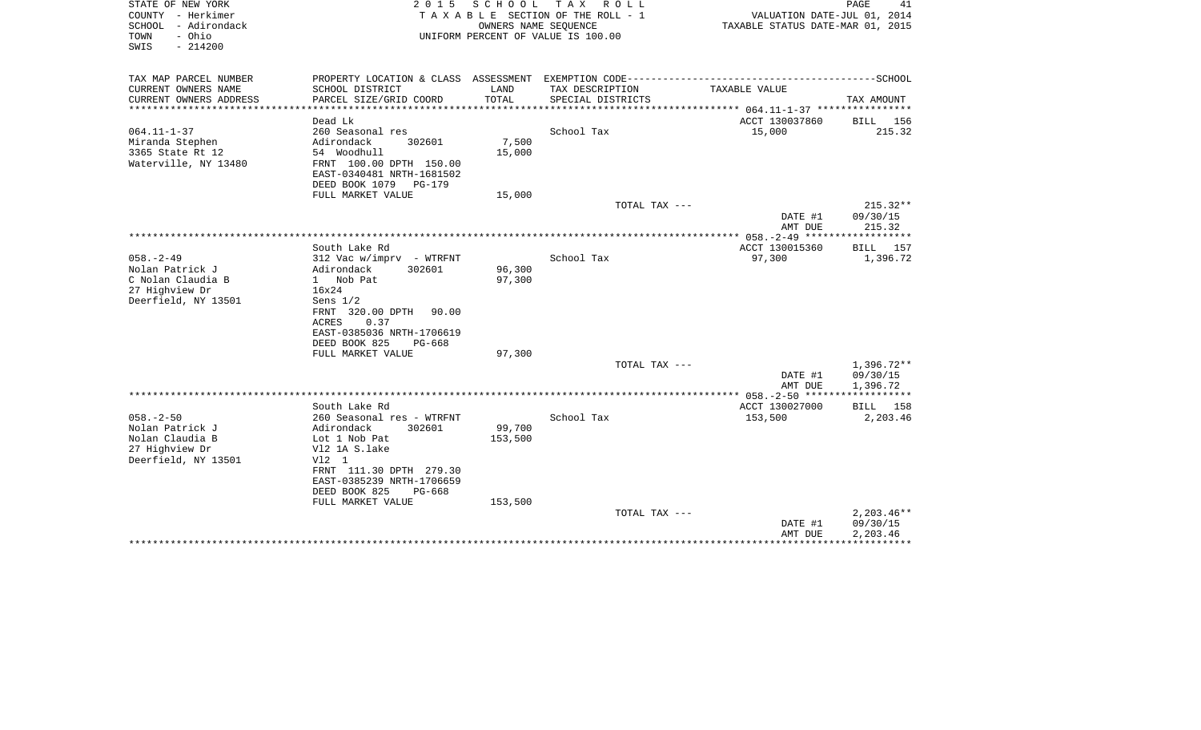| SCHOOL - Adirondack<br>OWNERS NAME SEQUENCE<br>TAXABLE STATUS DATE-MAR 01, 2015<br>- Ohio<br>UNIFORM PERCENT OF VALUE IS 100.00<br>TOWN<br>$-214200$<br>SWIS                                                                                                               |                                      |
|----------------------------------------------------------------------------------------------------------------------------------------------------------------------------------------------------------------------------------------------------------------------------|--------------------------------------|
| TAX MAP PARCEL NUMBER<br>CURRENT OWNERS NAME<br>SCHOOL DISTRICT<br>TAX DESCRIPTION<br>TAXABLE VALUE<br>LAND                                                                                                                                                                |                                      |
| CURRENT OWNERS ADDRESS<br>PARCEL SIZE/GRID COORD<br>TOTAL<br>SPECIAL DISTRICTS<br>***********************<br>**********************<br>***************                                                                                                                     | TAX AMOUNT                           |
| Dead Lk<br>ACCT 130037860                                                                                                                                                                                                                                                  | BILL 156                             |
| $064.11 - 1 - 37$<br>260 Seasonal res<br>School Tax<br>15,000<br>7,500<br>Miranda Stephen<br>Adirondack<br>302601<br>3365 State Rt 12<br>54 Woodhull<br>15,000<br>Waterville, NY 13480<br>FRNT 100.00 DPTH 150.00<br>EAST-0340481 NRTH-1681502<br>DEED BOOK 1079<br>PG-179 | 215.32                               |
| FULL MARKET VALUE<br>15,000                                                                                                                                                                                                                                                |                                      |
| TOTAL TAX ---<br>DATE #1<br>AMT DUE                                                                                                                                                                                                                                        | $215.32**$<br>09/30/15<br>215.32     |
|                                                                                                                                                                                                                                                                            |                                      |
| ACCT 130015360<br>South Lake Rd<br>$058. - 2 - 49$<br>School Tax<br>$312$ Vac w/imprv - WTRFNT<br>97,300<br>Nolan Patrick J<br>Adirondack<br>302601<br>96,300                                                                                                              | BILL 157<br>1,396.72                 |
| C Nolan Claudia B<br>1 Nob Pat<br>97,300<br>27 Highview Dr<br>16x24<br>Deerfield, NY 13501<br>Sens $1/2$<br>FRNT 320.00 DPTH<br>90.00<br>0.37<br>ACRES<br>EAST-0385036 NRTH-1706619<br>DEED BOOK 825<br>$PG-668$<br>FULL MARKET VALUE<br>97,300                            |                                      |
| TOTAL TAX ---                                                                                                                                                                                                                                                              | $1,396.72**$                         |
| DATE #1<br>AMT DUE                                                                                                                                                                                                                                                         | 09/30/15<br>1,396.72                 |
| South Lake Rd<br>ACCT 130027000                                                                                                                                                                                                                                            | * * * * * * * * * * *<br>BILL 158    |
| $058. - 2 - 50$<br>School Tax<br>153,500<br>260 Seasonal res - WTRFNT<br>99,700<br>Nolan Patrick J<br>Adirondack<br>302601<br>Nolan Claudia B<br>153,500<br>Lot 1 Nob Pat<br>27 Highview Dr<br>V12 1A S.lake<br>Deerfield, NY 13501<br>V12 1                               | 2,203.46                             |
| FRNT 111.30 DPTH 279.30<br>EAST-0385239 NRTH-1706659<br>DEED BOOK 825<br>$PG-668$<br>FULL MARKET VALUE<br>153,500                                                                                                                                                          |                                      |
| TOTAL TAX ---<br>DATE #1<br>AMT DUE                                                                                                                                                                                                                                        | $2,203.46**$<br>09/30/15<br>2,203.46 |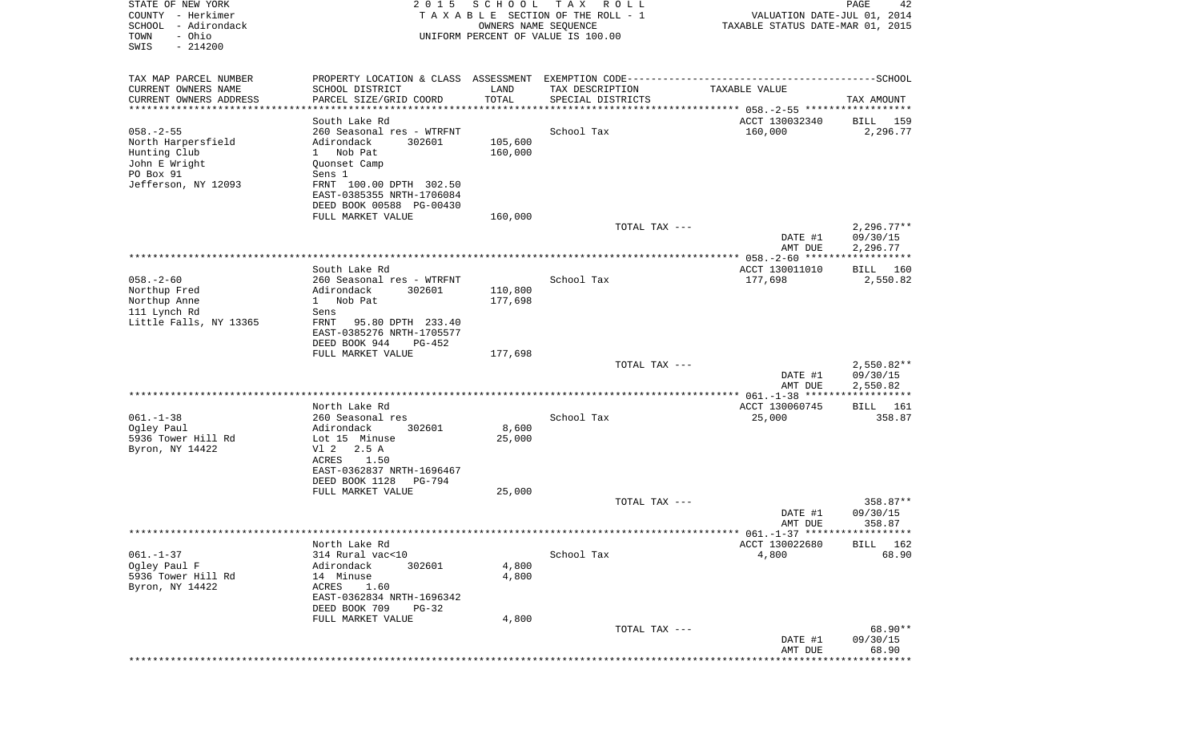| STATE OF NEW YORK<br>COUNTY - Herkimer<br>SCHOOL - Adirondack<br>- Ohio<br>TOWN<br>SWIS<br>$-214200$ | 2 0 1 5                                       | S C H O O L   | T A X<br>R O L L<br>TAXABLE SECTION OF THE ROLL - 1<br>OWNERS NAME SEQUENCE<br>UNIFORM PERCENT OF VALUE IS 100.00 | VALUATION DATE-JUL 01, 2014<br>TAXABLE STATUS DATE-MAR 01, 2015 | PAGE<br>42               |
|------------------------------------------------------------------------------------------------------|-----------------------------------------------|---------------|-------------------------------------------------------------------------------------------------------------------|-----------------------------------------------------------------|--------------------------|
| TAX MAP PARCEL NUMBER                                                                                |                                               |               |                                                                                                                   |                                                                 |                          |
| CURRENT OWNERS NAME<br>CURRENT OWNERS ADDRESS                                                        | SCHOOL DISTRICT<br>PARCEL SIZE/GRID COORD     | LAND<br>TOTAL | TAX DESCRIPTION<br>SPECIAL DISTRICTS                                                                              | TAXABLE VALUE                                                   | TAX AMOUNT               |
| **********************                                                                               | ****************************                  | ***********   |                                                                                                                   |                                                                 |                          |
|                                                                                                      | South Lake Rd                                 |               |                                                                                                                   | ACCT 130032340                                                  | BILL 159                 |
| $058. - 2 - 55$                                                                                      | 260 Seasonal res - WTRFNT                     |               | School Tax                                                                                                        | 160,000                                                         | 2,296.77                 |
| North Harpersfield                                                                                   | Adirondack<br>302601<br>1 Nob Pat             | 105,600       |                                                                                                                   |                                                                 |                          |
| Hunting Club<br>John E Wright                                                                        | Quonset Camp                                  | 160,000       |                                                                                                                   |                                                                 |                          |
| PO Box 91                                                                                            | Sens 1                                        |               |                                                                                                                   |                                                                 |                          |
| Jefferson, NY 12093                                                                                  | FRNT 100.00 DPTH 302.50                       |               |                                                                                                                   |                                                                 |                          |
|                                                                                                      | EAST-0385355 NRTH-1706084                     |               |                                                                                                                   |                                                                 |                          |
|                                                                                                      | DEED BOOK 00588 PG-00430<br>FULL MARKET VALUE | 160,000       |                                                                                                                   |                                                                 |                          |
|                                                                                                      |                                               |               | TOTAL TAX ---                                                                                                     |                                                                 | $2,296.77**$             |
|                                                                                                      |                                               |               |                                                                                                                   | DATE #1                                                         | 09/30/15                 |
|                                                                                                      |                                               |               |                                                                                                                   | AMT DUE                                                         | 2,296.77<br>***********  |
|                                                                                                      | South Lake Rd                                 |               |                                                                                                                   | ACCT 130011010                                                  | BILL 160                 |
| $058. - 2 - 60$                                                                                      | 260 Seasonal res - WTRFNT                     |               | School Tax                                                                                                        | 177,698                                                         | 2,550.82                 |
| Northup Fred                                                                                         | Adirondack<br>302601                          | 110,800       |                                                                                                                   |                                                                 |                          |
| Northup Anne                                                                                         | 1 Nob Pat                                     | 177,698       |                                                                                                                   |                                                                 |                          |
| 111 Lynch Rd<br>Little Falls, NY 13365                                                               | Sens<br>FRNT<br>95.80 DPTH 233.40             |               |                                                                                                                   |                                                                 |                          |
|                                                                                                      | EAST-0385276 NRTH-1705577                     |               |                                                                                                                   |                                                                 |                          |
|                                                                                                      | DEED BOOK 944<br>$PG-452$                     |               |                                                                                                                   |                                                                 |                          |
|                                                                                                      | FULL MARKET VALUE                             | 177,698       |                                                                                                                   |                                                                 |                          |
|                                                                                                      |                                               |               | TOTAL TAX ---                                                                                                     | DATE #1                                                         | $2,550.82**$<br>09/30/15 |
|                                                                                                      |                                               |               |                                                                                                                   | AMT DUE                                                         | 2,550.82                 |
|                                                                                                      |                                               |               |                                                                                                                   |                                                                 |                          |
|                                                                                                      | North Lake Rd                                 |               |                                                                                                                   | ACCT 130060745                                                  | 161<br>BILL              |
| $061. - 1 - 38$<br>Ogley Paul                                                                        | 260 Seasonal res<br>Adirondack<br>302601      | 8,600         | School Tax                                                                                                        | 25,000                                                          | 358.87                   |
| 5936 Tower Hill Rd                                                                                   | Lot 15 Minuse                                 | 25,000        |                                                                                                                   |                                                                 |                          |
| Byron, NY 14422                                                                                      | V1 2<br>2.5 A                                 |               |                                                                                                                   |                                                                 |                          |
|                                                                                                      | ACRES<br>1.50                                 |               |                                                                                                                   |                                                                 |                          |
|                                                                                                      | EAST-0362837 NRTH-1696467<br>$PG-794$         |               |                                                                                                                   |                                                                 |                          |
|                                                                                                      | DEED BOOK 1128<br>FULL MARKET VALUE           | 25,000        |                                                                                                                   |                                                                 |                          |
|                                                                                                      |                                               |               | TOTAL TAX ---                                                                                                     |                                                                 | 358.87**                 |
|                                                                                                      |                                               |               |                                                                                                                   | DATE #1                                                         | 09/30/15                 |
|                                                                                                      |                                               |               |                                                                                                                   | AMT DUE                                                         | 358.87                   |
|                                                                                                      | North Lake Rd                                 |               |                                                                                                                   | ACCT 130022680                                                  | BILL 162                 |
| $061. - 1 - 37$                                                                                      | 314 Rural vac<10                              |               | School Tax                                                                                                        | 4,800                                                           | 68.90                    |
| Ogley Paul F                                                                                         | Adirondack<br>302601                          | 4,800         |                                                                                                                   |                                                                 |                          |
| 5936 Tower Hill Rd                                                                                   | 14 Minuse                                     | 4,800         |                                                                                                                   |                                                                 |                          |
| Byron, NY 14422                                                                                      | ACRES<br>1.60<br>EAST-0362834 NRTH-1696342    |               |                                                                                                                   |                                                                 |                          |
|                                                                                                      | DEED BOOK 709<br>$PG-32$                      |               |                                                                                                                   |                                                                 |                          |
|                                                                                                      | FULL MARKET VALUE                             | 4,800         |                                                                                                                   |                                                                 |                          |
|                                                                                                      |                                               |               | TOTAL TAX ---                                                                                                     |                                                                 | 68.90**                  |
|                                                                                                      |                                               |               |                                                                                                                   | DATE #1<br>AMT DUE                                              | 09/30/15<br>68.90        |
|                                                                                                      |                                               |               |                                                                                                                   |                                                                 | * * * * * * * * * * *    |
|                                                                                                      |                                               |               |                                                                                                                   |                                                                 |                          |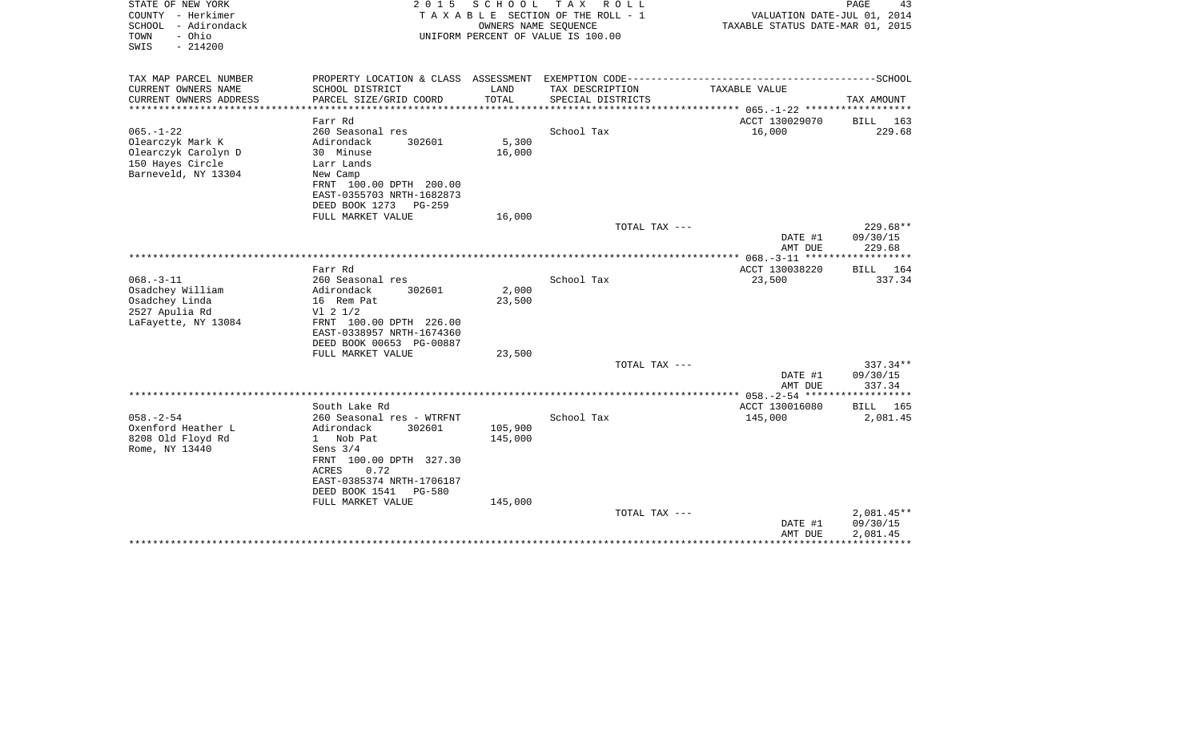| STATE OF NEW YORK<br>COUNTY - Herkimer<br>SCHOOL - Adirondack<br>- Ohio<br>TOWN<br>SWIS<br>$-214200$ | 2 0 1 5                                         | SCHOOL<br>OWNERS NAME SEQUENCE | TAX ROLL<br>T A X A B L E SECTION OF THE ROLL - 1<br>UNIFORM PERCENT OF VALUE IS 100.00 | VALUATION DATE-JUL 01, 2014<br>TAXABLE STATUS DATE-MAR 01, 2015 | PAGE<br>43           |
|------------------------------------------------------------------------------------------------------|-------------------------------------------------|--------------------------------|-----------------------------------------------------------------------------------------|-----------------------------------------------------------------|----------------------|
| TAX MAP PARCEL NUMBER                                                                                |                                                 |                                |                                                                                         |                                                                 |                      |
| CURRENT OWNERS NAME<br>CURRENT OWNERS ADDRESS                                                        | SCHOOL DISTRICT<br>PARCEL SIZE/GRID COORD       | LAND<br>TOTAL                  | TAX DESCRIPTION<br>SPECIAL DISTRICTS                                                    | TAXABLE VALUE                                                   | TAX AMOUNT           |
| ********************                                                                                 | ***********************                         |                                |                                                                                         |                                                                 |                      |
|                                                                                                      | Farr Rd                                         |                                |                                                                                         | ACCT 130029070                                                  | BILL<br>163          |
| $065. - 1 - 22$                                                                                      | 260 Seasonal res                                |                                | School Tax                                                                              | 16,000                                                          | 229.68               |
| Olearczyk Mark K                                                                                     | Adirondack<br>302601                            | 5,300                          |                                                                                         |                                                                 |                      |
| Olearczyk Carolyn D<br>150 Hayes Circle                                                              | 30 Minuse<br>Larr Lands                         | 16,000                         |                                                                                         |                                                                 |                      |
| Barneveld, NY 13304                                                                                  | New Camp                                        |                                |                                                                                         |                                                                 |                      |
|                                                                                                      | FRNT 100.00 DPTH 200.00                         |                                |                                                                                         |                                                                 |                      |
|                                                                                                      | EAST-0355703 NRTH-1682873                       |                                |                                                                                         |                                                                 |                      |
|                                                                                                      | DEED BOOK 1273<br>$PG-259$                      |                                |                                                                                         |                                                                 |                      |
|                                                                                                      | FULL MARKET VALUE                               | 16,000                         | TOTAL TAX ---                                                                           |                                                                 | $229.68**$           |
|                                                                                                      |                                                 |                                |                                                                                         | DATE #1                                                         | 09/30/15             |
|                                                                                                      |                                                 |                                |                                                                                         | AMT DUE                                                         | 229.68               |
|                                                                                                      |                                                 |                                |                                                                                         | ************ 068.-3-11 ******                                   | ***********          |
| $068. -3 - 11$                                                                                       | Farr Rd                                         |                                | School Tax                                                                              | ACCT 130038220                                                  | <b>BILL</b><br>164   |
| Osadchey William                                                                                     | 260 Seasonal res<br>Adirondack<br>302601        | 2,000                          |                                                                                         | 23,500                                                          | 337.34               |
| Osadchey Linda                                                                                       | 16 Rem Pat                                      | 23,500                         |                                                                                         |                                                                 |                      |
| 2527 Apulia Rd                                                                                       | $VI$ 2 $1/2$                                    |                                |                                                                                         |                                                                 |                      |
| LaFayette, NY 13084                                                                                  | FRNT 100.00 DPTH 226.00                         |                                |                                                                                         |                                                                 |                      |
|                                                                                                      | EAST-0338957 NRTH-1674360                       |                                |                                                                                         |                                                                 |                      |
|                                                                                                      | DEED BOOK 00653 PG-00887<br>FULL MARKET VALUE   | 23,500                         |                                                                                         |                                                                 |                      |
|                                                                                                      |                                                 |                                | TOTAL TAX ---                                                                           |                                                                 | $337.34**$           |
|                                                                                                      |                                                 |                                |                                                                                         | DATE #1                                                         | 09/30/15             |
|                                                                                                      |                                                 |                                |                                                                                         | AMT DUE                                                         | 337.34               |
|                                                                                                      | South Lake Rd                                   |                                |                                                                                         | ACCT 130016080                                                  | BILL<br>165          |
| $058. - 2 - 54$                                                                                      | 260 Seasonal res - WTRFNT                       |                                | School Tax                                                                              | 145,000                                                         | 2,081.45             |
| Oxenford Heather L                                                                                   | Adirondack<br>302601                            | 105,900                        |                                                                                         |                                                                 |                      |
| 8208 Old Floyd Rd                                                                                    | 1 Nob Pat                                       | 145,000                        |                                                                                         |                                                                 |                      |
| Rome, NY 13440                                                                                       | Sens $3/4$                                      |                                |                                                                                         |                                                                 |                      |
|                                                                                                      | FRNT 100.00 DPTH 327.30<br><b>ACRES</b><br>0.72 |                                |                                                                                         |                                                                 |                      |
|                                                                                                      | EAST-0385374 NRTH-1706187                       |                                |                                                                                         |                                                                 |                      |
|                                                                                                      | DEED BOOK 1541<br>PG-580                        |                                |                                                                                         |                                                                 |                      |
|                                                                                                      | FULL MARKET VALUE                               | 145,000                        |                                                                                         |                                                                 |                      |
|                                                                                                      |                                                 |                                | TOTAL TAX ---                                                                           |                                                                 | 2,081.45**           |
|                                                                                                      |                                                 |                                |                                                                                         | DATE #1<br>AMT DUE                                              | 09/30/15<br>2,081.45 |
|                                                                                                      |                                                 |                                |                                                                                         |                                                                 |                      |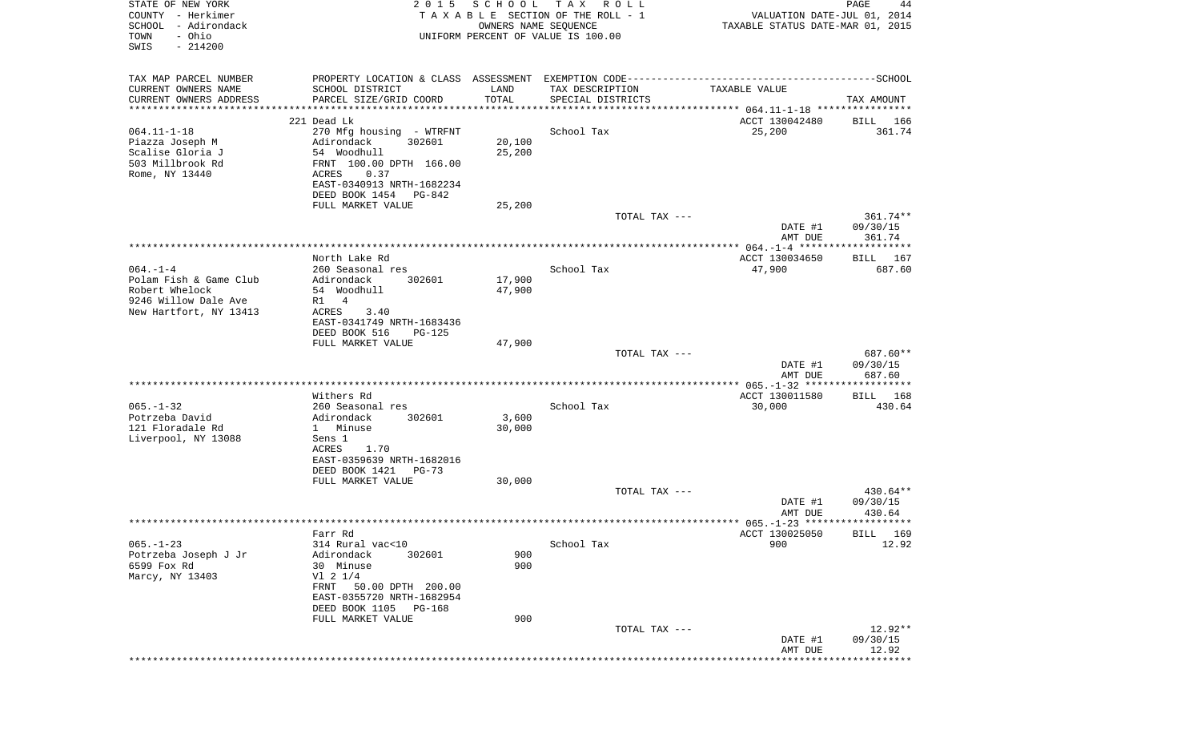| STATE OF NEW YORK<br>COUNTY - Herkimer<br>SCHOOL<br>- Adirondack<br>- Ohio<br>TOWN<br>SWIS<br>$-214200$    | 2 0 1 5                                                                                                                                                                                                  | SCHOOL<br>OWNERS NAME SEQUENCE | T A X<br>ROLL<br>TAXABLE SECTION OF THE ROLL - 1<br>UNIFORM PERCENT OF VALUE IS 100.00 | VALUATION DATE-JUL 01, 2014<br>TAXABLE STATUS DATE-MAR 01, 2015 | PAGE<br>44                       |
|------------------------------------------------------------------------------------------------------------|----------------------------------------------------------------------------------------------------------------------------------------------------------------------------------------------------------|--------------------------------|----------------------------------------------------------------------------------------|-----------------------------------------------------------------|----------------------------------|
| TAX MAP PARCEL NUMBER<br>CURRENT OWNERS NAME<br>CURRENT OWNERS ADDRESS<br>*********************            | PROPERTY LOCATION & CLASS ASSESSMENT<br>SCHOOL DISTRICT<br>PARCEL SIZE/GRID COORD<br>**********************************                                                                                  | LAND<br>TOTAL                  | TAX DESCRIPTION<br>SPECIAL DISTRICTS                                                   | TAXABLE VALUE                                                   | TAX AMOUNT                       |
| $064.11 - 1 - 18$<br>Piazza Joseph M<br>Scalise Gloria J<br>503 Millbrook Rd<br>Rome, NY 13440             | 221 Dead Lk<br>270 Mfg housing - WTRFNT<br>302601<br>Adirondack<br>54 Woodhull<br>FRNT 100.00 DPTH 166.00<br>0.37<br>ACRES<br>EAST-0340913 NRTH-1682234<br>DEED BOOK 1454<br>PG-842<br>FULL MARKET VALUE | 20,100<br>25,200<br>25,200     | School Tax                                                                             | ACCT 130042480<br>25,200                                        | BILL 166<br>361.74               |
|                                                                                                            |                                                                                                                                                                                                          |                                | TOTAL TAX ---                                                                          | DATE #1<br>AMT DUE                                              | 361.74**<br>09/30/15<br>361.74   |
| $064. -1 -4$<br>Polam Fish & Game Club<br>Robert Whelock<br>9246 Willow Dale Ave<br>New Hartfort, NY 13413 | North Lake Rd<br>260 Seasonal res<br>Adirondack<br>302601<br>54 Woodhull<br>$\overline{4}$<br>R1<br>ACRES<br>3.40<br>EAST-0341749 NRTH-1683436<br>DEED BOOK 516<br><b>PG-125</b><br>FULL MARKET VALUE    | 17,900<br>47,900<br>47,900     | School Tax                                                                             | ACCT 130034650<br>47,900                                        | BILL 167<br>687.60               |
|                                                                                                            |                                                                                                                                                                                                          |                                | TOTAL TAX ---                                                                          | DATE #1<br>AMT DUE                                              | 687.60**<br>09/30/15<br>687.60   |
| $065. - 1 - 32$<br>Potrzeba David<br>121 Floradale Rd<br>Liverpool, NY 13088                               | Withers Rd<br>260 Seasonal res<br>Adirondack<br>302601<br>1 Minuse<br>Sens 1<br>ACRES<br>1.70<br>EAST-0359639 NRTH-1682016<br>DEED BOOK 1421<br>$PG-73$                                                  | 3,600<br>30,000                | School Tax                                                                             | ACCT 130011580<br>30,000                                        | BILL 168<br>430.64               |
|                                                                                                            | FULL MARKET VALUE                                                                                                                                                                                        | 30,000                         | TOTAL TAX ---                                                                          | DATE #1<br>AMT DUE                                              | $430.64**$<br>09/30/15<br>430.64 |
| $065. - 1 - 23$<br>Potrzeba Joseph J Jr<br>6599 Fox Rd<br>Marcy, NY 13403                                  | Farr Rd<br>314 Rural vac<10<br>Adirondack<br>302601<br>30 Minuse<br>V1 2 1/4<br>FRNT 50.00 DPTH 200.00                                                                                                   | 900<br>900                     | School Tax                                                                             | ACCT 130025050<br>900                                           | BILL 169<br>12.92                |
|                                                                                                            | EAST-0355720 NRTH-1682954<br>DEED BOOK 1105 PG-168<br>FULL MARKET VALUE                                                                                                                                  | 900                            | TOTAL TAX ---                                                                          | DATE #1<br>AMT DUE                                              | 12.92**<br>09/30/15<br>12.92     |
|                                                                                                            |                                                                                                                                                                                                          |                                |                                                                                        | ***********************************                             |                                  |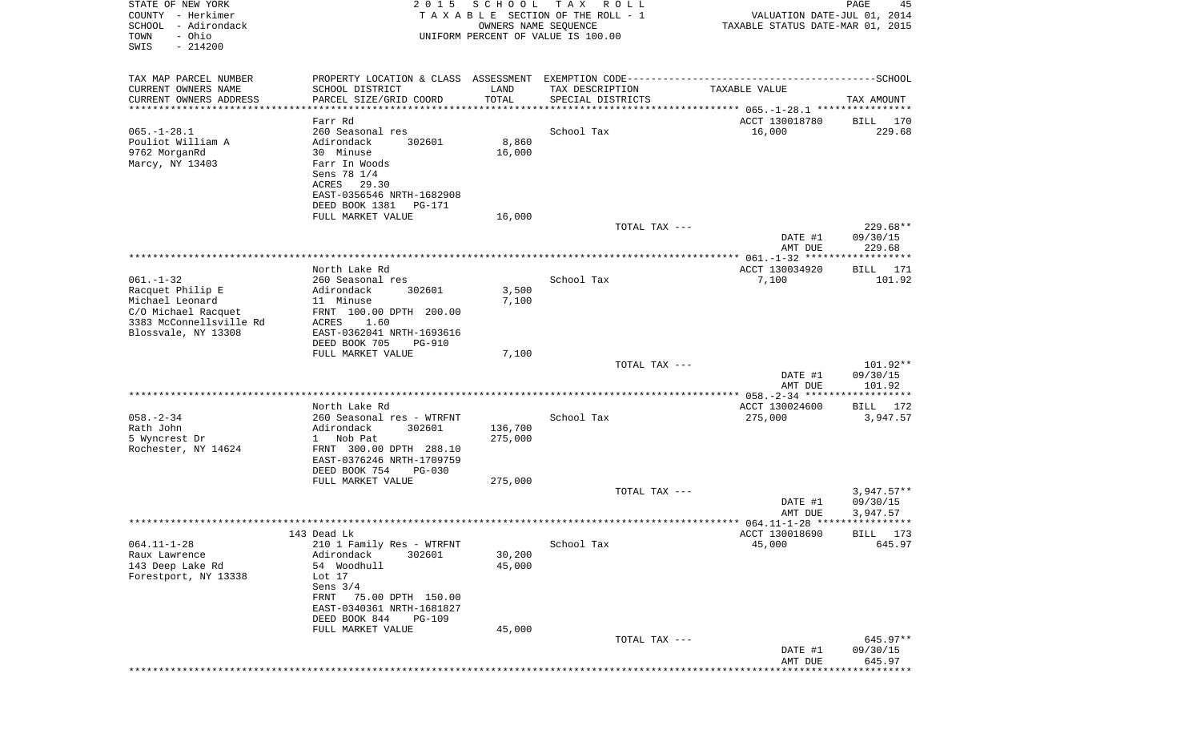| STATE OF NEW YORK<br>COUNTY - Herkimer<br>SCHOOL<br>- Adirondack<br>- Ohio<br>TOWN<br>SWIS<br>$-214200$ | 2 0 1 5                                                     | SCHOOL<br>OWNERS NAME SEQUENCE | T A X<br>R O L L<br>TAXABLE SECTION OF THE ROLL - 1<br>UNIFORM PERCENT OF VALUE IS 100.00 | VALUATION DATE-JUL 01, 2014<br>TAXABLE STATUS DATE-MAR 01, 2015 | PAGE<br>45           |
|---------------------------------------------------------------------------------------------------------|-------------------------------------------------------------|--------------------------------|-------------------------------------------------------------------------------------------|-----------------------------------------------------------------|----------------------|
| TAX MAP PARCEL NUMBER<br>CURRENT OWNERS NAME                                                            | SCHOOL DISTRICT                                             | LAND                           | TAX DESCRIPTION                                                                           | TAXABLE VALUE                                                   |                      |
| CURRENT OWNERS ADDRESS                                                                                  | PARCEL SIZE/GRID COORD                                      | TOTAL                          | SPECIAL DISTRICTS                                                                         |                                                                 | TAX AMOUNT           |
| **********************                                                                                  | *************************                                   |                                |                                                                                           |                                                                 |                      |
| $065. -1 - 28.1$                                                                                        | Farr Rd<br>260 Seasonal res                                 |                                | School Tax                                                                                | ACCT 130018780<br>16,000                                        | BILL 170<br>229.68   |
| Pouliot William A                                                                                       | Adirondack<br>302601                                        | 8,860                          |                                                                                           |                                                                 |                      |
| 9762 MorganRd                                                                                           | 30 Minuse                                                   | 16,000                         |                                                                                           |                                                                 |                      |
| Marcy, NY 13403                                                                                         | Farr In Woods                                               |                                |                                                                                           |                                                                 |                      |
|                                                                                                         | Sens 78 1/4<br>ACRES<br>29.30                               |                                |                                                                                           |                                                                 |                      |
|                                                                                                         | EAST-0356546 NRTH-1682908                                   |                                |                                                                                           |                                                                 |                      |
|                                                                                                         | DEED BOOK 1381<br>PG-171                                    |                                |                                                                                           |                                                                 |                      |
|                                                                                                         | FULL MARKET VALUE                                           | 16,000                         |                                                                                           |                                                                 |                      |
|                                                                                                         |                                                             |                                | TOTAL TAX ---                                                                             | DATE #1                                                         | 229.68**<br>09/30/15 |
|                                                                                                         |                                                             |                                |                                                                                           | AMT DUE                                                         | 229.68               |
|                                                                                                         |                                                             |                                |                                                                                           |                                                                 |                      |
| $061. - 1 - 32$                                                                                         | North Lake Rd<br>260 Seasonal res                           |                                | School Tax                                                                                | ACCT 130034920<br>7,100                                         | BILL 171<br>101.92   |
| Racquet Philip E                                                                                        | Adirondack<br>302601                                        | 3,500                          |                                                                                           |                                                                 |                      |
| Michael Leonard                                                                                         | 11 Minuse                                                   | 7,100                          |                                                                                           |                                                                 |                      |
| C/O Michael Racquet                                                                                     | FRNT 100.00 DPTH 200.00                                     |                                |                                                                                           |                                                                 |                      |
| 3383 McConnellsville Rd<br>Blossvale, NY 13308                                                          | ACRES<br>1.60<br>EAST-0362041 NRTH-1693616                  |                                |                                                                                           |                                                                 |                      |
|                                                                                                         | DEED BOOK 705<br><b>PG-910</b>                              |                                |                                                                                           |                                                                 |                      |
|                                                                                                         | FULL MARKET VALUE                                           | 7,100                          |                                                                                           |                                                                 |                      |
|                                                                                                         |                                                             |                                | TOTAL TAX ---                                                                             | DATE #1                                                         | 101.92**<br>09/30/15 |
|                                                                                                         |                                                             |                                |                                                                                           | AMT DUE                                                         | 101.92               |
|                                                                                                         |                                                             |                                |                                                                                           |                                                                 |                      |
|                                                                                                         | North Lake Rd                                               |                                |                                                                                           | ACCT 130024600                                                  | 172<br>BILL          |
| $058. - 2 - 34$<br>Rath John                                                                            | 260 Seasonal res - WTRFNT<br>Adirondack<br>302601           | 136,700                        | School Tax                                                                                | 275,000                                                         | 3,947.57             |
| 5 Wyncrest Dr                                                                                           | Nob Pat<br>$\mathbf{1}$                                     | 275,000                        |                                                                                           |                                                                 |                      |
| Rochester, NY 14624                                                                                     | FRNT 300.00 DPTH 288.10                                     |                                |                                                                                           |                                                                 |                      |
|                                                                                                         | EAST-0376246 NRTH-1709759<br>DEED BOOK 754<br><b>PG-030</b> |                                |                                                                                           |                                                                 |                      |
|                                                                                                         | FULL MARKET VALUE                                           | 275,000                        |                                                                                           |                                                                 |                      |
|                                                                                                         |                                                             |                                | TOTAL TAX ---                                                                             |                                                                 | $3,947.57**$         |
|                                                                                                         |                                                             |                                |                                                                                           | DATE #1                                                         | 09/30/15             |
|                                                                                                         |                                                             |                                |                                                                                           | AMT DUE                                                         | 3,947.57             |
|                                                                                                         | 143 Dead Lk                                                 |                                |                                                                                           | ACCT 130018690                                                  | BILL 173             |
| $064.11 - 1 - 28$                                                                                       | 210 1 Family Res - WTRFNT                                   |                                | School Tax                                                                                | 45,000                                                          | 645.97               |
| Raux Lawrence<br>143 Deep Lake Rd                                                                       | 302601<br>Adirondack<br>54 Woodhull                         | 30,200<br>45,000               |                                                                                           |                                                                 |                      |
| Forestport, NY 13338                                                                                    | Lot 17                                                      |                                |                                                                                           |                                                                 |                      |
|                                                                                                         | Sens $3/4$                                                  |                                |                                                                                           |                                                                 |                      |
|                                                                                                         | 75.00 DPTH 150.00<br>FRNT                                   |                                |                                                                                           |                                                                 |                      |
|                                                                                                         | EAST-0340361 NRTH-1681827<br>DEED BOOK 844<br><b>PG-109</b> |                                |                                                                                           |                                                                 |                      |
|                                                                                                         | FULL MARKET VALUE                                           | 45,000                         |                                                                                           |                                                                 |                      |
|                                                                                                         |                                                             |                                | TOTAL TAX ---                                                                             |                                                                 | 645.97**             |
|                                                                                                         |                                                             |                                |                                                                                           | DATE #1<br>AMT DUE                                              | 09/30/15<br>645.97   |
|                                                                                                         |                                                             |                                |                                                                                           |                                                                 |                      |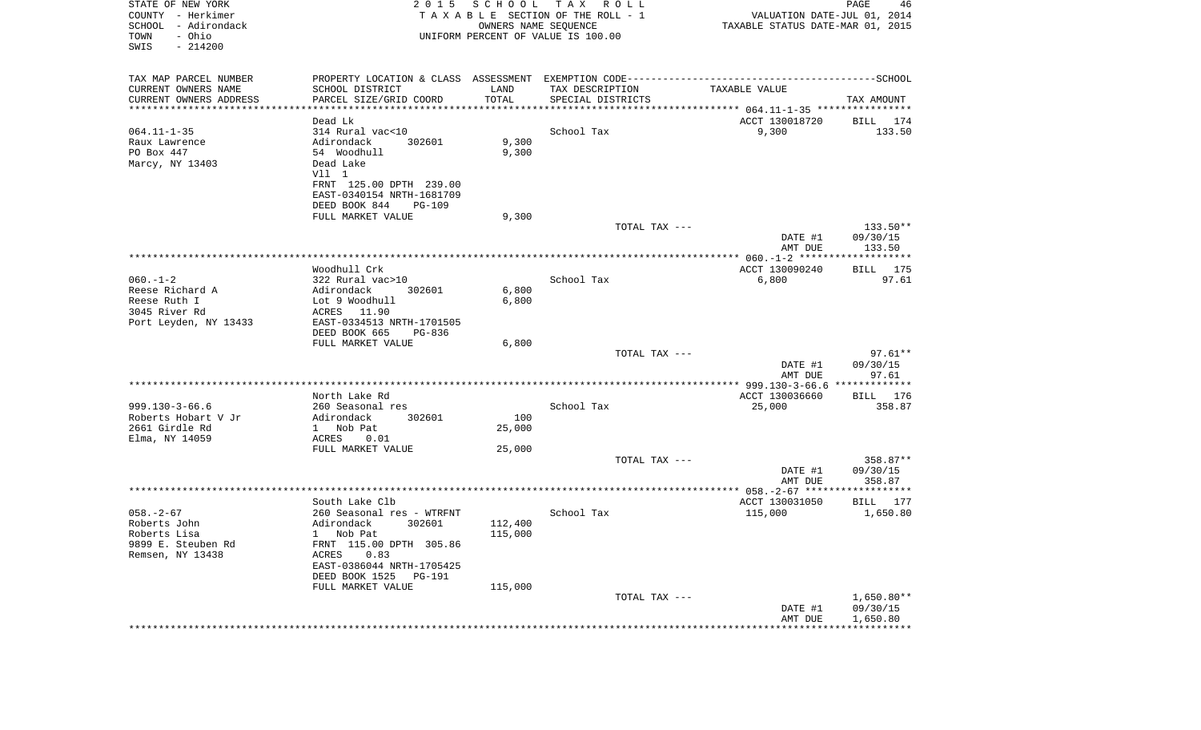| STATE OF NEW YORK<br>COUNTY - Herkimer<br>SCHOOL - Adirondack<br>- Ohio<br>TOWN<br>SWIS<br>$-214200$ | 2015                                                             | SCHOOL<br>OWNERS NAME SEQUENCE | T A X<br>R O L L<br>TAXABLE SECTION OF THE ROLL - 1<br>UNIFORM PERCENT OF VALUE IS 100.00 | VALUATION DATE-JUL 01, 2014<br>TAXABLE STATUS DATE-MAR 01, 2015 | PAGE<br>46               |
|------------------------------------------------------------------------------------------------------|------------------------------------------------------------------|--------------------------------|-------------------------------------------------------------------------------------------|-----------------------------------------------------------------|--------------------------|
| TAX MAP PARCEL NUMBER                                                                                |                                                                  |                                |                                                                                           |                                                                 |                          |
| CURRENT OWNERS NAME<br>CURRENT OWNERS ADDRESS<br>**********************                              | SCHOOL DISTRICT<br>PARCEL SIZE/GRID COORD<br>******************* | LAND<br>TOTAL                  | TAX DESCRIPTION<br>SPECIAL DISTRICTS                                                      | TAXABLE VALUE                                                   | TAX AMOUNT               |
|                                                                                                      | Dead Lk                                                          |                                |                                                                                           | ACCT 130018720                                                  | BILL 174                 |
| $064.11 - 1 - 35$                                                                                    | 314 Rural vac<10                                                 |                                | School Tax                                                                                | 9,300                                                           | 133.50                   |
| Raux Lawrence                                                                                        | Adirondack<br>302601                                             | 9,300                          |                                                                                           |                                                                 |                          |
| PO Box 447<br>Marcy, NY 13403                                                                        | 54 Woodhull<br>Dead Lake                                         | 9,300                          |                                                                                           |                                                                 |                          |
|                                                                                                      | Vll 1                                                            |                                |                                                                                           |                                                                 |                          |
|                                                                                                      | FRNT 125.00 DPTH 239.00                                          |                                |                                                                                           |                                                                 |                          |
|                                                                                                      | EAST-0340154 NRTH-1681709                                        |                                |                                                                                           |                                                                 |                          |
|                                                                                                      | DEED BOOK 844<br><b>PG-109</b>                                   |                                |                                                                                           |                                                                 |                          |
|                                                                                                      | FULL MARKET VALUE                                                | 9,300                          | TOTAL TAX ---                                                                             |                                                                 | 133.50**                 |
|                                                                                                      |                                                                  |                                |                                                                                           | DATE #1                                                         | 09/30/15                 |
|                                                                                                      |                                                                  |                                |                                                                                           | AMT DUE                                                         | 133.50                   |
|                                                                                                      |                                                                  |                                |                                                                                           |                                                                 |                          |
| $060. -1 - 2$                                                                                        | Woodhull Crk<br>322 Rural vac>10                                 |                                | School Tax                                                                                | ACCT 130090240<br>6,800                                         | 175<br>BILL<br>97.61     |
| Reese Richard A                                                                                      | Adirondack<br>302601                                             | 6,800                          |                                                                                           |                                                                 |                          |
| Reese Ruth I                                                                                         | Lot 9 Woodhull                                                   | 6,800                          |                                                                                           |                                                                 |                          |
| 3045 River Rd                                                                                        | ACRES 11.90                                                      |                                |                                                                                           |                                                                 |                          |
| Port Leyden, NY 13433                                                                                | EAST-0334513 NRTH-1701505<br>DEED BOOK 665<br>PG-836             |                                |                                                                                           |                                                                 |                          |
|                                                                                                      | FULL MARKET VALUE                                                | 6,800                          |                                                                                           |                                                                 |                          |
|                                                                                                      |                                                                  |                                | TOTAL TAX ---                                                                             |                                                                 | $97.61**$                |
|                                                                                                      |                                                                  |                                |                                                                                           | DATE #1                                                         | 09/30/15                 |
|                                                                                                      |                                                                  |                                |                                                                                           | AMT DUE                                                         | 97.61                    |
|                                                                                                      | North Lake Rd                                                    |                                |                                                                                           | ACCT 130036660                                                  | BILL 176                 |
| $999.130 - 3 - 66.6$                                                                                 | 260 Seasonal res                                                 |                                | School Tax                                                                                | 25,000                                                          | 358.87                   |
| Roberts Hobart V Jr                                                                                  | Adirondack<br>302601                                             | 100                            |                                                                                           |                                                                 |                          |
| 2661 Girdle Rd                                                                                       | $\mathbf{1}$<br>Nob Pat<br>ACRES<br>0.01                         | 25,000                         |                                                                                           |                                                                 |                          |
| Elma, NY 14059                                                                                       | FULL MARKET VALUE                                                | 25,000                         |                                                                                           |                                                                 |                          |
|                                                                                                      |                                                                  |                                | TOTAL TAX ---                                                                             |                                                                 | 358.87**                 |
|                                                                                                      |                                                                  |                                |                                                                                           | DATE #1                                                         | 09/30/15                 |
|                                                                                                      |                                                                  |                                |                                                                                           | AMT DUE                                                         | 358.87                   |
|                                                                                                      | South Lake Clb                                                   |                                |                                                                                           | ACCT 130031050                                                  | BILL 177                 |
| $058. - 2 - 67$                                                                                      | 260 Seasonal res - WTRFNT                                        |                                | School Tax                                                                                | 115,000                                                         | 1,650.80                 |
| Roberts John                                                                                         | 302601<br>Adirondack                                             | 112,400                        |                                                                                           |                                                                 |                          |
| Roberts Lisa                                                                                         | 1 Nob Pat                                                        | 115,000                        |                                                                                           |                                                                 |                          |
| 9899 E. Steuben Rd<br>Remsen, NY 13438                                                               | FRNT 115.00 DPTH 305.86<br>ACRES<br>0.83                         |                                |                                                                                           |                                                                 |                          |
|                                                                                                      | EAST-0386044 NRTH-1705425                                        |                                |                                                                                           |                                                                 |                          |
|                                                                                                      | DEED BOOK 1525 PG-191                                            |                                |                                                                                           |                                                                 |                          |
|                                                                                                      | FULL MARKET VALUE                                                | 115,000                        |                                                                                           |                                                                 |                          |
|                                                                                                      |                                                                  |                                | TOTAL TAX ---                                                                             | DATE #1                                                         | $1,650.80**$<br>09/30/15 |
|                                                                                                      |                                                                  |                                |                                                                                           | AMT DUE                                                         | 1,650.80                 |
|                                                                                                      |                                                                  |                                |                                                                                           |                                                                 |                          |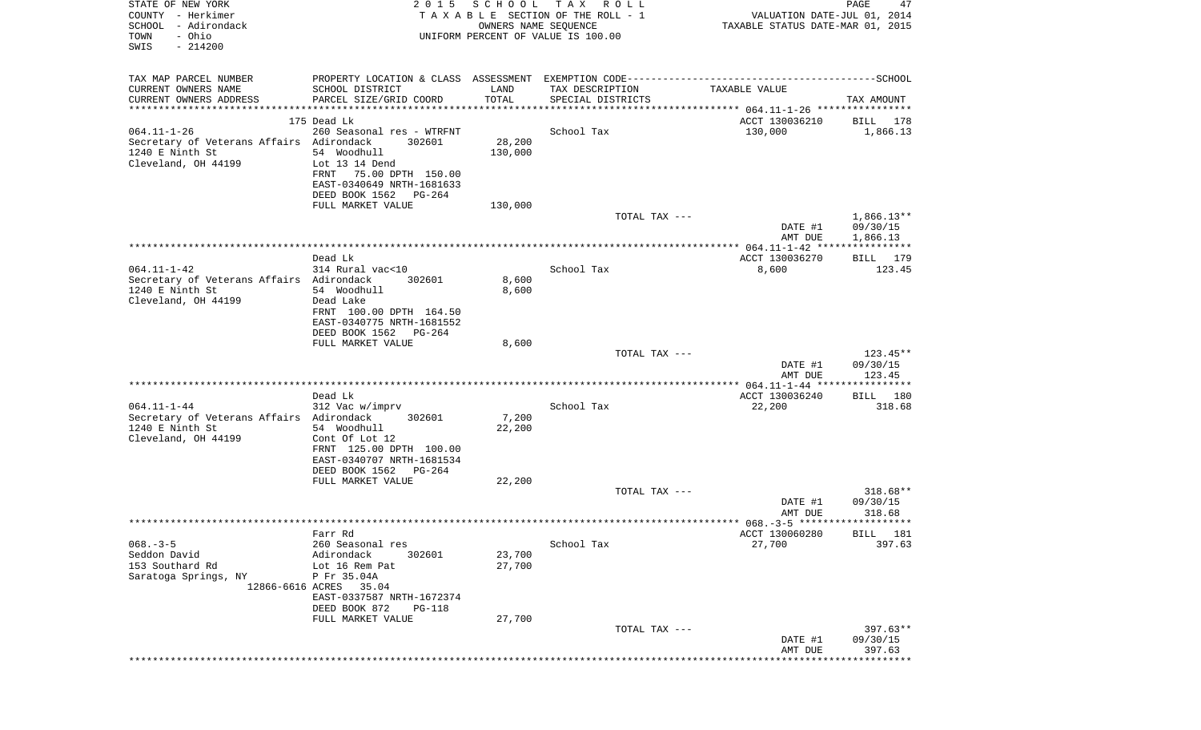| STATE OF NEW YORK<br>COUNTY - Herkimer<br>SCHOOL - Adirondack<br>- Ohio<br>TOWN<br>SWIS<br>$-214200$ | 2 0 1 5                                                                            | SCHOOL<br>OWNERS NAME SEQUENCE | T A X<br>R O L L<br>TAXABLE SECTION OF THE ROLL - 1<br>UNIFORM PERCENT OF VALUE IS 100.00 | VALUATION DATE-JUL 01, 2014<br>TAXABLE STATUS DATE-MAR 01, 2015 | PAGE<br>47                       |
|------------------------------------------------------------------------------------------------------|------------------------------------------------------------------------------------|--------------------------------|-------------------------------------------------------------------------------------------|-----------------------------------------------------------------|----------------------------------|
| TAX MAP PARCEL NUMBER                                                                                |                                                                                    |                                |                                                                                           |                                                                 |                                  |
| CURRENT OWNERS NAME                                                                                  | SCHOOL DISTRICT                                                                    | LAND                           | TAX DESCRIPTION                                                                           | TAXABLE VALUE                                                   |                                  |
| CURRENT OWNERS ADDRESS<br>************************                                                   | PARCEL SIZE/GRID COORD<br>***********************************                      | TOTAL                          | SPECIAL DISTRICTS                                                                         |                                                                 | TAX AMOUNT                       |
|                                                                                                      | 175 Dead Lk                                                                        |                                |                                                                                           | ACCT 130036210                                                  | BILL 178                         |
| $064.11 - 1 - 26$                                                                                    | 260 Seasonal res - WTRFNT                                                          |                                | School Tax                                                                                | 130,000                                                         | 1,866.13                         |
| Secretary of Veterans Affairs Adirondack<br>1240 E Ninth St<br>Cleveland, OH 44199                   | 302601<br>54 Woodhull<br>Lot 13 14 Dend                                            | 28,200<br>130,000              |                                                                                           |                                                                 |                                  |
|                                                                                                      | 75.00 DPTH 150.00<br>FRNT<br>EAST-0340649 NRTH-1681633<br>DEED BOOK 1562<br>PG-264 |                                |                                                                                           |                                                                 |                                  |
|                                                                                                      | FULL MARKET VALUE                                                                  | 130,000                        |                                                                                           |                                                                 |                                  |
|                                                                                                      |                                                                                    |                                | TOTAL TAX ---                                                                             | DATE #1                                                         | $1,866.13**$<br>09/30/15         |
|                                                                                                      |                                                                                    |                                |                                                                                           | AMT DUE                                                         | 1,866.13                         |
|                                                                                                      | Dead Lk                                                                            |                                |                                                                                           | ACCT 130036270                                                  | BILL 179                         |
| $064.11 - 1 - 42$                                                                                    | 314 Rural vac<10                                                                   |                                | School Tax                                                                                | 8,600                                                           | 123.45                           |
| Secretary of Veterans Affairs Adirondack<br>1240 E Ninth St                                          | 302601<br>54 Woodhull                                                              | 8,600<br>8,600                 |                                                                                           |                                                                 |                                  |
| Cleveland, OH 44199                                                                                  | Dead Lake                                                                          |                                |                                                                                           |                                                                 |                                  |
|                                                                                                      | FRNT 100.00 DPTH 164.50                                                            |                                |                                                                                           |                                                                 |                                  |
|                                                                                                      | EAST-0340775 NRTH-1681552<br>DEED BOOK 1562<br>PG-264                              |                                |                                                                                           |                                                                 |                                  |
|                                                                                                      | FULL MARKET VALUE                                                                  | 8,600                          |                                                                                           |                                                                 |                                  |
|                                                                                                      |                                                                                    |                                | TOTAL TAX ---                                                                             |                                                                 | $123.45**$                       |
|                                                                                                      |                                                                                    |                                |                                                                                           | DATE #1                                                         | 09/30/15                         |
|                                                                                                      |                                                                                    |                                |                                                                                           | AMT DUE                                                         | 123.45                           |
|                                                                                                      | Dead Lk                                                                            |                                |                                                                                           | ACCT 130036240                                                  | BILL 180                         |
| $064.11 - 1 - 44$                                                                                    | 312 Vac w/imprv                                                                    |                                | School Tax                                                                                | 22,200                                                          | 318.68                           |
| Secretary of Veterans Affairs Adirondack<br>1240 E Ninth St                                          | 302601<br>54 Woodhull                                                              | 7,200<br>22,200                |                                                                                           |                                                                 |                                  |
| Cleveland, OH 44199                                                                                  | Cont Of Lot 12                                                                     |                                |                                                                                           |                                                                 |                                  |
|                                                                                                      | FRNT 125.00 DPTH 100.00                                                            |                                |                                                                                           |                                                                 |                                  |
|                                                                                                      | EAST-0340707 NRTH-1681534                                                          |                                |                                                                                           |                                                                 |                                  |
|                                                                                                      | DEED BOOK 1562<br>PG-264<br>FULL MARKET VALUE                                      | 22,200                         |                                                                                           |                                                                 |                                  |
|                                                                                                      |                                                                                    |                                | TOTAL TAX ---                                                                             |                                                                 | 318.68**                         |
|                                                                                                      |                                                                                    |                                |                                                                                           | DATE #1                                                         | 09/30/15                         |
|                                                                                                      |                                                                                    |                                |                                                                                           | AMT DUE                                                         | 318.68                           |
|                                                                                                      | Farr Rd                                                                            |                                |                                                                                           | ACCT 130060280                                                  | BILL 181                         |
| $068. -3 - 5$                                                                                        | 260 Seasonal res                                                                   |                                | School Tax                                                                                | 27,700                                                          | 397.63                           |
| Seddon David<br>153 Southard Rd                                                                      | Adirondack<br>302601                                                               | 23,700                         |                                                                                           |                                                                 |                                  |
| Saratoga Springs, NY                                                                                 | Lot 16 Rem Pat<br>P Fr 35.04A                                                      | 27,700                         |                                                                                           |                                                                 |                                  |
|                                                                                                      | 12866-6616 ACRES 35.04                                                             |                                |                                                                                           |                                                                 |                                  |
|                                                                                                      | EAST-0337587 NRTH-1672374<br>DEED BOOK 872<br><b>PG-118</b>                        |                                |                                                                                           |                                                                 |                                  |
|                                                                                                      | FULL MARKET VALUE                                                                  | 27,700                         |                                                                                           |                                                                 |                                  |
|                                                                                                      |                                                                                    |                                | TOTAL TAX ---                                                                             | DATE #1<br>AMT DUE                                              | $397.63**$<br>09/30/15<br>397.63 |
|                                                                                                      |                                                                                    |                                |                                                                                           | *******************                                             | *********                        |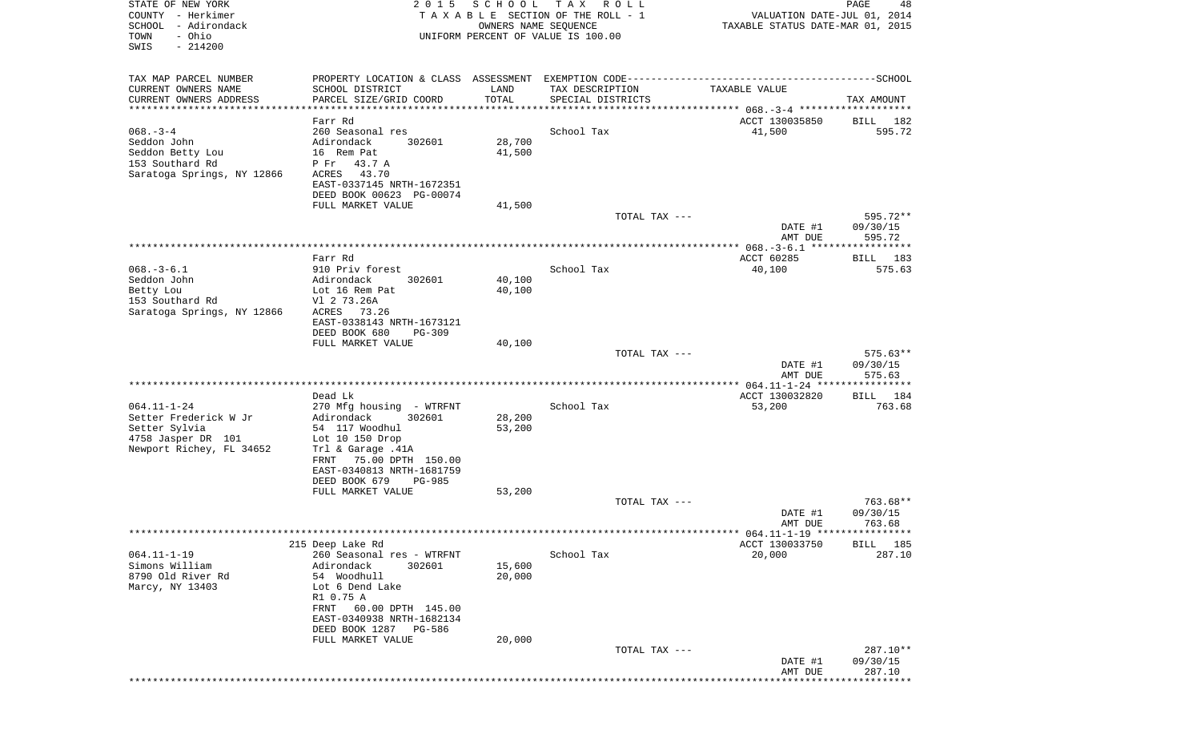| STATE OF NEW YORK<br>COUNTY - Herkimer<br>SCHOOL - Adirondack<br>- Ohio<br>TOWN                               | 2 0 1 5                                                                                                                                                                                                      | SCHOOL<br>OWNERS NAME SEQUENCE | T A X<br>R O L L<br>TAXABLE SECTION OF THE ROLL - 1<br>UNIFORM PERCENT OF VALUE IS 100.00 | PAGE<br>48<br>VALUATION DATE-JUL 01, 2014<br>TAXABLE STATUS DATE-MAR 01, 2015 |                                |  |
|---------------------------------------------------------------------------------------------------------------|--------------------------------------------------------------------------------------------------------------------------------------------------------------------------------------------------------------|--------------------------------|-------------------------------------------------------------------------------------------|-------------------------------------------------------------------------------|--------------------------------|--|
| SWIS<br>$-214200$                                                                                             |                                                                                                                                                                                                              |                                |                                                                                           |                                                                               |                                |  |
| TAX MAP PARCEL NUMBER<br>CURRENT OWNERS NAME<br>CURRENT OWNERS ADDRESS                                        | SCHOOL DISTRICT<br>PARCEL SIZE/GRID COORD                                                                                                                                                                    | LAND<br>TOTAL                  | TAX DESCRIPTION<br>SPECIAL DISTRICTS                                                      | TAXABLE VALUE                                                                 | TAX AMOUNT                     |  |
| ***********************                                                                                       | *******************                                                                                                                                                                                          | * * * * * * * * * * *          |                                                                                           |                                                                               |                                |  |
| $068. - 3 - 4$<br>Seddon John<br>Seddon Betty Lou<br>153 Southard Rd<br>Saratoga Springs, NY 12866            | Farr Rd<br>260 Seasonal res<br>Adirondack<br>302601<br>16 Rem Pat<br>P Fr<br>43.7 A<br>43.70<br>ACRES<br>EAST-0337145 NRTH-1672351<br>DEED BOOK 00623 PG-00074                                               | 28,700<br>41,500               | School Tax                                                                                | ACCT 130035850<br>41,500                                                      | BILL 182<br>595.72             |  |
|                                                                                                               | FULL MARKET VALUE                                                                                                                                                                                            | 41,500                         |                                                                                           |                                                                               |                                |  |
|                                                                                                               |                                                                                                                                                                                                              |                                | TOTAL TAX ---                                                                             | DATE #1<br>AMT DUE                                                            | 595.72**<br>09/30/15<br>595.72 |  |
|                                                                                                               |                                                                                                                                                                                                              |                                |                                                                                           |                                                                               |                                |  |
| $068. - 3 - 6.1$<br>Seddon John<br>Betty Lou<br>153 Southard Rd<br>Saratoga Springs, NY 12866                 | Farr Rd<br>910 Priv forest<br>Adirondack<br>302601<br>Lot 16 Rem Pat<br>V1 2 73.26A<br>ACRES<br>73.26<br>EAST-0338143 NRTH-1673121                                                                           | 40,100<br>40,100               | School Tax                                                                                | ACCT 60285<br>40,100                                                          | BILL 183<br>575.63             |  |
|                                                                                                               | DEED BOOK 680<br><b>PG-309</b>                                                                                                                                                                               |                                |                                                                                           |                                                                               |                                |  |
|                                                                                                               | FULL MARKET VALUE                                                                                                                                                                                            | 40,100                         | TOTAL TAX ---                                                                             | DATE #1                                                                       | $575.63**$<br>09/30/15         |  |
|                                                                                                               |                                                                                                                                                                                                              |                                |                                                                                           | AMT DUE                                                                       | 575.63                         |  |
| $064.11 - 1 - 24$<br>Setter Frederick W Jr<br>Setter Sylvia<br>4758 Jasper DR 101<br>Newport Richey, FL 34652 | Dead Lk<br>270 Mfg housing - WTRFNT<br>Adirondack<br>302601<br>54 117 Woodhul<br>Lot $10$ 150 Drop<br>Trl & Garage .41A<br>75.00 DPTH 150.00<br>FRNT<br>EAST-0340813 NRTH-1681759<br>DEED BOOK 679<br>PG-985 | 28,200<br>53,200               | School Tax                                                                                | ACCT 130032820<br>53,200                                                      | BILL 184<br>763.68             |  |
|                                                                                                               | FULL MARKET VALUE                                                                                                                                                                                            | 53,200                         |                                                                                           |                                                                               |                                |  |
|                                                                                                               |                                                                                                                                                                                                              |                                | TOTAL TAX ---                                                                             | DATE #1<br>AMT DUE                                                            | 763.68**<br>09/30/15<br>763.68 |  |
|                                                                                                               |                                                                                                                                                                                                              |                                |                                                                                           |                                                                               |                                |  |
| $064.11 - 1 - 19$                                                                                             | 215 Deep Lake Rd<br>260 Seasonal res - WTRFNT                                                                                                                                                                |                                | School Tax                                                                                | ACCT 130033750<br>20,000                                                      | BILL 185<br>287.10             |  |
| Simons William<br>8790 Old River Rd<br>Marcy, NY 13403                                                        | Adirondack<br>302601<br>54 Woodhull<br>Lot 6 Dend Lake<br>R1 0.75 A<br>FRNT<br>60.00 DPTH 145.00<br>EAST-0340938 NRTH-1682134<br>DEED BOOK 1287<br>PG-586                                                    | 15,600<br>20,000               |                                                                                           |                                                                               |                                |  |
|                                                                                                               | FULL MARKET VALUE                                                                                                                                                                                            | 20,000                         | TOTAL TAX ---                                                                             | DATE #1                                                                       | 287.10**<br>09/30/15           |  |
|                                                                                                               |                                                                                                                                                                                                              |                                |                                                                                           | AMT DUE                                                                       | 287.10                         |  |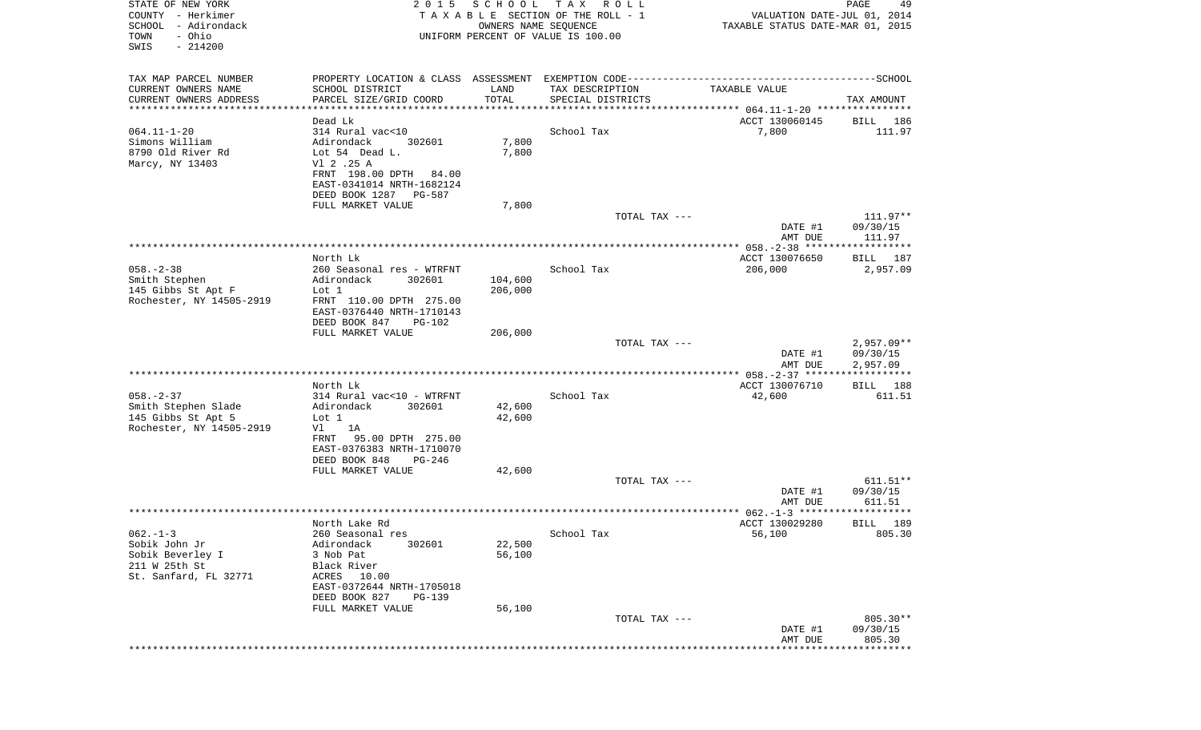| STATE OF NEW YORK<br>COUNTY - Herkimer<br>SCHOOL<br>- Adirondack<br>- Ohio<br>TOWN<br>SWIS<br>$-214200$ | 2 0 1 5                                        | SCHOOL<br>OWNERS NAME SEQUENCE | T A X<br>R O L L<br>TAXABLE SECTION OF THE ROLL - 1<br>UNIFORM PERCENT OF VALUE IS 100.00 | VALUATION DATE-JUL 01, 2014<br>TAXABLE STATUS DATE-MAR 01, 2015 | PAGE<br>49           |
|---------------------------------------------------------------------------------------------------------|------------------------------------------------|--------------------------------|-------------------------------------------------------------------------------------------|-----------------------------------------------------------------|----------------------|
| TAX MAP PARCEL NUMBER                                                                                   |                                                |                                |                                                                                           |                                                                 |                      |
| CURRENT OWNERS NAME<br>CURRENT OWNERS ADDRESS                                                           | SCHOOL DISTRICT<br>PARCEL SIZE/GRID COORD      | LAND<br>TOTAL                  | TAX DESCRIPTION<br>SPECIAL DISTRICTS                                                      | TAXABLE VALUE                                                   | TAX AMOUNT           |
| **********************                                                                                  | *******************                            | ***********                    |                                                                                           |                                                                 |                      |
|                                                                                                         | Dead Lk                                        |                                |                                                                                           | ACCT 130060145                                                  | BILL<br>186          |
| $064.11 - 1 - 20$<br>Simons William                                                                     | 314 Rural vac<10<br>302601                     |                                | School Tax                                                                                | 7,800                                                           | 111.97               |
| 8790 Old River Rd                                                                                       | Adirondack<br>Lot 54 Dead L.                   | 7,800<br>7,800                 |                                                                                           |                                                                 |                      |
| Marcy, NY 13403                                                                                         | V1 2 .25 A                                     |                                |                                                                                           |                                                                 |                      |
|                                                                                                         | FRNT 198.00 DPTH 84.00                         |                                |                                                                                           |                                                                 |                      |
|                                                                                                         | EAST-0341014 NRTH-1682124                      |                                |                                                                                           |                                                                 |                      |
|                                                                                                         | DEED BOOK 1287 PG-587                          |                                |                                                                                           |                                                                 |                      |
|                                                                                                         | FULL MARKET VALUE                              | 7,800                          |                                                                                           |                                                                 |                      |
|                                                                                                         |                                                |                                | TOTAL TAX ---                                                                             | DATE #1                                                         | 111.97**<br>09/30/15 |
|                                                                                                         |                                                |                                |                                                                                           | AMT DUE                                                         | 111.97               |
|                                                                                                         |                                                |                                |                                                                                           |                                                                 |                      |
|                                                                                                         | North Lk                                       |                                |                                                                                           | ACCT 130076650                                                  | BILL 187             |
| $058. - 2 - 38$                                                                                         | 260 Seasonal res - WTRFNT                      |                                | School Tax                                                                                | 206,000                                                         | 2,957.09             |
| Smith Stephen                                                                                           | Adirondack<br>302601                           | 104,600<br>206,000             |                                                                                           |                                                                 |                      |
| 145 Gibbs St Apt F<br>Rochester, NY 14505-2919                                                          | Lot 1<br>FRNT 110.00 DPTH 275.00               |                                |                                                                                           |                                                                 |                      |
|                                                                                                         | EAST-0376440 NRTH-1710143                      |                                |                                                                                           |                                                                 |                      |
|                                                                                                         | DEED BOOK 847<br>PG-102                        |                                |                                                                                           |                                                                 |                      |
|                                                                                                         | FULL MARKET VALUE                              | 206,000                        |                                                                                           |                                                                 |                      |
|                                                                                                         |                                                |                                | TOTAL TAX ---                                                                             |                                                                 | $2,957.09**$         |
|                                                                                                         |                                                |                                |                                                                                           | DATE #1                                                         | 09/30/15             |
|                                                                                                         | ********************                           |                                | ***********************************                                                       | AMT DUE<br>************** 058.-2-37 *******************         | 2,957.09             |
|                                                                                                         | North Lk                                       |                                |                                                                                           | ACCT 130076710                                                  | BILL 188             |
| $058. - 2 - 37$                                                                                         | 314 Rural vac<10 - WTRFNT                      |                                | School Tax                                                                                | 42,600                                                          | 611.51               |
| Smith Stephen Slade                                                                                     | Adirondack<br>302601                           | 42,600                         |                                                                                           |                                                                 |                      |
| 145 Gibbs St Apt 5                                                                                      | Lot 1                                          | 42,600                         |                                                                                           |                                                                 |                      |
| Rochester, NY 14505-2919                                                                                | 1A<br>Vl<br>FRNT                               |                                |                                                                                           |                                                                 |                      |
|                                                                                                         | 95.00 DPTH 275.00<br>EAST-0376383 NRTH-1710070 |                                |                                                                                           |                                                                 |                      |
|                                                                                                         | DEED BOOK 848<br>PG-246                        |                                |                                                                                           |                                                                 |                      |
|                                                                                                         | FULL MARKET VALUE                              | 42,600                         |                                                                                           |                                                                 |                      |
|                                                                                                         |                                                |                                | TOTAL TAX ---                                                                             |                                                                 | $611.51**$           |
|                                                                                                         |                                                |                                |                                                                                           | DATE #1                                                         | 09/30/15             |
|                                                                                                         |                                                |                                |                                                                                           | AMT DUE                                                         | 611.51               |
|                                                                                                         | North Lake Rd                                  |                                |                                                                                           | ACCT 130029280                                                  | 189<br>BILL          |
| $062. -1 -3$                                                                                            | 260 Seasonal res                               |                                | School Tax                                                                                | 56,100                                                          | 805.30               |
| Sobik John Jr                                                                                           | Adirondack<br>302601                           | 22,500                         |                                                                                           |                                                                 |                      |
| Sobik Beverley I                                                                                        | 3 Nob Pat                                      | 56,100                         |                                                                                           |                                                                 |                      |
| 211 W 25th St                                                                                           | Black River                                    |                                |                                                                                           |                                                                 |                      |
| St. Sanfard, FL 32771                                                                                   | ACRES 10.00<br>EAST-0372644 NRTH-1705018       |                                |                                                                                           |                                                                 |                      |
|                                                                                                         | DEED BOOK 827<br><b>PG-139</b>                 |                                |                                                                                           |                                                                 |                      |
|                                                                                                         | FULL MARKET VALUE                              | 56,100                         |                                                                                           |                                                                 |                      |
|                                                                                                         |                                                |                                | TOTAL TAX ---                                                                             |                                                                 | 805.30**             |
|                                                                                                         |                                                |                                |                                                                                           | DATE #1                                                         | 09/30/15             |
|                                                                                                         |                                                |                                |                                                                                           | AMT DUE                                                         | 805.30               |
|                                                                                                         |                                                |                                |                                                                                           |                                                                 |                      |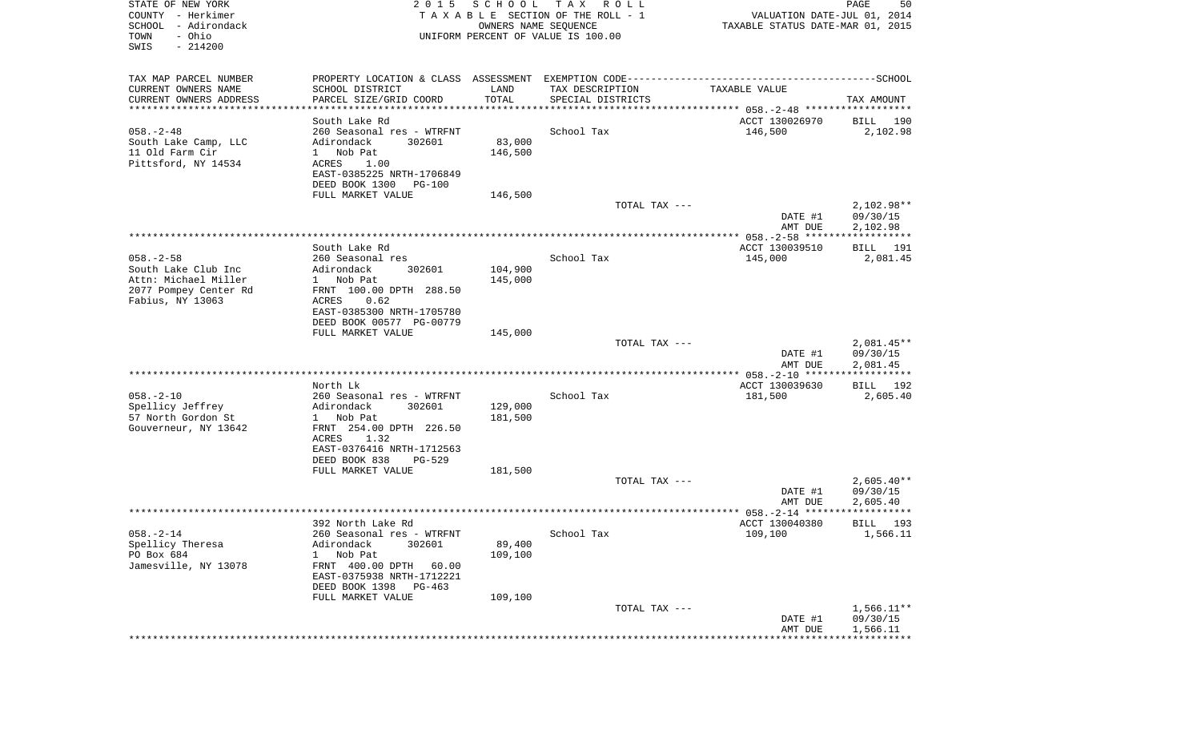| STATE OF NEW YORK<br>COUNTY - Herkimer<br>SCHOOL - Adirondack<br>- Ohio<br>TOWN<br>SWIS<br>$-214200$ | 2 0 1 5                                                                                      | SCHOOL<br>OWNERS NAME SEQUENCE | TAX ROLL<br>TAXABLE SECTION OF THE ROLL - 1<br>UNIFORM PERCENT OF VALUE IS 100.00 | VALUATION DATE-JUL 01, 2014<br>TAXABLE STATUS DATE-MAR 01, 2015 | PAGE<br>50           |
|------------------------------------------------------------------------------------------------------|----------------------------------------------------------------------------------------------|--------------------------------|-----------------------------------------------------------------------------------|-----------------------------------------------------------------|----------------------|
| TAX MAP PARCEL NUMBER                                                                                | PROPERTY LOCATION & CLASS ASSESSMENT EXEMPTION CODE-----------------------------------SCHOOL |                                |                                                                                   |                                                                 |                      |
| CURRENT OWNERS NAME                                                                                  | SCHOOL DISTRICT                                                                              | LAND                           | TAX DESCRIPTION                                                                   | TAXABLE VALUE                                                   |                      |
| CURRENT OWNERS ADDRESS<br>************************                                                   | PARCEL SIZE/GRID COORD                                                                       | TOTAL                          | SPECIAL DISTRICTS                                                                 |                                                                 | TAX AMOUNT           |
|                                                                                                      | South Lake Rd                                                                                |                                |                                                                                   | ACCT 130026970                                                  | BILL 190             |
| $058. - 2 - 48$                                                                                      | 260 Seasonal res - WTRFNT                                                                    |                                | School Tax                                                                        | 146,500                                                         | 2,102.98             |
| South Lake Camp, LLC                                                                                 | 302601<br>Adirondack                                                                         | 83,000                         |                                                                                   |                                                                 |                      |
| 11 Old Farm Cir                                                                                      | 1 Nob Pat                                                                                    | 146,500                        |                                                                                   |                                                                 |                      |
| Pittsford, NY 14534                                                                                  | ACRES<br>1.00<br>EAST-0385225 NRTH-1706849                                                   |                                |                                                                                   |                                                                 |                      |
|                                                                                                      | DEED BOOK 1300<br>PG-100                                                                     |                                |                                                                                   |                                                                 |                      |
|                                                                                                      | FULL MARKET VALUE                                                                            | 146,500                        |                                                                                   |                                                                 |                      |
|                                                                                                      |                                                                                              |                                | TOTAL TAX ---                                                                     |                                                                 | 2,102.98**           |
|                                                                                                      |                                                                                              |                                |                                                                                   | DATE #1<br>AMT DUE                                              | 09/30/15<br>2,102.98 |
|                                                                                                      |                                                                                              |                                |                                                                                   |                                                                 |                      |
|                                                                                                      | South Lake Rd                                                                                |                                |                                                                                   | ACCT 130039510                                                  | BILL 191             |
| $058. - 2 - 58$                                                                                      | 260 Seasonal res                                                                             |                                | School Tax                                                                        | 145,000                                                         | 2,081.45             |
| South Lake Club Inc<br>Attn: Michael Miller                                                          | Adirondack<br>302601<br>1 Nob Pat                                                            | 104,900<br>145,000             |                                                                                   |                                                                 |                      |
| 2077 Pompey Center Rd                                                                                | FRNT 100.00 DPTH 288.50                                                                      |                                |                                                                                   |                                                                 |                      |
| Fabius, NY 13063                                                                                     | ACRES<br>0.62                                                                                |                                |                                                                                   |                                                                 |                      |
|                                                                                                      | EAST-0385300 NRTH-1705780                                                                    |                                |                                                                                   |                                                                 |                      |
|                                                                                                      | DEED BOOK 00577 PG-00779<br>FULL MARKET VALUE                                                |                                |                                                                                   |                                                                 |                      |
|                                                                                                      |                                                                                              | 145,000                        | TOTAL TAX ---                                                                     |                                                                 | $2,081.45**$         |
|                                                                                                      |                                                                                              |                                |                                                                                   | DATE #1<br>AMT DUE                                              | 09/30/15<br>2,081.45 |
|                                                                                                      |                                                                                              |                                |                                                                                   |                                                                 |                      |
|                                                                                                      | North Lk                                                                                     |                                |                                                                                   | ACCT 130039630                                                  | BILL 192             |
| $058. - 2 - 10$<br>Spellicy Jeffrey                                                                  | 260 Seasonal res - WTRFNT<br>Adirondack<br>302601                                            | 129,000                        | School Tax                                                                        | 181,500                                                         | 2,605.40             |
| 57 North Gordon St                                                                                   | 1 Nob Pat                                                                                    | 181,500                        |                                                                                   |                                                                 |                      |
| Gouverneur, NY 13642                                                                                 | FRNT 254.00 DPTH 226.50                                                                      |                                |                                                                                   |                                                                 |                      |
|                                                                                                      | ACRES<br>1.32                                                                                |                                |                                                                                   |                                                                 |                      |
|                                                                                                      | EAST-0376416 NRTH-1712563<br>DEED BOOK 838<br>PG-529                                         |                                |                                                                                   |                                                                 |                      |
|                                                                                                      | FULL MARKET VALUE                                                                            | 181,500                        |                                                                                   |                                                                 |                      |
|                                                                                                      |                                                                                              |                                | TOTAL TAX ---                                                                     |                                                                 | $2,605.40**$         |
|                                                                                                      |                                                                                              |                                |                                                                                   | DATE #1                                                         | 09/30/15             |
|                                                                                                      |                                                                                              |                                |                                                                                   | AMT DUE                                                         | 2,605.40             |
| $058. - 2 - 14$                                                                                      | 392 North Lake Rd<br>260 Seasonal res - WTRFNT                                               |                                | School Tax                                                                        | ACCT 130040380<br>109,100                                       | BILL 193<br>1,566.11 |
| Spellicy Theresa                                                                                     | Adirondack<br>302601                                                                         | 89,400                         |                                                                                   |                                                                 |                      |
| PO Box 684                                                                                           | Nob Pat<br>$\mathbf{1}$                                                                      | 109,100                        |                                                                                   |                                                                 |                      |
| Jamesville, NY 13078                                                                                 | FRNT 400.00 DPTH<br>60.00                                                                    |                                |                                                                                   |                                                                 |                      |
|                                                                                                      | EAST-0375938 NRTH-1712221<br>DEED BOOK 1398                                                  |                                |                                                                                   |                                                                 |                      |
|                                                                                                      | PG-463<br>FULL MARKET VALUE                                                                  | 109,100                        |                                                                                   |                                                                 |                      |
|                                                                                                      |                                                                                              |                                | TOTAL TAX ---                                                                     |                                                                 | $1,566.11**$         |
|                                                                                                      |                                                                                              |                                |                                                                                   | DATE #1                                                         | 09/30/15             |
|                                                                                                      |                                                                                              |                                |                                                                                   | AMT DUE                                                         | 1,566.11             |
|                                                                                                      |                                                                                              |                                |                                                                                   |                                                                 |                      |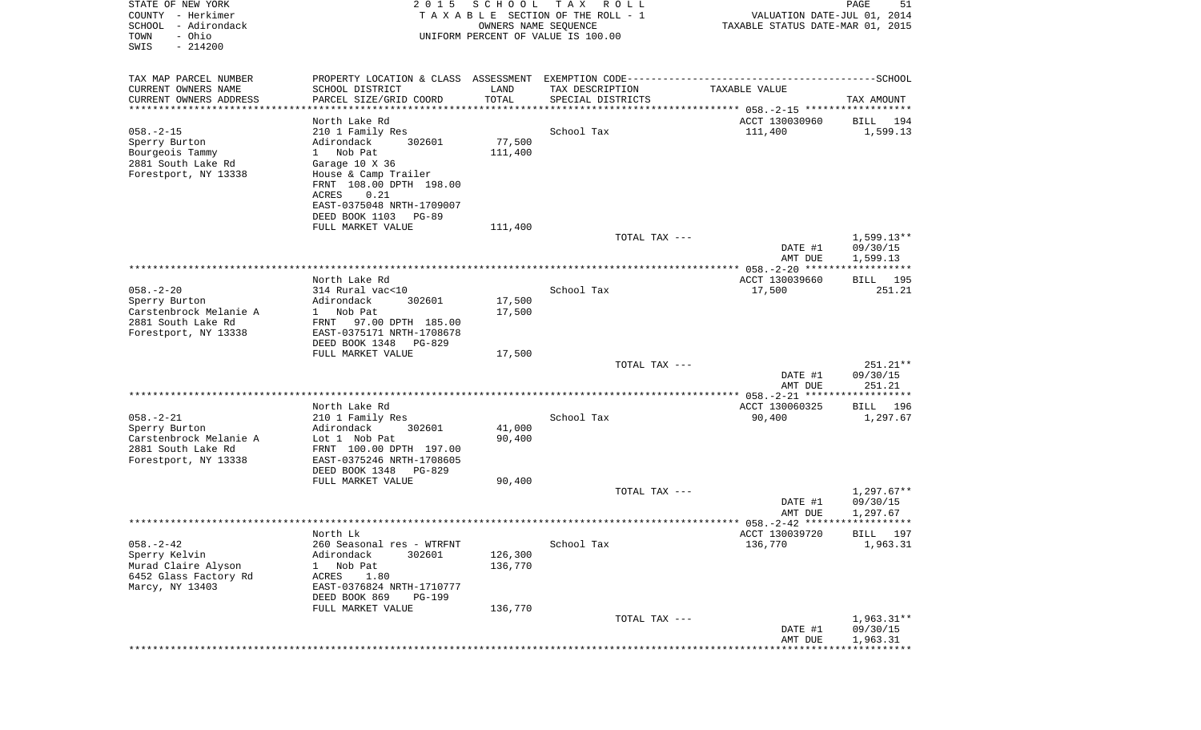| STATE OF NEW YORK<br>COUNTY - Herkimer<br>SCHOOL<br>- Adirondack<br>- Ohio<br>TOWN<br>SWIS<br>$-214200$  | 2 0 1 5                                                                                                                                                                                                                         | SCHOOL<br>OWNERS NAME SEQUENCE | T A X<br>R O L L<br>TAXABLE SECTION OF THE ROLL - 1<br>UNIFORM PERCENT OF VALUE IS 100.00 | VALUATION DATE-JUL 01, 2014<br>TAXABLE STATUS DATE-MAR 01, 2015 | PAGE<br>51                           |
|----------------------------------------------------------------------------------------------------------|---------------------------------------------------------------------------------------------------------------------------------------------------------------------------------------------------------------------------------|--------------------------------|-------------------------------------------------------------------------------------------|-----------------------------------------------------------------|--------------------------------------|
| TAX MAP PARCEL NUMBER                                                                                    |                                                                                                                                                                                                                                 |                                |                                                                                           |                                                                 |                                      |
| CURRENT OWNERS NAME<br>CURRENT OWNERS ADDRESS                                                            | SCHOOL DISTRICT<br>PARCEL SIZE/GRID COORD                                                                                                                                                                                       | LAND<br>TOTAL                  | TAX DESCRIPTION<br>SPECIAL DISTRICTS                                                      | TAXABLE VALUE                                                   | TAX AMOUNT                           |
| ************************                                                                                 |                                                                                                                                                                                                                                 |                                |                                                                                           |                                                                 |                                      |
| $058. - 2 - 15$<br>Sperry Burton<br>Bourgeois Tammy<br>2881 South Lake Rd<br>Forestport, NY 13338        | North Lake Rd<br>210 1 Family Res<br>Adirondack<br>302601<br>Nob Pat<br>$1 \quad$<br>Garage 10 X 36<br>House & Camp Trailer<br>FRNT 108.00 DPTH 198.00<br>ACRES<br>0.21<br>EAST-0375048 NRTH-1709007<br>DEED BOOK 1103<br>PG-89 | 77,500<br>111,400              | School Tax                                                                                | ACCT 130030960<br>111,400                                       | 194<br>BILL<br>1,599.13              |
|                                                                                                          | FULL MARKET VALUE                                                                                                                                                                                                               | 111,400                        |                                                                                           |                                                                 |                                      |
|                                                                                                          |                                                                                                                                                                                                                                 |                                | TOTAL TAX ---                                                                             | DATE #1<br>AMT DUE                                              | $1.599.13**$<br>09/30/15<br>1,599.13 |
|                                                                                                          |                                                                                                                                                                                                                                 |                                |                                                                                           |                                                                 |                                      |
|                                                                                                          | North Lake Rd                                                                                                                                                                                                                   |                                |                                                                                           | ACCT 130039660                                                  | BILL 195                             |
| $058. - 2 - 20$<br>Sperry Burton<br>Carstenbrock Melanie A<br>2881 South Lake Rd<br>Forestport, NY 13338 | 314 Rural vac<10<br>Adirondack<br>302601<br>Nob Pat<br>$1 \quad$<br>97.00 DPTH 185.00<br>FRNT<br>EAST-0375171 NRTH-1708678                                                                                                      | 17,500<br>17,500               | School Tax                                                                                | 17,500                                                          | 251.21                               |
|                                                                                                          | DEED BOOK 1348<br>PG-829                                                                                                                                                                                                        |                                |                                                                                           |                                                                 |                                      |
|                                                                                                          | FULL MARKET VALUE                                                                                                                                                                                                               | 17,500                         | TOTAL TAX ---                                                                             |                                                                 | $251.21**$                           |
|                                                                                                          |                                                                                                                                                                                                                                 |                                |                                                                                           | DATE #1<br>AMT DUE                                              | 09/30/15<br>251.21                   |
|                                                                                                          |                                                                                                                                                                                                                                 |                                |                                                                                           |                                                                 |                                      |
|                                                                                                          | North Lake Rd                                                                                                                                                                                                                   |                                |                                                                                           | ACCT 130060325                                                  | BILL<br>196                          |
| $058. - 2 - 21$<br>Sperry Burton<br>Carstenbrock Melanie A<br>2881 South Lake Rd<br>Forestport, NY 13338 | 210 1 Family Res<br>Adirondack<br>302601<br>Lot 1 Nob Pat<br>FRNT 100.00 DPTH 197.00<br>EAST-0375246 NRTH-1708605<br>DEED BOOK 1348<br>PG-829                                                                                   | 41,000<br>90,400               | School Tax                                                                                | 90,400                                                          | 1,297.67                             |
|                                                                                                          | FULL MARKET VALUE                                                                                                                                                                                                               | 90,400                         |                                                                                           |                                                                 |                                      |
|                                                                                                          |                                                                                                                                                                                                                                 |                                | TOTAL TAX ---                                                                             | DATE #1<br>AMT DUE                                              | $1,297.67**$<br>09/30/15<br>1,297.67 |
|                                                                                                          |                                                                                                                                                                                                                                 |                                |                                                                                           |                                                                 |                                      |
| $058. - 2 - 42$<br>Sperry Kelvin<br>Murad Claire Alyson<br>6452 Glass Factory Rd<br>Marcy, NY 13403      | North Lk<br>260 Seasonal res - WTRFNT<br>Adirondack<br>302601<br>Nob Pat<br>ı<br>ACRES<br>1.80<br>EAST-0376824 NRTH-1710777                                                                                                     | 126,300<br>136,770             | School Tax                                                                                | ACCT 130039720<br>136,770                                       | BILL 197<br>1,963.31                 |
|                                                                                                          | DEED BOOK 869<br>PG-199                                                                                                                                                                                                         |                                |                                                                                           |                                                                 |                                      |
|                                                                                                          | FULL MARKET VALUE                                                                                                                                                                                                               | 136,770                        | TOTAL TAX ---                                                                             | DATE #1<br>AMT DUE                                              | $1,963.31**$<br>09/30/15<br>1,963.31 |
|                                                                                                          |                                                                                                                                                                                                                                 |                                |                                                                                           |                                                                 |                                      |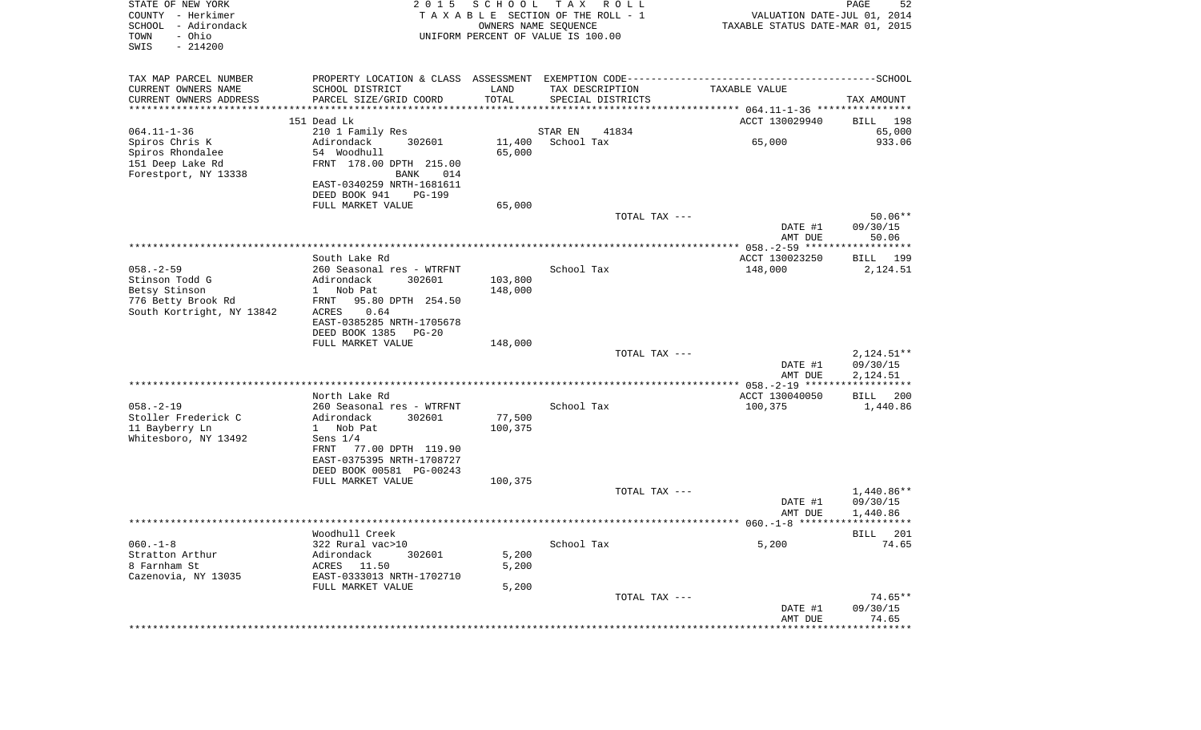| STATE OF NEW YORK<br>COUNTY - Herkimer<br>SCHOOL<br>- Adirondack<br>- Ohio<br>TOWN<br>SWIS<br>$-214200$ | 2 0 1 5                                      | SCHOOL            | T A X<br>R O L L<br>TAXABLE SECTION OF THE ROLL - 1<br>OWNERS NAME SEQUENCE<br>UNIFORM PERCENT OF VALUE IS 100.00 | VALUATION DATE-JUL 01, 2014<br>TAXABLE STATUS DATE-MAR 01, 2015 | PAGE<br>52               |
|---------------------------------------------------------------------------------------------------------|----------------------------------------------|-------------------|-------------------------------------------------------------------------------------------------------------------|-----------------------------------------------------------------|--------------------------|
| TAX MAP PARCEL NUMBER                                                                                   |                                              |                   |                                                                                                                   |                                                                 |                          |
| CURRENT OWNERS NAME<br>CURRENT OWNERS ADDRESS                                                           | SCHOOL DISTRICT<br>PARCEL SIZE/GRID COORD    | LAND<br>TOTAL     | TAX DESCRIPTION<br>SPECIAL DISTRICTS                                                                              | TAXABLE VALUE                                                   | TAX AMOUNT               |
| **********************                                                                                  | *******************                          |                   |                                                                                                                   |                                                                 |                          |
|                                                                                                         | 151 Dead Lk                                  |                   |                                                                                                                   | ACCT 130029940                                                  | 198<br>BILL              |
| $064.11 - 1 - 36$                                                                                       | 210 1 Family Res                             |                   | 41834<br>STAR EN                                                                                                  |                                                                 | 65,000                   |
| Spiros Chris K                                                                                          | Adirondack<br>302601                         | 11,400            | School Tax                                                                                                        | 65,000                                                          | 933.06                   |
| Spiros Rhondalee                                                                                        | 54 Woodhull                                  | 65,000            |                                                                                                                   |                                                                 |                          |
| 151 Deep Lake Rd                                                                                        | FRNT 178.00 DPTH 215.00<br>BANK<br>014       |                   |                                                                                                                   |                                                                 |                          |
| Forestport, NY 13338                                                                                    | EAST-0340259 NRTH-1681611                    |                   |                                                                                                                   |                                                                 |                          |
|                                                                                                         | DEED BOOK 941<br><b>PG-199</b>               |                   |                                                                                                                   |                                                                 |                          |
|                                                                                                         | FULL MARKET VALUE                            | 65,000            |                                                                                                                   |                                                                 |                          |
|                                                                                                         |                                              |                   | TOTAL TAX ---                                                                                                     |                                                                 | $50.06**$                |
|                                                                                                         |                                              |                   |                                                                                                                   | DATE #1                                                         | 09/30/15<br>50.06        |
|                                                                                                         |                                              |                   |                                                                                                                   | AMT DUE                                                         |                          |
|                                                                                                         | South Lake Rd                                |                   |                                                                                                                   | ACCT 130023250                                                  | BILL<br>199              |
| $058. - 2 - 59$                                                                                         | 260 Seasonal res - WTRFNT                    |                   | School Tax                                                                                                        | 148,000                                                         | 2,124.51                 |
| Stinson Todd G                                                                                          | Adirondack<br>302601                         | 103,800           |                                                                                                                   |                                                                 |                          |
| Betsy Stinson<br>776 Betty Brook Rd                                                                     | Nob Pat<br>$\mathbf{1}$<br>95.80 DPTH 254.50 | 148,000           |                                                                                                                   |                                                                 |                          |
| South Kortright, NY 13842                                                                               | FRNT<br>ACRES<br>0.64                        |                   |                                                                                                                   |                                                                 |                          |
|                                                                                                         | EAST-0385285 NRTH-1705678                    |                   |                                                                                                                   |                                                                 |                          |
|                                                                                                         | DEED BOOK 1385<br>$PG-20$                    |                   |                                                                                                                   |                                                                 |                          |
|                                                                                                         | FULL MARKET VALUE                            | 148,000           |                                                                                                                   |                                                                 |                          |
|                                                                                                         |                                              |                   | TOTAL TAX ---                                                                                                     | DATE #1                                                         | $2,124.51**$<br>09/30/15 |
|                                                                                                         |                                              |                   |                                                                                                                   | AMT DUE                                                         | 2,124.51                 |
|                                                                                                         |                                              |                   |                                                                                                                   |                                                                 | * * * * * * * * * * * *  |
|                                                                                                         | North Lake Rd                                |                   |                                                                                                                   | ACCT 130040050                                                  | 200<br>BILL              |
| $058. - 2 - 19$                                                                                         | 260 Seasonal res - WTRFNT                    |                   | School Tax                                                                                                        | 100,375                                                         | 1,440.86                 |
| Stoller Frederick C<br>11 Bayberry Ln                                                                   | Adirondack<br>302601<br>1 Nob Pat            | 77,500<br>100,375 |                                                                                                                   |                                                                 |                          |
| Whitesboro, NY 13492                                                                                    | Sens $1/4$                                   |                   |                                                                                                                   |                                                                 |                          |
|                                                                                                         | 77.00 DPTH 119.90<br>FRNT                    |                   |                                                                                                                   |                                                                 |                          |
|                                                                                                         | EAST-0375395 NRTH-1708727                    |                   |                                                                                                                   |                                                                 |                          |
|                                                                                                         | DEED BOOK 00581 PG-00243                     |                   |                                                                                                                   |                                                                 |                          |
|                                                                                                         | FULL MARKET VALUE                            | 100,375           | TOTAL TAX ---                                                                                                     |                                                                 | 1,440.86**               |
|                                                                                                         |                                              |                   |                                                                                                                   | DATE #1                                                         | 09/30/15                 |
|                                                                                                         |                                              |                   |                                                                                                                   | AMT DUE                                                         | 1,440.86                 |
|                                                                                                         |                                              |                   |                                                                                                                   |                                                                 |                          |
| $060. -1 - 8$                                                                                           | Woodhull Creek<br>322 Rural vac>10           |                   | School Tax                                                                                                        | 5,200                                                           | BILL 201<br>74.65        |
| Stratton Arthur                                                                                         | Adirondack<br>302601                         | 5,200             |                                                                                                                   |                                                                 |                          |
| 8 Farnham St                                                                                            | ACRES<br>11.50                               | 5,200             |                                                                                                                   |                                                                 |                          |
| Cazenovia, NY 13035                                                                                     | EAST-0333013 NRTH-1702710                    |                   |                                                                                                                   |                                                                 |                          |
|                                                                                                         | FULL MARKET VALUE                            | 5,200             |                                                                                                                   |                                                                 |                          |
|                                                                                                         |                                              |                   | TOTAL TAX ---                                                                                                     | DATE #1                                                         | $74.65**$<br>09/30/15    |
|                                                                                                         |                                              |                   |                                                                                                                   | AMT DUE                                                         | 74.65                    |
|                                                                                                         |                                              |                   |                                                                                                                   | ****************                                                | *************            |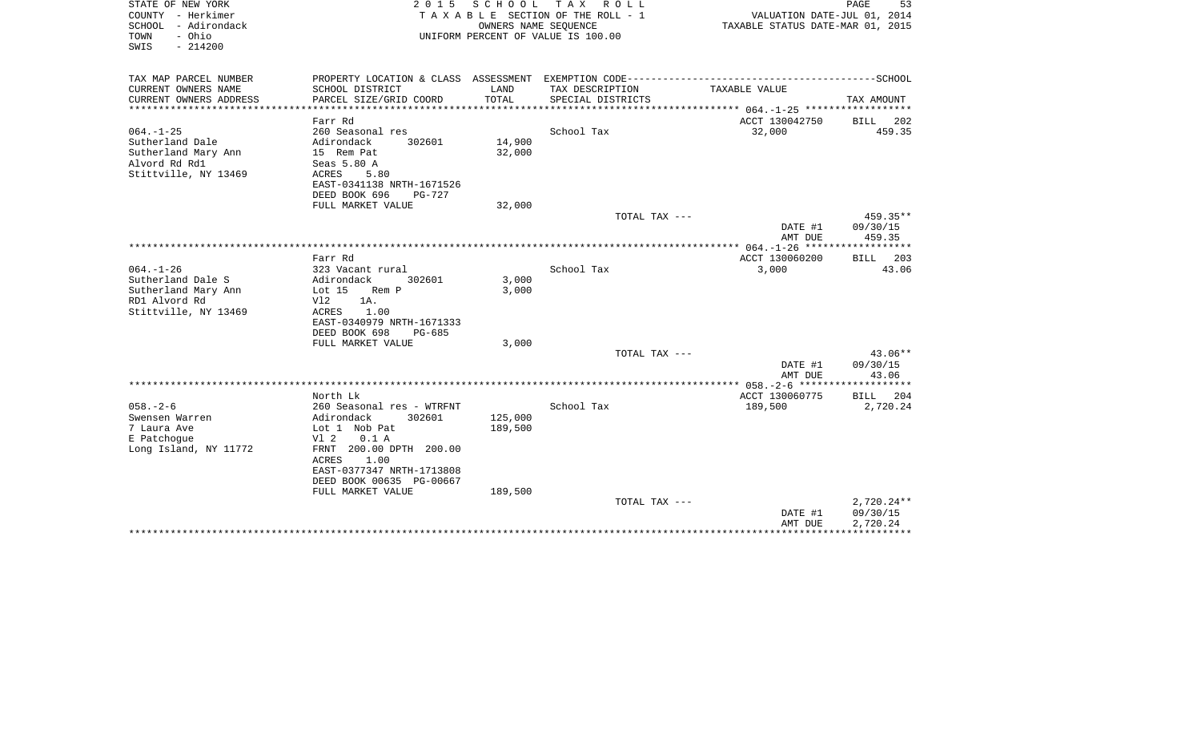| STATE OF NEW YORK<br>COUNTY - Herkimer<br>SCHOOL - Adirondack<br>- Ohio<br>TOWN<br>$-214200$<br>SWIS | 2 0 1 5<br>SCHOOL<br>TAX ROLL<br>TAXABLE SECTION OF THE ROLL - 1<br>OWNERS NAME SEQUENCE<br>UNIFORM PERCENT OF VALUE IS 100.00 |                             |                                                                                              | PAGE<br>53<br>VALUATION DATE-JUL 01, 2014<br>TAXABLE STATUS DATE-MAR 01, 2015 |                      |  |
|------------------------------------------------------------------------------------------------------|--------------------------------------------------------------------------------------------------------------------------------|-----------------------------|----------------------------------------------------------------------------------------------|-------------------------------------------------------------------------------|----------------------|--|
| TAX MAP PARCEL NUMBER                                                                                |                                                                                                                                |                             | PROPERTY LOCATION & CLASS ASSESSMENT EXEMPTION CODE-----------------------------------SCHOOL |                                                                               |                      |  |
| CURRENT OWNERS NAME<br>CURRENT OWNERS ADDRESS<br>*********************                               | SCHOOL DISTRICT<br>PARCEL SIZE/GRID COORD                                                                                      | LAND<br>TOTAL<br>********** | TAX DESCRIPTION<br>SPECIAL DISTRICTS                                                         | TAXABLE VALUE                                                                 | TAX AMOUNT           |  |
|                                                                                                      | Farr Rd                                                                                                                        |                             |                                                                                              | ACCT 130042750                                                                | <b>BILL</b><br>202   |  |
| $064. -1 - 25$                                                                                       | 260 Seasonal res                                                                                                               |                             | School Tax                                                                                   | 32,000                                                                        | 459.35               |  |
| Sutherland Dale                                                                                      | Adirondack<br>302601                                                                                                           | 14,900                      |                                                                                              |                                                                               |                      |  |
| Sutherland Mary Ann                                                                                  | 15 Rem Pat                                                                                                                     | 32,000                      |                                                                                              |                                                                               |                      |  |
| Alvord Rd Rd1                                                                                        | Seas 5.80 A                                                                                                                    |                             |                                                                                              |                                                                               |                      |  |
| Stittville, NY 13469                                                                                 | ACRES<br>5.80                                                                                                                  |                             |                                                                                              |                                                                               |                      |  |
|                                                                                                      | EAST-0341138 NRTH-1671526                                                                                                      |                             |                                                                                              |                                                                               |                      |  |
|                                                                                                      | DEED BOOK 696<br>PG-727                                                                                                        |                             |                                                                                              |                                                                               |                      |  |
|                                                                                                      | FULL MARKET VALUE                                                                                                              | 32,000                      | TOTAL TAX ---                                                                                |                                                                               | 459.35**             |  |
|                                                                                                      |                                                                                                                                |                             |                                                                                              | DATE #1                                                                       | 09/30/15             |  |
|                                                                                                      |                                                                                                                                |                             |                                                                                              | AMT DUE                                                                       | 459.35               |  |
|                                                                                                      |                                                                                                                                |                             |                                                                                              |                                                                               |                      |  |
|                                                                                                      | Farr Rd                                                                                                                        |                             |                                                                                              | ACCT 130060200                                                                | <b>BILL</b><br>203   |  |
| $064. -1 - 26$                                                                                       | 323 Vacant rural                                                                                                               |                             | School Tax                                                                                   | 3,000                                                                         | 43.06                |  |
| Sutherland Dale S                                                                                    | Adirondack<br>302601                                                                                                           | 3,000                       |                                                                                              |                                                                               |                      |  |
| Sutherland Mary Ann                                                                                  | Lot $15$<br>Rem P                                                                                                              | 3,000                       |                                                                                              |                                                                               |                      |  |
| RD1 Alvord Rd<br>Stittville, NY 13469                                                                | Vl2<br>1A.<br>ACRES<br>1.00                                                                                                    |                             |                                                                                              |                                                                               |                      |  |
|                                                                                                      | EAST-0340979 NRTH-1671333                                                                                                      |                             |                                                                                              |                                                                               |                      |  |
|                                                                                                      | DEED BOOK 698<br>$PG-685$                                                                                                      |                             |                                                                                              |                                                                               |                      |  |
|                                                                                                      | FULL MARKET VALUE                                                                                                              | 3,000                       |                                                                                              |                                                                               |                      |  |
|                                                                                                      |                                                                                                                                |                             | TOTAL TAX ---                                                                                |                                                                               | $43.06**$            |  |
|                                                                                                      |                                                                                                                                |                             |                                                                                              | DATE #1                                                                       | 09/30/15             |  |
|                                                                                                      |                                                                                                                                |                             |                                                                                              | AMT DUE                                                                       | 43.06                |  |
|                                                                                                      | North Lk                                                                                                                       |                             |                                                                                              |                                                                               | ***********          |  |
| $058. - 2 - 6$                                                                                       | 260 Seasonal res - WTRFNT                                                                                                      |                             | School Tax                                                                                   | ACCT 130060775<br>189,500                                                     | BILL 204<br>2,720.24 |  |
| Swensen Warren                                                                                       | Adirondack<br>302601                                                                                                           | 125,000                     |                                                                                              |                                                                               |                      |  |
| 7 Laura Ave                                                                                          | Lot 1 Nob Pat                                                                                                                  | 189,500                     |                                                                                              |                                                                               |                      |  |
| E Patchoque                                                                                          | V1 2<br>0.1 A                                                                                                                  |                             |                                                                                              |                                                                               |                      |  |
| Long Island, NY 11772                                                                                | FRNT 200.00 DPTH 200.00                                                                                                        |                             |                                                                                              |                                                                               |                      |  |
|                                                                                                      | ACRES<br>1.00                                                                                                                  |                             |                                                                                              |                                                                               |                      |  |
|                                                                                                      | EAST-0377347 NRTH-1713808                                                                                                      |                             |                                                                                              |                                                                               |                      |  |
|                                                                                                      | DEED BOOK 00635 PG-00667<br>FULL MARKET VALUE                                                                                  | 189,500                     |                                                                                              |                                                                               |                      |  |
|                                                                                                      |                                                                                                                                |                             | TOTAL TAX ---                                                                                |                                                                               | 2,720.24**           |  |
|                                                                                                      |                                                                                                                                |                             |                                                                                              | DATE #1                                                                       | 09/30/15             |  |
|                                                                                                      |                                                                                                                                |                             |                                                                                              | AMT DUE                                                                       | 2,720.24             |  |
|                                                                                                      |                                                                                                                                |                             |                                                                                              |                                                                               | ***********          |  |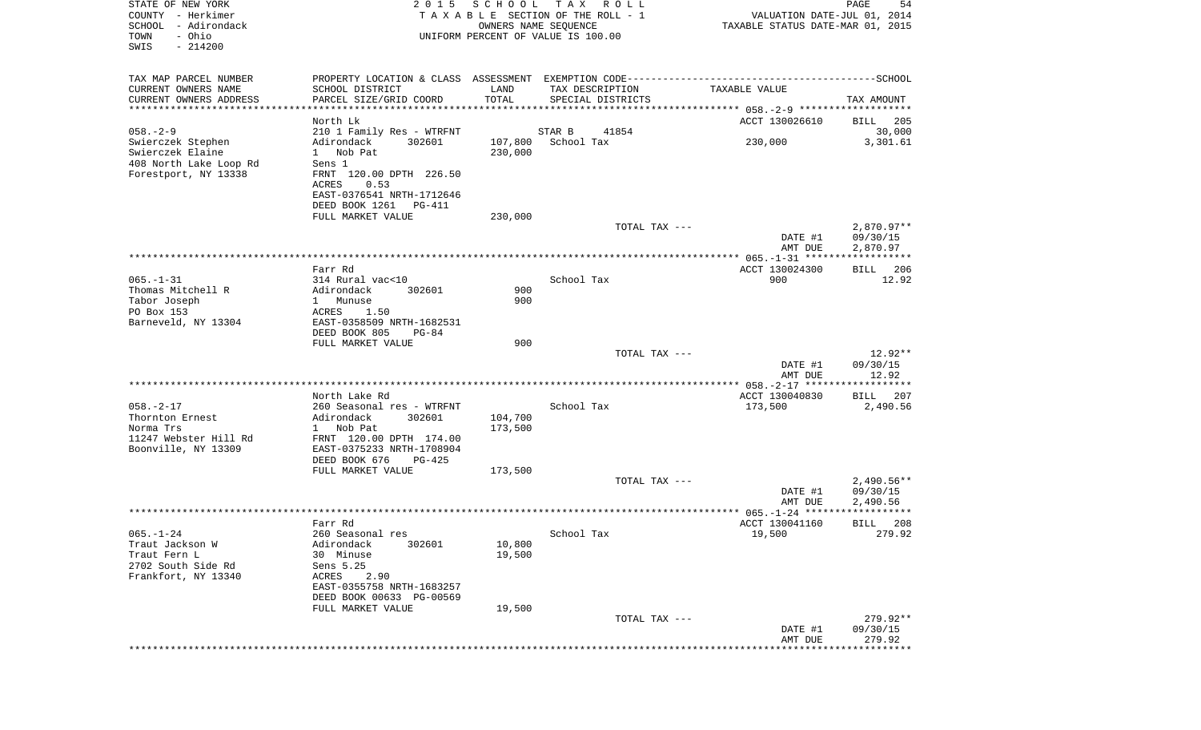| STATE OF NEW YORK<br>COUNTY - Herkimer<br>SCHOOL<br>- Adirondack<br>- Ohio<br>TOWN<br>SWIS<br>$-214200$ | 2 0 1 5                                                                                            | SCHOOL<br>OWNERS NAME SEQUENCE | T A X<br>R O L L<br>TAXABLE SECTION OF THE ROLL - 1<br>UNIFORM PERCENT OF VALUE IS 100.00 | VALUATION DATE-JUL 01, 2014<br>TAXABLE STATUS DATE-MAR 01, 2015 | $\mathop{\mathtt{PAGE}}$<br>54 |
|---------------------------------------------------------------------------------------------------------|----------------------------------------------------------------------------------------------------|--------------------------------|-------------------------------------------------------------------------------------------|-----------------------------------------------------------------|--------------------------------|
| TAX MAP PARCEL NUMBER                                                                                   |                                                                                                    |                                |                                                                                           |                                                                 |                                |
| CURRENT OWNERS NAME<br>CURRENT OWNERS ADDRESS<br>***********************                                | SCHOOL DISTRICT<br>PARCEL SIZE/GRID COORD                                                          | LAND<br>TOTAL                  | TAX DESCRIPTION<br>SPECIAL DISTRICTS                                                      | TAXABLE VALUE                                                   | TAX AMOUNT                     |
|                                                                                                         | North Lk                                                                                           |                                |                                                                                           | ACCT 130026610                                                  | 205<br>BILL                    |
| $058. - 2 - 9$                                                                                          | 210 1 Family Res - WTRFNT                                                                          |                                | 41854<br>STAR B                                                                           |                                                                 | 30,000                         |
| Swierczek Stephen<br>Swierczek Elaine<br>408 North Lake Loop Rd<br>Forestport, NY 13338                 | Adirondack<br>302601<br>Nob Pat<br>$1 \quad$<br>Sens 1<br>FRNT 120.00 DPTH 226.50<br>ACRES<br>0.53 | 107,800<br>230,000             | School Tax                                                                                | 230,000                                                         | 3,301.61                       |
|                                                                                                         | EAST-0376541 NRTH-1712646<br>DEED BOOK 1261<br>PG-411                                              |                                |                                                                                           |                                                                 |                                |
|                                                                                                         | FULL MARKET VALUE                                                                                  | 230,000                        | TOTAL TAX ---                                                                             |                                                                 | $2,870.97**$                   |
|                                                                                                         |                                                                                                    |                                |                                                                                           | DATE #1<br>AMT DUE                                              | 09/30/15<br>2,870.97           |
|                                                                                                         |                                                                                                    |                                |                                                                                           |                                                                 |                                |
|                                                                                                         | Farr Rd                                                                                            |                                |                                                                                           | ACCT 130024300                                                  | 206<br>BILL                    |
| $065. -1 - 31$                                                                                          | 314 Rural vac<10                                                                                   |                                | School Tax                                                                                | 900                                                             | 12.92                          |
| Thomas Mitchell R<br>Tabor Joseph                                                                       | 302601<br>Adirondack<br>$\mathbf{1}$<br>Munuse                                                     | 900<br>900                     |                                                                                           |                                                                 |                                |
| PO Box 153                                                                                              | 1.50<br>ACRES                                                                                      |                                |                                                                                           |                                                                 |                                |
| Barneveld, NY 13304                                                                                     | EAST-0358509 NRTH-1682531                                                                          |                                |                                                                                           |                                                                 |                                |
|                                                                                                         | DEED BOOK 805<br>$PG-84$                                                                           |                                |                                                                                           |                                                                 |                                |
|                                                                                                         | FULL MARKET VALUE                                                                                  | 900                            |                                                                                           |                                                                 |                                |
|                                                                                                         |                                                                                                    |                                | TOTAL TAX ---                                                                             | DATE #1                                                         | 12.92**<br>09/30/15            |
|                                                                                                         |                                                                                                    |                                |                                                                                           | AMT DUE                                                         | 12.92                          |
|                                                                                                         |                                                                                                    |                                |                                                                                           |                                                                 |                                |
| $058. - 2 - 17$                                                                                         | North Lake Rd<br>260 Seasonal res - WTRFNT                                                         |                                | School Tax                                                                                | ACCT 130040830<br>173,500                                       | 207<br>BILL<br>2,490.56        |
| Thornton Ernest                                                                                         | Adirondack<br>302601                                                                               | 104,700                        |                                                                                           |                                                                 |                                |
| Norma Trs                                                                                               | 1 Nob Pat                                                                                          | 173,500                        |                                                                                           |                                                                 |                                |
| 11247 Webster Hill Rd<br>Boonville, NY 13309                                                            | FRNT 120.00 DPTH 174.00<br>EAST-0375233 NRTH-1708904                                               |                                |                                                                                           |                                                                 |                                |
|                                                                                                         | DEED BOOK 676<br>PG-425                                                                            |                                |                                                                                           |                                                                 |                                |
|                                                                                                         | FULL MARKET VALUE                                                                                  | 173,500                        | TOTAL TAX ---                                                                             |                                                                 | $2,490.56**$                   |
|                                                                                                         |                                                                                                    |                                |                                                                                           | DATE #1                                                         | 09/30/15                       |
|                                                                                                         |                                                                                                    |                                |                                                                                           | AMT DUE                                                         | 2,490.56                       |
|                                                                                                         |                                                                                                    |                                |                                                                                           |                                                                 | * * * * * * * * * * * *        |
|                                                                                                         | Farr Rd                                                                                            |                                |                                                                                           | ACCT 130041160                                                  | 208<br>BILL                    |
| $065. - 1 - 24$<br>Traut Jackson W                                                                      | 260 Seasonal res<br>Adirondack<br>302601                                                           | 10,800                         | School Tax                                                                                | 19,500                                                          | 279.92                         |
| Traut Fern L                                                                                            | 30 Minuse                                                                                          | 19,500                         |                                                                                           |                                                                 |                                |
| 2702 South Side Rd                                                                                      | Sens 5.25                                                                                          |                                |                                                                                           |                                                                 |                                |
| Frankfort, NY 13340                                                                                     | 2.90<br>ACRES<br>EAST-0355758 NRTH-1683257                                                         |                                |                                                                                           |                                                                 |                                |
|                                                                                                         | DEED BOOK 00633 PG-00569                                                                           |                                |                                                                                           |                                                                 |                                |
|                                                                                                         | FULL MARKET VALUE                                                                                  | 19,500                         |                                                                                           |                                                                 |                                |
|                                                                                                         |                                                                                                    |                                | TOTAL TAX ---                                                                             |                                                                 | 279.92**                       |
|                                                                                                         |                                                                                                    |                                |                                                                                           | DATE #1<br>AMT DUE                                              | 09/30/15<br>279.92             |
|                                                                                                         |                                                                                                    |                                |                                                                                           |                                                                 |                                |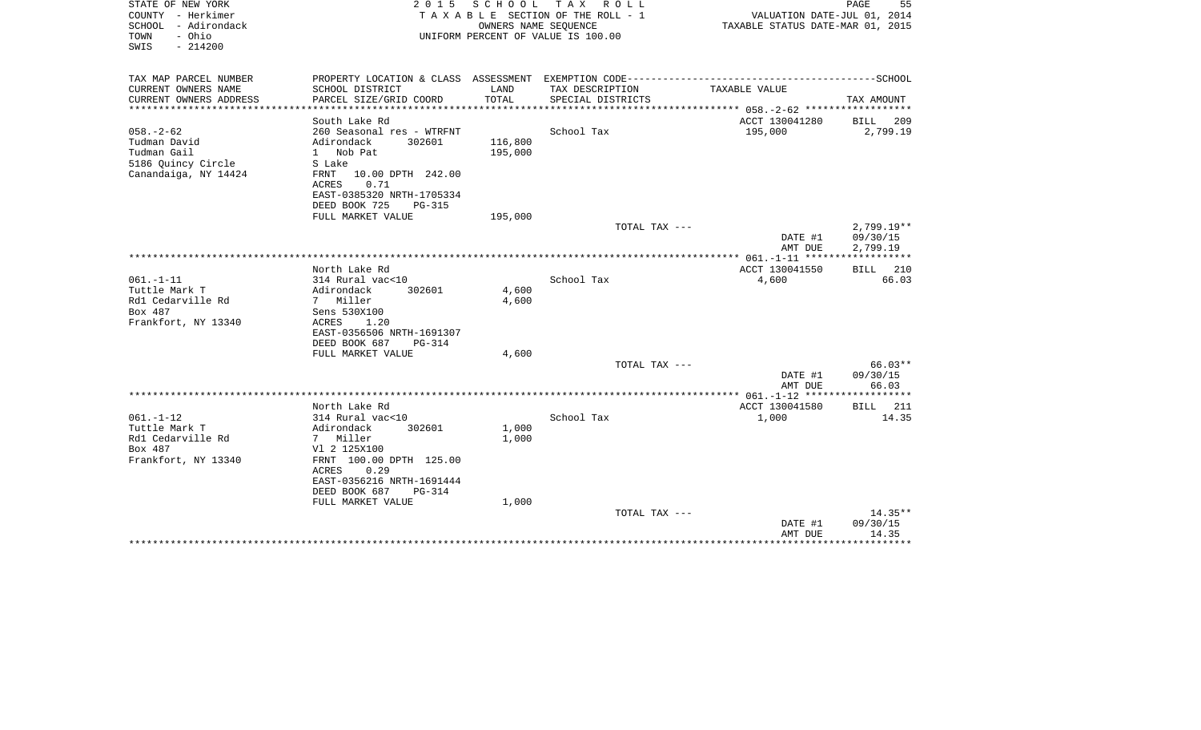| STATE OF NEW YORK<br>COUNTY - Herkimer<br>SCHOOL - Adirondack<br>- Ohio<br>TOWN<br>$-214200$<br>SWIS | 2 0 1 5                                                                                                                                                               | OWNERS NAME SEQUENCE | SCHOOL TAX ROLL<br>T A X A B L E SECTION OF THE ROLL - 1<br>UNIFORM PERCENT OF VALUE IS 100.00 | VALUATION DATE-JUL 01, 2014<br>TAXABLE STATUS DATE-MAR 01, 2015 | PAGE<br>55                           |
|------------------------------------------------------------------------------------------------------|-----------------------------------------------------------------------------------------------------------------------------------------------------------------------|----------------------|------------------------------------------------------------------------------------------------|-----------------------------------------------------------------|--------------------------------------|
| TAX MAP PARCEL NUMBER<br>CURRENT OWNERS NAME                                                         | SCHOOL DISTRICT                                                                                                                                                       | LAND                 | TAX DESCRIPTION                                                                                | TAXABLE VALUE                                                   |                                      |
| CURRENT OWNERS ADDRESS<br>********************                                                       | PARCEL SIZE/GRID COORD<br>***********************                                                                                                                     | TOTAL                | SPECIAL DISTRICTS                                                                              |                                                                 | TAX AMOUNT                           |
|                                                                                                      | South Lake Rd                                                                                                                                                         |                      |                                                                                                | ACCT 130041280                                                  | <b>BILL</b><br>209                   |
| $058. - 2 - 62$<br>Tudman David<br>Tudman Gail<br>5186 Ouincy Circle<br>Canandaiga, NY 14424         | 260 Seasonal res - WTRFNT<br>302601<br>Adirondack<br>1 Nob Pat<br>S Lake<br>FRNT<br>10.00 DPTH 242.00<br>0.71<br>ACRES<br>EAST-0385320 NRTH-1705334                   | 116,800<br>195,000   | School Tax                                                                                     | 195,000                                                         | 2,799.19                             |
|                                                                                                      | DEED BOOK 725<br><b>PG-315</b><br>FULL MARKET VALUE                                                                                                                   | 195,000              |                                                                                                |                                                                 |                                      |
|                                                                                                      |                                                                                                                                                                       |                      | TOTAL TAX ---                                                                                  | DATE #1<br>AMT DUE                                              | $2,799.19**$<br>09/30/15<br>2,799.19 |
|                                                                                                      |                                                                                                                                                                       |                      |                                                                                                | ************** 061.-1-11 ******                                 | ************                         |
| $061. - 1 - 11$<br>Tuttle Mark T<br>Rd1 Cedarville Rd<br>Box 487<br>Frankfort, NY 13340              | North Lake Rd<br>314 Rural vac<10<br>Adirondack<br>302601<br>7 Miller<br>Sens 530X100<br>ACRES<br>1.20<br>EAST-0356506 NRTH-1691307<br>DEED BOOK 687<br><b>PG-314</b> | 4,600<br>4,600       | School Tax                                                                                     | ACCT 130041550<br>4,600                                         | 210<br>BILL<br>66.03                 |
|                                                                                                      | FULL MARKET VALUE                                                                                                                                                     | 4,600                |                                                                                                |                                                                 |                                      |
|                                                                                                      |                                                                                                                                                                       |                      | TOTAL TAX ---                                                                                  | DATE #1<br>AMT DUE                                              | $66.03**$<br>09/30/15<br>66.03       |
|                                                                                                      |                                                                                                                                                                       |                      |                                                                                                |                                                                 |                                      |
| $061. - 1 - 12$<br>Tuttle Mark T<br>Rd1 Cedarville Rd<br>Box 487<br>Frankfort, NY 13340              | North Lake Rd<br>314 Rural vac<10<br>302601<br>Adirondack<br>7 Miller<br>V1 2 125X100<br>FRNT 100.00 DPTH 125.00<br><b>ACRES</b><br>0.29<br>EAST-0356216 NRTH-1691444 | 1,000<br>1,000       | School Tax                                                                                     | ACCT 130041580<br>1,000                                         | 211<br>BILL<br>14.35                 |
|                                                                                                      | DEED BOOK 687<br>PG-314<br>FULL MARKET VALUE                                                                                                                          | 1,000                | TOTAL TAX ---                                                                                  |                                                                 | $14.35**$                            |
|                                                                                                      |                                                                                                                                                                       |                      |                                                                                                | DATE #1<br>AMT DUE                                              | 09/30/15<br>14.35                    |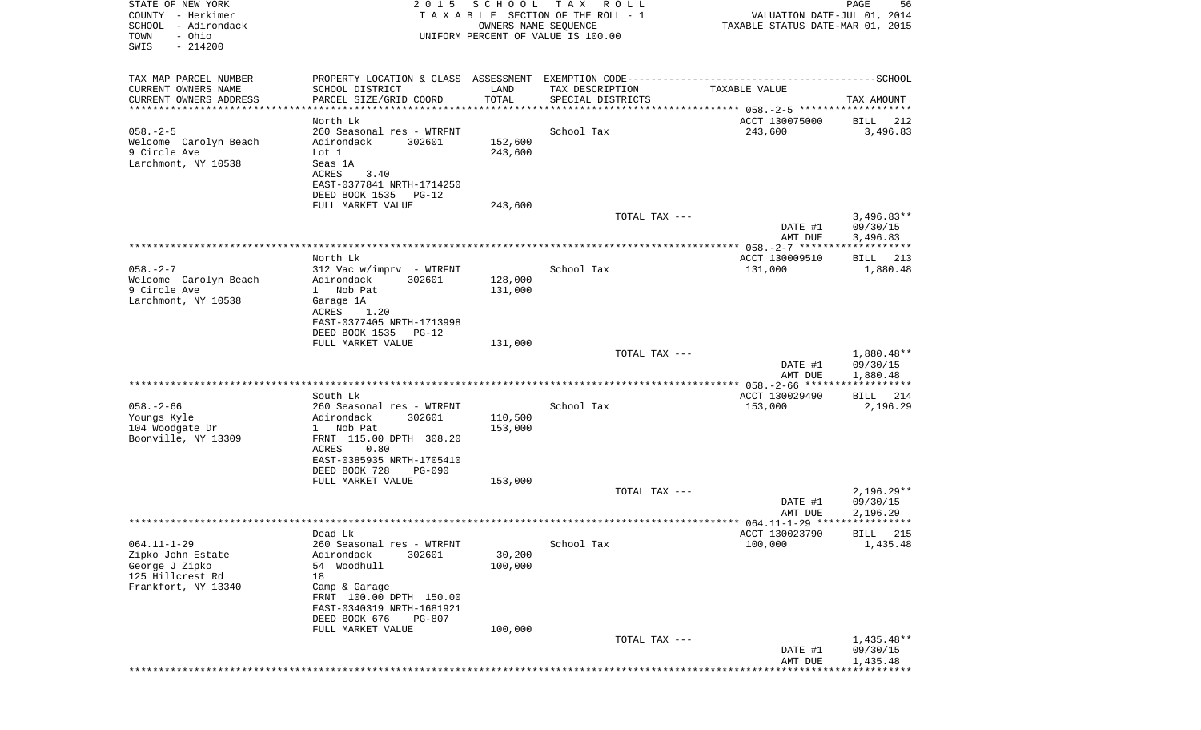| STATE OF NEW YORK<br>COUNTY - Herkimer<br>SCHOOL - Adirondack<br>- Ohio<br>TOWN<br>SWIS<br>$-214200$ | 2 0 1 5                                                                                                                                                      | SCHOOL<br>T A X<br>R O L L<br>TAXABLE SECTION OF THE ROLL - 1<br>OWNERS NAME SEQUENCE<br>UNIFORM PERCENT OF VALUE IS 100.00 |                                                                                              |                           | PAGE<br>56<br>VALUATION DATE-JUL 01, 2014<br>TAXABLE STATUS DATE-MAR 01, 2015 |
|------------------------------------------------------------------------------------------------------|--------------------------------------------------------------------------------------------------------------------------------------------------------------|-----------------------------------------------------------------------------------------------------------------------------|----------------------------------------------------------------------------------------------|---------------------------|-------------------------------------------------------------------------------|
| TAX MAP PARCEL NUMBER                                                                                |                                                                                                                                                              |                                                                                                                             | PROPERTY LOCATION & CLASS ASSESSMENT EXEMPTION CODE-----------------------------------SCHOOL |                           |                                                                               |
| CURRENT OWNERS NAME<br>CURRENT OWNERS ADDRESS                                                        | SCHOOL DISTRICT<br>PARCEL SIZE/GRID COORD                                                                                                                    | LAND<br>TOTAL                                                                                                               | TAX DESCRIPTION<br>SPECIAL DISTRICTS                                                         | TAXABLE VALUE             | TAX AMOUNT                                                                    |
| ************************                                                                             |                                                                                                                                                              |                                                                                                                             |                                                                                              |                           |                                                                               |
| $058. - 2 - 5$<br>Welcome Carolyn Beach<br>9 Circle Ave<br>Larchmont, NY 10538                       | North Lk<br>260 Seasonal res - WTRFNT<br>Adirondack<br>302601<br>Lot 1<br>Seas 1A<br>ACRES<br>3.40<br>EAST-0377841 NRTH-1714250<br>DEED BOOK 1535<br>$PG-12$ | 152,600<br>243,600                                                                                                          | School Tax                                                                                   | ACCT 130075000<br>243,600 | BILL<br>212<br>3,496.83                                                       |
|                                                                                                      | FULL MARKET VALUE                                                                                                                                            | 243,600                                                                                                                     |                                                                                              |                           |                                                                               |
|                                                                                                      |                                                                                                                                                              |                                                                                                                             | TOTAL TAX ---                                                                                | DATE #1<br>AMT DUE        | $3,496.83**$<br>09/30/15<br>3,496.83                                          |
|                                                                                                      |                                                                                                                                                              |                                                                                                                             |                                                                                              |                           |                                                                               |
| $058. - 2 - 7$<br>Welcome Carolyn Beach                                                              | North Lk<br>312 Vac w/imprv - WTRFNT<br>Adirondack<br>302601                                                                                                 | 128,000                                                                                                                     | School Tax                                                                                   | ACCT 130009510<br>131,000 | BILL 213<br>1,880.48                                                          |
| 9 Circle Ave<br>Larchmont, NY 10538                                                                  | 1 Nob Pat<br>Garage 1A<br>ACRES<br>1.20<br>EAST-0377405 NRTH-1713998<br>DEED BOOK 1535<br>$PG-12$                                                            | 131,000                                                                                                                     |                                                                                              |                           |                                                                               |
|                                                                                                      | FULL MARKET VALUE                                                                                                                                            | 131,000                                                                                                                     |                                                                                              |                           |                                                                               |
|                                                                                                      |                                                                                                                                                              |                                                                                                                             | TOTAL TAX ---                                                                                | DATE #1<br>AMT DUE        | 1,880.48**<br>09/30/15<br>1,880.48                                            |
|                                                                                                      |                                                                                                                                                              |                                                                                                                             |                                                                                              |                           |                                                                               |
| $058. - 2 - 66$                                                                                      | South Lk<br>260 Seasonal res - WTRFNT                                                                                                                        |                                                                                                                             | School Tax                                                                                   | ACCT 130029490<br>153,000 | BILL 214<br>2,196.29                                                          |
| Youngs Kyle<br>104 Woodgate Dr                                                                       | Adirondack<br>302601<br>1 Nob Pat                                                                                                                            | 110,500<br>153,000                                                                                                          |                                                                                              |                           |                                                                               |
| Boonville, NY 13309                                                                                  | FRNT 115.00 DPTH 308.20<br>ACRES<br>0.80<br>EAST-0385935 NRTH-1705410                                                                                        |                                                                                                                             |                                                                                              |                           |                                                                               |
|                                                                                                      | DEED BOOK 728<br>PG-090                                                                                                                                      |                                                                                                                             |                                                                                              |                           |                                                                               |
|                                                                                                      | FULL MARKET VALUE                                                                                                                                            | 153,000                                                                                                                     | TOTAL TAX ---                                                                                |                           | $2,196.29**$                                                                  |
|                                                                                                      |                                                                                                                                                              |                                                                                                                             |                                                                                              | DATE #1<br>AMT DUE        | 09/30/15<br>2,196.29                                                          |
|                                                                                                      |                                                                                                                                                              |                                                                                                                             |                                                                                              |                           |                                                                               |
| $064.11 - 1 - 29$                                                                                    | Dead Lk<br>260 Seasonal res - WTRFNT                                                                                                                         |                                                                                                                             | School Tax                                                                                   | ACCT 130023790<br>100,000 | BTLL 215<br>1,435.48                                                          |
| Zipko John Estate<br>George J Zipko<br>125 Hillcrest Rd                                              | Adirondack<br>302601<br>54 Woodhull<br>18                                                                                                                    | 30,200<br>100,000                                                                                                           |                                                                                              |                           |                                                                               |
| Frankfort, NY 13340                                                                                  | Camp & Garage<br>FRNT 100.00 DPTH 150.00<br>EAST-0340319 NRTH-1681921<br>DEED BOOK 676<br>PG-807                                                             |                                                                                                                             |                                                                                              |                           |                                                                               |
|                                                                                                      | FULL MARKET VALUE                                                                                                                                            | 100,000                                                                                                                     | TOTAL TAX ---                                                                                | DATE #1                   | 1,435.48**<br>09/30/15                                                        |
|                                                                                                      |                                                                                                                                                              |                                                                                                                             |                                                                                              | AMT DUE                   | 1,435.48                                                                      |
|                                                                                                      |                                                                                                                                                              |                                                                                                                             |                                                                                              |                           |                                                                               |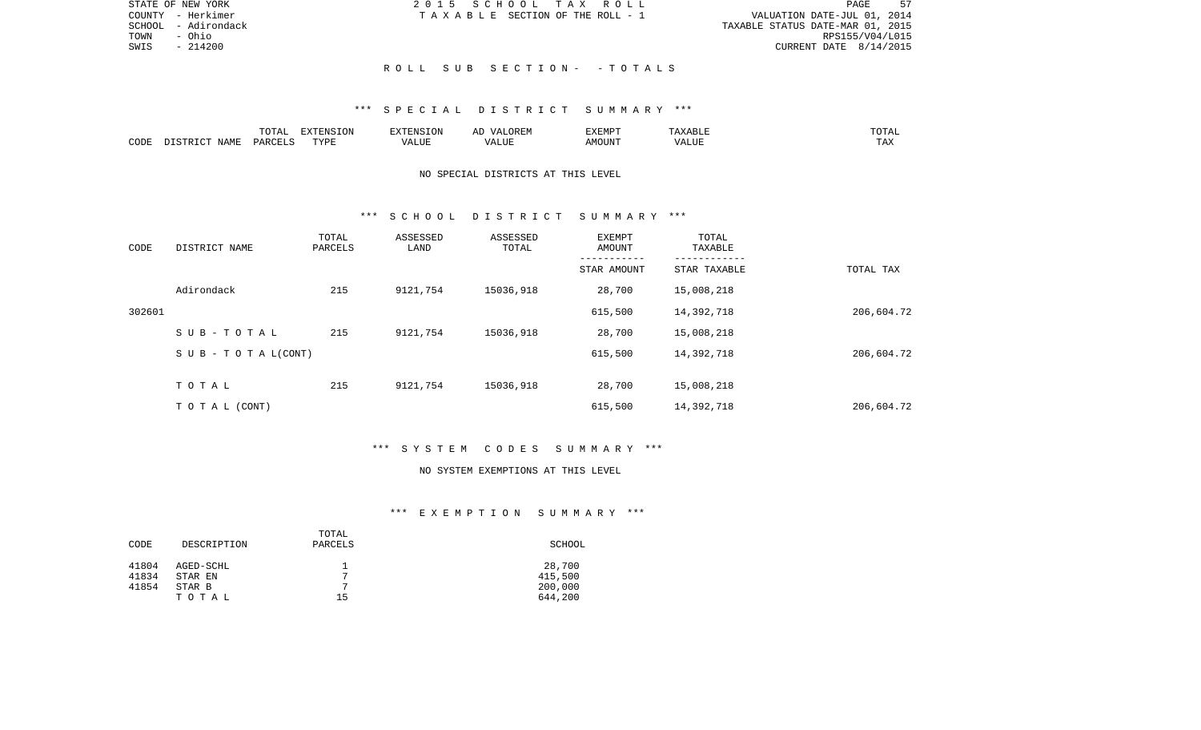| STATE OF NEW YORK      | 2015 SCHOOL TAX ROLL                  | 57<br>PAGE                       |
|------------------------|---------------------------------------|----------------------------------|
| COUNTY - Herkimer      | T A X A B L E SECTION OF THE ROLL - 1 | VALUATION DATE-JUL 01, 2014      |
| - Adirondack<br>SCHOOL |                                       | TAXABLE STATUS DATE-MAR 01, 2015 |
| TOWN<br>- Ohio         |                                       | RPS155/V04/L015                  |
| $-214200$<br>SWIS      |                                       | CURRENT DATE 8/14/2015           |
|                        |                                       |                                  |
|                        | ROLL SUB SECTION- -TOTALS             |                                  |

### \*\*\* S P E C I A L D I S T R I C T S U M M A R Y \*\*\*

|      |       | <b>momm</b><br>◡∸⊷                | EXTENSION   | $7 - 21$       | $\cdots$ | 3773550<br>. .<br>7 YEN A |                              | ۰д<br>- - - - -        |
|------|-------|-----------------------------------|-------------|----------------|----------|---------------------------|------------------------------|------------------------|
| CODE | NAME. | $\alpha$ DORT $\tau$<br><b>DA</b> | <b>TITE</b> | T T T<br>/ALUE |          | MOUN.                     | $-77$<br>$\lambda$<br>٬ اسد. | $m \times n$<br>⊥ டு∡: |

## NO SPECIAL DISTRICTS AT THIS LEVEL

#### \*\*\* S C H O O L D I S T R I C T S U M M A R Y \*\*\*

| CODE   | DISTRICT NAME                    | TOTAL<br>PARCELS | ASSESSED<br>LAND | ASSESSED<br>TOTAL | EXEMPT<br>AMOUNT | TOTAL<br>TAXABLE |            |
|--------|----------------------------------|------------------|------------------|-------------------|------------------|------------------|------------|
|        |                                  |                  |                  |                   | STAR AMOUNT      | STAR TAXABLE     | TOTAL TAX  |
|        | Adirondack                       | 215              | 9121,754         | 15036,918         | 28,700           | 15,008,218       |            |
| 302601 |                                  |                  |                  |                   | 615,500          | 14,392,718       | 206,604.72 |
|        | SUB-TOTAL                        | 215              | 9121,754         | 15036,918         | 28,700           | 15,008,218       |            |
|        | $S \cup B - T \cup T A L (CONT)$ |                  |                  |                   | 615,500          | 14,392,718       | 206,604.72 |
|        | TOTAL                            | 215              | 9121,754         | 15036,918         | 28,700           | 15,008,218       |            |
|        |                                  |                  |                  |                   |                  |                  |            |
|        | TO TAL (CONT)                    |                  |                  |                   | 615,500          | 14,392,718       | 206,604.72 |

# \*\*\* S Y S T E M C O D E S S U M M A R Y \*\*\*

#### NO SYSTEM EXEMPTIONS AT THIS LEVEL

# \*\*\* E X E M P T I O N S U M M A R Y \*\*\*

|       |             | TOTAL        |         |
|-------|-------------|--------------|---------|
| CODE  | DESCRIPTION | PARCELS      | SCHOOL  |
|       |             |              |         |
| 41804 | AGED-SCHL   |              | 28,700  |
| 41834 | STAR EN     | $\mathbf{r}$ | 415,500 |
| 41854 | STAR B      | ⇁            | 200,000 |
|       | TOTAL       | 15           | 644,200 |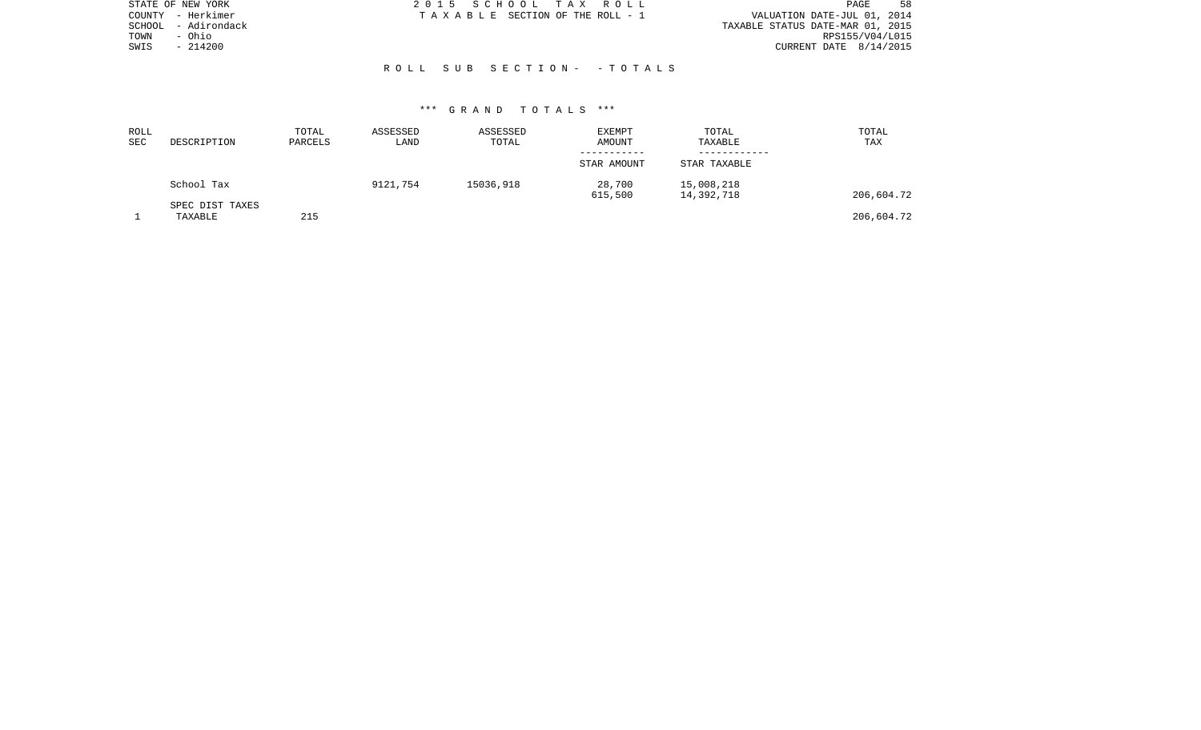| STATE OF NEW YORK      | 2015 SCHOOL TAX ROLL            | 58<br>PAGE                       |
|------------------------|---------------------------------|----------------------------------|
| COUNTY - Herkimer      | TAXABLE SECTION OF THE ROLL - 1 | VALUATION DATE-JUL 01, 2014      |
| - Adirondack<br>SCHOOL |                                 | TAXABLE STATUS DATE-MAR 01, 2015 |
| - Ohio<br>TOWN         |                                 | RPS155/V04/L015                  |
| $-214200$<br>SWIS      |                                 | CURRENT DATE $8/14/2015$         |
|                        |                                 |                                  |
|                        | ROLL SUB SECTION- -TOTALS       |                                  |
|                        |                                 |                                  |

#### \*\*\* G R A N D T O T A L S \*\*\*

| ROLL<br><b>SEC</b> | DESCRIPTION                | TOTAL<br>PARCELS | ASSESSED<br>LAND | ASSESSED<br>TOTAL | EXEMPT<br>AMOUNT<br>----------- | TOTAL<br>TAXABLE         | TOTAL<br>TAX |
|--------------------|----------------------------|------------------|------------------|-------------------|---------------------------------|--------------------------|--------------|
|                    |                            |                  |                  |                   | STAR AMOUNT                     | STAR TAXABLE             |              |
|                    | School Tax                 |                  | 9121,754         | 15036,918         | 28,700<br>615,500               | 15,008,218<br>14,392,718 | 206,604.72   |
|                    | SPEC DIST TAXES<br>TAXABLE | 215              |                  |                   |                                 |                          | 206,604.72   |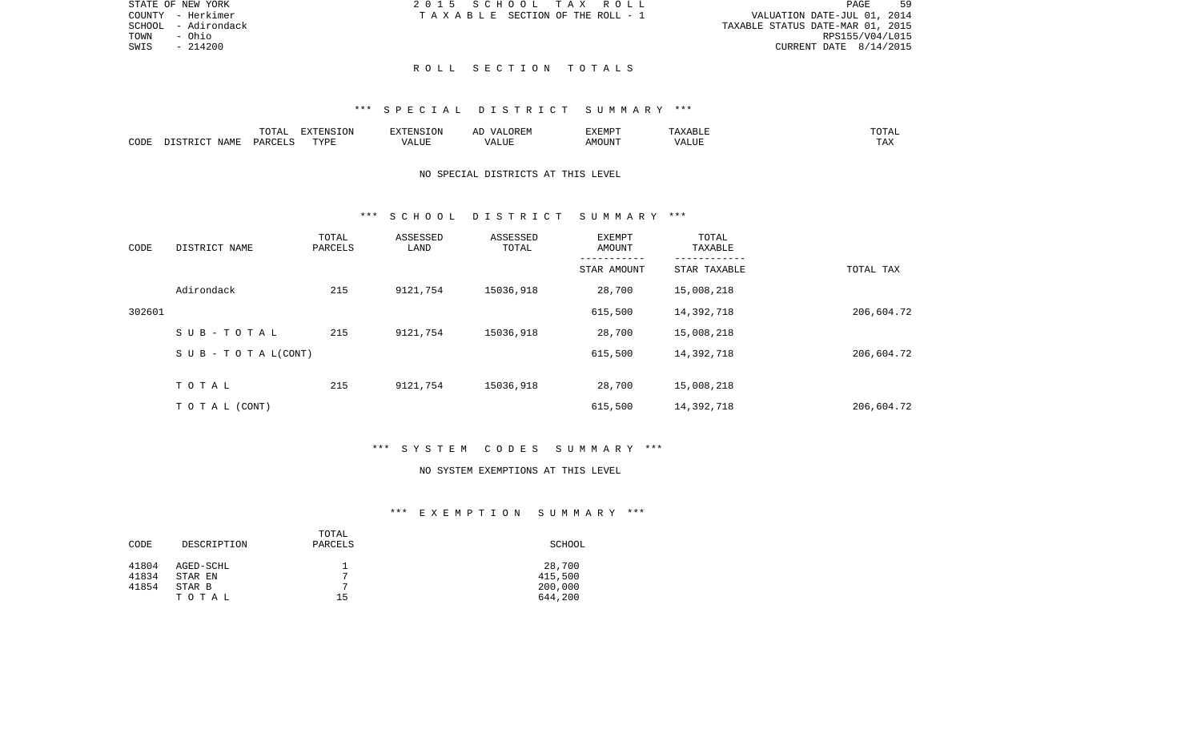| STATE OF NEW YORK |              | 2015 SCHOOL TAX ROLL                  |  | 59<br>PAGE                       |
|-------------------|--------------|---------------------------------------|--|----------------------------------|
| COUNTY - Herkimer |              | T A X A B L E SECTION OF THE ROLL - 1 |  | VALUATION DATE-JUL 01, 2014      |
| SCHOOL            | - Adirondack |                                       |  | TAXABLE STATUS DATE-MAR 01, 2015 |
| TOWN<br>- Ohio    |              |                                       |  | RPS155/V04/L015                  |
| SWIS              | $-214200$    |                                       |  | CURRENT DATE $8/14/2015$         |
|                   |              |                                       |  |                                  |

#### R O L L S E C T I O N T O T A L S

### \*\*\* S P E C I A L D I S T R I C T S U M M A R Y \*\*\*

|      | 10 <sub>m</sub><br>- ⊂ + + + + + + + | $\blacksquare$<br>LVJIN | . NTC     |                                   | EXEMPT         |                 | $\cdot$ A $\cdot$<br>---- |
|------|--------------------------------------|-------------------------|-----------|-----------------------------------|----------------|-----------------|---------------------------|
| CODE | ۱۵۸ ۵                                | TVDI<br>.               | . L I U P | - ---<br>$^{\prime}$<br>۳۰ تالىد. | JUN'<br>A IVI. | $    -$<br>ALUI | $- - -$<br>L HV           |

## NO SPECIAL DISTRICTS AT THIS LEVEL

#### \*\*\* S C H O O L D I S T R I C T S U M M A R Y \*\*\*

| CODE   | DISTRICT NAME                | TOTAL<br>PARCELS | ASSESSED<br>LAND | ASSESSED<br>TOTAL | EXEMPT<br>AMOUNT | TOTAL<br>TAXABLE |            |
|--------|------------------------------|------------------|------------------|-------------------|------------------|------------------|------------|
|        |                              |                  |                  |                   | STAR AMOUNT      | STAR TAXABLE     | TOTAL TAX  |
|        | Adirondack                   | 215              | 9121,754         | 15036,918         | 28,700           | 15,008,218       |            |
| 302601 |                              |                  |                  |                   | 615,500          | 14,392,718       | 206,604.72 |
|        | SUB-TOTAL                    | 215              | 9121,754         | 15036,918         | 28,700           | 15,008,218       |            |
|        | $S \cup B - T O T A L(CONT)$ |                  |                  |                   | 615,500          | 14,392,718       | 206,604.72 |
|        | TOTAL                        | 215              | 9121,754         | 15036,918         | 28,700           | 15,008,218       |            |
|        |                              |                  |                  |                   |                  |                  |            |
|        | T O T A L (CONT)             |                  |                  |                   | 615,500          | 14,392,718       | 206,604.72 |

## \*\*\* S Y S T E M C O D E S S U M M A R Y \*\*\*

#### NO SYSTEM EXEMPTIONS AT THIS LEVEL

### \*\*\* E X E M P T I O N S U M M A R Y \*\*\*

|       |             | TOTAL        |         |
|-------|-------------|--------------|---------|
| CODE  | DESCRIPTION | PARCELS      | SCHOOL  |
|       |             |              |         |
| 41804 | AGED-SCHL   |              | 28,700  |
| 41834 | STAR EN     | $\mathbf{r}$ | 415,500 |
| 41854 | STAR B      | ⇁            | 200,000 |
|       | TOTAL       | 15           | 644,200 |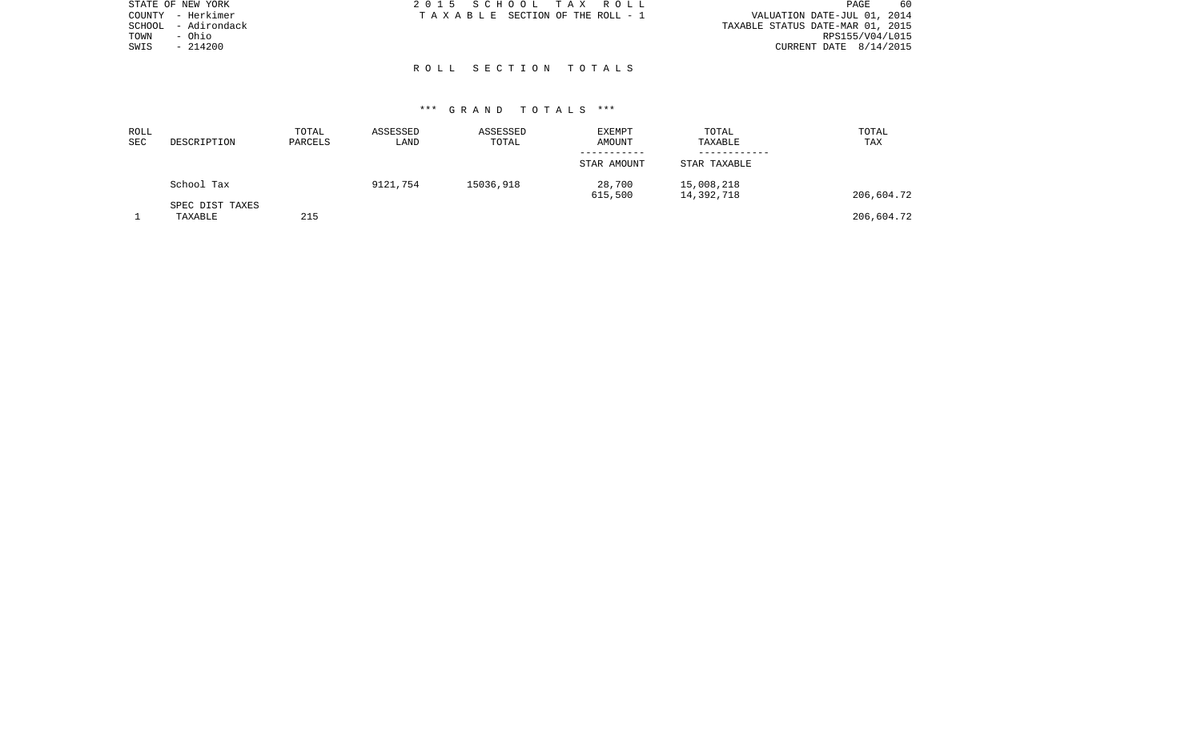| STATE OF NEW YORK      | 2015 SCHOOL TAX ROLL            | 60<br><b>PAGE</b>                |
|------------------------|---------------------------------|----------------------------------|
| COUNTY - Herkimer      | TAXABLE SECTION OF THE ROLL - 1 | VALUATION DATE-JUL 01, 2014      |
| - Adirondack<br>SCHOOL |                                 | TAXABLE STATUS DATE-MAR 01, 2015 |
| - Ohio<br>TOWN         |                                 | RPS155/V04/L015                  |
| $-214200$<br>SWIS      |                                 | CURRENT DATE $8/14/2015$         |
|                        |                                 |                                  |
|                        | ROLL SECTION TOTALS             |                                  |

### \*\*\* G R A N D T O T A L S \*\*\*

| ROLL<br>SEC | DESCRIPTION                | TOTAL<br>PARCELS | ASSESSED<br>LAND | ASSESSED<br>TOTAL | <b>EXEMPT</b><br>AMOUNT | TOTAL<br>TAXABLE         | TOTAL<br>TAX |
|-------------|----------------------------|------------------|------------------|-------------------|-------------------------|--------------------------|--------------|
|             |                            |                  |                  |                   | STAR AMOUNT             | STAR TAXABLE             |              |
|             | School Tax                 |                  | 9121,754         | 15036,918         | 28,700<br>615,500       | 15,008,218<br>14,392,718 | 206,604.72   |
|             | SPEC DIST TAXES<br>TAXABLE | 215              |                  |                   |                         |                          | 206,604.72   |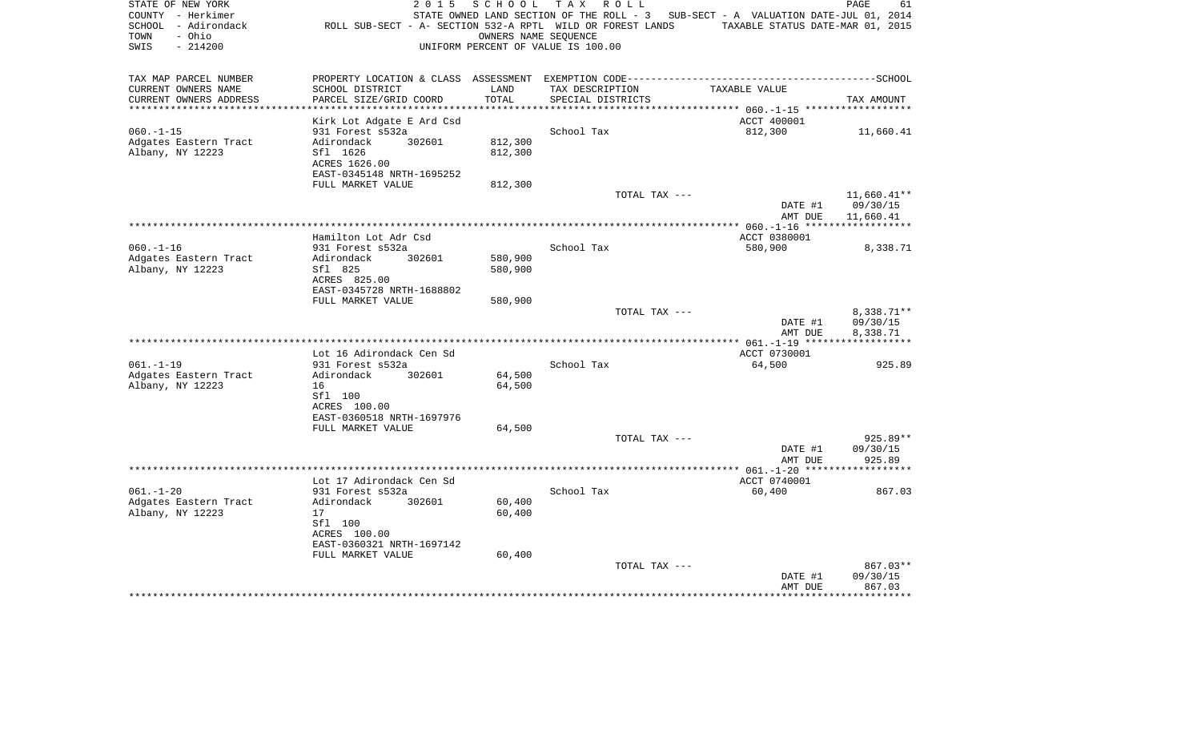| STATE OF NEW YORK<br>COUNTY - Herkimer<br>SCHOOL - Adirondack<br>- Ohio<br>TOWN<br>$-214200$<br>SWIS | 2 0 1 5<br>ROLL SUB-SECT - A- SECTION 532-A RPTL WILD OR FOREST LANDS | SCHOOL<br>OWNERS NAME SEQUENCE | T A X<br>R O L L<br>UNIFORM PERCENT OF VALUE IS 100.00 | STATE OWNED LAND SECTION OF THE ROLL - 3 SUB-SECT - A VALUATION DATE-JUL 01, 2014<br>TAXABLE STATUS DATE-MAR 01, 2015 | PAGE<br>61           |
|------------------------------------------------------------------------------------------------------|-----------------------------------------------------------------------|--------------------------------|--------------------------------------------------------|-----------------------------------------------------------------------------------------------------------------------|----------------------|
| TAX MAP PARCEL NUMBER                                                                                |                                                                       |                                |                                                        |                                                                                                                       |                      |
| CURRENT OWNERS NAME                                                                                  | SCHOOL DISTRICT                                                       | LAND                           | TAX DESCRIPTION                                        | TAXABLE VALUE                                                                                                         |                      |
| CURRENT OWNERS ADDRESS                                                                               | PARCEL SIZE/GRID COORD                                                | TOTAL                          | SPECIAL DISTRICTS                                      |                                                                                                                       | TAX AMOUNT           |
|                                                                                                      | Kirk Lot Adgate E Ard Csd                                             |                                |                                                        | ACCT 400001                                                                                                           |                      |
| $060. -1 - 15$                                                                                       | 931 Forest s532a                                                      |                                | School Tax                                             | 812,300                                                                                                               | 11,660.41            |
| Adgates Eastern Tract                                                                                | 302601<br>Adirondack                                                  | 812,300                        |                                                        |                                                                                                                       |                      |
| Albany, NY 12223                                                                                     | Sfl 1626                                                              | 812,300                        |                                                        |                                                                                                                       |                      |
|                                                                                                      | ACRES 1626.00                                                         |                                |                                                        |                                                                                                                       |                      |
|                                                                                                      | EAST-0345148 NRTH-1695252<br>FULL MARKET VALUE                        | 812,300                        |                                                        |                                                                                                                       |                      |
|                                                                                                      |                                                                       |                                | TOTAL TAX ---                                          |                                                                                                                       | $11,660.41**$        |
|                                                                                                      |                                                                       |                                |                                                        | DATE #1                                                                                                               | 09/30/15             |
|                                                                                                      |                                                                       |                                |                                                        | AMT DUE                                                                                                               | 11,660.41            |
|                                                                                                      |                                                                       |                                |                                                        |                                                                                                                       |                      |
|                                                                                                      | Hamilton Lot Adr Csd                                                  |                                |                                                        | ACCT 0380001                                                                                                          |                      |
| $060. -1 - 16$<br>Adgates Eastern Tract                                                              | 931 Forest s532a<br>302601<br>Adirondack                              | 580,900                        | School Tax                                             | 580,900                                                                                                               | 8,338.71             |
| Albany, NY 12223                                                                                     | Sfl 825                                                               | 580,900                        |                                                        |                                                                                                                       |                      |
|                                                                                                      | ACRES 825.00                                                          |                                |                                                        |                                                                                                                       |                      |
|                                                                                                      | EAST-0345728 NRTH-1688802                                             |                                |                                                        |                                                                                                                       |                      |
|                                                                                                      | FULL MARKET VALUE                                                     | 580,900                        |                                                        |                                                                                                                       |                      |
|                                                                                                      |                                                                       |                                | TOTAL TAX ---                                          |                                                                                                                       | 8,338.71**           |
|                                                                                                      |                                                                       |                                |                                                        | DATE #1<br>AMT DUE                                                                                                    | 09/30/15<br>8,338.71 |
|                                                                                                      |                                                                       |                                |                                                        |                                                                                                                       |                      |
|                                                                                                      | Lot 16 Adirondack Cen Sd                                              |                                |                                                        | ACCT 0730001                                                                                                          |                      |
| $061. -1 -19$                                                                                        | 931 Forest s532a                                                      |                                | School Tax                                             | 64,500                                                                                                                | 925.89               |
| Adgates Eastern Tract                                                                                | Adirondack<br>302601                                                  | 64,500                         |                                                        |                                                                                                                       |                      |
| Albany, NY 12223                                                                                     | 16<br>Sfl 100                                                         | 64,500                         |                                                        |                                                                                                                       |                      |
|                                                                                                      | ACRES 100.00                                                          |                                |                                                        |                                                                                                                       |                      |
|                                                                                                      | EAST-0360518 NRTH-1697976                                             |                                |                                                        |                                                                                                                       |                      |
|                                                                                                      | FULL MARKET VALUE                                                     | 64,500                         |                                                        |                                                                                                                       |                      |
|                                                                                                      |                                                                       |                                | TOTAL TAX ---                                          |                                                                                                                       | 925.89**             |
|                                                                                                      |                                                                       |                                |                                                        | DATE #1<br>AMT DUE                                                                                                    | 09/30/15<br>925.89   |
|                                                                                                      |                                                                       |                                | *****************************                          | ************** 061.-1-20 ******                                                                                       |                      |
|                                                                                                      | Lot 17 Adirondack Cen Sd                                              |                                |                                                        | ACCT 0740001                                                                                                          |                      |
| $061. - 1 - 20$                                                                                      | 931 Forest s532a                                                      |                                | School Tax                                             | 60,400                                                                                                                | 867.03               |
| Adgates Eastern Tract                                                                                | Adirondack<br>302601                                                  | 60,400                         |                                                        |                                                                                                                       |                      |
| Albany, NY 12223                                                                                     | 17<br>Sfl 100                                                         | 60,400                         |                                                        |                                                                                                                       |                      |
|                                                                                                      | ACRES 100.00                                                          |                                |                                                        |                                                                                                                       |                      |
|                                                                                                      | EAST-0360321 NRTH-1697142                                             |                                |                                                        |                                                                                                                       |                      |
|                                                                                                      | FULL MARKET VALUE                                                     | 60,400                         |                                                        |                                                                                                                       |                      |
|                                                                                                      |                                                                       |                                | TOTAL TAX ---                                          |                                                                                                                       | 867.03**             |
|                                                                                                      |                                                                       |                                |                                                        | DATE #1                                                                                                               | 09/30/15             |
|                                                                                                      |                                                                       |                                |                                                        | AMT DUE                                                                                                               | 867.03<br>*********  |
|                                                                                                      |                                                                       |                                |                                                        |                                                                                                                       |                      |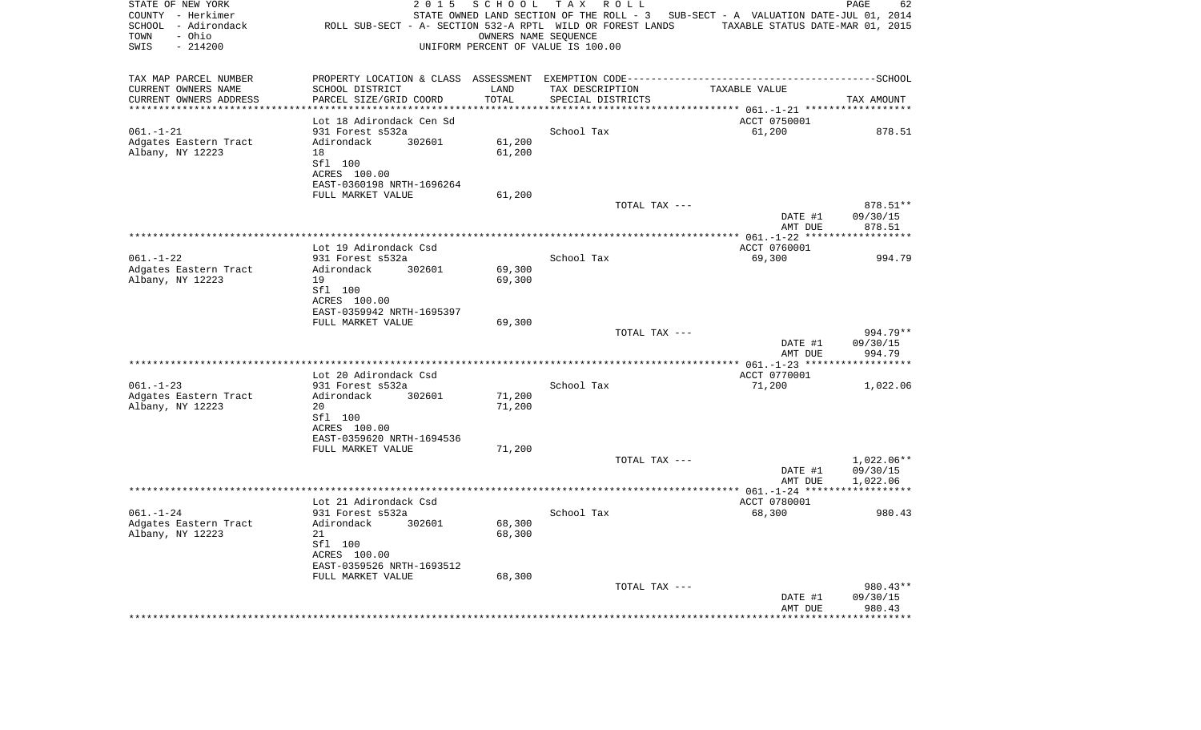| STATE OF NEW YORK<br>COUNTY - Herkimer<br>SCHOOL - Adirondack<br>- Ohio<br>TOWN<br>SWIS<br>$-214200$ | 2 0 1 5<br>ROLL SUB-SECT - A- SECTION 532-A RPTL WILD OR FOREST LANDS | SCHOOL                     | T A X<br>R O L L<br>OWNERS NAME SEQUENCE<br>UNIFORM PERCENT OF VALUE IS 100.00 | STATE OWNED LAND SECTION OF THE ROLL - 3 SUB-SECT - A VALUATION DATE-JUL 01, 2014<br>TAXABLE STATUS DATE-MAR 01, 2015 | PAGE<br>62                        |
|------------------------------------------------------------------------------------------------------|-----------------------------------------------------------------------|----------------------------|--------------------------------------------------------------------------------|-----------------------------------------------------------------------------------------------------------------------|-----------------------------------|
| TAX MAP PARCEL NUMBER                                                                                |                                                                       |                            |                                                                                |                                                                                                                       |                                   |
| CURRENT OWNERS NAME                                                                                  | SCHOOL DISTRICT                                                       | LAND                       | TAX DESCRIPTION                                                                | TAXABLE VALUE                                                                                                         |                                   |
| CURRENT OWNERS ADDRESS<br>********************                                                       | PARCEL SIZE/GRID COORD                                                | TOTAL<br>* * * * * * * * * | SPECIAL DISTRICTS                                                              |                                                                                                                       | TAX AMOUNT                        |
|                                                                                                      | Lot 18 Adirondack Cen Sd                                              |                            |                                                                                | ACCT 0750001                                                                                                          |                                   |
| $061. - 1 - 21$                                                                                      | 931 Forest s532a                                                      |                            | School Tax                                                                     | 61,200                                                                                                                | 878.51                            |
| Adgates Eastern Tract                                                                                | Adirondack<br>302601                                                  | 61,200                     |                                                                                |                                                                                                                       |                                   |
| Albany, NY 12223                                                                                     | 18                                                                    | 61,200                     |                                                                                |                                                                                                                       |                                   |
|                                                                                                      | Sfl 100                                                               |                            |                                                                                |                                                                                                                       |                                   |
|                                                                                                      | ACRES 100.00                                                          |                            |                                                                                |                                                                                                                       |                                   |
|                                                                                                      | EAST-0360198 NRTH-1696264                                             |                            |                                                                                |                                                                                                                       |                                   |
|                                                                                                      | FULL MARKET VALUE                                                     | 61,200                     |                                                                                |                                                                                                                       |                                   |
|                                                                                                      |                                                                       |                            | TOTAL TAX ---                                                                  | DATE #1                                                                                                               | 878.51**<br>09/30/15              |
|                                                                                                      |                                                                       |                            |                                                                                | AMT DUE                                                                                                               | 878.51                            |
|                                                                                                      |                                                                       |                            |                                                                                |                                                                                                                       |                                   |
|                                                                                                      | Lot 19 Adirondack Csd                                                 |                            |                                                                                | ACCT 0760001                                                                                                          |                                   |
| $061. - 1 - 22$                                                                                      | 931 Forest s532a                                                      |                            | School Tax                                                                     | 69,300                                                                                                                | 994.79                            |
| Adgates Eastern Tract                                                                                | Adirondack<br>302601                                                  | 69,300                     |                                                                                |                                                                                                                       |                                   |
| Albany, NY 12223                                                                                     | 19                                                                    | 69,300                     |                                                                                |                                                                                                                       |                                   |
|                                                                                                      | Sfl 100<br>ACRES 100.00                                               |                            |                                                                                |                                                                                                                       |                                   |
|                                                                                                      | EAST-0359942 NRTH-1695397                                             |                            |                                                                                |                                                                                                                       |                                   |
|                                                                                                      | FULL MARKET VALUE                                                     | 69,300                     |                                                                                |                                                                                                                       |                                   |
|                                                                                                      |                                                                       |                            | TOTAL TAX ---                                                                  |                                                                                                                       | 994.79**                          |
|                                                                                                      |                                                                       |                            |                                                                                | DATE #1                                                                                                               | 09/30/15                          |
|                                                                                                      |                                                                       |                            |                                                                                | AMT DUE                                                                                                               | 994.79<br>* * * * * * * * * * * * |
|                                                                                                      | Lot 20 Adirondack Csd                                                 |                            |                                                                                | ACCT 0770001                                                                                                          |                                   |
| $061. - 1 - 23$                                                                                      | 931 Forest s532a                                                      |                            | School Tax                                                                     | 71,200                                                                                                                | 1,022.06                          |
| Adgates Eastern Tract                                                                                | Adirondack<br>302601                                                  | 71,200                     |                                                                                |                                                                                                                       |                                   |
| Albany, NY 12223                                                                                     | 20                                                                    | 71,200                     |                                                                                |                                                                                                                       |                                   |
|                                                                                                      | Sfl 100                                                               |                            |                                                                                |                                                                                                                       |                                   |
|                                                                                                      | ACRES 100.00                                                          |                            |                                                                                |                                                                                                                       |                                   |
|                                                                                                      | EAST-0359620 NRTH-1694536                                             |                            |                                                                                |                                                                                                                       |                                   |
|                                                                                                      | FULL MARKET VALUE                                                     | 71,200                     | TOTAL TAX ---                                                                  |                                                                                                                       | 1,022.06**                        |
|                                                                                                      |                                                                       |                            |                                                                                | DATE #1                                                                                                               | 09/30/15                          |
|                                                                                                      |                                                                       |                            |                                                                                | AMT DUE                                                                                                               | 1,022.06                          |
|                                                                                                      |                                                                       |                            |                                                                                |                                                                                                                       |                                   |
|                                                                                                      | Lot 21 Adirondack Csd                                                 |                            |                                                                                | ACCT 0780001                                                                                                          |                                   |
| $061. - 1 - 24$                                                                                      | 931 Forest s532a                                                      |                            | School Tax                                                                     | 68,300                                                                                                                | 980.43                            |
| Adgates Eastern Tract<br>Albany, NY 12223                                                            | Adirondack<br>302601<br>21                                            | 68,300<br>68,300           |                                                                                |                                                                                                                       |                                   |
|                                                                                                      | Sfl 100                                                               |                            |                                                                                |                                                                                                                       |                                   |
|                                                                                                      | ACRES 100.00                                                          |                            |                                                                                |                                                                                                                       |                                   |
|                                                                                                      | EAST-0359526 NRTH-1693512                                             |                            |                                                                                |                                                                                                                       |                                   |
|                                                                                                      | FULL MARKET VALUE                                                     | 68,300                     |                                                                                |                                                                                                                       |                                   |
|                                                                                                      |                                                                       |                            | TOTAL TAX ---                                                                  |                                                                                                                       | 980.43**                          |
|                                                                                                      |                                                                       |                            |                                                                                | DATE #1<br>AMT DUE                                                                                                    | 09/30/15<br>980.43                |
|                                                                                                      | *************************                                             |                            |                                                                                |                                                                                                                       | **********                        |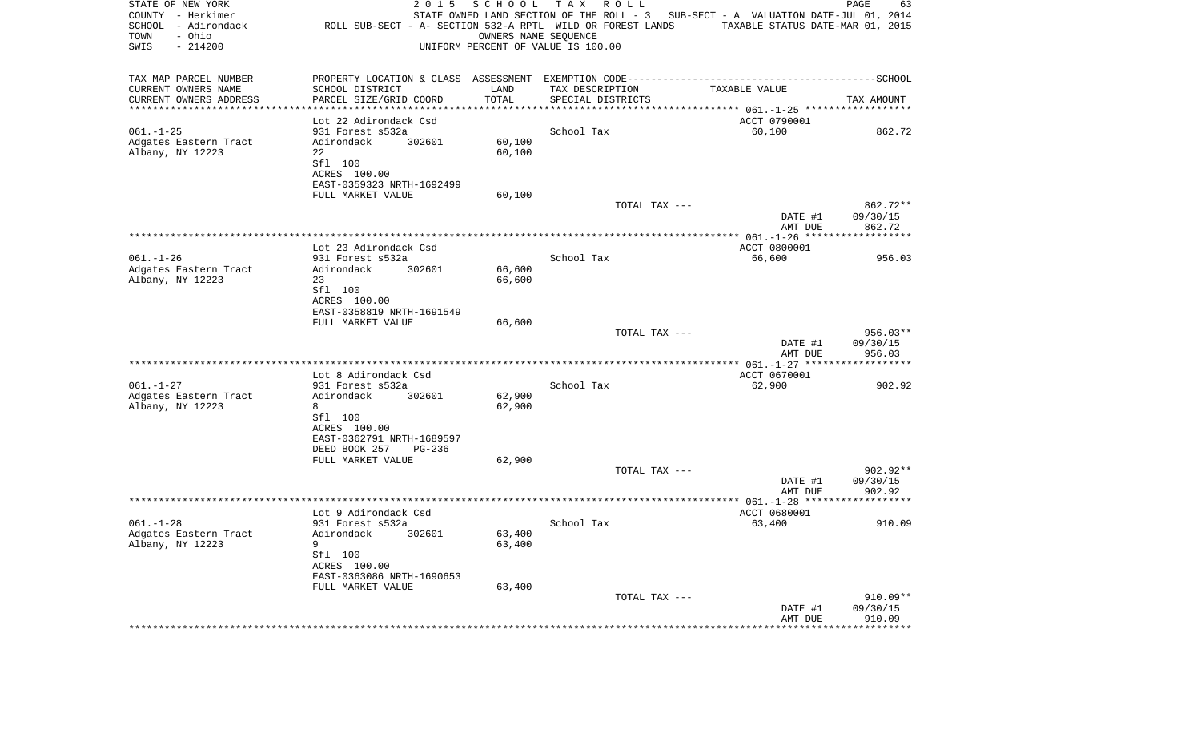| STATE OF NEW YORK<br>COUNTY - Herkimer<br>SCHOOL - Adirondack<br>- Ohio<br>TOWN<br>SWIS<br>$-214200$ | 2 0 1 5<br>ROLL SUB-SECT - A- SECTION 532-A RPTL WILD OR FOREST LANDS | SCHOOL<br>OWNERS NAME SEOUENCE | T A X<br>R O L L<br>UNIFORM PERCENT OF VALUE IS 100.00 | STATE OWNED LAND SECTION OF THE ROLL - 3 SUB-SECT - A VALUATION DATE-JUL 01, 2014<br>TAXABLE STATUS DATE-MAR 01, 2015 | PAGE<br>63             |
|------------------------------------------------------------------------------------------------------|-----------------------------------------------------------------------|--------------------------------|--------------------------------------------------------|-----------------------------------------------------------------------------------------------------------------------|------------------------|
| TAX MAP PARCEL NUMBER                                                                                |                                                                       |                                |                                                        |                                                                                                                       |                        |
| CURRENT OWNERS NAME<br>CURRENT OWNERS ADDRESS                                                        | SCHOOL DISTRICT<br>PARCEL SIZE/GRID COORD                             | LAND<br>TOTAL                  | TAX DESCRIPTION<br>SPECIAL DISTRICTS                   | TAXABLE VALUE                                                                                                         | TAX AMOUNT             |
| ************************                                                                             | *********************                                                 |                                |                                                        |                                                                                                                       |                        |
|                                                                                                      | Lot 22 Adirondack Csd                                                 |                                |                                                        | ACCT 0790001                                                                                                          |                        |
| $061. -1 - 25$                                                                                       | 931 Forest s532a                                                      |                                | School Tax                                             | 60,100                                                                                                                | 862.72                 |
| Adgates Eastern Tract<br>Albany, NY 12223                                                            | 302601<br>Adirondack<br>22                                            | 60,100                         |                                                        |                                                                                                                       |                        |
|                                                                                                      | Sfl 100                                                               | 60,100                         |                                                        |                                                                                                                       |                        |
|                                                                                                      | ACRES 100.00                                                          |                                |                                                        |                                                                                                                       |                        |
|                                                                                                      | EAST-0359323 NRTH-1692499                                             |                                |                                                        |                                                                                                                       |                        |
|                                                                                                      | FULL MARKET VALUE                                                     | 60,100                         |                                                        |                                                                                                                       |                        |
|                                                                                                      |                                                                       |                                | TOTAL TAX ---                                          | DATE #1                                                                                                               | 862.72**<br>09/30/15   |
|                                                                                                      |                                                                       |                                |                                                        | AMT DUE                                                                                                               | 862.72                 |
|                                                                                                      |                                                                       |                                |                                                        |                                                                                                                       |                        |
|                                                                                                      | Lot 23 Adirondack Csd                                                 |                                |                                                        | ACCT 0800001                                                                                                          |                        |
| $061. - 1 - 26$<br>Adgates Eastern Tract                                                             | 931 Forest s532a<br>Adirondack<br>302601                              | 66,600                         | School Tax                                             | 66,600                                                                                                                | 956.03                 |
| Albany, NY 12223                                                                                     | 23                                                                    | 66,600                         |                                                        |                                                                                                                       |                        |
|                                                                                                      | Sfl 100                                                               |                                |                                                        |                                                                                                                       |                        |
|                                                                                                      | ACRES 100.00                                                          |                                |                                                        |                                                                                                                       |                        |
|                                                                                                      | EAST-0358819 NRTH-1691549                                             |                                |                                                        |                                                                                                                       |                        |
|                                                                                                      | FULL MARKET VALUE                                                     | 66,600                         | TOTAL TAX ---                                          |                                                                                                                       | $956.03**$             |
|                                                                                                      |                                                                       |                                |                                                        | DATE #1                                                                                                               | 09/30/15               |
|                                                                                                      |                                                                       |                                |                                                        | AMT DUE                                                                                                               | 956.03                 |
|                                                                                                      |                                                                       |                                |                                                        |                                                                                                                       |                        |
| $061. - 1 - 27$                                                                                      | Lot 8 Adirondack Csd<br>931 Forest s532a                              |                                | School Tax                                             | ACCT 0670001<br>62,900                                                                                                | 902.92                 |
| Adgates Eastern Tract                                                                                | Adirondack<br>302601                                                  | 62,900                         |                                                        |                                                                                                                       |                        |
| Albany, NY 12223                                                                                     | 8                                                                     | 62,900                         |                                                        |                                                                                                                       |                        |
|                                                                                                      | Sfl 100                                                               |                                |                                                        |                                                                                                                       |                        |
|                                                                                                      | ACRES 100.00<br>EAST-0362791 NRTH-1689597                             |                                |                                                        |                                                                                                                       |                        |
|                                                                                                      | DEED BOOK 257<br>PG-236                                               |                                |                                                        |                                                                                                                       |                        |
|                                                                                                      | FULL MARKET VALUE                                                     | 62,900                         |                                                        |                                                                                                                       |                        |
|                                                                                                      |                                                                       |                                | TOTAL TAX ---                                          |                                                                                                                       | $902.92**$             |
|                                                                                                      |                                                                       |                                |                                                        | DATE #1                                                                                                               | 09/30/15               |
|                                                                                                      |                                                                       |                                |                                                        | AMT DUE                                                                                                               | 902.92                 |
|                                                                                                      | Lot 9 Adirondack Csd                                                  |                                |                                                        | ACCT 0680001                                                                                                          |                        |
| $061. - 1 - 28$                                                                                      | 931 Forest s532a                                                      |                                | School Tax                                             | 63,400                                                                                                                | 910.09                 |
| Adgates Eastern Tract                                                                                | Adirondack 302601                                                     | 63,400                         |                                                        |                                                                                                                       |                        |
| Albany, NY 12223                                                                                     | 9<br>Sfl 100                                                          | 63,400                         |                                                        |                                                                                                                       |                        |
|                                                                                                      | ACRES 100.00                                                          |                                |                                                        |                                                                                                                       |                        |
|                                                                                                      | EAST-0363086 NRTH-1690653                                             |                                |                                                        |                                                                                                                       |                        |
|                                                                                                      | FULL MARKET VALUE                                                     | 63,400                         |                                                        |                                                                                                                       |                        |
|                                                                                                      |                                                                       |                                | TOTAL TAX ---                                          | DATE #1                                                                                                               | $910.09**$<br>09/30/15 |
|                                                                                                      |                                                                       |                                |                                                        | AMT DUE                                                                                                               | 910.09                 |
|                                                                                                      |                                                                       |                                |                                                        |                                                                                                                       | **************         |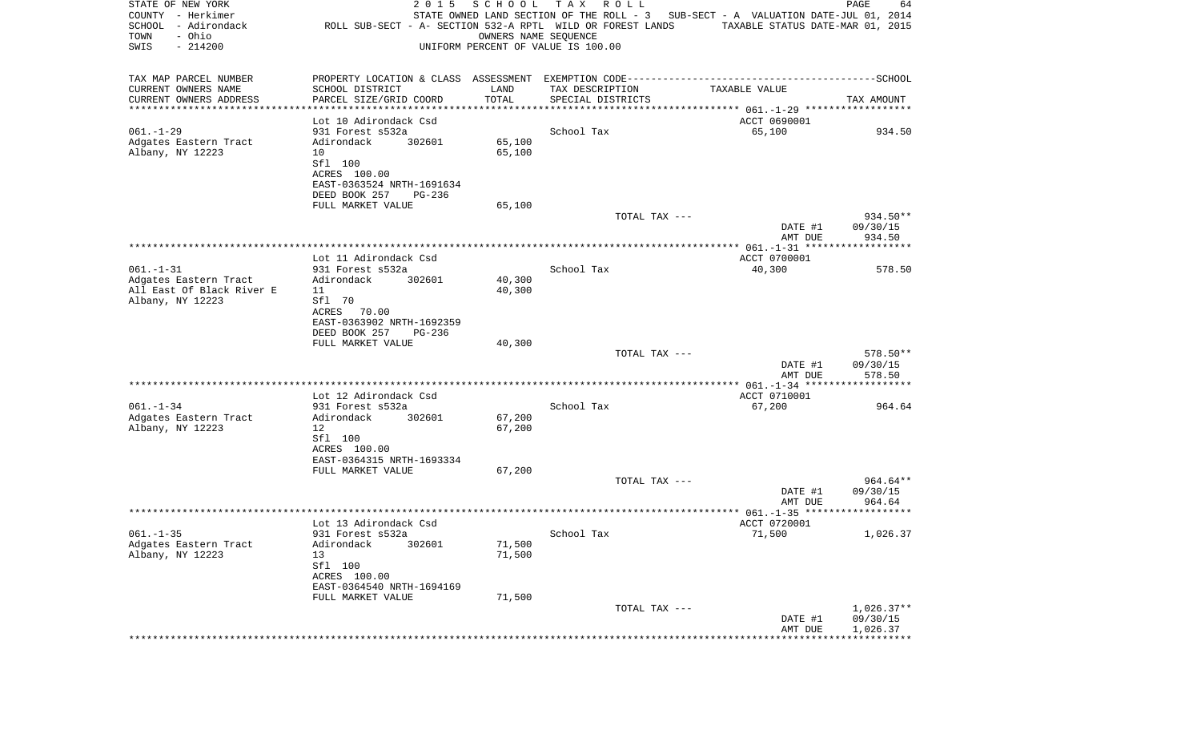| STATE OF NEW YORK<br>COUNTY - Herkimer<br>SCHOOL - Adirondack<br>- Ohio<br>TOWN<br>$-214200$<br>SWIS | 2 0 1 5<br>ROLL SUB-SECT - A- SECTION 532-A RPTL WILD OR FOREST LANDS                        | SCHOOL | T A X<br>R O L L<br>OWNERS NAME SEQUENCE<br>UNIFORM PERCENT OF VALUE IS 100.00 | STATE OWNED LAND SECTION OF THE ROLL - 3 SUB-SECT - A VALUATION DATE-JUL 01, 2014<br>TAXABLE STATUS DATE-MAR 01, 2015 | PAGE<br>64           |
|------------------------------------------------------------------------------------------------------|----------------------------------------------------------------------------------------------|--------|--------------------------------------------------------------------------------|-----------------------------------------------------------------------------------------------------------------------|----------------------|
| TAX MAP PARCEL NUMBER                                                                                | PROPERTY LOCATION & CLASS ASSESSMENT EXEMPTION CODE-----------------------------------SCHOOL |        |                                                                                |                                                                                                                       |                      |
| CURRENT OWNERS NAME                                                                                  | SCHOOL DISTRICT                                                                              | LAND   | TAX DESCRIPTION                                                                | TAXABLE VALUE                                                                                                         |                      |
| CURRENT OWNERS ADDRESS<br>**********************                                                     | PARCEL SIZE/GRID COORD<br>*******************                                                | TOTAL  | SPECIAL DISTRICTS                                                              |                                                                                                                       | TAX AMOUNT           |
|                                                                                                      | Lot 10 Adirondack Csd                                                                        |        |                                                                                | ACCT 0690001                                                                                                          |                      |
| $061. - 1 - 29$                                                                                      | 931 Forest s532a                                                                             |        | School Tax                                                                     | 65,100                                                                                                                | 934.50               |
| Adgates Eastern Tract                                                                                | 302601<br>Adirondack                                                                         | 65,100 |                                                                                |                                                                                                                       |                      |
| Albany, NY 12223                                                                                     | 10<br>Sfl 100                                                                                | 65,100 |                                                                                |                                                                                                                       |                      |
|                                                                                                      | ACRES 100.00                                                                                 |        |                                                                                |                                                                                                                       |                      |
|                                                                                                      | EAST-0363524 NRTH-1691634                                                                    |        |                                                                                |                                                                                                                       |                      |
|                                                                                                      | DEED BOOK 257<br>PG-236                                                                      |        |                                                                                |                                                                                                                       |                      |
|                                                                                                      | FULL MARKET VALUE                                                                            | 65,100 | TOTAL TAX ---                                                                  |                                                                                                                       | 934.50**             |
|                                                                                                      |                                                                                              |        |                                                                                | DATE #1                                                                                                               | 09/30/15             |
|                                                                                                      |                                                                                              |        |                                                                                | AMT DUE                                                                                                               | 934.50               |
|                                                                                                      | Lot 11 Adirondack Csd                                                                        |        |                                                                                | ACCT 0700001                                                                                                          |                      |
| $061. - 1 - 31$                                                                                      | 931 Forest s532a                                                                             |        | School Tax                                                                     | 40,300                                                                                                                | 578.50               |
| Adgates Eastern Tract                                                                                | Adirondack<br>302601                                                                         | 40,300 |                                                                                |                                                                                                                       |                      |
| All East Of Black River E<br>Albany, NY 12223                                                        | 11<br>Sfl 70                                                                                 | 40,300 |                                                                                |                                                                                                                       |                      |
|                                                                                                      | ACRES<br>70.00                                                                               |        |                                                                                |                                                                                                                       |                      |
|                                                                                                      | EAST-0363902 NRTH-1692359                                                                    |        |                                                                                |                                                                                                                       |                      |
|                                                                                                      | DEED BOOK 257<br>PG-236                                                                      |        |                                                                                |                                                                                                                       |                      |
|                                                                                                      | FULL MARKET VALUE                                                                            | 40,300 | TOTAL TAX ---                                                                  |                                                                                                                       | 578.50**             |
|                                                                                                      |                                                                                              |        |                                                                                | DATE #1                                                                                                               | 09/30/15             |
|                                                                                                      |                                                                                              |        |                                                                                | AMT DUE                                                                                                               | 578.50               |
|                                                                                                      | Lot 12 Adirondack Csd                                                                        |        |                                                                                | ACCT 0710001                                                                                                          |                      |
| $061. - 1 - 34$                                                                                      | 931 Forest s532a                                                                             |        | School Tax                                                                     | 67,200                                                                                                                | 964.64               |
| Adgates Eastern Tract                                                                                | Adirondack<br>302601                                                                         | 67,200 |                                                                                |                                                                                                                       |                      |
| Albany, NY 12223                                                                                     | 12<br>Sfl 100                                                                                | 67,200 |                                                                                |                                                                                                                       |                      |
|                                                                                                      | ACRES 100.00                                                                                 |        |                                                                                |                                                                                                                       |                      |
|                                                                                                      | EAST-0364315 NRTH-1693334                                                                    |        |                                                                                |                                                                                                                       |                      |
|                                                                                                      | FULL MARKET VALUE                                                                            | 67,200 |                                                                                |                                                                                                                       |                      |
|                                                                                                      |                                                                                              |        | TOTAL TAX ---                                                                  | DATE #1                                                                                                               | 964.64**<br>09/30/15 |
|                                                                                                      |                                                                                              |        |                                                                                | AMT DUE                                                                                                               | 964.64               |
|                                                                                                      |                                                                                              |        |                                                                                |                                                                                                                       |                      |
|                                                                                                      | Lot 13 Adirondack Csd                                                                        |        |                                                                                | ACCT 0720001                                                                                                          |                      |
| $061. - 1 - 35$<br>Adgates Eastern Tract                                                             | 931 Forest s532a<br>Adirondack<br>302601                                                     | 71,500 | School Tax                                                                     | 71,500                                                                                                                | 1,026.37             |
| Albany, NY 12223                                                                                     | 13                                                                                           | 71,500 |                                                                                |                                                                                                                       |                      |
|                                                                                                      | Sfl 100                                                                                      |        |                                                                                |                                                                                                                       |                      |
|                                                                                                      | ACRES 100.00<br>EAST-0364540 NRTH-1694169                                                    |        |                                                                                |                                                                                                                       |                      |
|                                                                                                      | FULL MARKET VALUE                                                                            | 71,500 |                                                                                |                                                                                                                       |                      |
|                                                                                                      |                                                                                              |        | TOTAL TAX ---                                                                  |                                                                                                                       | $1,026.37**$         |
|                                                                                                      |                                                                                              |        |                                                                                | DATE #1<br>AMT DUE                                                                                                    | 09/30/15<br>1,026.37 |
|                                                                                                      |                                                                                              |        |                                                                                |                                                                                                                       |                      |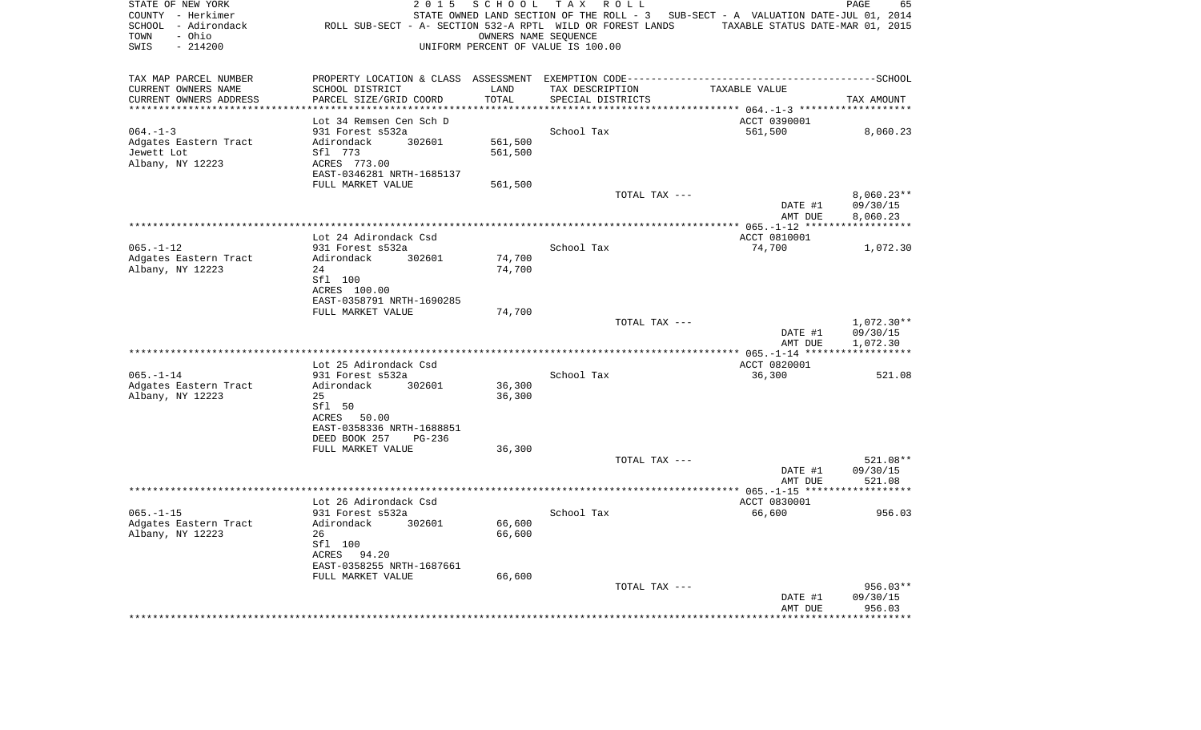| STATE OF NEW YORK<br>COUNTY - Herkimer<br>SCHOOL - Adirondack<br>- Ohio<br>TOWN<br>$-214200$<br>SWIS | 2 0 1 5<br>SCHOOL<br>UNIFORM PERCENT OF VALUE IS 100.00 | T A X<br>R O L L<br>ROLL SUB-SECT - A- SECTION 532-A RPTL WILD OR FOREST LANDS<br>OWNERS NAME SEQUENCE | STATE OWNED LAND SECTION OF THE ROLL - 3 SUB-SECT - A VALUATION DATE-JUL 01, 2014<br>TAXABLE STATUS DATE-MAR 01, 2015 | PAGE<br>65                  |
|------------------------------------------------------------------------------------------------------|---------------------------------------------------------|--------------------------------------------------------------------------------------------------------|-----------------------------------------------------------------------------------------------------------------------|-----------------------------|
| TAX MAP PARCEL NUMBER                                                                                |                                                         |                                                                                                        |                                                                                                                       |                             |
| CURRENT OWNERS NAME<br>SCHOOL DISTRICT                                                               | LAND                                                    | TAX DESCRIPTION                                                                                        | TAXABLE VALUE                                                                                                         |                             |
| PARCEL SIZE/GRID COORD<br>CURRENT OWNERS ADDRESS<br>******************                               | TOTAL<br>*******                                        | SPECIAL DISTRICTS                                                                                      | ************ 064.-1-3 *******                                                                                         | TAX AMOUNT                  |
| Lot 34 Remsen Cen Sch D                                                                              |                                                         |                                                                                                        | ACCT 0390001                                                                                                          |                             |
| 931 Forest s532a<br>$064. -1 - 3$                                                                    |                                                         | School Tax                                                                                             | 561,500                                                                                                               | 8,060.23                    |
| Adgates Eastern Tract<br>Adirondack                                                                  | 561,500<br>302601                                       |                                                                                                        |                                                                                                                       |                             |
| Jewett Lot<br>Sfl 773                                                                                | 561,500                                                 |                                                                                                        |                                                                                                                       |                             |
| Albany, NY 12223<br>ACRES 773.00                                                                     |                                                         |                                                                                                        |                                                                                                                       |                             |
| EAST-0346281 NRTH-1685137<br>FULL MARKET VALUE                                                       | 561,500                                                 |                                                                                                        |                                                                                                                       |                             |
|                                                                                                      |                                                         | TOTAL TAX ---                                                                                          |                                                                                                                       | $8,060.23**$                |
|                                                                                                      |                                                         |                                                                                                        | DATE #1                                                                                                               | 09/30/15                    |
|                                                                                                      |                                                         |                                                                                                        | AMT DUE                                                                                                               | 8,060.23                    |
|                                                                                                      |                                                         |                                                                                                        | *** 065.-1-12 *****                                                                                                   |                             |
| Lot 24 Adirondack Csd<br>$065. - 1 - 12$<br>931 Forest s532a                                         |                                                         | School Tax                                                                                             | ACCT 0810001<br>74,700                                                                                                | 1,072.30                    |
| Adgates Eastern Tract<br>Adirondack                                                                  | 74,700<br>302601                                        |                                                                                                        |                                                                                                                       |                             |
| Albany, NY 12223<br>24                                                                               | 74,700                                                  |                                                                                                        |                                                                                                                       |                             |
| Sfl 100                                                                                              |                                                         |                                                                                                        |                                                                                                                       |                             |
| ACRES 100.00                                                                                         |                                                         |                                                                                                        |                                                                                                                       |                             |
| EAST-0358791 NRTH-1690285<br>FULL MARKET VALUE                                                       | 74,700                                                  |                                                                                                        |                                                                                                                       |                             |
|                                                                                                      |                                                         | TOTAL TAX ---                                                                                          |                                                                                                                       | $1,072.30**$                |
|                                                                                                      |                                                         |                                                                                                        | DATE #1                                                                                                               | 09/30/15                    |
|                                                                                                      |                                                         |                                                                                                        | AMT DUE                                                                                                               | 1,072.30                    |
|                                                                                                      |                                                         |                                                                                                        | ACCT 0820001                                                                                                          |                             |
| Lot 25 Adirondack Csd<br>$065. - 1 - 14$<br>931 Forest s532a                                         |                                                         | School Tax                                                                                             | 36,300                                                                                                                | 521.08                      |
| Adgates Eastern Tract<br>Adirondack                                                                  | 36,300<br>302601                                        |                                                                                                        |                                                                                                                       |                             |
| Albany, NY 12223<br>2.5                                                                              | 36,300                                                  |                                                                                                        |                                                                                                                       |                             |
| Sfl 50                                                                                               |                                                         |                                                                                                        |                                                                                                                       |                             |
| ACRES 50.00<br>EAST-0358336 NRTH-1688851                                                             |                                                         |                                                                                                        |                                                                                                                       |                             |
| DEED BOOK 257                                                                                        | PG-236                                                  |                                                                                                        |                                                                                                                       |                             |
| FULL MARKET VALUE                                                                                    | 36,300                                                  |                                                                                                        |                                                                                                                       |                             |
|                                                                                                      |                                                         | TOTAL TAX ---                                                                                          |                                                                                                                       | 521.08**                    |
|                                                                                                      |                                                         |                                                                                                        | DATE #1                                                                                                               | 09/30/15                    |
|                                                                                                      |                                                         |                                                                                                        | AMT DUE                                                                                                               | 521.08                      |
| Lot 26 Adirondack Csd                                                                                |                                                         |                                                                                                        | ACCT 0830001                                                                                                          |                             |
| $065. -1 - 15$<br>931 Forest s532a                                                                   |                                                         | School Tax                                                                                             | 66,600                                                                                                                | 956.03                      |
| Adgates Eastern Tract<br>Adirondack                                                                  | 66,600<br>302601                                        |                                                                                                        |                                                                                                                       |                             |
| Albany, NY 12223<br>26                                                                               | 66,600                                                  |                                                                                                        |                                                                                                                       |                             |
| Sfl 100<br>ACRES 94.20                                                                               |                                                         |                                                                                                        |                                                                                                                       |                             |
| EAST-0358255 NRTH-1687661                                                                            |                                                         |                                                                                                        |                                                                                                                       |                             |
| FULL MARKET VALUE                                                                                    | 66,600                                                  |                                                                                                        |                                                                                                                       |                             |
|                                                                                                      |                                                         | TOTAL TAX ---                                                                                          |                                                                                                                       | 956.03**                    |
|                                                                                                      |                                                         |                                                                                                        | DATE #1                                                                                                               | 09/30/15                    |
|                                                                                                      |                                                         |                                                                                                        | AMT DUE                                                                                                               | 956.03<br>* * * * * * * * * |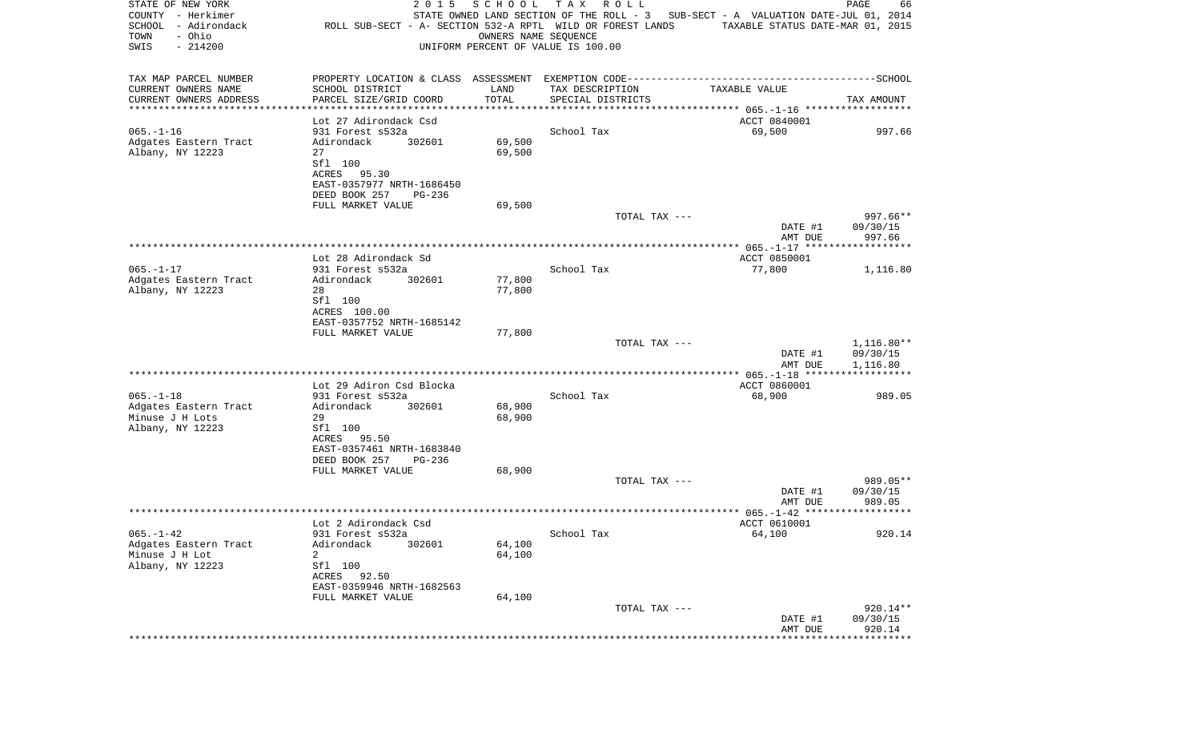| STATE OF NEW YORK<br>COUNTY - Herkimer<br>SCHOOL<br>- Adirondack<br>- Ohio<br>TOWN<br>SWIS<br>$-214200$ | 2 0 1 5<br>ROLL SUB-SECT - A- SECTION 532-A RPTL WILD OR FOREST LANDS | SCHOOL<br>OWNERS NAME SEOUENCE | T A X<br>R O L L<br>UNIFORM PERCENT OF VALUE IS 100.00 | STATE OWNED LAND SECTION OF THE ROLL - 3 SUB-SECT - A VALUATION DATE-JUL 01, 2014<br>TAXABLE STATUS DATE-MAR 01, 2015 | PAGE<br>66             |
|---------------------------------------------------------------------------------------------------------|-----------------------------------------------------------------------|--------------------------------|--------------------------------------------------------|-----------------------------------------------------------------------------------------------------------------------|------------------------|
| TAX MAP PARCEL NUMBER                                                                                   |                                                                       |                                |                                                        |                                                                                                                       |                        |
| CURRENT OWNERS NAME                                                                                     | SCHOOL DISTRICT                                                       | LAND                           | TAX DESCRIPTION                                        | TAXABLE VALUE                                                                                                         |                        |
| CURRENT OWNERS ADDRESS<br>***********************                                                       | PARCEL SIZE/GRID COORD                                                | TOTAL                          | SPECIAL DISTRICTS                                      |                                                                                                                       | TAX AMOUNT             |
|                                                                                                         | Lot 27 Adirondack Csd                                                 |                                |                                                        | ACCT 0840001                                                                                                          |                        |
| $065. - 1 - 16$                                                                                         | 931 Forest s532a                                                      |                                | School Tax                                             | 69,500                                                                                                                | 997.66                 |
| Adgates Eastern Tract                                                                                   | 302601<br>Adirondack                                                  | 69,500                         |                                                        |                                                                                                                       |                        |
| Albany, NY 12223<br>27                                                                                  | Sfl 100                                                               | 69,500                         |                                                        |                                                                                                                       |                        |
|                                                                                                         | ACRES 95.30                                                           |                                |                                                        |                                                                                                                       |                        |
|                                                                                                         | EAST-0357977 NRTH-1686450                                             |                                |                                                        |                                                                                                                       |                        |
|                                                                                                         | DEED BOOK 257<br>PG-236                                               |                                |                                                        |                                                                                                                       |                        |
|                                                                                                         | FULL MARKET VALUE                                                     | 69,500                         | TOTAL TAX ---                                          |                                                                                                                       | 997.66**               |
|                                                                                                         |                                                                       |                                |                                                        | DATE #1                                                                                                               | 09/30/15               |
|                                                                                                         |                                                                       |                                |                                                        | AMT DUE                                                                                                               | 997.66                 |
|                                                                                                         |                                                                       |                                |                                                        |                                                                                                                       |                        |
| $065. -1 - 17$                                                                                          | Lot 28 Adirondack Sd<br>931 Forest s532a                              |                                | School Tax                                             | ACCT 0850001<br>77,800                                                                                                | 1,116.80               |
| Adgates Eastern Tract                                                                                   | Adirondack<br>302601                                                  | 77,800                         |                                                        |                                                                                                                       |                        |
| Albany, NY 12223<br>28                                                                                  |                                                                       | 77,800                         |                                                        |                                                                                                                       |                        |
|                                                                                                         | Sfl 100                                                               |                                |                                                        |                                                                                                                       |                        |
|                                                                                                         | ACRES 100.00<br>EAST-0357752 NRTH-1685142                             |                                |                                                        |                                                                                                                       |                        |
|                                                                                                         | FULL MARKET VALUE                                                     | 77,800                         |                                                        |                                                                                                                       |                        |
|                                                                                                         |                                                                       |                                | TOTAL TAX ---                                          | DATE #1                                                                                                               | 1,116.80**<br>09/30/15 |
|                                                                                                         |                                                                       |                                |                                                        | AMT DUE<br>***************** 065.-1-18 *******************                                                            | 1,116.80               |
|                                                                                                         | Lot 29 Adiron Csd Blocka                                              |                                |                                                        | ACCT 0860001                                                                                                          |                        |
| $065. - 1 - 18$                                                                                         | 931 Forest s532a                                                      |                                | School Tax                                             | 68,900                                                                                                                | 989.05                 |
| Adgates Eastern Tract                                                                                   | Adirondack<br>302601                                                  | 68,900                         |                                                        |                                                                                                                       |                        |
| Minuse J H Lots<br>29<br>Albany, NY 12223                                                               | Sfl 100                                                               | 68,900                         |                                                        |                                                                                                                       |                        |
|                                                                                                         | ACRES 95.50                                                           |                                |                                                        |                                                                                                                       |                        |
|                                                                                                         | EAST-0357461 NRTH-1683840                                             |                                |                                                        |                                                                                                                       |                        |
|                                                                                                         | DEED BOOK 257<br>PG-236                                               |                                |                                                        |                                                                                                                       |                        |
|                                                                                                         | FULL MARKET VALUE                                                     | 68,900                         | TOTAL TAX ---                                          |                                                                                                                       | 989.05**               |
|                                                                                                         |                                                                       |                                |                                                        | DATE #1                                                                                                               | 09/30/15               |
|                                                                                                         |                                                                       |                                |                                                        | AMT DUE                                                                                                               | 989.05                 |
|                                                                                                         |                                                                       |                                |                                                        |                                                                                                                       |                        |
| $065. - 1 - 42$                                                                                         | Lot 2 Adirondack Csd<br>931 Forest s532a                              |                                | School Tax                                             | ACCT 0610001<br>64,100                                                                                                | 920.14                 |
| Adgates Eastern Tract                                                                                   | Adirondack<br>302601                                                  | 64,100                         |                                                        |                                                                                                                       |                        |
| Minuse J H Lot<br>2                                                                                     |                                                                       | 64,100                         |                                                        |                                                                                                                       |                        |
| Albany, NY 12223                                                                                        | Sfl 100                                                               |                                |                                                        |                                                                                                                       |                        |
|                                                                                                         | ACRES<br>92.50<br>EAST-0359946 NRTH-1682563                           |                                |                                                        |                                                                                                                       |                        |
|                                                                                                         | FULL MARKET VALUE                                                     | 64,100                         |                                                        |                                                                                                                       |                        |
|                                                                                                         |                                                                       |                                | TOTAL TAX ---                                          |                                                                                                                       | 920.14**               |
|                                                                                                         |                                                                       |                                |                                                        | DATE #1                                                                                                               | 09/30/15               |
|                                                                                                         |                                                                       |                                |                                                        | AMT DUE<br>******************************                                                                             | 920.14                 |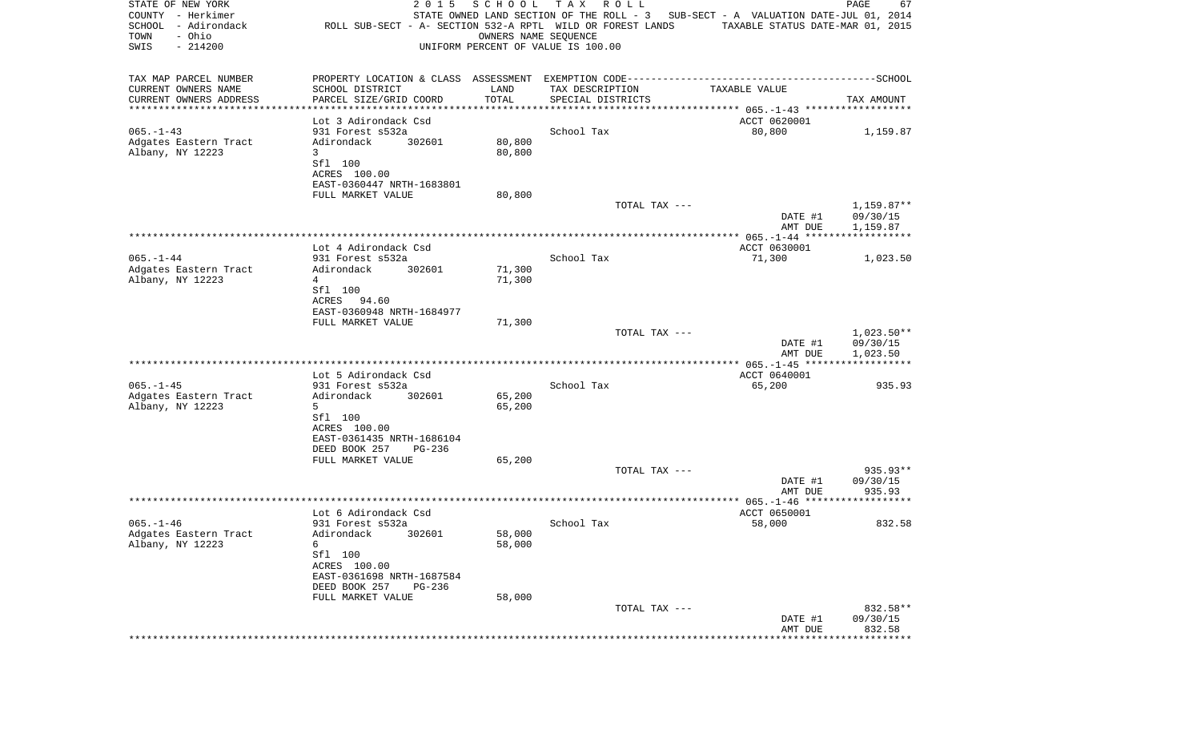| STATE OF NEW YORK<br>COUNTY - Herkimer<br>SCHOOL - Adirondack<br>- Ohio<br>TOWN<br>SWIS<br>$-214200$ | 2 0 1 5<br>ROLL SUB-SECT - A- SECTION 532-A RPTL WILD OR FOREST LANDS | SCHOOL<br>OWNERS NAME SEOUENCE | TAX ROLL<br>UNIFORM PERCENT OF VALUE IS 100.00 | STATE OWNED LAND SECTION OF THE ROLL - 3 SUB-SECT - A VALUATION DATE-JUL 01, 2014<br>TAXABLE STATUS DATE-MAR 01, 2015 | PAGE<br>67               |
|------------------------------------------------------------------------------------------------------|-----------------------------------------------------------------------|--------------------------------|------------------------------------------------|-----------------------------------------------------------------------------------------------------------------------|--------------------------|
| TAX MAP PARCEL NUMBER                                                                                |                                                                       |                                |                                                |                                                                                                                       |                          |
| CURRENT OWNERS NAME                                                                                  | SCHOOL DISTRICT                                                       | LAND                           | TAX DESCRIPTION                                | TAXABLE VALUE                                                                                                         |                          |
| CURRENT OWNERS ADDRESS<br>************************                                                   | PARCEL SIZE/GRID COORD<br>*********************                       | TOTAL                          | SPECIAL DISTRICTS                              |                                                                                                                       | TAX AMOUNT               |
|                                                                                                      | Lot 3 Adirondack Csd                                                  |                                |                                                | ACCT 0620001                                                                                                          |                          |
| $065. -1 - 43$                                                                                       | 931 Forest s532a                                                      |                                | School Tax                                     | 80,800                                                                                                                | 1,159.87                 |
| Adgates Eastern Tract                                                                                | 302601<br>Adirondack                                                  | 80,800                         |                                                |                                                                                                                       |                          |
| Albany, NY 12223                                                                                     | 3<br>Sfl 100                                                          | 80,800                         |                                                |                                                                                                                       |                          |
|                                                                                                      | ACRES 100.00                                                          |                                |                                                |                                                                                                                       |                          |
|                                                                                                      | EAST-0360447 NRTH-1683801                                             |                                |                                                |                                                                                                                       |                          |
|                                                                                                      | FULL MARKET VALUE                                                     | 80,800                         |                                                |                                                                                                                       |                          |
|                                                                                                      |                                                                       |                                | TOTAL TAX ---                                  | DATE #1                                                                                                               | $1,159.87**$<br>09/30/15 |
|                                                                                                      |                                                                       |                                |                                                | AMT DUE                                                                                                               | 1,159.87                 |
|                                                                                                      |                                                                       |                                |                                                |                                                                                                                       |                          |
| $065. - 1 - 44$                                                                                      | Lot 4 Adirondack Csd<br>931 Forest s532a                              |                                | School Tax                                     | ACCT 0630001<br>71,300                                                                                                | 1,023.50                 |
| Adgates Eastern Tract                                                                                | Adirondack<br>302601                                                  | 71,300                         |                                                |                                                                                                                       |                          |
| Albany, NY 12223                                                                                     | 4                                                                     | 71,300                         |                                                |                                                                                                                       |                          |
|                                                                                                      | Sfl 100<br>ACRES 94.60                                                |                                |                                                |                                                                                                                       |                          |
|                                                                                                      | EAST-0360948 NRTH-1684977                                             |                                |                                                |                                                                                                                       |                          |
|                                                                                                      | FULL MARKET VALUE                                                     | 71,300                         |                                                |                                                                                                                       |                          |
|                                                                                                      |                                                                       |                                | TOTAL TAX ---                                  |                                                                                                                       | $1,023.50**$             |
|                                                                                                      |                                                                       |                                |                                                | DATE #1<br>AMT DUE                                                                                                    | 09/30/15<br>1,023.50     |
|                                                                                                      |                                                                       |                                |                                                |                                                                                                                       |                          |
|                                                                                                      | Lot 5 Adirondack Csd                                                  |                                |                                                | ACCT 0640001                                                                                                          |                          |
| $065. -1 - 45$<br>Adgates Eastern Tract                                                              | 931 Forest s532a<br>Adirondack<br>302601                              | 65,200                         | School Tax                                     | 65,200                                                                                                                | 935.93                   |
| Albany, NY 12223                                                                                     | 5                                                                     | 65,200                         |                                                |                                                                                                                       |                          |
|                                                                                                      | Sfl 100                                                               |                                |                                                |                                                                                                                       |                          |
|                                                                                                      | ACRES 100.00                                                          |                                |                                                |                                                                                                                       |                          |
|                                                                                                      | EAST-0361435 NRTH-1686104<br>DEED BOOK 257<br>PG-236                  |                                |                                                |                                                                                                                       |                          |
|                                                                                                      | FULL MARKET VALUE                                                     | 65,200                         |                                                |                                                                                                                       |                          |
|                                                                                                      |                                                                       |                                | TOTAL TAX ---                                  |                                                                                                                       | 935.93**                 |
|                                                                                                      |                                                                       |                                |                                                | DATE #1<br>AMT DUE                                                                                                    | 09/30/15<br>935.93       |
|                                                                                                      |                                                                       |                                |                                                |                                                                                                                       |                          |
|                                                                                                      | Lot 6 Adirondack Csd                                                  |                                |                                                | ACCT 0650001                                                                                                          |                          |
| $065. - 1 - 46$                                                                                      | 931 Forest s532a                                                      |                                | School Tax                                     | 58,000                                                                                                                | 832.58                   |
| Adgates Eastern Tract<br>Albany, NY 12223                                                            | Adirondack 302601<br>6                                                | 58,000<br>58,000               |                                                |                                                                                                                       |                          |
|                                                                                                      | Sfl 100                                                               |                                |                                                |                                                                                                                       |                          |
|                                                                                                      | ACRES 100.00                                                          |                                |                                                |                                                                                                                       |                          |
|                                                                                                      | EAST-0361698 NRTH-1687584<br>DEED BOOK 257<br>PG-236                  |                                |                                                |                                                                                                                       |                          |
|                                                                                                      | FULL MARKET VALUE                                                     | 58,000                         |                                                |                                                                                                                       |                          |
|                                                                                                      |                                                                       |                                | TOTAL TAX ---                                  |                                                                                                                       | 832.58**                 |
|                                                                                                      |                                                                       |                                |                                                | DATE #1<br>AMT DUE                                                                                                    | 09/30/15<br>832.58       |
|                                                                                                      |                                                                       |                                |                                                |                                                                                                                       |                          |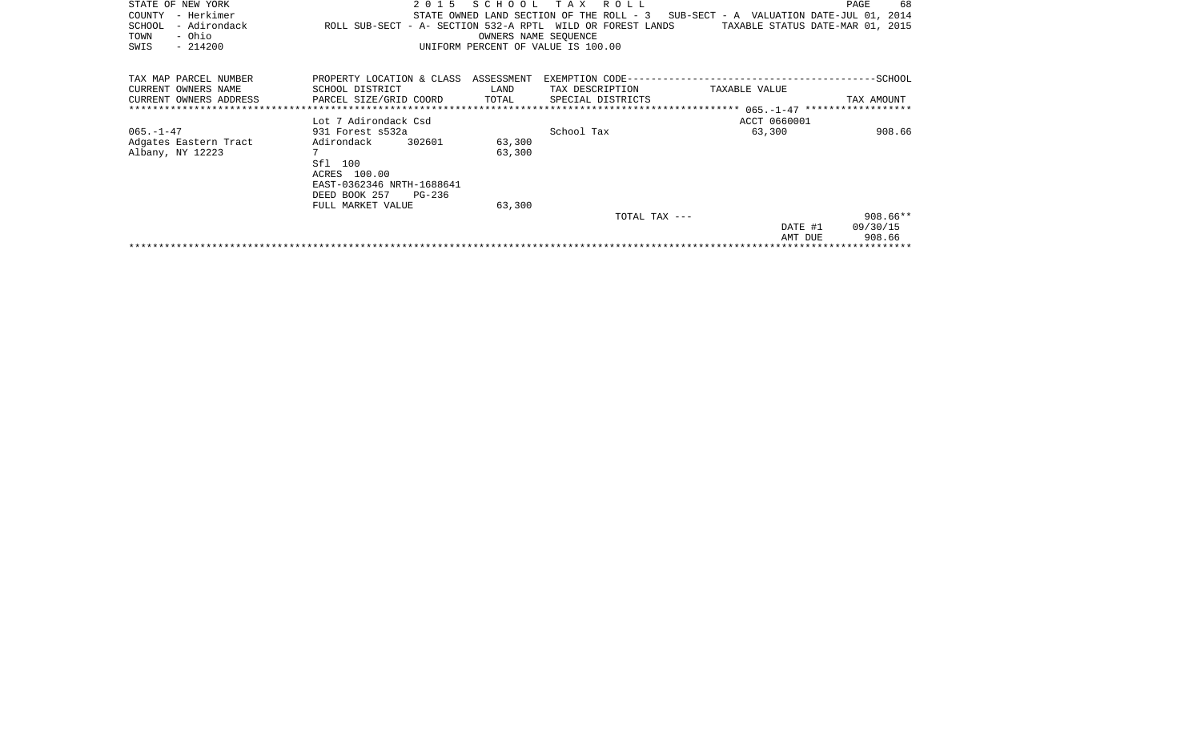| STATE OF NEW YORK<br>– Herkimer<br>COUNTY<br>- Adirondack<br>SCHOOL<br>- Ohio<br>TOWN<br>$-214200$<br>SWIS | 2 0 1 5<br>ROLL SUB-SECT - A- SECTION 532-A RPTL WILD OR FOREST LANDS  | SCHOOL<br>OWNERS NAME SEOUENCE | T A X<br>R O L L<br>STATE OWNED LAND SECTION OF THE ROLL - 3<br>UNIFORM PERCENT OF VALUE IS 100.00 | SUB-SECT - A VALUATION DATE-JUL 01, 2014<br>TAXABLE STATUS DATE-MAR 01, 2015 | PAGE<br>68            |
|------------------------------------------------------------------------------------------------------------|------------------------------------------------------------------------|--------------------------------|----------------------------------------------------------------------------------------------------|------------------------------------------------------------------------------|-----------------------|
| TAX MAP PARCEL NUMBER<br>CURRENT OWNERS NAME<br>CURRENT OWNERS ADDRESS                                     | PROPERTY LOCATION & CLASS<br>SCHOOL DISTRICT<br>PARCEL SIZE/GRID COORD | ASSESSMENT<br>LAND<br>TOTAL    | EXEMPTION CODE---<br>TAX DESCRIPTION<br>SPECIAL DISTRICTS                                          | TAXABLE VALUE                                                                | -SCHOOL<br>TAX AMOUNT |
|                                                                                                            |                                                                        |                                |                                                                                                    |                                                                              |                       |
|                                                                                                            | Lot 7 Adirondack Csd                                                   |                                |                                                                                                    | ACCT 0660001                                                                 |                       |
| $065. - 1 - 47$                                                                                            | 931 Forest s532a                                                       |                                | School Tax                                                                                         | 63,300                                                                       | 908.66                |
| Adgates Eastern Tract                                                                                      | 302601<br>Adirondack                                                   | 63,300                         |                                                                                                    |                                                                              |                       |
| Albany, NY 12223                                                                                           | 7                                                                      | 63,300                         |                                                                                                    |                                                                              |                       |
|                                                                                                            | Sfl<br>100                                                             |                                |                                                                                                    |                                                                              |                       |
|                                                                                                            | ACRES 100.00                                                           |                                |                                                                                                    |                                                                              |                       |
|                                                                                                            | EAST-0362346 NRTH-1688641                                              |                                |                                                                                                    |                                                                              |                       |
|                                                                                                            | DEED BOOK 257<br>PG-236                                                |                                |                                                                                                    |                                                                              |                       |
|                                                                                                            | FULL MARKET VALUE                                                      | 63,300                         |                                                                                                    |                                                                              |                       |
|                                                                                                            |                                                                        |                                | TOTAL TAX ---                                                                                      |                                                                              | $908.66**$            |
|                                                                                                            |                                                                        |                                |                                                                                                    | DATE #1                                                                      | 09/30/15              |
|                                                                                                            |                                                                        |                                |                                                                                                    | AMT DUE                                                                      | 908.66                |
|                                                                                                            |                                                                        |                                |                                                                                                    |                                                                              |                       |
|                                                                                                            |                                                                        |                                |                                                                                                    |                                                                              |                       |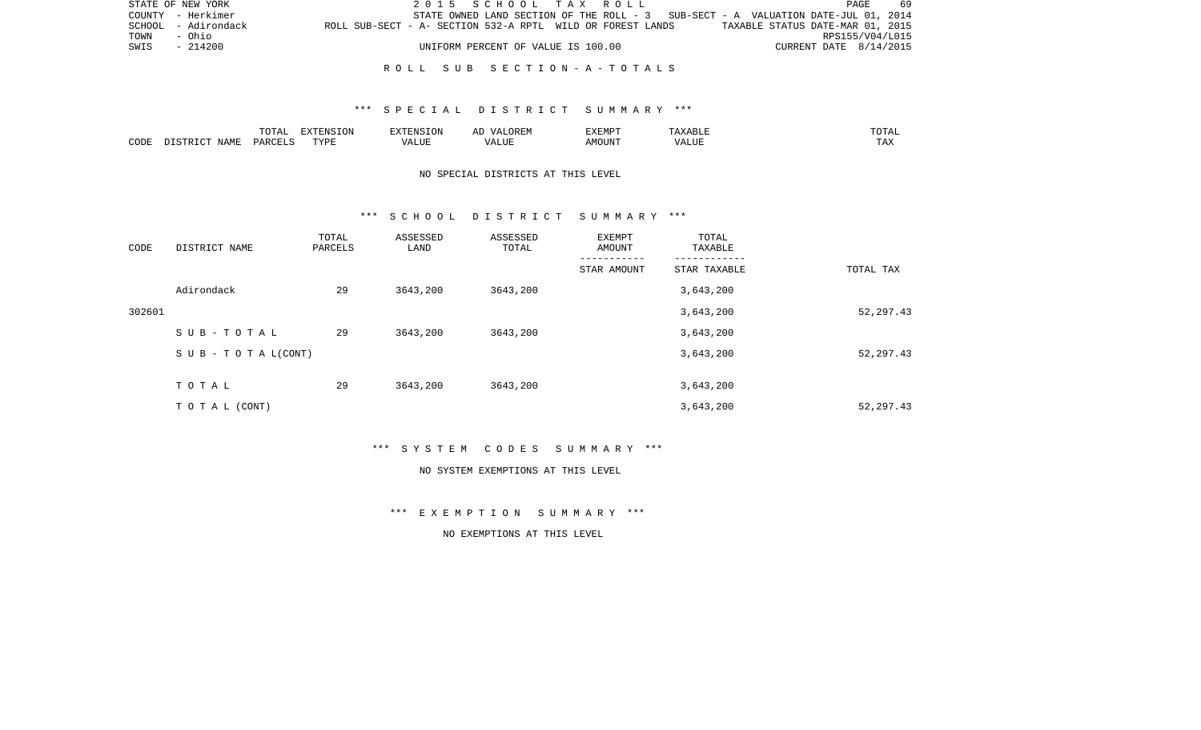|      | STATE OF NEW YORK   |                                                            |  | 2015 SCHOOL TAX ROLL               |  |  |  |                                                                                   | PAGE                   | 69 |
|------|---------------------|------------------------------------------------------------|--|------------------------------------|--|--|--|-----------------------------------------------------------------------------------|------------------------|----|
|      | COUNTY - Herkimer   |                                                            |  |                                    |  |  |  | STATE OWNED LAND SECTION OF THE ROLL - 3 SUB-SECT - A VALUATION DATE-JUL 01, 2014 |                        |    |
|      | SCHOOL - Adirondack | ROLL SUB-SECT - A- SECTION 532-A RPTL WILD OR FOREST LANDS |  |                                    |  |  |  | TAXABLE STATUS DATE-MAR 01, 2015                                                  |                        |    |
| TOWN | - Ohio              |                                                            |  |                                    |  |  |  |                                                                                   | RPS155/V04/L015        |    |
| SWIS | $-214200$           |                                                            |  | UNIFORM PERCENT OF VALUE IS 100.00 |  |  |  |                                                                                   | CURRENT DATE 8/14/2015 |    |
|      |                     |                                                            |  |                                    |  |  |  |                                                                                   |                        |    |

#### R O L L S U B S E C T I O N - A - T O T A L S

### \*\*\* S P E C I A L D I S T R I C T S U M M A R Y \*\*\*

|      |      | ----<br>◡∸⊷              | EXTENSION |           | 'XEMPT        | .                 | ----           |
|------|------|--------------------------|-----------|-----------|---------------|-------------------|----------------|
| CODE | NAME | $\triangle$ ARCET $\sim$ | T T T T   | $- - - -$ | IOUN'.<br>. M | 77 T TTT<br>A HUI | $- - -$<br>LA. |

## NO SPECIAL DISTRICTS AT THIS LEVEL

#### \*\*\* S C H O O L D I S T R I C T S U M M A R Y \*\*\*

| CODE   | DISTRICT NAME                    | TOTAL<br>PARCELS | ASSESSED<br>LAND | ASSESSED<br>TOTAL | EXEMPT<br>AMOUNT | TOTAL<br>TAXABLE |            |
|--------|----------------------------------|------------------|------------------|-------------------|------------------|------------------|------------|
|        |                                  |                  |                  |                   | STAR AMOUNT      | STAR TAXABLE     | TOTAL TAX  |
|        | Adirondack                       | 29               | 3643,200         | 3643,200          |                  | 3,643,200        |            |
| 302601 |                                  |                  |                  |                   |                  | 3,643,200        | 52, 297.43 |
|        | SUB-TOTAL                        | 29               | 3643,200         | 3643,200          |                  | 3,643,200        |            |
|        | $S \cup B - T \cup T A L (CONT)$ |                  |                  |                   |                  | 3,643,200        | 52,297.43  |
|        | TOTAL                            | 29               | 3643,200         | 3643,200          |                  | 3,643,200        |            |
|        | TO TAL (CONT)                    |                  |                  |                   |                  | 3,643,200        | 52, 297.43 |

\*\*\* S Y S T E M C O D E S S U M M A R Y \*\*\*

#### NO SYSTEM EXEMPTIONS AT THIS LEVEL

\*\*\* E X E M P T I O N S U M M A R Y \*\*\*

# NO EXEMPTIONS AT THIS LEVEL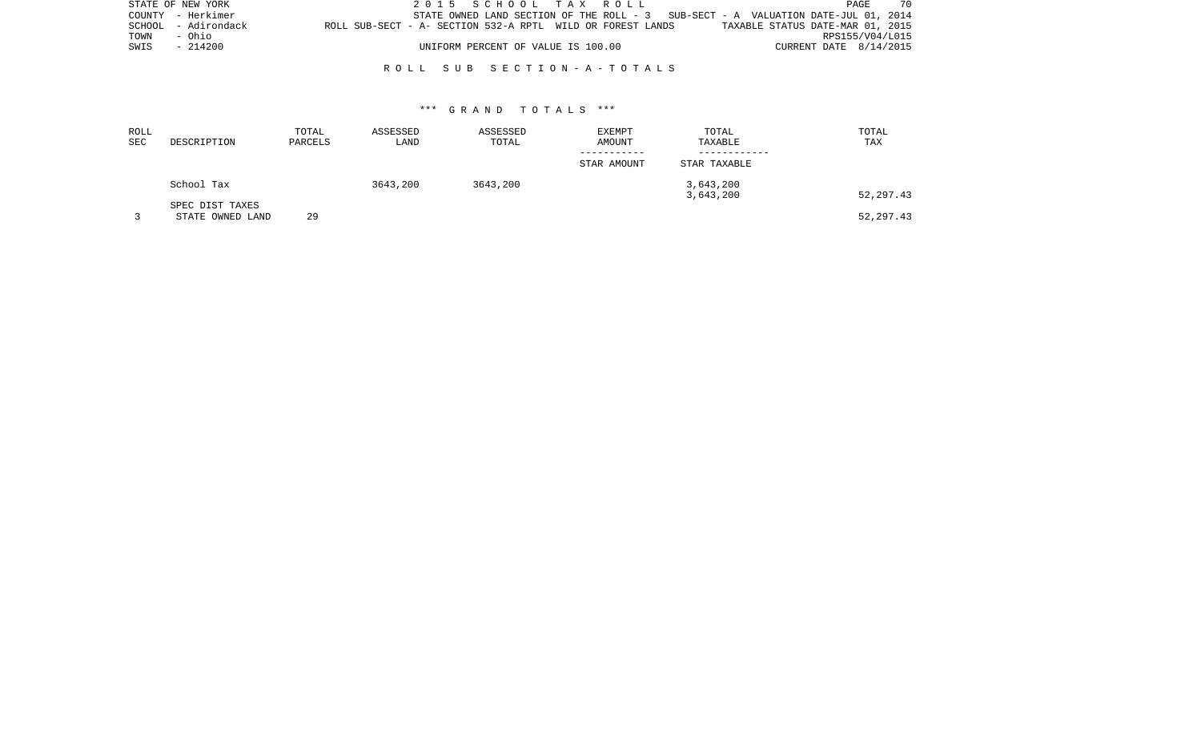|      | STATE OF NEW YORK   |                                                            |  | 2015 SCHOOL TAX ROLL               |  |  |                                                                                   |                                  |                        | PAGE | -70             |
|------|---------------------|------------------------------------------------------------|--|------------------------------------|--|--|-----------------------------------------------------------------------------------|----------------------------------|------------------------|------|-----------------|
|      | COUNTY - Herkimer   |                                                            |  |                                    |  |  | STATE OWNED LAND SECTION OF THE ROLL - 3 SUB-SECT - A VALUATION DATE-JUL 01, 2014 |                                  |                        |      |                 |
|      | SCHOOL - Adirondack | ROLL SUB-SECT - A- SECTION 532-A RPTL WILD OR FOREST LANDS |  |                                    |  |  |                                                                                   | TAXABLE STATUS DATE-MAR 01, 2015 |                        |      |                 |
| TOWN | - Ohio              |                                                            |  |                                    |  |  |                                                                                   |                                  |                        |      | RPS155/V04/L015 |
| SWIS | - 214200            |                                                            |  | UNIFORM PERCENT OF VALUE IS 100.00 |  |  |                                                                                   |                                  | CURRENT DATE 8/14/2015 |      |                 |
|      |                     |                                                            |  |                                    |  |  |                                                                                   |                                  |                        |      |                 |

### R O L L S U B S E C T I O N - A - T O T A L S

### \*\*\* G R A N D T O T A L S \*\*\*

| ROLL<br>SEC | DESCRIPTION                         | TOTAL<br>PARCELS | ASSESSED<br>LAND | ASSESSED<br>TOTAL | EXEMPT<br>AMOUNT | TOTAL<br>TAXABLE       | TOTAL<br>TAX |
|-------------|-------------------------------------|------------------|------------------|-------------------|------------------|------------------------|--------------|
|             |                                     |                  |                  |                   | STAR AMOUNT      | STAR TAXABLE           |              |
|             | School Tax                          |                  | 3643,200         | 3643,200          |                  | 3,643,200<br>3,643,200 | 52,297.43    |
|             | SPEC DIST TAXES<br>STATE OWNED LAND | 29               |                  |                   |                  |                        | 52,297.43    |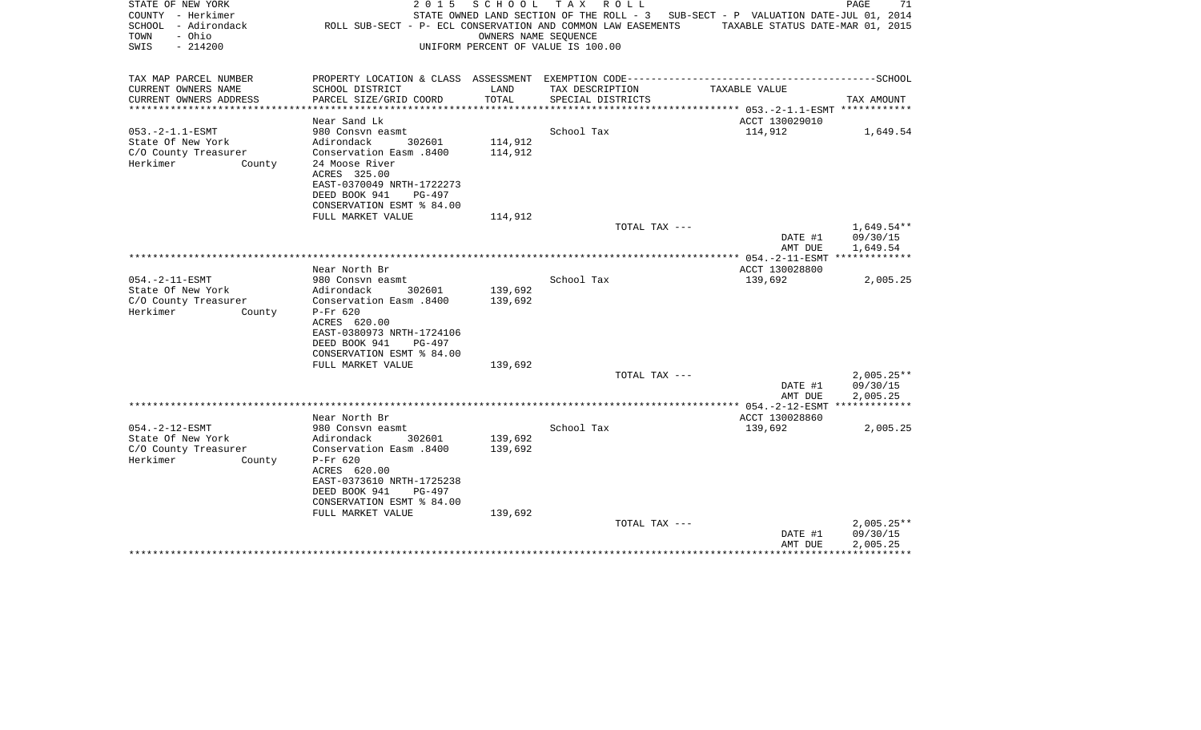| STATE OF NEW YORK<br>COUNTY - Herkimer<br>SCHOOL - Adirondack<br>- Ohio<br>TOWN<br>SWIS<br>$-214200$ | 2 0 1 5<br>ROLL SUB-SECT - P- ECL CONSERVATION AND COMMON LAW EASEMENTS | SCHOOL<br>OWNERS NAME SEQUENCE    | T A X<br>R O L L<br>UNIFORM PERCENT OF VALUE IS 100.00 | STATE OWNED LAND SECTION OF THE ROLL - 3 SUB-SECT - P VALUATION DATE-JUL 01, 2014<br>TAXABLE STATUS DATE-MAR 01, 2015 | PAGE<br>71               |
|------------------------------------------------------------------------------------------------------|-------------------------------------------------------------------------|-----------------------------------|--------------------------------------------------------|-----------------------------------------------------------------------------------------------------------------------|--------------------------|
| TAX MAP PARCEL NUMBER                                                                                |                                                                         |                                   |                                                        |                                                                                                                       |                          |
| CURRENT OWNERS NAME                                                                                  | SCHOOL DISTRICT                                                         | LAND<br>TOTAL                     | TAX DESCRIPTION                                        | TAXABLE VALUE                                                                                                         |                          |
| CURRENT OWNERS ADDRESS                                                                               | PARCEL SIZE/GRID COORD                                                  | * * * * * * * * * * * * * * * * * | SPECIAL DISTRICTS                                      | ************* 053.-2-1.1-ESMT ************                                                                            | TAX AMOUNT               |
|                                                                                                      | Near Sand Lk                                                            |                                   |                                                        | ACCT 130029010                                                                                                        |                          |
| $053. -2 - 1.1 - ESMT$                                                                               | 980 Consvn easmt                                                        |                                   | School Tax                                             | 114,912                                                                                                               | 1,649.54                 |
| State Of New York                                                                                    | Adirondack<br>302601                                                    | 114,912                           |                                                        |                                                                                                                       |                          |
| C/O County Treasurer                                                                                 | Conservation Easm.8400                                                  | 114,912                           |                                                        |                                                                                                                       |                          |
| Herkimer<br>County                                                                                   | 24 Moose River<br>ACRES 325.00                                          |                                   |                                                        |                                                                                                                       |                          |
|                                                                                                      | EAST-0370049 NRTH-1722273                                               |                                   |                                                        |                                                                                                                       |                          |
|                                                                                                      | DEED BOOK 941<br>PG-497                                                 |                                   |                                                        |                                                                                                                       |                          |
|                                                                                                      | CONSERVATION ESMT % 84.00                                               |                                   |                                                        |                                                                                                                       |                          |
|                                                                                                      | FULL MARKET VALUE                                                       | 114,912                           |                                                        |                                                                                                                       |                          |
|                                                                                                      |                                                                         |                                   | TOTAL TAX ---                                          |                                                                                                                       | $1,649.54**$             |
|                                                                                                      |                                                                         |                                   |                                                        | DATE #1<br>AMT DUE                                                                                                    | 09/30/15<br>1,649.54     |
|                                                                                                      |                                                                         |                                   |                                                        | ***************** 054.-2-11-ESMT *************                                                                        |                          |
|                                                                                                      | Near North Br                                                           |                                   |                                                        | ACCT 130028800                                                                                                        |                          |
| $054. -2 - 11 - ESMT$                                                                                | 980 Consvn easmt                                                        |                                   | School Tax                                             | 139,692                                                                                                               | 2,005.25                 |
| State Of New York                                                                                    | Adirondack<br>302601                                                    | 139,692                           |                                                        |                                                                                                                       |                          |
| C/O County Treasurer<br>Herkimer<br>County                                                           | Conservation Easm .8400<br>$P-Fr$ 620                                   | 139,692                           |                                                        |                                                                                                                       |                          |
|                                                                                                      | ACRES 620.00                                                            |                                   |                                                        |                                                                                                                       |                          |
|                                                                                                      | EAST-0380973 NRTH-1724106                                               |                                   |                                                        |                                                                                                                       |                          |
|                                                                                                      | DEED BOOK 941<br>PG-497                                                 |                                   |                                                        |                                                                                                                       |                          |
|                                                                                                      | CONSERVATION ESMT % 84.00                                               |                                   |                                                        |                                                                                                                       |                          |
|                                                                                                      | FULL MARKET VALUE                                                       | 139,692                           |                                                        |                                                                                                                       |                          |
|                                                                                                      |                                                                         |                                   | TOTAL TAX ---                                          | DATE #1                                                                                                               | $2,005.25**$<br>09/30/15 |
|                                                                                                      |                                                                         |                                   |                                                        | AMT DUE                                                                                                               | 2,005.25                 |
|                                                                                                      |                                                                         |                                   |                                                        |                                                                                                                       |                          |
|                                                                                                      | Near North Br                                                           |                                   |                                                        | ACCT 130028860                                                                                                        |                          |
| $054. -2 - 12 - ESMT$                                                                                | 980 Consyn easmt                                                        |                                   | School Tax                                             | 139,692                                                                                                               | 2,005.25                 |
| State Of New York<br>C/O County Treasurer                                                            | Adirondack<br>302601<br>Conservation Easm .8400                         | 139,692<br>139,692                |                                                        |                                                                                                                       |                          |
| Herkimer<br>County                                                                                   | $P-Fr$ 620                                                              |                                   |                                                        |                                                                                                                       |                          |
|                                                                                                      | ACRES 620.00                                                            |                                   |                                                        |                                                                                                                       |                          |
|                                                                                                      | EAST-0373610 NRTH-1725238                                               |                                   |                                                        |                                                                                                                       |                          |
|                                                                                                      | DEED BOOK 941<br>$PG-497$                                               |                                   |                                                        |                                                                                                                       |                          |
|                                                                                                      | CONSERVATION ESMT % 84.00                                               |                                   |                                                        |                                                                                                                       |                          |
|                                                                                                      | FULL MARKET VALUE                                                       | 139,692                           | TOTAL TAX ---                                          |                                                                                                                       | $2,005.25**$             |
|                                                                                                      |                                                                         |                                   |                                                        | DATE #1                                                                                                               | 09/30/15                 |
|                                                                                                      |                                                                         |                                   |                                                        | AMT DUE                                                                                                               | 2,005.25                 |
|                                                                                                      |                                                                         |                                   |                                                        |                                                                                                                       |                          |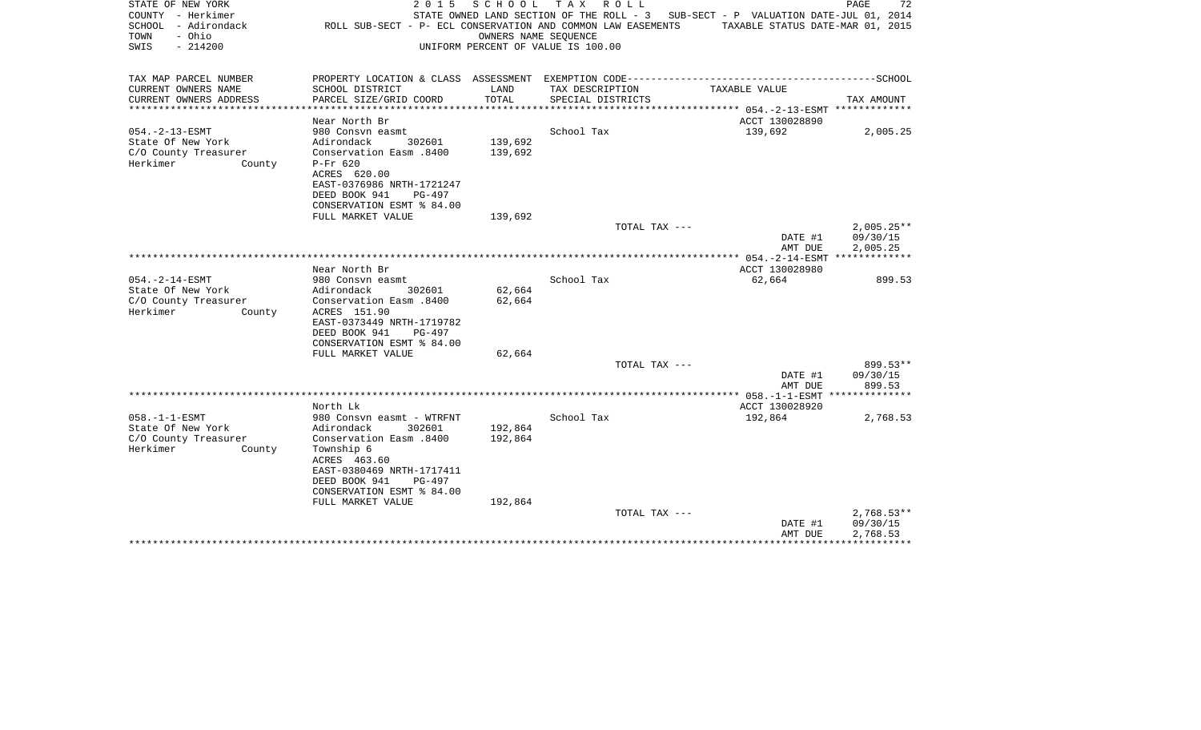| STATE OF NEW YORK<br>COUNTY - Herkimer<br>SCHOOL - Adirondack<br>- Ohio<br>TOWN<br>SWIS<br>$-214200$ | 2 0 1 5                                                                                      | SCHOOL<br>OWNERS NAME SEOUENCE | TAX ROLL<br>ROLL SUB-SECT - P- ECL CONSERVATION AND COMMON LAW EASEMENTS<br>UNIFORM PERCENT OF VALUE IS 100.00 | STATE OWNED LAND SECTION OF THE ROLL - 3 SUB-SECT - P VALUATION DATE-JUL 01, 2014<br>TAXABLE STATUS DATE-MAR 01, 2015 | 72<br>PAGE                |
|------------------------------------------------------------------------------------------------------|----------------------------------------------------------------------------------------------|--------------------------------|----------------------------------------------------------------------------------------------------------------|-----------------------------------------------------------------------------------------------------------------------|---------------------------|
| TAX MAP PARCEL NUMBER                                                                                | PROPERTY LOCATION & CLASS ASSESSMENT EXEMPTION CODE-----------------------------------SCHOOL |                                |                                                                                                                |                                                                                                                       |                           |
| CURRENT OWNERS NAME                                                                                  | SCHOOL DISTRICT                                                                              | LAND                           | TAX DESCRIPTION                                                                                                | TAXABLE VALUE                                                                                                         |                           |
| CURRENT OWNERS ADDRESS                                                                               | PARCEL SIZE/GRID COORD                                                                       | TOTAL                          | SPECIAL DISTRICTS                                                                                              |                                                                                                                       | TAX AMOUNT                |
| ***********************                                                                              | ***********************                                                                      |                                |                                                                                                                |                                                                                                                       |                           |
|                                                                                                      | Near North Br                                                                                |                                |                                                                                                                | ACCT 130028890                                                                                                        |                           |
| $054. - 2 - 13 - ESMT$<br>State Of New York                                                          | 980 Consvn easmt<br>Adirondack<br>302601                                                     | 139,692                        | School Tax                                                                                                     | 139,692                                                                                                               | 2,005.25                  |
| C/O County Treasurer                                                                                 | Conservation Easm .8400                                                                      | 139,692                        |                                                                                                                |                                                                                                                       |                           |
| Herkimer<br>County                                                                                   | $P-Fr$ 620                                                                                   |                                |                                                                                                                |                                                                                                                       |                           |
|                                                                                                      | ACRES 620.00                                                                                 |                                |                                                                                                                |                                                                                                                       |                           |
|                                                                                                      | EAST-0376986 NRTH-1721247                                                                    |                                |                                                                                                                |                                                                                                                       |                           |
|                                                                                                      | DEED BOOK 941<br>PG-497                                                                      |                                |                                                                                                                |                                                                                                                       |                           |
|                                                                                                      | CONSERVATION ESMT % 84.00                                                                    |                                |                                                                                                                |                                                                                                                       |                           |
|                                                                                                      | FULL MARKET VALUE                                                                            | 139,692                        |                                                                                                                |                                                                                                                       |                           |
|                                                                                                      |                                                                                              |                                | TOTAL TAX ---                                                                                                  |                                                                                                                       | $2,005.25**$              |
|                                                                                                      |                                                                                              |                                |                                                                                                                | DATE #1                                                                                                               | 09/30/15                  |
|                                                                                                      |                                                                                              |                                |                                                                                                                | AMT DUE                                                                                                               | 2,005.25<br>************* |
|                                                                                                      | Near North Br                                                                                |                                |                                                                                                                | ACCT 130028980                                                                                                        |                           |
| $054. -2 - 14 - ESMT$                                                                                | 980 Consyn easmt                                                                             |                                | School Tax                                                                                                     | 62,664                                                                                                                | 899.53                    |
| State Of New York                                                                                    | Adirondack<br>302601                                                                         | 62,664                         |                                                                                                                |                                                                                                                       |                           |
| C/O County Treasurer                                                                                 | Conservation Easm .8400                                                                      | 62,664                         |                                                                                                                |                                                                                                                       |                           |
| Herkimer<br>County                                                                                   | ACRES 151.90                                                                                 |                                |                                                                                                                |                                                                                                                       |                           |
|                                                                                                      | EAST-0373449 NRTH-1719782                                                                    |                                |                                                                                                                |                                                                                                                       |                           |
|                                                                                                      | PG-497<br>DEED BOOK 941                                                                      |                                |                                                                                                                |                                                                                                                       |                           |
|                                                                                                      | CONSERVATION ESMT % 84.00                                                                    |                                |                                                                                                                |                                                                                                                       |                           |
|                                                                                                      | FULL MARKET VALUE                                                                            | 62,664                         |                                                                                                                |                                                                                                                       |                           |
|                                                                                                      |                                                                                              |                                | TOTAL TAX ---                                                                                                  |                                                                                                                       | 899.53**                  |
|                                                                                                      |                                                                                              |                                |                                                                                                                | DATE #1<br>AMT DUE                                                                                                    | 09/30/15<br>899.53        |
|                                                                                                      |                                                                                              |                                |                                                                                                                |                                                                                                                       | **************            |
|                                                                                                      | North Lk                                                                                     |                                |                                                                                                                | ACCT 130028920                                                                                                        |                           |
| $058. -1 - 1 - ESMT$                                                                                 | 980 Consvn easmt - WTRFNT                                                                    |                                | School Tax                                                                                                     | 192,864                                                                                                               | 2,768.53                  |
| State Of New York                                                                                    | Adirondack<br>302601                                                                         | 192,864                        |                                                                                                                |                                                                                                                       |                           |
| C/O County Treasurer                                                                                 | Conservation Easm .8400                                                                      | 192,864                        |                                                                                                                |                                                                                                                       |                           |
| Herkimer<br>County                                                                                   | Township 6                                                                                   |                                |                                                                                                                |                                                                                                                       |                           |
|                                                                                                      | ACRES 463.60                                                                                 |                                |                                                                                                                |                                                                                                                       |                           |
|                                                                                                      | EAST-0380469 NRTH-1717411                                                                    |                                |                                                                                                                |                                                                                                                       |                           |
|                                                                                                      | DEED BOOK 941<br>PG-497                                                                      |                                |                                                                                                                |                                                                                                                       |                           |
|                                                                                                      | CONSERVATION ESMT % 84.00                                                                    | 192,864                        |                                                                                                                |                                                                                                                       |                           |
|                                                                                                      | FULL MARKET VALUE                                                                            |                                | TOTAL TAX ---                                                                                                  |                                                                                                                       | $2,768.53**$              |
|                                                                                                      |                                                                                              |                                |                                                                                                                | DATE #1                                                                                                               | 09/30/15                  |
|                                                                                                      |                                                                                              |                                |                                                                                                                | AMT DUE                                                                                                               | 2,768.53                  |
|                                                                                                      |                                                                                              |                                |                                                                                                                |                                                                                                                       |                           |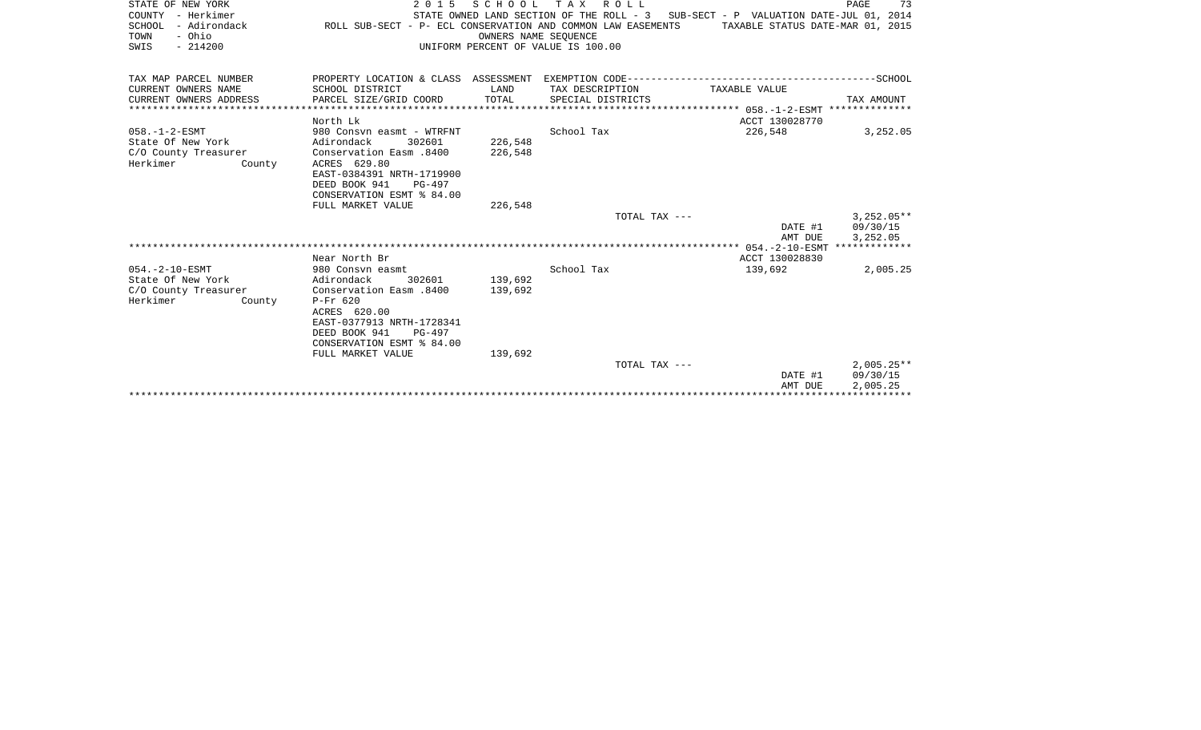| STATE OF NEW YORK<br>COUNTY - Herkimer<br>SCHOOL<br>- Adirondack<br>- Ohio<br>TOWN<br>$-214200$<br>SWIS | 2 0 1 5<br>ROLL SUB-SECT - P- ECL CONSERVATION AND COMMON LAW EASEMENTS                                                                                                           | SCHOOL<br>OWNERS NAME SEQUENCE | TAX ROLL<br>UNIFORM PERCENT OF VALUE IS 100.00 | STATE OWNED LAND SECTION OF THE ROLL - 3 SUB-SECT - P VALUATION DATE-JUL 01, 2014<br>TAXABLE STATUS DATE-MAR 01, 2015 | PAGE<br>73                           |
|---------------------------------------------------------------------------------------------------------|-----------------------------------------------------------------------------------------------------------------------------------------------------------------------------------|--------------------------------|------------------------------------------------|-----------------------------------------------------------------------------------------------------------------------|--------------------------------------|
|                                                                                                         |                                                                                                                                                                                   |                                |                                                |                                                                                                                       |                                      |
| TAX MAP PARCEL NUMBER                                                                                   | PROPERTY LOCATION & CLASS ASSESSMENT EXEMPTION CODE-----------------------------------SCHOOL                                                                                      |                                |                                                |                                                                                                                       |                                      |
| CURRENT OWNERS NAME                                                                                     | SCHOOL DISTRICT                                                                                                                                                                   | LAND                           | TAX DESCRIPTION                                | TAXABLE VALUE                                                                                                         |                                      |
| CURRENT OWNERS ADDRESS                                                                                  | PARCEL SIZE/GRID COORD                                                                                                                                                            | TOTAL                          | SPECIAL DISTRICTS                              |                                                                                                                       | TAX AMOUNT                           |
|                                                                                                         | North Lk                                                                                                                                                                          |                                |                                                | ACCT 130028770                                                                                                        |                                      |
| $058. - 1 - 2 - ESMT$<br>State Of New York<br>C/O County Treasurer<br>Herkimer<br>County                | 980 Consyn easmt - WTRFNT<br>302601<br>Adirondack<br>Conservation Easm .8400<br>ACRES 629.80<br>EAST-0384391 NRTH-1719900<br>DEED BOOK 941<br>PG-497<br>CONSERVATION ESMT % 84.00 | 226,548<br>226,548             | School Tax                                     | 226,548                                                                                                               | 3,252.05                             |
|                                                                                                         | FULL MARKET VALUE                                                                                                                                                                 | 226,548                        |                                                |                                                                                                                       |                                      |
|                                                                                                         |                                                                                                                                                                                   |                                | TOTAL TAX ---                                  | DATE #1<br>AMT DUE                                                                                                    | $3,252.05**$<br>09/30/15<br>3,252.05 |
|                                                                                                         |                                                                                                                                                                                   |                                |                                                |                                                                                                                       |                                      |
| $054. -2 - 10 - ESMT$                                                                                   | Near North Br<br>980 Consvn easmt                                                                                                                                                 |                                | School Tax                                     | ACCT 130028830<br>139,692                                                                                             | 2,005.25                             |
| State Of New York<br>C/O County Treasurer<br>Herkimer<br>County                                         | Adirondack<br>302601<br>Conservation Easm .8400<br>$P-Fr$ 620<br>ACRES 620.00<br>EAST-0377913 NRTH-1728341<br>DEED BOOK 941<br>$PG-497$<br>CONSERVATION ESMT % 84.00              | 139,692<br>139,692             |                                                |                                                                                                                       |                                      |
|                                                                                                         | FULL MARKET VALUE                                                                                                                                                                 | 139,692                        |                                                |                                                                                                                       |                                      |
|                                                                                                         |                                                                                                                                                                                   |                                | TOTAL TAX ---                                  | DATE #1<br>AMT DUE                                                                                                    | $2.005.25**$<br>09/30/15<br>2,005.25 |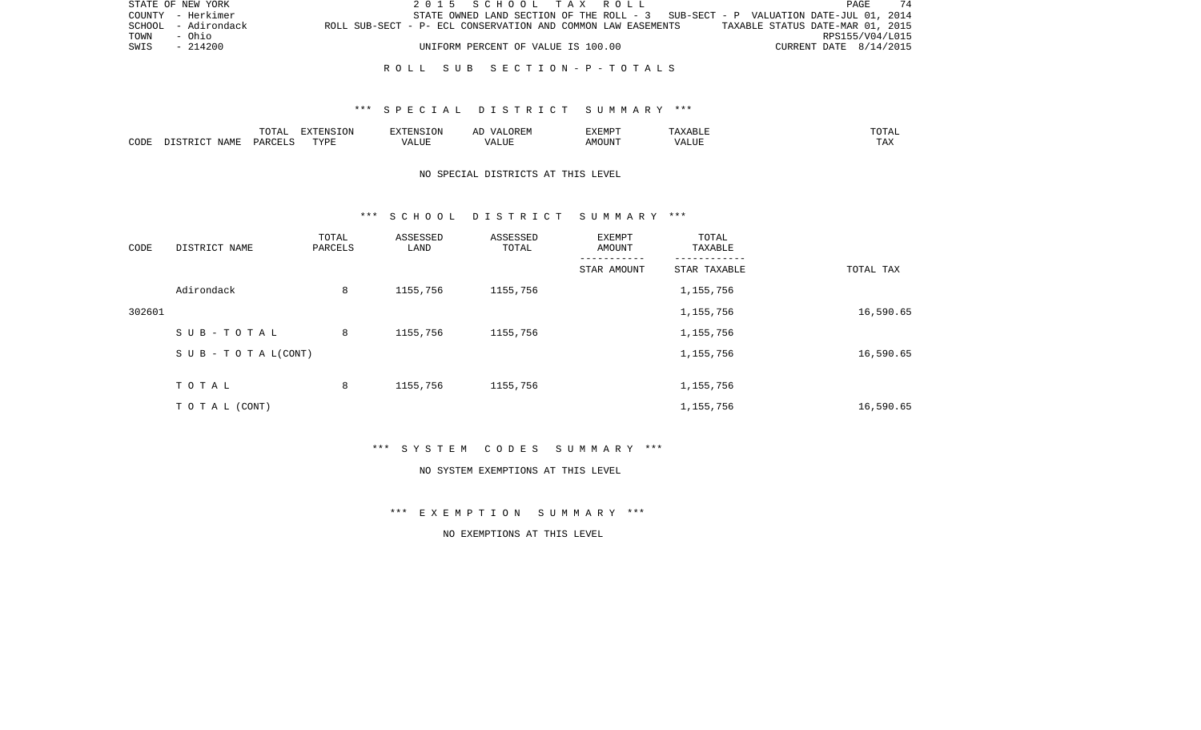|      | STATE OF NEW YORK   | 2015 SCHOOL TAX ROLL                                                                             | PAGE.                  |  |
|------|---------------------|--------------------------------------------------------------------------------------------------|------------------------|--|
|      | COUNTY - Herkimer   | STATE OWNED LAND SECTION OF THE ROLL - 3 SUB-SECT - P VALUATION DATE-JUL 01, 2014                |                        |  |
|      | SCHOOL - Adirondack | TAXABLE STATUS DATE-MAR 01, 2015<br>ROLL SUB-SECT - P- ECL CONSERVATION AND COMMON LAW EASEMENTS |                        |  |
| TOWN | - Ohio              |                                                                                                  | RPS155/V04/L015        |  |
| SWIS | $-214200$           | UNIFORM PERCENT OF VALUE IS 100.00                                                               | CURRENT DATE 8/14/2015 |  |
|      |                     |                                                                                                  |                        |  |

#### R O L L S U B S E C T I O N - P - T O T A L S

#### \*\*\* S P E C I A L D I S T R I C T S U M M A R Y \*\*\*

|      |      | $m \wedge m \wedge n$<br>. U 171 | <b>FYTFNCT∩N</b><br>- 71 | ∴N.  | $\cdots$ | <b>DA 4 DI</b> |               | JIAL |
|------|------|----------------------------------|--------------------------|------|----------|----------------|---------------|------|
| CODE | NAMF | UAROTT                           | <b>TIZE</b>              | JU P |          | OUN            | .<br>$\cdots$ |      |

## NO SPECIAL DISTRICTS AT THIS LEVEL

#### \*\*\* S C H O O L D I S T R I C T S U M M A R Y \*\*\*

| CODE   | DISTRICT NAME                    | TOTAL<br>PARCELS | ASSESSED<br>LAND | ASSESSED<br>TOTAL | EXEMPT<br>AMOUNT | TOTAL<br>TAXABLE |           |
|--------|----------------------------------|------------------|------------------|-------------------|------------------|------------------|-----------|
|        |                                  |                  |                  |                   | STAR AMOUNT      | STAR TAXABLE     | TOTAL TAX |
|        | Adirondack                       | 8                | 1155,756         | 1155,756          |                  | 1,155,756        |           |
| 302601 |                                  |                  |                  |                   |                  | 1,155,756        | 16,590.65 |
|        | SUB-TOTAL                        | 8                | 1155,756         | 1155,756          |                  | 1,155,756        |           |
|        | $S \cup B - T \cup T A L (CONT)$ |                  |                  |                   |                  | 1,155,756        | 16,590.65 |
|        | TOTAL                            | 8                | 1155,756         | 1155,756          |                  | 1,155,756        |           |
|        | TOTAL (CONT)                     |                  |                  |                   |                  | 1,155,756        | 16,590.65 |

\*\*\* S Y S T E M C O D E S S U M M A R Y \*\*\*

#### NO SYSTEM EXEMPTIONS AT THIS LEVEL

\*\*\* E X E M P T I O N S U M M A R Y \*\*\*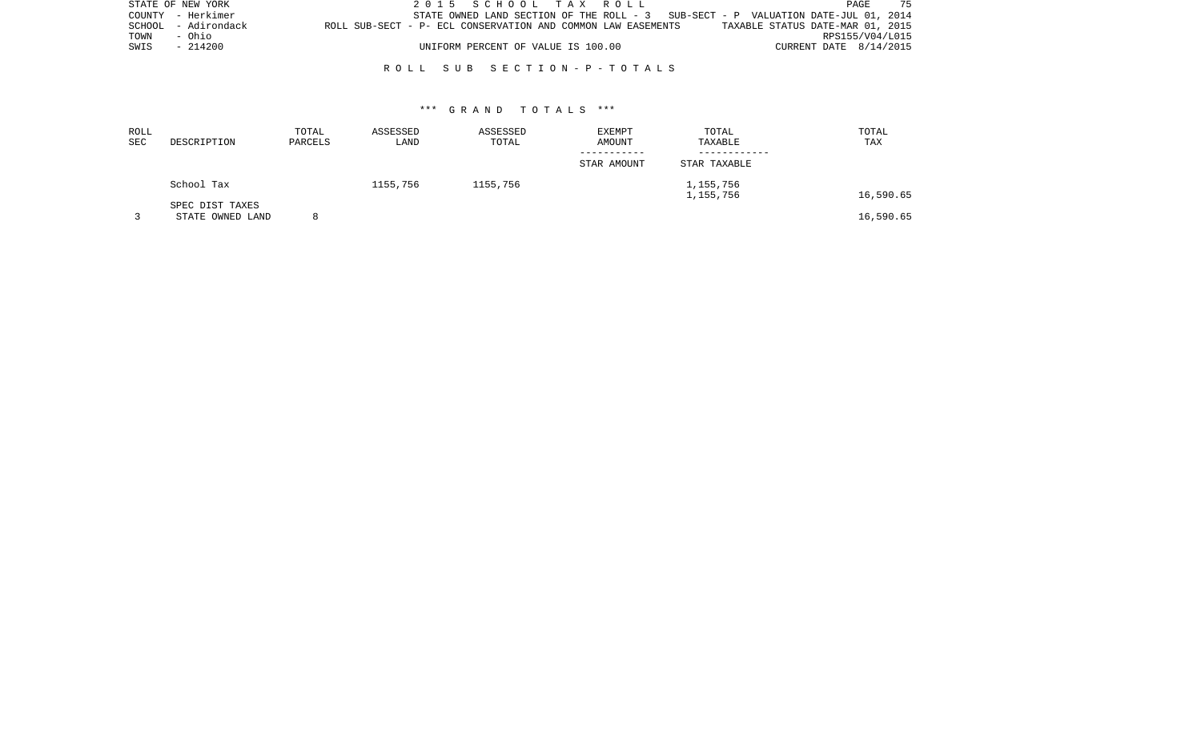|      | STATE OF NEW YORK   |                                                              |  | 2015 SCHOOL TAX ROLL               |  |                                                                                   |                                  |                        | PAGE            | 75 |
|------|---------------------|--------------------------------------------------------------|--|------------------------------------|--|-----------------------------------------------------------------------------------|----------------------------------|------------------------|-----------------|----|
|      | COUNTY - Herkimer   |                                                              |  |                                    |  | STATE OWNED LAND SECTION OF THE ROLL - 3 SUB-SECT - P VALUATION DATE-JUL 01, 2014 |                                  |                        |                 |    |
|      | SCHOOL - Adirondack | ROLL SUB-SECT - P- ECL CONSERVATION AND COMMON LAW EASEMENTS |  |                                    |  |                                                                                   | TAXABLE STATUS DATE-MAR 01, 2015 |                        |                 |    |
| TOWN | - Ohio              |                                                              |  |                                    |  |                                                                                   |                                  |                        | RPS155/V04/L015 |    |
| SWIS | - 214200            |                                                              |  | UNIFORM PERCENT OF VALUE IS 100.00 |  |                                                                                   |                                  | CURRENT DATE 8/14/2015 |                 |    |
|      |                     |                                                              |  |                                    |  |                                                                                   |                                  |                        |                 |    |

#### R O L L S U B S E C T I O N - P - T O T A L S

| ROLL<br>SEC | DESCRIPTION                         | TOTAL<br>PARCELS | ASSESSED<br>LAND | ASSESSED<br>TOTAL | <b>EXEMPT</b><br>AMOUNT | TOTAL<br>TAXABLE | TOTAL<br>TAX |
|-------------|-------------------------------------|------------------|------------------|-------------------|-------------------------|------------------|--------------|
|             |                                     |                  |                  |                   |                         |                  |              |
|             |                                     |                  |                  |                   | STAR AMOUNT             | STAR TAXABLE     |              |
|             | School Tax                          |                  | 1155,756         | 1155,756          |                         | 1,155,756        |              |
|             |                                     |                  |                  |                   |                         | 1,155,756        | 16,590.65    |
|             | SPEC DIST TAXES<br>STATE OWNED LAND | 8                |                  |                   |                         |                  | 16,590.65    |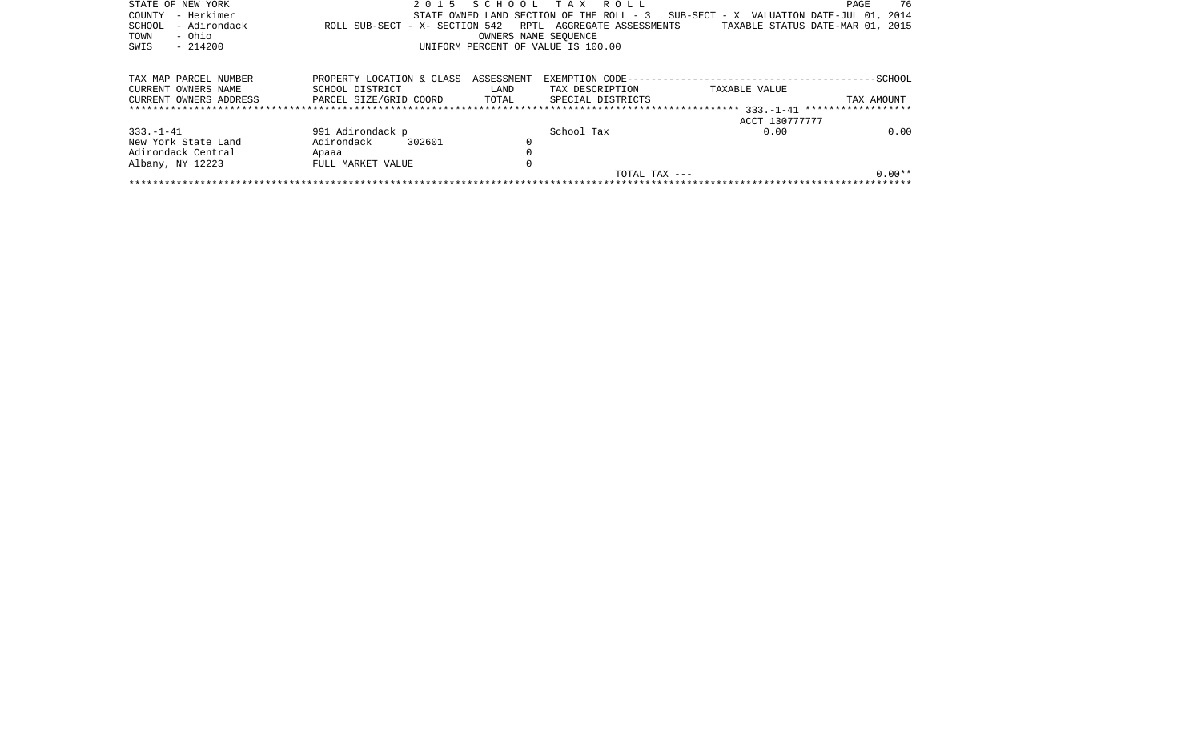| STATE OF NEW YORK      | 2 0 1 5                        |                                    | SCHOOL TAX ROLL                          |                                          | 76<br>PAGE |  |  |  |  |  |  |  |
|------------------------|--------------------------------|------------------------------------|------------------------------------------|------------------------------------------|------------|--|--|--|--|--|--|--|
| – Herkimer<br>COUNTY   |                                |                                    | STATE OWNED LAND SECTION OF THE ROLL - 3 | SUB-SECT - X VALUATION DATE-JUL 01, 2014 |            |  |  |  |  |  |  |  |
| - Adirondack<br>SCHOOL | ROLL SUB-SECT - X- SECTION 542 |                                    | RPTL AGGREGATE ASSESSMENTS               | TAXABLE STATUS DATE-MAR 01, 2015         |            |  |  |  |  |  |  |  |
| - Ohio<br>TOWN         |                                | OWNERS NAME SEOUENCE               |                                          |                                          |            |  |  |  |  |  |  |  |
| $-214200$<br>SWIS      |                                | UNIFORM PERCENT OF VALUE IS 100.00 |                                          |                                          |            |  |  |  |  |  |  |  |
|                        |                                |                                    |                                          |                                          |            |  |  |  |  |  |  |  |
|                        |                                |                                    |                                          |                                          |            |  |  |  |  |  |  |  |
| TAX MAP PARCEL NUMBER  | PROPERTY LOCATION & CLASS      | ASSESSMENT                         |                                          |                                          | $--SCHOOL$ |  |  |  |  |  |  |  |
| CURRENT OWNERS NAME    | SCHOOL DISTRICT                | LAND                               | TAX DESCRIPTION                          | TAXABLE VALUE                            |            |  |  |  |  |  |  |  |
| CURRENT OWNERS ADDRESS | PARCEL SIZE/GRID COORD         | TOTAL                              | SPECIAL DISTRICTS                        |                                          | TAX AMOUNT |  |  |  |  |  |  |  |
|                        |                                |                                    |                                          |                                          |            |  |  |  |  |  |  |  |
|                        |                                |                                    |                                          | ACCT 130777777                           |            |  |  |  |  |  |  |  |
| $333. - 1 - 41$        | 991 Adirondack p               |                                    | School Tax                               | 0.00                                     | 0.00       |  |  |  |  |  |  |  |
| New York State Land    | Adirondack<br>302601           |                                    |                                          |                                          |            |  |  |  |  |  |  |  |
| Adirondack Central     | Apaaa                          |                                    |                                          |                                          |            |  |  |  |  |  |  |  |
| Albany, NY 12223       | FULL MARKET VALUE              |                                    |                                          |                                          |            |  |  |  |  |  |  |  |
|                        |                                |                                    | TOTAL TAX $---$                          |                                          | $0.00**$   |  |  |  |  |  |  |  |
|                        |                                |                                    |                                          |                                          |            |  |  |  |  |  |  |  |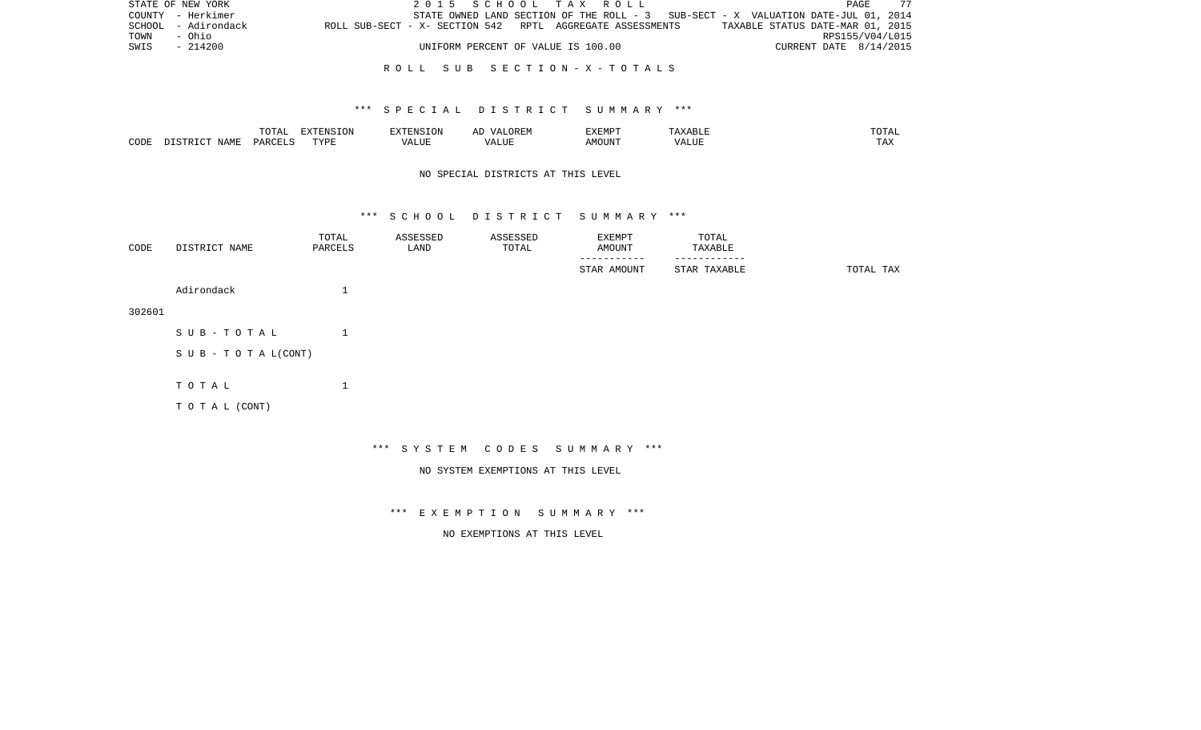|      | STATE OF NEW YORK   |                                                           |  | 2015 SCHOOL TAX ROLL               |  |                                                                                   |                        | PAGE | - 77 |
|------|---------------------|-----------------------------------------------------------|--|------------------------------------|--|-----------------------------------------------------------------------------------|------------------------|------|------|
|      | COUNTY - Herkimer   |                                                           |  |                                    |  | STATE OWNED LAND SECTION OF THE ROLL - 3 SUB-SECT - X VALUATION DATE-JUL 01, 2014 |                        |      |      |
|      | SCHOOL - Adirondack | ROLL SUB-SECT - X- SECTION 542 RPTL AGGREGATE ASSESSMENTS |  |                                    |  | TAXABLE STATUS DATE-MAR 01, 2015                                                  |                        |      |      |
| TOWN | - Ohio              |                                                           |  |                                    |  |                                                                                   | RPS155/V04/L015        |      |      |
| SWIS | - 214200            |                                                           |  | UNIFORM PERCENT OF VALUE IS 100.00 |  |                                                                                   | CURRENT DATE 8/14/2015 |      |      |
|      |                     |                                                           |  |                                    |  |                                                                                   |                        |      |      |

#### R O L L S U B S E C T I O N - X - T O T A L S

#### \*\*\* S P E C I A L D I S T R I C T S U M M A R Y \*\*\*

|      |      | ----<br>◡∸⊷              | EXTENSION |           | 'XEMPT        | .                 | ----           |
|------|------|--------------------------|-----------|-----------|---------------|-------------------|----------------|
| CODE | NAME | $\triangle$ ARCET $\sim$ | T T T T   | $- - - -$ | IOUN'.<br>. M | 77 T TTT<br>A HUI | $- - -$<br>LA. |

# NO SPECIAL DISTRICTS AT THIS LEVEL

#### \*\*\* S C H O O L D I S T R I C T S U M M A R Y \*\*\*

| CODE   | DISTRICT NAME      | TOTAL<br>PARCELS | ASSESSED<br>LAND | ASSESSED<br>TOTAL | EXEMPT<br>AMOUNT<br>-------- | TOTAL<br>TAXABLE |           |
|--------|--------------------|------------------|------------------|-------------------|------------------------------|------------------|-----------|
|        |                    |                  |                  |                   | STAR AMOUNT                  | STAR TAXABLE     | TOTAL TAX |
|        | Adirondack         | $\mathbf{1}$     |                  |                   |                              |                  |           |
| 302601 |                    |                  |                  |                   |                              |                  |           |
|        | SUB-TOTAL          | $\mathbf 1$      |                  |                   |                              |                  |           |
|        | SUB - TO TAL(CONT) |                  |                  |                   |                              |                  |           |
|        |                    |                  |                  |                   |                              |                  |           |
|        | TOTAL              | 1                |                  |                   |                              |                  |           |
|        | TO TAL (CONT)      |                  |                  |                   |                              |                  |           |
|        |                    |                  |                  |                   |                              |                  |           |

\*\*\* S Y S T E M C O D E S S U M M A R Y \*\*\*

NO SYSTEM EXEMPTIONS AT THIS LEVEL

\*\*\* E X E M P T I O N S U M M A R Y \*\*\*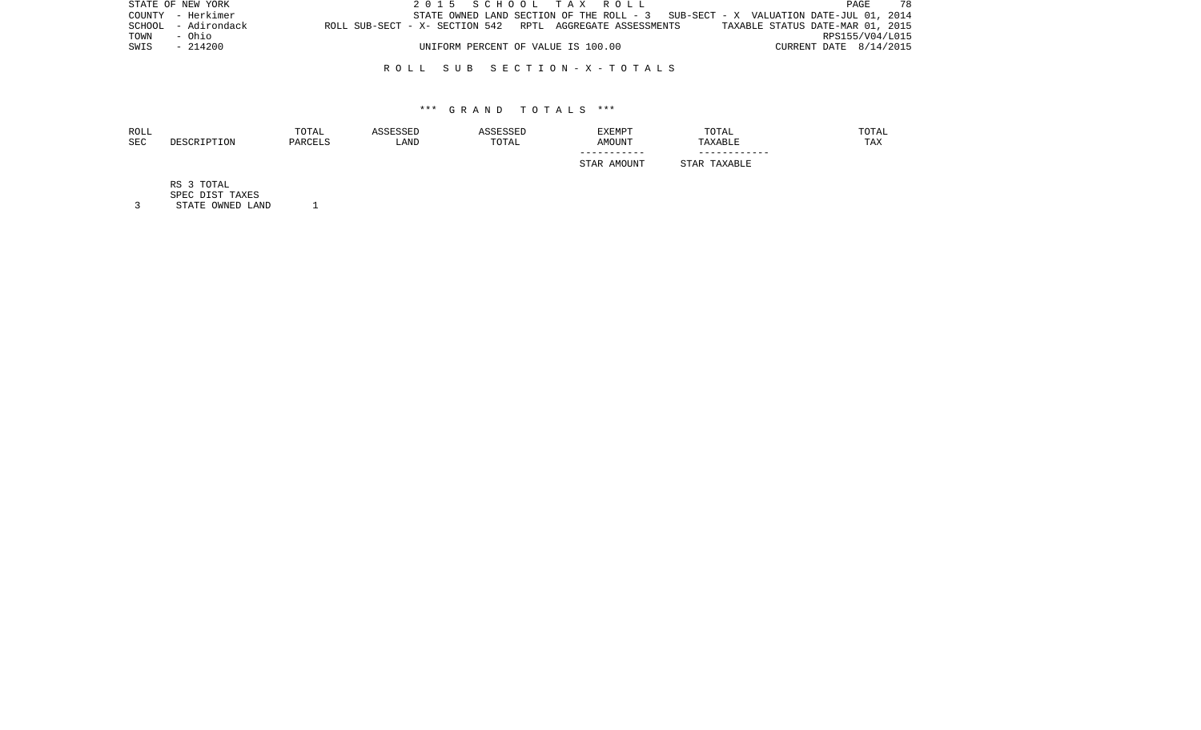|      | STATE OF NEW YORK   |                                                           |  | 2015 SCHOOL TAX ROLL               |  |  |  |                                                                                   |                        | PAGE            | 7 R |
|------|---------------------|-----------------------------------------------------------|--|------------------------------------|--|--|--|-----------------------------------------------------------------------------------|------------------------|-----------------|-----|
|      | COUNTY - Herkimer   |                                                           |  |                                    |  |  |  | STATE OWNED LAND SECTION OF THE ROLL - 3 SUB-SECT - X VALUATION DATE-JUL 01, 2014 |                        |                 |     |
|      | SCHOOL - Adirondack | ROLL SUB-SECT - X- SECTION 542 RPTL AGGREGATE ASSESSMENTS |  |                                    |  |  |  | TAXABLE STATUS DATE-MAR 01, 2015                                                  |                        |                 |     |
| TOWN | - Ohio              |                                                           |  |                                    |  |  |  |                                                                                   |                        | RPS155/V04/L015 |     |
| SWIS | $-214200$           |                                                           |  | UNIFORM PERCENT OF VALUE IS 100.00 |  |  |  |                                                                                   | CURRENT DATE 8/14/2015 |                 |     |
|      |                     |                                                           |  |                                    |  |  |  |                                                                                   |                        |                 |     |

#### R O L L S U B S E C T I O N - X - T O T A L S

#### \*\*\* G R A N D T O T A L S \*\*\*

| ROLL<br><b>SEC</b> | DESCRIPTION | TOTAL<br>PARCELS | ASSESSED<br>LAND | ASSESSED<br>TOTAL | EXEMPT<br><b>AMOUNT</b>    | TOTAL<br>TAXABLE | TOTAL<br>TAX |
|--------------------|-------------|------------------|------------------|-------------------|----------------------------|------------------|--------------|
|                    |             |                  |                  |                   | -----------<br>STAR AMOUNT | STAR TAXABLE     |              |
|                    | RS 3 TOTAL  |                  |                  |                   |                            |                  |              |

 SPEC DIST TAXES 3 STATE OWNED LAND 1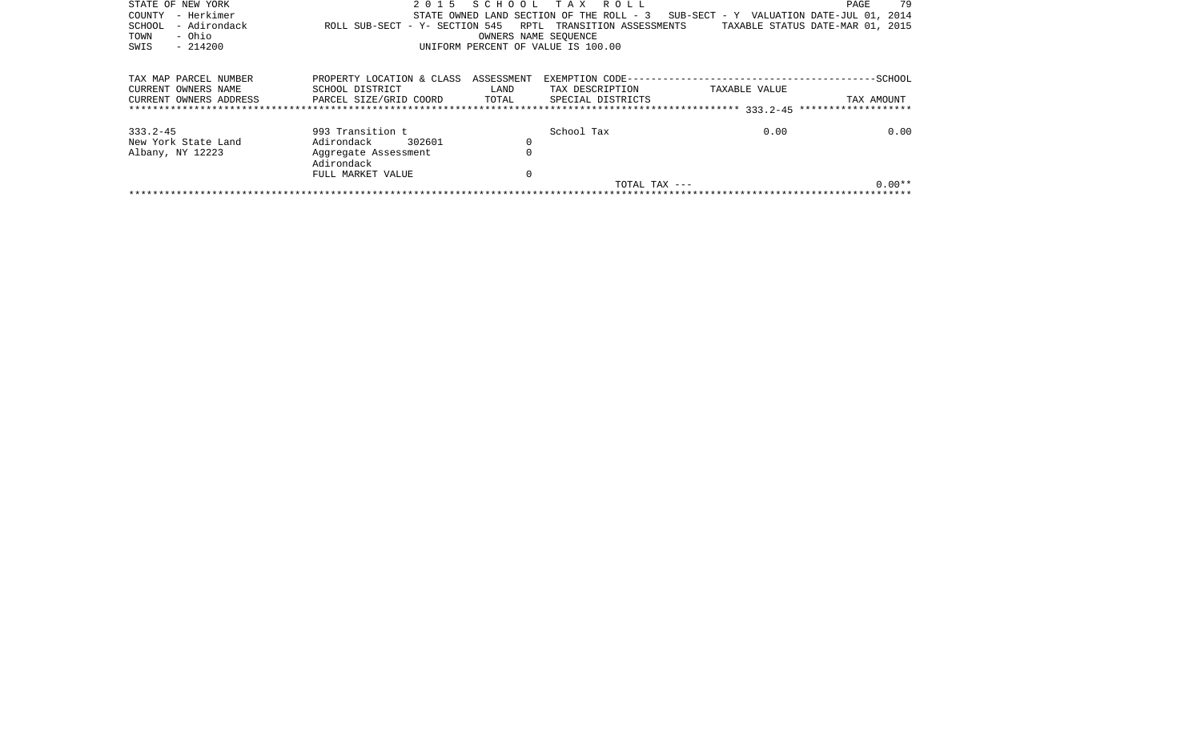|                                     |                                                |                      | TOTAL TAX ---                      |                                                                                   | $0.00**$                         |
|-------------------------------------|------------------------------------------------|----------------------|------------------------------------|-----------------------------------------------------------------------------------|----------------------------------|
|                                     | FULL MARKET VALUE                              | 0                    |                                    |                                                                                   |                                  |
|                                     | Adirondack                                     |                      |                                    |                                                                                   |                                  |
| Albany, NY 12223                    | Aggregate Assessment                           | $\Omega$             |                                    |                                                                                   |                                  |
| 333.2-45<br>New York State Land     | 993 Transition t<br>302601<br>Adirondack       | 0                    | School Tax                         | 0.00                                                                              | 0.00                             |
|                                     |                                                |                      |                                    |                                                                                   |                                  |
| CURRENT OWNERS ADDRESS              | PARCEL SIZE/GRID COORD TOTAL SPECIAL DISTRICTS |                      |                                    |                                                                                   | TAX AMOUNT                       |
| CURRENT OWNERS NAME                 | SCHOOL DISTRICT                                | LAND                 | TAX DESCRIPTION                    | TAXABLE VALUE                                                                     |                                  |
| TAX MAP PARCEL NUMBER               | PROPERTY LOCATION & CLASS ASSESSMENT           |                      |                                    |                                                                                   |                                  |
| - Ohio<br>TOWN<br>SWIS<br>$-214200$ |                                                | OWNERS NAME SEOUENCE | UNIFORM PERCENT OF VALUE IS 100.00 |                                                                                   |                                  |
| - Adirondack<br>SCHOOL              | ROLL SUB-SECT - Y- SECTION 545                 |                      | RPTL TRANSITION ASSESSMENTS        |                                                                                   | TAXABLE STATUS DATE-MAR 01, 2015 |
| - Herkimer<br>COUNTY                |                                                |                      |                                    | STATE OWNED LAND SECTION OF THE ROLL - 3 SUB-SECT - Y VALUATION DATE-JUL 01, 2014 |                                  |
| STATE OF NEW YORK                   |                                                |                      | 2015 SCHOOL TAX ROLL               |                                                                                   | - 79<br>PAGE                     |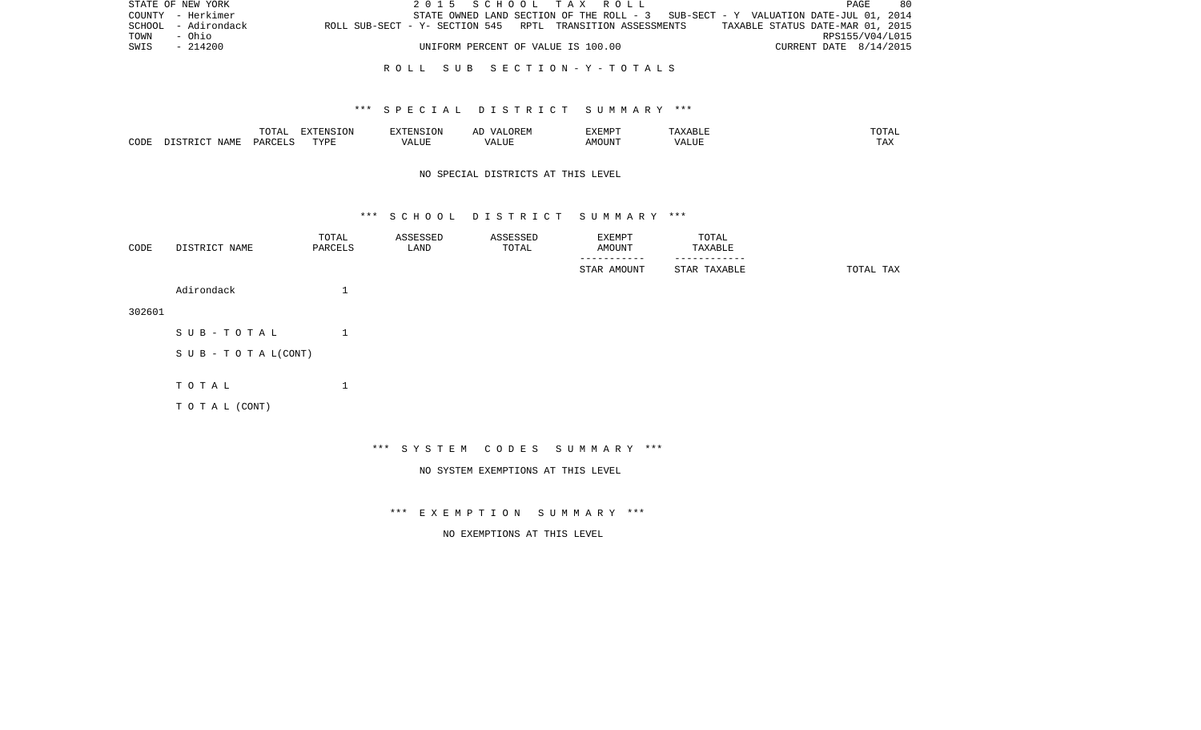|      | STATE OF NEW YORK   |                                                            | 2015 SCHOOL TAX ROLL               |  |  |                                                                                   |                        | PAGE. | 80 |
|------|---------------------|------------------------------------------------------------|------------------------------------|--|--|-----------------------------------------------------------------------------------|------------------------|-------|----|
|      | COUNTY - Herkimer   |                                                            |                                    |  |  | STATE OWNED LAND SECTION OF THE ROLL - 3 SUB-SECT - Y VALUATION DATE-JUL 01, 2014 |                        |       |    |
|      | SCHOOL - Adirondack | ROLL SUB-SECT - Y- SECTION 545 RPTL TRANSITION ASSESSMENTS |                                    |  |  | TAXABLE STATUS DATE-MAR 01, 2015                                                  |                        |       |    |
| TOWN | - Ohio              |                                                            |                                    |  |  |                                                                                   | RPS155/V04/L015        |       |    |
| SWIS | - 214200            |                                                            | UNIFORM PERCENT OF VALUE IS 100.00 |  |  |                                                                                   | CURRENT DATE 8/14/2015 |       |    |
|      |                     |                                                            |                                    |  |  |                                                                                   |                        |       |    |

#### R O L L S U B S E C T I O N - Y - T O T A L S

### \*\*\* S P E C I A L D I S T R I C T S U M M A R Y \*\*\*

|      |      | ----<br>◡∸⊷              | EXTENSION |           | 'XEMPT        | .                 | ----           |
|------|------|--------------------------|-----------|-----------|---------------|-------------------|----------------|
| CODE | NAME | $\triangle$ ARCET $\sim$ | T T T T   | $- - - -$ | IOUN'.<br>. M | 77 T TTT<br>A HUI | $- - -$<br>LA. |

# NO SPECIAL DISTRICTS AT THIS LEVEL

#### \*\*\* S C H O O L D I S T R I C T S U M M A R Y \*\*\*

| CODE   | DISTRICT NAME                    | TOTAL<br>PARCELS   | ASSESSED<br>LAND | ASSESSED<br>TOTAL | EXEMPT<br>AMOUNT<br>-------- | TOTAL<br>TAXABLE<br>--------- |           |
|--------|----------------------------------|--------------------|------------------|-------------------|------------------------------|-------------------------------|-----------|
|        |                                  |                    |                  |                   | STAR AMOUNT                  | STAR TAXABLE                  | TOTAL TAX |
|        | Adirondack                       | $\mathbf{I}$<br>ᅩ  |                  |                   |                              |                               |           |
| 302601 |                                  |                    |                  |                   |                              |                               |           |
|        | SUB-TOTAL                        | $\mathbf{1}$       |                  |                   |                              |                               |           |
|        | $S \cup B - T \cup T A L (CONT)$ |                    |                  |                   |                              |                               |           |
|        |                                  |                    |                  |                   |                              |                               |           |
|        | TOTAL                            | $\mathbf{I}$<br>J. |                  |                   |                              |                               |           |
|        | TOTAL (CONT)                     |                    |                  |                   |                              |                               |           |
|        |                                  |                    |                  |                   |                              |                               |           |

\*\*\* S Y S T E M C O D E S S U M M A R Y \*\*\*

NO SYSTEM EXEMPTIONS AT THIS LEVEL

\*\*\* E X E M P T I O N S U M M A R Y \*\*\*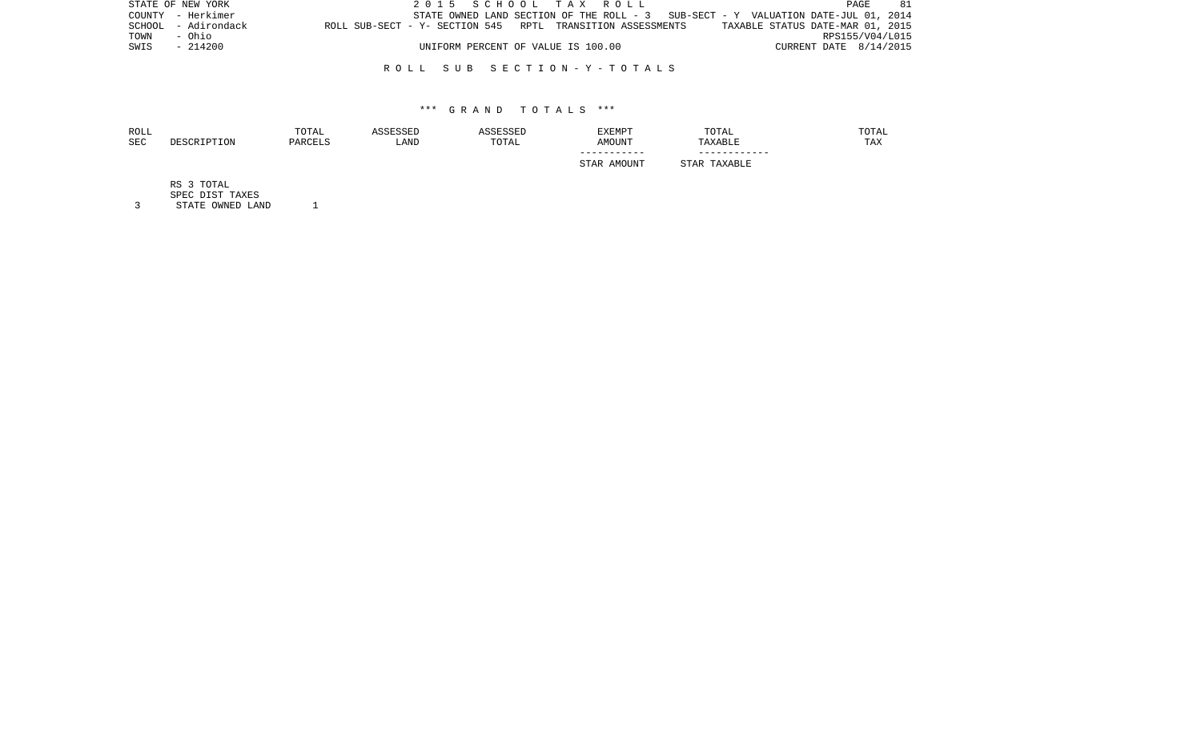|      | STATE OF NEW YORK   |                                                            |  | 2015 SCHOOL TAX ROLL               |  |                                                                                   |  |                                  | PAGE | 81 |
|------|---------------------|------------------------------------------------------------|--|------------------------------------|--|-----------------------------------------------------------------------------------|--|----------------------------------|------|----|
|      | COUNTY - Herkimer   |                                                            |  |                                    |  | STATE OWNED LAND SECTION OF THE ROLL - 3 SUB-SECT - Y VALUATION DATE-JUL 01, 2014 |  |                                  |      |    |
|      | SCHOOL - Adirondack | ROLL SUB-SECT - Y- SECTION 545 RPTL TRANSITION ASSESSMENTS |  |                                    |  |                                                                                   |  | TAXABLE STATUS DATE-MAR 01, 2015 |      |    |
| TOWN | - Ohio              |                                                            |  |                                    |  |                                                                                   |  | RPS155/V04/L015                  |      |    |
| SWIS | $-214200$           |                                                            |  | UNIFORM PERCENT OF VALUE IS 100.00 |  |                                                                                   |  | CURRENT DATE 8/14/2015           |      |    |
|      |                     |                                                            |  |                                    |  |                                                                                   |  |                                  |      |    |

#### R O L L S U B S E C T I O N - Y - T O T A L S

#### \*\*\* G R A N D T O T A L S \*\*\*

| ROLL<br>SEC | DESCRIPTION | TOTAL<br>PARCELS | ASSESSED<br>LAND | ASSESSED<br>TOTAL | EXEMPT<br>AMOUNT | TOTAL<br>TAXABLE | TOTAL<br>TAX |
|-------------|-------------|------------------|------------------|-------------------|------------------|------------------|--------------|
|             |             |                  |                  |                   | STAR AMOUNT      | STAR TAXABLE     |              |
|             | RS 3 TOTAL  |                  |                  |                   |                  |                  |              |

SPEC DIST TAXES

3 STATE OWNED LAND 1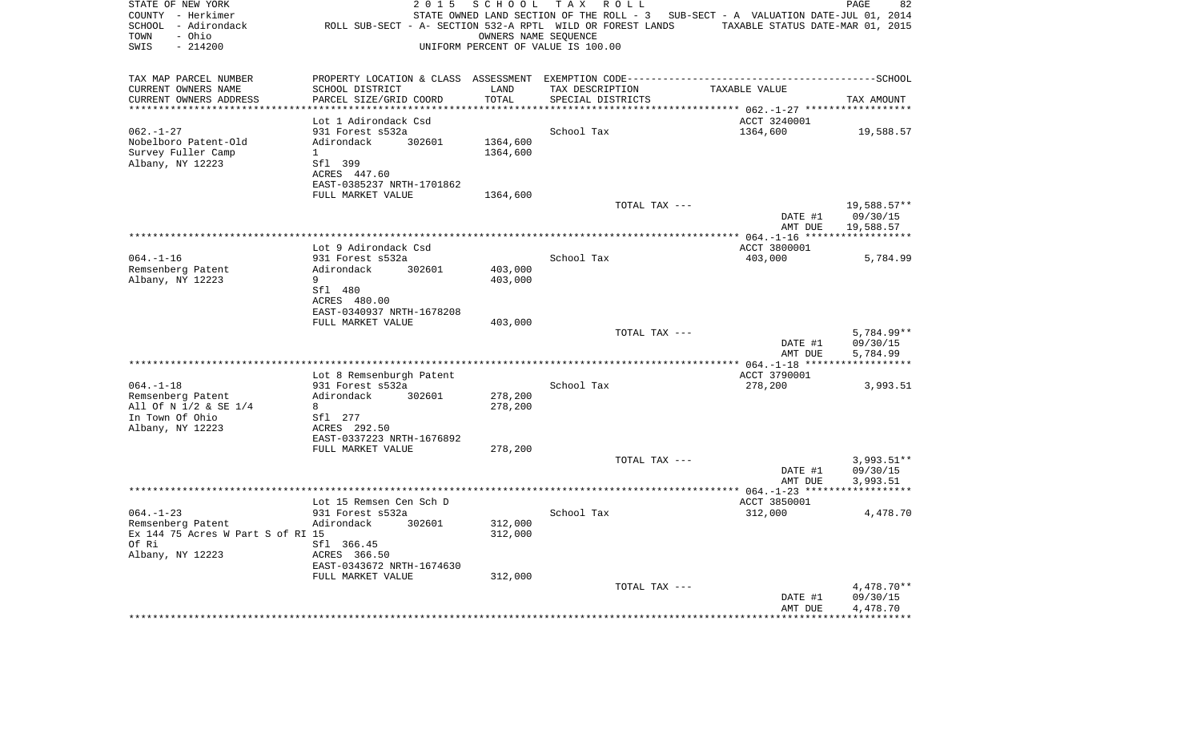| STATE OF NEW YORK<br>COUNTY - Herkimer<br>SCHOOL - Adirondack<br>- Ohio<br>TOWN<br>SWIS<br>$-214200$ | 2 0 1 5                                        | SCHOOL<br>UNIFORM PERCENT OF VALUE IS 100.00 | T A X<br>R O L L<br>ROLL SUB-SECT - A- SECTION 532-A RPTL WILD OR FOREST LANDS<br>OWNERS NAME SEQUENCE | STATE OWNED LAND SECTION OF THE ROLL - 3 SUB-SECT - A VALUATION DATE-JUL 01, 2014<br>TAXABLE STATUS DATE-MAR 01, 2015 | PAGE<br>82              |
|------------------------------------------------------------------------------------------------------|------------------------------------------------|----------------------------------------------|--------------------------------------------------------------------------------------------------------|-----------------------------------------------------------------------------------------------------------------------|-------------------------|
| TAX MAP PARCEL NUMBER                                                                                |                                                |                                              |                                                                                                        |                                                                                                                       |                         |
| CURRENT OWNERS NAME                                                                                  | SCHOOL DISTRICT                                | LAND                                         | TAX DESCRIPTION                                                                                        | TAXABLE VALUE                                                                                                         |                         |
| CURRENT OWNERS ADDRESS<br>********************                                                       | PARCEL SIZE/GRID COORD                         | TOTAL<br>********                            | SPECIAL DISTRICTS                                                                                      |                                                                                                                       | TAX AMOUNT              |
|                                                                                                      | Lot 1 Adirondack Csd                           |                                              |                                                                                                        | ********************* 062.-1-27 ******<br>ACCT 3240001                                                                |                         |
| $062. - 1 - 27$                                                                                      | 931 Forest s532a                               |                                              | School Tax                                                                                             | 1364,600                                                                                                              | 19,588.57               |
| Nobelboro Patent-Old                                                                                 | Adirondack<br>302601                           | 1364,600                                     |                                                                                                        |                                                                                                                       |                         |
| Survey Fuller Camp                                                                                   | $\mathbf{1}$                                   | 1364,600                                     |                                                                                                        |                                                                                                                       |                         |
| Albany, NY 12223                                                                                     | Sfl 399                                        |                                              |                                                                                                        |                                                                                                                       |                         |
|                                                                                                      | ACRES 447.60                                   |                                              |                                                                                                        |                                                                                                                       |                         |
|                                                                                                      | EAST-0385237 NRTH-1701862                      |                                              |                                                                                                        |                                                                                                                       |                         |
|                                                                                                      | FULL MARKET VALUE                              | 1364,600                                     |                                                                                                        |                                                                                                                       |                         |
|                                                                                                      |                                                |                                              | TOTAL TAX ---                                                                                          | DATE #1                                                                                                               | 19,588.57**<br>09/30/15 |
|                                                                                                      |                                                |                                              |                                                                                                        | AMT DUE                                                                                                               | 19,588.57               |
|                                                                                                      |                                                |                                              |                                                                                                        |                                                                                                                       |                         |
|                                                                                                      | Lot 9 Adirondack Csd                           |                                              |                                                                                                        | ACCT 3800001                                                                                                          |                         |
| $064. -1 - 16$                                                                                       | 931 Forest s532a                               |                                              | School Tax                                                                                             | 403,000                                                                                                               | 5,784.99                |
| Remsenberg Patent                                                                                    | Adirondack<br>302601                           | 403,000                                      |                                                                                                        |                                                                                                                       |                         |
| Albany, NY 12223                                                                                     | 9                                              | 403,000                                      |                                                                                                        |                                                                                                                       |                         |
|                                                                                                      | Sfl 480<br>ACRES 480.00                        |                                              |                                                                                                        |                                                                                                                       |                         |
|                                                                                                      | EAST-0340937 NRTH-1678208                      |                                              |                                                                                                        |                                                                                                                       |                         |
|                                                                                                      | FULL MARKET VALUE                              | 403,000                                      |                                                                                                        |                                                                                                                       |                         |
|                                                                                                      |                                                |                                              | TOTAL TAX ---                                                                                          |                                                                                                                       | 5,784.99**              |
|                                                                                                      |                                                |                                              |                                                                                                        | DATE #1                                                                                                               | 09/30/15                |
|                                                                                                      |                                                |                                              |                                                                                                        | AMT DUE                                                                                                               | 5,784.99                |
|                                                                                                      | Lot 8 Remsenburgh Patent                       |                                              |                                                                                                        | ACCT 3790001                                                                                                          |                         |
| $064. -1 - 18$                                                                                       | 931 Forest s532a                               |                                              | School Tax                                                                                             | 278,200                                                                                                               | 3,993.51                |
| Remsenberg Patent                                                                                    | Adirondack<br>302601                           | 278,200                                      |                                                                                                        |                                                                                                                       |                         |
| All Of N 1/2 & SE 1/4                                                                                | 8                                              | 278,200                                      |                                                                                                        |                                                                                                                       |                         |
| In Town Of Ohio                                                                                      | Sfl 277                                        |                                              |                                                                                                        |                                                                                                                       |                         |
| Albany, NY 12223                                                                                     | ACRES 292.50                                   |                                              |                                                                                                        |                                                                                                                       |                         |
|                                                                                                      | EAST-0337223 NRTH-1676892<br>FULL MARKET VALUE | 278,200                                      |                                                                                                        |                                                                                                                       |                         |
|                                                                                                      |                                                |                                              | TOTAL TAX ---                                                                                          |                                                                                                                       | $3,993.51**$            |
|                                                                                                      |                                                |                                              |                                                                                                        | DATE #1                                                                                                               | 09/30/15                |
|                                                                                                      |                                                |                                              |                                                                                                        | AMT DUE                                                                                                               | 3,993.51                |
|                                                                                                      |                                                |                                              |                                                                                                        |                                                                                                                       |                         |
|                                                                                                      | Lot 15 Remsen Cen Sch D                        |                                              |                                                                                                        | ACCT 3850001                                                                                                          |                         |
| $064. -1 - 23$                                                                                       | 931 Forest s532a<br>Adirondack<br>302601       |                                              | School Tax                                                                                             | 312,000                                                                                                               | 4,478.70                |
| Remsenberg Patent<br>Ex 144 75 Acres W Part S of RI 15                                               |                                                | 312,000<br>312,000                           |                                                                                                        |                                                                                                                       |                         |
| Of Ri                                                                                                | Sfl 366.45                                     |                                              |                                                                                                        |                                                                                                                       |                         |
| Albany, NY 12223                                                                                     | ACRES 366.50                                   |                                              |                                                                                                        |                                                                                                                       |                         |
|                                                                                                      | EAST-0343672 NRTH-1674630                      |                                              |                                                                                                        |                                                                                                                       |                         |
|                                                                                                      | FULL MARKET VALUE                              | 312,000                                      |                                                                                                        |                                                                                                                       |                         |
|                                                                                                      |                                                |                                              | TOTAL TAX ---                                                                                          |                                                                                                                       | $4,478.70**$            |
|                                                                                                      |                                                |                                              |                                                                                                        | DATE #1<br>AMT DUE                                                                                                    | 09/30/15<br>4,478.70    |
|                                                                                                      | ************************                       |                                              | *********************************                                                                      |                                                                                                                       |                         |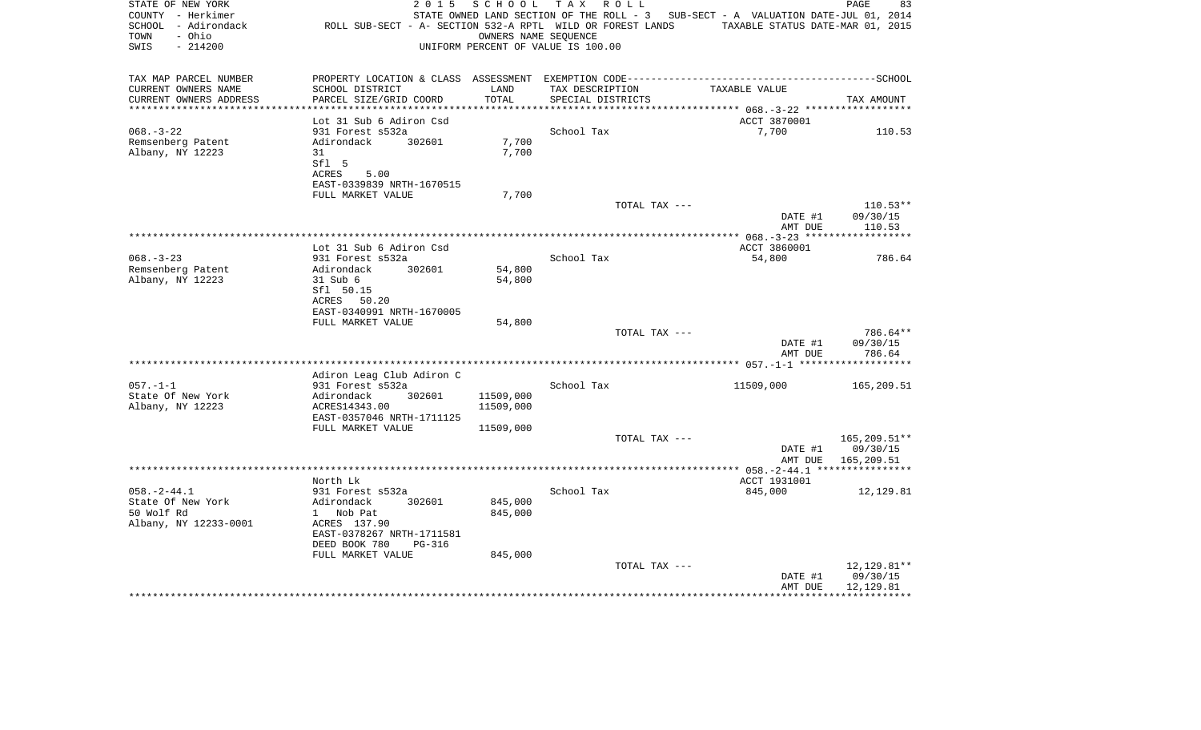| STATE OF NEW YORK<br>COUNTY - Herkimer<br>SCHOOL - Adirondack<br>TOWN<br>- Ohio<br>SWIS<br>$-214200$ | 2 0 1 5<br>ROLL SUB-SECT - A- SECTION 532-A RPTL WILD OR FOREST LANDS                                     | SCHOOL                 | TAX ROLL<br>STATE OWNED LAND SECTION OF THE ROLL - 3 SUB-SECT - A VALUATION DATE-JUL 01, 2014<br>OWNERS NAME SEQUENCE<br>UNIFORM PERCENT OF VALUE IS 100.00 | TAXABLE STATUS DATE-MAR 01, 2015 | 83<br>PAGE                            |
|------------------------------------------------------------------------------------------------------|-----------------------------------------------------------------------------------------------------------|------------------------|-------------------------------------------------------------------------------------------------------------------------------------------------------------|----------------------------------|---------------------------------------|
| TAX MAP PARCEL NUMBER<br>CURRENT OWNERS NAME<br>CURRENT OWNERS ADDRESS                               | SCHOOL DISTRICT<br>PARCEL SIZE/GRID COORD                                                                 | LAND<br>TOTAL          | TAX DESCRIPTION<br>SPECIAL DISTRICTS                                                                                                                        | TAXABLE VALUE                    | TAX AMOUNT                            |
|                                                                                                      |                                                                                                           |                        |                                                                                                                                                             |                                  |                                       |
|                                                                                                      | Lot 31 Sub 6 Adiron Csd                                                                                   |                        |                                                                                                                                                             | ACCT 3870001                     |                                       |
| $068. - 3 - 22$                                                                                      | 931 Forest s532a                                                                                          |                        | School Tax                                                                                                                                                  | 7,700                            | 110.53                                |
| Remsenberg Patent<br>Albany, NY 12223                                                                | Adirondack<br>302601<br>31<br>Sfl 5<br>ACRES<br>5.00<br>EAST-0339839 NRTH-1670515                         | 7,700<br>7,700         |                                                                                                                                                             |                                  |                                       |
|                                                                                                      | FULL MARKET VALUE                                                                                         | 7,700                  |                                                                                                                                                             |                                  |                                       |
|                                                                                                      |                                                                                                           |                        | TOTAL TAX ---                                                                                                                                               | DATE #1<br>AMT DUE               | $110.53**$<br>09/30/15<br>110.53      |
|                                                                                                      |                                                                                                           |                        |                                                                                                                                                             |                                  |                                       |
|                                                                                                      | Lot 31 Sub 6 Adiron Csd                                                                                   |                        |                                                                                                                                                             | ACCT 3860001                     |                                       |
| $068. - 3 - 23$                                                                                      | 931 Forest s532a                                                                                          |                        | School Tax                                                                                                                                                  | 54,800                           | 786.64                                |
| Remsenberg Patent<br>Albany, NY 12223                                                                | Adirondack<br>302601<br>31 Sub 6<br>Sfl 50.15<br>ACRES<br>50.20<br>EAST-0340991 NRTH-1670005              | 54,800<br>54,800       |                                                                                                                                                             |                                  |                                       |
|                                                                                                      | FULL MARKET VALUE                                                                                         | 54,800                 |                                                                                                                                                             |                                  |                                       |
|                                                                                                      |                                                                                                           |                        | TOTAL TAX ---                                                                                                                                               | DATE #1<br>AMT DUE               | 786.64**<br>09/30/15<br>786.64        |
|                                                                                                      |                                                                                                           |                        |                                                                                                                                                             |                                  | ***********                           |
|                                                                                                      | Adiron Leag Club Adiron C                                                                                 |                        |                                                                                                                                                             |                                  |                                       |
| $057. -1 -1$                                                                                         | 931 Forest s532a                                                                                          |                        | School Tax                                                                                                                                                  | 11509,000                        | 165,209.51                            |
| State Of New York<br>Albany, NY 12223                                                                | Adirondack<br>302601<br>ACRES14343.00<br>EAST-0357046 NRTH-1711125                                        | 11509,000<br>11509,000 |                                                                                                                                                             |                                  |                                       |
|                                                                                                      | FULL MARKET VALUE                                                                                         | 11509,000              |                                                                                                                                                             |                                  |                                       |
|                                                                                                      |                                                                                                           |                        | TOTAL TAX ---                                                                                                                                               | DATE #1                          | 165,209.51**<br>09/30/15              |
|                                                                                                      |                                                                                                           |                        |                                                                                                                                                             | AMT DUE                          | 165,209.51                            |
|                                                                                                      | North Lk                                                                                                  |                        |                                                                                                                                                             | ACCT 1931001                     |                                       |
| $058. - 2 - 44.1$                                                                                    | 931 Forest s532a                                                                                          |                        | School Tax                                                                                                                                                  | 845,000                          | 12,129.81                             |
| State Of New York<br>50 Wolf Rd<br>Albany, NY 12233-0001                                             | 302601<br>Adirondack<br>1 Nob Pat<br>ACRES 137.90<br>EAST-0378267 NRTH-1711581<br>DEED BOOK 780<br>PG-316 | 845,000<br>845,000     |                                                                                                                                                             |                                  |                                       |
|                                                                                                      | FULL MARKET VALUE                                                                                         | 845,000                |                                                                                                                                                             |                                  |                                       |
|                                                                                                      |                                                                                                           |                        | TOTAL TAX ---                                                                                                                                               | DATE #1<br>AMT DUE               | 12, 129.81**<br>09/30/15<br>12,129.81 |
|                                                                                                      |                                                                                                           |                        |                                                                                                                                                             |                                  |                                       |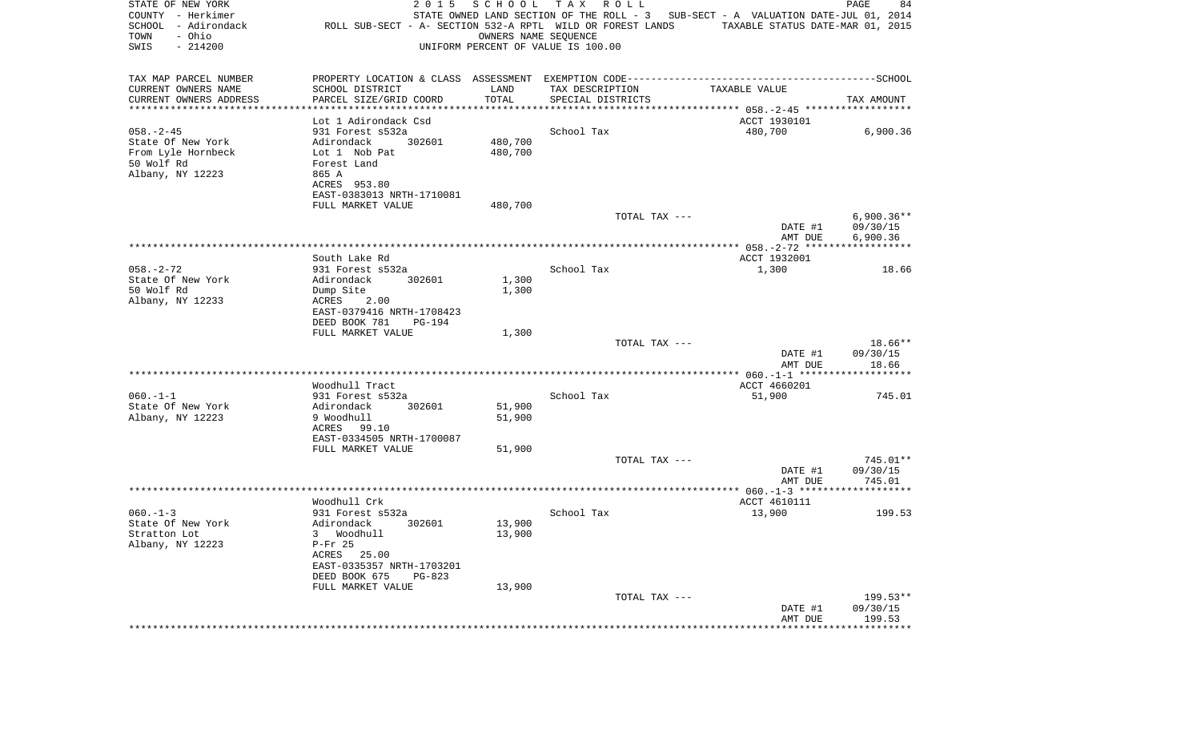| STATE OF NEW YORK<br>COUNTY - Herkimer<br>SCHOOL - Adirondack<br>- Ohio<br>TOWN | 2 0 1 5<br>ROLL SUB-SECT - A- SECTION 532-A RPTL WILD OR FOREST LANDS                        | SCHOOL<br>OWNERS NAME SEQUENCE | TAX ROLL                             | STATE OWNED LAND SECTION OF THE ROLL - 3 SUB-SECT - A VALUATION DATE-JUL 01, 2014<br>TAXABLE STATUS DATE-MAR 01, 2015 | PAGE<br>84              |
|---------------------------------------------------------------------------------|----------------------------------------------------------------------------------------------|--------------------------------|--------------------------------------|-----------------------------------------------------------------------------------------------------------------------|-------------------------|
| SWIS<br>$-214200$                                                               |                                                                                              |                                | UNIFORM PERCENT OF VALUE IS 100.00   |                                                                                                                       |                         |
| TAX MAP PARCEL NUMBER                                                           | PROPERTY LOCATION & CLASS ASSESSMENT EXEMPTION CODE-----------------------------------SCHOOL |                                |                                      |                                                                                                                       |                         |
| CURRENT OWNERS NAME<br>CURRENT OWNERS ADDRESS                                   | SCHOOL DISTRICT<br>PARCEL SIZE/GRID COORD                                                    | LAND<br>TOTAL                  | TAX DESCRIPTION<br>SPECIAL DISTRICTS | TAXABLE VALUE                                                                                                         | TAX AMOUNT              |
| **********************                                                          |                                                                                              |                                |                                      |                                                                                                                       |                         |
|                                                                                 | Lot 1 Adirondack Csd                                                                         |                                |                                      | ACCT 1930101                                                                                                          |                         |
| $058. - 2 - 45$                                                                 | 931 Forest s532a                                                                             |                                | School Tax                           | 480,700                                                                                                               | 6,900.36                |
| State Of New York                                                               | Adirondack<br>302601                                                                         | 480,700                        |                                      |                                                                                                                       |                         |
| From Lyle Hornbeck                                                              | Lot 1 Nob Pat                                                                                | 480,700                        |                                      |                                                                                                                       |                         |
| 50 Wolf Rd<br>Albany, NY 12223                                                  | Forest Land<br>865 A                                                                         |                                |                                      |                                                                                                                       |                         |
|                                                                                 | ACRES 953.80                                                                                 |                                |                                      |                                                                                                                       |                         |
|                                                                                 | EAST-0383013 NRTH-1710081                                                                    |                                |                                      |                                                                                                                       |                         |
|                                                                                 | FULL MARKET VALUE                                                                            | 480,700                        |                                      |                                                                                                                       |                         |
|                                                                                 |                                                                                              |                                | TOTAL TAX ---                        |                                                                                                                       | $6,900.36**$            |
|                                                                                 |                                                                                              |                                |                                      | DATE #1                                                                                                               | 09/30/15                |
|                                                                                 |                                                                                              |                                |                                      | AMT DUE                                                                                                               | 6,900.36                |
|                                                                                 | South Lake Rd                                                                                |                                |                                      | ACCT 1932001                                                                                                          |                         |
| $058. - 2 - 72$                                                                 | 931 Forest s532a                                                                             |                                | School Tax                           | 1,300                                                                                                                 | 18.66                   |
| State Of New York                                                               | Adirondack<br>302601                                                                         | 1,300                          |                                      |                                                                                                                       |                         |
| 50 Wolf Rd                                                                      | Dump Site                                                                                    | 1,300                          |                                      |                                                                                                                       |                         |
| Albany, NY 12233                                                                | ACRES<br>2.00                                                                                |                                |                                      |                                                                                                                       |                         |
|                                                                                 | EAST-0379416 NRTH-1708423                                                                    |                                |                                      |                                                                                                                       |                         |
|                                                                                 | DEED BOOK 781<br>PG-194                                                                      |                                |                                      |                                                                                                                       |                         |
|                                                                                 | FULL MARKET VALUE                                                                            | 1,300                          | TOTAL TAX ---                        |                                                                                                                       | 18.66**                 |
|                                                                                 |                                                                                              |                                |                                      | DATE #1                                                                                                               | 09/30/15                |
|                                                                                 |                                                                                              |                                |                                      | AMT DUE                                                                                                               | 18.66                   |
|                                                                                 |                                                                                              |                                |                                      |                                                                                                                       |                         |
|                                                                                 | Woodhull Tract                                                                               |                                |                                      | ACCT 4660201                                                                                                          |                         |
| $060. -1 -1$<br>State Of New York                                               | 931 Forest s532a<br>Adirondack<br>302601                                                     | 51,900                         | School Tax                           | 51,900                                                                                                                | 745.01                  |
| Albany, NY 12223                                                                | 9 Woodhull                                                                                   | 51,900                         |                                      |                                                                                                                       |                         |
|                                                                                 | ACRES 99.10                                                                                  |                                |                                      |                                                                                                                       |                         |
|                                                                                 | EAST-0334505 NRTH-1700087                                                                    |                                |                                      |                                                                                                                       |                         |
|                                                                                 | FULL MARKET VALUE                                                                            | 51,900                         |                                      |                                                                                                                       |                         |
|                                                                                 |                                                                                              |                                | TOTAL TAX ---                        |                                                                                                                       | 745.01**                |
|                                                                                 |                                                                                              |                                |                                      | DATE #1<br>AMT DUE                                                                                                    | 09/30/15<br>745.01      |
|                                                                                 |                                                                                              |                                |                                      |                                                                                                                       |                         |
|                                                                                 | Woodhull Crk                                                                                 |                                |                                      | ACCT 4610111                                                                                                          |                         |
| $060. -1 - 3$                                                                   | 931 Forest s532a                                                                             |                                | School Tax                           | 13,900                                                                                                                | 199.53                  |
| State Of New York                                                               | Adirondack<br>302601                                                                         | 13,900                         |                                      |                                                                                                                       |                         |
| Stratton Lot                                                                    | 3 Woodhull                                                                                   | 13,900                         |                                      |                                                                                                                       |                         |
| Albany, NY 12223                                                                | $P-Fr$ 25                                                                                    |                                |                                      |                                                                                                                       |                         |
|                                                                                 | ACRES 25.00<br>EAST-0335357 NRTH-1703201                                                     |                                |                                      |                                                                                                                       |                         |
|                                                                                 | DEED BOOK 675<br>$PG-823$                                                                    |                                |                                      |                                                                                                                       |                         |
|                                                                                 | FULL MARKET VALUE                                                                            | 13,900                         |                                      |                                                                                                                       |                         |
|                                                                                 |                                                                                              |                                | TOTAL TAX ---                        |                                                                                                                       | 199.53**                |
|                                                                                 |                                                                                              |                                |                                      | DATE #1                                                                                                               | 09/30/15                |
|                                                                                 |                                                                                              |                                |                                      | AMT DUE<br>*********************                                                                                      | 199.53<br>************* |
|                                                                                 |                                                                                              |                                |                                      |                                                                                                                       |                         |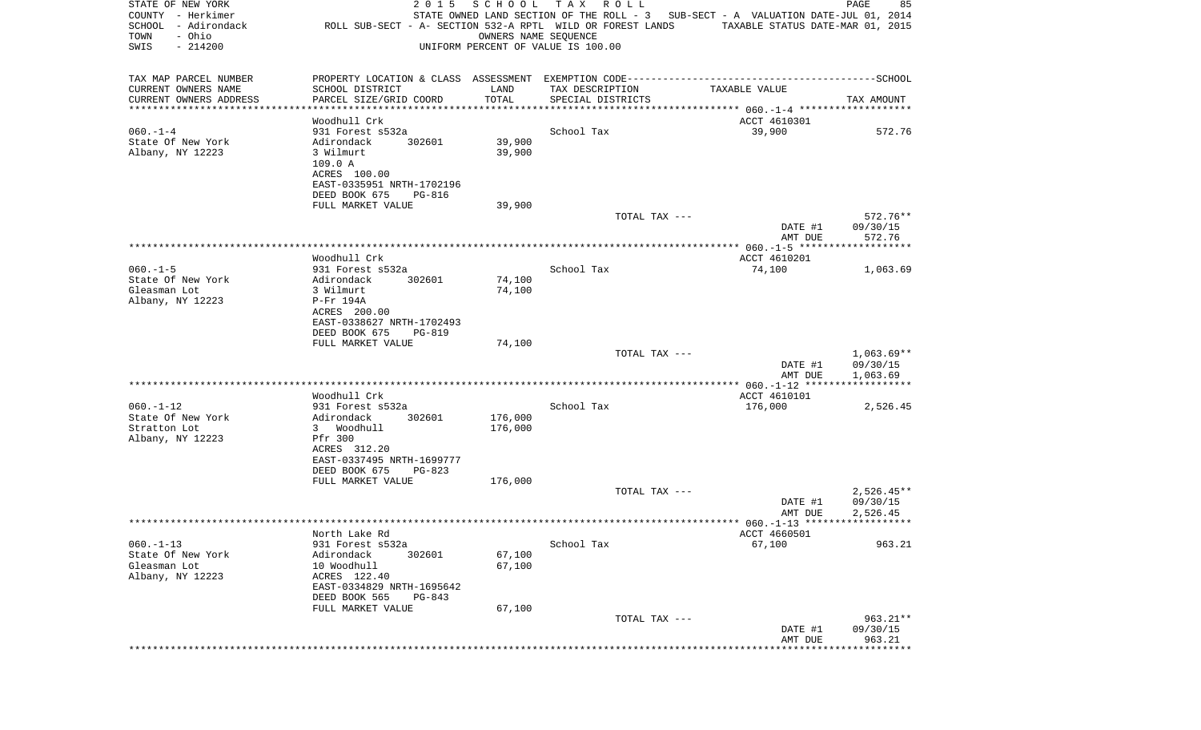| STATE OF NEW YORK<br>COUNTY - Herkimer<br>SCHOOL<br>- Adirondack<br>- Ohio<br>TOWN<br>$-214200$<br>SWIS |                                                 | 2 0 1 5<br>SCHOOL<br>ROLL SUB-SECT - A- SECTION 532-A RPTL WILD OR FOREST LANDS<br>UNIFORM PERCENT OF VALUE IS 100.00 | T A X<br>R O L L<br>OWNERS NAME SEQUENCE | STATE OWNED LAND SECTION OF THE ROLL - 3 SUB-SECT - A VALUATION DATE-JUL 01, 2014 | PAGE<br>TAXABLE STATUS DATE-MAR 01, 2015 | 85           |
|---------------------------------------------------------------------------------------------------------|-------------------------------------------------|-----------------------------------------------------------------------------------------------------------------------|------------------------------------------|-----------------------------------------------------------------------------------|------------------------------------------|--------------|
| TAX MAP PARCEL NUMBER                                                                                   |                                                 |                                                                                                                       |                                          |                                                                                   |                                          |              |
| CURRENT OWNERS NAME                                                                                     | SCHOOL DISTRICT                                 | LAND                                                                                                                  | TAX DESCRIPTION                          | TAXABLE VALUE                                                                     |                                          |              |
| CURRENT OWNERS ADDRESS<br>*********************                                                         | PARCEL SIZE/GRID COORD<br>********************* | TOTAL<br>***********                                                                                                  | SPECIAL DISTRICTS                        |                                                                                   | TAX AMOUNT                               |              |
|                                                                                                         | Woodhull Crk                                    |                                                                                                                       |                                          | ACCT 4610301                                                                      |                                          |              |
| $060. -1 -4$<br>State Of New York                                                                       | 931 Forest s532a<br>Adirondack                  | 302601<br>39,900                                                                                                      | School Tax                               | 39,900                                                                            |                                          | 572.76       |
| Albany, NY 12223                                                                                        | 3 Wilmurt                                       | 39,900                                                                                                                |                                          |                                                                                   |                                          |              |
|                                                                                                         | 109.0 A                                         |                                                                                                                       |                                          |                                                                                   |                                          |              |
|                                                                                                         | ACRES 100.00                                    |                                                                                                                       |                                          |                                                                                   |                                          |              |
|                                                                                                         | EAST-0335951 NRTH-1702196                       |                                                                                                                       |                                          |                                                                                   |                                          |              |
|                                                                                                         | DEED BOOK 675                                   | PG-816                                                                                                                |                                          |                                                                                   |                                          |              |
|                                                                                                         | FULL MARKET VALUE                               | 39,900                                                                                                                |                                          | TOTAL TAX ---                                                                     |                                          | 572.76**     |
|                                                                                                         |                                                 |                                                                                                                       |                                          |                                                                                   | DATE #1<br>09/30/15                      |              |
|                                                                                                         |                                                 |                                                                                                                       |                                          |                                                                                   | AMT DUE                                  | 572.76       |
|                                                                                                         |                                                 |                                                                                                                       |                                          |                                                                                   |                                          |              |
|                                                                                                         | Woodhull Crk                                    |                                                                                                                       |                                          | ACCT 4610201                                                                      |                                          |              |
| $060. -1 - 5$<br>State Of New York                                                                      | 931 Forest s532a<br>Adirondack                  | 302601<br>74,100                                                                                                      | School Tax                               | 74,100                                                                            |                                          | 1,063.69     |
| Gleasman Lot                                                                                            | 3 Wilmurt                                       | 74,100                                                                                                                |                                          |                                                                                   |                                          |              |
| Albany, NY 12223                                                                                        | P-Fr 194A                                       |                                                                                                                       |                                          |                                                                                   |                                          |              |
|                                                                                                         | ACRES 200.00                                    |                                                                                                                       |                                          |                                                                                   |                                          |              |
|                                                                                                         | EAST-0338627 NRTH-1702493                       |                                                                                                                       |                                          |                                                                                   |                                          |              |
|                                                                                                         | DEED BOOK 675                                   | <b>PG-819</b>                                                                                                         |                                          |                                                                                   |                                          |              |
|                                                                                                         | FULL MARKET VALUE                               | 74,100                                                                                                                |                                          | TOTAL TAX ---                                                                     |                                          | $1,063.69**$ |
|                                                                                                         |                                                 |                                                                                                                       |                                          |                                                                                   | DATE #1<br>09/30/15                      |              |
|                                                                                                         |                                                 |                                                                                                                       |                                          |                                                                                   | AMT DUE<br>1,063.69                      |              |
|                                                                                                         |                                                 |                                                                                                                       |                                          |                                                                                   |                                          |              |
|                                                                                                         | Woodhull Crk                                    |                                                                                                                       |                                          | ACCT 4610101                                                                      |                                          |              |
| $060. -1 - 12$<br>State Of New York                                                                     | 931 Forest s532a<br>Adirondack                  | 176,000<br>302601                                                                                                     | School Tax                               | 176,000                                                                           |                                          | 2,526.45     |
| Stratton Lot                                                                                            | 3 Woodhull                                      | 176,000                                                                                                               |                                          |                                                                                   |                                          |              |
| Albany, NY 12223                                                                                        | Pfr 300                                         |                                                                                                                       |                                          |                                                                                   |                                          |              |
|                                                                                                         | ACRES 312.20                                    |                                                                                                                       |                                          |                                                                                   |                                          |              |
|                                                                                                         | EAST-0337495 NRTH-1699777                       |                                                                                                                       |                                          |                                                                                   |                                          |              |
|                                                                                                         | DEED BOOK 675                                   | $PG-823$                                                                                                              |                                          |                                                                                   |                                          |              |
|                                                                                                         | FULL MARKET VALUE                               | 176,000                                                                                                               |                                          | TOTAL TAX ---                                                                     |                                          | $2,526.45**$ |
|                                                                                                         |                                                 |                                                                                                                       |                                          |                                                                                   | 09/30/15<br>DATE #1                      |              |
|                                                                                                         |                                                 |                                                                                                                       |                                          |                                                                                   | 2,526.45<br>AMT DUE                      |              |
|                                                                                                         |                                                 |                                                                                                                       |                                          |                                                                                   |                                          |              |
|                                                                                                         | North Lake Rd                                   |                                                                                                                       |                                          | ACCT 4660501                                                                      |                                          |              |
| $060. -1 - 13$                                                                                          | 931 Forest s532a                                |                                                                                                                       | School Tax                               | 67,100                                                                            |                                          | 963.21       |
| State Of New York<br>Gleasman Lot                                                                       | Adirondack<br>10 Woodhull                       | 302601<br>67,100<br>67,100                                                                                            |                                          |                                                                                   |                                          |              |
| Albany, NY 12223                                                                                        | ACRES 122.40                                    |                                                                                                                       |                                          |                                                                                   |                                          |              |
|                                                                                                         | EAST-0334829 NRTH-1695642                       |                                                                                                                       |                                          |                                                                                   |                                          |              |
|                                                                                                         | DEED BOOK 565                                   | PG-843                                                                                                                |                                          |                                                                                   |                                          |              |
|                                                                                                         | FULL MARKET VALUE                               | 67,100                                                                                                                |                                          |                                                                                   |                                          |              |
|                                                                                                         |                                                 |                                                                                                                       |                                          | TOTAL TAX ---                                                                     |                                          | 963.21**     |
|                                                                                                         |                                                 |                                                                                                                       |                                          |                                                                                   | 09/30/15<br>DATE #1<br>AMT DUE           | 963.21       |
|                                                                                                         |                                                 |                                                                                                                       |                                          | ********************                                                              | *************                            |              |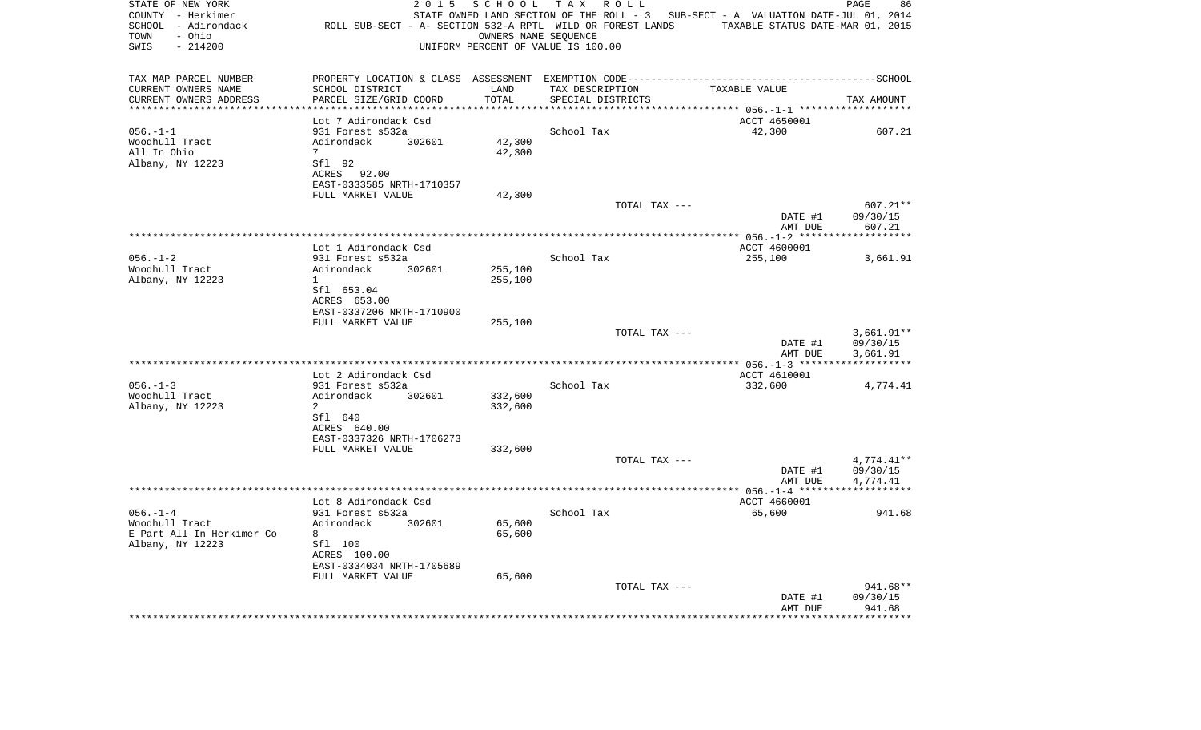| STATE OF NEW YORK<br>COUNTY - Herkimer<br>SCHOOL - Adirondack<br>- Ohio<br>TOWN<br>$-214200$<br>SWIS | 2 0 1 5<br>ROLL SUB-SECT - A- SECTION 532-A RPTL WILD OR FOREST LANDS | SCHOOL  | T A X<br>R O L L<br>OWNERS NAME SEQUENCE<br>UNIFORM PERCENT OF VALUE IS 100.00 | STATE OWNED LAND SECTION OF THE ROLL - 3 SUB-SECT - A VALUATION DATE-JUL 01, 2014<br>TAXABLE STATUS DATE-MAR 01, 2015 | PAGE<br>86                  |
|------------------------------------------------------------------------------------------------------|-----------------------------------------------------------------------|---------|--------------------------------------------------------------------------------|-----------------------------------------------------------------------------------------------------------------------|-----------------------------|
| TAX MAP PARCEL NUMBER                                                                                |                                                                       |         |                                                                                |                                                                                                                       |                             |
| CURRENT OWNERS NAME                                                                                  | SCHOOL DISTRICT                                                       | LAND    | TAX DESCRIPTION                                                                | TAXABLE VALUE                                                                                                         |                             |
| CURRENT OWNERS ADDRESS<br>*****************                                                          | PARCEL SIZE/GRID COORD                                                | TOTAL   | SPECIAL DISTRICTS                                                              | *********** 056.-1-1 *******                                                                                          | TAX AMOUNT                  |
|                                                                                                      | Lot 7 Adirondack Csd                                                  |         |                                                                                | ACCT 4650001                                                                                                          |                             |
| $056. -1 -1$                                                                                         | 931 Forest s532a                                                      |         | School Tax                                                                     | 42,300                                                                                                                | 607.21                      |
| Woodhull Tract                                                                                       | Adirondack<br>302601                                                  | 42,300  |                                                                                |                                                                                                                       |                             |
| All In Ohio                                                                                          | $7\overline{ }$                                                       | 42,300  |                                                                                |                                                                                                                       |                             |
| Albany, NY 12223                                                                                     | Sfl 92<br>ACRES 92.00                                                 |         |                                                                                |                                                                                                                       |                             |
|                                                                                                      | EAST-0333585 NRTH-1710357                                             |         |                                                                                |                                                                                                                       |                             |
|                                                                                                      | FULL MARKET VALUE                                                     | 42,300  |                                                                                |                                                                                                                       |                             |
|                                                                                                      |                                                                       |         | TOTAL TAX ---                                                                  | DATE #1                                                                                                               | 607.21**<br>09/30/15        |
|                                                                                                      |                                                                       |         |                                                                                | AMT DUE                                                                                                               | 607.21                      |
|                                                                                                      |                                                                       |         |                                                                                |                                                                                                                       |                             |
|                                                                                                      | Lot 1 Adirondack Csd                                                  |         |                                                                                | ACCT 4600001                                                                                                          |                             |
| $056. - 1 - 2$                                                                                       | 931 Forest s532a                                                      |         | School Tax                                                                     | 255,100                                                                                                               | 3,661.91                    |
| Woodhull Tract                                                                                       | Adirondack<br>302601                                                  | 255,100 |                                                                                |                                                                                                                       |                             |
| Albany, NY 12223                                                                                     | $\mathbf{1}$<br>Sfl 653.04                                            | 255,100 |                                                                                |                                                                                                                       |                             |
|                                                                                                      | ACRES 653.00                                                          |         |                                                                                |                                                                                                                       |                             |
|                                                                                                      | EAST-0337206 NRTH-1710900                                             |         |                                                                                |                                                                                                                       |                             |
|                                                                                                      | FULL MARKET VALUE                                                     | 255,100 |                                                                                |                                                                                                                       |                             |
|                                                                                                      |                                                                       |         | TOTAL TAX ---                                                                  |                                                                                                                       | $3,661.91**$                |
|                                                                                                      |                                                                       |         |                                                                                | DATE #1<br>AMT DUE                                                                                                    | 09/30/15<br>3,661.91        |
|                                                                                                      |                                                                       |         |                                                                                |                                                                                                                       |                             |
| $056. -1 - 3$                                                                                        | Lot 2 Adirondack Csd<br>931 Forest s532a                              |         | School Tax                                                                     | ACCT 4610001<br>332,600                                                                                               |                             |
| Woodhull Tract                                                                                       | Adirondack<br>302601                                                  | 332,600 |                                                                                |                                                                                                                       | 4,774.41                    |
| Albany, NY 12223                                                                                     | 2                                                                     | 332,600 |                                                                                |                                                                                                                       |                             |
|                                                                                                      | Sfl 640                                                               |         |                                                                                |                                                                                                                       |                             |
|                                                                                                      | ACRES 640.00                                                          |         |                                                                                |                                                                                                                       |                             |
|                                                                                                      | EAST-0337326 NRTH-1706273                                             |         |                                                                                |                                                                                                                       |                             |
|                                                                                                      | FULL MARKET VALUE                                                     | 332,600 |                                                                                |                                                                                                                       |                             |
|                                                                                                      |                                                                       |         | TOTAL TAX ---                                                                  |                                                                                                                       | $4,774.41**$                |
|                                                                                                      |                                                                       |         |                                                                                | DATE #1<br>AMT DUE                                                                                                    | 09/30/15<br>4,774.41        |
|                                                                                                      |                                                                       |         |                                                                                |                                                                                                                       |                             |
|                                                                                                      | Lot 8 Adirondack Csd                                                  |         |                                                                                | ACCT 4660001                                                                                                          |                             |
| $056. - 1 - 4$                                                                                       | 931 Forest s532a                                                      |         | School Tax                                                                     | 65,600                                                                                                                | 941.68                      |
| Woodhull Tract                                                                                       | Adirondack<br>302601                                                  | 65,600  |                                                                                |                                                                                                                       |                             |
| E Part All In Herkimer Co                                                                            | 8                                                                     | 65,600  |                                                                                |                                                                                                                       |                             |
| Albany, NY 12223                                                                                     | Sfl 100<br>ACRES 100.00                                               |         |                                                                                |                                                                                                                       |                             |
|                                                                                                      | EAST-0334034 NRTH-1705689                                             |         |                                                                                |                                                                                                                       |                             |
|                                                                                                      | FULL MARKET VALUE                                                     | 65,600  |                                                                                |                                                                                                                       |                             |
|                                                                                                      |                                                                       |         | TOTAL TAX ---                                                                  |                                                                                                                       | 941.68**                    |
|                                                                                                      |                                                                       |         |                                                                                | DATE #1                                                                                                               | 09/30/15                    |
|                                                                                                      | ************************                                              |         |                                                                                | AMT DUE                                                                                                               | 941.68<br>* * * * * * * * * |
|                                                                                                      |                                                                       |         |                                                                                |                                                                                                                       |                             |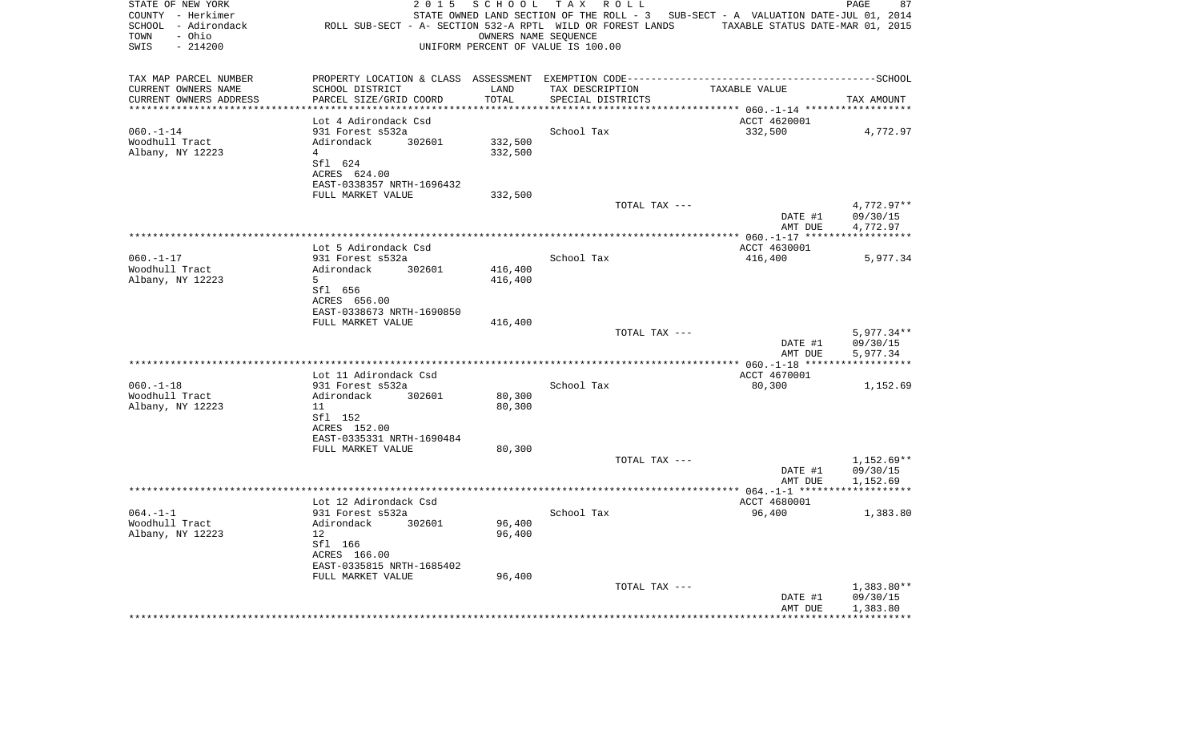| STATE OF NEW YORK<br>COUNTY - Herkimer<br>SCHOOL - Adirondack<br>- Ohio<br>TOWN<br>SWIS<br>$-214200$ | 2 0 1 5                                   | SCHOOL                       | TAX ROLL<br>OWNERS NAME SEQUENCE<br>UNIFORM PERCENT OF VALUE IS 100.00 | STATE OWNED LAND SECTION OF THE ROLL - 3 SUB-SECT - A VALUATION DATE-JUL 01, 2014<br>ROLL SUB-SECT - A- SECTION 532-A RPTL WILD OR FOREST LANDS TAXABLE STATUS DATE-MAR 01, 2015 | 87<br>PAGE             |
|------------------------------------------------------------------------------------------------------|-------------------------------------------|------------------------------|------------------------------------------------------------------------|----------------------------------------------------------------------------------------------------------------------------------------------------------------------------------|------------------------|
| TAX MAP PARCEL NUMBER                                                                                |                                           |                              |                                                                        | PROPERTY LOCATION & CLASS ASSESSMENT EXEMPTION CODE-----------------------------------SCHOOL                                                                                     |                        |
| CURRENT OWNERS NAME                                                                                  | SCHOOL DISTRICT                           | LAND                         | TAX DESCRIPTION                                                        | TAXABLE VALUE                                                                                                                                                                    |                        |
| CURRENT OWNERS ADDRESS<br>*********************                                                      | PARCEL SIZE/GRID COORD                    | TOTAL<br>* * * * * * * * * * | SPECIAL DISTRICTS                                                      |                                                                                                                                                                                  | TAX AMOUNT             |
|                                                                                                      | Lot 4 Adirondack Csd                      |                              |                                                                        | ACCT 4620001                                                                                                                                                                     |                        |
| $060. -1 - 14$                                                                                       | 931 Forest s532a                          |                              | School Tax                                                             | 332,500                                                                                                                                                                          | 4,772.97               |
| Woodhull Tract                                                                                       | Adirondack<br>302601                      | 332,500                      |                                                                        |                                                                                                                                                                                  |                        |
| Albany, NY 12223                                                                                     | 4                                         | 332,500                      |                                                                        |                                                                                                                                                                                  |                        |
|                                                                                                      | Sfl 624                                   |                              |                                                                        |                                                                                                                                                                                  |                        |
|                                                                                                      | ACRES 624.00                              |                              |                                                                        |                                                                                                                                                                                  |                        |
|                                                                                                      | EAST-0338357 NRTH-1696432                 |                              |                                                                        |                                                                                                                                                                                  |                        |
|                                                                                                      | FULL MARKET VALUE                         | 332,500                      |                                                                        |                                                                                                                                                                                  |                        |
|                                                                                                      |                                           |                              | TOTAL TAX ---                                                          | DATE #1                                                                                                                                                                          | 4,772.97**<br>09/30/15 |
|                                                                                                      |                                           |                              |                                                                        | AMT DUE                                                                                                                                                                          | 4,772.97               |
|                                                                                                      |                                           |                              |                                                                        |                                                                                                                                                                                  |                        |
|                                                                                                      | Lot 5 Adirondack Csd                      |                              |                                                                        | ACCT 4630001                                                                                                                                                                     |                        |
| $060. -1 - 17$                                                                                       | 931 Forest s532a                          |                              | School Tax                                                             | 416,400                                                                                                                                                                          | 5,977.34               |
| Woodhull Tract                                                                                       | Adirondack<br>302601                      | 416,400                      |                                                                        |                                                                                                                                                                                  |                        |
| Albany, NY 12223                                                                                     | 5                                         | 416,400                      |                                                                        |                                                                                                                                                                                  |                        |
|                                                                                                      | Sfl 656                                   |                              |                                                                        |                                                                                                                                                                                  |                        |
|                                                                                                      | ACRES 656.00<br>EAST-0338673 NRTH-1690850 |                              |                                                                        |                                                                                                                                                                                  |                        |
|                                                                                                      | FULL MARKET VALUE                         | 416,400                      |                                                                        |                                                                                                                                                                                  |                        |
|                                                                                                      |                                           |                              | TOTAL TAX ---                                                          |                                                                                                                                                                                  | $5,977.34**$           |
|                                                                                                      |                                           |                              |                                                                        | DATE #1<br>AMT DUE                                                                                                                                                               | 09/30/15<br>5,977.34   |
|                                                                                                      |                                           |                              |                                                                        |                                                                                                                                                                                  |                        |
|                                                                                                      | Lot 11 Adirondack Csd                     |                              |                                                                        | ACCT 4670001                                                                                                                                                                     |                        |
| $060. -1 -18$                                                                                        | 931 Forest s532a                          |                              | School Tax                                                             | 80,300                                                                                                                                                                           | 1,152.69               |
| Woodhull Tract<br>Albany, NY 12223                                                                   | Adirondack<br>302601<br>11                | 80,300<br>80,300             |                                                                        |                                                                                                                                                                                  |                        |
|                                                                                                      | Sfl 152                                   |                              |                                                                        |                                                                                                                                                                                  |                        |
|                                                                                                      | ACRES 152.00                              |                              |                                                                        |                                                                                                                                                                                  |                        |
|                                                                                                      | EAST-0335331 NRTH-1690484                 |                              |                                                                        |                                                                                                                                                                                  |                        |
|                                                                                                      | FULL MARKET VALUE                         | 80,300                       |                                                                        |                                                                                                                                                                                  |                        |
|                                                                                                      |                                           |                              | TOTAL TAX ---                                                          |                                                                                                                                                                                  | $1,152.69**$           |
|                                                                                                      |                                           |                              |                                                                        | DATE #1                                                                                                                                                                          | 09/30/15               |
|                                                                                                      |                                           |                              |                                                                        | AMT DUE                                                                                                                                                                          | 1,152.69               |
|                                                                                                      | Lot 12 Adirondack Csd                     |                              |                                                                        | ACCT 4680001                                                                                                                                                                     |                        |
| $064. -1 -1$                                                                                         | 931 Forest s532a                          |                              | School Tax                                                             | 96,400                                                                                                                                                                           | 1,383.80               |
| Woodhull Tract                                                                                       | Adirondack<br>302601                      | 96,400                       |                                                                        |                                                                                                                                                                                  |                        |
| Albany, NY 12223                                                                                     | 12                                        | 96,400                       |                                                                        |                                                                                                                                                                                  |                        |
|                                                                                                      | Sfl 166                                   |                              |                                                                        |                                                                                                                                                                                  |                        |
|                                                                                                      | ACRES 166.00                              |                              |                                                                        |                                                                                                                                                                                  |                        |
|                                                                                                      | EAST-0335815 NRTH-1685402                 |                              |                                                                        |                                                                                                                                                                                  |                        |
|                                                                                                      | FULL MARKET VALUE                         | 96,400                       |                                                                        |                                                                                                                                                                                  |                        |
|                                                                                                      |                                           |                              | TOTAL TAX ---                                                          | DATE #1                                                                                                                                                                          | 1,383.80**<br>09/30/15 |
|                                                                                                      |                                           |                              |                                                                        | AMT DUE                                                                                                                                                                          | 1,383.80               |
|                                                                                                      |                                           |                              | ********************************                                       |                                                                                                                                                                                  |                        |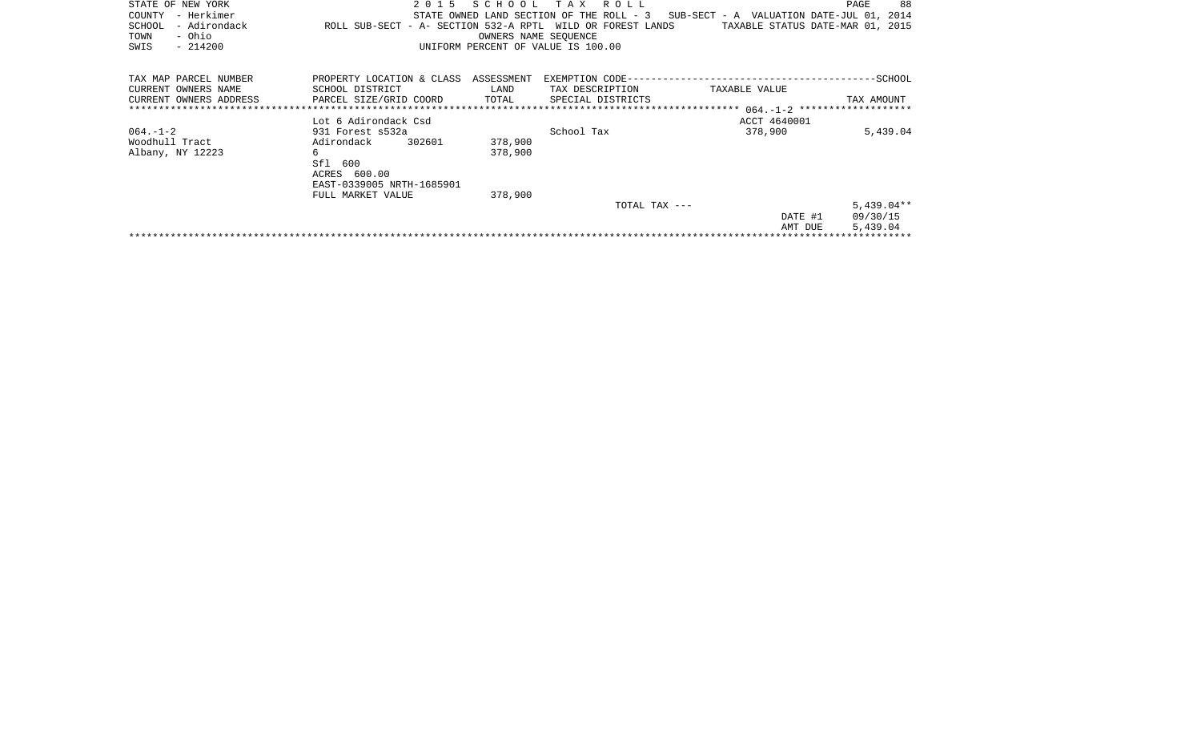| STATE OF NEW YORK<br>- Herkimer<br>COUNTY<br>- Adirondack<br>SCHOOL<br>- Ohio<br>TOWN<br>$-214200$<br>SWIS | 2 0 1 5<br>ROLL SUB-SECT - A- SECTION 532-A RPTL WILD OR FOREST LANDS | SCHOOL<br>OWNERS NAME SEOUENCE | TAX ROLL<br>STATE OWNED LAND SECTION OF THE ROLL - 3<br>UNIFORM PERCENT OF VALUE IS 100.00 | SUB-SECT - A VALUATION DATE-JUL 01, 2014<br>TAXABLE STATUS DATE-MAR 01, 2015 | 88<br>PAGE   |
|------------------------------------------------------------------------------------------------------------|-----------------------------------------------------------------------|--------------------------------|--------------------------------------------------------------------------------------------|------------------------------------------------------------------------------|--------------|
| TAX MAP PARCEL NUMBER                                                                                      | PROPERTY LOCATION & CLASS ASSESSMENT                                  |                                |                                                                                            |                                                                              |              |
| CURRENT OWNERS NAME                                                                                        | SCHOOL DISTRICT                                                       | LAND                           | TAX DESCRIPTION                                                                            | TAXABLE VALUE                                                                |              |
| CURRENT OWNERS ADDRESS                                                                                     | PARCEL SIZE/GRID COORD                                                | TOTAL                          | SPECIAL DISTRICTS                                                                          |                                                                              | TAX AMOUNT   |
|                                                                                                            |                                                                       |                                |                                                                                            |                                                                              |              |
|                                                                                                            | Lot 6 Adirondack Csd                                                  |                                |                                                                                            | ACCT 4640001                                                                 |              |
| $064. - 1 - 2$                                                                                             | 931 Forest s532a                                                      |                                | School Tax                                                                                 | 378,900                                                                      | 5,439.04     |
| Woodhull Tract                                                                                             | 302601<br>Adirondack                                                  | 378,900                        |                                                                                            |                                                                              |              |
| Albany, NY 12223                                                                                           | 6                                                                     | 378,900                        |                                                                                            |                                                                              |              |
|                                                                                                            | Sfl 600                                                               |                                |                                                                                            |                                                                              |              |
|                                                                                                            | ACRES 600.00                                                          |                                |                                                                                            |                                                                              |              |
|                                                                                                            | EAST-0339005 NRTH-1685901                                             |                                |                                                                                            |                                                                              |              |
|                                                                                                            | FULL MARKET VALUE                                                     | 378,900                        |                                                                                            |                                                                              |              |
|                                                                                                            |                                                                       |                                |                                                                                            |                                                                              |              |
|                                                                                                            |                                                                       |                                | TOTAL TAX ---                                                                              |                                                                              | $5,439.04**$ |
|                                                                                                            |                                                                       |                                |                                                                                            | DATE #1                                                                      | 09/30/15     |
|                                                                                                            |                                                                       |                                |                                                                                            | AMT DUE                                                                      | 5,439.04     |
|                                                                                                            |                                                                       |                                |                                                                                            |                                                                              |              |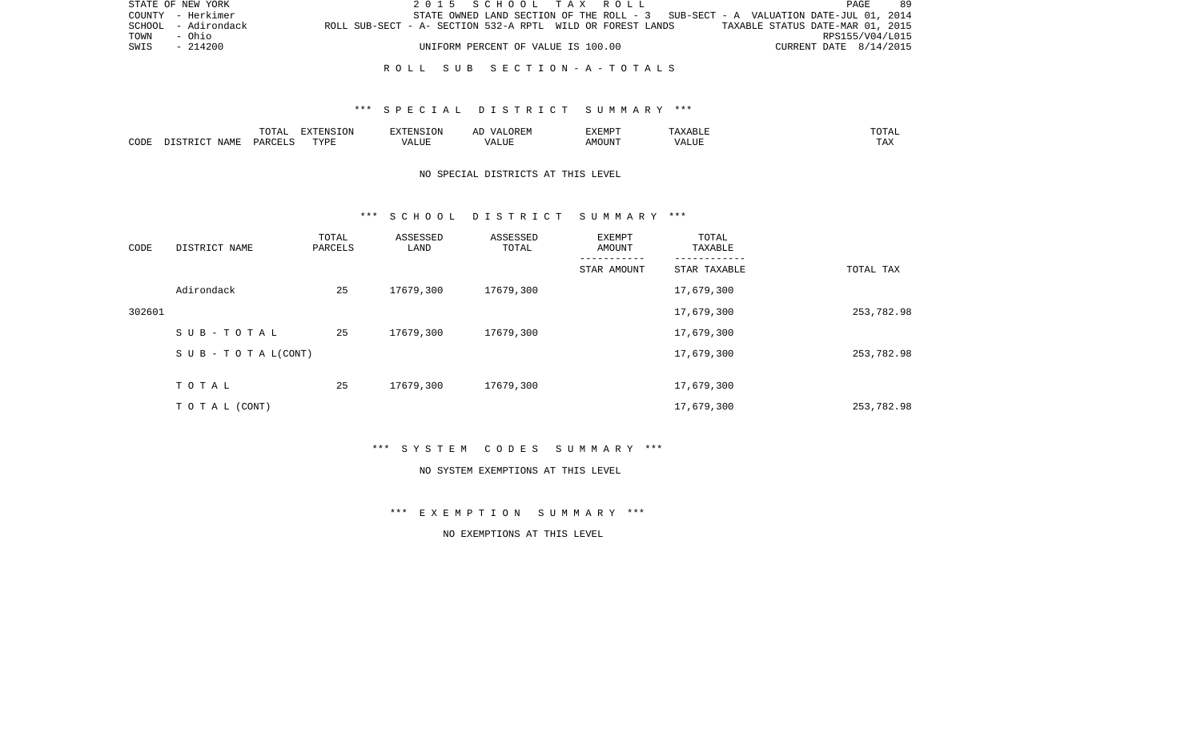|      | STATE OF NEW YORK   |                                                            |  | 2015 SCHOOL TAX ROLL               |  |  |  |                                                                                   | PAGE                   | 89 |
|------|---------------------|------------------------------------------------------------|--|------------------------------------|--|--|--|-----------------------------------------------------------------------------------|------------------------|----|
|      | COUNTY - Herkimer   |                                                            |  |                                    |  |  |  | STATE OWNED LAND SECTION OF THE ROLL - 3 SUB-SECT - A VALUATION DATE-JUL 01, 2014 |                        |    |
|      | SCHOOL - Adirondack | ROLL SUB-SECT - A- SECTION 532-A RPTL WILD OR FOREST LANDS |  |                                    |  |  |  | TAXABLE STATUS DATE-MAR 01, 2015                                                  |                        |    |
| TOWN | - Ohio              |                                                            |  |                                    |  |  |  |                                                                                   | RPS155/V04/L015        |    |
| SWIS | $-214200$           |                                                            |  | UNIFORM PERCENT OF VALUE IS 100.00 |  |  |  |                                                                                   | CURRENT DATE 8/14/2015 |    |
|      |                     |                                                            |  |                                    |  |  |  |                                                                                   |                        |    |

#### R O L L S U B S E C T I O N - A - T O T A L S

### \*\*\* S P E C I A L D I S T R I C T S U M M A R Y \*\*\*

|      |                             | $\overline{\phantom{a}}$<br>$\cdot \circ \cdot$ | EXTENSION    |       | :XEMPT | $\cdot$ 451. |            |
|------|-----------------------------|-------------------------------------------------|--------------|-------|--------|--------------|------------|
| CODE | <b>NAMF</b><br>ם אידי איז ( |                                                 | <b>TIZT.</b> | - --- | \MOUN" |              | ---<br>.A2 |

# NO SPECIAL DISTRICTS AT THIS LEVEL

#### \*\*\* S C H O O L D I S T R I C T S U M M A R Y \*\*\*

| CODE   | DISTRICT NAME                    | TOTAL<br>PARCELS | ASSESSED<br>LAND | ASSESSED<br>TOTAL | EXEMPT<br>AMOUNT | TOTAL<br>TAXABLE |            |
|--------|----------------------------------|------------------|------------------|-------------------|------------------|------------------|------------|
|        |                                  |                  |                  |                   | STAR AMOUNT      | STAR TAXABLE     | TOTAL TAX  |
|        | Adirondack                       | 25               | 17679,300        | 17679,300         |                  | 17,679,300       |            |
| 302601 |                                  |                  |                  |                   |                  | 17,679,300       | 253,782.98 |
|        | SUB-TOTAL                        | 25               | 17679,300        | 17679,300         |                  | 17,679,300       |            |
|        | $S \cup B - T \cup T A L (CONT)$ |                  |                  |                   |                  | 17,679,300       | 253,782.98 |
|        | TOTAL                            | 25               | 17679,300        | 17679,300         |                  | 17,679,300       |            |
|        | TO TAL (CONT)                    |                  |                  |                   |                  | 17,679,300       | 253,782.98 |

\*\*\* S Y S T E M C O D E S S U M M A R Y \*\*\*

#### NO SYSTEM EXEMPTIONS AT THIS LEVEL

\*\*\* E X E M P T I O N S U M M A R Y \*\*\*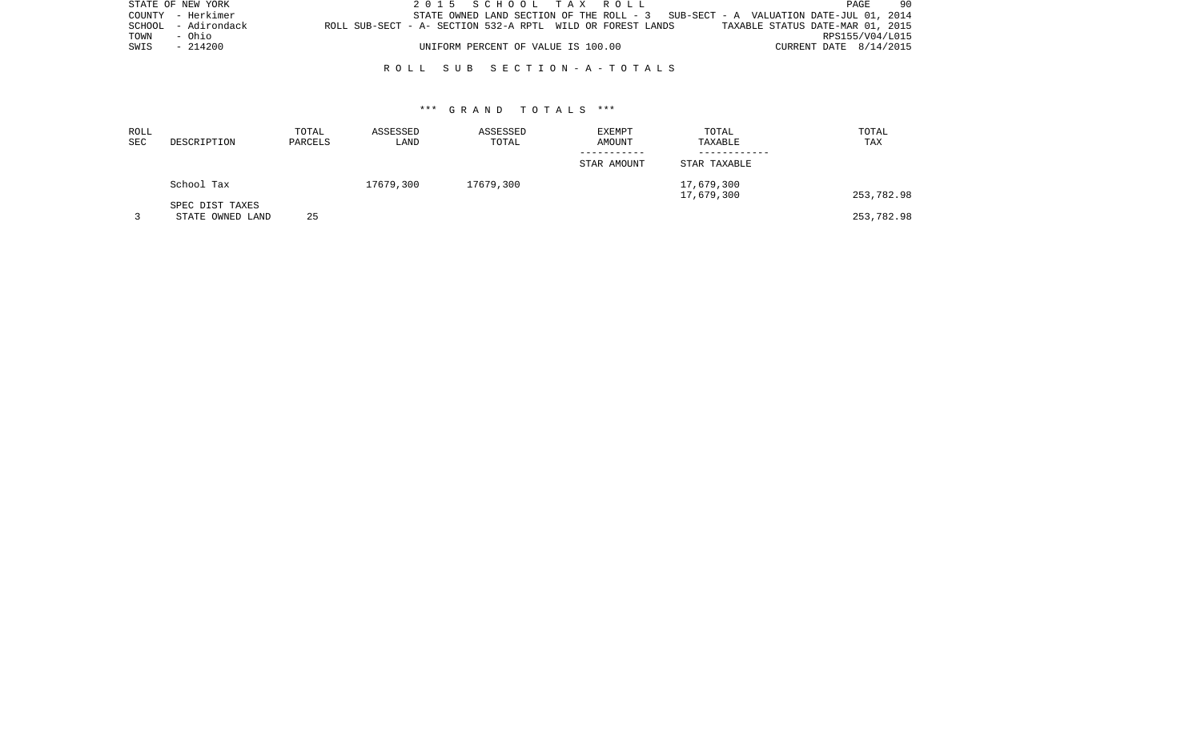|      | STATE OF NEW YORK   |                                                            | 2015 SCHOOL TAX ROLL               |  |                                                                                   |                        | PAGE | 90 |
|------|---------------------|------------------------------------------------------------|------------------------------------|--|-----------------------------------------------------------------------------------|------------------------|------|----|
|      | COUNTY - Herkimer   |                                                            |                                    |  | STATE OWNED LAND SECTION OF THE ROLL - 3 SUB-SECT - A VALUATION DATE-JUL 01, 2014 |                        |      |    |
|      | SCHOOL - Adirondack | ROLL SUB-SECT - A- SECTION 532-A RPTL WILD OR FOREST LANDS |                                    |  | TAXABLE STATUS DATE-MAR 01, 2015                                                  |                        |      |    |
| TOWN | - Ohio              |                                                            |                                    |  |                                                                                   | RPS155/V04/L015        |      |    |
|      | SWIS - 214200       |                                                            | UNIFORM PERCENT OF VALUE IS 100.00 |  |                                                                                   | CURRENT DATE 8/14/2015 |      |    |
|      |                     |                                                            |                                    |  |                                                                                   |                        |      |    |

#### R O L L S U B S E C T I O N - A - T O T A L S

| ROLL<br>SEC | DESCRIPTION                         | TOTAL<br>PARCELS | ASSESSED<br>LAND | ASSESSED<br>TOTAL | <b>EXEMPT</b><br>AMOUNT | TOTAL<br>TAXABLE         | TOTAL<br>TAX |
|-------------|-------------------------------------|------------------|------------------|-------------------|-------------------------|--------------------------|--------------|
|             |                                     |                  |                  |                   | STAR AMOUNT             | STAR TAXABLE             |              |
|             | School Tax                          |                  | 17679,300        | 17679,300         |                         | 17,679,300<br>17,679,300 | 253,782.98   |
|             | SPEC DIST TAXES<br>STATE OWNED LAND | 25               |                  |                   |                         |                          | 253,782.98   |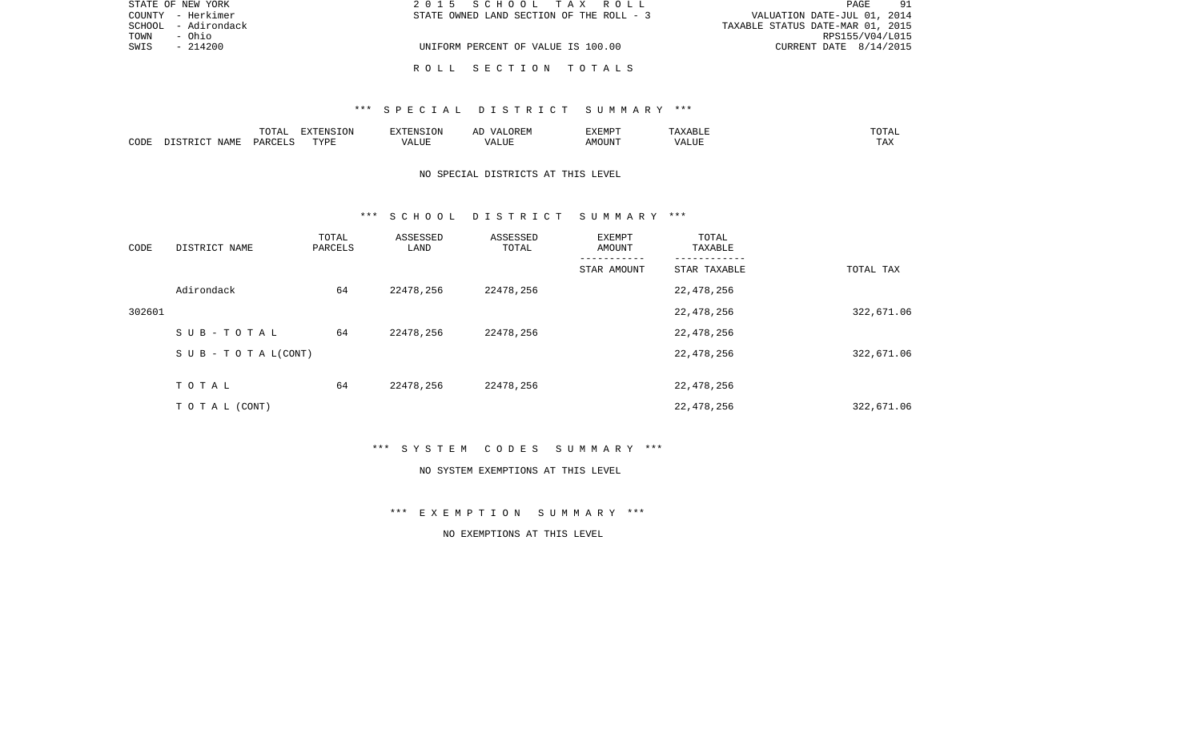|      | STATE OF NEW YORK   | 2015 SCHOOL TAX ROLL                     | -91<br>PAGE                      |
|------|---------------------|------------------------------------------|----------------------------------|
|      | COUNTY - Herkimer   | STATE OWNED LAND SECTION OF THE ROLL - 3 | VALUATION DATE-JUL 01, 2014      |
|      | SCHOOL - Adirondack |                                          | TAXABLE STATUS DATE-MAR 01, 2015 |
| TOWN | - Ohio              |                                          | RPS155/V04/L015                  |
| SWIS | $-214200$           | UNIFORM PERCENT OF VALUE IS 100.00       | CURRENT DATE $8/14/2015$         |
|      |                     |                                          |                                  |
|      |                     | ROLL SECTION TOTALS                      |                                  |

|      |      | $T$ $\cap$ $T$ $\cap$ $\cap$ $\cap$<br>LUIAI | EXTENSION   |                     | $\sqrt{4}$<br>JREM<br>مستحد | FYFMD"        | ، ا ص<br>.              | ---  |
|------|------|----------------------------------------------|-------------|---------------------|-----------------------------|---------------|-------------------------|------|
| CODE | JAMF | PAR.                                         | <b>TVDF</b> | ւժաներ<br>$\lambda$ | $\sqrt{ }$<br>.             | A MC<br>MOUN. | $- - - -$<br>$\sqrt{ }$ | A 43 |

# NO SPECIAL DISTRICTS AT THIS LEVEL

#### \*\*\* S C H O O L D I S T R I C T S U M M A R Y \*\*\*

| CODE   | DISTRICT NAME                    | TOTAL<br>PARCELS | ASSESSED<br>LAND | ASSESSED<br>TOTAL | EXEMPT<br>AMOUNT | TOTAL<br>TAXABLE |            |
|--------|----------------------------------|------------------|------------------|-------------------|------------------|------------------|------------|
|        |                                  |                  |                  |                   | STAR AMOUNT      | STAR TAXABLE     | TOTAL TAX  |
|        | Adirondack                       | 64               | 22478,256        | 22478,256         |                  | 22,478,256       |            |
| 302601 |                                  |                  |                  |                   |                  | 22,478,256       | 322,671.06 |
|        | SUB-TOTAL                        | 64               | 22478,256        | 22478,256         |                  | 22,478,256       |            |
|        | $S \cup B - T \cup T A L (CONT)$ |                  |                  |                   |                  | 22,478,256       | 322,671.06 |
|        | TOTAL                            | 64               | 22478,256        | 22478,256         |                  | 22,478,256       |            |
|        | TO TAL (CONT)                    |                  |                  |                   |                  | 22,478,256       | 322,671.06 |

\*\*\* S Y S T E M C O D E S S U M M A R Y \*\*\*

#### NO SYSTEM EXEMPTIONS AT THIS LEVEL

\*\*\* E X E M P T I O N S U M M A R Y \*\*\*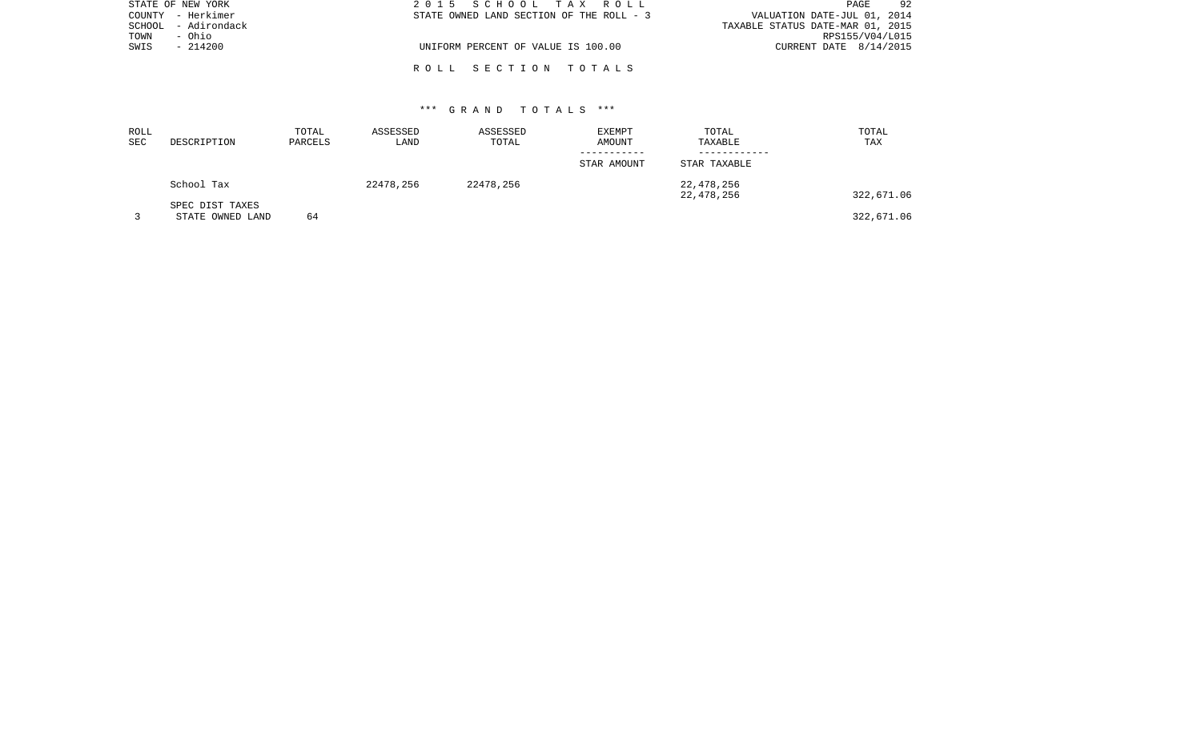| STATE OF NEW YORK   | 2015 SCHOOL TAX ROLL                     | 92<br>PAGE                       |
|---------------------|------------------------------------------|----------------------------------|
| COUNTY - Herkimer   | STATE OWNED LAND SECTION OF THE ROLL - 3 | VALUATION DATE-JUL 01, 2014      |
| SCHOOL - Adirondack |                                          | TAXABLE STATUS DATE-MAR 01, 2015 |
| TOWN<br>- Ohio      |                                          | RPS155/V04/L015                  |
| SWIS<br>$-214200$   | UNIFORM PERCENT OF VALUE IS 100.00       | CURRENT DATE 8/14/2015           |
|                     |                                          |                                  |
|                     | ROLL SECTION TOTALS                      |                                  |

| ROLL<br>SEC | DESCRIPTION                         | TOTAL<br>PARCELS | ASSESSED<br>LAND | ASSESSED<br>TOTAL | EXEMPT<br>AMOUNT | TOTAL<br>TAXABLE         | TOTAL<br>TAX |
|-------------|-------------------------------------|------------------|------------------|-------------------|------------------|--------------------------|--------------|
|             |                                     |                  |                  |                   | STAR AMOUNT      | STAR TAXABLE             |              |
|             | School Tax                          |                  | 22478,256        | 22478,256         |                  | 22,478,256<br>22,478,256 | 322,671.06   |
|             | SPEC DIST TAXES<br>STATE OWNED LAND | 64               |                  |                   |                  |                          | 322,671.06   |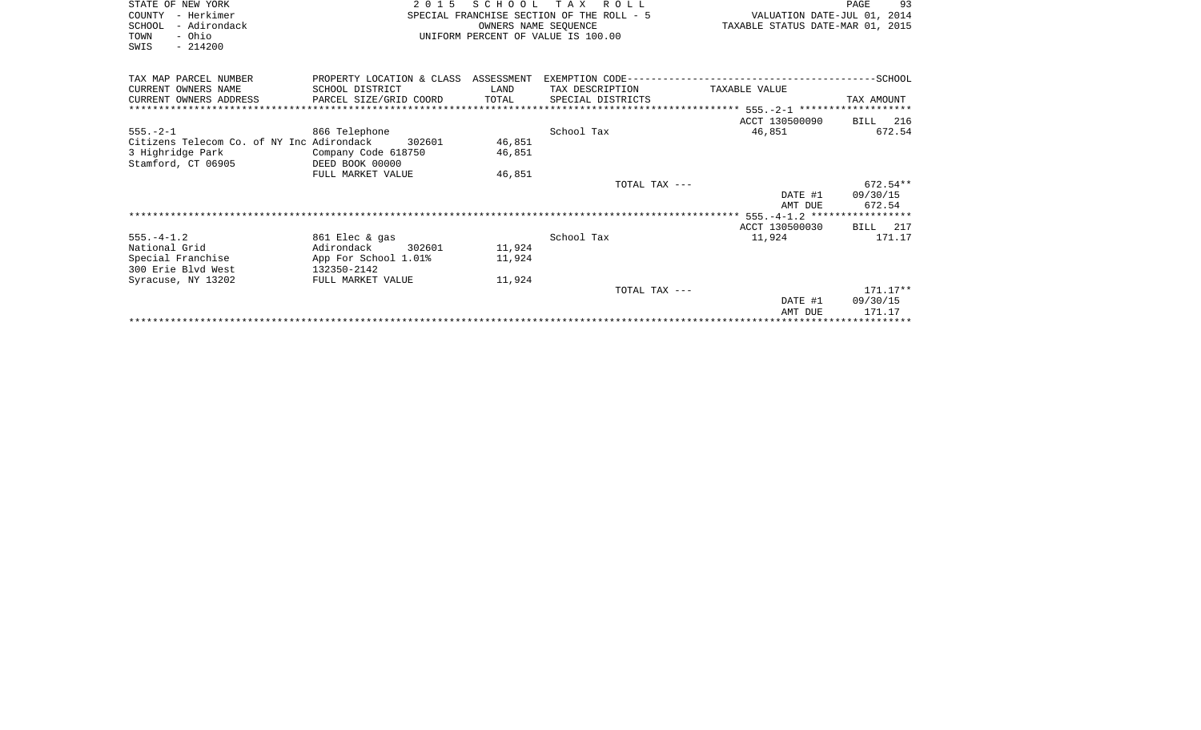| STATE OF NEW YORK                         | 2 0 1 5                            | SCHOOL               | T A X<br><b>ROLL</b>                      |                                  | 93<br>PAGE |  |  |
|-------------------------------------------|------------------------------------|----------------------|-------------------------------------------|----------------------------------|------------|--|--|
|                                           |                                    |                      |                                           |                                  |            |  |  |
| COUNTY<br>- Herkimer                      |                                    |                      | SPECIAL FRANCHISE SECTION OF THE ROLL - 5 | VALUATION DATE-JUL 01, 2014      |            |  |  |
| - Adirondack<br>SCHOOL                    |                                    | OWNERS NAME SEOUENCE |                                           | TAXABLE STATUS DATE-MAR 01, 2015 |            |  |  |
| - Ohio<br>TOWN                            | UNIFORM PERCENT OF VALUE IS 100.00 |                      |                                           |                                  |            |  |  |
| $-214200$<br>SWIS                         |                                    |                      |                                           |                                  |            |  |  |
|                                           |                                    |                      |                                           |                                  |            |  |  |
| TAX MAP PARCEL NUMBER                     |                                    |                      |                                           |                                  |            |  |  |
| CURRENT OWNERS NAME                       | SCHOOL DISTRICT                    | LAND                 | TAX DESCRIPTION                           | TAXABLE VALUE                    |            |  |  |
| CURRENT OWNERS ADDRESS                    | PARCEL SIZE/GRID COORD             | TOTAL                | SPECIAL DISTRICTS                         |                                  | TAX AMOUNT |  |  |
|                                           |                                    |                      |                                           |                                  |            |  |  |
|                                           |                                    |                      |                                           | ACCT 130500090                   | BILL 216   |  |  |
| $555. - 2 - 1$                            | 866 Telephone                      |                      | School Tax                                | 46,851                           | 672.54     |  |  |
| Citizens Telecom Co. of NY Inc Adirondack | 302601                             | 46,851               |                                           |                                  |            |  |  |
| 3 Highridge Park                          | Company Code 618750                | 46,851               |                                           |                                  |            |  |  |
| Stamford, CT 06905                        | DEED BOOK 00000                    |                      |                                           |                                  |            |  |  |
|                                           | FULL MARKET VALUE                  | 46,851               |                                           |                                  |            |  |  |
|                                           |                                    |                      | TOTAL TAX ---                             |                                  | $672.54**$ |  |  |
|                                           |                                    |                      |                                           | DATE #1                          | 09/30/15   |  |  |
|                                           |                                    |                      |                                           | AMT DUE                          | 672.54     |  |  |
|                                           |                                    |                      |                                           |                                  |            |  |  |
|                                           |                                    |                      |                                           | ACCT 130500030                   | BILL 217   |  |  |
| $555. - 4 - 1.2$                          | 861 Elec & gas                     |                      | School Tax                                | 11,924                           | 171.17     |  |  |
| National Grid                             | Adirondack<br>302601               | 11,924               |                                           |                                  |            |  |  |
| Special Franchise                         | App For School 1.01%               | 11,924               |                                           |                                  |            |  |  |
| 300 Erie Blyd West                        | 132350-2142                        |                      |                                           |                                  |            |  |  |
| Syracuse, NY 13202                        | FULL MARKET VALUE                  | 11,924               |                                           |                                  |            |  |  |
|                                           |                                    |                      | TOTAL TAX $---$                           |                                  | $171.17**$ |  |  |
|                                           |                                    |                      |                                           | DATE #1                          | 09/30/15   |  |  |
|                                           |                                    |                      |                                           | AMT DUE                          | 171.17     |  |  |

\*\*\*\*\*\*\*\*\*\*\*\*\*\*\*\*\*\*\*\*\*\*\*\*\*\*\*\*\*\*\*\*\*\*\*\*\*\*\*\*\*\*\*\*\*\*\*\*\*\*\*\*\*\*\*\*\*\*\*\*\*\*\*\*\*\*\*\*\*\*\*\*\*\*\*\*\*\*\*\*\*\*\*\*\*\*\*\*\*\*\*\*\*\*\*\*\*\*\*\*\*\*\*\*\*\*\*\*\*\*\*\*\*\*\*\*\*\*\*\*\*\*\*\*\*\*\*\*\*\*\*\*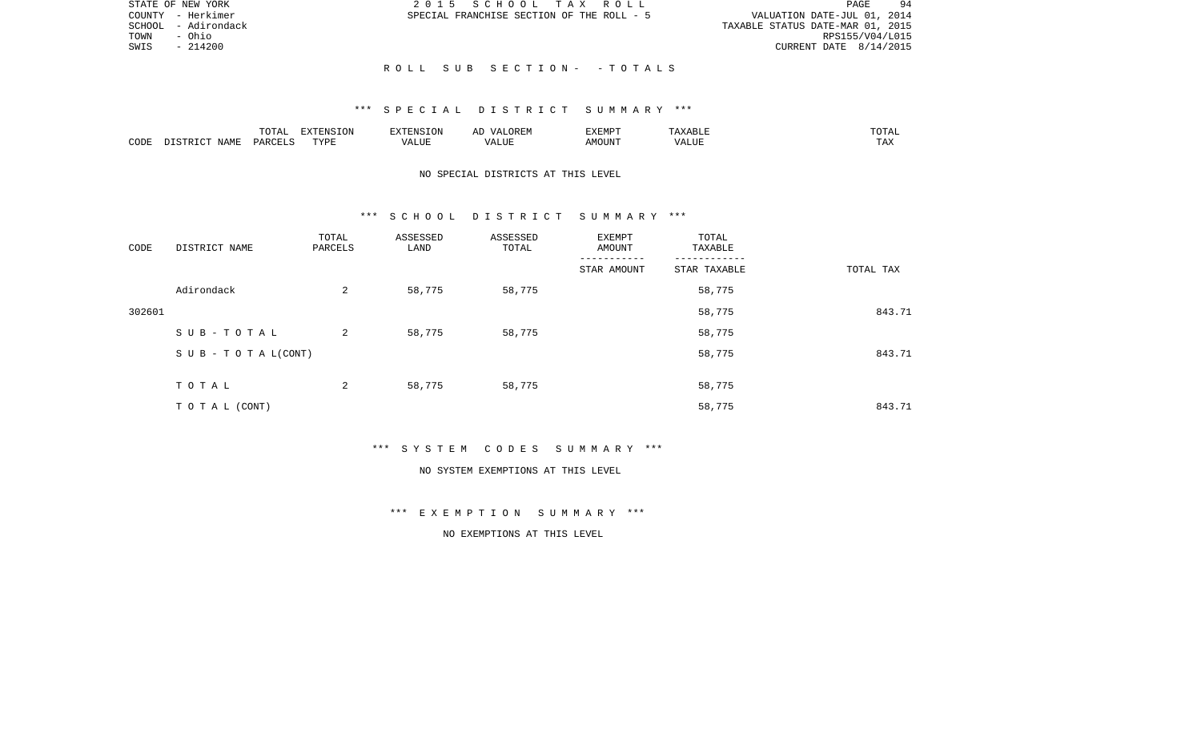|      | STATE OF NEW YORK   | 2015 SCHOOL TAX ROLL                      |                                  | PAGE                     | -94 |
|------|---------------------|-------------------------------------------|----------------------------------|--------------------------|-----|
|      | COUNTY - Herkimer   | SPECIAL FRANCHISE SECTION OF THE ROLL - 5 | VALUATION DATE-JUL 01, 2014      |                          |     |
|      | SCHOOL - Adirondack |                                           | TAXABLE STATUS DATE-MAR 01, 2015 |                          |     |
| TOWN | - Ohio              |                                           |                                  | RPS155/V04/L015          |     |
| SWIS | $-214200$           |                                           |                                  | CURRENT DATE $8/14/2015$ |     |
|      |                     |                                           |                                  |                          |     |
|      |                     | ROLL SUB SECTION- -TOTALS                 |                                  |                          |     |

|      |        | <b>noma</b>                                  | <b>ION</b><br>n v |           | $\cdots$ | ,,, <del>,</del> ,,,,<br>⊣עדש∀י |                     | ۰д<br>---- |
|------|--------|----------------------------------------------|-------------------|-----------|----------|---------------------------------|---------------------|------------|
| CODE | NI∆N⊪. | $\ldots$ $\cap$ $\cap$ $\ldots$ $\cap$<br>◡◠ | <b>TIZT</b>       | $- - - -$ |          | MOUN'                           | $\lambda$<br>" שבב. | ⊥ 冖∡       |

# NO SPECIAL DISTRICTS AT THIS LEVEL

#### \*\*\* S C H O O L D I S T R I C T S U M M A R Y \*\*\*

| CODE   | DISTRICT NAME                    | TOTAL<br>PARCELS | ASSESSED<br>LAND | ASSESSED<br>TOTAL | EXEMPT<br>AMOUNT | TOTAL<br>TAXABLE |           |
|--------|----------------------------------|------------------|------------------|-------------------|------------------|------------------|-----------|
|        |                                  |                  |                  |                   | STAR AMOUNT      | STAR TAXABLE     | TOTAL TAX |
|        | Adirondack                       | 2                | 58,775           | 58,775            |                  | 58,775           |           |
| 302601 |                                  |                  |                  |                   |                  | 58,775           | 843.71    |
|        | SUB-TOTAL                        | 2                | 58,775           | 58,775            |                  | 58,775           |           |
|        | $S \cup B - T \cup T A L (CONT)$ |                  |                  |                   |                  | 58,775           | 843.71    |
|        | TOTAL                            | 2                | 58,775           | 58,775            |                  | 58,775           |           |
|        | TO TAL (CONT)                    |                  |                  |                   |                  | 58,775           | 843.71    |

\*\*\* S Y S T E M C O D E S S U M M A R Y \*\*\*

#### NO SYSTEM EXEMPTIONS AT THIS LEVEL

# \*\*\* E X E M P T I O N S U M M A R Y \*\*\*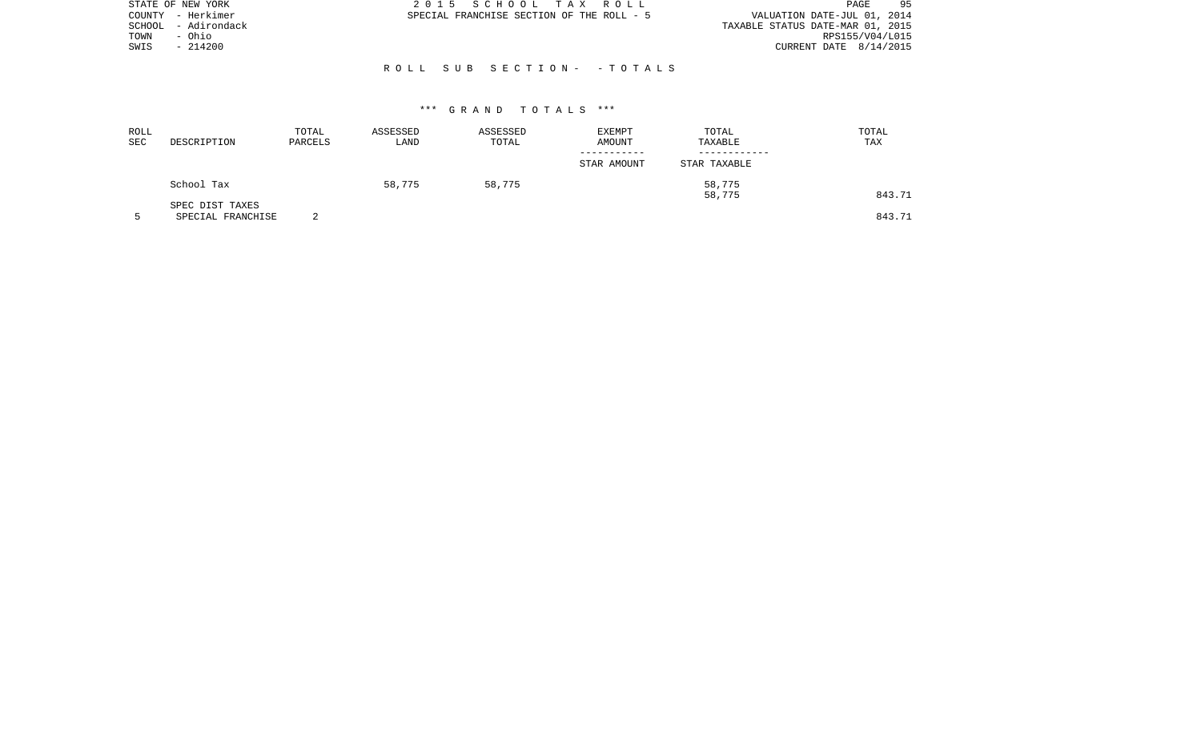| STATE OF NEW YORK      | 2015 SCHOOL TAX ROLL                      |  |                                  | PAGE            | 95 |
|------------------------|-------------------------------------------|--|----------------------------------|-----------------|----|
| COUNTY - Herkimer      | SPECIAL FRANCHISE SECTION OF THE ROLL - 5 |  | VALUATION DATE-JUL 01, 2014      |                 |    |
| - Adirondack<br>SCHOOL |                                           |  | TAXABLE STATUS DATE-MAR 01, 2015 |                 |    |
| - Ohio<br>TOWN         |                                           |  |                                  | RPS155/V04/L015 |    |
| $-214200$<br>SWIS      |                                           |  | CURRENT DATE 8/14/2015           |                 |    |
|                        |                                           |  |                                  |                 |    |
|                        | ROLL SUB SECTION- - TOTALS                |  |                                  |                 |    |

| ROLL<br>SEC | DESCRIPTION                          | TOTAL<br>PARCELS | ASSESSED<br>LAND | ASSESSED<br>TOTAL | EXEMPT<br>AMOUNT | TOTAL<br>TAXABLE | TOTAL<br>TAX |
|-------------|--------------------------------------|------------------|------------------|-------------------|------------------|------------------|--------------|
|             |                                      |                  |                  |                   | STAR AMOUNT      | STAR TAXABLE     |              |
|             | School Tax                           |                  | 58,775           | 58,775            |                  | 58,775<br>58,775 | 843.71       |
|             | SPEC DIST TAXES<br>SPECIAL FRANCHISE | ⌒<br>▵           |                  |                   |                  |                  | 843.71       |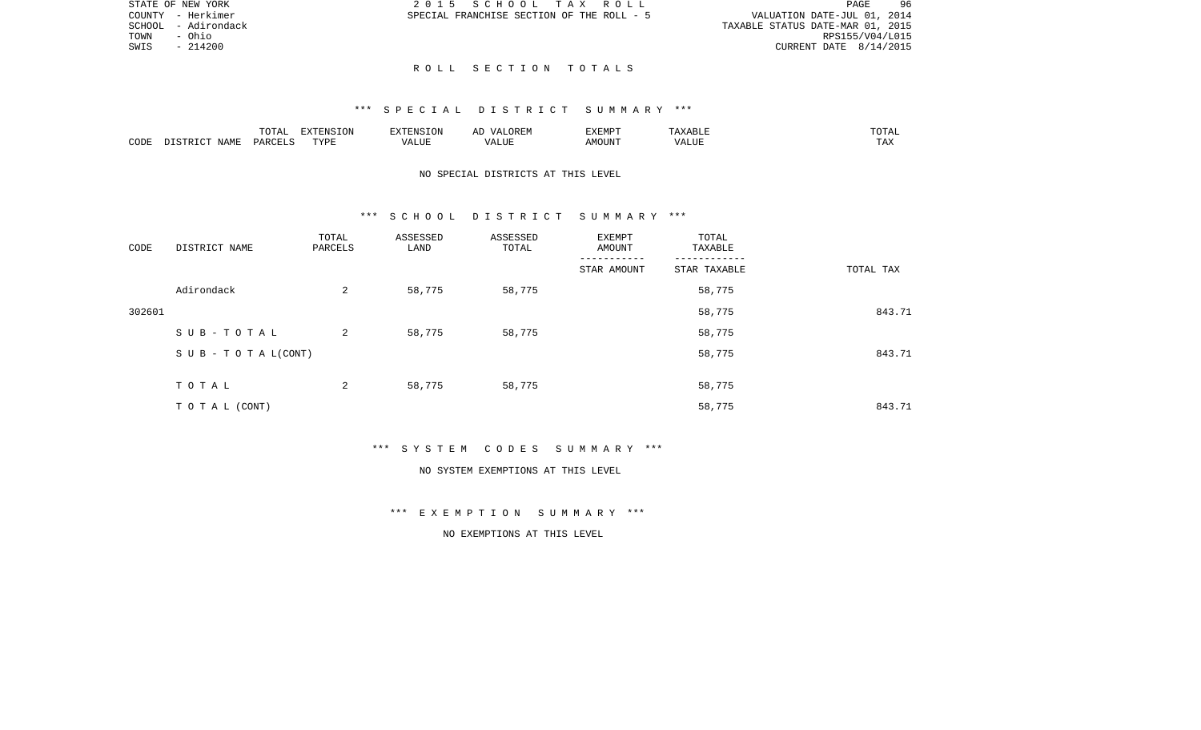|      | STATE OF NEW YORK   | 2015 SCHOOL TAX ROLL                      |  |                                  | PAGE            | 96 |
|------|---------------------|-------------------------------------------|--|----------------------------------|-----------------|----|
|      | COUNTY - Herkimer   | SPECIAL FRANCHISE SECTION OF THE ROLL - 5 |  | VALUATION DATE-JUL 01, 2014      |                 |    |
|      | SCHOOL - Adirondack |                                           |  | TAXABLE STATUS DATE-MAR 01, 2015 |                 |    |
| TOWN | - Ohio              |                                           |  |                                  | RPS155/V04/L015 |    |
|      | SWIS - 214200       |                                           |  | CURRENT DATE 8/14/2015           |                 |    |

SCHOOL - Adirondack<br>TOWN - Ohio  $SWIS$  - 214200

#### R O L L S E C T I O N T O T A L S

#### \*\*\* S P E C I A L D I S T R I C T S U M M A R Y \*\*\*

|      |       | $m \wedge m \wedge n$<br>⊥∪⊥⊓⊥ | $\blacksquare$<br>⊥UN |                   | "XFMP. | ---         |
|------|-------|--------------------------------|-----------------------|-------------------|--------|-------------|
| CODE | ΝТΔМπ | DAR <sub>C</sub>               | TVDI<br>.             | $\sqrt{ }$<br>பபா |        | max<br>∖ n∡ |

# NO SPECIAL DISTRICTS AT THIS LEVEL

#### \*\*\* S C H O O L D I S T R I C T S U M M A R Y \*\*\*

| CODE   | DISTRICT NAME             | TOTAL<br>PARCELS | ASSESSED<br>LAND | ASSESSED<br>TOTAL | <b>EXEMPT</b><br>AMOUNT | TOTAL<br>TAXABLE |           |
|--------|---------------------------|------------------|------------------|-------------------|-------------------------|------------------|-----------|
|        |                           |                  |                  |                   | STAR AMOUNT             | STAR TAXABLE     | TOTAL TAX |
|        | Adirondack                | 2                | 58,775           | 58,775            |                         | 58,775           |           |
| 302601 |                           |                  |                  |                   |                         | 58,775           | 843.71    |
|        | SUB-TOTAL                 | 2                | 58,775           | 58,775            |                         | 58,775           |           |
|        | S U B - T O T A $L(CONT)$ |                  |                  |                   |                         | 58,775           | 843.71    |
|        | TOTAL                     | 2                | 58,775           | 58,775            |                         | 58,775           |           |
|        | TO TAL (CONT)             |                  |                  |                   |                         | 58,775           | 843.71    |

\*\*\* S Y S T E M C O D E S S U M M A R Y \*\*\*

#### NO SYSTEM EXEMPTIONS AT THIS LEVEL

\*\*\* E X E M P T I O N S U M M A R Y \*\*\*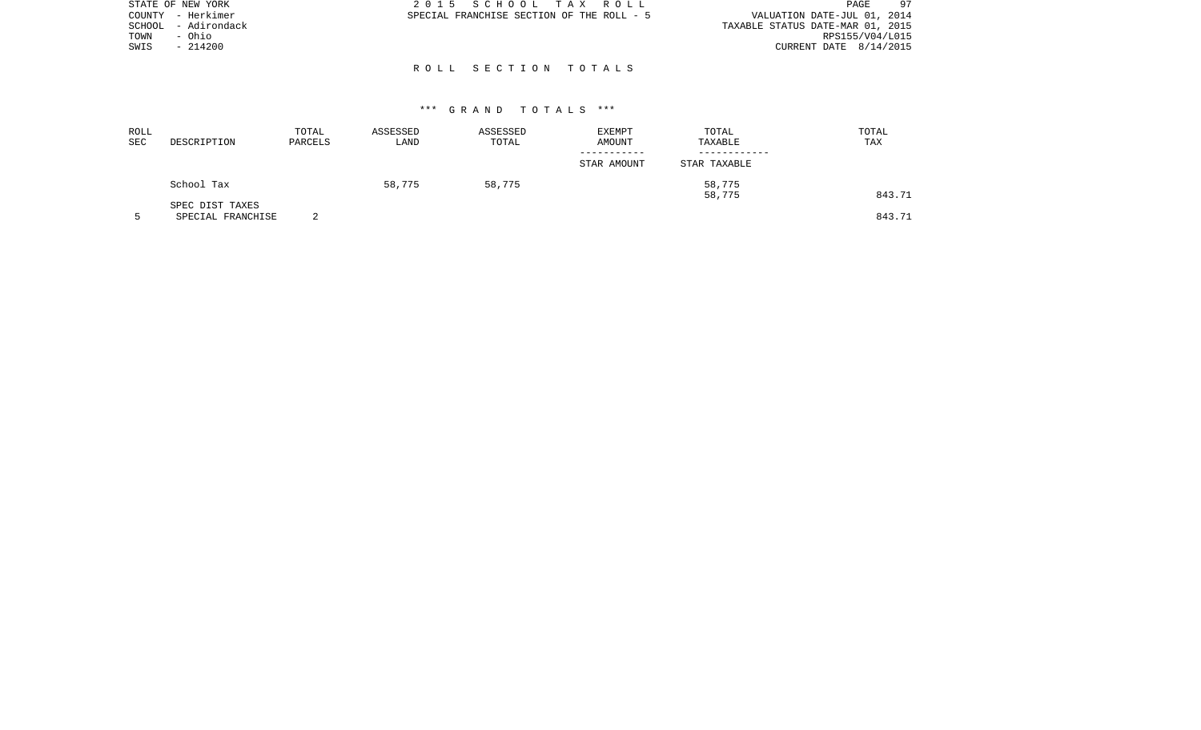|        | STATE OF NEW YORK | 2015 SCHOOL TAX ROLL                      | 97<br>PAGE                       |
|--------|-------------------|-------------------------------------------|----------------------------------|
|        | COUNTY - Herkimer | SPECIAL FRANCHISE SECTION OF THE ROLL - 5 | VALUATION DATE-JUL 01, 2014      |
| SCHOOL | - Adirondack      |                                           | TAXABLE STATUS DATE-MAR 01, 2015 |
| TOWN   | - Ohio            |                                           | RPS155/V04/L015                  |
| SWIS   | $-214200$         |                                           | CURRENT DATE 8/14/2015           |
|        |                   |                                           |                                  |

# R O L L S E C T I O N T O T A L S

| ROLL<br>SEC | DESCRIPTION                          | TOTAL<br>PARCELS | ASSESSED<br>LAND | ASSESSED<br>TOTAL | EXEMPT<br>AMOUNT | TOTAL<br>TAXABLE | TOTAL<br>TAX |
|-------------|--------------------------------------|------------------|------------------|-------------------|------------------|------------------|--------------|
|             |                                      |                  |                  |                   | STAR AMOUNT      | STAR TAXABLE     |              |
|             | School Tax                           |                  | 58,775           | 58,775            |                  | 58,775<br>58,775 | 843.71       |
|             | SPEC DIST TAXES<br>SPECIAL FRANCHISE | ◠                |                  |                   |                  |                  | 843.71       |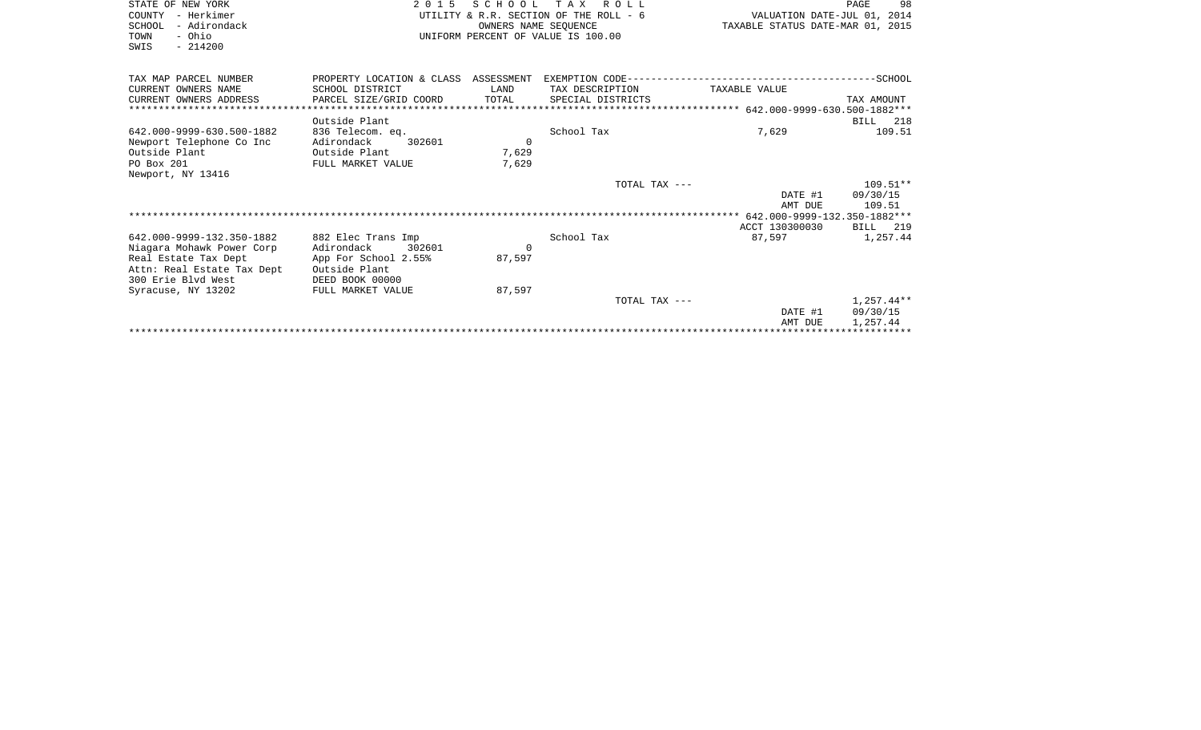| STATE OF NEW YORK          | 2 0 1 5                   |                                  | SCHOOL TAX ROLL                        |                             | 98<br>PAGE   |
|----------------------------|---------------------------|----------------------------------|----------------------------------------|-----------------------------|--------------|
| - Herkimer<br>COUNTY       |                           |                                  | UTILITY & R.R. SECTION OF THE ROLL - 6 | VALUATION DATE-JUL 01, 2014 |              |
| SCHOOL<br>- Adirondack     |                           | TAXABLE STATUS DATE-MAR 01, 2015 |                                        |                             |              |
| - Ohio<br>TOWN             |                           |                                  | UNIFORM PERCENT OF VALUE IS 100.00     |                             |              |
| $-214200$<br>SWIS          |                           |                                  |                                        |                             |              |
|                            |                           |                                  |                                        |                             |              |
| TAX MAP PARCEL NUMBER      | PROPERTY LOCATION & CLASS | ASSESSMENT                       |                                        |                             |              |
| CURRENT OWNERS NAME        | SCHOOL DISTRICT           | LAND                             | TAX DESCRIPTION                        | TAXABLE VALUE               |              |
| CURRENT OWNERS ADDRESS     | PARCEL SIZE/GRID COORD    | TOTAL                            | SPECIAL DISTRICTS                      |                             | TAX AMOUNT   |
|                            |                           |                                  |                                        |                             |              |
|                            | Outside Plant             |                                  |                                        |                             | BILL 218     |
| 642.000-9999-630.500-1882  | 836 Telecom. eq.          |                                  | School Tax                             | 7,629                       | 109.51       |
| Newport Telephone Co Inc   | Adirondack<br>302601      | $\Omega$                         |                                        |                             |              |
| Outside Plant              | Outside Plant             | 7,629                            |                                        |                             |              |
| PO Box 201                 | FULL MARKET VALUE         | 7,629                            |                                        |                             |              |
| Newport, NY 13416          |                           |                                  |                                        |                             |              |
|                            |                           |                                  | TOTAL TAX ---                          |                             | $109.51**$   |
|                            |                           |                                  |                                        | DATE #1                     | 09/30/15     |
|                            |                           |                                  |                                        | AMT DUE                     | 109.51       |
|                            |                           |                                  |                                        |                             |              |
|                            |                           |                                  |                                        | ACCT 130300030              | BILL<br>219  |
| 642.000-9999-132.350-1882  | 882 Elec Trans Imp        |                                  | School Tax                             | 87,597                      | 1,257.44     |
| Niagara Mohawk Power Corp  | Adirondack<br>302601      | 0                                |                                        |                             |              |
| Real Estate Tax Dept       | App For School 2.55%      | 87,597                           |                                        |                             |              |
| Attn: Real Estate Tax Dept | Outside Plant             |                                  |                                        |                             |              |
| 300 Erie Blvd West         | DEED BOOK 00000           |                                  |                                        |                             |              |
| Syracuse, NY 13202         | FULL MARKET VALUE         | 87,597                           |                                        |                             |              |
|                            |                           |                                  | TOTAL TAX ---                          |                             | $1,257.44**$ |

\*\*\*\*\*\*\*\*\*\*\*\*\*\*\*\*\*\*\*\*\*\*\*\*\*\*\*\*\*\*\*\*\*\*\*\*\*\*\*\*\*\*\*\*\*\*\*\*\*\*\*\*\*\*\*\*\*\*\*\*\*\*\*\*\*\*\*\*\*\*\*\*\*\*\*\*\*\*\*\*\*\*\*\*\*\*\*\*\*\*\*\*\*\*\*\*\*\*\*\*\*\*\*\*\*\*\*\*\*\*\*\*\*\*\*\*\*\*\*\*\*\*\*\*\*\*\*\*\*\*\*\*

 DATE #1 09/30/15 AMT DUE 1,257.44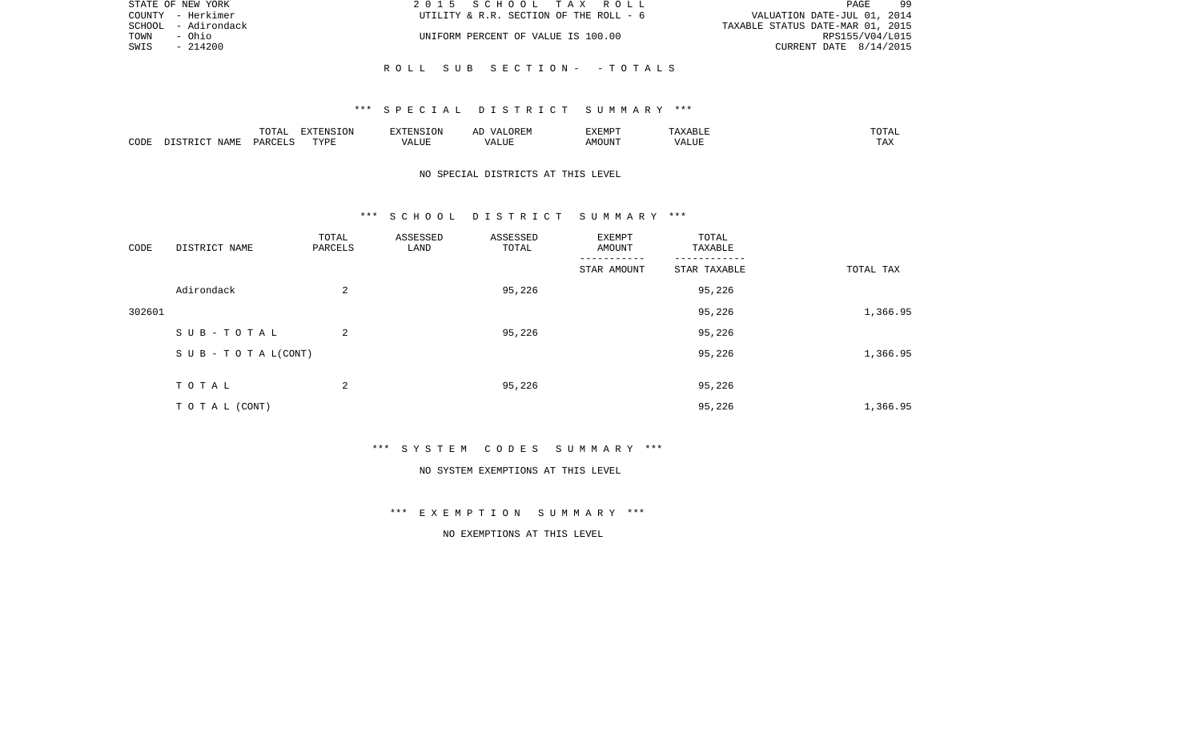|      | STATE OF NEW YORK   | 2015 SCHOOL TAX ROLL                   | 99<br>PAGE                       |
|------|---------------------|----------------------------------------|----------------------------------|
|      | COUNTY - Herkimer   | UTILITY & R.R. SECTION OF THE ROLL - 6 | VALUATION DATE-JUL 01, 2014      |
|      | SCHOOL - Adirondack |                                        | TAXABLE STATUS DATE-MAR 01, 2015 |
| TOWN | - Ohio              | UNIFORM PERCENT OF VALUE IS 100.00     | RPS155/V04/L015                  |
| SWIS | - 214200            |                                        | CURRENT DATE $8/14/2015$         |
|      |                     |                                        |                                  |
|      |                     | ROLL SUB SECTION- -TOTALS              |                                  |

|      |                            | .∪⊥⊓⊥         | $\blacksquare$<br>11 L<br>LUIN |               |            | EXEMPT       | ABL.                  | $m \wedge m$<br>. |
|------|----------------------------|---------------|--------------------------------|---------------|------------|--------------|-----------------------|-------------------|
| CODE | <b>ABST</b><br>. .<br>NAMP | <b>DARCFT</b> | TVDT                           | $\mathcal{L}$ | ,,,<br>שחד | OUN".<br>۱M۲ | $- - - - - -$<br>ALUI | $- - -$<br>. Ал   |

# NO SPECIAL DISTRICTS AT THIS LEVEL

#### \*\*\* S C H O O L D I S T R I C T S U M M A R Y \*\*\*

| CODE   | DISTRICT NAME                    | TOTAL<br>PARCELS | ASSESSED<br>LAND | ASSESSED<br>TOTAL | EXEMPT<br>AMOUNT | TOTAL<br>TAXABLE |           |
|--------|----------------------------------|------------------|------------------|-------------------|------------------|------------------|-----------|
|        |                                  |                  |                  |                   | STAR AMOUNT      | STAR TAXABLE     | TOTAL TAX |
|        | Adirondack                       | 2                |                  | 95,226            |                  | 95,226           |           |
| 302601 |                                  |                  |                  |                   |                  | 95,226           | 1,366.95  |
|        | SUB-TOTAL                        | 2                |                  | 95,226            |                  | 95,226           |           |
|        | $S \cup B - T \cup T A L (CONT)$ |                  |                  |                   |                  | 95,226           | 1,366.95  |
|        | TOTAL                            | 2                |                  | 95,226            |                  | 95,226           |           |
|        | TO TAL (CONT)                    |                  |                  |                   |                  | 95,226           | 1,366.95  |

\*\*\* S Y S T E M C O D E S S U M M A R Y \*\*\*

#### NO SYSTEM EXEMPTIONS AT THIS LEVEL

\*\*\* E X E M P T I O N S U M M A R Y \*\*\*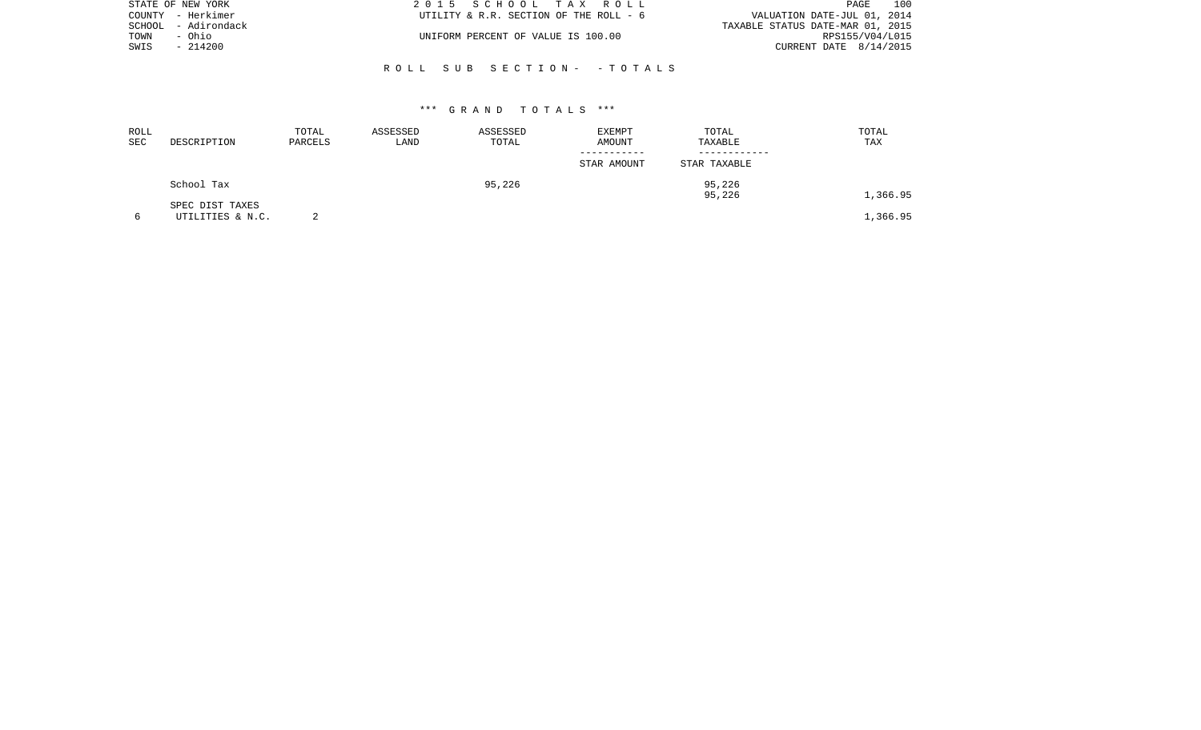|      | STATE OF NEW YORK   | 2015 SCHOOL TAX ROLL                   | 100<br>PAGE                      |
|------|---------------------|----------------------------------------|----------------------------------|
|      | COUNTY - Herkimer   | UTILITY & R.R. SECTION OF THE ROLL - 6 | VALUATION DATE-JUL 01, 2014      |
|      | SCHOOL - Adirondack |                                        | TAXABLE STATUS DATE-MAR 01, 2015 |
| TOWN | - Ohio              | UNIFORM PERCENT OF VALUE IS 100.00     | RPS155/V04/L015                  |
| SWIS | $-214200$           |                                        | CURRENT DATE 8/14/2015           |
|      |                     |                                        |                                  |

R O L L S U B S E C T I O N - - T O T A L S

| ROLL<br>SEC | DESCRIPTION                         | TOTAL<br>PARCELS | ASSESSED<br>LAND | ASSESSED<br>TOTAL | EXEMPT<br>AMOUNT<br>----------- | TOTAL<br>TAXABLE | TOTAL<br>TAX |
|-------------|-------------------------------------|------------------|------------------|-------------------|---------------------------------|------------------|--------------|
|             |                                     |                  |                  |                   | STAR AMOUNT                     | STAR TAXABLE     |              |
|             | School Tax                          |                  |                  | 95,226            |                                 | 95,226<br>95,226 | 1,366.95     |
|             | SPEC DIST TAXES<br>UTILITIES & N.C. |                  |                  |                   |                                 |                  | 1,366.95     |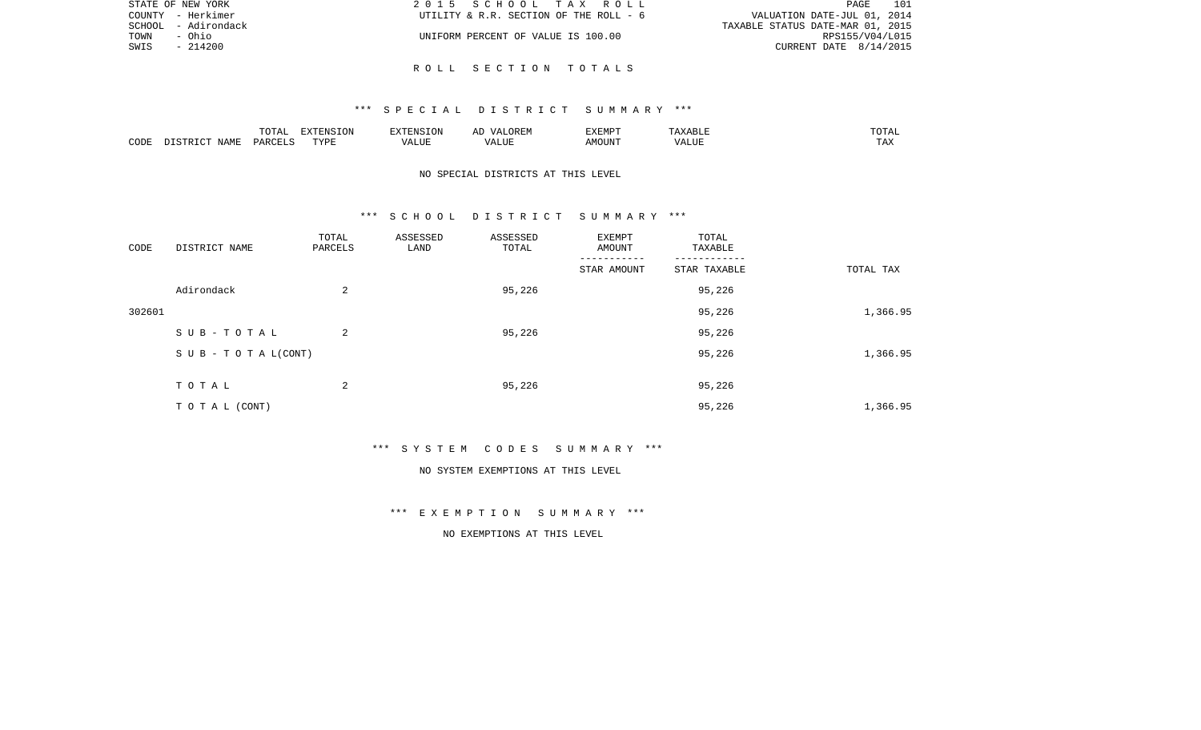|      | STATE OF NEW YORK   | 2015 SCHOOL TAX ROLL                   | - 101<br>PAGE                    |
|------|---------------------|----------------------------------------|----------------------------------|
|      | COUNTY - Herkimer   | UTILITY & R.R. SECTION OF THE ROLL - 6 | VALUATION DATE-JUL 01, 2014      |
|      | SCHOOL - Adirondack |                                        | TAXABLE STATUS DATE-MAR 01, 2015 |
| TOWN | - Ohio              | UNIFORM PERCENT OF VALUE IS 100.00     | RPS155/V04/L015                  |
| SWIS | $-214200$           |                                        | CURRENT DATE $8/14/2015$         |
|      |                     |                                        |                                  |

R O L L S E C T I O N T O T A L S

|      |      | <b>noma</b><br>. U I A. | ----<br>'N. |                       | $'$ JREF<br><b>Δ</b><br>$\cdots$<br>⊷ | EXEMPT |     | .                    |
|------|------|-------------------------|-------------|-----------------------|---------------------------------------|--------|-----|----------------------|
| CODE | JAMF | PAR                     | TVDI<br>.   | $\cdots$<br>. L I L I | LUI                                   | MOUN'  | ۰Δ۱ | $m \times n$<br>⊥ ≞∡ |

# NO SPECIAL DISTRICTS AT THIS LEVEL

#### \*\*\* S C H O O L D I S T R I C T S U M M A R Y \*\*\*

| CODE   | DISTRICT NAME                    | TOTAL<br>PARCELS | ASSESSED<br>LAND | ASSESSED<br>TOTAL | EXEMPT<br>AMOUNT | TOTAL<br>TAXABLE |           |
|--------|----------------------------------|------------------|------------------|-------------------|------------------|------------------|-----------|
|        |                                  |                  |                  |                   | STAR AMOUNT      | STAR TAXABLE     | TOTAL TAX |
|        | Adirondack                       | 2                |                  | 95,226            |                  | 95,226           |           |
| 302601 |                                  |                  |                  |                   |                  | 95,226           | 1,366.95  |
|        | SUB-TOTAL                        | 2                |                  | 95,226            |                  | 95,226           |           |
|        | $S \cup B - T \cup T A L (CONT)$ |                  |                  |                   |                  | 95,226           | 1,366.95  |
|        | TOTAL                            | 2                |                  | 95,226            |                  | 95,226           |           |
|        | TO TAL (CONT)                    |                  |                  |                   |                  | 95,226           | 1,366.95  |

\*\*\* S Y S T E M C O D E S S U M M A R Y \*\*\*

#### NO SYSTEM EXEMPTIONS AT THIS LEVEL

\*\*\* E X E M P T I O N S U M M A R Y \*\*\*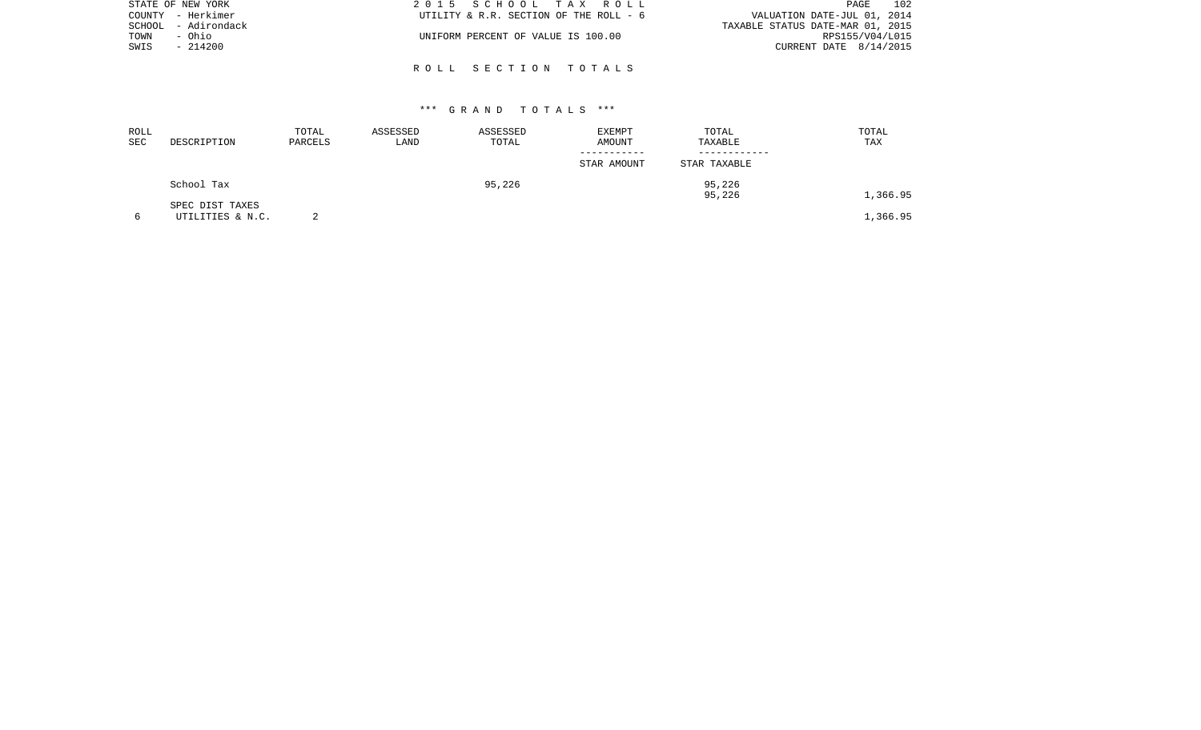|      | STATE OF NEW YORK   | 2015 SCHOOL TAX ROLL                   | 102<br>PAGE                      |
|------|---------------------|----------------------------------------|----------------------------------|
|      | COUNTY - Herkimer   | UTILITY & R.R. SECTION OF THE ROLL - 6 | VALUATION DATE-JUL 01, 2014      |
|      | SCHOOL - Adirondack |                                        | TAXABLE STATUS DATE-MAR 01, 2015 |
| TOWN | - Ohio              | UNIFORM PERCENT OF VALUE IS 100.00     | RPS155/V04/L015                  |
| SWIS | $-214200$           |                                        | CURRENT DATE $8/14/2015$         |
|      |                     |                                        |                                  |
|      |                     | ROLL SECTION TOTALS                    |                                  |

| ROLL<br>SEC | DESCRIPTION                         | TOTAL<br>PARCELS | ASSESSED<br>LAND | ASSESSED<br>TOTAL | <b>EXEMPT</b><br>AMOUNT | TOTAL<br>TAXABLE | TOTAL<br>TAX |
|-------------|-------------------------------------|------------------|------------------|-------------------|-------------------------|------------------|--------------|
|             |                                     |                  |                  |                   | STAR AMOUNT             | STAR TAXABLE     |              |
|             | School Tax                          |                  |                  | 95,226            |                         | 95,226<br>95,226 | 1,366.95     |
| 6           | SPEC DIST TAXES<br>UTILITIES & N.C. |                  |                  |                   |                         |                  | 1,366.95     |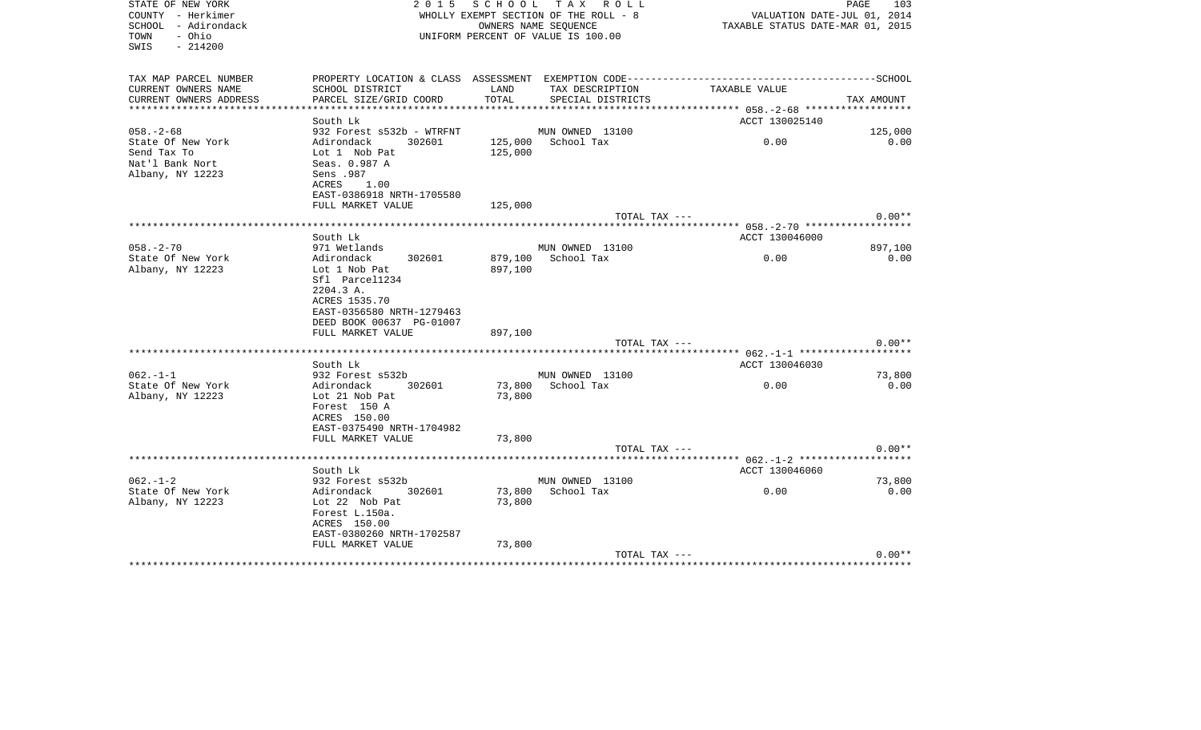| STATE OF NEW YORK<br>COUNTY - Herkimer<br>SCHOOL - Adirondack<br>- Ohio<br>TOWN<br>SWIS<br>$-214200$ | 2 0 1 5                                                               |         | SCHOOL TAX ROLL<br>WHOLLY EXEMPT SECTION OF THE ROLL - 8<br>OWNERS NAME SEQUENCE<br>UNIFORM PERCENT OF VALUE IS 100.00 | VALUATION DATE-JUL 01, 2014<br>TAXABLE STATUS DATE-MAR 01, 2015 | PAGE<br>103           |
|------------------------------------------------------------------------------------------------------|-----------------------------------------------------------------------|---------|------------------------------------------------------------------------------------------------------------------------|-----------------------------------------------------------------|-----------------------|
| TAX MAP PARCEL NUMBER                                                                                | PROPERTY LOCATION & CLASS ASSESSMENT EXEMPTION CODE------------------ |         |                                                                                                                        |                                                                 | ---------------SCHOOL |
| CURRENT OWNERS NAME                                                                                  | SCHOOL DISTRICT                                                       | LAND    | TAX DESCRIPTION                                                                                                        | TAXABLE VALUE                                                   |                       |
| CURRENT OWNERS ADDRESS                                                                               | PARCEL SIZE/GRID COORD                                                | TOTAL   | SPECIAL DISTRICTS                                                                                                      |                                                                 | TAX AMOUNT            |
| *********************                                                                                |                                                                       |         |                                                                                                                        |                                                                 |                       |
|                                                                                                      | South Lk                                                              |         |                                                                                                                        | ACCT 130025140                                                  |                       |
| $058. - 2 - 68$                                                                                      | 932 Forest s532b - WTRFNT<br>302601                                   |         | MUN OWNED 13100<br>125,000 School Tax                                                                                  | 0.00                                                            | 125,000<br>0.00       |
| State Of New York<br>Send Tax To                                                                     | Adirondack<br>Lot 1 Nob Pat                                           | 125,000 |                                                                                                                        |                                                                 |                       |
| Nat'l Bank Nort                                                                                      | Seas. 0.987 A                                                         |         |                                                                                                                        |                                                                 |                       |
| Albany, NY 12223                                                                                     | Sens .987                                                             |         |                                                                                                                        |                                                                 |                       |
|                                                                                                      | ACRES<br>1.00                                                         |         |                                                                                                                        |                                                                 |                       |
|                                                                                                      | EAST-0386918 NRTH-1705580                                             |         |                                                                                                                        |                                                                 |                       |
|                                                                                                      | FULL MARKET VALUE                                                     | 125,000 |                                                                                                                        |                                                                 |                       |
|                                                                                                      | *************************                                             |         | TOTAL TAX ---<br>***********************                                                                               | ***************** 058.-2-70 *******************                 | $0.00**$              |
|                                                                                                      | South Lk                                                              |         |                                                                                                                        | ACCT 130046000                                                  |                       |
| $058. - 2 - 70$                                                                                      | 971 Wetlands                                                          |         | MUN OWNED 13100                                                                                                        |                                                                 | 897,100               |
| State Of New York                                                                                    | Adirondack<br>302601                                                  | 879,100 | School Tax                                                                                                             | 0.00                                                            | 0.00                  |
| Albany, NY 12223                                                                                     | Lot 1 Nob Pat                                                         | 897,100 |                                                                                                                        |                                                                 |                       |
|                                                                                                      | Sfl Parcel1234<br>2204.3 A.                                           |         |                                                                                                                        |                                                                 |                       |
|                                                                                                      | ACRES 1535.70                                                         |         |                                                                                                                        |                                                                 |                       |
|                                                                                                      | EAST-0356580 NRTH-1279463                                             |         |                                                                                                                        |                                                                 |                       |
|                                                                                                      | DEED BOOK 00637 PG-01007                                              |         |                                                                                                                        |                                                                 |                       |
|                                                                                                      | FULL MARKET VALUE                                                     | 897,100 |                                                                                                                        |                                                                 |                       |
|                                                                                                      |                                                                       |         | TOTAL TAX ---                                                                                                          |                                                                 | $0.00**$              |
|                                                                                                      | South Lk                                                              |         |                                                                                                                        | ACCT 130046030                                                  |                       |
| $062. -1 -1$                                                                                         | 932 Forest s532b                                                      |         | MUN OWNED 13100                                                                                                        |                                                                 | 73,800                |
| State Of New York                                                                                    | Adirondack<br>302601                                                  | 73,800  | School Tax                                                                                                             | 0.00                                                            | 0.00                  |
| Albany, NY 12223                                                                                     | Lot 21 Nob Pat                                                        | 73,800  |                                                                                                                        |                                                                 |                       |
|                                                                                                      | Forest 150 A                                                          |         |                                                                                                                        |                                                                 |                       |
|                                                                                                      | ACRES 150.00                                                          |         |                                                                                                                        |                                                                 |                       |
|                                                                                                      | EAST-0375490 NRTH-1704982                                             |         |                                                                                                                        |                                                                 |                       |
|                                                                                                      | FULL MARKET VALUE                                                     | 73,800  | TOTAL TAX ---                                                                                                          |                                                                 | $0.00**$              |
|                                                                                                      | **********************************                                    |         |                                                                                                                        | ***************** 062.-1-2 *******************                  |                       |
|                                                                                                      | South Lk                                                              |         |                                                                                                                        | ACCT 130046060                                                  |                       |
| $062. -1 - 2$                                                                                        | 932 Forest s532b                                                      |         | MUN OWNED 13100                                                                                                        |                                                                 | 73,800                |
| State Of New York                                                                                    | 302601<br>Adirondack                                                  | 73,800  | School Tax                                                                                                             | 0.00                                                            | 0.00                  |
| Albany, NY 12223                                                                                     | Lot 22 Nob Pat                                                        | 73,800  |                                                                                                                        |                                                                 |                       |
|                                                                                                      | Forest L.150a.<br>ACRES 150.00                                        |         |                                                                                                                        |                                                                 |                       |
|                                                                                                      | EAST-0380260 NRTH-1702587                                             |         |                                                                                                                        |                                                                 |                       |
|                                                                                                      | FULL MARKET VALUE                                                     | 73,800  |                                                                                                                        |                                                                 |                       |
|                                                                                                      |                                                                       |         | TOTAL TAX ---                                                                                                          |                                                                 | $0.00**$              |
|                                                                                                      |                                                                       |         |                                                                                                                        |                                                                 |                       |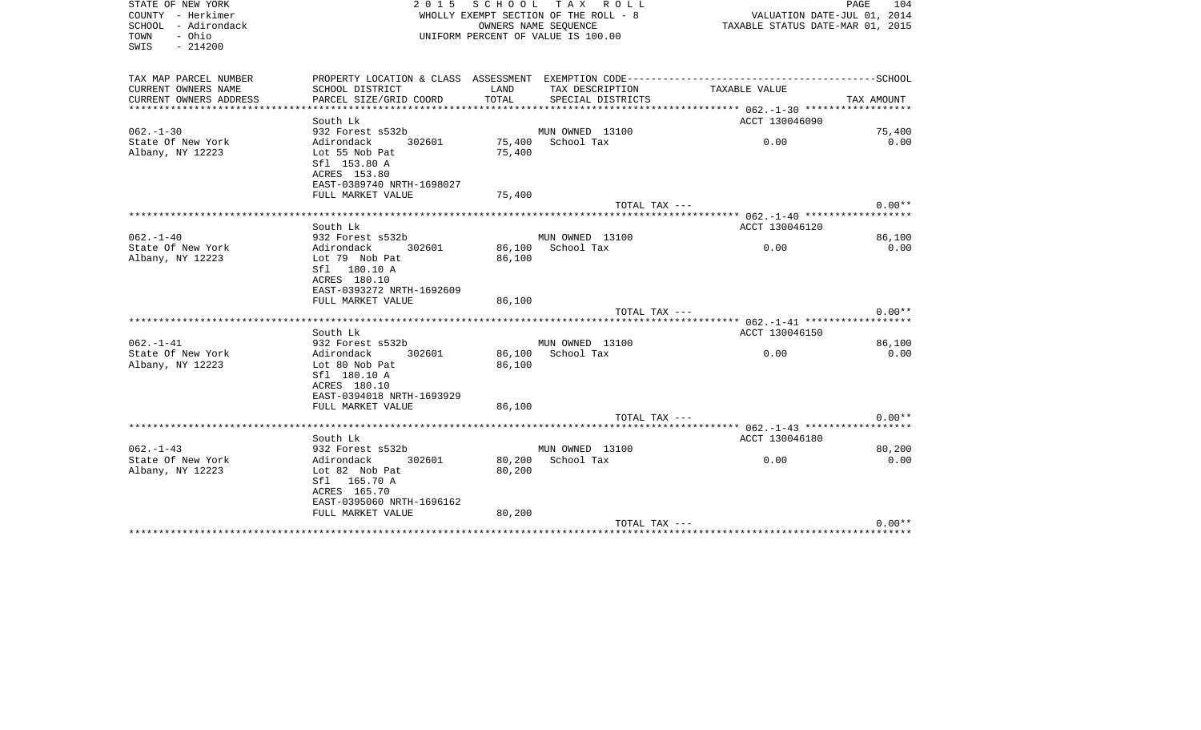| STATE OF NEW YORK<br>COUNTY - Herkimer<br>SCHOOL - Adirondack<br>- Ohio<br>TOWN<br>SWIS<br>$-214200$ | 2 0 1 5                                                                                                                  | SCHOOL                     | TAX ROLL<br>WHOLLY EXEMPT SECTION OF THE ROLL - 8<br>OWNERS NAME SEOUENCE<br>UNIFORM PERCENT OF VALUE IS 100.00 | VALUATION DATE-JUL 01, 2014<br>TAXABLE STATUS DATE-MAR 01, 2015                              | PAGE<br>104    |
|------------------------------------------------------------------------------------------------------|--------------------------------------------------------------------------------------------------------------------------|----------------------------|-----------------------------------------------------------------------------------------------------------------|----------------------------------------------------------------------------------------------|----------------|
| TAX MAP PARCEL NUMBER                                                                                |                                                                                                                          |                            |                                                                                                                 | PROPERTY LOCATION & CLASS ASSESSMENT EXEMPTION CODE-----------------------------------SCHOOL |                |
| CURRENT OWNERS NAME<br>CURRENT OWNERS ADDRESS                                                        | SCHOOL DISTRICT<br>PARCEL SIZE/GRID COORD                                                                                | LAND<br>TOTAL              | TAX DESCRIPTION<br>SPECIAL DISTRICTS                                                                            | TAXABLE VALUE                                                                                | TAX AMOUNT     |
| *************************                                                                            |                                                                                                                          |                            |                                                                                                                 |                                                                                              |                |
| $062. - 1 - 30$                                                                                      | South Lk<br>932 Forest s532b                                                                                             |                            | MUN OWNED 13100                                                                                                 | ACCT 130046090                                                                               | 75,400         |
| State Of New York                                                                                    | Adirondack<br>302601                                                                                                     | 75,400                     | School Tax                                                                                                      | 0.00                                                                                         | 0.00           |
| Albany, NY 12223                                                                                     | Lot 55 Nob Pat<br>Sfl 153.80 A<br>ACRES 153.80<br>EAST-0389740 NRTH-1698027                                              | 75,400                     |                                                                                                                 |                                                                                              |                |
|                                                                                                      | FULL MARKET VALUE                                                                                                        | 75,400                     |                                                                                                                 |                                                                                              |                |
|                                                                                                      |                                                                                                                          |                            | TOTAL TAX ---                                                                                                   |                                                                                              | $0.00**$       |
|                                                                                                      | *******************                                                                                                      |                            |                                                                                                                 | ***** 062.-1-40 *****************                                                            |                |
| $062. - 1 - 40$                                                                                      | South Lk                                                                                                                 |                            |                                                                                                                 | ACCT 130046120                                                                               |                |
| State Of New York                                                                                    | 932 Forest s532b<br>Adirondack<br>302601                                                                                 | 86,100                     | MUN OWNED 13100<br>School Tax                                                                                   | 0.00                                                                                         | 86,100<br>0.00 |
| Albany, NY 12223                                                                                     | Lot 79 Nob Pat<br>Sfl 180.10 A<br>ACRES 180.10<br>EAST-0393272 NRTH-1692609<br>FULL MARKET VALUE                         | 86,100<br>86,100           |                                                                                                                 |                                                                                              |                |
|                                                                                                      |                                                                                                                          |                            | $TOTAL$ $TAX$ $---$                                                                                             |                                                                                              | $0.00**$       |
|                                                                                                      | South Lk                                                                                                                 |                            |                                                                                                                 | ACCT 130046150                                                                               |                |
| $062. -1 -41$                                                                                        | 932 Forest s532b                                                                                                         |                            | MUN OWNED 13100                                                                                                 |                                                                                              | 86,100         |
| State Of New York<br>Albany, NY 12223                                                                | Adirondack<br>302601<br>Lot 80 Nob Pat<br>Sfl 180.10 A<br>ACRES 180.10<br>EAST-0394018 NRTH-1693929<br>FULL MARKET VALUE | 86,100<br>86,100<br>86,100 | School Tax                                                                                                      | 0.00                                                                                         | 0.00           |
|                                                                                                      |                                                                                                                          |                            | TOTAL TAX ---                                                                                                   |                                                                                              | $0.00**$       |
|                                                                                                      |                                                                                                                          |                            |                                                                                                                 |                                                                                              |                |
|                                                                                                      | South Lk                                                                                                                 |                            |                                                                                                                 | ACCT 130046180                                                                               |                |
| $062. -1 - 43$                                                                                       | 932 Forest s532b                                                                                                         |                            | MUN OWNED 13100                                                                                                 |                                                                                              | 80,200         |
| State Of New York<br>Albany, NY 12223                                                                | Adirondack<br>302601<br>Lot 82 Nob Pat<br>Sfl 165.70 A<br>ACRES 165.70<br>EAST-0395060 NRTH-1696162                      | 80,200<br>80,200           | School Tax                                                                                                      | 0.00                                                                                         | 0.00           |
|                                                                                                      | FULL MARKET VALUE                                                                                                        | 80,200                     | TOTAL TAX ---                                                                                                   |                                                                                              | $0.00**$       |
|                                                                                                      |                                                                                                                          |                            |                                                                                                                 |                                                                                              |                |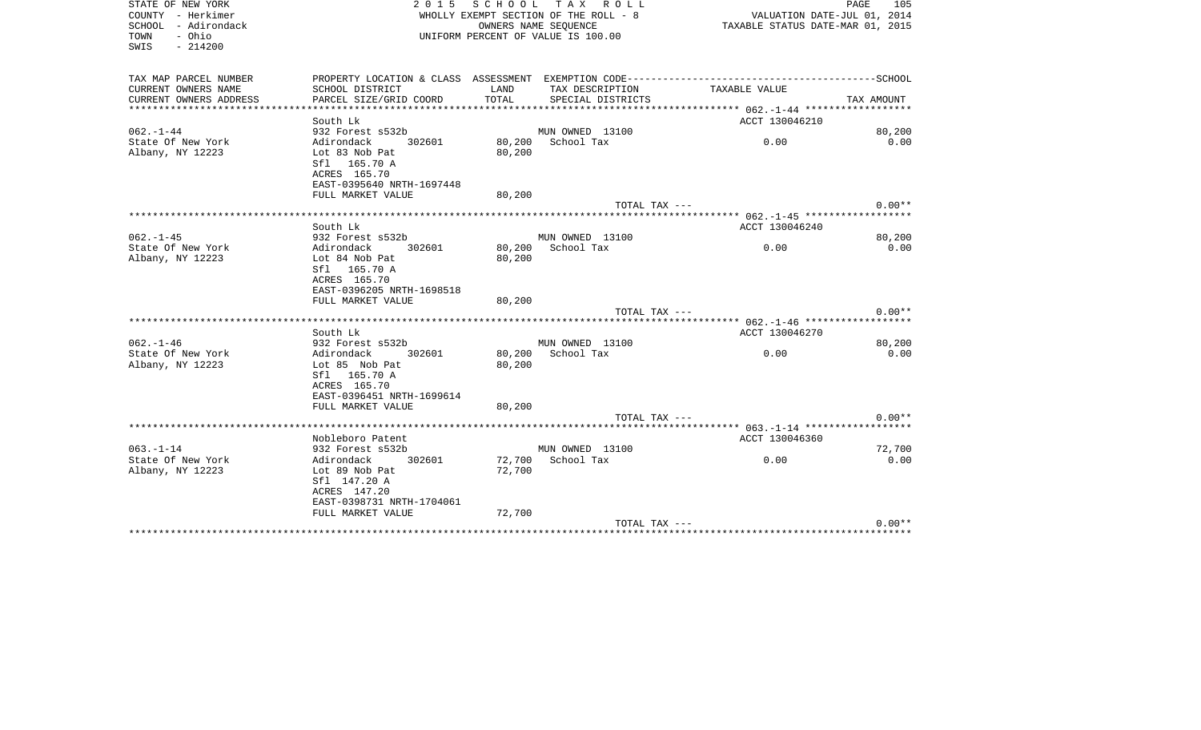| STATE OF NEW YORK<br>COUNTY - Herkimer<br>SCHOOL - Adirondack<br>- Ohio<br>TOWN<br>$-214200$<br>SWIS | S C H O O L<br>TAX ROLL<br>2 0 1 5<br>WHOLLY EXEMPT SECTION OF THE ROLL - 8<br>OWNERS NAME SEQUENCE<br>UNIFORM PERCENT OF VALUE IS 100.00 |                            |                                      | PAGE<br>105<br>VALUATION DATE-JUL 01, 2014<br>TAXABLE STATUS DATE-MAR 01, 2015 |                |  |
|------------------------------------------------------------------------------------------------------|-------------------------------------------------------------------------------------------------------------------------------------------|----------------------------|--------------------------------------|--------------------------------------------------------------------------------|----------------|--|
| TAX MAP PARCEL NUMBER                                                                                |                                                                                                                                           |                            |                                      |                                                                                |                |  |
| CURRENT OWNERS NAME<br>CURRENT OWNERS ADDRESS                                                        | SCHOOL DISTRICT<br>PARCEL SIZE/GRID COORD                                                                                                 | LAND<br>TOTAL              | TAX DESCRIPTION<br>SPECIAL DISTRICTS | TAXABLE VALUE                                                                  | TAX AMOUNT     |  |
| ********************                                                                                 |                                                                                                                                           |                            |                                      |                                                                                |                |  |
|                                                                                                      | South Lk                                                                                                                                  |                            |                                      | ACCT 130046210                                                                 |                |  |
| $062 - 1 - 44$                                                                                       | 932 Forest s532b                                                                                                                          |                            | MUN OWNED 13100                      |                                                                                | 80,200         |  |
| State Of New York<br>Albany, NY 12223                                                                | Adirondack<br>302601<br>Lot 83 Nob Pat<br>Sfl 165.70 A<br>ACRES 165.70<br>EAST-0395640 NRTH-1697448                                       | 80,200<br>80,200           | School Tax                           | 0.00                                                                           | 0.00           |  |
|                                                                                                      | FULL MARKET VALUE                                                                                                                         | 80,200                     |                                      |                                                                                |                |  |
|                                                                                                      |                                                                                                                                           |                            | TOTAL TAX ---                        |                                                                                | $0.00**$       |  |
|                                                                                                      |                                                                                                                                           |                            |                                      |                                                                                |                |  |
|                                                                                                      | South Lk                                                                                                                                  |                            |                                      | ACCT 130046240                                                                 |                |  |
| $062. - 1 - 45$                                                                                      | 932 Forest s532b<br>302601<br>Adirondack                                                                                                  | 80,200                     | MUN OWNED 13100<br>School Tax        | 0.00                                                                           | 80,200<br>0.00 |  |
| State Of New York<br>Albany, NY 12223                                                                | Lot 84 Nob Pat<br>Sfl 165.70 A<br>ACRES 165.70<br>EAST-0396205 NRTH-1698518                                                               | 80,200                     |                                      |                                                                                |                |  |
|                                                                                                      | FULL MARKET VALUE                                                                                                                         | 80,200                     | TOTAL TAX ---                        |                                                                                | $0.00**$       |  |
|                                                                                                      |                                                                                                                                           |                            |                                      |                                                                                |                |  |
|                                                                                                      | South Lk                                                                                                                                  |                            |                                      | ACCT 130046270                                                                 |                |  |
| $062. - 1 - 46$                                                                                      | 932 Forest s532b                                                                                                                          |                            | MUN OWNED 13100                      |                                                                                | 80,200         |  |
| State Of New York<br>Albany, NY 12223                                                                | 302601<br>Adirondack<br>Lot 85 Nob Pat<br>Sfl 165.70 A<br>ACRES 165.70<br>EAST-0396451 NRTH-1699614<br>FULL MARKET VALUE                  | 80,200<br>80,200<br>80,200 | School Tax                           | 0.00                                                                           | 0.00           |  |
|                                                                                                      |                                                                                                                                           |                            | TOTAL TAX ---                        |                                                                                | $0.00**$       |  |
|                                                                                                      |                                                                                                                                           |                            |                                      | ******* 063.-1-14 *************                                                |                |  |
|                                                                                                      | Nobleboro Patent                                                                                                                          |                            |                                      | ACCT 130046360                                                                 |                |  |
| $063. -1 - 14$                                                                                       | 932 Forest s532b                                                                                                                          |                            | MUN OWNED 13100<br>School Tax        |                                                                                | 72,700         |  |
| State Of New York<br>Albany, NY 12223                                                                | Adirondack<br>302601<br>Lot 89 Nob Pat<br>Sfl 147.20 A<br>ACRES 147.20<br>EAST-0398731 NRTH-1704061<br>FULL MARKET VALUE                  | 72,700<br>72,700<br>72,700 |                                      | 0.00                                                                           | 0.00           |  |
|                                                                                                      |                                                                                                                                           |                            | TOTAL TAX ---                        |                                                                                | $0.00**$       |  |
|                                                                                                      |                                                                                                                                           |                            |                                      | **************************************                                         |                |  |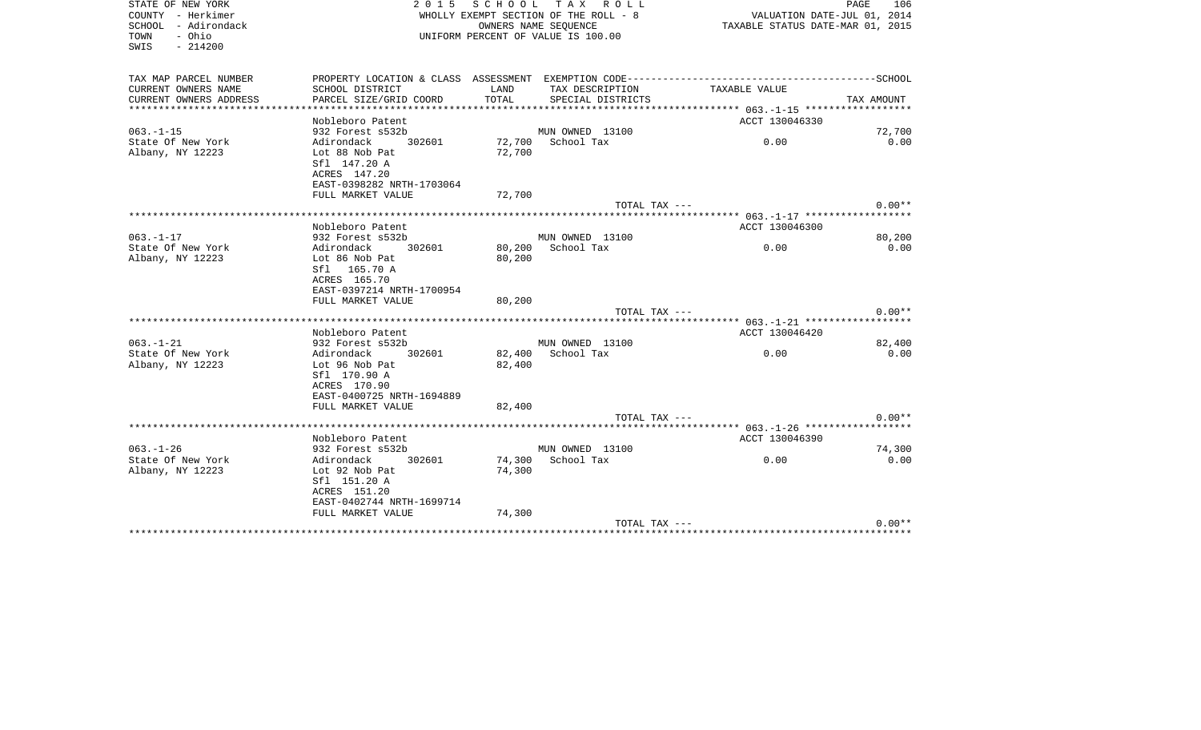| STATE OF NEW YORK<br>COUNTY - Herkimer<br>SCHOOL - Adirondack<br>- Ohio<br>TOWN<br>$-214200$<br>SWIS | S C H O O L<br>2 0 1 5<br>TAX ROLL<br>WHOLLY EXEMPT SECTION OF THE ROLL - 8<br>OWNERS NAME SEQUENCE<br>UNIFORM PERCENT OF VALUE IS 100.00 |                  |                                      |                                                                                              | PAGE<br>106<br>VALUATION DATE-JUL 01, 2014<br>TAXABLE STATUS DATE-MAR 01, 2015 |  |
|------------------------------------------------------------------------------------------------------|-------------------------------------------------------------------------------------------------------------------------------------------|------------------|--------------------------------------|----------------------------------------------------------------------------------------------|--------------------------------------------------------------------------------|--|
| TAX MAP PARCEL NUMBER                                                                                |                                                                                                                                           |                  |                                      | PROPERTY LOCATION & CLASS ASSESSMENT EXEMPTION CODE-----------------------------------SCHOOL |                                                                                |  |
| CURRENT OWNERS NAME<br>CURRENT OWNERS ADDRESS                                                        | SCHOOL DISTRICT<br>PARCEL SIZE/GRID COORD                                                                                                 | LAND<br>TOTAL    | TAX DESCRIPTION<br>SPECIAL DISTRICTS | TAXABLE VALUE                                                                                | TAX AMOUNT                                                                     |  |
| *********************                                                                                | * * * * * * * * * * * * * * * *                                                                                                           |                  |                                      |                                                                                              |                                                                                |  |
|                                                                                                      | Nobleboro Patent                                                                                                                          |                  |                                      | ACCT 130046330                                                                               |                                                                                |  |
| $063. -1 -15$                                                                                        | 932 Forest s532b<br>Adirondack<br>302601                                                                                                  |                  | MUN OWNED 13100<br>School Tax        | 0.00                                                                                         | 72,700<br>0.00                                                                 |  |
| State Of New York<br>Albany, NY 12223                                                                | Lot 88 Nob Pat<br>Sfl 147.20 A<br>ACRES 147.20<br>EAST-0398282 NRTH-1703064                                                               | 72,700<br>72,700 |                                      |                                                                                              |                                                                                |  |
|                                                                                                      | FULL MARKET VALUE                                                                                                                         | 72,700           |                                      |                                                                                              |                                                                                |  |
|                                                                                                      |                                                                                                                                           |                  | TOTAL TAX ---                        |                                                                                              | $0.00**$                                                                       |  |
|                                                                                                      |                                                                                                                                           |                  |                                      |                                                                                              |                                                                                |  |
| $063. - 1 - 17$                                                                                      | Nobleboro Patent<br>932 Forest s532b                                                                                                      |                  | MUN OWNED 13100                      | ACCT 130046300                                                                               |                                                                                |  |
| State Of New York                                                                                    | Adirondack<br>302601                                                                                                                      | 80,200           | School Tax                           | 0.00                                                                                         | 80,200<br>0.00                                                                 |  |
| Albany, NY 12223                                                                                     | Lot 86 Nob Pat<br>Sfl 165.70 A<br>ACRES 165.70<br>EAST-0397214 NRTH-1700954                                                               | 80,200           |                                      |                                                                                              |                                                                                |  |
|                                                                                                      | FULL MARKET VALUE                                                                                                                         | 80,200           | TOTAL TAX ---                        |                                                                                              | $0.00**$                                                                       |  |
|                                                                                                      |                                                                                                                                           |                  |                                      |                                                                                              |                                                                                |  |
|                                                                                                      | Nobleboro Patent                                                                                                                          |                  |                                      | ACCT 130046420                                                                               |                                                                                |  |
| $063. -1 - 21$                                                                                       | 932 Forest s532b                                                                                                                          |                  | MUN OWNED 13100                      |                                                                                              | 82,400                                                                         |  |
| State Of New York                                                                                    | Adirondack<br>302601                                                                                                                      | 82,400           | School Tax                           | 0.00                                                                                         | 0.00                                                                           |  |
| Albany, NY 12223                                                                                     | Lot 96 Nob Pat<br>Sfl 170.90 A<br>ACRES 170.90<br>EAST-0400725 NRTH-1694889<br>FULL MARKET VALUE                                          | 82,400<br>82,400 |                                      |                                                                                              |                                                                                |  |
|                                                                                                      |                                                                                                                                           |                  | TOTAL TAX ---                        |                                                                                              | $0.00**$                                                                       |  |
|                                                                                                      |                                                                                                                                           |                  |                                      | ***** 063.-1-26 ******************                                                           |                                                                                |  |
| $063. - 1 - 26$                                                                                      | Nobleboro Patent                                                                                                                          |                  |                                      | ACCT 130046390                                                                               | 74,300                                                                         |  |
| State Of New York                                                                                    | 932 Forest s532b<br>Adirondack<br>302601                                                                                                  | 74,300           | MUN OWNED 13100<br>School Tax        | 0.00                                                                                         | 0.00                                                                           |  |
| Albany, NY 12223                                                                                     | Lot 92 Nob Pat<br>Sfl 151.20 A<br>ACRES 151.20<br>EAST-0402744 NRTH-1699714<br>FULL MARKET VALUE                                          | 74,300<br>74,300 |                                      |                                                                                              |                                                                                |  |
|                                                                                                      |                                                                                                                                           |                  | TOTAL TAX ---                        |                                                                                              | $0.00**$                                                                       |  |
|                                                                                                      |                                                                                                                                           |                  |                                      |                                                                                              |                                                                                |  |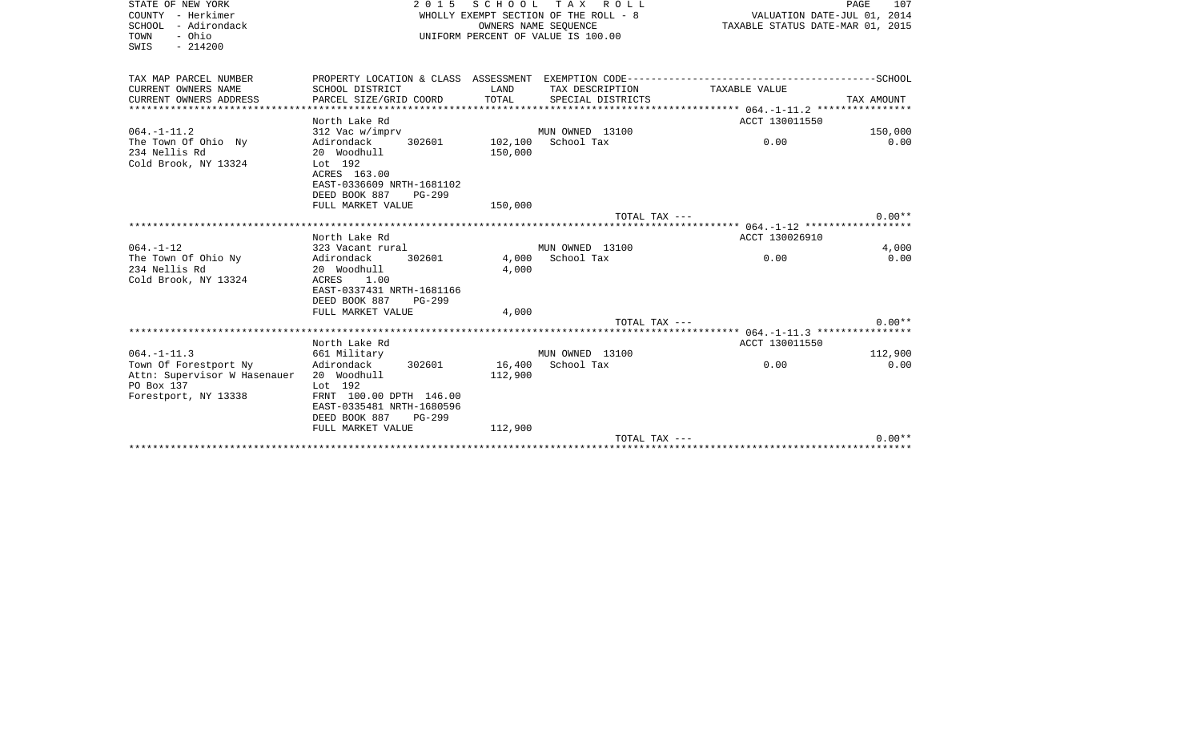| STATE OF NEW YORK<br>COUNTY - Herkimer<br>SCHOOL - Adirondack<br>- Ohio<br>TOWN<br>$-214200$<br>SWIS | 2 0 1 5                                                                                                                                     | SCHOOL             | T A X<br>R O L L<br>WHOLLY EXEMPT SECTION OF THE ROLL - 8<br>OWNERS NAME SEOUENCE<br>UNIFORM PERCENT OF VALUE IS 100.00 | TAXABLE STATUS DATE-MAR 01, 2015                                                                              | 107<br>PAGE<br>VALUATION DATE-JUL 01, 2014 |
|------------------------------------------------------------------------------------------------------|---------------------------------------------------------------------------------------------------------------------------------------------|--------------------|-------------------------------------------------------------------------------------------------------------------------|---------------------------------------------------------------------------------------------------------------|--------------------------------------------|
| TAX MAP PARCEL NUMBER<br>CURRENT OWNERS NAME                                                         | SCHOOL DISTRICT                                                                                                                             | LAND               | TAX DESCRIPTION                                                                                                         | PROPERTY LOCATION & CLASS ASSESSMENT EXEMPTION CODE-----------------------------------SCHOOL<br>TAXABLE VALUE |                                            |
| CURRENT OWNERS ADDRESS                                                                               | PARCEL SIZE/GRID COORD                                                                                                                      | TOTAL              | SPECIAL DISTRICTS                                                                                                       |                                                                                                               | TAX AMOUNT                                 |
|                                                                                                      | North Lake Rd                                                                                                                               |                    |                                                                                                                         | ACCT 130011550                                                                                                |                                            |
| $064. - 1 - 11.2$<br>The Town Of Ohio Ny<br>234 Nellis Rd<br>Cold Brook, NY 13324                    | 312 Vac w/imprv<br>302601<br>Adirondack<br>20 Woodhull<br>Lot 192<br>ACRES 163.00<br>EAST-0336609 NRTH-1681102<br>DEED BOOK 887<br>$PG-299$ | 102,100<br>150,000 | MUN OWNED 13100<br>School Tax                                                                                           | 0.00                                                                                                          | 150,000<br>0.00                            |
|                                                                                                      | FULL MARKET VALUE                                                                                                                           | 150,000            |                                                                                                                         |                                                                                                               |                                            |
|                                                                                                      |                                                                                                                                             |                    | TOTAL TAX ---                                                                                                           |                                                                                                               | $0.00**$                                   |
|                                                                                                      | North Lake Rd                                                                                                                               |                    |                                                                                                                         | ACCT 130026910                                                                                                |                                            |
| $064. - 1 - 12$                                                                                      | 323 Vacant rural                                                                                                                            |                    | MUN OWNED 13100                                                                                                         |                                                                                                               | 4,000                                      |
| The Town Of Ohio Ny<br>234 Nellis Rd<br>Cold Brook, NY 13324                                         | Adirondack<br>302601<br>20 Woodhull<br>ACRES<br>1.00<br>EAST-0337431 NRTH-1681166<br>DEED BOOK 887<br>$PG-299$                              | 4,000<br>4,000     | School Tax                                                                                                              | 0.00                                                                                                          | 0.00                                       |
|                                                                                                      | FULL MARKET VALUE                                                                                                                           | 4,000              |                                                                                                                         |                                                                                                               |                                            |
|                                                                                                      |                                                                                                                                             |                    | TOTAL TAX ---                                                                                                           |                                                                                                               | $0.00**$                                   |
|                                                                                                      | North Lake Rd                                                                                                                               |                    |                                                                                                                         | ACCT 130011550                                                                                                |                                            |
| $064. -1 - 11.3$<br>Town Of Forestport Ny<br>Attn: Supervisor W Hasenauer<br>PO Box 137              | 661 Military<br>Adirondack<br>302601<br>20 Woodhull<br>Lot 192                                                                              | 16,400<br>112,900  | MUN OWNED 13100<br>School Tax                                                                                           | 0.00                                                                                                          | 112,900<br>0.00                            |
| Forestport, NY 13338                                                                                 | FRNT 100.00 DPTH 146.00<br>EAST-0335481 NRTH-1680596<br>DEED BOOK 887<br>$PG-299$                                                           |                    |                                                                                                                         |                                                                                                               |                                            |
|                                                                                                      | FULL MARKET VALUE                                                                                                                           | 112,900            | TOTAL TAX ---                                                                                                           |                                                                                                               | $0.00**$                                   |
|                                                                                                      |                                                                                                                                             |                    |                                                                                                                         |                                                                                                               |                                            |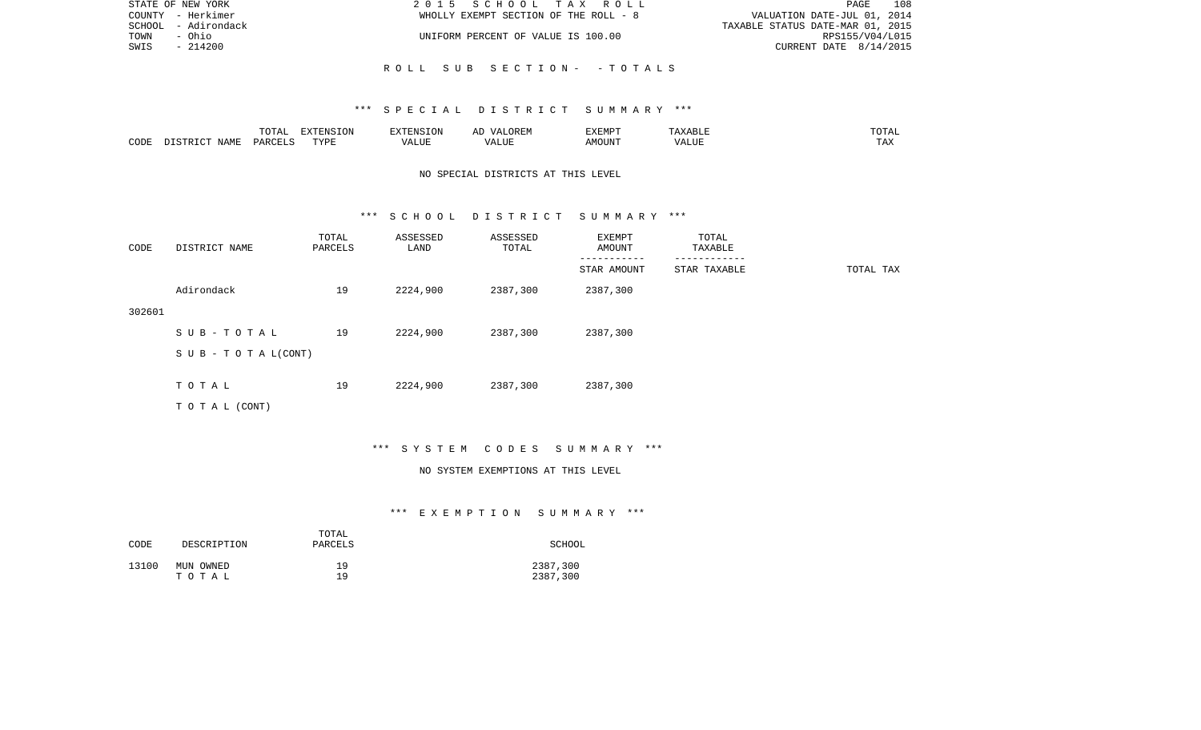| STATE OF NEW YORK   | 2015 SCHOOL TAX ROLL                  | 108<br>PAGE                      |
|---------------------|---------------------------------------|----------------------------------|
| COUNTY - Herkimer   | WHOLLY EXEMPT SECTION OF THE ROLL - 8 | VALUATION DATE-JUL 01, 2014      |
| SCHOOL - Adirondack |                                       | TAXABLE STATUS DATE-MAR 01, 2015 |
| TOWN<br>- Ohio      | UNIFORM PERCENT OF VALUE IS 100.00    | RPS155/V04/L015                  |
| SWIS<br>- 214200    |                                       | CURRENT DATE $8/14/2015$         |
|                     |                                       |                                  |

R O L L S U B S E C T I O N - - T O T A L S

|      |       | <b>momm</b><br>◡∸⊷                | EXTENSION   | $7 - 21$       | $\cdots$ | 57735705<br>. .<br>7 YEME |                              | ΉД.<br>- - - - -       |
|------|-------|-----------------------------------|-------------|----------------|----------|---------------------------|------------------------------|------------------------|
| CODE | NAME. | $\alpha$ DORT $\tau$<br><b>DA</b> | <b>TIZE</b> | T T T<br>/ALUE |          | MOUN.                     | $-77$<br>$\lambda$<br>٬ اسد. | $m \times n$<br>⊥ டு∡: |

# NO SPECIAL DISTRICTS AT THIS LEVEL

### \*\*\* S C H O O L D I S T R I C T S U M M A R Y \*\*\*

| CODE   | DISTRICT NAME                    | TOTAL<br>PARCELS | ASSESSED<br>LAND | ASSESSED<br>TOTAL | EXEMPT<br>AMOUNT | TOTAL<br>TAXABLE |           |
|--------|----------------------------------|------------------|------------------|-------------------|------------------|------------------|-----------|
|        |                                  |                  |                  |                   | STAR AMOUNT      | STAR TAXABLE     | TOTAL TAX |
|        | Adirondack                       | 19               | 2224,900         | 2387,300          | 2387,300         |                  |           |
| 302601 |                                  |                  |                  |                   |                  |                  |           |
|        | SUB-TOTAL                        | 19               | 2224,900         | 2387,300          | 2387,300         |                  |           |
|        | $S \cup B - T \cup T A L (CONT)$ |                  |                  |                   |                  |                  |           |
|        |                                  |                  |                  |                   |                  |                  |           |
|        | TOTAL                            | 19               | 2224,900         | 2387,300          | 2387,300         |                  |           |
|        | TO TAL (CONT)                    |                  |                  |                   |                  |                  |           |

### \*\*\* S Y S T E M C O D E S S U M M A R Y \*\*\*

### NO SYSTEM EXEMPTIONS AT THIS LEVEL

| CODE  | DESCRIPTION | TOTAL<br>PARCELS | SCHOOL   |
|-------|-------------|------------------|----------|
| 13100 | MUN OWNED   | 19               | 2387,300 |
|       | тотаь       | 1 Q              | 2387,300 |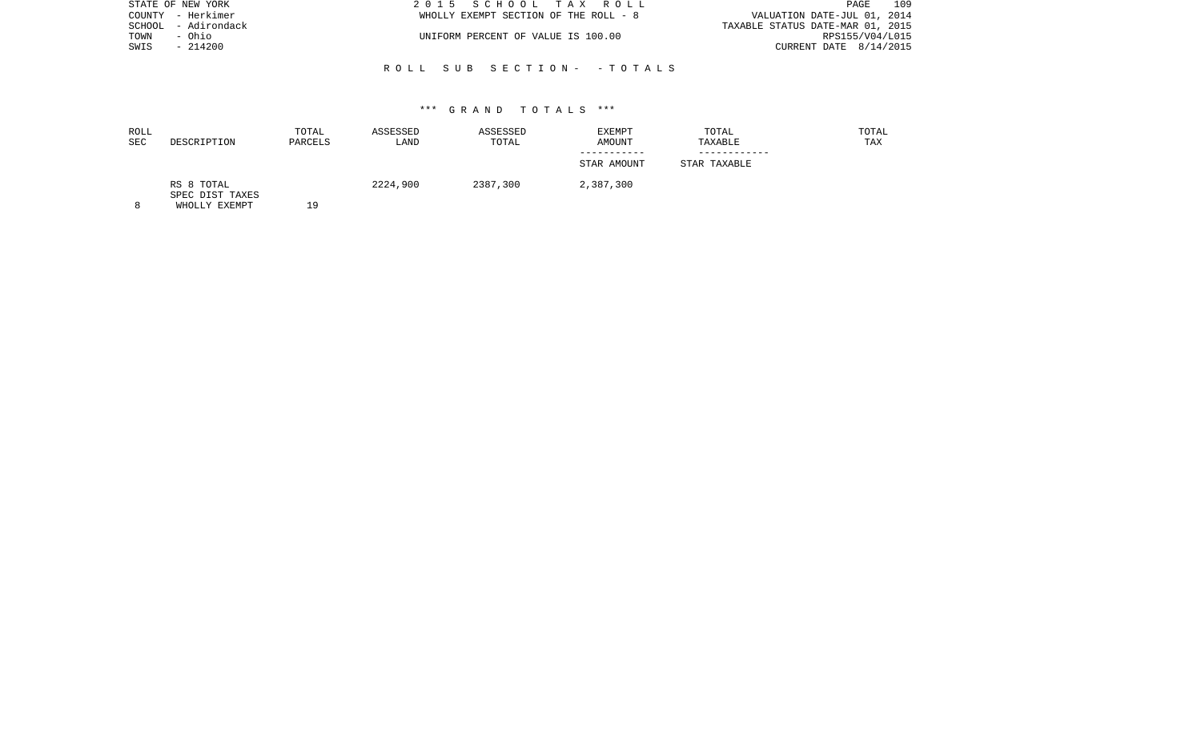|      | STATE OF NEW YORK   | 2015 SCHOOL TAX ROLL                  | 109<br>PAGE                      |
|------|---------------------|---------------------------------------|----------------------------------|
|      | COUNTY - Herkimer   | WHOLLY EXEMPT SECTION OF THE ROLL - 8 | VALUATION DATE-JUL 01, 2014      |
|      | SCHOOL - Adirondack |                                       | TAXABLE STATUS DATE-MAR 01, 2015 |
| TOWN | - Ohio              | UNIFORM PERCENT OF VALUE IS 100.00    | RPS155/V04/L015                  |
| SWIS | - 214200            |                                       | CURRENT DATE $8/14/2015$         |
|      |                     |                                       |                                  |

R O L L S U B S E C T I O N - - T O T A L S

| ROLL |                               | TOTAL   | ASSESSED | ASSESSED | EXEMPT      | TOTAL        | TOTAL |
|------|-------------------------------|---------|----------|----------|-------------|--------------|-------|
| SEC  | DESCRIPTION                   | PARCELS | LAND     | TOTAL    | AMOUNT      | TAXABLE      | TAX   |
|      |                               |         |          |          |             |              |       |
|      |                               |         |          |          | STAR AMOUNT | STAR TAXABLE |       |
|      | RS 8 TOTAL<br>SPEC DIST TAXES |         | 2224,900 | 2387,300 | 2,387,300   |              |       |
|      | <b>WILOLIVE WEMPT</b>         | າ ດ     |          |          |             |              |       |

8 WHOLLY EXEMPT 19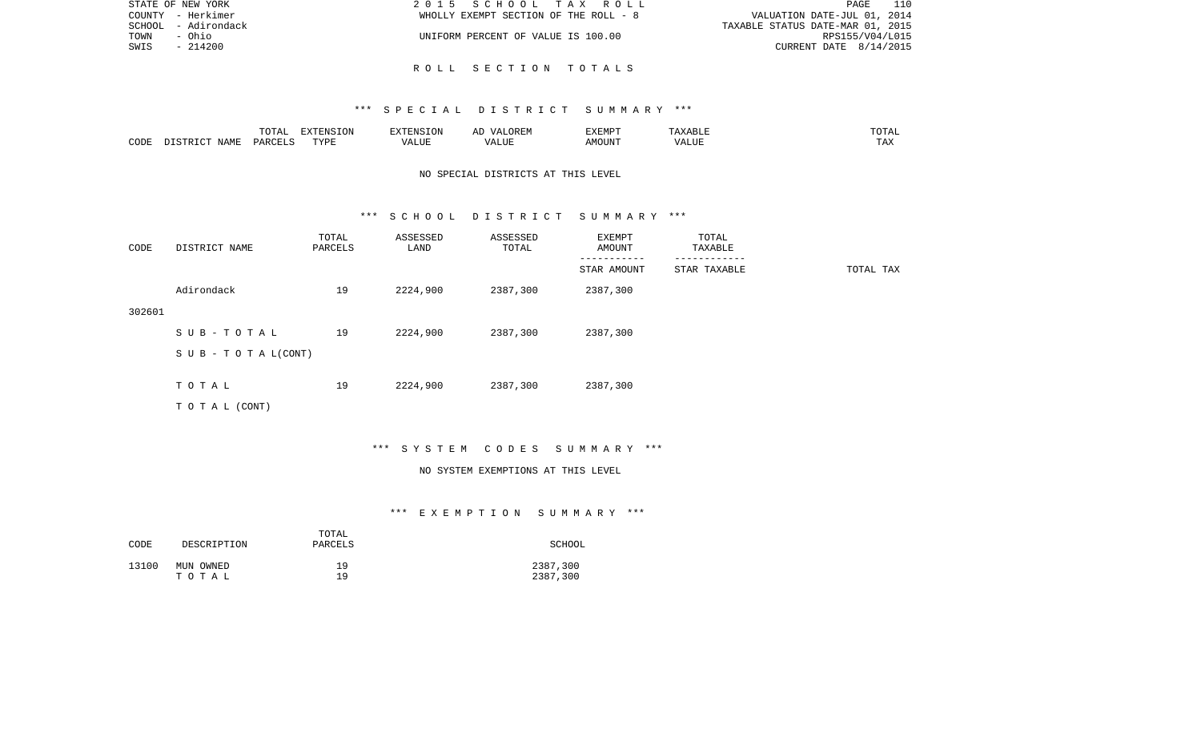| STATE OF NEW YORK   | 2015 SCHOOL TAX ROLL                  | 110<br>PAGE                      |
|---------------------|---------------------------------------|----------------------------------|
| COUNTY - Herkimer   | WHOLLY EXEMPT SECTION OF THE ROLL - 8 | VALUATION DATE-JUL 01, 2014      |
| SCHOOL - Adirondack |                                       | TAXABLE STATUS DATE-MAR 01, 2015 |
| TOWN<br>- Ohio      | UNIFORM PERCENT OF VALUE IS 100.00    | RPS155/V04/L015                  |
| SWIS<br>- 214200    |                                       | CURRENT DATE $8/14/2015$         |
|                     |                                       |                                  |

R O L L S E C T I O N T O T A L S

|      |                 | .<br>$\cdot$<br>⊥∪⊥⊓⊥ | ----<br>TOM<br>$\cdots$ | ∡∙NT⊂                   |             | 'XEMPT         | $\wedge$ $\overline{\phantom{0}}$ | ' Д<br>- - - - - |
|------|-----------------|-----------------------|-------------------------|-------------------------|-------------|----------------|-----------------------------------|------------------|
| CODE | JAMF<br>$ \sim$ | ، جمہوری              | TVDF<br>.               | $\cdots$<br><b>ALUL</b> | ,,,<br>שטעג | OUN".<br>. IVI | ----<br>ALUI                      | - ∠⊿             |

# NO SPECIAL DISTRICTS AT THIS LEVEL

### \*\*\* S C H O O L D I S T R I C T S U M M A R Y \*\*\*

| CODE   | DISTRICT NAME                    | TOTAL<br>PARCELS | ASSESSED<br>LAND | ASSESSED<br>TOTAL | EXEMPT<br>AMOUNT | TOTAL<br>TAXABLE |           |
|--------|----------------------------------|------------------|------------------|-------------------|------------------|------------------|-----------|
|        |                                  |                  |                  |                   | STAR AMOUNT      | STAR TAXABLE     | TOTAL TAX |
|        | Adirondack                       | 19               | 2224,900         | 2387,300          | 2387,300         |                  |           |
| 302601 |                                  |                  |                  |                   |                  |                  |           |
|        | SUB-TOTAL                        | 19               | 2224,900         | 2387,300          | 2387,300         |                  |           |
|        | $S \cup B - T \cup T A L (CONT)$ |                  |                  |                   |                  |                  |           |
|        |                                  |                  |                  |                   |                  |                  |           |
|        | TOTAL                            | 19               | 2224,900         | 2387,300          | 2387,300         |                  |           |
|        | TOTAL (CONT)                     |                  |                  |                   |                  |                  |           |

# \*\*\* S Y S T E M C O D E S S U M M A R Y \*\*\*

### NO SYSTEM EXEMPTIONS AT THIS LEVEL

| CODE  | DESCRIPTION | TOTAL<br>PARCELS | SCHOOL   |
|-------|-------------|------------------|----------|
| 13100 | MUN OWNED   | 19               | 2387,300 |
|       | тотаь       | 19               | 2387,300 |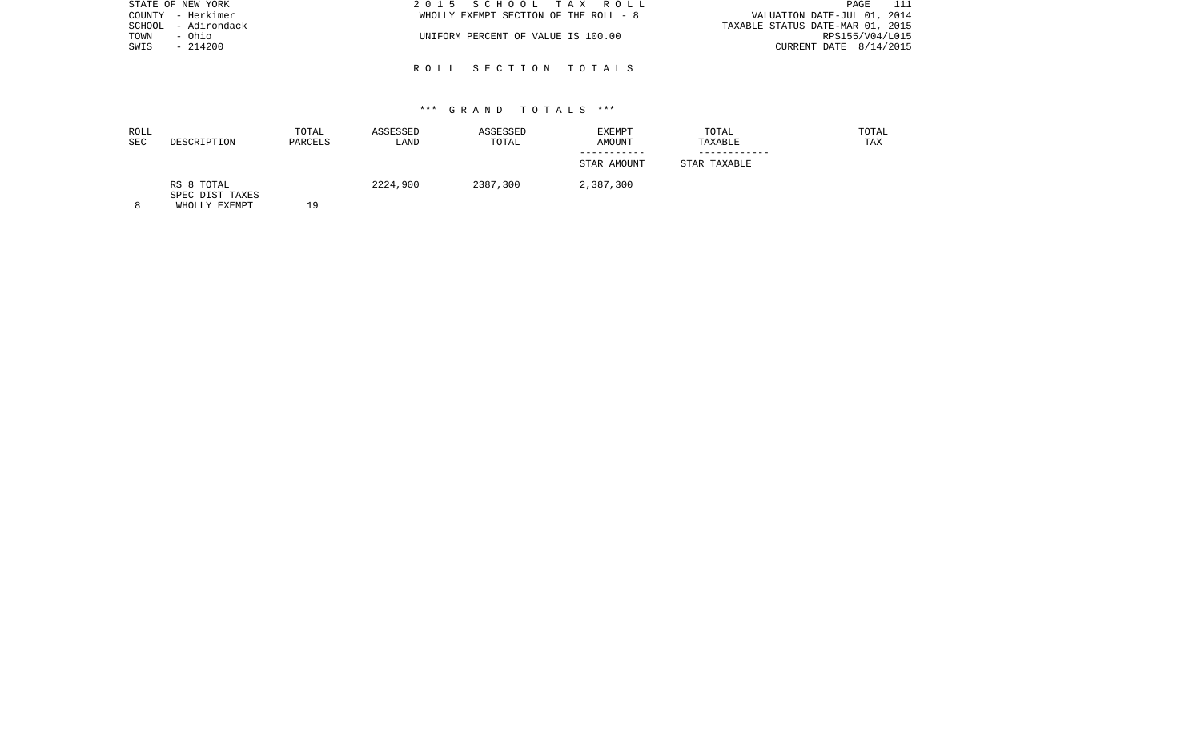| STATE OF NEW YORK   | 2015 SCHOOL TAX ROLL                  | - 111<br>PAGE                    |
|---------------------|---------------------------------------|----------------------------------|
| COUNTY - Herkimer   | WHOLLY EXEMPT SECTION OF THE ROLL - 8 | VALUATION DATE-JUL 01, 2014      |
| SCHOOL - Adirondack |                                       | TAXABLE STATUS DATE-MAR 01, 2015 |
| TOWN<br>- Ohio      | UNIFORM PERCENT OF VALUE IS 100.00    | RPS155/V04/L015                  |
| SWIS<br>- 214200    |                                       | CURRENT DATE 8/14/2015           |
|                     |                                       |                                  |

R O L L S E C T I O N T O T A L S

| ROLL<br>SEC | DESCRIPTION                                      | TOTAL<br>PARCELS | ASSESSED<br>LAND | ASSESSED<br>TOTAL | EXEMPT<br>AMOUNT | TOTAL<br>TAXABLE | TOTAL<br>TAX |
|-------------|--------------------------------------------------|------------------|------------------|-------------------|------------------|------------------|--------------|
|             |                                                  |                  |                  |                   | STAR AMOUNT      | STAR TAXABLE     |              |
| C           | RS 8 TOTAL<br>SPEC DIST TAXES<br>MILOI IV RYBMDE | 1 N              | 2224,900         | 2387,300          | 2,387,300        |                  |              |

8 WHOLLY EXEMPT 19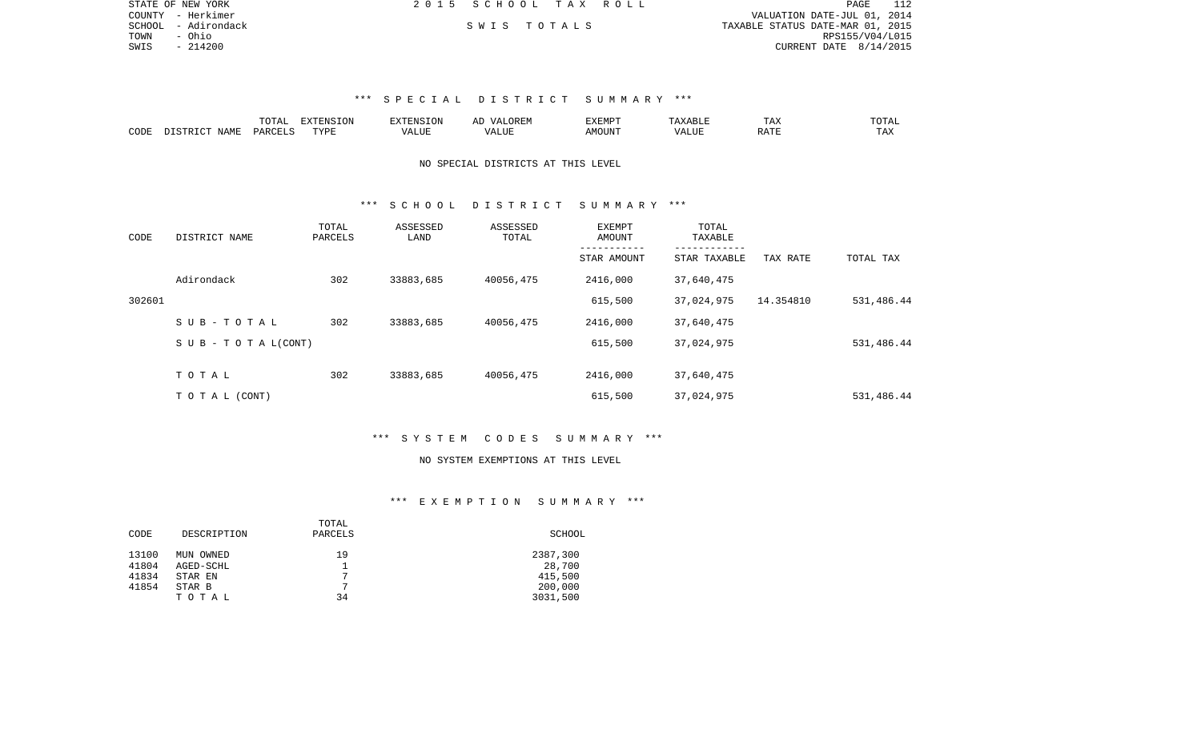|      | STATE OF NEW YORK   | 2015 SCHOOL TAX ROLL |  |                                  | PAGE                   | -112 |
|------|---------------------|----------------------|--|----------------------------------|------------------------|------|
|      | COUNTY - Herkimer   |                      |  | VALUATION DATE-JUL 01, 2014      |                        |      |
|      | SCHOOL - Adirondack | SWIS TOTALS          |  | TAXABLE STATUS DATE-MAR 01, 2015 |                        |      |
| TOWN | – Ohio              |                      |  |                                  | RPS155/V04/L015        |      |
| SWIS | - 214200            |                      |  |                                  | CURRENT DATE 8/14/2015 |      |

|                     |                    | ----<br>$\cdots$ |             | אד | A L | ″∽   |                                | ∸⊷           | $- - -$<br>.            |
|---------------------|--------------------|------------------|-------------|----|-----|------|--------------------------------|--------------|-------------------------|
| $\bigcap$ DE:<br>ىت | <b>TAML</b><br>`an | LARCET           | <b>TVDI</b> |    |     | 550T | $\prime\prime\prime\cdot$<br>. | <b>BRACE</b> | $m \times r$<br>- - - - |

# NO SPECIAL DISTRICTS AT THIS LEVEL

### \*\*\* S C H O O L D I S T R I C T S U M M A R Y \*\*\*

| CODE   | DISTRICT NAME                    | TOTAL<br>PARCELS | ASSESSED<br>LAND | ASSESSED<br>TOTAL | EXEMPT<br>AMOUNT | TOTAL<br>TAXABLE<br>------------ |           |            |
|--------|----------------------------------|------------------|------------------|-------------------|------------------|----------------------------------|-----------|------------|
|        |                                  |                  |                  |                   | STAR AMOUNT      | STAR TAXABLE                     | TAX RATE  | TOTAL TAX  |
|        | Adirondack                       | 302              | 33883,685        | 40056,475         | 2416,000         | 37,640,475                       |           |            |
| 302601 |                                  |                  |                  |                   | 615,500          | 37,024,975                       | 14.354810 | 531,486.44 |
|        | SUB-TOTAL                        | 302              | 33883,685        | 40056,475         | 2416,000         | 37,640,475                       |           |            |
|        | $S \cup B - T \cup T A L (CONT)$ |                  |                  |                   | 615,500          | 37,024,975                       |           | 531,486.44 |
|        |                                  |                  |                  |                   |                  |                                  |           |            |
|        | TOTAL                            | 302              | 33883,685        | 40056,475         | 2416,000         | 37,640,475                       |           |            |
|        | T O T A L (CONT)                 |                  |                  |                   | 615,500          | 37,024,975                       |           | 531,486.44 |

### \*\*\* S Y S T E M C O D E S S U M M A R Y \*\*\*

### NO SYSTEM EXEMPTIONS AT THIS LEVEL

|             | TOTAL     |          |
|-------------|-----------|----------|
| DESCRIPTION | PARCELS   | SCHOOL   |
|             |           |          |
|             |           | 2387,300 |
| AGED-SCHL   |           | 28,700   |
| STAR EN     | 7         | 415,500  |
| STAR B      | 7         | 200,000  |
| TOTAL       | 34        | 3031,500 |
|             | MUN OWNED | 19       |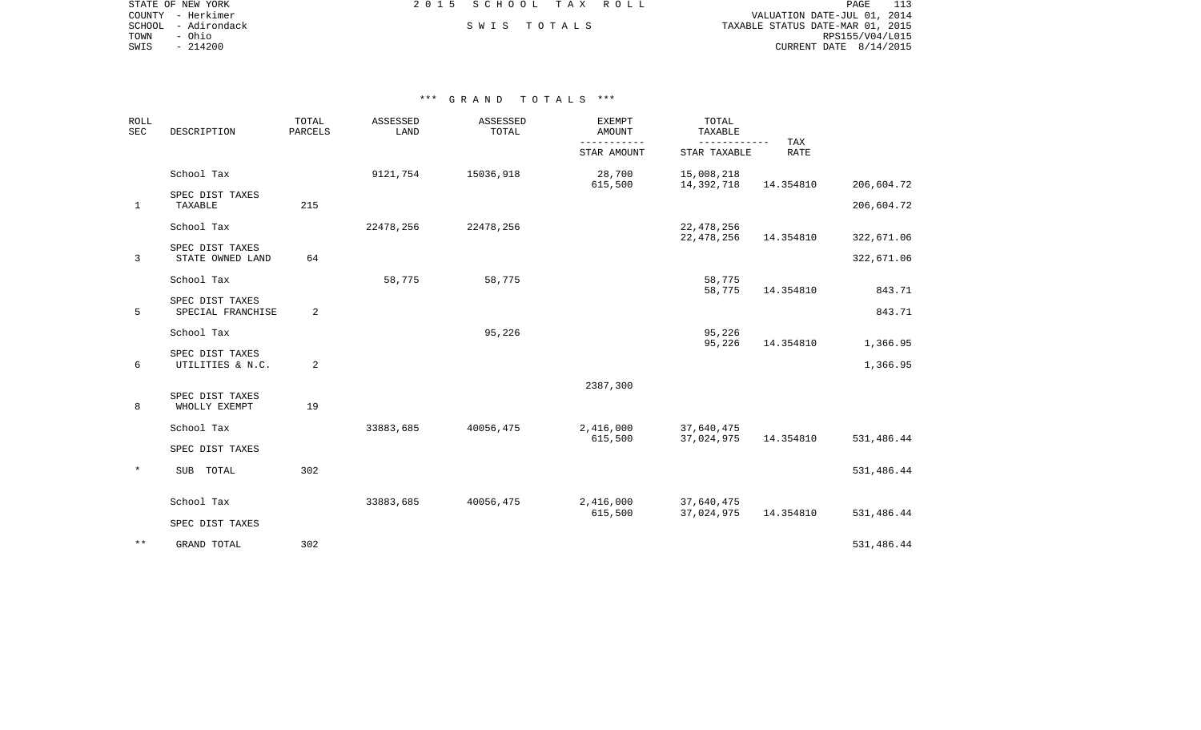|        | STATE OF NEW YORK | 2015 SCHOOL TAX ROLL |             |  | PAGE                             |
|--------|-------------------|----------------------|-------------|--|----------------------------------|
|        | COUNTY - Herkimer |                      |             |  | VALUATION DATE-JUL 01, 2014      |
| SCHOOL | - Adirondack      |                      | SWIS TOTALS |  | TAXABLE STATUS DATE-MAR 01, 2015 |
| TOWN   | - Ohio            |                      |             |  | RPS155/V04/L015                  |
| SWIS   | $-214200$         |                      |             |  | CURRENT DATE $8/14/2015$         |
|        |                   |                      |             |  |                                  |

| ROLL<br>SEC  | DESCRIPTION                          | TOTAL<br>PARCELS | ASSESSED<br>LAND | ASSESSED<br>TOTAL | <b>EXEMPT</b><br><b>AMOUNT</b> | TOTAL<br>TAXABLE             |                    |            |
|--------------|--------------------------------------|------------------|------------------|-------------------|--------------------------------|------------------------------|--------------------|------------|
|              |                                      |                  |                  |                   | -----------<br>STAR AMOUNT     | ------------<br>STAR TAXABLE | TAX<br><b>RATE</b> |            |
|              | School Tax                           |                  | 9121,754         | 15036,918         | 28,700<br>615,500              | 15,008,218<br>14,392,718     | 14.354810          | 206,604.72 |
| $\mathbf{1}$ | SPEC DIST TAXES<br>TAXABLE           | 215              |                  |                   |                                |                              |                    | 206,604.72 |
|              | School Tax                           |                  | 22478,256        | 22478,256         |                                | 22,478,256<br>22, 478, 256   | 14.354810          | 322,671.06 |
| 3            | SPEC DIST TAXES<br>STATE OWNED LAND  | 64               |                  |                   |                                |                              |                    | 322,671.06 |
|              | School Tax                           |                  | 58,775           | 58,775            |                                | 58,775<br>58,775             | 14.354810          | 843.71     |
| 5            | SPEC DIST TAXES<br>SPECIAL FRANCHISE | 2                |                  |                   |                                |                              |                    | 843.71     |
|              | School Tax                           |                  |                  | 95,226            |                                | 95,226<br>95,226             | 14.354810          | 1,366.95   |
| 6            | SPEC DIST TAXES<br>UTILITIES & N.C.  | 2                |                  |                   |                                |                              |                    | 1,366.95   |
|              |                                      |                  |                  |                   | 2387,300                       |                              |                    |            |
| 8            | SPEC DIST TAXES<br>WHOLLY EXEMPT     | 19               |                  |                   |                                |                              |                    |            |
|              | School Tax                           |                  | 33883,685        | 40056,475         | 2,416,000<br>615,500           | 37,640,475<br>37,024,975     | 14.354810          | 531,486.44 |
|              | SPEC DIST TAXES                      |                  |                  |                   |                                |                              |                    |            |
| $\star$      | SUB TOTAL                            | 302              |                  |                   |                                |                              |                    | 531,486.44 |
|              | School Tax                           |                  | 33883,685        | 40056,475         | 2,416,000<br>615,500           | 37,640,475<br>37,024,975     | 14.354810          | 531,486.44 |
|              | SPEC DIST TAXES                      |                  |                  |                   |                                |                              |                    |            |
| $***$        | <b>GRAND TOTAL</b>                   | 302              |                  |                   |                                |                              |                    | 531,486.44 |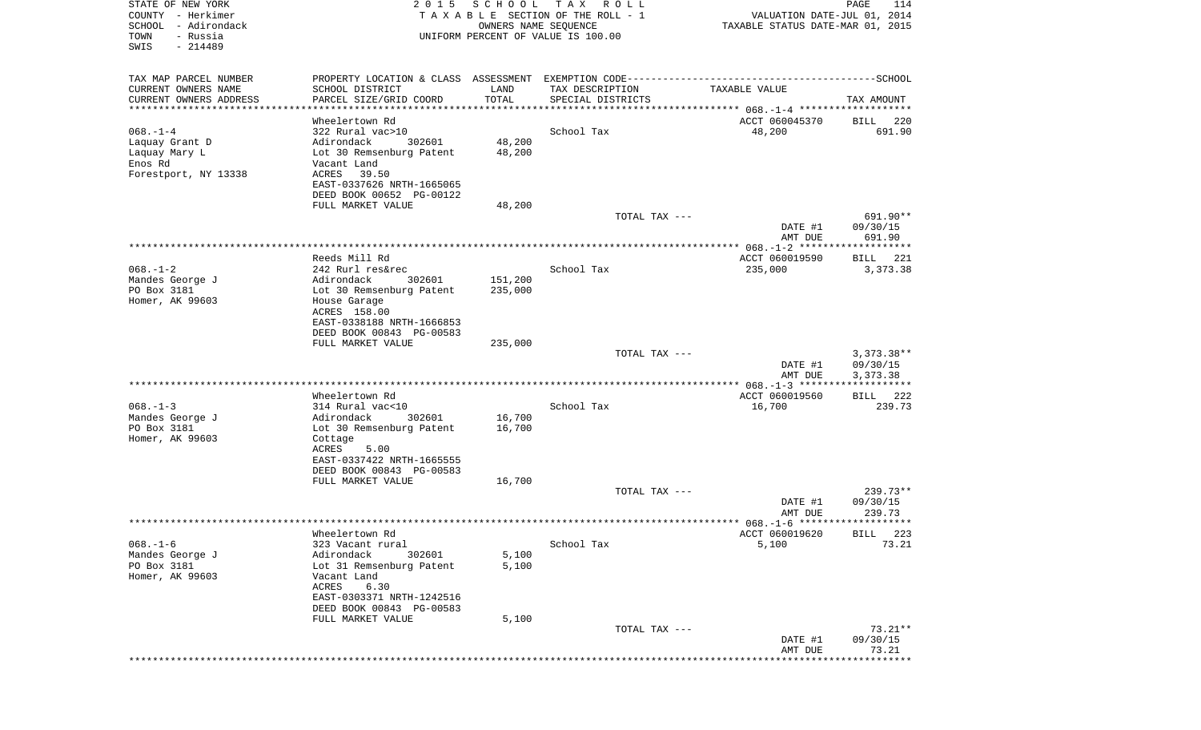| STATE OF NEW YORK<br>COUNTY - Herkimer<br>SCHOOL<br>- Adirondack<br>- Russia<br>TOWN<br>SWIS<br>$-214489$ | 2 0 1 5                                                                                                                                                                          | SCHOOL<br>OWNERS NAME SEQUENCE | T A X<br>R O L L<br>TAXABLE SECTION OF THE ROLL - 1<br>UNIFORM PERCENT OF VALUE IS 100.00 | VALUATION DATE-JUL 01, 2014<br>TAXABLE STATUS DATE-MAR 01, 2015 | PAGE<br>114                          |
|-----------------------------------------------------------------------------------------------------------|----------------------------------------------------------------------------------------------------------------------------------------------------------------------------------|--------------------------------|-------------------------------------------------------------------------------------------|-----------------------------------------------------------------|--------------------------------------|
| TAX MAP PARCEL NUMBER                                                                                     |                                                                                                                                                                                  |                                |                                                                                           |                                                                 |                                      |
| CURRENT OWNERS NAME<br>CURRENT OWNERS ADDRESS                                                             | SCHOOL DISTRICT<br>PARCEL SIZE/GRID COORD                                                                                                                                        | LAND<br>TOTAL                  | TAX DESCRIPTION<br>SPECIAL DISTRICTS                                                      | TAXABLE VALUE                                                   | TAX AMOUNT                           |
| ***********************                                                                                   |                                                                                                                                                                                  |                                |                                                                                           |                                                                 |                                      |
| $068. - 1 - 4$<br>Laquay Grant D<br>Laquay Mary L<br>Enos Rd<br>Forestport, NY 13338                      | Wheelertown Rd<br>322 Rural vac>10<br>Adirondack<br>302601<br>Lot 30 Remsenburg Patent<br>Vacant Land<br>ACRES<br>39.50<br>EAST-0337626 NRTH-1665065<br>DEED BOOK 00652 PG-00122 | 48,200<br>48,200               | School Tax                                                                                | ACCT 060045370<br>48,200                                        | 220<br>BILL<br>691.90                |
|                                                                                                           | FULL MARKET VALUE                                                                                                                                                                | 48,200                         | TOTAL TAX ---                                                                             |                                                                 | 691.90**                             |
|                                                                                                           |                                                                                                                                                                                  |                                |                                                                                           | DATE #1<br>AMT DUE                                              | 09/30/15<br>691.90                   |
|                                                                                                           |                                                                                                                                                                                  |                                |                                                                                           |                                                                 |                                      |
|                                                                                                           | Reeds Mill Rd                                                                                                                                                                    |                                |                                                                                           | ACCT 060019590                                                  | BILL 221                             |
| $068. - 1 - 2$<br>Mandes George J<br>PO Box 3181<br>Homer, AK 99603                                       | 242 Rurl res&rec<br>Adirondack<br>302601<br>Lot 30 Remsenburg Patent<br>House Garage<br>ACRES 158.00<br>EAST-0338188 NRTH-1666853<br>DEED BOOK 00843 PG-00583                    | 151,200<br>235,000             | School Tax                                                                                | 235,000                                                         | 3,373.38                             |
|                                                                                                           | FULL MARKET VALUE                                                                                                                                                                | 235,000                        |                                                                                           |                                                                 |                                      |
|                                                                                                           |                                                                                                                                                                                  |                                | TOTAL TAX ---                                                                             | DATE #1<br>AMT DUE                                              | $3,373.38**$<br>09/30/15<br>3,373.38 |
|                                                                                                           |                                                                                                                                                                                  |                                |                                                                                           |                                                                 | * * * * * * * * * * * *              |
| $068. - 1 - 3$<br>Mandes George J<br>PO Box 3181<br>Homer, AK 99603                                       | Wheelertown Rd<br>314 Rural vac<10<br>Adirondack<br>302601<br>Lot 30 Remsenburg Patent<br>Cottage<br>ACRES<br>5.00<br>EAST-0337422 NRTH-1665555                                  | 16,700<br>16,700               | School Tax                                                                                | ACCT 060019560<br>16,700                                        | BILL 222<br>239.73                   |
|                                                                                                           | DEED BOOK 00843 PG-00583<br>FULL MARKET VALUE                                                                                                                                    | 16,700                         |                                                                                           |                                                                 |                                      |
|                                                                                                           |                                                                                                                                                                                  |                                | TOTAL TAX ---                                                                             | DATE #1                                                         | 239.73**<br>09/30/15                 |
|                                                                                                           |                                                                                                                                                                                  |                                |                                                                                           | AMT DUE                                                         | 239.73                               |
| $068. - 1 - 6$<br>Mandes George J<br>PO Box 3181<br>Homer, AK 99603                                       | Wheelertown Rd<br>323 Vacant rural<br>Adirondack<br>302601<br>Lot 31 Remsenburg Patent<br>Vacant Land<br>ACRES<br>6.30<br>EAST-0303371 NRTH-1242516<br>DEED BOOK 00843 PG-00583  | 5,100<br>5,100                 | School Tax                                                                                | ACCT 060019620<br>5,100                                         | BILL 223<br>73.21                    |
|                                                                                                           | FULL MARKET VALUE                                                                                                                                                                | 5,100                          |                                                                                           |                                                                 |                                      |
|                                                                                                           |                                                                                                                                                                                  |                                | TOTAL TAX ---                                                                             | DATE #1<br>AMT DUE                                              | $73.21**$<br>09/30/15<br>73.21       |
|                                                                                                           |                                                                                                                                                                                  |                                |                                                                                           | **************************************                          |                                      |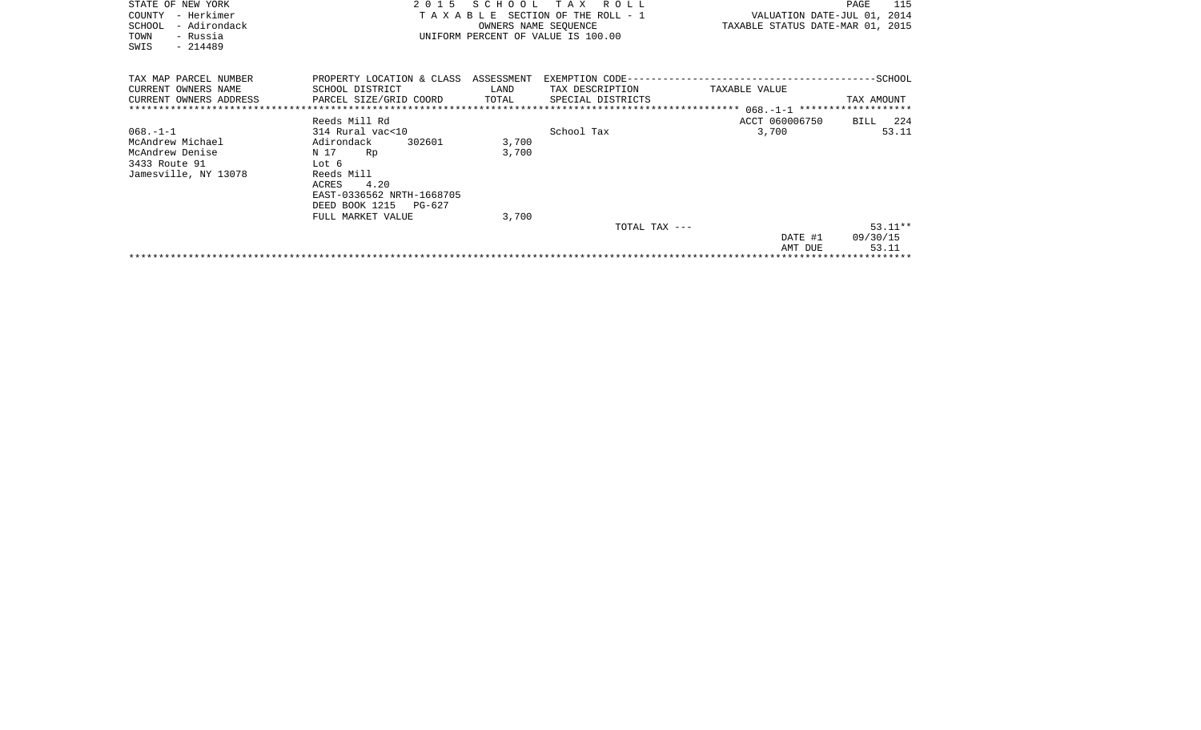| STATE OF NEW YORK<br>COUNTY<br>– Herkimer<br>- Adirondack<br>SCHOOL<br>TOWN<br>- Russia<br>SWIS<br>$-214489$ |                                                                                                                 | SCHOOL<br>OWNERS NAME SEOUENCE | T A X<br>R O L L<br>TAXABLE SECTION OF THE ROLL - 1<br>UNIFORM PERCENT OF VALUE IS 100.00 | VALUATION DATE-JUL 01, 2014<br>TAXABLE STATUS DATE-MAR 01, 2015 | 115<br>PAGE                    |
|--------------------------------------------------------------------------------------------------------------|-----------------------------------------------------------------------------------------------------------------|--------------------------------|-------------------------------------------------------------------------------------------|-----------------------------------------------------------------|--------------------------------|
| TAX MAP PARCEL NUMBER<br>CURRENT OWNERS NAME<br>CURRENT OWNERS ADDRESS                                       | SCHOOL DISTRICT<br>PARCEL SIZE/GRID COORD                                                                       | LAND<br>TOTAL                  | TAX DESCRIPTION<br>SPECIAL DISTRICTS                                                      | TAXABLE VALUE                                                   | TAX AMOUNT                     |
| $068. - 1 - 1$<br>McAndrew Michael<br>McAndrew Denise<br>3433 Route 91<br>Jamesville, NY 13078               | Reeds Mill Rd<br>314 Rural vac<10<br>Adirondack<br>302601<br>N 17<br>Rp<br>Lot 6<br>Reeds Mill<br>4.20<br>ACRES | 3,700<br>3,700                 | School Tax                                                                                | ACCT 060006750<br>3,700                                         | BILL 224<br>53.11              |
|                                                                                                              | EAST-0336562 NRTH-1668705<br>DEED BOOK 1215 PG-627<br>FULL MARKET VALUE                                         | 3,700                          | TOTAL TAX ---                                                                             | DATE #1<br>AMT DUE                                              | $53.11**$<br>09/30/15<br>53.11 |
|                                                                                                              |                                                                                                                 |                                |                                                                                           |                                                                 |                                |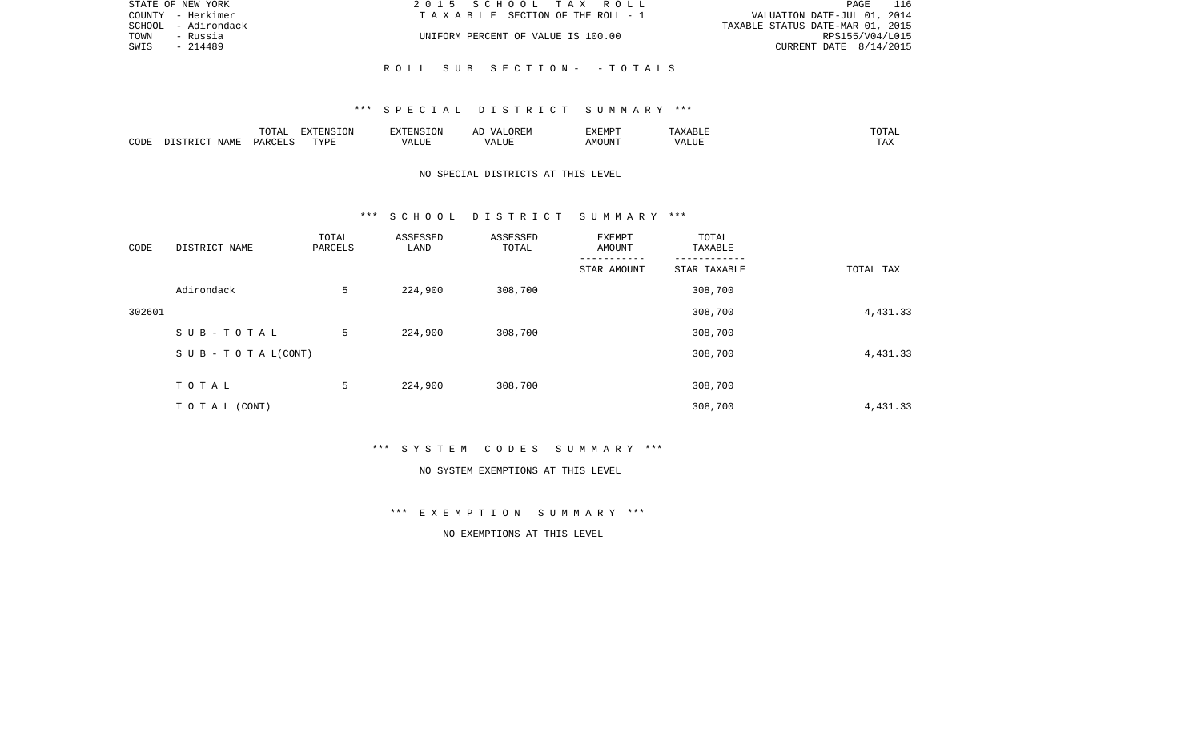| STATE OF NEW YORK      | 2015 SCHOOL TAX ROLL               | PAGE                             |
|------------------------|------------------------------------|----------------------------------|
| COUNTY - Herkimer      | TAXABLE SECTION OF THE ROLL - 1    | VALUATION DATE-JUL 01, 2014      |
| - Adirondack<br>SCHOOL |                                    | TAXABLE STATUS DATE-MAR 01, 2015 |
| TOWN<br>- Russia       | UNIFORM PERCENT OF VALUE IS 100.00 | RPS155/V04/L015                  |
| SWIS<br>$-214489$      |                                    | CURRENT DATE $8/14/2015$         |
|                        |                                    |                                  |

R O L L S U B S E C T I O N - - T O T A L S

|      |               | ------ | pumpun tau<br>$\left(11\right)$ |        |            | 'YEMPT         | .             | ◡▴▱▴            |
|------|---------------|--------|---------------------------------|--------|------------|----------------|---------------|-----------------|
| CODE | A BAT<br>NAMP | リハト    | <b>TVDT</b>                     | . LIUP | ,,,<br>LUP | IOUN'.<br>ـ MC | $- - - - - -$ | $- - -$<br>L A∡ |

# NO SPECIAL DISTRICTS AT THIS LEVEL

### \*\*\* S C H O O L D I S T R I C T S U M M A R Y \*\*\*

| CODE   | DISTRICT NAME                    | TOTAL<br>PARCELS | ASSESSED<br>LAND | ASSESSED<br>TOTAL | EXEMPT<br>AMOUNT | TOTAL<br>TAXABLE |           |
|--------|----------------------------------|------------------|------------------|-------------------|------------------|------------------|-----------|
|        |                                  |                  |                  |                   | STAR AMOUNT      | STAR TAXABLE     | TOTAL TAX |
|        | Adirondack                       | 5                | 224,900          | 308,700           |                  | 308,700          |           |
| 302601 |                                  |                  |                  |                   |                  | 308,700          | 4,431.33  |
|        | SUB-TOTAL                        | 5                | 224,900          | 308,700           |                  | 308,700          |           |
|        | $S \cup B - T \cup T A L (CONT)$ |                  |                  |                   |                  | 308,700          | 4,431.33  |
|        | TOTAL                            | 5                | 224,900          | 308,700           |                  | 308,700          |           |
|        | TO TAL (CONT)                    |                  |                  |                   |                  | 308,700          | 4,431.33  |

\*\*\* S Y S T E M C O D E S S U M M A R Y \*\*\*

### NO SYSTEM EXEMPTIONS AT THIS LEVEL

\*\*\* E X E M P T I O N S U M M A R Y \*\*\*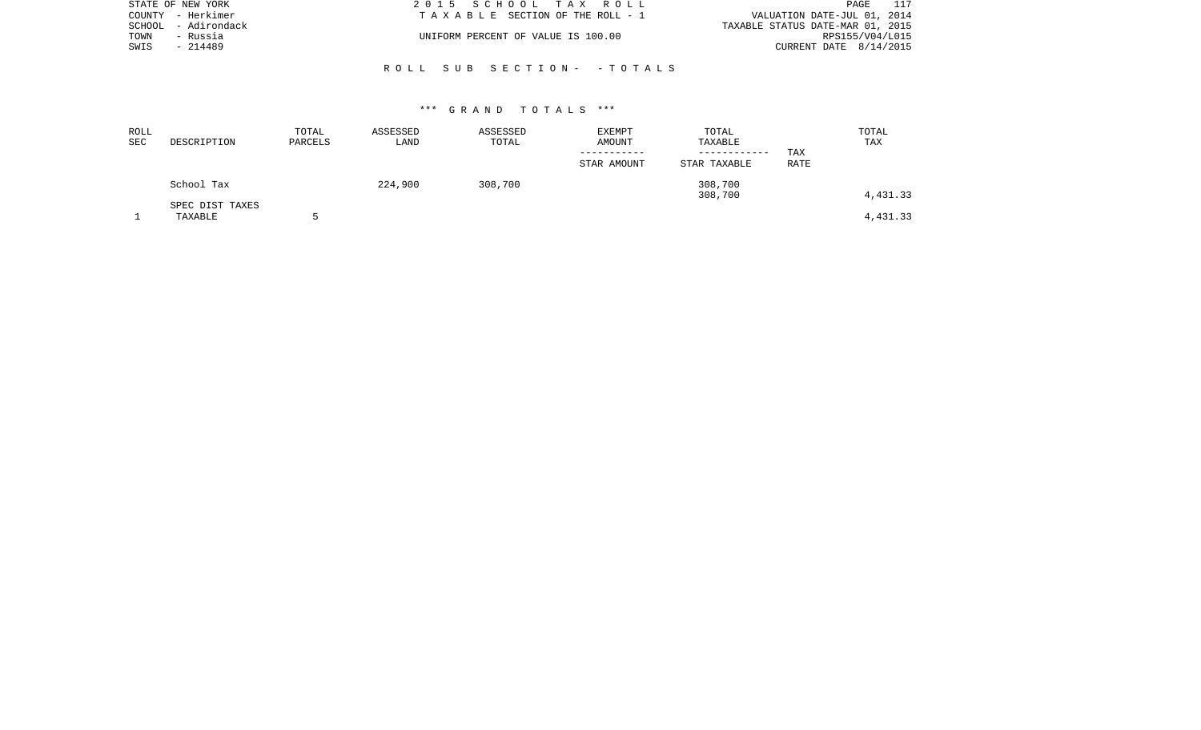| STATE OF NEW YORK   | 2015 SCHOOL TAX ROLL               | 117<br>PAGE                      |
|---------------------|------------------------------------|----------------------------------|
| COUNTY - Herkimer   | TAXABLE SECTION OF THE ROLL - 1    | VALUATION DATE-JUL 01, 2014      |
| SCHOOL - Adirondack |                                    | TAXABLE STATUS DATE-MAR 01, 2015 |
| TOWN<br>- Russia    | UNIFORM PERCENT OF VALUE IS 100.00 | RPS155/V04/L015                  |
| SWIS<br>- 214489    |                                    | CURRENT DATE $8/14/2015$         |
|                     |                                    |                                  |

## R O L L S U B S E C T I O N - - T O T A L S

| ROLL<br><b>SEC</b> | DESCRIPTION                | TOTAL<br>PARCELS | ASSESSED<br>LAND | ASSESSED<br>TOTAL | EXEMPT<br>AMOUNT<br>----------- | TOTAL<br>TAXABLE<br>------------ | TAX  | TOTAL<br>TAX |
|--------------------|----------------------------|------------------|------------------|-------------------|---------------------------------|----------------------------------|------|--------------|
|                    |                            |                  |                  |                   | STAR AMOUNT                     | STAR TAXABLE                     | RATE |              |
|                    | School Tax                 |                  | 224,900          | 308,700           |                                 | 308,700<br>308,700               |      | 4,431.33     |
|                    | SPEC DIST TAXES<br>TAXABLE |                  |                  |                   |                                 |                                  |      | 4,431.33     |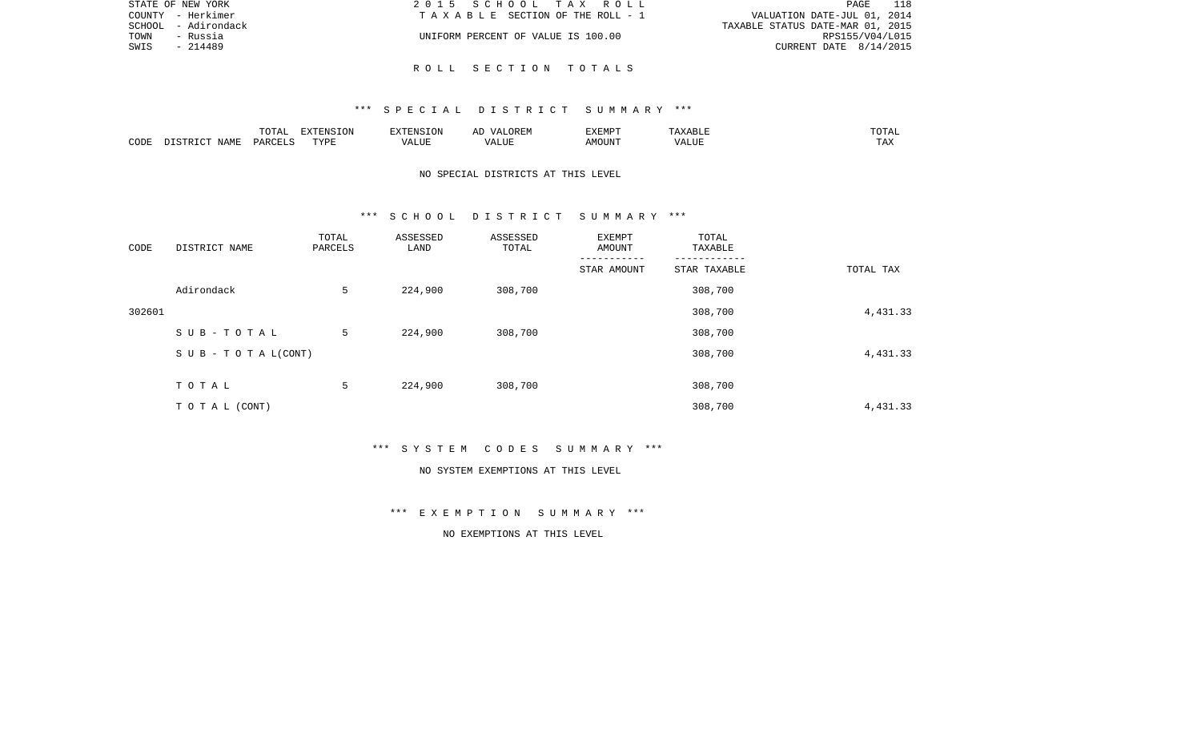|      | STATE OF NEW YORK   | 2015 SCHOOL TAX ROLL               | PAGE 118                         |
|------|---------------------|------------------------------------|----------------------------------|
|      | COUNTY - Herkimer   | TAXABLE SECTION OF THE ROLL - 1    | VALUATION DATE-JUL 01, 2014      |
|      | SCHOOL - Adirondack |                                    | TAXABLE STATUS DATE-MAR 01, 2015 |
| TOWN | - Russia            | UNIFORM PERCENT OF VALUE IS 100.00 | RPS155/V04/L015                  |
| SWIS | - 214489            |                                    | CURRENT DATE $8/14/2015$         |
|      |                     |                                    |                                  |

R O L L S E C T I O N T O T A L S

|      |      | <b>noma</b><br>$\cup$ $\bot$    | <b>EXECUTE OF ONE</b> |                  | $\sqrt{4}$<br>مستحد | FYFMD"  | $- \cdot$ .         | ----                  |
|------|------|---------------------------------|-----------------------|------------------|---------------------|---------|---------------------|-----------------------|
| CODE | JAMF | $\therefore$ PARCET $\tilde{c}$ | TVDI<br>+ + +         | LUE<br>$\lambda$ | $\sqrt{ }$<br>.     | AMOUNT. | - ---<br>$\sqrt{ }$ | $m \times r$<br>: 124 |

# NO SPECIAL DISTRICTS AT THIS LEVEL

### \*\*\* S C H O O L D I S T R I C T S U M M A R Y \*\*\*

| CODE   | DISTRICT NAME                    | TOTAL<br>PARCELS | ASSESSED<br>LAND | ASSESSED<br>TOTAL | EXEMPT<br>AMOUNT | TOTAL<br>TAXABLE |           |
|--------|----------------------------------|------------------|------------------|-------------------|------------------|------------------|-----------|
|        |                                  |                  |                  |                   | STAR AMOUNT      | STAR TAXABLE     | TOTAL TAX |
|        | Adirondack                       | 5                | 224,900          | 308,700           |                  | 308,700          |           |
| 302601 |                                  |                  |                  |                   |                  | 308,700          | 4,431.33  |
|        | SUB-TOTAL                        | 5                | 224,900          | 308,700           |                  | 308,700          |           |
|        | $S \cup B - T \cup T A L (CONT)$ |                  |                  |                   |                  | 308,700          | 4,431.33  |
|        | TOTAL                            | 5                | 224,900          | 308,700           |                  | 308,700          |           |
|        | TO TAL (CONT)                    |                  |                  |                   |                  | 308,700          | 4,431.33  |

\*\*\* S Y S T E M C O D E S S U M M A R Y \*\*\*

### NO SYSTEM EXEMPTIONS AT THIS LEVEL

\*\*\* E X E M P T I O N S U M M A R Y \*\*\*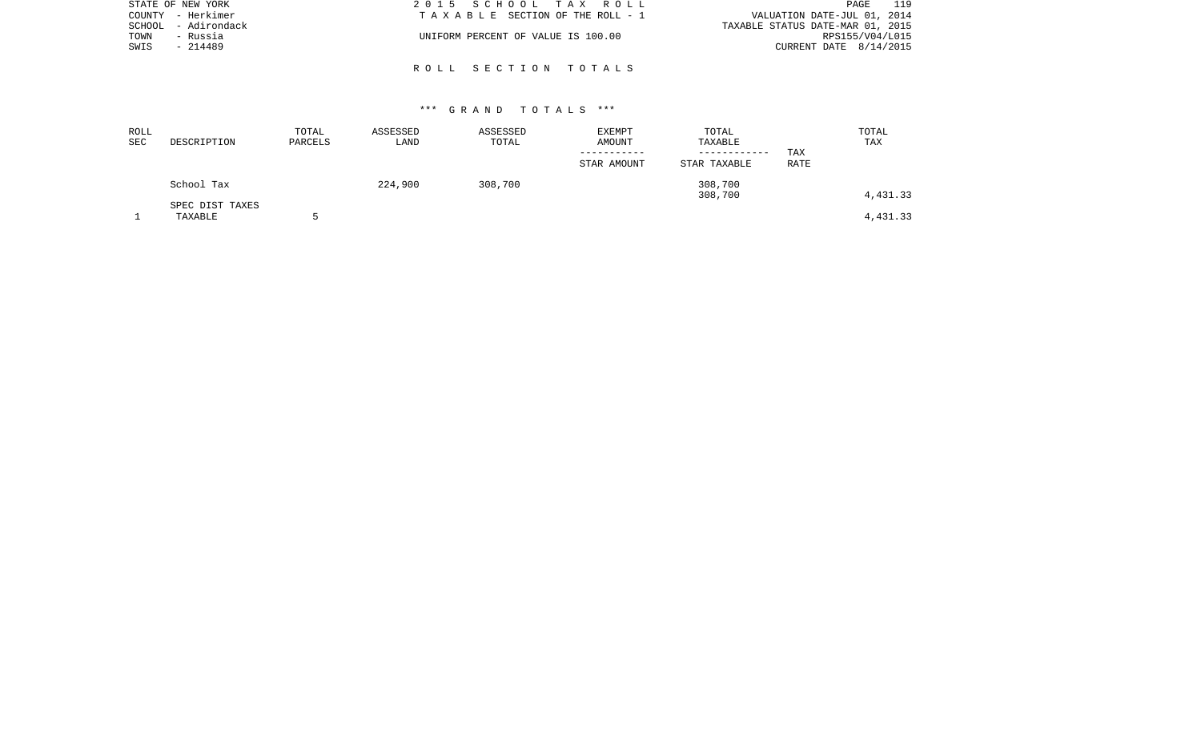| STATE OF NEW YORK   | 2015 SCHOOL TAX ROLL               | 119<br>PAGE                      |
|---------------------|------------------------------------|----------------------------------|
| COUNTY - Herkimer   | TAXABLE SECTION OF THE ROLL - 1    | VALUATION DATE-JUL 01, 2014      |
| SCHOOL - Adirondack |                                    | TAXABLE STATUS DATE-MAR 01, 2015 |
| TOWN<br>- Russia    | UNIFORM PERCENT OF VALUE IS 100.00 | RPS155/V04/L015                  |
| SWIS<br>- 214489    |                                    | CURRENT DATE 8/14/2015           |
|                     |                                    |                                  |

R O L L S E C T I O N T O T A L S

| ROLL<br>SEC | DESCRIPTION                | TOTAL<br>PARCELS | ASSESSED<br>LAND | ASSESSED<br>TOTAL | <b>EXEMPT</b><br><b>AMOUNT</b> | TOTAL<br>TAXABLE<br>------------ | TOTAL<br>TAX<br>TAX |  |
|-------------|----------------------------|------------------|------------------|-------------------|--------------------------------|----------------------------------|---------------------|--|
|             |                            |                  |                  |                   | STAR AMOUNT                    | STAR TAXABLE                     | <b>RATE</b>         |  |
|             | School Tax                 |                  | 224,900          | 308,700           |                                | 308,700<br>308,700               | 4,431.33            |  |
|             | SPEC DIST TAXES<br>TAXABLE |                  |                  |                   |                                |                                  | 4,431.33            |  |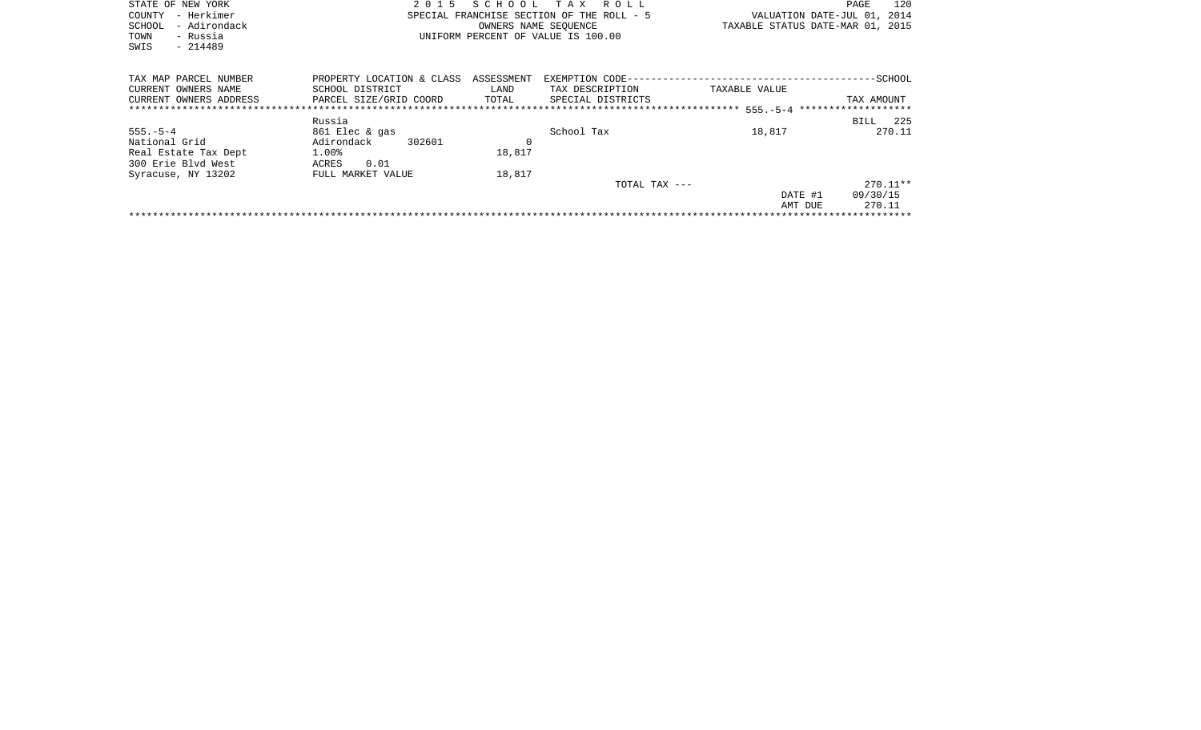| STATE OF NEW YORK<br>- Herkimer<br>COUNTY<br>- Adirondack<br><b>SCHOOL</b><br>- Russia<br>TOWN<br>SWIS<br>$-214489$ | 2 0 1 5                                                                | SCHOOL                      | T A X<br>R O L L<br>SPECIAL FRANCHISE SECTION OF THE ROLL - 5<br>OWNERS NAME SEOUENCE<br>UNIFORM PERCENT OF VALUE IS 100.00 | VALUATION DATE-JUL 01, 2014<br>TAXABLE STATUS DATE-MAR 01, 2015 | 120<br>PAGE            |
|---------------------------------------------------------------------------------------------------------------------|------------------------------------------------------------------------|-----------------------------|-----------------------------------------------------------------------------------------------------------------------------|-----------------------------------------------------------------|------------------------|
| TAX MAP PARCEL NUMBER<br>CURRENT OWNERS NAME<br>CURRENT OWNERS ADDRESS                                              | PROPERTY LOCATION & CLASS<br>SCHOOL DISTRICT<br>PARCEL SIZE/GRID COORD | ASSESSMENT<br>LAND<br>TOTAL | EXEMPTION CODE---------------------------<br>TAX DESCRIPTION<br>SPECIAL DISTRICTS                                           | TAXABLE VALUE                                                   | -SCHOOL<br>TAX AMOUNT  |
| $555. - 5 - 4$                                                                                                      | Russia<br>861 Elec & gas                                               |                             | School Tax                                                                                                                  | 18,817                                                          | 225<br>BILL<br>270.11  |
| National Grid<br>Real Estate Tax Dept<br>300 Erie Blyd West                                                         | Adirondack<br>302601<br>1.00%<br>0.01<br>ACRES                         | 0<br>18,817                 |                                                                                                                             |                                                                 |                        |
| Syracuse, NY 13202                                                                                                  | FULL MARKET VALUE                                                      | 18,817                      | TOTAL TAX ---                                                                                                               | DATE #1                                                         | $270.11**$<br>09/30/15 |

\*\*\*\*\*\*\*\*\*\*\*\*\*\*\*\*\*\*\*\*\*\*\*\*\*\*\*\*\*\*\*\*\*\*\*\*\*\*\*\*\*\*\*\*\*\*\*\*\*\*\*\*\*\*\*\*\*\*\*\*\*\*\*\*\*\*\*\*\*\*\*\*\*\*\*\*\*\*\*\*\*\*\*\*\*\*\*\*\*\*\*\*\*\*\*\*\*\*\*\*\*\*\*\*\*\*\*\*\*\*\*\*\*\*\*\*\*\*\*\*\*\*\*\*\*\*\*\*\*\*\*\*

AMT DUE 270.11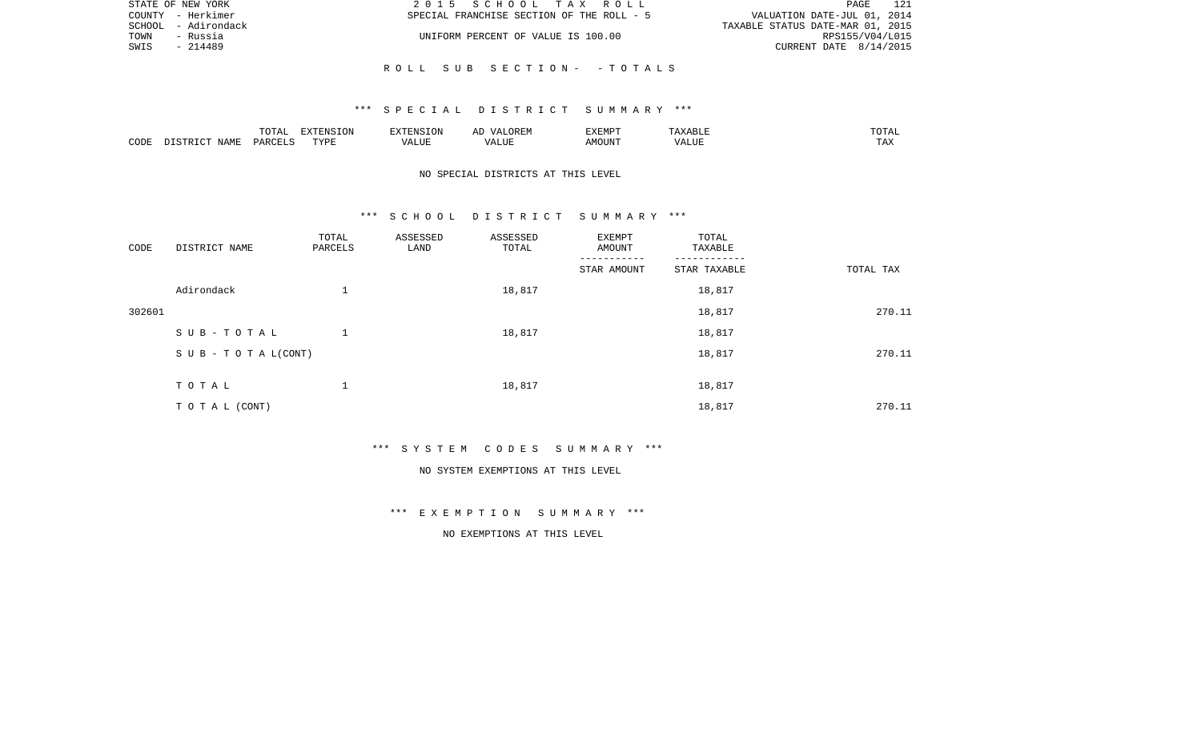| STATE OF NEW YORK   | 2015 SCHOOL TAX ROLL                      | 121<br>PAGE                      |
|---------------------|-------------------------------------------|----------------------------------|
| COUNTY - Herkimer   | SPECIAL FRANCHISE SECTION OF THE ROLL - 5 | VALUATION DATE-JUL 01, 2014      |
| SCHOOL - Adirondack |                                           | TAXABLE STATUS DATE-MAR 01, 2015 |
| TOWN<br>- Russia    | UNIFORM PERCENT OF VALUE IS 100.00        | RPS155/V04/L015                  |
| SWIS<br>- 214489    |                                           | CURRENT DATE 8/14/2015           |
|                     |                                           |                                  |

# R O L L S U B S E C T I O N - - T O T A L S

### \*\*\* S P E C I A L D I S T R I C T S U M M A R Y \*\*\*

|      |      | .             | $\n    \n    \n    \n    \n    \n    \n    \n    \n    \n    \n    \n    \n    \n    \n    \n    \n    \n    \n    \n    \$<br>$\left(11\right)$ |          |             | EXEMPT |      | -----                 |
|------|------|---------------|--------------------------------------------------------------------------------------------------------------------------------------------------|----------|-------------|--------|------|-----------------------|
| CODE | NAME | $\theta$<br>. | PVDI                                                                                                                                             | $\cdots$ | י י<br>תש⊔ב | DUN    | ALU! | $m \times$<br>- - - - |

# NO SPECIAL DISTRICTS AT THIS LEVEL

### \*\*\* S C H O O L D I S T R I C T S U M M A R Y \*\*\*

| CODE   | DISTRICT NAME                    | TOTAL<br>PARCELS | ASSESSED<br>LAND | ASSESSED<br>TOTAL | EXEMPT<br>AMOUNT | TOTAL<br>TAXABLE |           |
|--------|----------------------------------|------------------|------------------|-------------------|------------------|------------------|-----------|
|        |                                  |                  |                  |                   | STAR AMOUNT      | STAR TAXABLE     | TOTAL TAX |
|        | Adirondack                       | $\mathbf 1$      |                  | 18,817            |                  | 18,817           |           |
| 302601 |                                  |                  |                  |                   |                  | 18,817           | 270.11    |
|        | SUB-TOTAL                        |                  |                  | 18,817            |                  | 18,817           |           |
|        | $S \cup B - T \cup T A L (CONT)$ |                  |                  |                   |                  | 18,817           | 270.11    |
|        | TOTAL                            | 1                |                  |                   |                  |                  |           |
|        |                                  |                  |                  | 18,817            |                  | 18,817           |           |
|        | TO TAL (CONT)                    |                  |                  |                   |                  | 18,817           | 270.11    |

\*\*\* S Y S T E M C O D E S S U M M A R Y \*\*\*

### NO SYSTEM EXEMPTIONS AT THIS LEVEL

\*\*\* E X E M P T I O N S U M M A R Y \*\*\*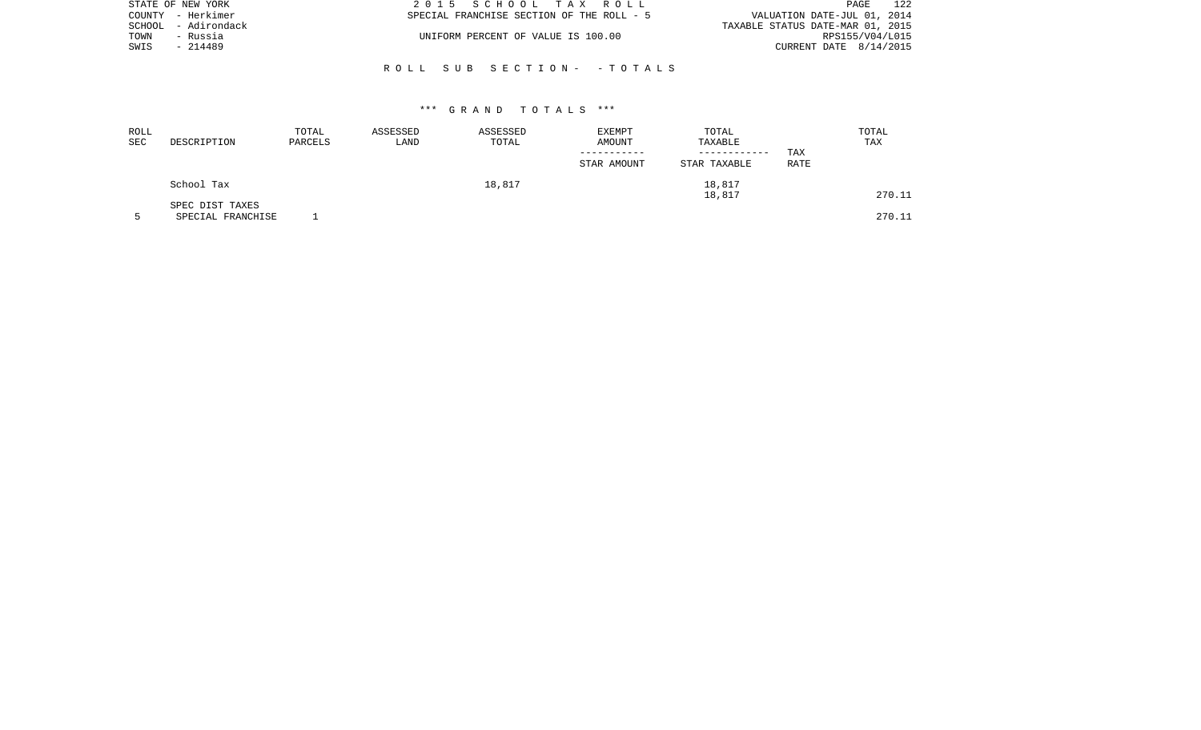| STATE OF NEW YORK   | 2015 SCHOOL TAX ROLL                      | 122<br>PAGE                      |
|---------------------|-------------------------------------------|----------------------------------|
| COUNTY - Herkimer   | SPECIAL FRANCHISE SECTION OF THE ROLL - 5 | VALUATION DATE-JUL 01, 2014      |
| SCHOOL - Adirondack |                                           | TAXABLE STATUS DATE-MAR 01, 2015 |
| TOWN<br>- Russia    | UNIFORM PERCENT OF VALUE IS 100.00        | RPS155/V04/L015                  |
| SWIS<br>- 214489    |                                           | CURRENT DATE 8/14/2015           |
|                     |                                           |                                  |

# R O L L S U B S E C T I O N - - T O T A L S

| ROLL<br><b>SEC</b> | DESCRIPTION                          | TOTAL<br>PARCELS | ASSESSED<br>LAND | ASSESSED<br>TOTAL | EXEMPT<br>AMOUNT<br>STAR AMOUNT | TOTAL<br>TAXABLE<br>------------<br>STAR TAXABLE | TAX<br>RATE | TOTAL<br>TAX |
|--------------------|--------------------------------------|------------------|------------------|-------------------|---------------------------------|--------------------------------------------------|-------------|--------------|
|                    | School Tax                           |                  |                  | 18,817            |                                 | 18,817<br>18,817                                 |             | 270.11       |
|                    | SPEC DIST TAXES<br>SPECIAL FRANCHISE |                  |                  |                   |                                 |                                                  |             | 270.11       |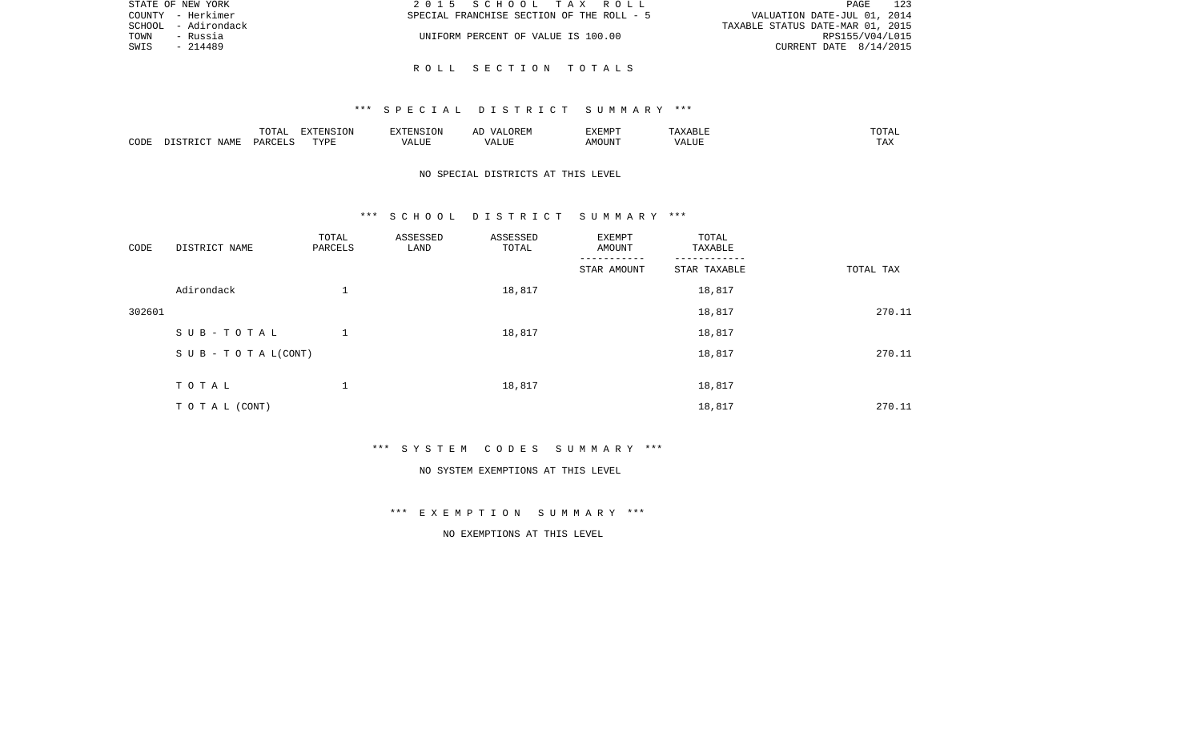|      | STATE OF NEW YORK   | 2015 SCHOOL TAX ROLL                      | 123<br>PAGE                      |
|------|---------------------|-------------------------------------------|----------------------------------|
|      | COUNTY - Herkimer   | SPECIAL FRANCHISE SECTION OF THE ROLL - 5 | VALUATION DATE-JUL 01, 2014      |
|      | SCHOOL - Adirondack |                                           | TAXABLE STATUS DATE-MAR 01, 2015 |
| TOWN | - Russia            | UNIFORM PERCENT OF VALUE IS 100.00        | RPS155/V04/L015                  |
| SWIS | - 214489            |                                           | CURRENT DATE 8/14/2015           |
|      |                     |                                           |                                  |

R O L L S E C T I O N T O T A L S

|      |      | <b>noma</b><br>L'O'L'AL        | דפות אידעי |   | ∸ | <b>TXEMPT</b>        |        | ◡⊥▱             |
|------|------|--------------------------------|------------|---|---|----------------------|--------|-----------------|
| CODF | IAMF | C <sub>MT</sub><br><b>DARC</b> | TVDF<br>.  | △ |   | )UN<br>$\triangle M$ | `/ALUE | $- - -$<br>L A∡ |

\*\*\* S P E C I A L D I S T R I C T S U M M A R Y \*\*\*

# NO SPECIAL DISTRICTS AT THIS LEVEL

### \*\*\* S C H O O L D I S T R I C T S U M M A R Y \*\*\*

| CODE   | DISTRICT NAME             | TOTAL<br>PARCELS | ASSESSED<br>LAND | ASSESSED<br>TOTAL | EXEMPT<br>AMOUNT | TOTAL<br>TAXABLE |           |
|--------|---------------------------|------------------|------------------|-------------------|------------------|------------------|-----------|
|        |                           |                  |                  |                   | STAR AMOUNT      | STAR TAXABLE     | TOTAL TAX |
|        | Adirondack                | 1                |                  | 18,817            |                  | 18,817           |           |
| 302601 |                           |                  |                  |                   |                  | 18,817           | 270.11    |
|        | SUB-TOTAL                 | $\mathbf{1}$     |                  | 18,817            |                  | 18,817           |           |
|        | S U B - T O T A $L(CONT)$ |                  |                  |                   |                  | 18,817           | 270.11    |
|        |                           |                  |                  |                   |                  |                  |           |
|        | TOTAL                     | 1                |                  | 18,817            |                  | 18,817           |           |
|        | TO TAL (CONT)             |                  |                  |                   |                  | 18,817           | 270.11    |

\*\*\* S Y S T E M C O D E S S U M M A R Y \*\*\*

### NO SYSTEM EXEMPTIONS AT THIS LEVEL

# \*\*\* E X E M P T I O N S U M M A R Y \*\*\*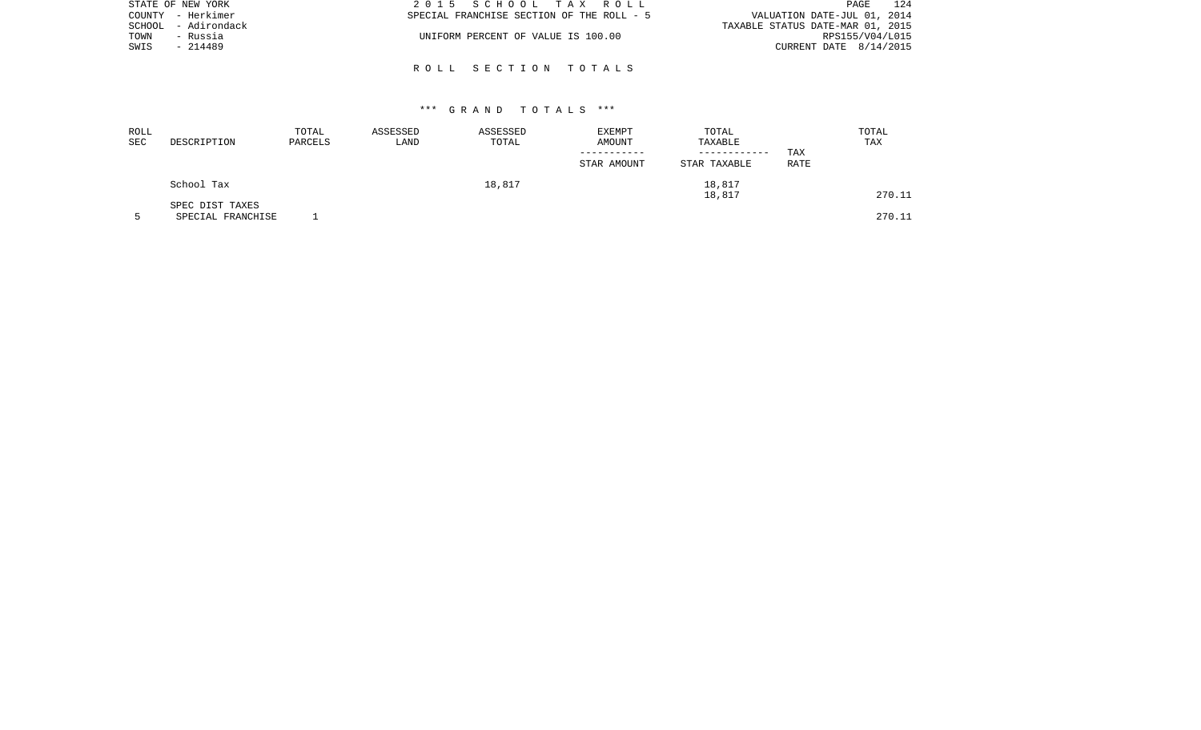| STATE OF NEW YORK   | 2015 SCHOOL TAX ROLL                      | 124<br>PAGE                      |
|---------------------|-------------------------------------------|----------------------------------|
| COUNTY - Herkimer   | SPECIAL FRANCHISE SECTION OF THE ROLL - 5 | VALUATION DATE-JUL 01, 2014      |
| SCHOOL - Adirondack |                                           | TAXABLE STATUS DATE-MAR 01, 2015 |
| TOWN<br>- Russia    | UNIFORM PERCENT OF VALUE IS 100.00        | RPS155/V04/L015                  |
| SWIS<br>- 214489    |                                           | CURRENT DATE 8/14/2015           |
|                     |                                           |                                  |

R O L L S E C T I O N T O T A L S

| ROLL<br>SEC | DESCRIPTION                          | TOTAL<br>PARCELS | ASSESSED<br>LAND | ASSESSED<br>TOTAL | EXEMPT<br>AMOUNT | TOTAL<br>TAXABLE             | TOTAL<br>TAX       |  |
|-------------|--------------------------------------|------------------|------------------|-------------------|------------------|------------------------------|--------------------|--|
|             |                                      |                  |                  |                   | STAR AMOUNT      | ------------<br>STAR TAXABLE | TAX<br><b>RATE</b> |  |
|             | School Tax                           |                  |                  | 18,817            |                  | 18,817<br>18,817             | 270.11             |  |
|             | SPEC DIST TAXES<br>SPECIAL FRANCHISE |                  |                  |                   |                  |                              | 270.11             |  |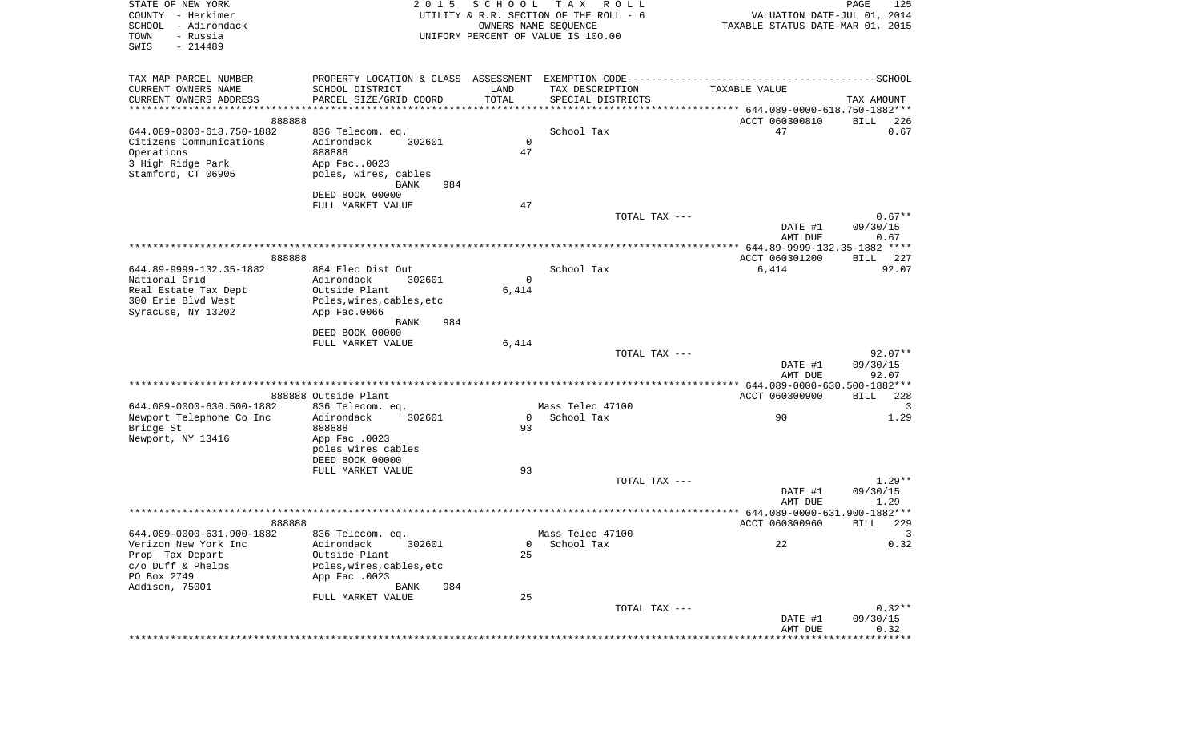| STATE OF NEW YORK<br>COUNTY - Herkimer<br>- Adirondack<br>SCHOOL<br>- Russia<br>TOWN<br>$-214489$<br>SWIS | 2 0 1 5                                                                                      | SCHOOL        | T A X<br>R O L L<br>UTILITY & R.R. SECTION OF THE ROLL - 6<br>OWNERS NAME SEQUENCE<br>UNIFORM PERCENT OF VALUE IS 100.00 | VALUATION DATE-JUL 01, 2014<br>TAXABLE STATUS DATE-MAR 01, 2015   | PAGE<br>125          |
|-----------------------------------------------------------------------------------------------------------|----------------------------------------------------------------------------------------------|---------------|--------------------------------------------------------------------------------------------------------------------------|-------------------------------------------------------------------|----------------------|
| TAX MAP PARCEL NUMBER                                                                                     | PROPERTY LOCATION & CLASS ASSESSMENT EXEMPTION CODE-----------------------------------SCHOOL |               |                                                                                                                          |                                                                   |                      |
| CURRENT OWNERS NAME                                                                                       | SCHOOL DISTRICT                                                                              | LAND<br>TOTAL | TAX DESCRIPTION                                                                                                          | TAXABLE VALUE                                                     |                      |
| CURRENT OWNERS ADDRESS<br>************************                                                        | PARCEL SIZE/GRID COORD<br>*******************                                                |               | SPECIAL DISTRICTS                                                                                                        | *********************************    644.089-0000-618.750-1882*** | TAX AMOUNT           |
| 888888                                                                                                    |                                                                                              |               |                                                                                                                          | ACCT 060300810                                                    | <b>BILL</b><br>226   |
| 644.089-0000-618.750-1882                                                                                 | 836 Telecom. eq.                                                                             |               | School Tax                                                                                                               | 47                                                                | 0.67                 |
| Citizens Communications                                                                                   | Adirondack<br>302601                                                                         | $\mathbf 0$   |                                                                                                                          |                                                                   |                      |
| Operations<br>3 High Ridge Park                                                                           | 888888<br>App Fac0023                                                                        | 47            |                                                                                                                          |                                                                   |                      |
| Stamford, CT 06905                                                                                        | poles, wires, cables                                                                         |               |                                                                                                                          |                                                                   |                      |
|                                                                                                           | 984<br>BANK                                                                                  |               |                                                                                                                          |                                                                   |                      |
|                                                                                                           | DEED BOOK 00000                                                                              |               |                                                                                                                          |                                                                   |                      |
|                                                                                                           | FULL MARKET VALUE                                                                            | 47            | TOTAL TAX ---                                                                                                            |                                                                   | $0.67**$             |
|                                                                                                           |                                                                                              |               |                                                                                                                          | DATE #1                                                           | 09/30/15             |
|                                                                                                           |                                                                                              |               |                                                                                                                          | AMT DUE                                                           | 0.67                 |
|                                                                                                           |                                                                                              |               |                                                                                                                          |                                                                   |                      |
| 888888<br>644.89-9999-132.35-1882                                                                         | 884 Elec Dist Out                                                                            |               | School Tax                                                                                                               | ACCT 060301200<br>6,414                                           | BILL<br>227<br>92.07 |
| National Grid                                                                                             | Adirondack<br>302601                                                                         | 0             |                                                                                                                          |                                                                   |                      |
| Real Estate Tax Dept                                                                                      | Outside Plant                                                                                | 6,414         |                                                                                                                          |                                                                   |                      |
| 300 Erie Blvd West                                                                                        | Poles, wires, cables, etc                                                                    |               |                                                                                                                          |                                                                   |                      |
| Syracuse, NY 13202                                                                                        | App Fac.0066<br>984                                                                          |               |                                                                                                                          |                                                                   |                      |
|                                                                                                           | BANK<br>DEED BOOK 00000                                                                      |               |                                                                                                                          |                                                                   |                      |
|                                                                                                           | FULL MARKET VALUE                                                                            | 6,414         |                                                                                                                          |                                                                   |                      |
|                                                                                                           |                                                                                              |               | TOTAL TAX ---                                                                                                            |                                                                   | 92.07**              |
|                                                                                                           |                                                                                              |               |                                                                                                                          | DATE #1<br>AMT DUE                                                | 09/30/15<br>92.07    |
|                                                                                                           |                                                                                              |               |                                                                                                                          |                                                                   |                      |
|                                                                                                           | 888888 Outside Plant                                                                         |               |                                                                                                                          | ACCT 060300900                                                    | BILL<br>228          |
| 644.089-0000-630.500-1882                                                                                 | 836 Telecom. eq.                                                                             |               | Mass Telec 47100                                                                                                         |                                                                   | 3                    |
| Newport Telephone Co Inc<br>Bridge St                                                                     | Adirondack<br>302601<br>888888                                                               | 0<br>93       | School Tax                                                                                                               | 90                                                                | 1.29                 |
| Newport, NY 13416                                                                                         | App Fac .0023                                                                                |               |                                                                                                                          |                                                                   |                      |
|                                                                                                           | poles wires cables                                                                           |               |                                                                                                                          |                                                                   |                      |
|                                                                                                           | DEED BOOK 00000                                                                              |               |                                                                                                                          |                                                                   |                      |
|                                                                                                           | FULL MARKET VALUE                                                                            | 93            | TOTAL TAX ---                                                                                                            |                                                                   | $1.29**$             |
|                                                                                                           |                                                                                              |               |                                                                                                                          | DATE #1                                                           | 09/30/15             |
|                                                                                                           |                                                                                              |               |                                                                                                                          | AMT DUE                                                           | 1.29                 |
|                                                                                                           |                                                                                              |               |                                                                                                                          |                                                                   |                      |
| 888888                                                                                                    |                                                                                              |               | Mass Telec 47100                                                                                                         | ACCT 060300960                                                    | 229<br>BILL<br>3     |
| 644.089-0000-631.900-1882<br>Verizon New York Inc                                                         | 836 Telecom. eq.<br>Adirondack<br>302601                                                     | 0             | School Tax                                                                                                               | 22                                                                | 0.32                 |
| Prop Tax Depart                                                                                           | Outside Plant                                                                                | 25            |                                                                                                                          |                                                                   |                      |
| c/o Duff & Phelps                                                                                         | Poles, wires, cables, etc                                                                    |               |                                                                                                                          |                                                                   |                      |
| PO Box 2749                                                                                               | App Fac .0023                                                                                |               |                                                                                                                          |                                                                   |                      |
| Addison, 75001                                                                                            | 984<br>BANK<br>FULL MARKET VALUE                                                             | 25            |                                                                                                                          |                                                                   |                      |
|                                                                                                           |                                                                                              |               | TOTAL TAX ---                                                                                                            |                                                                   | $0.32**$             |
|                                                                                                           |                                                                                              |               |                                                                                                                          | DATE #1                                                           | 09/30/15             |
|                                                                                                           |                                                                                              |               |                                                                                                                          | AMT DUE                                                           | 0.32<br>***********  |
|                                                                                                           |                                                                                              |               |                                                                                                                          |                                                                   |                      |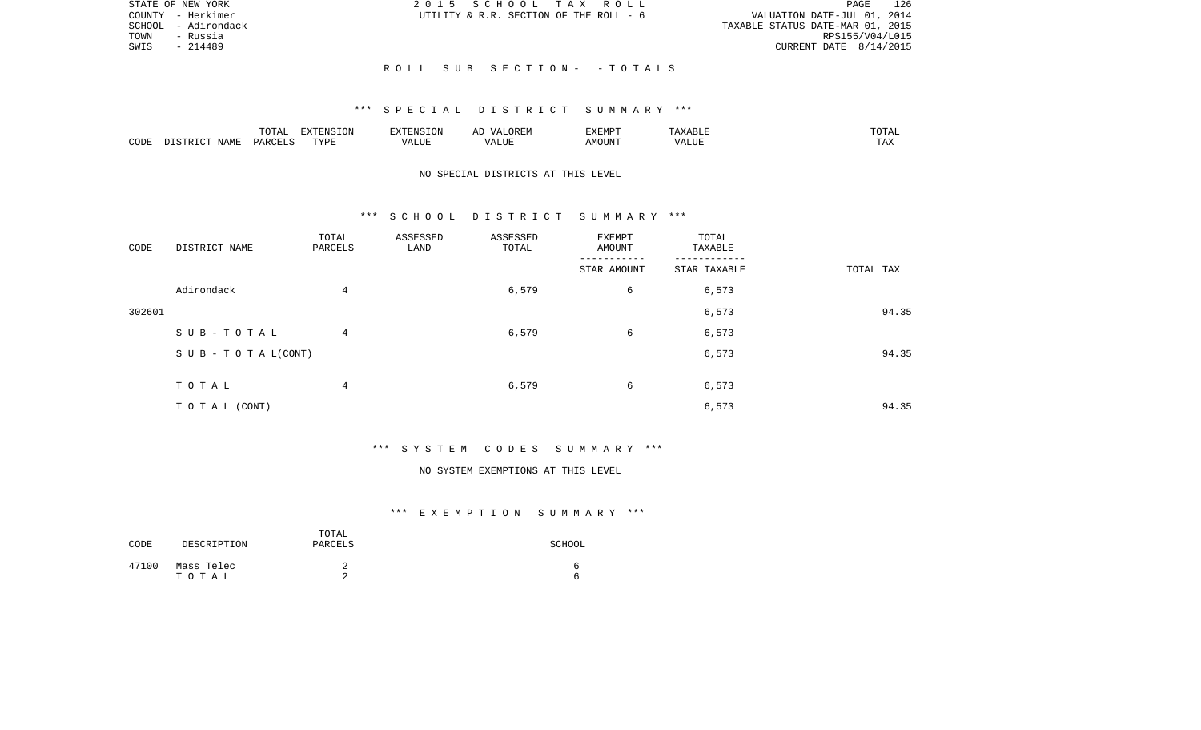|      | STATE OF NEW YORK   | 2015 SCHOOL TAX ROLL                   |  |                                  | PAGE | 126 |
|------|---------------------|----------------------------------------|--|----------------------------------|------|-----|
|      | COUNTY - Herkimer   | UTILITY & R.R. SECTION OF THE ROLL - 6 |  | VALUATION DATE-JUL 01, 2014      |      |     |
|      | SCHOOL - Adirondack |                                        |  | TAXABLE STATUS DATE-MAR 01, 2015 |      |     |
| TOWN | - Russia            |                                        |  | RPS155/V04/L015                  |      |     |
| SWIS | - 214489            |                                        |  | CURRENT DATE $8/14/2015$         |      |     |
|      |                     |                                        |  |                                  |      |     |
|      |                     | ROLL SUB SECTION- - TOTALS             |  |                                  |      |     |

|      |                    | $m \wedge m \wedge n$<br>LUIAL | $\Box$<br>⊃ו∧ו<br>T OV |         | ? H∶IV<br>تستحدث         | "VEMPT<br>BABMP | YABL.          | $m \wedge m \wedge r$ |
|------|--------------------|--------------------------------|------------------------|---------|--------------------------|-----------------|----------------|-----------------------|
| CODE | <b>NAME</b><br>TD. | <b>DARCET</b>                  | TVDI                   | اللالمد | $\sqrt{ }$<br>۳۰ تا سند. | AMOUNT          | 77777<br>'Alul | $-1$<br>L A A         |

# NO SPECIAL DISTRICTS AT THIS LEVEL

### \*\*\* S C H O O L D I S T R I C T S U M M A R Y \*\*\*

| CODE   | DISTRICT NAME                    | TOTAL<br>PARCELS | ASSESSED<br>LAND | ASSESSED<br>TOTAL | EXEMPT<br>AMOUNT | TOTAL<br>TAXABLE |           |       |
|--------|----------------------------------|------------------|------------------|-------------------|------------------|------------------|-----------|-------|
|        |                                  |                  |                  |                   | STAR AMOUNT      | STAR TAXABLE     | TOTAL TAX |       |
|        | Adirondack                       | $\overline{4}$   |                  | 6,579             | 6                | 6,573            |           |       |
| 302601 |                                  |                  |                  |                   |                  | 6,573            |           | 94.35 |
|        | SUB-TOTAL                        | $4\overline{ }$  |                  | 6,579             | 6                | 6,573            |           |       |
|        | $S \cup B - T \cup T A L (CONT)$ |                  |                  |                   |                  | 6,573            |           | 94.35 |
|        |                                  |                  |                  |                   |                  |                  |           |       |
|        | TOTAL                            | $\overline{4}$   |                  | 6,579             | 6                | 6,573            |           |       |
|        | TO TAL (CONT)                    |                  |                  |                   |                  | 6,573            |           | 94.35 |

# \*\*\* S Y S T E M C O D E S S U M M A R Y \*\*\*

### NO SYSTEM EXEMPTIONS AT THIS LEVEL

| CODE  | DESCRIPTION         | TOTAL<br>PARCELS | SCHOOL |
|-------|---------------------|------------------|--------|
| 47100 | Mass Telec<br>тотаь | ∼<br>⌒           |        |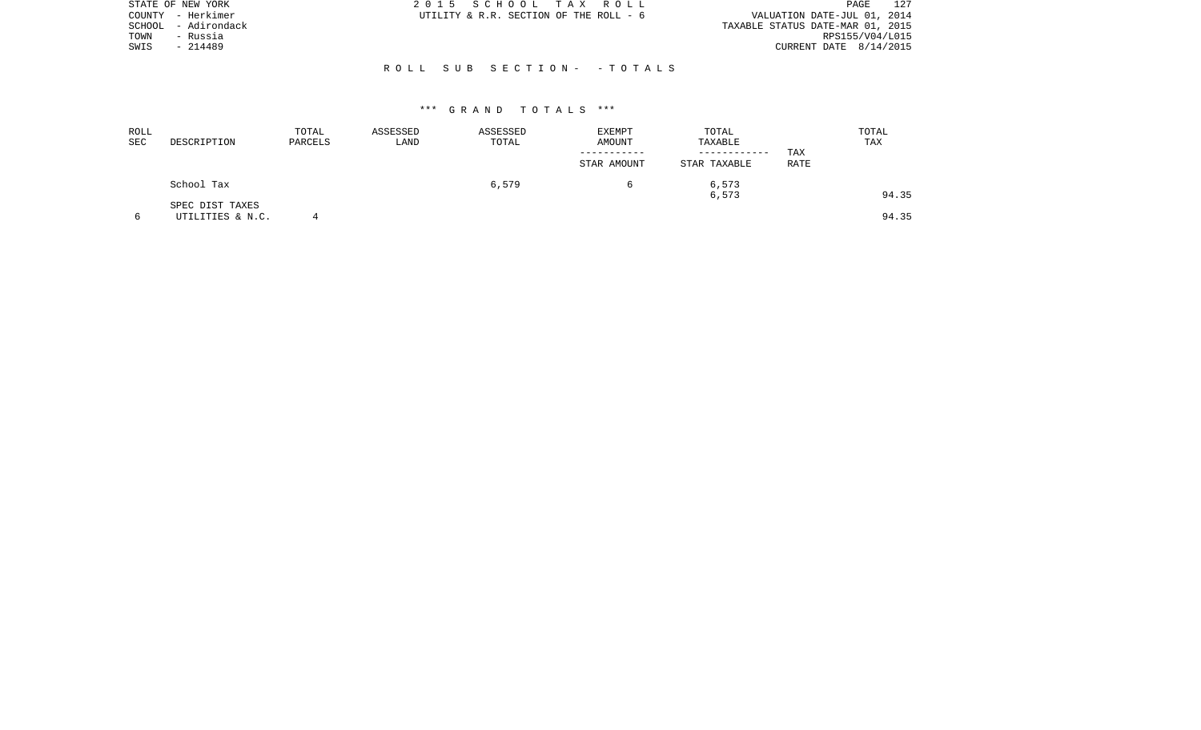|        | STATE OF NEW YORK | 2015 SCHOOL TAX ROLL                                                  | PAGE                     | 127 |
|--------|-------------------|-----------------------------------------------------------------------|--------------------------|-----|
|        | COUNTY - Herkimer | VALUATION DATE-JUL 01, 2014<br>UTILITY & R.R. SECTION OF THE ROLL - 6 |                          |     |
| SCHOOL | - Adirondack      | TAXABLE STATUS DATE-MAR 01, 2015                                      |                          |     |
| TOWN   | - Russia          |                                                                       | RPS155/V04/L015          |     |
| SWIS   | $-214489$         |                                                                       | CURRENT DATE $8/14/2015$ |     |
|        |                   |                                                                       |                          |     |
|        |                   | ROLL SUB SECTION- - TOTALS                                            |                          |     |

| ROLL<br>SEC | DESCRIPTION                         | TOTAL<br>PARCELS | ASSESSED<br>LAND | ASSESSED<br>TOTAL | EXEMPT<br>AMOUNT | TOTAL<br>TAXABLE |             | TOTAL<br>TAX |
|-------------|-------------------------------------|------------------|------------------|-------------------|------------------|------------------|-------------|--------------|
|             |                                     |                  |                  |                   | STAR AMOUNT      | STAR TAXABLE     | TAX<br>RATE |              |
|             | School Tax                          |                  |                  | 6,579             |                  | 6,573<br>6,573   |             | 94.35        |
|             | SPEC DIST TAXES<br>UTILITIES & N.C. |                  |                  |                   |                  |                  |             | 94.35        |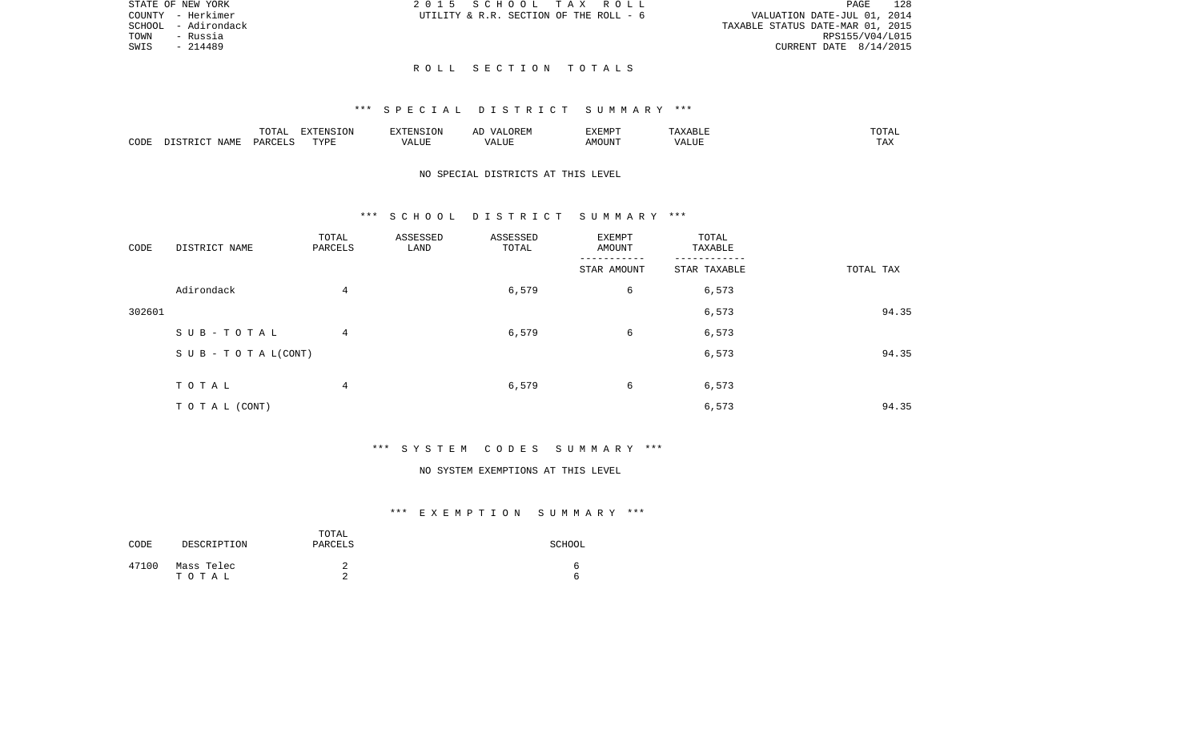| VALUATION DATE-JUL 01, 2014      |
|----------------------------------|
| TAXABLE STATUS DATE-MAR 01, 2015 |
| RPS155/V04/L015                  |
| CURRENT DATE 8/14/2015           |
|                                  |

# R O L L S E C T I O N T O T A L S

### \*\*\* S P E C I A L D I S T R I C T S U M M A R Y \*\*\*

|      |      | $\blacksquare$<br>TOTAL | EXTENSION | $  -$ | $H^{\prime}$ H $^{\prime}$ M $^{\prime}$<br>A | EXEMP' | ABLE                 | ---        |
|------|------|-------------------------|-----------|-------|-----------------------------------------------|--------|----------------------|------------|
| CODE | NAMF | ، جمہوری                | TVDF<br>. |       | .TTT                                          |        | <b>T TTT</b><br>ALUI | max<br>was |

# NO SPECIAL DISTRICTS AT THIS LEVEL

### \*\*\* S C H O O L D I S T R I C T S U M M A R Y \*\*\*

| CODE   | DISTRICT NAME                    | TOTAL<br>PARCELS | ASSESSED<br>LAND | ASSESSED<br>TOTAL | EXEMPT<br>AMOUNT | TOTAL<br>TAXABLE |           |       |
|--------|----------------------------------|------------------|------------------|-------------------|------------------|------------------|-----------|-------|
|        |                                  |                  |                  |                   | STAR AMOUNT      | STAR TAXABLE     | TOTAL TAX |       |
|        | Adirondack                       | $4\overline{ }$  |                  | 6,579             | 6                | 6,573            |           |       |
| 302601 |                                  |                  |                  |                   |                  | 6,573            |           | 94.35 |
|        | SUB-TOTAL                        | $4\overline{ }$  |                  | 6,579             | 6                | 6,573            |           |       |
|        | $S \cup B - T \cup T A L (CONT)$ |                  |                  |                   |                  | 6,573            |           | 94.35 |
|        |                                  |                  |                  |                   |                  |                  |           |       |
|        | TOTAL                            | $\overline{4}$   |                  | 6,579             | 6                | 6,573            |           |       |
|        | TO TAL (CONT)                    |                  |                  |                   |                  | 6,573            |           | 94.35 |

# \*\*\* S Y S T E M C O D E S S U M M A R Y \*\*\*

### NO SYSTEM EXEMPTIONS AT THIS LEVEL

| CODE  | DESCRIPTION         | TOTAL<br>PARCELS | SCHOOL |
|-------|---------------------|------------------|--------|
| 47100 | Mass Telec<br>тотаь | ∠<br>$\sqrt{2}$  | h      |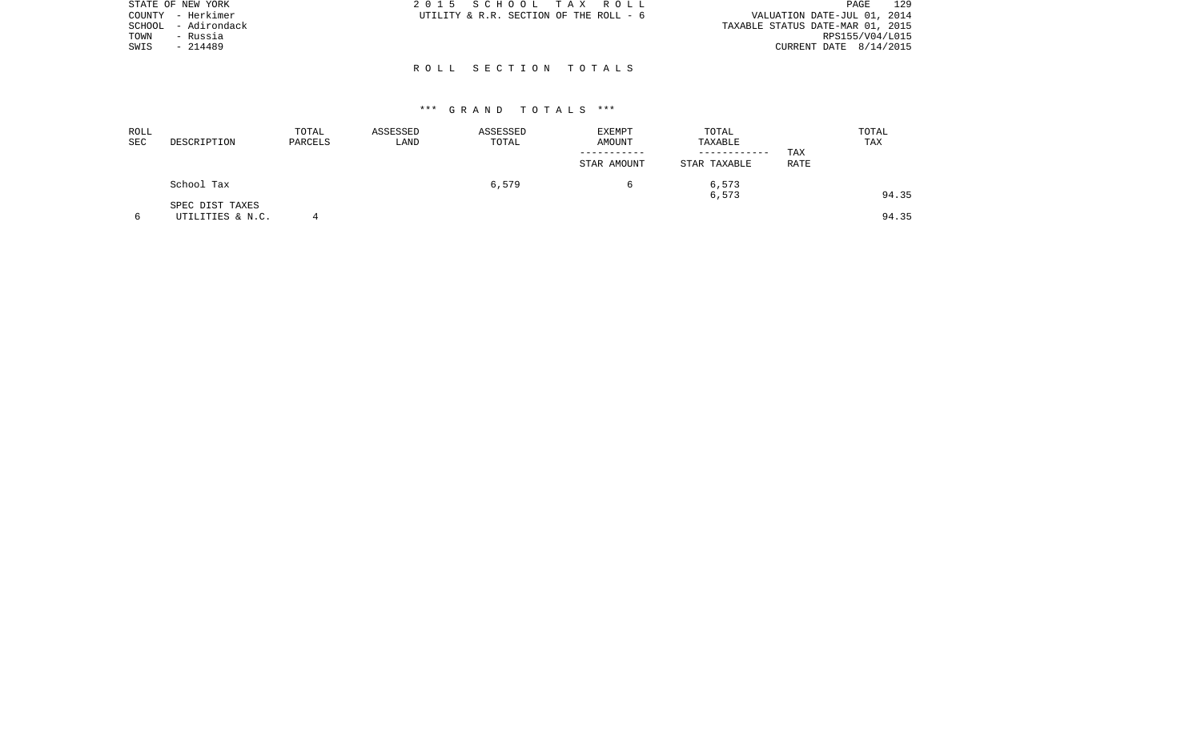|        | STATE OF NEW YORK | 2015 SCHOOL TAX ROLL                   |  |  | 129<br>PAGE                      |
|--------|-------------------|----------------------------------------|--|--|----------------------------------|
|        | COUNTY - Herkimer | UTILITY & R.R. SECTION OF THE ROLL - 6 |  |  | VALUATION DATE-JUL 01, 2014      |
| SCHOOL | - Adirondack      |                                        |  |  | TAXABLE STATUS DATE-MAR 01, 2015 |
| TOWN   | - Russia          |                                        |  |  | RPS155/V04/L015                  |
| SWIS   | $-214489$         |                                        |  |  | CURRENT DATE $8/14/2015$         |
|        |                   |                                        |  |  |                                  |
|        |                   | ROLL SECTION TOTALS                    |  |  |                                  |

| ROLL<br>SEC | DESCRIPTION                         | TOTAL<br>PARCELS | ASSESSED<br>LAND | ASSESSED<br>TOTAL | EXEMPT<br>AMOUNT | TOTAL<br>TAXABLE |             | TOTAL<br>TAX |
|-------------|-------------------------------------|------------------|------------------|-------------------|------------------|------------------|-------------|--------------|
|             |                                     |                  |                  |                   | STAR AMOUNT      | STAR TAXABLE     | TAX<br>RATE |              |
|             | School Tax                          |                  |                  | 6,579             |                  | 6,573<br>6,573   |             | 94.35        |
|             | SPEC DIST TAXES<br>UTILITIES & N.C. |                  |                  |                   |                  |                  |             | 94.35        |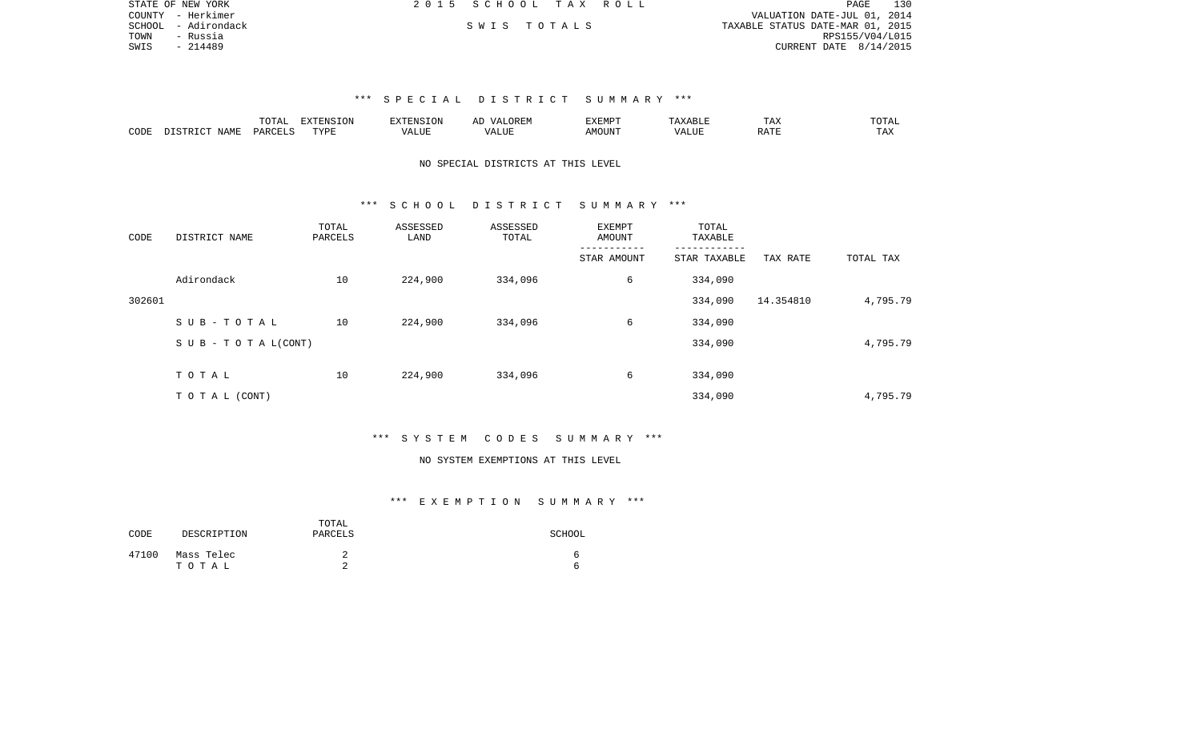|      | STATE OF NEW YORK   | 2015 SCHOOL TAX ROLL |             |  | 130<br>PAGE                      |
|------|---------------------|----------------------|-------------|--|----------------------------------|
|      | COUNTY - Herkimer   |                      |             |  | VALUATION DATE-JUL 01, 2014      |
|      | SCHOOL - Adirondack |                      | SWIS TOTALS |  | TAXABLE STATUS DATE-MAR 01, 2015 |
| TOWN | - Russia            |                      |             |  | RPS155/V04/L015                  |
| SWIS | - 214489            |                      |             |  | CURRENT DATE $8/14/2015$         |

|      |                           | TOTAI.  | <b>EXTENSION</b> | <b>YTENSION</b><br>5⊥ON | ΑL                     | <i>EXEMPT</i> | ABLE  | TAX         | TOTAL |
|------|---------------------------|---------|------------------|-------------------------|------------------------|---------------|-------|-------------|-------|
| CODE | NAME<br>ידי איד פידי פידי | PARCELS | TVDR             | $- - - - -$<br>74 N     | <b>TAT TTL</b><br>ALUP | MOUNT         | VALUE | <b>RATI</b> |       |

# NO SPECIAL DISTRICTS AT THIS LEVEL

### \*\*\* S C H O O L D I S T R I C T S U M M A R Y \*\*\*

| CODE   | DISTRICT NAME                    | TOTAL<br>PARCELS | ASSESSED<br>LAND | ASSESSED<br>TOTAL | EXEMPT<br>AMOUNT | TOTAL<br>TAXABLE |           |           |
|--------|----------------------------------|------------------|------------------|-------------------|------------------|------------------|-----------|-----------|
|        |                                  |                  |                  |                   | STAR AMOUNT      | STAR TAXABLE     | TAX RATE  | TOTAL TAX |
|        | Adirondack                       | 10               | 224,900          | 334,096           | 6                | 334,090          |           |           |
| 302601 |                                  |                  |                  |                   |                  | 334,090          | 14.354810 | 4,795.79  |
|        | SUB-TOTAL                        | 10               | 224,900          | 334,096           | 6                | 334,090          |           |           |
|        | $S \cup B - T \cup T A L (CONT)$ |                  |                  |                   |                  | 334,090          |           | 4,795.79  |
|        | TOTAL                            | 10               | 224,900          | 334,096           | 6                | 334,090          |           |           |
|        | T O T A L (CONT)                 |                  |                  |                   |                  | 334,090          |           | 4,795.79  |

### \*\*\* S Y S T E M C O D E S S U M M A R Y \*\*\*

### NO SYSTEM EXEMPTIONS AT THIS LEVEL

| CODE  | DESCRIPTION         | TOTAL<br>PARCELS | SCHOOL |
|-------|---------------------|------------------|--------|
| 47100 | Mass Telec<br>тотаь | ▵<br>⌒           | 'n     |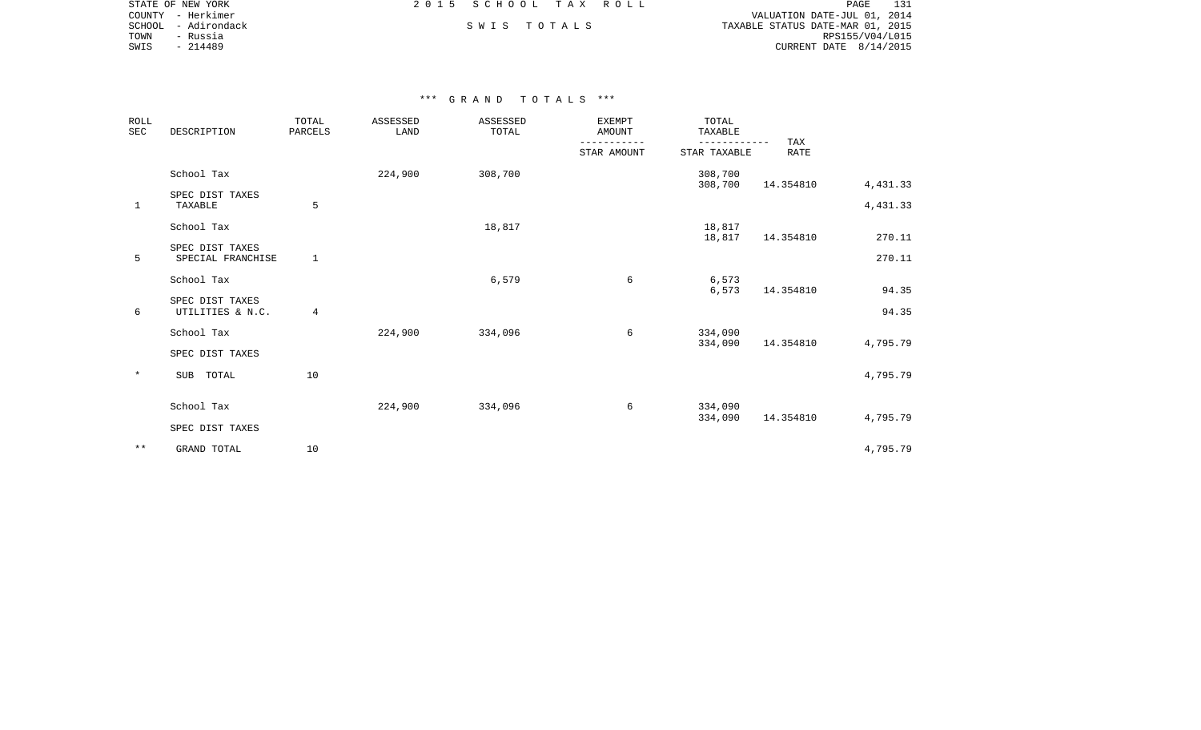|      | STATE OF NEW YORK   | 2015 SCHOOL TAX ROLL |             |  | 131<br>PAGE                      |
|------|---------------------|----------------------|-------------|--|----------------------------------|
|      | COUNTY - Herkimer   |                      |             |  | VALUATION DATE-JUL 01, 2014      |
|      | SCHOOL - Adirondack |                      | SWIS TOTALS |  | TAXABLE STATUS DATE-MAR 01, 2015 |
| TOWN | - Russia            |                      |             |  | RPS155/V04/L015                  |
| SWIS | - 214489            |                      |             |  | CURRENT DATE $8/14/2015$         |
|      |                     |                      |             |  |                                  |

| <b>ROLL</b><br>SEC | DESCRIPTION                          | TOTAL<br>PARCELS | <b>ASSESSED</b><br>LAND | ASSESSED<br>TOTAL | <b>EXEMPT</b><br><b>AMOUNT</b> | TOTAL<br>TAXABLE             |                    |          |
|--------------------|--------------------------------------|------------------|-------------------------|-------------------|--------------------------------|------------------------------|--------------------|----------|
|                    |                                      |                  |                         |                   | STAR AMOUNT                    | ------------<br>STAR TAXABLE | TAX<br><b>RATE</b> |          |
|                    | School Tax                           |                  | 224,900                 | 308,700           |                                | 308,700<br>308,700           | 14.354810          | 4,431.33 |
| 1                  | SPEC DIST TAXES<br>TAXABLE           | 5                |                         |                   |                                |                              |                    | 4,431.33 |
|                    | School Tax                           |                  |                         | 18,817            |                                | 18,817<br>18,817             | 14.354810          | 270.11   |
| 5                  | SPEC DIST TAXES<br>SPECIAL FRANCHISE | 1                |                         |                   |                                |                              |                    | 270.11   |
|                    | School Tax                           |                  |                         | 6,579             | 6                              | 6,573<br>6,573               | 14.354810          | 94.35    |
| 6                  | SPEC DIST TAXES<br>UTILITIES & N.C.  | 4                |                         |                   |                                |                              |                    | 94.35    |
|                    | School Tax                           |                  | 224,900                 | 334,096           | 6                              | 334,090<br>334,090           | 14.354810          | 4,795.79 |
|                    | SPEC DIST TAXES                      |                  |                         |                   |                                |                              |                    |          |
| $\star$            | SUB TOTAL                            | 10               |                         |                   |                                |                              |                    | 4,795.79 |
|                    | School Tax                           |                  | 224,900                 | 334,096           | 6                              | 334,090<br>334,090           | 14.354810          | 4,795.79 |
|                    | SPEC DIST TAXES                      |                  |                         |                   |                                |                              |                    |          |
| $\star\star$       | GRAND TOTAL                          | 10               |                         |                   |                                |                              |                    | 4,795.79 |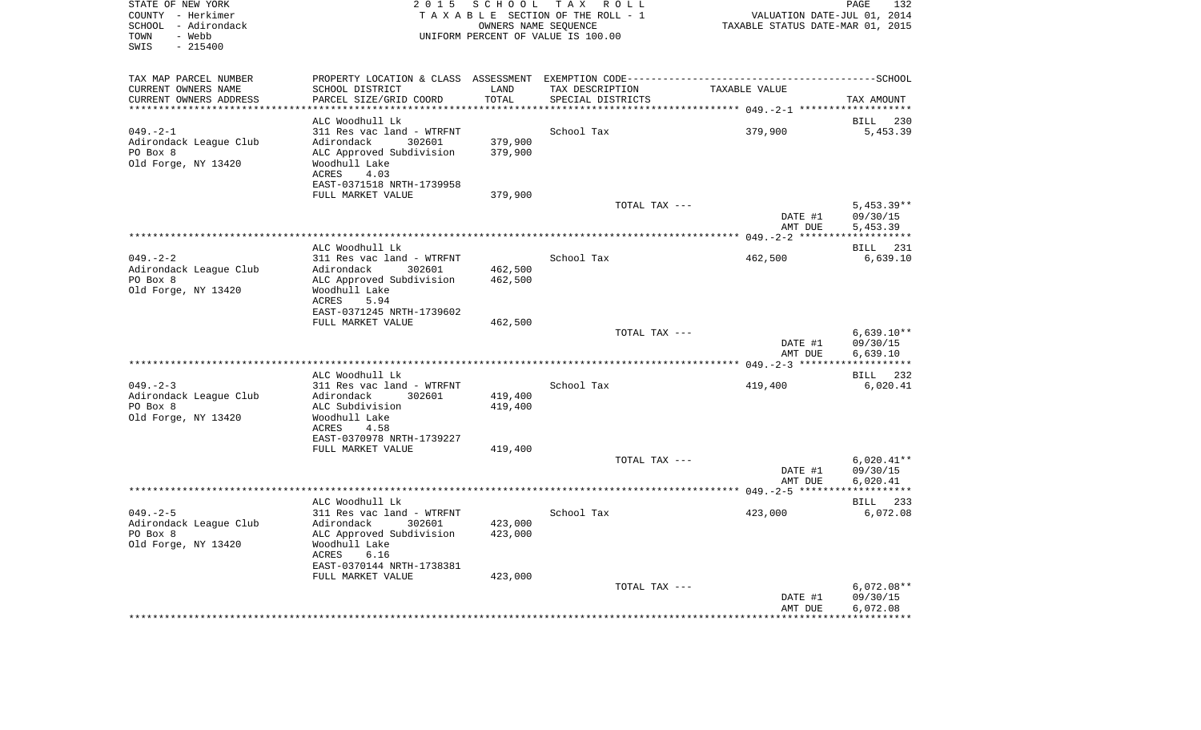| STATE OF NEW YORK<br>COUNTY - Herkimer<br>SCHOOL - Adirondack<br>- Webb<br>TOWN<br>SWIS<br>$-215400$ | 2 0 1 5                                        | S C H O O L         | TAX ROLL<br>TAXABLE SECTION OF THE ROLL - 1<br>OWNERS NAME SEQUENCE<br>UNIFORM PERCENT OF VALUE IS 100.00 | VALUATION DATE-JUL 01, 2014<br>TAXABLE STATUS DATE-MAR 01, 2015 | PAGE<br>132          |
|------------------------------------------------------------------------------------------------------|------------------------------------------------|---------------------|-----------------------------------------------------------------------------------------------------------|-----------------------------------------------------------------|----------------------|
| TAX MAP PARCEL NUMBER                                                                                |                                                |                     |                                                                                                           |                                                                 |                      |
| CURRENT OWNERS NAME                                                                                  | SCHOOL DISTRICT                                | LAND                | TAX DESCRIPTION                                                                                           | TAXABLE VALUE                                                   |                      |
| CURRENT OWNERS ADDRESS<br>********************                                                       | PARCEL SIZE/GRID COORD                         | TOTAL<br>********** | SPECIAL DISTRICTS                                                                                         |                                                                 | TAX AMOUNT           |
|                                                                                                      | ALC Woodhull Lk                                |                     |                                                                                                           |                                                                 | <b>BILL</b><br>230   |
| $049. -2 - 1$                                                                                        | 311 Res vac land - WTRFNT                      |                     | School Tax                                                                                                | 379,900                                                         | 5,453.39             |
| Adirondack League Club                                                                               | Adirondack<br>302601                           | 379,900             |                                                                                                           |                                                                 |                      |
| PO Box 8                                                                                             | ALC Approved Subdivision                       | 379,900             |                                                                                                           |                                                                 |                      |
| Old Forge, NY 13420                                                                                  | Woodhull Lake                                  |                     |                                                                                                           |                                                                 |                      |
|                                                                                                      | ACRES<br>4.03                                  |                     |                                                                                                           |                                                                 |                      |
|                                                                                                      | EAST-0371518 NRTH-1739958                      |                     |                                                                                                           |                                                                 |                      |
|                                                                                                      | FULL MARKET VALUE                              | 379,900             |                                                                                                           |                                                                 |                      |
|                                                                                                      |                                                |                     | TOTAL TAX ---                                                                                             |                                                                 | $5,453.39**$         |
|                                                                                                      |                                                |                     |                                                                                                           | DATE #1<br>AMT DUE                                              | 09/30/15<br>5,453.39 |
|                                                                                                      |                                                |                     |                                                                                                           |                                                                 | ***********          |
|                                                                                                      | ALC Woodhull Lk                                |                     |                                                                                                           |                                                                 | BILL 231             |
| $049. - 2 - 2$                                                                                       | 311 Res vac land - WTRFNT                      |                     | School Tax                                                                                                | 462,500                                                         | 6,639.10             |
| Adirondack League Club                                                                               | Adirondack<br>302601                           | 462,500             |                                                                                                           |                                                                 |                      |
| PO Box 8                                                                                             | ALC Approved Subdivision                       | 462,500             |                                                                                                           |                                                                 |                      |
| Old Forge, NY 13420                                                                                  | Woodhull Lake                                  |                     |                                                                                                           |                                                                 |                      |
|                                                                                                      | ACRES<br>5.94                                  |                     |                                                                                                           |                                                                 |                      |
|                                                                                                      | EAST-0371245 NRTH-1739602<br>FULL MARKET VALUE | 462,500             |                                                                                                           |                                                                 |                      |
|                                                                                                      |                                                |                     | TOTAL TAX ---                                                                                             |                                                                 | $6,639.10**$         |
|                                                                                                      |                                                |                     |                                                                                                           | DATE #1                                                         | 09/30/15             |
|                                                                                                      |                                                |                     |                                                                                                           | AMT DUE                                                         | 6,639.10             |
|                                                                                                      |                                                |                     |                                                                                                           |                                                                 | ***********          |
|                                                                                                      | ALC Woodhull Lk                                |                     |                                                                                                           |                                                                 | 232<br>BILL          |
| $049. - 2 - 3$                                                                                       | 311 Res vac land - WTRFNT                      |                     | School Tax                                                                                                | 419,400                                                         | 6,020.41             |
| Adirondack League Club<br>PO Box 8                                                                   | Adirondack<br>302601<br>ALC Subdivision        | 419,400<br>419,400  |                                                                                                           |                                                                 |                      |
| Old Forge, NY 13420                                                                                  | Woodhull Lake                                  |                     |                                                                                                           |                                                                 |                      |
|                                                                                                      | <b>ACRES</b><br>4.58                           |                     |                                                                                                           |                                                                 |                      |
|                                                                                                      | EAST-0370978 NRTH-1739227                      |                     |                                                                                                           |                                                                 |                      |
|                                                                                                      | FULL MARKET VALUE                              | 419,400             |                                                                                                           |                                                                 |                      |
|                                                                                                      |                                                |                     | TOTAL TAX ---                                                                                             |                                                                 | $6,020.41**$         |
|                                                                                                      |                                                |                     |                                                                                                           | DATE #1                                                         | 09/30/15             |
|                                                                                                      |                                                |                     |                                                                                                           | AMT DUE                                                         | 6,020.41             |
|                                                                                                      | ALC Woodhull Lk                                |                     |                                                                                                           |                                                                 | BILL 233             |
| $049. - 2 - 5$                                                                                       | 311 Res vac land - WTRFNT                      |                     | School Tax                                                                                                | 423,000                                                         | 6,072.08             |
| Adirondack League Club                                                                               | Adirondack<br>302601                           | 423,000             |                                                                                                           |                                                                 |                      |
| PO Box 8                                                                                             | ALC Approved Subdivision                       | 423,000             |                                                                                                           |                                                                 |                      |
| Old Forge, NY 13420                                                                                  | Woodhull Lake                                  |                     |                                                                                                           |                                                                 |                      |
|                                                                                                      | ACRES<br>6.16                                  |                     |                                                                                                           |                                                                 |                      |
|                                                                                                      | EAST-0370144 NRTH-1738381                      |                     |                                                                                                           |                                                                 |                      |
|                                                                                                      | FULL MARKET VALUE                              | 423,000             | TOTAL TAX ---                                                                                             |                                                                 | $6,072.08**$         |
|                                                                                                      |                                                |                     |                                                                                                           | DATE #1                                                         | 09/30/15             |
|                                                                                                      |                                                |                     |                                                                                                           | AMT DUE                                                         | 6,072.08             |
|                                                                                                      |                                                |                     |                                                                                                           |                                                                 |                      |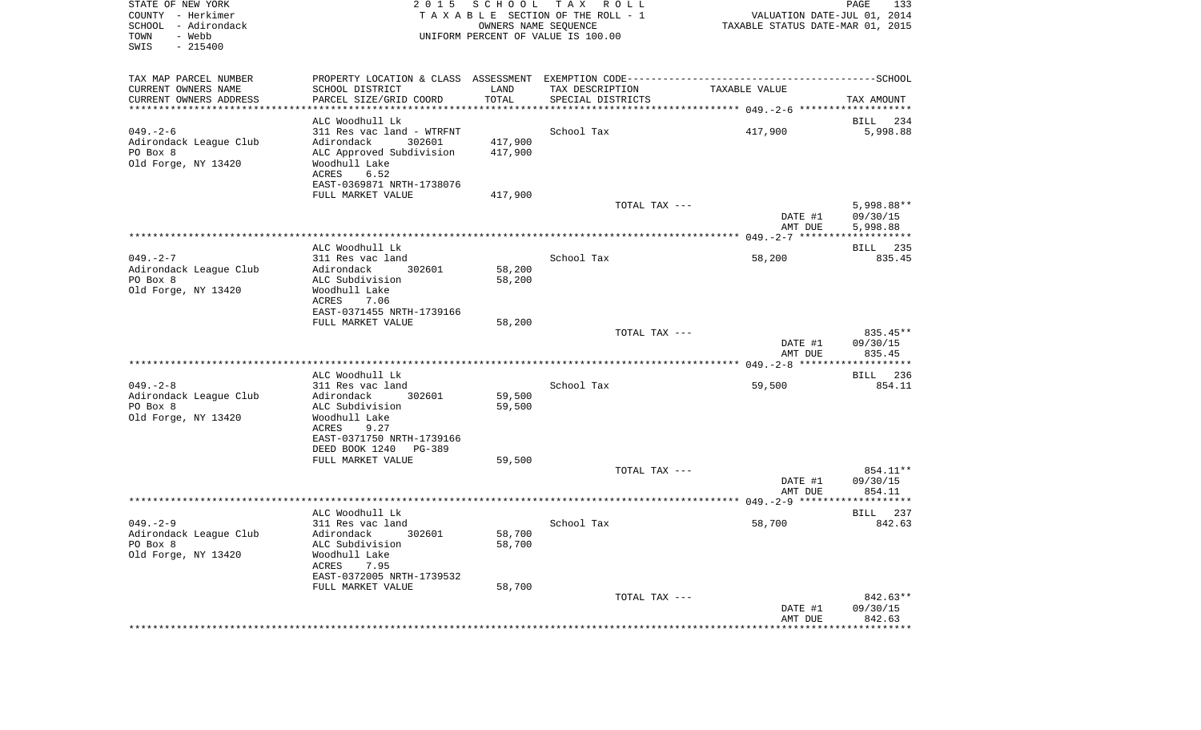| STATE OF NEW YORK<br>COUNTY - Herkimer<br>SCHOOL<br>- Adirondack<br>- Webb<br>TOWN<br>SWIS<br>$-215400$ | 2 0 1 5                                               | OWNERS NAME SEQUENCE | SCHOOL TAX ROLL<br>TAXABLE SECTION OF THE ROLL - 1<br>UNIFORM PERCENT OF VALUE IS 100.00 | VALUATION DATE-JUL 01, 2014<br>TAXABLE STATUS DATE-MAR 01, 2015 | PAGE<br>133            |
|---------------------------------------------------------------------------------------------------------|-------------------------------------------------------|----------------------|------------------------------------------------------------------------------------------|-----------------------------------------------------------------|------------------------|
| TAX MAP PARCEL NUMBER                                                                                   |                                                       |                      |                                                                                          |                                                                 |                        |
| CURRENT OWNERS NAME                                                                                     | SCHOOL DISTRICT                                       | LAND                 | TAX DESCRIPTION                                                                          | TAXABLE VALUE                                                   |                        |
| CURRENT OWNERS ADDRESS<br>*************************                                                     | PARCEL SIZE/GRID COORD                                | TOTAL                | SPECIAL DISTRICTS                                                                        |                                                                 | TAX AMOUNT             |
|                                                                                                         | ALC Woodhull Lk                                       |                      |                                                                                          |                                                                 | 234<br>BILL            |
| $049. - 2 - 6$                                                                                          | 311 Res vac land - WTRFNT                             |                      | School Tax                                                                               | 417,900                                                         | 5,998.88               |
| Adirondack League Club                                                                                  | 302601<br>Adirondack                                  | 417,900              |                                                                                          |                                                                 |                        |
| PO Box 8                                                                                                | ALC Approved Subdivision                              | 417,900              |                                                                                          |                                                                 |                        |
| Old Forge, NY 13420                                                                                     | Woodhull Lake                                         |                      |                                                                                          |                                                                 |                        |
|                                                                                                         | ACRES<br>6.52                                         |                      |                                                                                          |                                                                 |                        |
|                                                                                                         | EAST-0369871 NRTH-1738076                             |                      |                                                                                          |                                                                 |                        |
|                                                                                                         | FULL MARKET VALUE                                     | 417,900              | TOTAL TAX ---                                                                            |                                                                 | 5,998.88**             |
|                                                                                                         |                                                       |                      |                                                                                          | DATE #1                                                         | 09/30/15               |
|                                                                                                         |                                                       |                      |                                                                                          | AMT DUE                                                         | 5,998.88               |
|                                                                                                         |                                                       |                      |                                                                                          |                                                                 |                        |
|                                                                                                         | ALC Woodhull Lk                                       |                      |                                                                                          |                                                                 | 235<br>BILL            |
| $049. -2 - 7$                                                                                           | 311 Res vac land                                      |                      | School Tax                                                                               | 58,200                                                          | 835.45                 |
| Adirondack League Club<br>PO Box 8                                                                      | 302601<br>Adirondack<br>ALC Subdivision               | 58,200<br>58,200     |                                                                                          |                                                                 |                        |
| Old Forge, NY 13420                                                                                     | Woodhull Lake                                         |                      |                                                                                          |                                                                 |                        |
|                                                                                                         | ACRES<br>7.06                                         |                      |                                                                                          |                                                                 |                        |
|                                                                                                         | EAST-0371455 NRTH-1739166                             |                      |                                                                                          |                                                                 |                        |
|                                                                                                         | FULL MARKET VALUE                                     | 58,200               |                                                                                          |                                                                 |                        |
|                                                                                                         |                                                       |                      | TOTAL TAX ---                                                                            | DATE #1                                                         | $835.45**$<br>09/30/15 |
|                                                                                                         |                                                       |                      |                                                                                          | AMT DUE                                                         | 835.45                 |
|                                                                                                         | ALC Woodhull Lk                                       |                      |                                                                                          |                                                                 | BILL 236               |
| $049. - 2 - 8$                                                                                          | 311 Res vac land                                      |                      | School Tax                                                                               | 59,500                                                          | 854.11                 |
| Adirondack League Club                                                                                  | Adirondack<br>302601                                  | 59,500               |                                                                                          |                                                                 |                        |
| PO Box 8                                                                                                | ALC Subdivision                                       | 59,500               |                                                                                          |                                                                 |                        |
| Old Forge, NY 13420                                                                                     | Woodhull Lake                                         |                      |                                                                                          |                                                                 |                        |
|                                                                                                         | ACRES<br>9.27                                         |                      |                                                                                          |                                                                 |                        |
|                                                                                                         | EAST-0371750 NRTH-1739166<br>DEED BOOK 1240<br>PG-389 |                      |                                                                                          |                                                                 |                        |
|                                                                                                         | FULL MARKET VALUE                                     | 59,500               |                                                                                          |                                                                 |                        |
|                                                                                                         |                                                       |                      | TOTAL TAX ---                                                                            |                                                                 | 854.11**               |
|                                                                                                         |                                                       |                      |                                                                                          | DATE #1                                                         | 09/30/15               |
|                                                                                                         |                                                       |                      |                                                                                          | AMT DUE                                                         | 854.11                 |
|                                                                                                         | ALC Woodhull Lk                                       |                      |                                                                                          |                                                                 | 237<br>BILL            |
| $049. - 2 - 9$                                                                                          | 311 Res vac land                                      |                      | School Tax                                                                               | 58,700                                                          | 842.63                 |
| Adirondack League Club                                                                                  | Adirondack 302601                                     | 58,700               |                                                                                          |                                                                 |                        |
| PO Box 8                                                                                                | ALC Subdivision                                       | 58,700               |                                                                                          |                                                                 |                        |
| Old Forge, NY 13420                                                                                     | Woodhull Lake                                         |                      |                                                                                          |                                                                 |                        |
|                                                                                                         | ACRES<br>7.95                                         |                      |                                                                                          |                                                                 |                        |
|                                                                                                         | EAST-0372005 NRTH-1739532<br>FULL MARKET VALUE        | 58,700               |                                                                                          |                                                                 |                        |
|                                                                                                         |                                                       |                      | TOTAL TAX ---                                                                            |                                                                 | 842.63**               |
|                                                                                                         |                                                       |                      |                                                                                          | DATE #1                                                         | 09/30/15               |
|                                                                                                         |                                                       |                      |                                                                                          | AMT DUE                                                         | 842.63                 |
|                                                                                                         |                                                       |                      |                                                                                          | *******************                                             | **************         |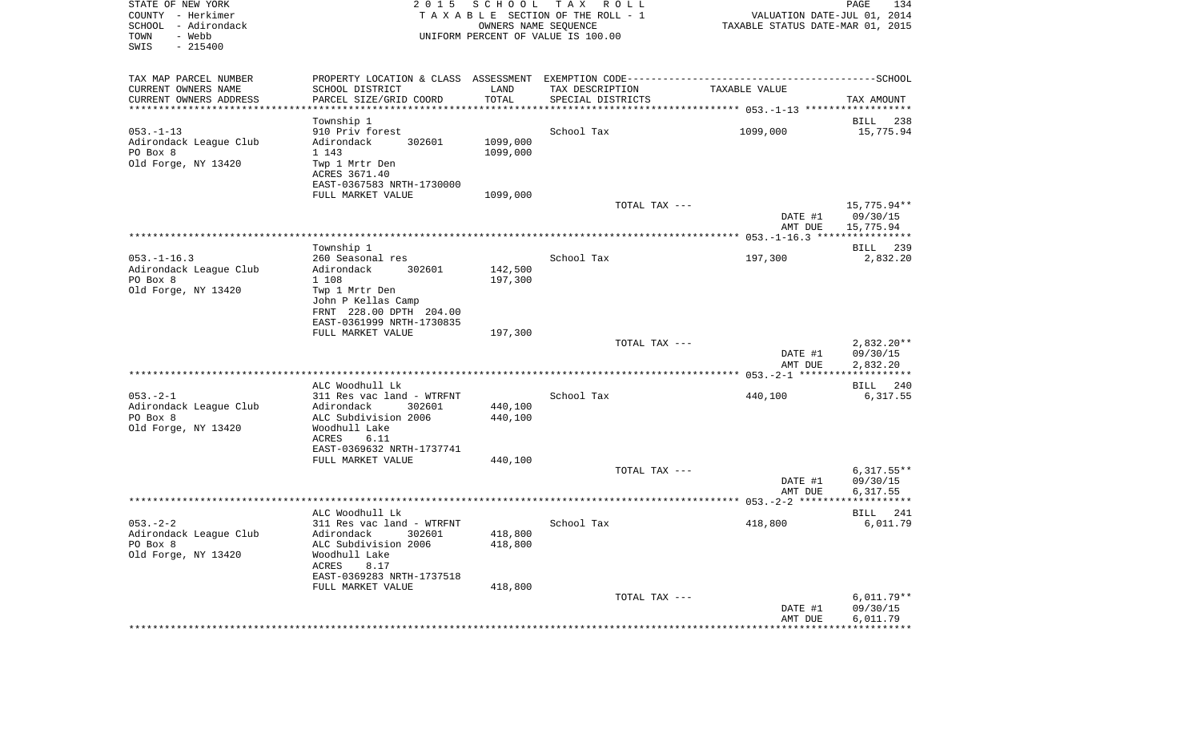| STATE OF NEW YORK<br>COUNTY - Herkimer<br>SCHOOL - Adirondack<br>- Webb<br>TOWN<br>SWIS<br>$-215400$ | 2 0 1 5                                                                                      | OWNERS NAME SEQUENCE | SCHOOL TAX ROLL<br>TAXABLE SECTION OF THE ROLL - 1<br>UNIFORM PERCENT OF VALUE IS 100.00 | VALUATION DATE-JUL 01, 2014<br>TAXABLE STATUS DATE-MAR 01, 2015 | PAGE<br>134             |
|------------------------------------------------------------------------------------------------------|----------------------------------------------------------------------------------------------|----------------------|------------------------------------------------------------------------------------------|-----------------------------------------------------------------|-------------------------|
| TAX MAP PARCEL NUMBER                                                                                | PROPERTY LOCATION & CLASS ASSESSMENT EXEMPTION CODE-----------------------------------SCHOOL |                      |                                                                                          |                                                                 |                         |
| CURRENT OWNERS NAME                                                                                  | SCHOOL DISTRICT                                                                              | LAND                 | TAX DESCRIPTION                                                                          | TAXABLE VALUE                                                   |                         |
| CURRENT OWNERS ADDRESS<br>*************************                                                  | PARCEL SIZE/GRID COORD                                                                       | TOTAL                | SPECIAL DISTRICTS                                                                        |                                                                 | TAX AMOUNT              |
|                                                                                                      | Township 1                                                                                   |                      |                                                                                          |                                                                 | 238<br>BILL             |
| $053. -1 - 13$                                                                                       | 910 Priv forest                                                                              |                      | School Tax                                                                               | 1099,000                                                        | 15,775.94               |
| Adirondack League Club                                                                               | 302601<br>Adirondack                                                                         | 1099,000             |                                                                                          |                                                                 |                         |
| PO Box 8                                                                                             | 1 143                                                                                        | 1099,000             |                                                                                          |                                                                 |                         |
| Old Forge, NY 13420                                                                                  | Twp 1 Mrtr Den<br>ACRES 3671.40                                                              |                      |                                                                                          |                                                                 |                         |
|                                                                                                      | EAST-0367583 NRTH-1730000                                                                    |                      |                                                                                          |                                                                 |                         |
|                                                                                                      | FULL MARKET VALUE                                                                            | 1099,000             |                                                                                          |                                                                 |                         |
|                                                                                                      |                                                                                              |                      | TOTAL TAX ---                                                                            |                                                                 | 15,775.94**             |
|                                                                                                      |                                                                                              |                      |                                                                                          | DATE #1                                                         | 09/30/15                |
|                                                                                                      |                                                                                              |                      |                                                                                          | AMT DUE                                                         | 15,775.94               |
|                                                                                                      | Township 1                                                                                   |                      |                                                                                          |                                                                 | 239<br>BILL             |
| $053. -1 - 16.3$                                                                                     | 260 Seasonal res                                                                             |                      | School Tax                                                                               | 197,300                                                         | 2,832.20                |
| Adirondack League Club                                                                               | Adirondack<br>302601                                                                         | 142,500              |                                                                                          |                                                                 |                         |
| PO Box 8<br>Old Forge, NY 13420                                                                      | 1 108<br>Twp 1 Mrtr Den                                                                      | 197,300              |                                                                                          |                                                                 |                         |
|                                                                                                      | John P Kellas Camp                                                                           |                      |                                                                                          |                                                                 |                         |
|                                                                                                      | FRNT 228.00 DPTH 204.00                                                                      |                      |                                                                                          |                                                                 |                         |
|                                                                                                      | EAST-0361999 NRTH-1730835                                                                    |                      |                                                                                          |                                                                 |                         |
|                                                                                                      | FULL MARKET VALUE                                                                            | 197,300              | TOTAL TAX ---                                                                            |                                                                 | $2,832.20**$            |
|                                                                                                      |                                                                                              |                      |                                                                                          | DATE #1<br>AMT DUE                                              | 09/30/15<br>2,832.20    |
|                                                                                                      |                                                                                              |                      |                                                                                          |                                                                 |                         |
|                                                                                                      | ALC Woodhull Lk                                                                              |                      |                                                                                          |                                                                 | BILL 240                |
| $053. - 2 - 1$<br>Adirondack League Club                                                             | 311 Res vac land - WTRFNT<br>Adirondack<br>302601                                            | 440,100              | School Tax                                                                               | 440,100                                                         | 6,317.55                |
| PO Box 8                                                                                             | ALC Subdivision 2006                                                                         | 440,100              |                                                                                          |                                                                 |                         |
| Old Forge, NY 13420                                                                                  | Woodhull Lake                                                                                |                      |                                                                                          |                                                                 |                         |
|                                                                                                      | ACRES<br>6.11                                                                                |                      |                                                                                          |                                                                 |                         |
|                                                                                                      | EAST-0369632 NRTH-1737741                                                                    |                      |                                                                                          |                                                                 |                         |
|                                                                                                      | FULL MARKET VALUE                                                                            | 440,100              | TOTAL TAX ---                                                                            |                                                                 | $6,317.55**$            |
|                                                                                                      |                                                                                              |                      |                                                                                          | DATE #1                                                         | 09/30/15                |
|                                                                                                      |                                                                                              |                      |                                                                                          | AMT DUE                                                         | 6,317.55                |
|                                                                                                      |                                                                                              |                      |                                                                                          |                                                                 |                         |
| $053. - 2 - 2$                                                                                       | ALC Woodhull Lk<br>311 Res vac land - WTRFNT                                                 |                      | School Tax                                                                               | 418,800                                                         | 241<br>BILL<br>6,011.79 |
| Adirondack League Club                                                                               | Adirondack 302601                                                                            | 418,800              |                                                                                          |                                                                 |                         |
| PO Box 8                                                                                             | ALC Subdivision 2006                                                                         | 418,800              |                                                                                          |                                                                 |                         |
| Old Forge, NY 13420                                                                                  | Woodhull Lake                                                                                |                      |                                                                                          |                                                                 |                         |
|                                                                                                      | ACRES<br>8.17                                                                                |                      |                                                                                          |                                                                 |                         |
|                                                                                                      | EAST-0369283 NRTH-1737518<br>FULL MARKET VALUE                                               | 418,800              |                                                                                          |                                                                 |                         |
|                                                                                                      |                                                                                              |                      | TOTAL TAX ---                                                                            |                                                                 | $6,011.79**$            |
|                                                                                                      |                                                                                              |                      |                                                                                          | DATE #1                                                         | 09/30/15                |
|                                                                                                      |                                                                                              |                      |                                                                                          | AMT DUE<br>**********************************                   | 6,011.79                |
|                                                                                                      |                                                                                              |                      |                                                                                          |                                                                 |                         |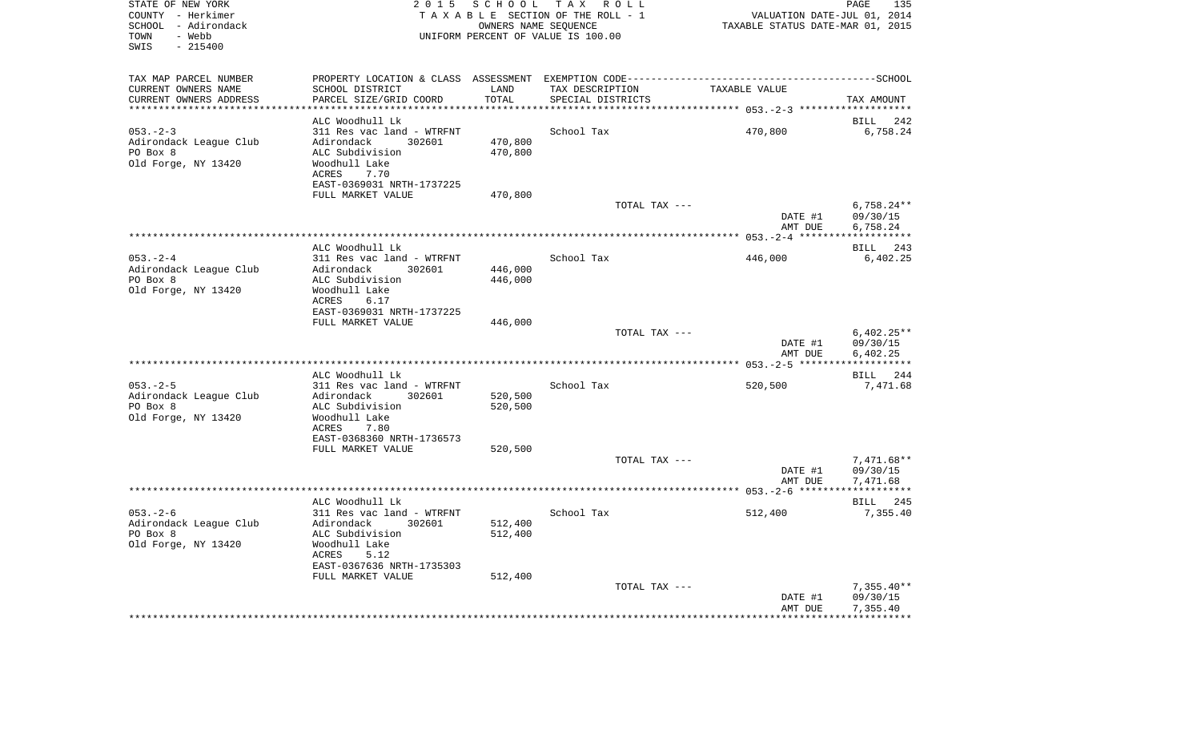| STATE OF NEW YORK<br>COUNTY - Herkimer<br>SCHOOL - Adirondack<br>- Webb<br>TOWN<br>SWIS<br>$-215400$ |                                                   | 2015 SCHOOL            | TAX ROLL<br>TAXABLE SECTION OF THE ROLL - 1<br>OWNERS NAME SEQUENCE<br>UNIFORM PERCENT OF VALUE IS 100.00 | VALUATION DATE-JUL 01, 2014<br>TAXABLE STATUS DATE-MAR 01, 2015 | PAGE<br>135              |
|------------------------------------------------------------------------------------------------------|---------------------------------------------------|------------------------|-----------------------------------------------------------------------------------------------------------|-----------------------------------------------------------------|--------------------------|
| TAX MAP PARCEL NUMBER                                                                                |                                                   |                        |                                                                                                           |                                                                 |                          |
| CURRENT OWNERS NAME                                                                                  | SCHOOL DISTRICT                                   | LAND                   | TAX DESCRIPTION                                                                                           | TAXABLE VALUE                                                   |                          |
| CURRENT OWNERS ADDRESS<br>*********************                                                      | PARCEL SIZE/GRID COORD                            | TOTAL<br>************* | SPECIAL DISTRICTS                                                                                         |                                                                 | TAX AMOUNT               |
|                                                                                                      |                                                   |                        |                                                                                                           |                                                                 |                          |
| $053 - 2 - 3$                                                                                        | ALC Woodhull Lk<br>311 Res vac land - WTRFNT      |                        | School Tax                                                                                                | 470,800                                                         | BILL<br>242<br>6,758.24  |
| Adirondack League Club                                                                               | Adirondack<br>302601                              | 470,800                |                                                                                                           |                                                                 |                          |
| PO Box 8                                                                                             | ALC Subdivision                                   | 470,800                |                                                                                                           |                                                                 |                          |
| Old Forge, NY 13420                                                                                  | Woodhull Lake                                     |                        |                                                                                                           |                                                                 |                          |
|                                                                                                      | ACRES<br>7.70                                     |                        |                                                                                                           |                                                                 |                          |
|                                                                                                      | EAST-0369031 NRTH-1737225                         |                        |                                                                                                           |                                                                 |                          |
|                                                                                                      | FULL MARKET VALUE                                 | 470,800                |                                                                                                           |                                                                 |                          |
|                                                                                                      |                                                   |                        | TOTAL TAX ---                                                                                             |                                                                 | $6,758.24**$             |
|                                                                                                      |                                                   |                        |                                                                                                           | DATE #1                                                         | 09/30/15                 |
|                                                                                                      |                                                   |                        |                                                                                                           | AMT DUE                                                         | 6,758.24                 |
|                                                                                                      |                                                   |                        |                                                                                                           |                                                                 | ***********              |
|                                                                                                      | ALC Woodhull Lk                                   |                        |                                                                                                           |                                                                 | 243<br>BILL              |
| $053. - 2 - 4$<br>Adirondack League Club                                                             | 311 Res vac land - WTRFNT<br>Adirondack<br>302601 | 446,000                | School Tax                                                                                                | 446,000                                                         | 6,402.25                 |
| PO Box 8                                                                                             | ALC Subdivision                                   | 446,000                |                                                                                                           |                                                                 |                          |
| Old Forge, NY 13420                                                                                  | Woodhull Lake                                     |                        |                                                                                                           |                                                                 |                          |
|                                                                                                      | ACRES<br>6.17                                     |                        |                                                                                                           |                                                                 |                          |
|                                                                                                      | EAST-0369031 NRTH-1737225                         |                        |                                                                                                           |                                                                 |                          |
|                                                                                                      | FULL MARKET VALUE                                 | 446,000                |                                                                                                           |                                                                 |                          |
|                                                                                                      |                                                   |                        | TOTAL TAX ---                                                                                             |                                                                 | $6,402.25**$             |
|                                                                                                      |                                                   |                        |                                                                                                           | DATE #1                                                         | 09/30/15                 |
|                                                                                                      |                                                   |                        |                                                                                                           | AMT DUE                                                         | 6,402.25                 |
|                                                                                                      | ALC Woodhull Lk                                   |                        |                                                                                                           |                                                                 | 244                      |
| $053. - 2 - 5$                                                                                       | 311 Res vac land - WTRFNT                         |                        | School Tax                                                                                                | 520,500                                                         | BILL<br>7,471.68         |
| Adirondack League Club                                                                               | Adirondack<br>302601                              | 520,500                |                                                                                                           |                                                                 |                          |
| PO Box 8                                                                                             | ALC Subdivision                                   | 520,500                |                                                                                                           |                                                                 |                          |
| Old Forge, NY 13420                                                                                  | Woodhull Lake                                     |                        |                                                                                                           |                                                                 |                          |
|                                                                                                      | ACRES<br>7.80                                     |                        |                                                                                                           |                                                                 |                          |
|                                                                                                      | EAST-0368360 NRTH-1736573                         |                        |                                                                                                           |                                                                 |                          |
|                                                                                                      | FULL MARKET VALUE                                 | 520,500                |                                                                                                           |                                                                 |                          |
|                                                                                                      |                                                   |                        | TOTAL TAX ---                                                                                             |                                                                 | $7,471.68**$             |
|                                                                                                      |                                                   |                        |                                                                                                           | DATE #1                                                         | 09/30/15                 |
|                                                                                                      |                                                   |                        |                                                                                                           | AMT DUE                                                         | 7,471.68<br>************ |
|                                                                                                      | ALC Woodhull Lk                                   |                        |                                                                                                           |                                                                 | BILL 245                 |
| $053. - 2 - 6$                                                                                       | 311 Res vac land - WTRFNT                         |                        | School Tax                                                                                                | 512,400                                                         | 7,355.40                 |
| Adirondack League Club                                                                               | Adirondack<br>302601                              | 512,400                |                                                                                                           |                                                                 |                          |
| PO Box 8                                                                                             | ALC Subdivision                                   | 512,400                |                                                                                                           |                                                                 |                          |
| Old Forge, NY 13420                                                                                  | Woodhull Lake                                     |                        |                                                                                                           |                                                                 |                          |
|                                                                                                      | ACRES<br>5.12                                     |                        |                                                                                                           |                                                                 |                          |
|                                                                                                      | EAST-0367636 NRTH-1735303                         |                        |                                                                                                           |                                                                 |                          |
|                                                                                                      | FULL MARKET VALUE                                 | 512,400                |                                                                                                           |                                                                 |                          |
|                                                                                                      |                                                   |                        | TOTAL TAX ---                                                                                             |                                                                 | $7,355.40**$             |
|                                                                                                      |                                                   |                        |                                                                                                           | DATE #1<br>AMT DUE                                              | 09/30/15<br>7,355.40     |
|                                                                                                      |                                                   |                        |                                                                                                           |                                                                 |                          |
|                                                                                                      |                                                   |                        |                                                                                                           |                                                                 |                          |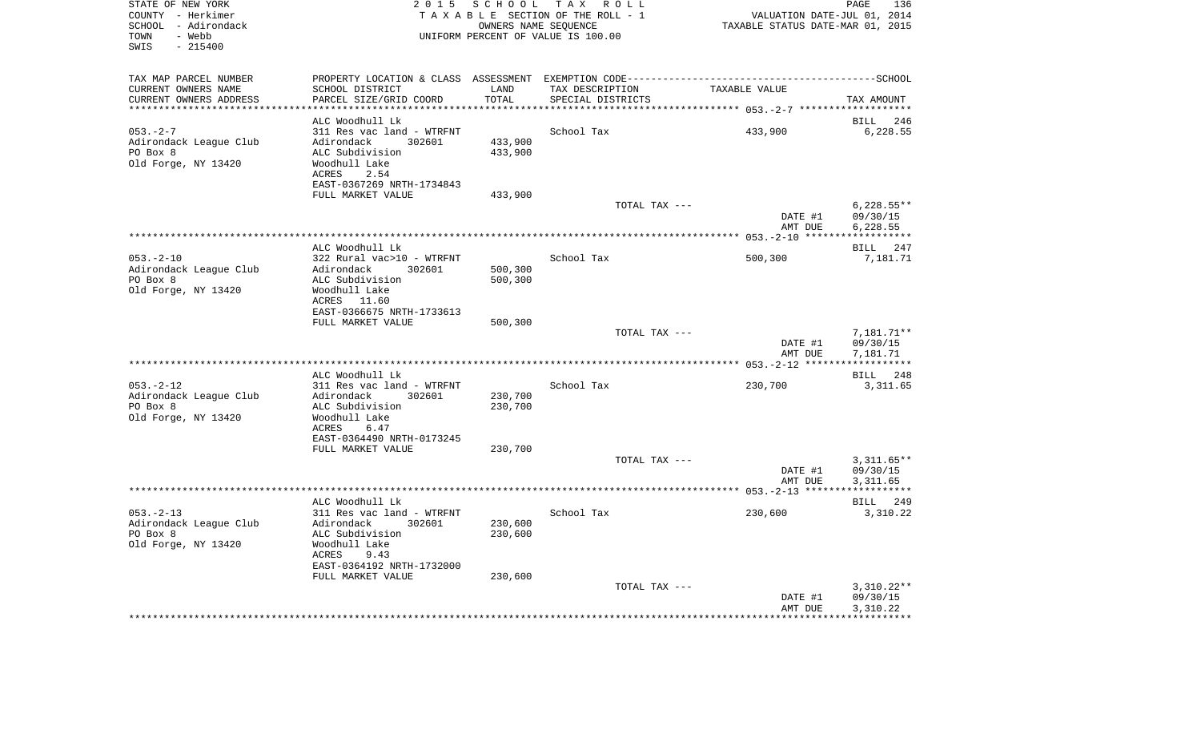| STATE OF NEW YORK<br>COUNTY - Herkimer<br>SCHOOL - Adirondack<br>- Webb<br>TOWN<br>$-215400$<br>SWIS |                                                | 2015 SCHOOL         | TAX ROLL<br>TAXABLE SECTION OF THE ROLL - 1<br>OWNERS NAME SEQUENCE<br>UNIFORM PERCENT OF VALUE IS 100.00 | VALUATION DATE-JUL 01, 2014<br>TAXABLE STATUS DATE-MAR 01, 2015 | PAGE<br>136             |
|------------------------------------------------------------------------------------------------------|------------------------------------------------|---------------------|-----------------------------------------------------------------------------------------------------------|-----------------------------------------------------------------|-------------------------|
| TAX MAP PARCEL NUMBER                                                                                |                                                |                     |                                                                                                           |                                                                 |                         |
| CURRENT OWNERS NAME                                                                                  | SCHOOL DISTRICT                                | LAND                | TAX DESCRIPTION                                                                                           | TAXABLE VALUE                                                   |                         |
| CURRENT OWNERS ADDRESS<br>********************                                                       | PARCEL SIZE/GRID COORD                         | TOTAL<br>********** | SPECIAL DISTRICTS                                                                                         |                                                                 | TAX AMOUNT              |
|                                                                                                      | ALC Woodhull Lk                                |                     |                                                                                                           |                                                                 | <b>BILL</b><br>246      |
| $053 - 2 - 7$                                                                                        | 311 Res vac land - WTRFNT                      |                     | School Tax                                                                                                | 433,900                                                         | 6,228.55                |
| Adirondack League Club                                                                               | Adirondack<br>302601                           | 433,900             |                                                                                                           |                                                                 |                         |
| PO Box 8                                                                                             | ALC Subdivision                                | 433,900             |                                                                                                           |                                                                 |                         |
| Old Forge, NY 13420                                                                                  | Woodhull Lake<br>2.54<br>ACRES                 |                     |                                                                                                           |                                                                 |                         |
|                                                                                                      | EAST-0367269 NRTH-1734843<br>FULL MARKET VALUE | 433,900             |                                                                                                           |                                                                 |                         |
|                                                                                                      |                                                |                     | TOTAL TAX ---                                                                                             |                                                                 | $6,228.55**$            |
|                                                                                                      |                                                |                     |                                                                                                           | DATE #1                                                         | 09/30/15                |
|                                                                                                      |                                                |                     |                                                                                                           | AMT DUE                                                         | 6,228.55                |
|                                                                                                      |                                                |                     |                                                                                                           |                                                                 | * * * * * * * * * * *   |
|                                                                                                      | ALC Woodhull Lk                                |                     |                                                                                                           |                                                                 | BILL 247                |
| $053 - 2 - 10$                                                                                       | 322 Rural vac>10 - WTRFNT                      |                     | School Tax                                                                                                | 500,300                                                         | 7,181.71                |
| Adirondack League Club<br>PO Box 8                                                                   | Adirondack<br>302601<br>ALC Subdivision        | 500,300<br>500,300  |                                                                                                           |                                                                 |                         |
| Old Forge, NY 13420                                                                                  | Woodhull Lake                                  |                     |                                                                                                           |                                                                 |                         |
|                                                                                                      | ACRES<br>11.60                                 |                     |                                                                                                           |                                                                 |                         |
|                                                                                                      | EAST-0366675 NRTH-1733613                      |                     |                                                                                                           |                                                                 |                         |
|                                                                                                      | FULL MARKET VALUE                              | 500,300             |                                                                                                           |                                                                 |                         |
|                                                                                                      |                                                |                     | TOTAL TAX ---                                                                                             |                                                                 | 7,181.71**              |
|                                                                                                      |                                                |                     |                                                                                                           | DATE #1                                                         | 09/30/15                |
|                                                                                                      |                                                |                     |                                                                                                           | AMT DUE                                                         | 7,181.71<br>*********** |
|                                                                                                      | ALC Woodhull Lk                                |                     |                                                                                                           |                                                                 | BILL 248                |
| $053. - 2 - 12$                                                                                      | 311 Res vac land - WTRFNT                      |                     | School Tax                                                                                                | 230,700                                                         | 3,311.65                |
| Adirondack League Club                                                                               | Adirondack<br>302601                           | 230,700             |                                                                                                           |                                                                 |                         |
| PO Box 8                                                                                             | ALC Subdivision                                | 230,700             |                                                                                                           |                                                                 |                         |
| Old Forge, NY 13420                                                                                  | Woodhull Lake                                  |                     |                                                                                                           |                                                                 |                         |
|                                                                                                      | <b>ACRES</b><br>6.47                           |                     |                                                                                                           |                                                                 |                         |
|                                                                                                      | EAST-0364490 NRTH-0173245                      |                     |                                                                                                           |                                                                 |                         |
|                                                                                                      | FULL MARKET VALUE                              | 230,700             | TOTAL TAX ---                                                                                             |                                                                 | $3,311.65**$            |
|                                                                                                      |                                                |                     |                                                                                                           | DATE #1                                                         | 09/30/15                |
|                                                                                                      |                                                |                     |                                                                                                           | AMT DUE                                                         | 3,311.65                |
|                                                                                                      |                                                |                     |                                                                                                           |                                                                 |                         |
|                                                                                                      | ALC Woodhull Lk                                |                     |                                                                                                           |                                                                 | BILL 249                |
| $053 - 2 - 13$                                                                                       | 311 Res vac land - WTRFNT                      |                     | School Tax                                                                                                | 230,600                                                         | 3,310.22                |
| Adirondack League Club<br>PO Box 8                                                                   | Adirondack<br>302601                           | 230,600             |                                                                                                           |                                                                 |                         |
| Old Forge, NY 13420                                                                                  | ALC Subdivision<br>Woodhull Lake               | 230,600             |                                                                                                           |                                                                 |                         |
|                                                                                                      | ACRES<br>9.43                                  |                     |                                                                                                           |                                                                 |                         |
|                                                                                                      | EAST-0364192 NRTH-1732000                      |                     |                                                                                                           |                                                                 |                         |
|                                                                                                      | FULL MARKET VALUE                              | 230,600             |                                                                                                           |                                                                 |                         |
|                                                                                                      |                                                |                     | TOTAL TAX ---                                                                                             |                                                                 | $3,310.22**$            |
|                                                                                                      |                                                |                     |                                                                                                           | DATE #1                                                         | 09/30/15                |
|                                                                                                      |                                                |                     |                                                                                                           | AMT DUE                                                         | 3,310.22                |
|                                                                                                      |                                                |                     |                                                                                                           |                                                                 |                         |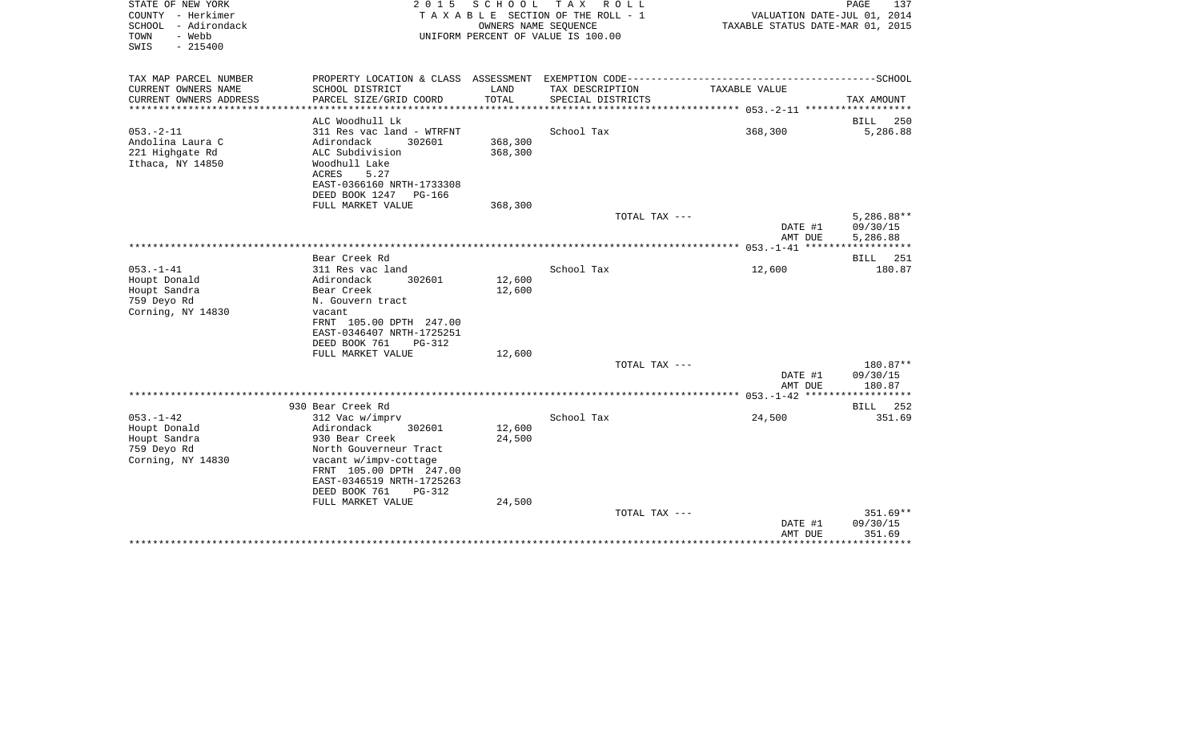| STATE OF NEW YORK<br>COUNTY - Herkimer<br>SCHOOL<br>- Adirondack<br>- Webb<br>TOWN<br>SWIS<br>$-215400$ | 2 0 1 5                                                                                                                                                                       | SCHOOL<br>OWNERS NAME SEQUENCE | T A X<br>R O L L<br>TAXABLE SECTION OF THE ROLL - 1<br>UNIFORM PERCENT OF VALUE IS 100.00 | VALUATION DATE-JUL 01, 2014<br>TAXABLE STATUS DATE-MAR 01, 2015 | PAGE<br>137                      |
|---------------------------------------------------------------------------------------------------------|-------------------------------------------------------------------------------------------------------------------------------------------------------------------------------|--------------------------------|-------------------------------------------------------------------------------------------|-----------------------------------------------------------------|----------------------------------|
| TAX MAP PARCEL NUMBER<br>CURRENT OWNERS NAME                                                            | SCHOOL DISTRICT                                                                                                                                                               | LAND                           | TAX DESCRIPTION                                                                           | TAXABLE VALUE                                                   |                                  |
| CURRENT OWNERS ADDRESS<br>********************                                                          | PARCEL SIZE/GRID COORD                                                                                                                                                        | TOTAL<br>***************       | SPECIAL DISTRICTS                                                                         |                                                                 | TAX AMOUNT                       |
|                                                                                                         | ALC Woodhull Lk                                                                                                                                                               |                                |                                                                                           |                                                                 | BILL<br>250                      |
| $053. -2 - 11$<br>Andolina Laura C<br>221 Highgate Rd<br>Ithaca, NY 14850                               | 311 Res vac land - WTRFNT<br>Adirondack<br>302601<br>ALC Subdivision<br>Woodhull Lake<br><b>ACRES</b><br>5.27<br>EAST-0366160 NRTH-1733308<br>DEED BOOK 1247<br><b>PG-166</b> | 368,300<br>368,300             | School Tax                                                                                | 368,300                                                         | 5,286.88                         |
|                                                                                                         | FULL MARKET VALUE                                                                                                                                                             | 368,300                        | TOTAL TAX ---                                                                             |                                                                 | $5,286.88**$                     |
|                                                                                                         |                                                                                                                                                                               |                                |                                                                                           | DATE #1<br>AMT DUE                                              | 09/30/15<br>5,286.88             |
|                                                                                                         | Bear Creek Rd                                                                                                                                                                 |                                |                                                                                           |                                                                 | ***********<br>251<br>BILL       |
| $053. -1 - 41$<br>Houpt Donald<br>Houpt Sandra<br>759 Deyo Rd<br>Corning, NY 14830                      | 311 Res vac land<br>Adirondack<br>302601<br>Bear Creek<br>N. Gouvern tract<br>vacant<br>FRNT 105.00 DPTH 247.00<br>EAST-0346407 NRTH-1725251                                  | 12,600<br>12,600               | School Tax                                                                                | 12,600                                                          | 180.87                           |
|                                                                                                         | DEED BOOK 761<br>$PG-312$                                                                                                                                                     |                                |                                                                                           |                                                                 |                                  |
|                                                                                                         | FULL MARKET VALUE                                                                                                                                                             | 12,600                         | TOTAL TAX ---                                                                             | DATE #1<br>AMT DUE                                              | 180.87**<br>09/30/15<br>180.87   |
|                                                                                                         |                                                                                                                                                                               |                                |                                                                                           |                                                                 |                                  |
| $053. -1 - 42$                                                                                          | 930 Bear Creek Rd<br>312 Vac w/imprv                                                                                                                                          |                                | School Tax                                                                                | 24,500                                                          | 252<br>BILL<br>351.69            |
| Houpt Donald<br>Houpt Sandra<br>759 Deyo Rd<br>Corning, NY 14830                                        | Adirondack<br>302601<br>930 Bear Creek<br>North Gouverneur Tract<br>vacant w/impv-cottage<br>FRNT 105.00 DPTH 247.00<br>EAST-0346519 NRTH-1725263<br>DEED BOOK 761<br>PG-312  | 12,600<br>24,500               |                                                                                           |                                                                 |                                  |
|                                                                                                         | FULL MARKET VALUE                                                                                                                                                             | 24,500                         | TOTAL TAX ---                                                                             | DATE #1<br>AMT DUE                                              | $351.69**$<br>09/30/15<br>351.69 |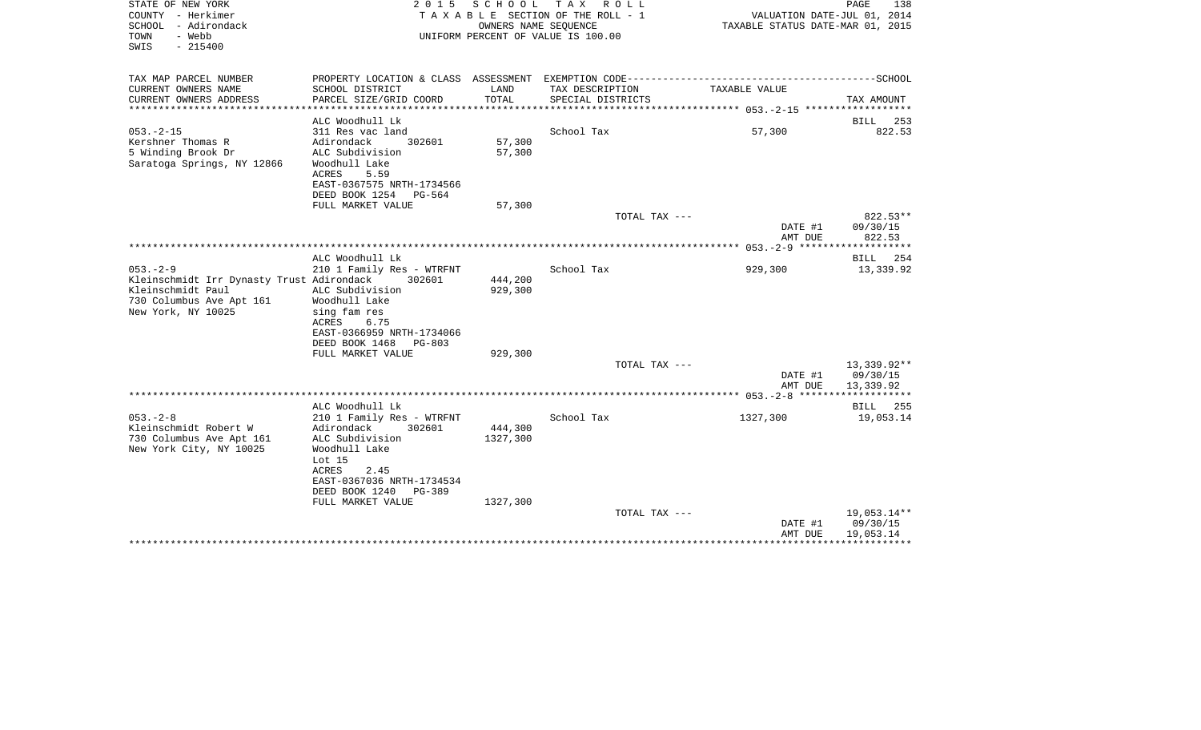| STATE OF NEW YORK<br>COUNTY - Herkimer<br>SCHOOL - Adirondack<br>- Webb<br>TOWN<br>$-215400$<br>SWIS                               | 2 0 1 5                                                                                                                                                                              | S C H O O L<br>OWNERS NAME SEQUENCE | TAX ROLL<br>T A X A B L E SECTION OF THE ROLL - 1<br>UNIFORM PERCENT OF VALUE IS 100.00 | VALUATION DATE-JUL 01, 2014<br>TAXABLE STATUS DATE-MAR 01, 2015 | PAGE<br>138                          |
|------------------------------------------------------------------------------------------------------------------------------------|--------------------------------------------------------------------------------------------------------------------------------------------------------------------------------------|-------------------------------------|-----------------------------------------------------------------------------------------|-----------------------------------------------------------------|--------------------------------------|
| TAX MAP PARCEL NUMBER<br>CURRENT OWNERS NAME<br>CURRENT OWNERS ADDRESS                                                             | SCHOOL DISTRICT<br>PARCEL SIZE/GRID COORD                                                                                                                                            | LAND<br>TOTAL                       | TAX DESCRIPTION<br>SPECIAL DISTRICTS                                                    | TAXABLE VALUE                                                   | TAX AMOUNT                           |
| ***********************                                                                                                            |                                                                                                                                                                                      |                                     |                                                                                         |                                                                 |                                      |
|                                                                                                                                    | ALC Woodhull Lk                                                                                                                                                                      |                                     |                                                                                         |                                                                 | BILL<br>253                          |
| $053. -2 - 15$<br>Kershner Thomas R<br>5 Winding Brook Dr<br>Saratoga Springs, NY 12866                                            | 311 Res vac land<br>Adirondack<br>302601<br>ALC Subdivision<br>Woodhull Lake<br>ACRES<br>5.59<br>EAST-0367575 NRTH-1734566<br>DEED BOOK 1254<br>PG-564                               | 57,300<br>57,300                    | School Tax                                                                              | 57,300                                                          | 822.53                               |
|                                                                                                                                    | FULL MARKET VALUE                                                                                                                                                                    | 57,300                              |                                                                                         |                                                                 |                                      |
|                                                                                                                                    |                                                                                                                                                                                      |                                     | TOTAL TAX ---                                                                           | DATE #1<br>AMT DUE                                              | $822.53**$<br>09/30/15<br>822.53     |
|                                                                                                                                    |                                                                                                                                                                                      |                                     |                                                                                         |                                                                 | * * * * * * * * * * *                |
| $053. - 2 - 9$<br>Kleinschmidt Irr Dynasty Trust Adirondack<br>Kleinschmidt Paul<br>730 Columbus Ave Apt 161<br>New York, NY 10025 | ALC Woodhull Lk<br>210 1 Family Res - WTRFNT<br>302601<br>ALC Subdivision<br>Woodhull Lake<br>sing fam res<br>ACRES<br>6.75<br>EAST-0366959 NRTH-1734066<br>DEED BOOK 1468<br>PG-803 | 444,200<br>929,300                  | School Tax                                                                              | 929,300                                                         | BILL 254<br>13,339.92                |
|                                                                                                                                    | FULL MARKET VALUE                                                                                                                                                                    | 929,300                             |                                                                                         |                                                                 |                                      |
|                                                                                                                                    |                                                                                                                                                                                      |                                     | TOTAL TAX ---                                                                           | DATE #1<br>AMT DUE                                              | 13,339.92**<br>09/30/15<br>13,339.92 |
|                                                                                                                                    |                                                                                                                                                                                      |                                     |                                                                                         |                                                                 |                                      |
| $053 - 2 - 8$<br>Kleinschmidt Robert W<br>730 Columbus Ave Apt 161<br>New York City, NY 10025                                      | ALC Woodhull Lk<br>210 1 Family Res - WTRFNT<br>Adirondack<br>302601<br>ALC Subdivision<br>Woodhull Lake                                                                             | 444,300<br>1327,300                 | School Tax                                                                              | 1327,300                                                        | <b>BILL</b><br>255<br>19,053.14      |
|                                                                                                                                    | Lot 15<br>ACRES<br>2.45<br>EAST-0367036 NRTH-1734534<br>DEED BOOK 1240<br>PG-389<br>FULL MARKET VALUE                                                                                | 1327,300                            |                                                                                         |                                                                 |                                      |
|                                                                                                                                    |                                                                                                                                                                                      |                                     | TOTAL TAX ---                                                                           | DATE #1<br>AMT DUE                                              | 19,053.14**<br>09/30/15<br>19,053.14 |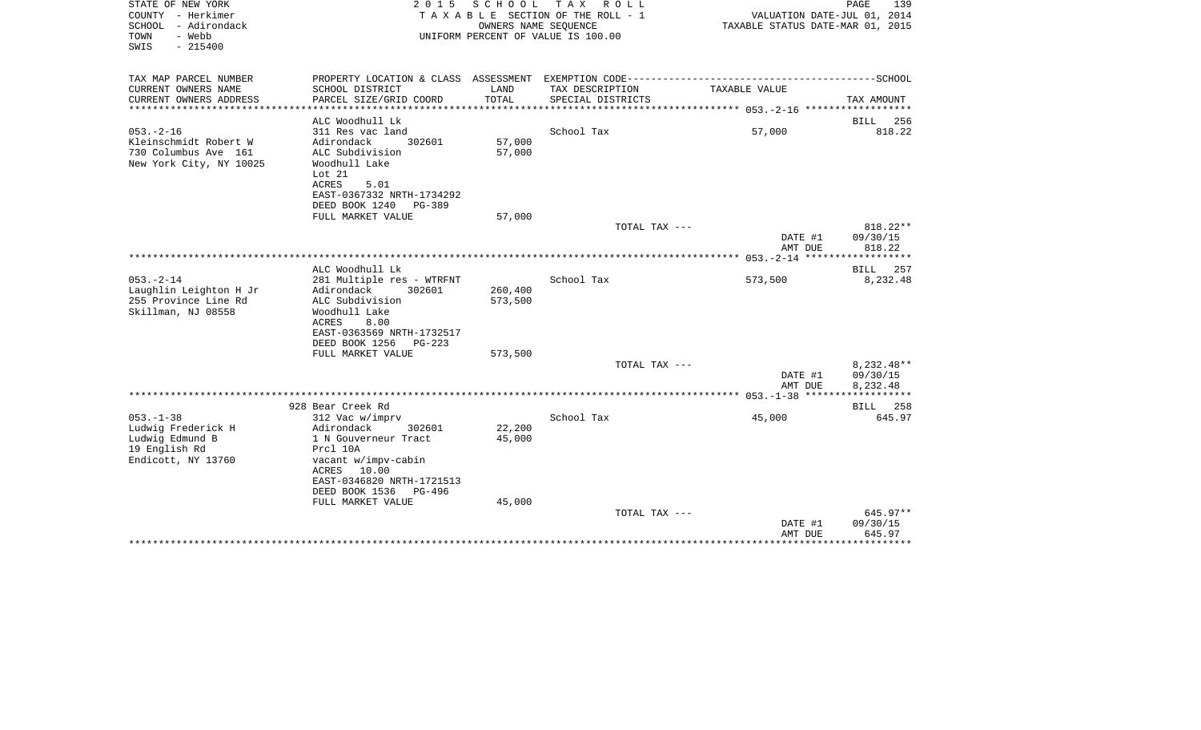| STATE OF NEW YORK<br>COUNTY - Herkimer<br>SCHOOL - Adirondack<br>- Webb<br>TOWN<br>$-215400$<br>SWIS | 2 0 1 5                                                                                                                                                                 | SCHOOL<br>OWNERS NAME SEQUENCE | TAX ROLL<br>T A X A B L E SECTION OF THE ROLL - 1<br>UNIFORM PERCENT OF VALUE IS 100.00                         | VALUATION DATE-JUL 01, 2014<br>TAXABLE STATUS DATE-MAR 01, 2015 | PAGE<br>139                        |
|------------------------------------------------------------------------------------------------------|-------------------------------------------------------------------------------------------------------------------------------------------------------------------------|--------------------------------|-----------------------------------------------------------------------------------------------------------------|-----------------------------------------------------------------|------------------------------------|
| TAX MAP PARCEL NUMBER<br>CURRENT OWNERS NAME                                                         | SCHOOL DISTRICT                                                                                                                                                         | LAND                           | PROPERTY LOCATION & CLASS ASSESSMENT EXEMPTION CODE-----------------------------------SCHOOL<br>TAX DESCRIPTION | TAXABLE VALUE                                                   |                                    |
| CURRENT OWNERS ADDRESS<br>**********************                                                     | PARCEL SIZE/GRID COORD<br>***********************                                                                                                                       | TOTAL                          | SPECIAL DISTRICTS                                                                                               |                                                                 | TAX AMOUNT                         |
|                                                                                                      | ALC Woodhull Lk                                                                                                                                                         |                                |                                                                                                                 |                                                                 | BILL<br>256                        |
| $053. -2 - 16$<br>Kleinschmidt Robert W<br>730 Columbus Ave 161<br>New York City, NY 10025           | 311 Res vac land<br>Adirondack<br>302601<br>ALC Subdivision<br>Woodhull Lake<br>Lot 21<br>ACRES<br>5.01<br>EAST-0367332 NRTH-1734292<br>DEED BOOK 1240<br><b>PG-389</b> | 57,000<br>57,000               | School Tax                                                                                                      | 57,000                                                          | 818.22                             |
|                                                                                                      | FULL MARKET VALUE                                                                                                                                                       | 57,000                         |                                                                                                                 |                                                                 |                                    |
|                                                                                                      |                                                                                                                                                                         |                                | TOTAL TAX ---                                                                                                   | DATE #1<br>AMT DUE                                              | 818.22**<br>09/30/15<br>818.22     |
|                                                                                                      |                                                                                                                                                                         |                                |                                                                                                                 |                                                                 |                                    |
| $053. - 2 - 14$<br>Laughlin Leighton H Jr<br>255 Province Line Rd<br>Skillman, NJ 08558              | ALC Woodhull Lk<br>281 Multiple res - WTRFNT<br>Adirondack<br>302601<br>ALC Subdivision<br>Woodhull Lake<br>ACRES<br>8.00<br>EAST-0363569 NRTH-1732517                  | 260,400<br>573,500             | School Tax                                                                                                      | 573,500                                                         | 257<br>BILL<br>8,232.48            |
|                                                                                                      | DEED BOOK 1256<br>$PG-223$                                                                                                                                              |                                |                                                                                                                 |                                                                 |                                    |
|                                                                                                      | FULL MARKET VALUE                                                                                                                                                       | 573,500                        |                                                                                                                 |                                                                 |                                    |
|                                                                                                      |                                                                                                                                                                         |                                | TOTAL TAX ---                                                                                                   | DATE #1<br>AMT DUE                                              | 8,232.48**<br>09/30/15<br>8,232.48 |
|                                                                                                      |                                                                                                                                                                         |                                |                                                                                                                 | **************** 053.-1-38 ****                                 |                                    |
| $053. -1 - 38$                                                                                       | 928 Bear Creek Rd<br>312 Vac w/imprv                                                                                                                                    |                                | School Tax                                                                                                      | 45,000                                                          | 258<br>BILL<br>645.97              |
| Ludwig Frederick H<br>Ludwig Edmund B<br>19 English Rd<br>Endicott, NY 13760                         | Adirondack<br>302601<br>1 N Gouverneur Tract<br>Prcl 10A<br>vacant w/impv-cabin<br>10.00<br>ACRES<br>EAST-0346820 NRTH-1721513<br>DEED BOOK 1536<br>PG-496              | 22,200<br>45,000               |                                                                                                                 |                                                                 |                                    |
|                                                                                                      | FULL MARKET VALUE                                                                                                                                                       | 45,000                         | TOTAL TAX ---                                                                                                   | DATE #1<br>AMT DUE                                              | $645.97**$<br>09/30/15<br>645.97   |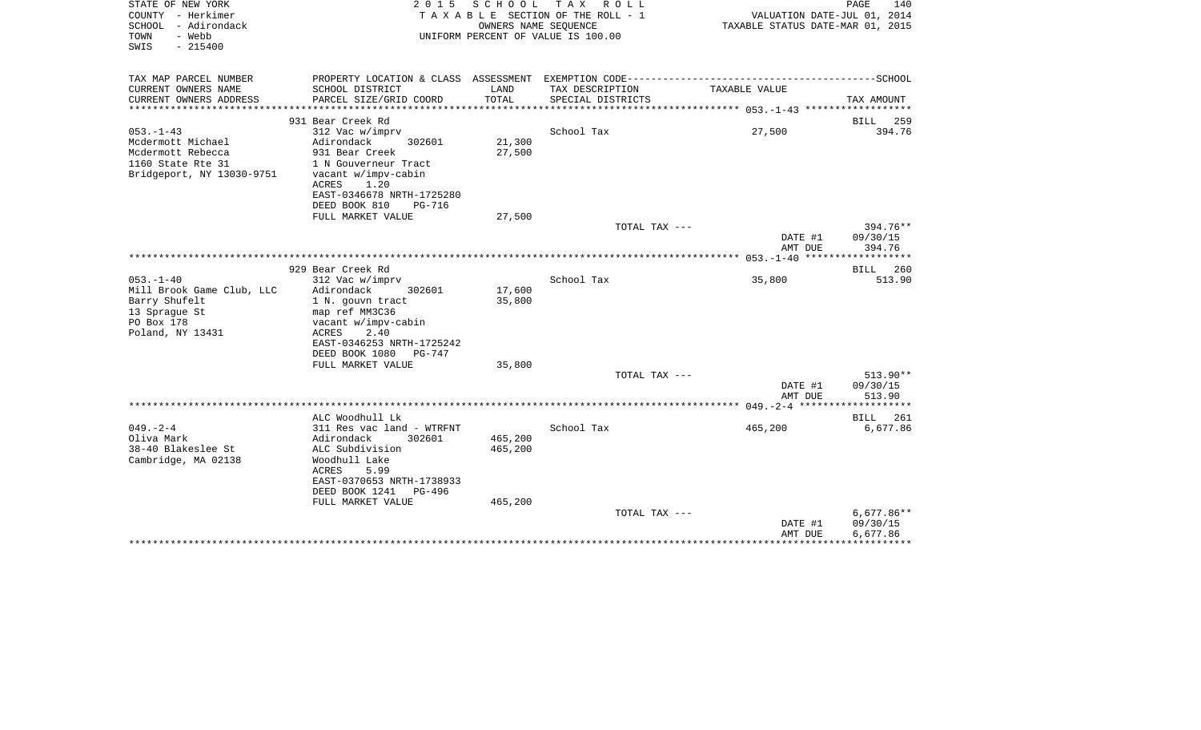| STATE OF NEW YORK<br>COUNTY - Herkimer<br>SCHOOL - Adirondack<br>- Webb<br>TOWN<br>SWIS<br>$-215400$ | 2 0 1 5                                               | SCHOOL<br>OWNERS NAME SEQUENCE | T A X<br>R O L L<br>TAXABLE SECTION OF THE ROLL - 1<br>UNIFORM PERCENT OF VALUE IS 100.00 | VALUATION DATE-JUL 01, 2014<br>TAXABLE STATUS DATE-MAR 01, 2015 | PAGE<br>140          |
|------------------------------------------------------------------------------------------------------|-------------------------------------------------------|--------------------------------|-------------------------------------------------------------------------------------------|-----------------------------------------------------------------|----------------------|
| TAX MAP PARCEL NUMBER<br>CURRENT OWNERS NAME                                                         | SCHOOL DISTRICT                                       | LAND                           | TAX DESCRIPTION                                                                           | TAXABLE VALUE                                                   |                      |
| CURRENT OWNERS ADDRESS<br>*******************                                                        | PARCEL SIZE/GRID COORD<br>************************    | TOTAL<br>**************        | SPECIAL DISTRICTS                                                                         |                                                                 | TAX AMOUNT           |
|                                                                                                      | 931 Bear Creek Rd                                     |                                |                                                                                           |                                                                 | <b>BILL</b><br>259   |
| $053. -1 - 43$                                                                                       | 312 Vac w/imprv                                       |                                | School Tax                                                                                | 27,500                                                          | 394.76               |
| Mcdermott Michael                                                                                    | Adirondack<br>302601                                  | 21,300                         |                                                                                           |                                                                 |                      |
| Mcdermott Rebecca                                                                                    | 931 Bear Creek                                        | 27,500                         |                                                                                           |                                                                 |                      |
| 1160 State Rte 31                                                                                    | 1 N Gouverneur Tract                                  |                                |                                                                                           |                                                                 |                      |
| Bridgeport, NY 13030-9751                                                                            | vacant w/impv-cabin                                   |                                |                                                                                           |                                                                 |                      |
|                                                                                                      | ACRES<br>1.20                                         |                                |                                                                                           |                                                                 |                      |
|                                                                                                      | EAST-0346678 NRTH-1725280                             |                                |                                                                                           |                                                                 |                      |
|                                                                                                      | DEED BOOK 810<br><b>PG-716</b>                        |                                |                                                                                           |                                                                 |                      |
|                                                                                                      | FULL MARKET VALUE                                     | 27,500                         |                                                                                           |                                                                 |                      |
|                                                                                                      |                                                       |                                | TOTAL TAX ---                                                                             | DATE #1                                                         | 394.76**<br>09/30/15 |
|                                                                                                      |                                                       |                                |                                                                                           | AMT DUE                                                         | 394.76               |
|                                                                                                      |                                                       |                                |                                                                                           |                                                                 |                      |
|                                                                                                      | 929 Bear Creek Rd                                     |                                |                                                                                           |                                                                 | 260<br>BILL          |
| $053. -1 - 40$                                                                                       | 312 Vac w/imprv                                       |                                | School Tax                                                                                | 35,800                                                          | 513.90               |
| Mill Brook Game Club, LLC                                                                            | Adirondack<br>302601                                  | 17,600                         |                                                                                           |                                                                 |                      |
| Barry Shufelt                                                                                        | 1 N. gouvn tract                                      | 35,800                         |                                                                                           |                                                                 |                      |
| 13 Sprague St                                                                                        | map ref MM3C36                                        |                                |                                                                                           |                                                                 |                      |
| PO Box 178                                                                                           | vacant w/impv-cabin                                   |                                |                                                                                           |                                                                 |                      |
| Poland, NY 13431                                                                                     | 2.40<br>ACRES                                         |                                |                                                                                           |                                                                 |                      |
|                                                                                                      | EAST-0346253 NRTH-1725242<br>DEED BOOK 1080<br>PG-747 |                                |                                                                                           |                                                                 |                      |
|                                                                                                      | FULL MARKET VALUE                                     | 35,800                         |                                                                                           |                                                                 |                      |
|                                                                                                      |                                                       |                                | TOTAL TAX ---                                                                             |                                                                 | $513.90**$           |
|                                                                                                      |                                                       |                                |                                                                                           | DATE #1                                                         | 09/30/15             |
|                                                                                                      |                                                       |                                |                                                                                           | AMT DUE                                                         | 513.90               |
|                                                                                                      |                                                       |                                |                                                                                           |                                                                 | **********           |
|                                                                                                      | ALC Woodhull Lk                                       |                                |                                                                                           |                                                                 | 261<br>BILL          |
| $049. -2 - 4$                                                                                        | 311 Res vac land - WTRFNT                             |                                | School Tax                                                                                | 465,200                                                         | 6,677.86             |
| Oliva Mark                                                                                           | Adirondack<br>302601                                  | 465,200                        |                                                                                           |                                                                 |                      |
| 38-40 Blakeslee St                                                                                   | ALC Subdivision                                       | 465,200                        |                                                                                           |                                                                 |                      |
| Cambridge, MA 02138                                                                                  | Woodhull Lake<br>5.99                                 |                                |                                                                                           |                                                                 |                      |
|                                                                                                      | ACRES<br>EAST-0370653 NRTH-1738933                    |                                |                                                                                           |                                                                 |                      |
|                                                                                                      | DEED BOOK 1241<br>PG-496                              |                                |                                                                                           |                                                                 |                      |
|                                                                                                      | FULL MARKET VALUE                                     | 465,200                        |                                                                                           |                                                                 |                      |
|                                                                                                      |                                                       |                                | TOTAL TAX ---                                                                             |                                                                 | $6,677.86**$         |
|                                                                                                      |                                                       |                                |                                                                                           | DATE #1                                                         | 09/30/15             |
|                                                                                                      |                                                       |                                |                                                                                           | AMT DUE                                                         | 6,677.86             |
|                                                                                                      |                                                       |                                |                                                                                           |                                                                 |                      |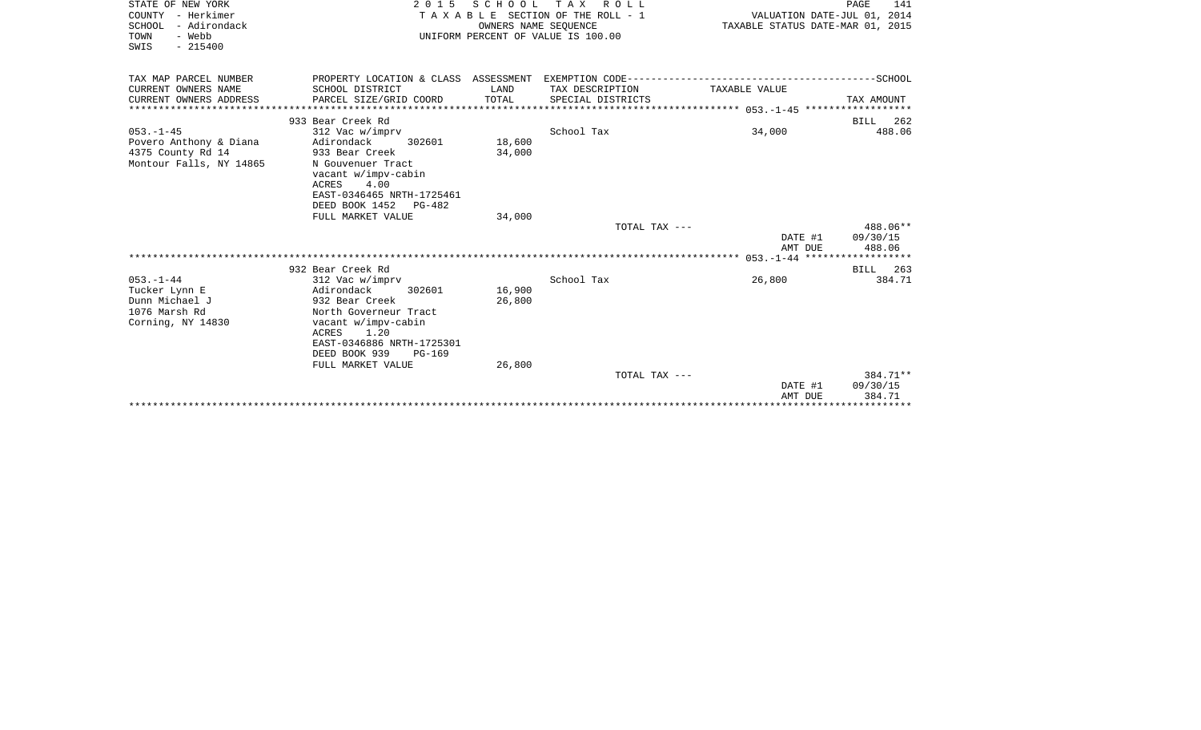| STATE OF NEW YORK<br>COUNTY - Herkimer<br>SCHOOL - Adirondack<br>- Webb<br>TOWN<br>$-215400$<br>SWIS | 2 0 1 5                                                                                                                                                                                                        | S C H O O L<br>OWNERS NAME SEQUENCE | T A X<br>R O L L<br>TAXABLE SECTION OF THE ROLL - 1<br>UNIFORM PERCENT OF VALUE IS 100.00 | VALUATION DATE-JUL 01, 2014<br>TAXABLE STATUS DATE-MAR 01, 2015                              | PAGE<br>141                    |
|------------------------------------------------------------------------------------------------------|----------------------------------------------------------------------------------------------------------------------------------------------------------------------------------------------------------------|-------------------------------------|-------------------------------------------------------------------------------------------|----------------------------------------------------------------------------------------------|--------------------------------|
| TAX MAP PARCEL NUMBER                                                                                |                                                                                                                                                                                                                |                                     |                                                                                           | PROPERTY LOCATION & CLASS ASSESSMENT EXEMPTION CODE-----------------------------------SCHOOL |                                |
| CURRENT OWNERS NAME<br>CURRENT OWNERS ADDRESS                                                        | SCHOOL DISTRICT<br>PARCEL SIZE/GRID COORD                                                                                                                                                                      | LAND<br>TOTAL                       | TAX DESCRIPTION<br>SPECIAL DISTRICTS                                                      | TAXABLE VALUE                                                                                | TAX AMOUNT                     |
|                                                                                                      | 933 Bear Creek Rd                                                                                                                                                                                              |                                     |                                                                                           |                                                                                              | BILL 262                       |
| $053. -1 - 45$<br>Povero Anthony & Diana<br>4375 County Rd 14<br>Montour Falls, NY 14865             | 312 Vac w/imprv<br>Adirondack<br>302601<br>933 Bear Creek<br>N Gouvenuer Tract<br>vacant w/impv-cabin<br>ACRES<br>4.00<br>EAST-0346465 NRTH-1725461<br>DEED BOOK 1452 PG-482                                   | 18,600<br>34,000                    | School Tax                                                                                | 34,000                                                                                       | 488.06                         |
|                                                                                                      | FULL MARKET VALUE                                                                                                                                                                                              | 34,000                              |                                                                                           |                                                                                              |                                |
|                                                                                                      |                                                                                                                                                                                                                |                                     | TOTAL TAX ---                                                                             | DATE #1<br>AMT DUE                                                                           | 488.06**<br>09/30/15<br>488.06 |
|                                                                                                      | 932 Bear Creek Rd                                                                                                                                                                                              |                                     |                                                                                           |                                                                                              | BILL 263                       |
| $053. - 1 - 44$<br>Tucker Lynn E<br>Dunn Michael J<br>1076 Marsh Rd<br>Corning, NY 14830             | 312 Vac w/imprv<br>Adirondack<br>302601<br>932 Bear Creek<br>North Governeur Tract<br>vacant w/impv-cabin<br><b>ACRES</b><br>1.20<br>EAST-0346886 NRTH-1725301<br>DEED BOOK 939<br>PG-169<br>FULL MARKET VALUE | 16,900<br>26,800<br>26,800          | School Tax                                                                                | 26,800                                                                                       | 384.71                         |
|                                                                                                      |                                                                                                                                                                                                                |                                     | TOTAL TAX ---                                                                             | DATE #1<br>AMT DUE                                                                           | 384.71**<br>09/30/15<br>384.71 |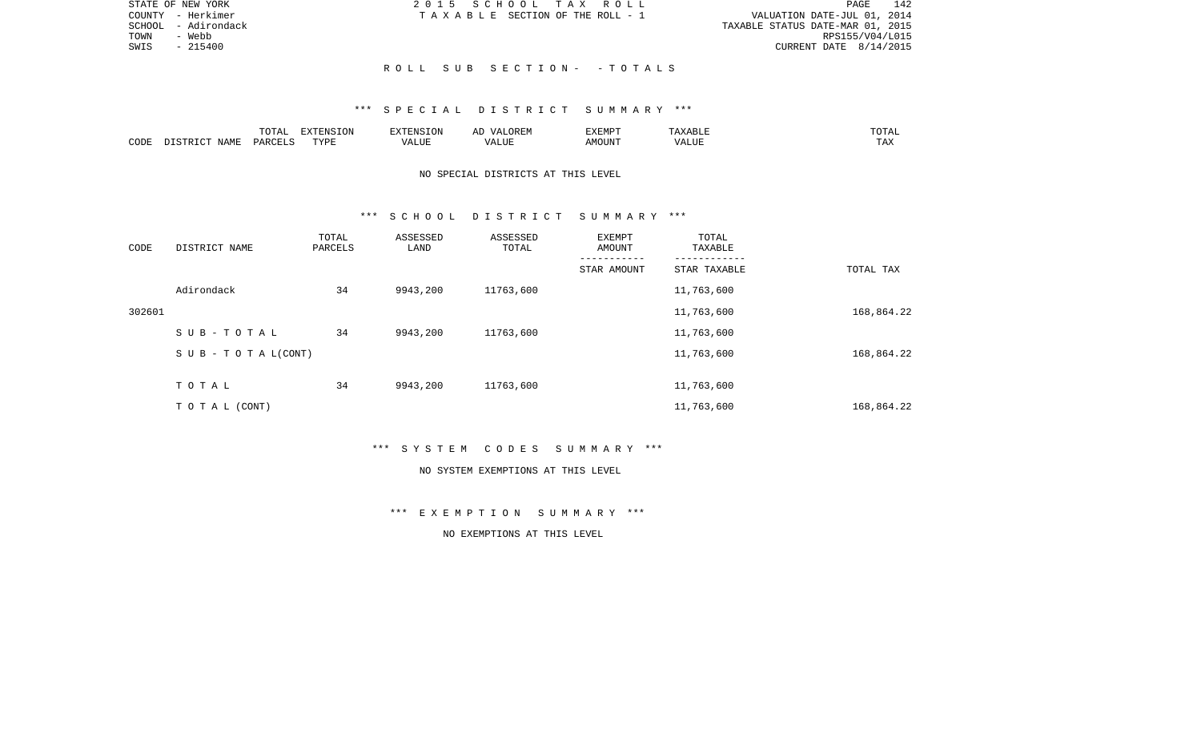| STATE OF NEW YORK      | 2015 SCHOOL TAX ROLL            | 142<br>PAGE                      |
|------------------------|---------------------------------|----------------------------------|
| COUNTY - Herkimer      | TAXABLE SECTION OF THE ROLL - 1 | VALUATION DATE-JUL 01, 2014      |
| - Adirondack<br>SCHOOL |                                 | TAXABLE STATUS DATE-MAR 01, 2015 |
| TOWN<br>- Webb         |                                 | RPS155/V04/L015                  |
| SWIS<br>$-215400$      |                                 | CURRENT DATE 8/14/2015           |
|                        |                                 |                                  |
|                        | ROLL SUB SECTION- -TOTALS       |                                  |

|      | - 777 | $\blacksquare$ $\blacksquare$ $\blacksquare$ $\blacksquare$ $\blacksquare$ $\blacksquare$ $\blacksquare$ $\blacksquare$<br>$T = T T T$ |        | $\n  min$<br>ALMP |                     | ۰д<br>____ |
|------|-------|----------------------------------------------------------------------------------------------------------------------------------------|--------|-------------------|---------------------|------------|
| CODE | ≀⊊ ∆  | PVDI<br>. <u>. .</u>                                                                                                                   | ית∪⊔د. | "OUN.             | - - ---<br>$\cdots$ | ⊥ 冖∡       |

# NO SPECIAL DISTRICTS AT THIS LEVEL

### \*\*\* S C H O O L D I S T R I C T S U M M A R Y \*\*\*

| CODE   | DISTRICT NAME                    | TOTAL<br>PARCELS | ASSESSED<br>LAND | ASSESSED<br>TOTAL | EXEMPT<br>AMOUNT | TOTAL<br>TAXABLE |            |
|--------|----------------------------------|------------------|------------------|-------------------|------------------|------------------|------------|
|        |                                  |                  |                  |                   | STAR AMOUNT      | STAR TAXABLE     | TOTAL TAX  |
|        | Adirondack                       | 34               | 9943,200         | 11763,600         |                  | 11,763,600       |            |
| 302601 |                                  |                  |                  |                   |                  | 11,763,600       | 168,864.22 |
|        | SUB-TOTAL                        | 34               | 9943,200         | 11763,600         |                  | 11,763,600       |            |
|        | $S \cup B - T \cup T A L (CONT)$ |                  |                  |                   |                  | 11,763,600       | 168,864.22 |
|        | TOTAL                            | 34               | 9943,200         | 11763,600         |                  | 11,763,600       |            |
|        | T O T A L (CONT)                 |                  |                  |                   |                  | 11,763,600       | 168,864.22 |

\*\*\* S Y S T E M C O D E S S U M M A R Y \*\*\*

### NO SYSTEM EXEMPTIONS AT THIS LEVEL

\*\*\* E X E M P T I O N S U M M A R Y \*\*\*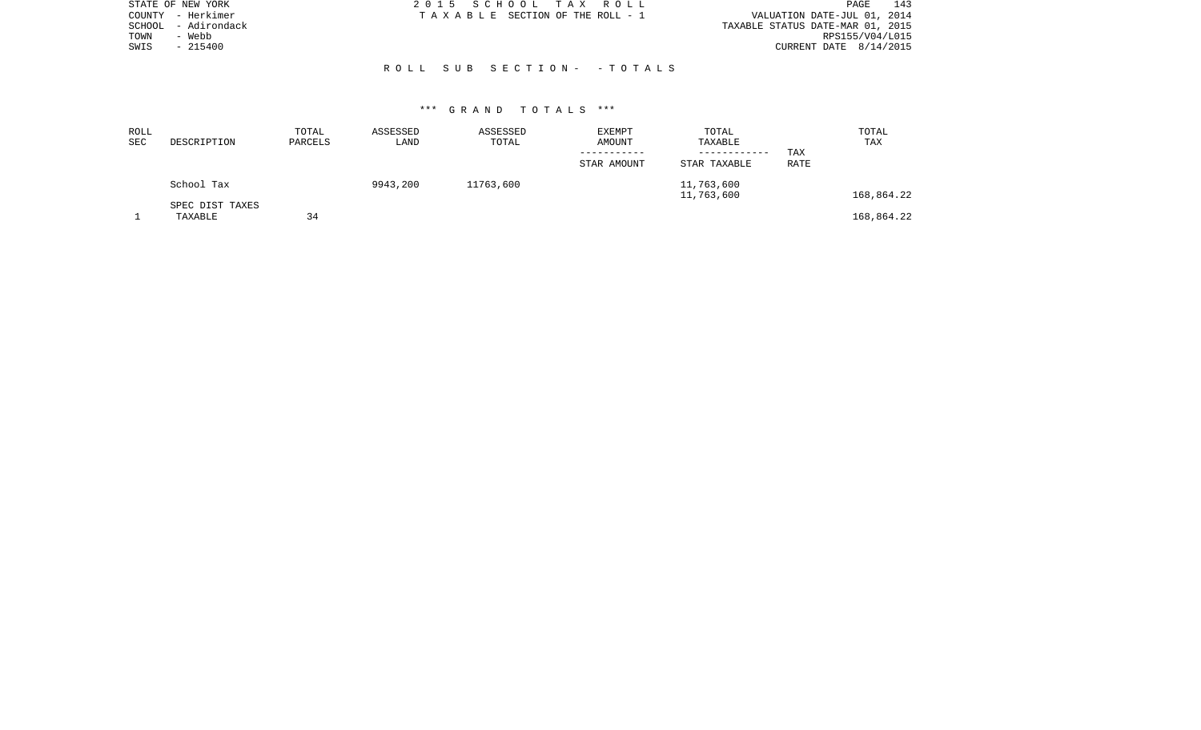| STATE OF NEW YORK    | 2015 SCHOOL TAX ROLL            |  | PAGE                             | 143 |
|----------------------|---------------------------------|--|----------------------------------|-----|
| – Herkimer<br>COUNTY | TAXABLE SECTION OF THE ROLL - 1 |  | VALUATION DATE-JUL 01, 2014      |     |
| SCHOOL - Adirondack  |                                 |  | TAXABLE STATUS DATE-MAR 01, 2015 |     |
| - Webb<br>TOWN       |                                 |  | RPS155/V04/L015                  |     |
| $-215400$<br>SWIS    |                                 |  | CURRENT DATE 8/14/2015           |     |
|                      |                                 |  |                                  |     |
|                      | ROLL SUB SECTION- - TOTALS      |  |                                  |     |

| ROLL<br><b>SEC</b> | DESCRIPTION                | TOTAL<br>PARCELS | ASSESSED<br>LAND | ASSESSED<br>TOTAL | EXEMPT<br>AMOUNT<br>-----------<br>STAR AMOUNT | TOTAL<br>TAXABLE<br>------------<br>STAR TAXABLE | TAX<br><b>RATE</b> | TOTAL<br>TAX |
|--------------------|----------------------------|------------------|------------------|-------------------|------------------------------------------------|--------------------------------------------------|--------------------|--------------|
|                    | School Tax                 |                  | 9943,200         | 11763,600         |                                                | 11,763,600<br>11,763,600                         |                    | 168,864.22   |
|                    | SPEC DIST TAXES<br>TAXABLE | 34               |                  |                   |                                                |                                                  |                    | 168,864.22   |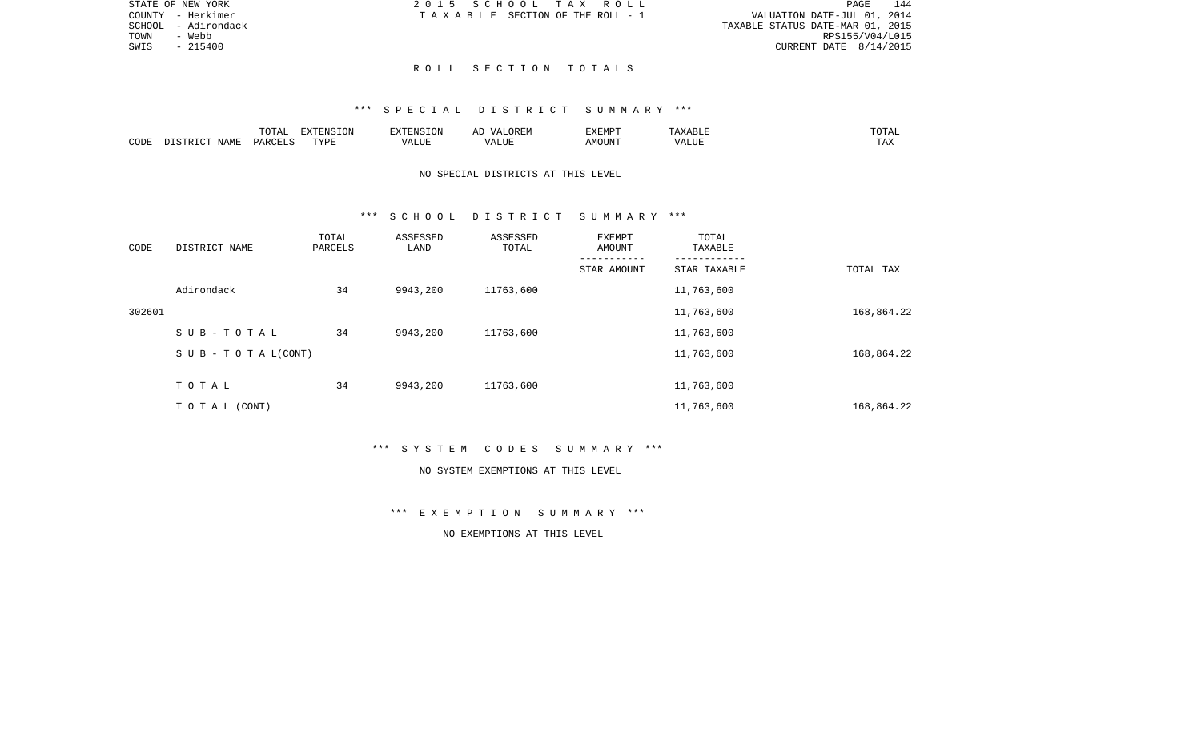|      | STATE OF NEW YORK   | 2015 SCHOOL TAX ROLL            |  | 144<br>PAGE                      |
|------|---------------------|---------------------------------|--|----------------------------------|
|      | COUNTY - Herkimer   | TAXABLE SECTION OF THE ROLL - 1 |  | VALUATION DATE-JUL 01, 2014      |
|      | SCHOOL - Adirondack |                                 |  | TAXABLE STATUS DATE-MAR 01, 2015 |
| TOWN | - Webb              |                                 |  | RPS155/V04/L015                  |
| SWIS | $-215400$           |                                 |  | CURRENT DATE 8/14/2015           |
|      |                     |                                 |  |                                  |

## R O L L S E C T I O N T O T A L S

#### \*\*\* S P E C I A L D I S T R I C T S U M M A R Y \*\*\*

|      |                    | T<br>$\Delta$<br>10111 | .ON       | $ -$ | $H: \mathbb{R}^n$<br>ΑI | <b>DIEDIS</b><br>-XEMP |           | ◡∸ェ                  |
|------|--------------------|------------------------|-----------|------|-------------------------|------------------------|-----------|----------------------|
| CODE | IAME<br>$\sqrt{2}$ |                        | TVDF<br>. | LTTF | TTT.                    |                        | $- - - -$ | ᇚᆪ<br>L <i>I</i> 14. |

## NO SPECIAL DISTRICTS AT THIS LEVEL

#### \*\*\* S C H O O L D I S T R I C T S U M M A R Y \*\*\*

| CODE   | DISTRICT NAME                    | TOTAL<br>PARCELS | ASSESSED<br>LAND | ASSESSED<br>TOTAL | EXEMPT<br>AMOUNT | TOTAL<br>TAXABLE |            |
|--------|----------------------------------|------------------|------------------|-------------------|------------------|------------------|------------|
|        |                                  |                  |                  |                   | STAR AMOUNT      | STAR TAXABLE     | TOTAL TAX  |
|        | Adirondack                       | 34               | 9943,200         | 11763,600         |                  | 11,763,600       |            |
| 302601 |                                  |                  |                  |                   |                  | 11,763,600       | 168,864.22 |
|        | SUB-TOTAL                        | 34               | 9943,200         | 11763,600         |                  | 11,763,600       |            |
|        | $S \cup B - T \cup T A L (CONT)$ |                  |                  |                   |                  | 11,763,600       | 168,864.22 |
|        | TOTAL                            | 34               | 9943,200         | 11763,600         |                  | 11,763,600       |            |
|        | TO TAL (CONT)                    |                  |                  |                   |                  | 11,763,600       | 168,864.22 |

\*\*\* S Y S T E M C O D E S S U M M A R Y \*\*\*

#### NO SYSTEM EXEMPTIONS AT THIS LEVEL

\*\*\* E X E M P T I O N S U M M A R Y \*\*\*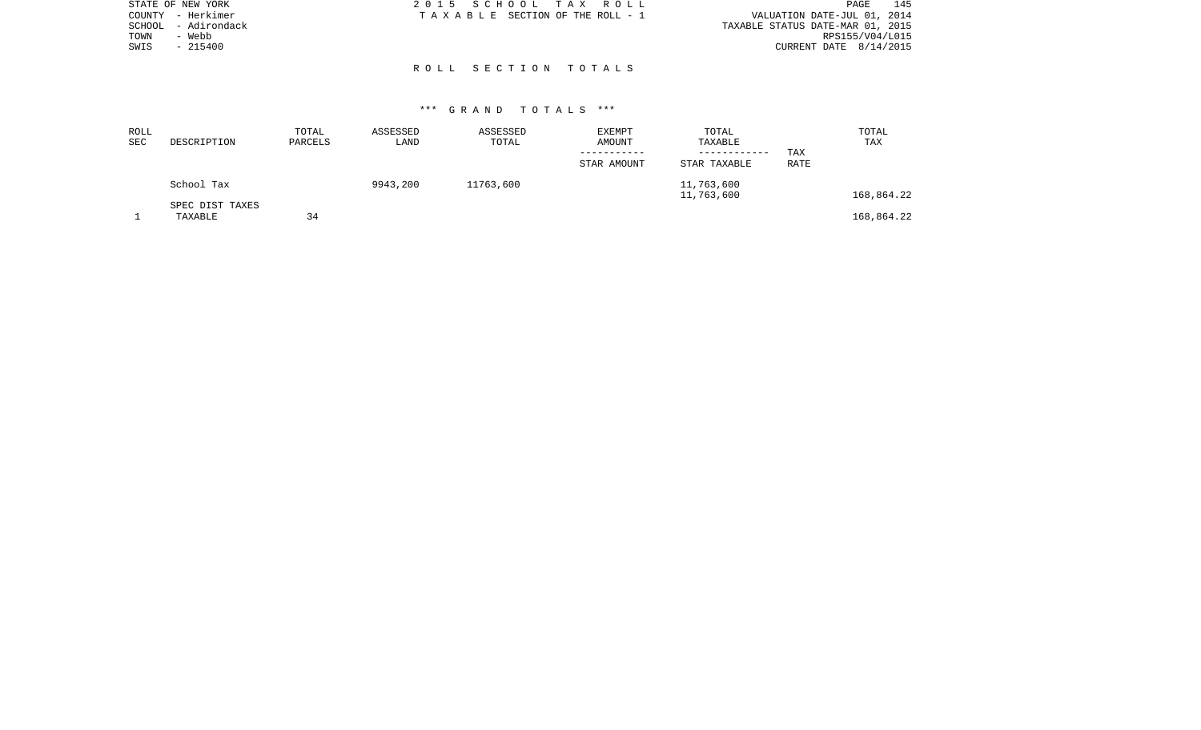| STATE OF NEW YORK |              | 2015 SCHOOL TAX ROLL |                                 |  | 145<br><b>PAGE</b>               |
|-------------------|--------------|----------------------|---------------------------------|--|----------------------------------|
| COUNTY - Herkimer |              |                      | TAXABLE SECTION OF THE ROLL - 1 |  | VALUATION DATE-JUL 01, 2014      |
| SCHOOL            | - Adirondack |                      |                                 |  | TAXABLE STATUS DATE-MAR 01, 2015 |
| TOWN              | - Webb       |                      |                                 |  | RPS155/V04/L015                  |
| SWIS              | $-215400$    |                      |                                 |  | CURRENT DATE $8/14/2015$         |
|                   |              |                      |                                 |  |                                  |
|                   |              | ROLL SECTION TOTALS  |                                 |  |                                  |

| ROLL<br>SEC | DESCRIPTION                | TOTAL<br>PARCELS | ASSESSED<br>LAND | ASSESSED<br>TOTAL | EXEMPT<br>AMOUNT<br>STAR AMOUNT | TOTAL<br>TAXABLE<br>------------<br>STAR TAXABLE | TAX<br>RATE | TOTAL<br>TAX |
|-------------|----------------------------|------------------|------------------|-------------------|---------------------------------|--------------------------------------------------|-------------|--------------|
|             | School Tax                 |                  | 9943,200         | 11763,600         |                                 | 11,763,600<br>11,763,600                         |             | 168,864.22   |
|             | SPEC DIST TAXES<br>TAXABLE | 34               |                  |                   |                                 |                                                  |             | 168,864.22   |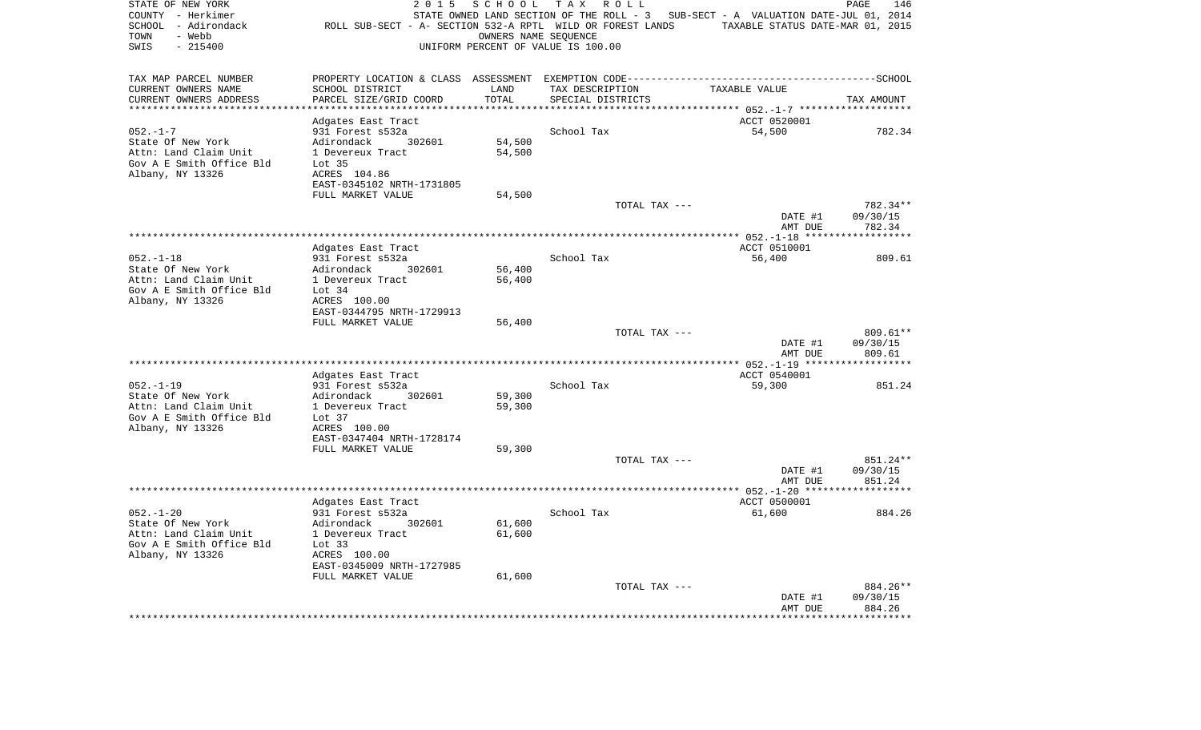| STATE OF NEW YORK<br>COUNTY - Herkimer<br>SCHOOL - Adirondack<br>- Webb<br>TOWN<br>$-215400$<br>SWIS | 2 0 1 5<br>ROLL SUB-SECT - A- SECTION 532-A RPTL WILD OR FOREST LANDS           | SCHOOL          | T A X<br>ROLL<br>STATE OWNED LAND SECTION OF THE ROLL - 3<br>OWNERS NAME SEQUENCE<br>UNIFORM PERCENT OF VALUE IS 100.00 | SUB-SECT - A VALUATION DATE-JUL 01, 2014<br>TAXABLE STATUS DATE-MAR 01, 2015 | PAGE<br>146          |
|------------------------------------------------------------------------------------------------------|---------------------------------------------------------------------------------|-----------------|-------------------------------------------------------------------------------------------------------------------------|------------------------------------------------------------------------------|----------------------|
| TAX MAP PARCEL NUMBER                                                                                | PROPERTY LOCATION & CLASS ASSESSMENT EXEMPTION CODE---------------------------- |                 |                                                                                                                         |                                                                              | -------------SCHOOL  |
| CURRENT OWNERS NAME                                                                                  | SCHOOL DISTRICT                                                                 | LAND            | TAX DESCRIPTION                                                                                                         | TAXABLE VALUE                                                                |                      |
| CURRENT OWNERS ADDRESS                                                                               | PARCEL SIZE/GRID COORD                                                          | TOTAL<br>****** | SPECIAL DISTRICTS                                                                                                       |                                                                              | TAX AMOUNT           |
|                                                                                                      |                                                                                 |                 |                                                                                                                         | ******* 052.-1-7 ****                                                        |                      |
| $052. -1 - 7$                                                                                        | Adgates East Tract<br>931 Forest s532a                                          |                 | School Tax                                                                                                              | ACCT 0520001<br>54,500                                                       | 782.34               |
| State Of New York                                                                                    | Adirondack<br>302601                                                            | 54,500          |                                                                                                                         |                                                                              |                      |
| Attn: Land Claim Unit                                                                                | 1 Devereux Tract                                                                | 54,500          |                                                                                                                         |                                                                              |                      |
| Gov A E Smith Office Bld                                                                             | Lot <sub>35</sub>                                                               |                 |                                                                                                                         |                                                                              |                      |
| Albany, NY 13326                                                                                     | ACRES 104.86                                                                    |                 |                                                                                                                         |                                                                              |                      |
|                                                                                                      | EAST-0345102 NRTH-1731805                                                       |                 |                                                                                                                         |                                                                              |                      |
|                                                                                                      | FULL MARKET VALUE                                                               | 54,500          |                                                                                                                         |                                                                              |                      |
|                                                                                                      |                                                                                 |                 | TOTAL TAX ---                                                                                                           |                                                                              | 782.34**             |
|                                                                                                      |                                                                                 |                 |                                                                                                                         | DATE #1                                                                      | 09/30/15             |
|                                                                                                      |                                                                                 |                 |                                                                                                                         | AMT DUE<br>************* 052.-1-18                                           | 782.34               |
|                                                                                                      | Adgates East Tract                                                              |                 |                                                                                                                         | ACCT 0510001                                                                 |                      |
| $052. - 1 - 18$                                                                                      | 931 Forest s532a                                                                |                 | School Tax                                                                                                              | 56,400                                                                       | 809.61               |
| State Of New York                                                                                    | Adirondack<br>302601                                                            | 56,400          |                                                                                                                         |                                                                              |                      |
| Attn: Land Claim Unit                                                                                | 1 Devereux Tract                                                                | 56,400          |                                                                                                                         |                                                                              |                      |
| Gov A E Smith Office Bld                                                                             | Lot $34$                                                                        |                 |                                                                                                                         |                                                                              |                      |
| Albany, NY 13326                                                                                     | ACRES 100.00                                                                    |                 |                                                                                                                         |                                                                              |                      |
|                                                                                                      | EAST-0344795 NRTH-1729913                                                       |                 |                                                                                                                         |                                                                              |                      |
|                                                                                                      | FULL MARKET VALUE                                                               | 56,400          |                                                                                                                         |                                                                              |                      |
|                                                                                                      |                                                                                 |                 | TOTAL TAX ---                                                                                                           | DATE #1                                                                      | 809.61**<br>09/30/15 |
|                                                                                                      |                                                                                 |                 |                                                                                                                         | AMT DUE                                                                      | 809.61               |
|                                                                                                      |                                                                                 |                 |                                                                                                                         |                                                                              | **********           |
|                                                                                                      | Adgates East Tract                                                              |                 |                                                                                                                         | ACCT 0540001                                                                 |                      |
| $052. -1 - 19$                                                                                       | 931 Forest s532a                                                                |                 | School Tax                                                                                                              | 59,300                                                                       | 851.24               |
| State Of New York                                                                                    | Adirondack<br>302601                                                            | 59,300          |                                                                                                                         |                                                                              |                      |
| Attn: Land Claim Unit                                                                                | 1 Devereux Tract                                                                | 59,300          |                                                                                                                         |                                                                              |                      |
| Gov A E Smith Office Bld                                                                             | Lot 37                                                                          |                 |                                                                                                                         |                                                                              |                      |
| Albany, NY 13326                                                                                     | ACRES 100.00<br>EAST-0347404 NRTH-1728174                                       |                 |                                                                                                                         |                                                                              |                      |
|                                                                                                      | FULL MARKET VALUE                                                               | 59,300          |                                                                                                                         |                                                                              |                      |
|                                                                                                      |                                                                                 |                 | TOTAL TAX ---                                                                                                           |                                                                              | 851.24**             |
|                                                                                                      |                                                                                 |                 |                                                                                                                         | DATE #1                                                                      | 09/30/15             |
|                                                                                                      |                                                                                 |                 |                                                                                                                         | AMT DUE                                                                      | 851.24               |
|                                                                                                      |                                                                                 |                 |                                                                                                                         |                                                                              |                      |
|                                                                                                      | Adgates East Tract                                                              |                 |                                                                                                                         | ACCT 0500001                                                                 |                      |
| $052. - 1 - 20$                                                                                      | 931 Forest s532a                                                                |                 | School Tax                                                                                                              | 61,600                                                                       | 884.26               |
| State Of New York                                                                                    | Adirondack<br>302601                                                            | 61,600          |                                                                                                                         |                                                                              |                      |
| Attn: Land Claim Unit<br>Gov A E Smith Office Bld                                                    | 1 Devereux Tract<br>Lot $33$                                                    | 61,600          |                                                                                                                         |                                                                              |                      |
| Albany, NY 13326                                                                                     | ACRES 100.00                                                                    |                 |                                                                                                                         |                                                                              |                      |
|                                                                                                      | EAST-0345009 NRTH-1727985                                                       |                 |                                                                                                                         |                                                                              |                      |
|                                                                                                      | FULL MARKET VALUE                                                               | 61,600          |                                                                                                                         |                                                                              |                      |
|                                                                                                      |                                                                                 |                 | TOTAL TAX ---                                                                                                           |                                                                              | 884.26**             |
|                                                                                                      |                                                                                 |                 |                                                                                                                         | DATE #1                                                                      | 09/30/15             |
|                                                                                                      |                                                                                 |                 |                                                                                                                         | AMT DUE                                                                      | 884.26               |
|                                                                                                      |                                                                                 |                 |                                                                                                                         |                                                                              |                      |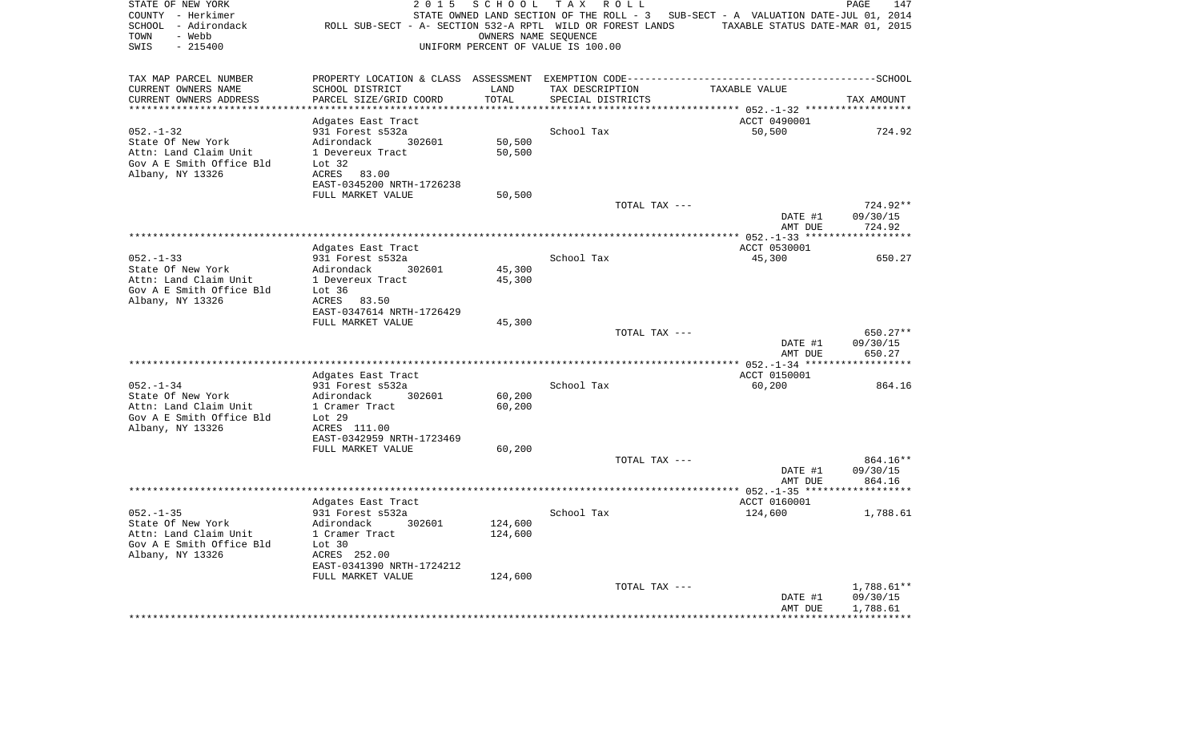| STATE OF NEW YORK<br>COUNTY - Herkimer<br>SCHOOL - Adirondack<br>- Webb<br>TOWN<br>$-215400$<br>SWIS | 2 0 1 5<br>ROLL SUB-SECT - A- SECTION 532-A RPTL WILD OR FOREST LANDS | SCHOOL           | T A X<br>R O L L<br>STATE OWNED LAND SECTION OF THE ROLL - 3<br>OWNERS NAME SEQUENCE<br>UNIFORM PERCENT OF VALUE IS 100.00 | SUB-SECT - A VALUATION DATE-JUL 01, 2014<br>TAXABLE STATUS DATE-MAR 01, 2015 | PAGE<br>147        |
|------------------------------------------------------------------------------------------------------|-----------------------------------------------------------------------|------------------|----------------------------------------------------------------------------------------------------------------------------|------------------------------------------------------------------------------|--------------------|
| TAX MAP PARCEL NUMBER                                                                                |                                                                       |                  |                                                                                                                            |                                                                              |                    |
| CURRENT OWNERS NAME                                                                                  | SCHOOL DISTRICT                                                       | LAND             | TAX DESCRIPTION                                                                                                            | TAXABLE VALUE                                                                |                    |
| CURRENT OWNERS ADDRESS                                                                               | PARCEL SIZE/GRID COORD<br>**************                              | TOTAL<br>******* | SPECIAL DISTRICTS                                                                                                          |                                                                              | TAX AMOUNT         |
|                                                                                                      |                                                                       |                  |                                                                                                                            | ********** 052.-1-32 ******                                                  |                    |
| $052. -1 - 32$                                                                                       | Adgates East Tract<br>931 Forest s532a                                |                  | School Tax                                                                                                                 | ACCT 0490001<br>50,500                                                       | 724.92             |
| State Of New York                                                                                    | Adirondack<br>302601                                                  | 50,500           |                                                                                                                            |                                                                              |                    |
| Attn: Land Claim Unit                                                                                | 1 Devereux Tract                                                      | 50,500           |                                                                                                                            |                                                                              |                    |
| Gov A E Smith Office Bld                                                                             | Lot 32                                                                |                  |                                                                                                                            |                                                                              |                    |
| Albany, NY 13326                                                                                     | ACRES 83.00                                                           |                  |                                                                                                                            |                                                                              |                    |
|                                                                                                      | EAST-0345200 NRTH-1726238                                             |                  |                                                                                                                            |                                                                              |                    |
|                                                                                                      | FULL MARKET VALUE                                                     | 50,500           |                                                                                                                            |                                                                              |                    |
|                                                                                                      |                                                                       |                  | TOTAL TAX ---                                                                                                              |                                                                              | 724.92**           |
|                                                                                                      |                                                                       |                  |                                                                                                                            | DATE #1<br>AMT DUE                                                           | 09/30/15<br>724.92 |
|                                                                                                      |                                                                       |                  |                                                                                                                            |                                                                              |                    |
|                                                                                                      | Adgates East Tract                                                    |                  |                                                                                                                            | ACCT 0530001                                                                 |                    |
| $052. - 1 - 33$                                                                                      | 931 Forest s532a                                                      |                  | School Tax                                                                                                                 | 45,300                                                                       | 650.27             |
| State Of New York                                                                                    | Adirondack<br>302601                                                  | 45,300           |                                                                                                                            |                                                                              |                    |
| Attn: Land Claim Unit                                                                                | 1 Devereux Tract                                                      | 45,300           |                                                                                                                            |                                                                              |                    |
| Gov A E Smith Office Bld                                                                             | Lot $36$                                                              |                  |                                                                                                                            |                                                                              |                    |
| Albany, NY 13326                                                                                     | ACRES<br>83.50<br>EAST-0347614 NRTH-1726429                           |                  |                                                                                                                            |                                                                              |                    |
|                                                                                                      | FULL MARKET VALUE                                                     | 45,300           |                                                                                                                            |                                                                              |                    |
|                                                                                                      |                                                                       |                  | TOTAL TAX ---                                                                                                              |                                                                              | 650.27**           |
|                                                                                                      |                                                                       |                  |                                                                                                                            | DATE #1                                                                      | 09/30/15           |
|                                                                                                      |                                                                       |                  |                                                                                                                            | AMT DUE                                                                      | 650.27             |
|                                                                                                      |                                                                       |                  |                                                                                                                            |                                                                              | *********          |
|                                                                                                      | Adgates East Tract                                                    |                  |                                                                                                                            | ACCT 0150001                                                                 |                    |
| $052. - 1 - 34$<br>State Of New York                                                                 | 931 Forest s532a<br>Adirondack<br>302601                              | 60,200           | School Tax                                                                                                                 | 60,200                                                                       | 864.16             |
| Attn: Land Claim Unit                                                                                | 1 Cramer Tract                                                        | 60,200           |                                                                                                                            |                                                                              |                    |
| Gov A E Smith Office Bld                                                                             | Lot 29                                                                |                  |                                                                                                                            |                                                                              |                    |
| Albany, NY 13326                                                                                     | ACRES 111.00                                                          |                  |                                                                                                                            |                                                                              |                    |
|                                                                                                      | EAST-0342959 NRTH-1723469                                             |                  |                                                                                                                            |                                                                              |                    |
|                                                                                                      | FULL MARKET VALUE                                                     | 60,200           |                                                                                                                            |                                                                              |                    |
|                                                                                                      |                                                                       |                  | TOTAL TAX ---                                                                                                              |                                                                              | 864.16**           |
|                                                                                                      |                                                                       |                  |                                                                                                                            | DATE #1                                                                      | 09/30/15           |
|                                                                                                      |                                                                       |                  |                                                                                                                            | AMT DUE                                                                      | 864.16             |
|                                                                                                      | Adgates East Tract                                                    |                  |                                                                                                                            | ACCT 0160001                                                                 |                    |
| $052 - 1 - 35$                                                                                       | 931 Forest s532a                                                      |                  | School Tax                                                                                                                 | 124,600                                                                      | 1,788.61           |
| State Of New York                                                                                    | Adirondack<br>302601                                                  | 124,600          |                                                                                                                            |                                                                              |                    |
| Attn: Land Claim Unit                                                                                | 1 Cramer Tract                                                        | 124,600          |                                                                                                                            |                                                                              |                    |
| Gov A E Smith Office Bld                                                                             | Lot 30                                                                |                  |                                                                                                                            |                                                                              |                    |
| Albany, NY 13326                                                                                     | ACRES 252.00                                                          |                  |                                                                                                                            |                                                                              |                    |
|                                                                                                      | EAST-0341390 NRTH-1724212<br>FULL MARKET VALUE                        | 124,600          |                                                                                                                            |                                                                              |                    |
|                                                                                                      |                                                                       |                  | TOTAL TAX ---                                                                                                              |                                                                              | 1,788.61**         |
|                                                                                                      |                                                                       |                  |                                                                                                                            | DATE #1                                                                      | 09/30/15           |
|                                                                                                      |                                                                       |                  |                                                                                                                            | AMT DUE                                                                      | 1,788.61           |
|                                                                                                      |                                                                       |                  |                                                                                                                            |                                                                              |                    |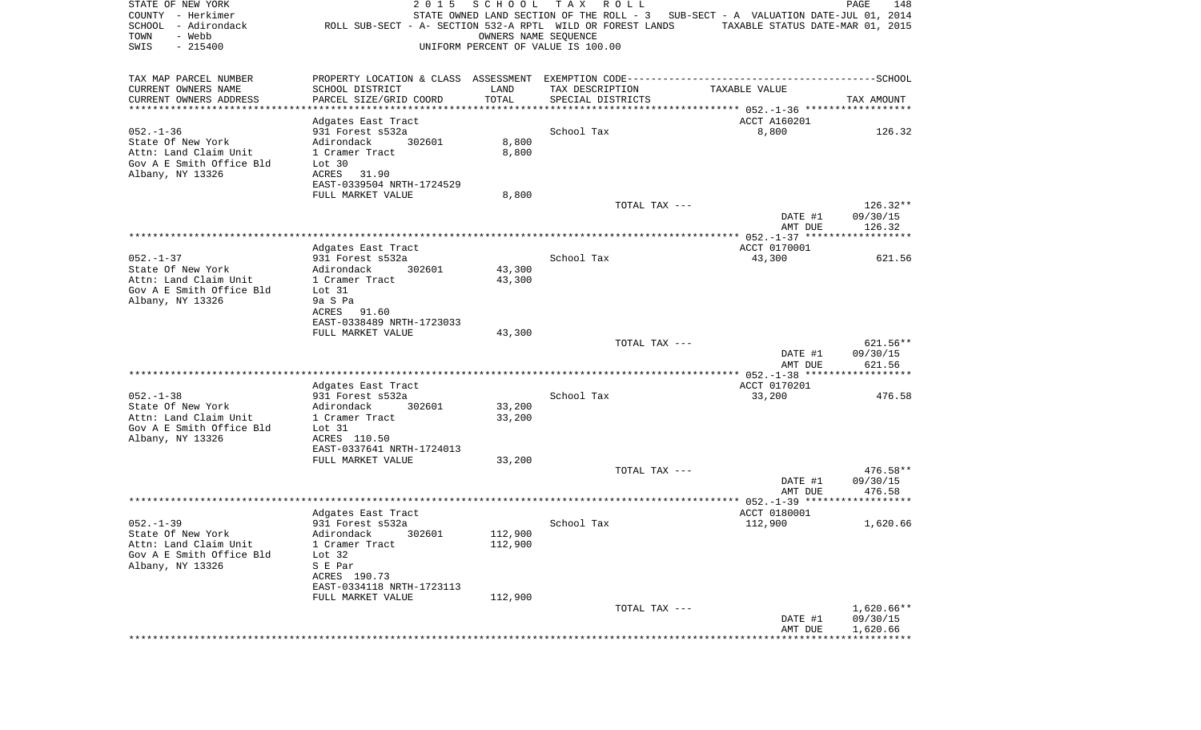| STATE OF NEW YORK<br>COUNTY - Herkimer<br>SCHOOL<br>- Adirondack<br>- Webb<br>TOWN<br>SWIS<br>$-215400$ | 2 0 1 5<br>ROLL SUB-SECT - A- SECTION 532-A RPTL WILD OR FOREST LANDS | SCHOOL<br>OWNERS NAME SEQUENCE | TAX ROLL<br>UNIFORM PERCENT OF VALUE IS 100.00 | STATE OWNED LAND SECTION OF THE ROLL - 3 SUB-SECT - A VALUATION DATE-JUL 01, 2014<br>TAXABLE STATUS DATE-MAR 01, 2015 | PAGE<br>148              |
|---------------------------------------------------------------------------------------------------------|-----------------------------------------------------------------------|--------------------------------|------------------------------------------------|-----------------------------------------------------------------------------------------------------------------------|--------------------------|
| TAX MAP PARCEL NUMBER                                                                                   |                                                                       |                                |                                                |                                                                                                                       |                          |
| CURRENT OWNERS NAME                                                                                     | SCHOOL DISTRICT                                                       | LAND                           | TAX DESCRIPTION                                | TAXABLE VALUE                                                                                                         |                          |
| CURRENT OWNERS ADDRESS                                                                                  | PARCEL SIZE/GRID COORD                                                | TOTAL                          | SPECIAL DISTRICTS                              |                                                                                                                       | TAX AMOUNT               |
| **********************                                                                                  | ****************                                                      |                                |                                                |                                                                                                                       |                          |
| $052. - 1 - 36$                                                                                         | Adgates East Tract<br>931 Forest s532a                                |                                | School Tax                                     | ACCT A160201<br>8,800                                                                                                 | 126.32                   |
| State Of New York                                                                                       | Adirondack<br>302601                                                  | 8,800                          |                                                |                                                                                                                       |                          |
| Attn: Land Claim Unit                                                                                   | 1 Cramer Tract                                                        | 8,800                          |                                                |                                                                                                                       |                          |
| Gov A E Smith Office Bld                                                                                | Lot 30                                                                |                                |                                                |                                                                                                                       |                          |
| Albany, NY 13326                                                                                        | ACRES<br>31.90                                                        |                                |                                                |                                                                                                                       |                          |
|                                                                                                         | EAST-0339504 NRTH-1724529                                             |                                |                                                |                                                                                                                       |                          |
|                                                                                                         | FULL MARKET VALUE                                                     | 8,800                          | TOTAL TAX ---                                  |                                                                                                                       | $126.32**$               |
|                                                                                                         |                                                                       |                                |                                                | DATE #1                                                                                                               | 09/30/15                 |
|                                                                                                         |                                                                       |                                |                                                | AMT DUE                                                                                                               | 126.32                   |
|                                                                                                         |                                                                       |                                |                                                |                                                                                                                       |                          |
|                                                                                                         | Adgates East Tract                                                    |                                |                                                | ACCT 0170001                                                                                                          |                          |
| $052. -1 - 37$<br>State Of New York                                                                     | 931 Forest s532a<br>Adirondack<br>302601                              | 43,300                         | School Tax                                     | 43,300                                                                                                                | 621.56                   |
| Attn: Land Claim Unit                                                                                   | 1 Cramer Tract                                                        | 43,300                         |                                                |                                                                                                                       |                          |
| Gov A E Smith Office Bld                                                                                | Lot 31                                                                |                                |                                                |                                                                                                                       |                          |
| Albany, NY 13326                                                                                        | 9a S Pa                                                               |                                |                                                |                                                                                                                       |                          |
|                                                                                                         | ACRES 91.60                                                           |                                |                                                |                                                                                                                       |                          |
|                                                                                                         | EAST-0338489 NRTH-1723033                                             |                                |                                                |                                                                                                                       |                          |
|                                                                                                         | FULL MARKET VALUE                                                     | 43,300                         | TOTAL TAX ---                                  |                                                                                                                       | 621.56**                 |
|                                                                                                         |                                                                       |                                |                                                | DATE #1                                                                                                               | 09/30/15                 |
|                                                                                                         |                                                                       |                                |                                                | AMT DUE                                                                                                               | 621.56                   |
|                                                                                                         |                                                                       |                                |                                                | **************** 052.-1-38 *******************                                                                        |                          |
| $052. -1 - 38$                                                                                          | Adgates East Tract                                                    |                                | School Tax                                     | ACCT 0170201                                                                                                          |                          |
| State Of New York                                                                                       | 931 Forest s532a<br>Adirondack<br>302601                              | 33,200                         |                                                | 33,200                                                                                                                | 476.58                   |
| Attn: Land Claim Unit                                                                                   | 1 Cramer Tract                                                        | 33,200                         |                                                |                                                                                                                       |                          |
| Gov A E Smith Office Bld                                                                                | Lot 31                                                                |                                |                                                |                                                                                                                       |                          |
| Albany, NY 13326                                                                                        | ACRES 110.50                                                          |                                |                                                |                                                                                                                       |                          |
|                                                                                                         | EAST-0337641 NRTH-1724013                                             |                                |                                                |                                                                                                                       |                          |
|                                                                                                         | FULL MARKET VALUE                                                     | 33,200                         | TOTAL TAX ---                                  |                                                                                                                       | 476.58**                 |
|                                                                                                         |                                                                       |                                |                                                | DATE #1                                                                                                               | 09/30/15                 |
|                                                                                                         |                                                                       |                                |                                                | AMT DUE                                                                                                               | 476.58                   |
|                                                                                                         |                                                                       |                                |                                                |                                                                                                                       |                          |
|                                                                                                         | Adgates East Tract                                                    |                                |                                                | ACCT 0180001                                                                                                          |                          |
| $052. -1 - 39$                                                                                          | 931 Forest s532a                                                      |                                | School Tax                                     | 112,900                                                                                                               | 1,620.66                 |
| State Of New York<br>Attn: Land Claim Unit                                                              | 302601<br>Adirondack<br>1 Cramer Tract                                | 112,900<br>112,900             |                                                |                                                                                                                       |                          |
| Gov A E Smith Office Bld                                                                                | Lot $32$                                                              |                                |                                                |                                                                                                                       |                          |
| Albany, NY 13326                                                                                        | S E Par                                                               |                                |                                                |                                                                                                                       |                          |
|                                                                                                         | ACRES 190.73                                                          |                                |                                                |                                                                                                                       |                          |
|                                                                                                         | EAST-0334118 NRTH-1723113                                             |                                |                                                |                                                                                                                       |                          |
|                                                                                                         | FULL MARKET VALUE                                                     | 112,900                        |                                                |                                                                                                                       |                          |
|                                                                                                         |                                                                       |                                | TOTAL TAX ---                                  | DATE #1                                                                                                               | $1,620.66**$<br>09/30/15 |
|                                                                                                         |                                                                       |                                |                                                | AMT DUE                                                                                                               | 1,620.66                 |
|                                                                                                         |                                                                       |                                |                                                |                                                                                                                       |                          |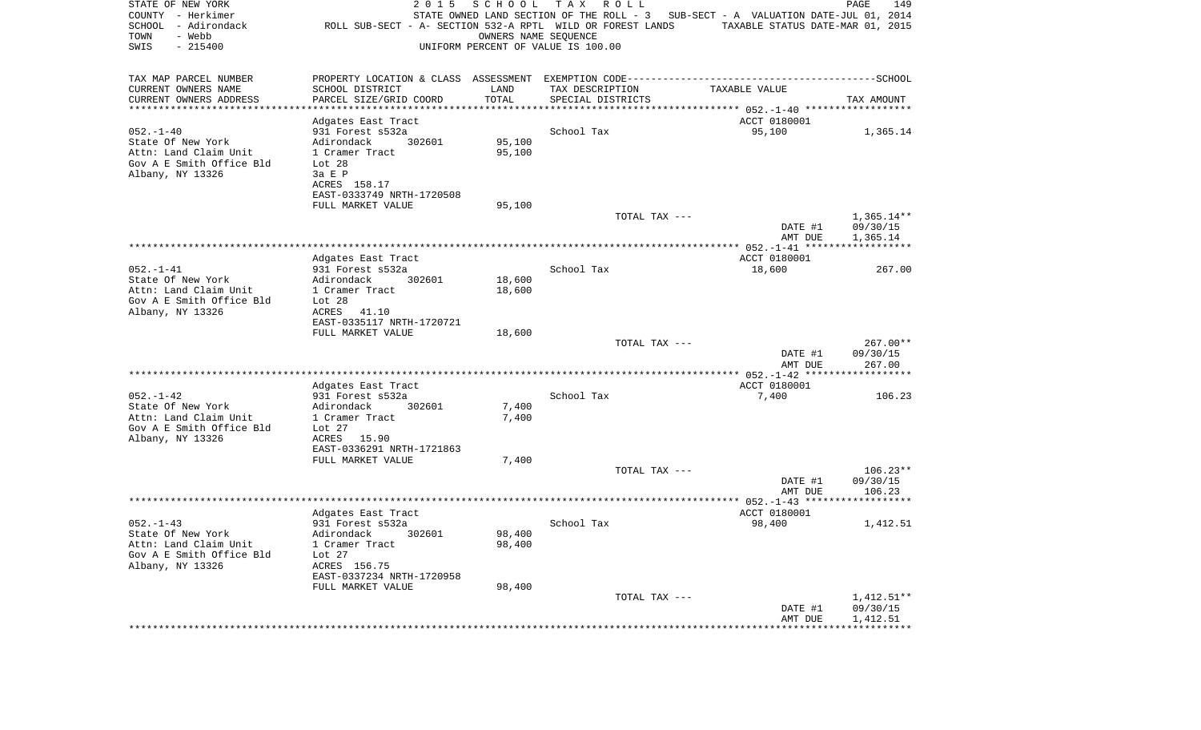| STATE OF NEW YORK<br>COUNTY - Herkimer<br>SCHOOL - Adirondack<br>- Webb<br>TOWN<br>SWIS<br>$-215400$ | 2 0 1 5<br>ROLL SUB-SECT - A- SECTION 532-A RPTL WILD OR FOREST LANDS | SCHOOL<br>OWNERS NAME SEQUENCE | T A X<br>R O L L<br>UNIFORM PERCENT OF VALUE IS 100.00 | STATE OWNED LAND SECTION OF THE ROLL - 3 SUB-SECT - A VALUATION DATE-JUL 01, 2014<br>TAXABLE STATUS DATE-MAR 01, 2015 | PAGE<br>149              |
|------------------------------------------------------------------------------------------------------|-----------------------------------------------------------------------|--------------------------------|--------------------------------------------------------|-----------------------------------------------------------------------------------------------------------------------|--------------------------|
| TAX MAP PARCEL NUMBER                                                                                |                                                                       |                                |                                                        | PROPERTY LOCATION & CLASS ASSESSMENT EXEMPTION CODE-----------------------------------SCHOOL                          |                          |
| CURRENT OWNERS NAME                                                                                  | SCHOOL DISTRICT                                                       | LAND                           | TAX DESCRIPTION                                        | TAXABLE VALUE                                                                                                         |                          |
| CURRENT OWNERS ADDRESS<br>**********************                                                     | PARCEL SIZE/GRID COORD<br>*******************                         | TOTAL                          | SPECIAL DISTRICTS                                      |                                                                                                                       | TAX AMOUNT               |
|                                                                                                      | Adgates East Tract                                                    |                                |                                                        | ACCT 0180001                                                                                                          |                          |
| $052. - 1 - 40$                                                                                      | 931 Forest s532a                                                      |                                | School Tax                                             | 95,100                                                                                                                | 1,365.14                 |
| State Of New York                                                                                    | 302601<br>Adirondack                                                  | 95,100                         |                                                        |                                                                                                                       |                          |
| Attn: Land Claim Unit                                                                                | 1 Cramer Tract                                                        | 95,100                         |                                                        |                                                                                                                       |                          |
| Gov A E Smith Office Bld                                                                             | Lot 28                                                                |                                |                                                        |                                                                                                                       |                          |
| Albany, NY 13326                                                                                     | 3a E P                                                                |                                |                                                        |                                                                                                                       |                          |
|                                                                                                      | ACRES 158.17<br>EAST-0333749 NRTH-1720508                             |                                |                                                        |                                                                                                                       |                          |
|                                                                                                      | FULL MARKET VALUE                                                     | 95,100                         |                                                        |                                                                                                                       |                          |
|                                                                                                      |                                                                       |                                | TOTAL TAX ---                                          |                                                                                                                       | $1,365.14**$             |
|                                                                                                      |                                                                       |                                |                                                        | DATE #1                                                                                                               | 09/30/15                 |
|                                                                                                      |                                                                       |                                |                                                        | AMT DUE                                                                                                               | 1,365.14                 |
|                                                                                                      |                                                                       |                                |                                                        |                                                                                                                       |                          |
| $052. - 1 - 41$                                                                                      | Adgates East Tract<br>931 Forest s532a                                |                                | School Tax                                             | ACCT 0180001<br>18,600                                                                                                | 267.00                   |
| State Of New York                                                                                    | Adirondack<br>302601                                                  | 18,600                         |                                                        |                                                                                                                       |                          |
| Attn: Land Claim Unit                                                                                | 1 Cramer Tract                                                        | 18,600                         |                                                        |                                                                                                                       |                          |
| Gov A E Smith Office Bld                                                                             | Lot $28$                                                              |                                |                                                        |                                                                                                                       |                          |
| Albany, NY 13326                                                                                     | ACRES<br>41.10                                                        |                                |                                                        |                                                                                                                       |                          |
|                                                                                                      | EAST-0335117 NRTH-1720721                                             |                                |                                                        |                                                                                                                       |                          |
|                                                                                                      | FULL MARKET VALUE                                                     | 18,600                         | TOTAL TAX ---                                          |                                                                                                                       | 267.00**                 |
|                                                                                                      |                                                                       |                                |                                                        | DATE #1                                                                                                               | 09/30/15                 |
|                                                                                                      |                                                                       |                                |                                                        | AMT DUE                                                                                                               | 267.00                   |
|                                                                                                      | Adgates East Tract                                                    |                                |                                                        | ACCT 0180001                                                                                                          |                          |
| $052. -1 - 42$                                                                                       | 931 Forest s532a                                                      |                                | School Tax                                             | 7,400                                                                                                                 | 106.23                   |
| State Of New York                                                                                    | Adirondack<br>302601                                                  | 7,400                          |                                                        |                                                                                                                       |                          |
| Attn: Land Claim Unit                                                                                | 1 Cramer Tract                                                        | 7,400                          |                                                        |                                                                                                                       |                          |
| Gov A E Smith Office Bld                                                                             | Lot $27$                                                              |                                |                                                        |                                                                                                                       |                          |
| Albany, NY 13326                                                                                     | ACRES<br>15.90                                                        |                                |                                                        |                                                                                                                       |                          |
|                                                                                                      | EAST-0336291 NRTH-1721863<br>FULL MARKET VALUE                        | 7,400                          |                                                        |                                                                                                                       |                          |
|                                                                                                      |                                                                       |                                | TOTAL TAX ---                                          |                                                                                                                       | $106.23**$               |
|                                                                                                      |                                                                       |                                |                                                        | DATE #1                                                                                                               | 09/30/15                 |
|                                                                                                      |                                                                       |                                |                                                        | AMT DUE                                                                                                               | 106.23                   |
|                                                                                                      |                                                                       |                                |                                                        |                                                                                                                       |                          |
|                                                                                                      | Adgates East Tract                                                    |                                |                                                        | ACCT 0180001                                                                                                          |                          |
| $052. -1 - 43$<br>State Of New York                                                                  | 931 Forest s532a<br>302601<br>Adirondack                              | 98,400                         | School Tax                                             | 98,400                                                                                                                | 1,412.51                 |
| Attn: Land Claim Unit                                                                                | 1 Cramer Tract                                                        | 98,400                         |                                                        |                                                                                                                       |                          |
| Gov A E Smith Office Bld                                                                             | Lot 27                                                                |                                |                                                        |                                                                                                                       |                          |
| Albany, NY 13326                                                                                     | ACRES 156.75                                                          |                                |                                                        |                                                                                                                       |                          |
|                                                                                                      | EAST-0337234 NRTH-1720958                                             |                                |                                                        |                                                                                                                       |                          |
|                                                                                                      | FULL MARKET VALUE                                                     | 98,400                         |                                                        |                                                                                                                       |                          |
|                                                                                                      |                                                                       |                                | TOTAL TAX ---                                          | DATE #1                                                                                                               | $1,412.51**$<br>09/30/15 |
|                                                                                                      |                                                                       |                                |                                                        | AMT DUE                                                                                                               | 1,412.51                 |
|                                                                                                      |                                                                       |                                |                                                        |                                                                                                                       |                          |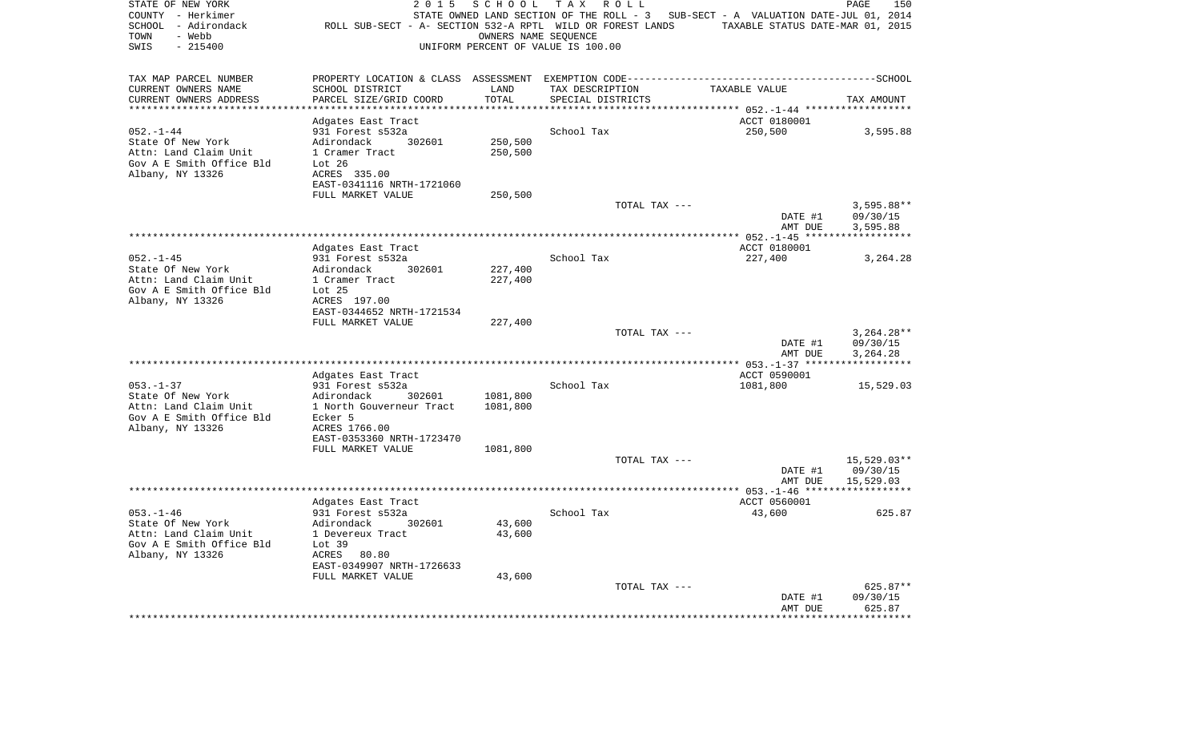| STATE OF NEW YORK<br>COUNTY - Herkimer<br>SCHOOL - Adirondack<br>- Webb<br>TOWN<br>SWIS<br>$-215400$ | 2 0 1 5<br>ROLL SUB-SECT - A- SECTION 532-A RPTL WILD OR FOREST LANDS | SCHOOL   | T A X<br>R O L L<br>STATE OWNED LAND SECTION OF THE ROLL - 3<br>OWNERS NAME SEQUENCE<br>UNIFORM PERCENT OF VALUE IS 100.00 | SUB-SECT - A VALUATION DATE-JUL 01, 2014<br>TAXABLE STATUS DATE-MAR 01, 2015 | PAGE<br>150              |
|------------------------------------------------------------------------------------------------------|-----------------------------------------------------------------------|----------|----------------------------------------------------------------------------------------------------------------------------|------------------------------------------------------------------------------|--------------------------|
| TAX MAP PARCEL NUMBER                                                                                |                                                                       |          |                                                                                                                            |                                                                              |                          |
| CURRENT OWNERS NAME                                                                                  | SCHOOL DISTRICT                                                       | LAND     | TAX DESCRIPTION                                                                                                            | TAXABLE VALUE                                                                |                          |
| CURRENT OWNERS ADDRESS                                                                               | PARCEL SIZE/GRID COORD                                                | TOTAL    | SPECIAL DISTRICTS                                                                                                          |                                                                              | TAX AMOUNT               |
|                                                                                                      |                                                                       | ******   |                                                                                                                            | ******* 052.-1-44 ******                                                     |                          |
| $052. -1 - 44$                                                                                       | Adgates East Tract<br>931 Forest s532a                                |          | School Tax                                                                                                                 | ACCT 0180001<br>250,500                                                      | 3,595.88                 |
| State Of New York                                                                                    | Adirondack<br>302601                                                  | 250,500  |                                                                                                                            |                                                                              |                          |
| Attn: Land Claim Unit                                                                                | 1 Cramer Tract                                                        | 250,500  |                                                                                                                            |                                                                              |                          |
| Gov A E Smith Office Bld                                                                             | Lot 26                                                                |          |                                                                                                                            |                                                                              |                          |
| Albany, NY 13326                                                                                     | ACRES 335.00                                                          |          |                                                                                                                            |                                                                              |                          |
|                                                                                                      | EAST-0341116 NRTH-1721060                                             |          |                                                                                                                            |                                                                              |                          |
|                                                                                                      | FULL MARKET VALUE                                                     | 250,500  |                                                                                                                            |                                                                              |                          |
|                                                                                                      |                                                                       |          | TOTAL TAX ---                                                                                                              | DATE #1                                                                      | $3,595.88**$<br>09/30/15 |
|                                                                                                      |                                                                       |          |                                                                                                                            | AMT DUE                                                                      | 3,595.88                 |
|                                                                                                      |                                                                       |          |                                                                                                                            |                                                                              |                          |
|                                                                                                      | Adgates East Tract                                                    |          |                                                                                                                            | ACCT 0180001                                                                 |                          |
| $052. - 1 - 45$                                                                                      | 931 Forest s532a                                                      |          | School Tax                                                                                                                 | 227,400                                                                      | 3,264.28                 |
| State Of New York                                                                                    | Adirondack<br>302601                                                  | 227,400  |                                                                                                                            |                                                                              |                          |
| Attn: Land Claim Unit<br>Gov A E Smith Office Bld                                                    | 1 Cramer Tract<br>Lot <sub>25</sub>                                   | 227,400  |                                                                                                                            |                                                                              |                          |
| Albany, NY 13326                                                                                     | ACRES 197.00                                                          |          |                                                                                                                            |                                                                              |                          |
|                                                                                                      | EAST-0344652 NRTH-1721534                                             |          |                                                                                                                            |                                                                              |                          |
|                                                                                                      | FULL MARKET VALUE                                                     | 227,400  |                                                                                                                            |                                                                              |                          |
|                                                                                                      |                                                                       |          | TOTAL TAX ---                                                                                                              |                                                                              | $3,264.28**$             |
|                                                                                                      |                                                                       |          |                                                                                                                            | DATE #1                                                                      | 09/30/15                 |
|                                                                                                      |                                                                       |          |                                                                                                                            | AMT DUE                                                                      | 3,264.28                 |
|                                                                                                      | Adgates East Tract                                                    |          |                                                                                                                            | ACCT 0590001                                                                 |                          |
| $053. - 1 - 37$                                                                                      | 931 Forest s532a                                                      |          | School Tax                                                                                                                 | 1081,800                                                                     | 15,529.03                |
| State Of New York                                                                                    | Adirondack<br>302601                                                  | 1081,800 |                                                                                                                            |                                                                              |                          |
| Attn: Land Claim Unit                                                                                | 1 North Gouverneur Tract                                              | 1081,800 |                                                                                                                            |                                                                              |                          |
| Gov A E Smith Office Bld                                                                             | Ecker 5                                                               |          |                                                                                                                            |                                                                              |                          |
| Albany, NY 13326                                                                                     | ACRES 1766.00<br>EAST-0353360 NRTH-1723470                            |          |                                                                                                                            |                                                                              |                          |
|                                                                                                      | FULL MARKET VALUE                                                     | 1081,800 |                                                                                                                            |                                                                              |                          |
|                                                                                                      |                                                                       |          | TOTAL TAX ---                                                                                                              |                                                                              | 15,529.03**              |
|                                                                                                      |                                                                       |          |                                                                                                                            | DATE #1                                                                      | 09/30/15                 |
|                                                                                                      |                                                                       |          |                                                                                                                            | AMT DUE                                                                      | 15,529.03                |
|                                                                                                      |                                                                       |          |                                                                                                                            |                                                                              |                          |
| $053. -1 - 46$                                                                                       | Adgates East Tract<br>931 Forest s532a                                |          | School Tax                                                                                                                 | ACCT 0560001<br>43,600                                                       | 625.87                   |
| State Of New York                                                                                    | Adirondack<br>302601                                                  | 43,600   |                                                                                                                            |                                                                              |                          |
| Attn: Land Claim Unit                                                                                | 1 Devereux Tract                                                      | 43,600   |                                                                                                                            |                                                                              |                          |
| Gov A E Smith Office Bld                                                                             | Lot 39                                                                |          |                                                                                                                            |                                                                              |                          |
| Albany, NY 13326                                                                                     | ACRES<br>80.80                                                        |          |                                                                                                                            |                                                                              |                          |
|                                                                                                      | EAST-0349907 NRTH-1726633                                             |          |                                                                                                                            |                                                                              |                          |
|                                                                                                      | FULL MARKET VALUE                                                     | 43,600   | TOTAL TAX ---                                                                                                              |                                                                              | 625.87**                 |
|                                                                                                      |                                                                       |          |                                                                                                                            | DATE #1                                                                      | 09/30/15                 |
|                                                                                                      |                                                                       |          |                                                                                                                            | AMT DUE                                                                      | 625.87                   |
|                                                                                                      |                                                                       |          |                                                                                                                            |                                                                              | * * * * * * * * *        |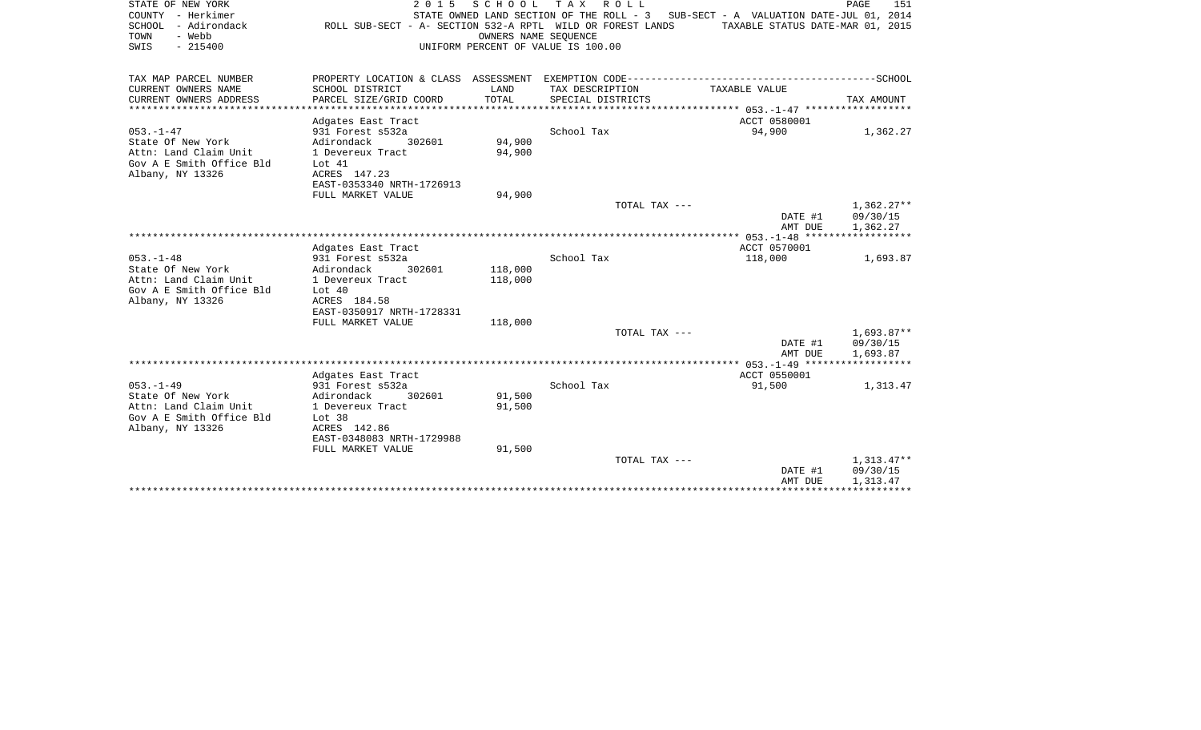| STATE OF NEW YORK<br>COUNTY - Herkimer<br>SCHOOL - Adirondack<br>TOWN<br>- Webb<br>$-215400$<br>SWIS | ROLL SUB-SECT - A- SECTION 532-A RPTL WILD OR FOREST LANDS |         | 2015 SCHOOL TAX ROLL<br>STATE OWNED LAND SECTION OF THE ROLL - 3 SUB-SECT - A VALUATION DATE-JUL 01, 2014<br>OWNERS NAME SEOUENCE<br>UNIFORM PERCENT OF VALUE IS 100.00 | TAXABLE STATUS DATE-MAR 01, 2015 | PAGE<br>151          |
|------------------------------------------------------------------------------------------------------|------------------------------------------------------------|---------|-------------------------------------------------------------------------------------------------------------------------------------------------------------------------|----------------------------------|----------------------|
| TAX MAP PARCEL NUMBER                                                                                |                                                            |         |                                                                                                                                                                         |                                  |                      |
| CURRENT OWNERS NAME                                                                                  | SCHOOL DISTRICT                                            | LAND    | TAX DESCRIPTION                                                                                                                                                         | TAXABLE VALUE                    |                      |
| CURRENT OWNERS ADDRESS                                                                               | PARCEL SIZE/GRID COORD                                     | TOTAL   | SPECIAL DISTRICTS                                                                                                                                                       |                                  | TAX AMOUNT           |
|                                                                                                      | Adgates East Tract                                         |         |                                                                                                                                                                         | ACCT 0580001                     |                      |
| $053. -1 - 47$                                                                                       | 931 Forest s532a                                           |         | School Tax                                                                                                                                                              | 94,900                           | 1,362.27             |
| State Of New York                                                                                    | Adirondack<br>302601                                       | 94,900  |                                                                                                                                                                         |                                  |                      |
| Attn: Land Claim Unit                                                                                | 1 Devereux Tract                                           | 94,900  |                                                                                                                                                                         |                                  |                      |
| Gov A E Smith Office Bld<br>Albany, NY 13326                                                         | Lot 41<br>ACRES 147.23                                     |         |                                                                                                                                                                         |                                  |                      |
|                                                                                                      | EAST-0353340 NRTH-1726913                                  |         |                                                                                                                                                                         |                                  |                      |
|                                                                                                      | FULL MARKET VALUE                                          | 94,900  |                                                                                                                                                                         |                                  |                      |
|                                                                                                      |                                                            |         | TOTAL TAX ---                                                                                                                                                           |                                  | $1,362.27**$         |
|                                                                                                      |                                                            |         |                                                                                                                                                                         | DATE #1                          | 09/30/15             |
|                                                                                                      |                                                            |         |                                                                                                                                                                         | AMT DUE                          | 1,362.27             |
|                                                                                                      | Adgates East Tract                                         |         |                                                                                                                                                                         | ACCT 0570001                     |                      |
| $053. -1 - 48$                                                                                       | 931 Forest s532a                                           |         | School Tax                                                                                                                                                              | 118,000                          | 1,693.87             |
| State Of New York                                                                                    | Adirondack<br>302601                                       | 118,000 |                                                                                                                                                                         |                                  |                      |
| Attn: Land Claim Unit<br>Gov A E Smith Office Bld                                                    | 1 Devereux Tract<br>Lot 40                                 | 118,000 |                                                                                                                                                                         |                                  |                      |
| Albany, NY 13326                                                                                     | ACRES 184.58                                               |         |                                                                                                                                                                         |                                  |                      |
|                                                                                                      | EAST-0350917 NRTH-1728331                                  |         |                                                                                                                                                                         |                                  |                      |
|                                                                                                      | FULL MARKET VALUE                                          | 118,000 |                                                                                                                                                                         |                                  |                      |
|                                                                                                      |                                                            |         | TOTAL TAX ---                                                                                                                                                           |                                  | $1,693.87**$         |
|                                                                                                      |                                                            |         |                                                                                                                                                                         | DATE #1<br>AMT DUE               | 09/30/15<br>1,693.87 |
|                                                                                                      |                                                            |         |                                                                                                                                                                         |                                  |                      |
|                                                                                                      | Adgates East Tract                                         |         |                                                                                                                                                                         | ACCT 0550001                     |                      |
| $053. -1 - 49$                                                                                       | 931 Forest s532a                                           |         | School Tax                                                                                                                                                              | 91,500                           | 1,313.47             |
| State Of New York                                                                                    | Adirondack<br>302601                                       | 91,500  |                                                                                                                                                                         |                                  |                      |
| Attn: Land Claim Unit<br>Gov A E Smith Office Bld                                                    | 1 Devereux Tract<br>Lot 38                                 | 91,500  |                                                                                                                                                                         |                                  |                      |
| Albany, NY 13326                                                                                     | ACRES 142.86                                               |         |                                                                                                                                                                         |                                  |                      |
|                                                                                                      | EAST-0348083 NRTH-1729988                                  |         |                                                                                                                                                                         |                                  |                      |
|                                                                                                      | FULL MARKET VALUE                                          | 91,500  |                                                                                                                                                                         |                                  |                      |
|                                                                                                      |                                                            |         | TOTAL TAX ---                                                                                                                                                           |                                  | 1,313.47**           |
|                                                                                                      |                                                            |         |                                                                                                                                                                         | DATE #1<br>AMT DUE               | 09/30/15<br>1,313.47 |
|                                                                                                      |                                                            |         |                                                                                                                                                                         | * * * * * * * * * * * * * * * *  |                      |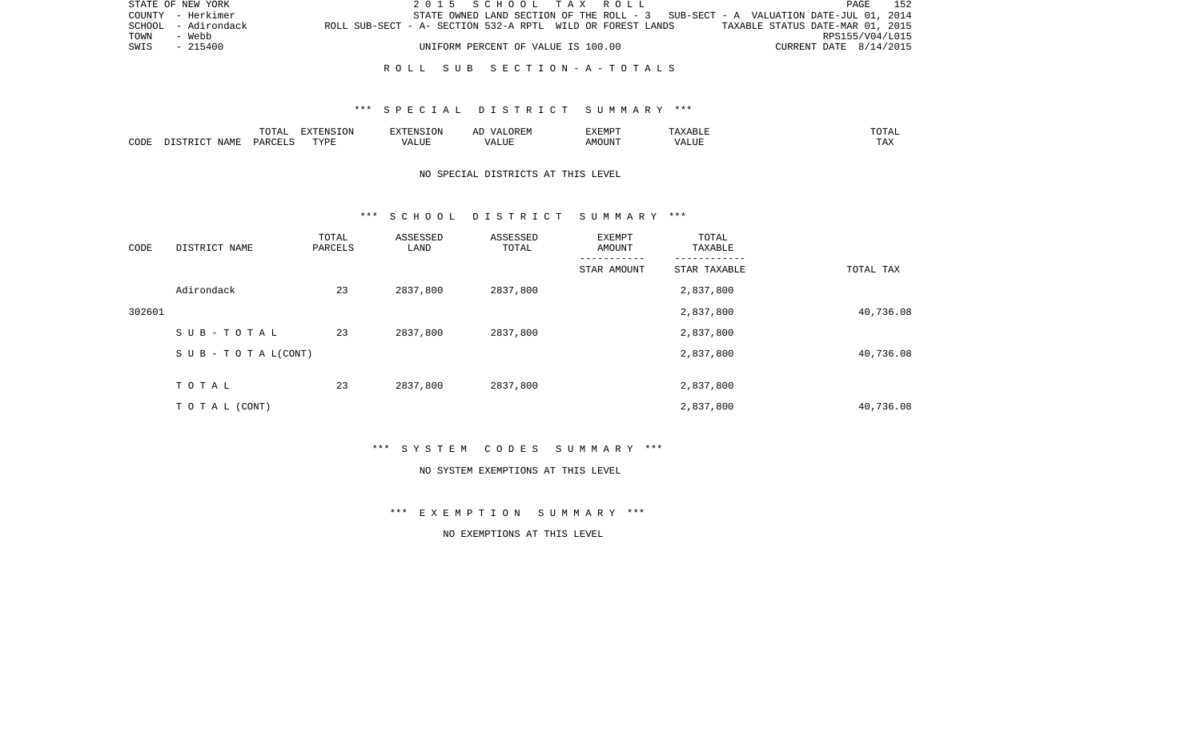|      | STATE OF NEW YORK   |                                                            | 2015 SCHOOL TAX ROLL |  |                                    |  |                                                                                     |                                  | PAGE                   | 152 |
|------|---------------------|------------------------------------------------------------|----------------------|--|------------------------------------|--|-------------------------------------------------------------------------------------|----------------------------------|------------------------|-----|
|      | COUNTY - Herkimer   |                                                            |                      |  |                                    |  | STATE OWNED LAND SECTION OF THE ROLL - $3$ SUB-SECT - A VALUATION DATE-JUL 01, 2014 |                                  |                        |     |
|      | SCHOOL - Adirondack | ROLL SUB-SECT - A- SECTION 532-A RPTL WILD OR FOREST LANDS |                      |  |                                    |  |                                                                                     | TAXABLE STATUS DATE-MAR 01, 2015 |                        |     |
| TOWN | - Webb              |                                                            |                      |  |                                    |  |                                                                                     |                                  | RPS155/V04/L015        |     |
| SWIS | - 215400            |                                                            |                      |  | UNIFORM PERCENT OF VALUE IS 100.00 |  |                                                                                     |                                  | CURRENT DATE 8/14/2015 |     |
|      |                     |                                                            |                      |  |                                    |  |                                                                                     |                                  |                        |     |

### R O L L S U B S E C T I O N - A - T O T A L S

## \*\*\* S P E C I A L D I S T R I C T S U M M A R Y \*\*\*

|      |      | ----<br>◡∸⊷              | EXTENSION |           | 'XEMPT        | .                 | ----           |
|------|------|--------------------------|-----------|-----------|---------------|-------------------|----------------|
| CODE | NAME | $\triangle$ ARCET $\sim$ | T T T T   | $- - - -$ | IOUN'.<br>. M | 77 T TTT<br>A HUI | $- - -$<br>LA. |

## NO SPECIAL DISTRICTS AT THIS LEVEL

### \*\*\* S C H O O L D I S T R I C T S U M M A R Y \*\*\*

| CODE   | DISTRICT NAME                    | TOTAL<br>PARCELS | ASSESSED<br>LAND | ASSESSED<br>TOTAL | EXEMPT<br>AMOUNT | TOTAL<br>TAXABLE |           |
|--------|----------------------------------|------------------|------------------|-------------------|------------------|------------------|-----------|
|        |                                  |                  |                  |                   | STAR AMOUNT      | STAR TAXABLE     | TOTAL TAX |
|        | Adirondack                       | 23               | 2837,800         | 2837,800          |                  | 2,837,800        |           |
| 302601 |                                  |                  |                  |                   |                  | 2,837,800        | 40,736.08 |
|        | SUB-TOTAL                        | 23               | 2837,800         | 2837,800          |                  | 2,837,800        |           |
|        | $S \cup B - T \cup T A L (CONT)$ |                  |                  |                   |                  | 2,837,800        | 40,736.08 |
|        | TOTAL                            | 23               | 2837,800         | 2837,800          |                  | 2,837,800        |           |
|        | T O T A L (CONT)                 |                  |                  |                   |                  | 2,837,800        | 40,736.08 |

\*\*\* S Y S T E M C O D E S S U M M A R Y \*\*\*

#### NO SYSTEM EXEMPTIONS AT THIS LEVEL

\*\*\* E X E M P T I O N S U M M A R Y \*\*\*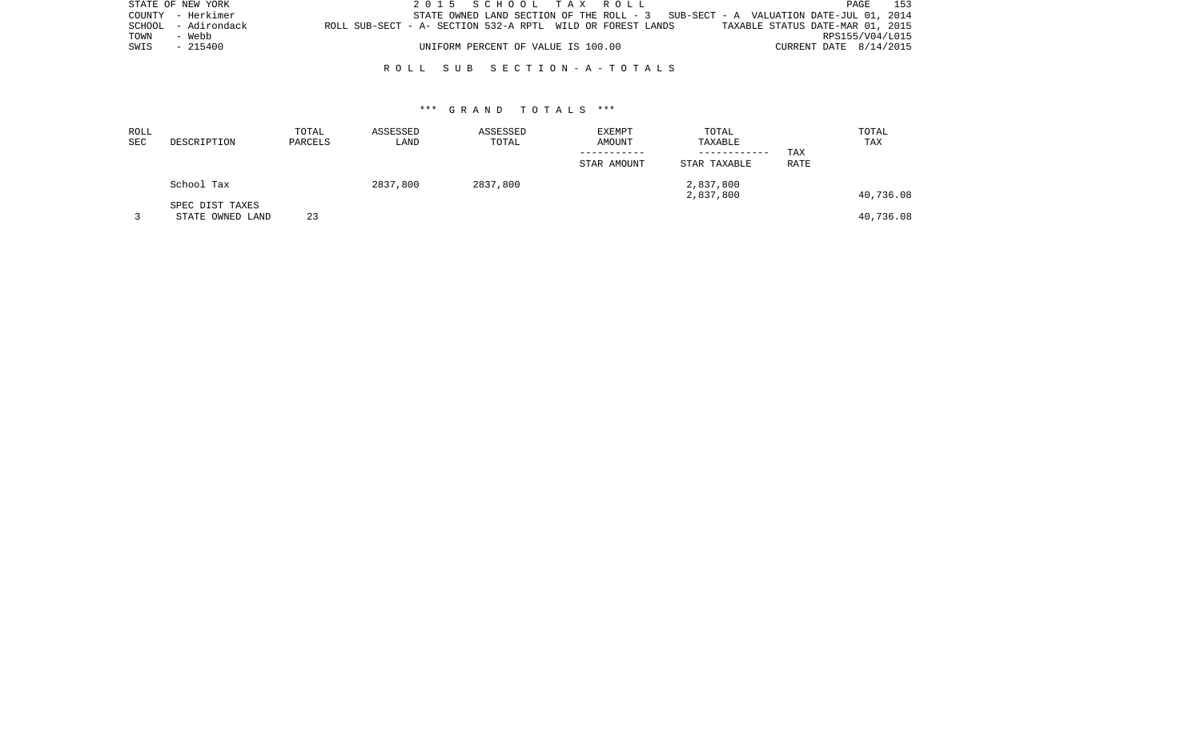| STATE OF NEW YORK |                     |                                                            |  |                                    |  | 2015 SCHOOL TAX ROLL |                                                                                    |                                  |                        | PAGE | 153 |
|-------------------|---------------------|------------------------------------------------------------|--|------------------------------------|--|----------------------|------------------------------------------------------------------------------------|----------------------------------|------------------------|------|-----|
|                   | COUNTY - Herkimer   |                                                            |  |                                    |  |                      | STATE OWNED LAND SECTION OF THE ROLL $-3$ SUB-SECT - A VALUATION DATE-JUL 01, 2014 |                                  |                        |      |     |
|                   | SCHOOL - Adirondack | ROLL SUB-SECT - A- SECTION 532-A RPTL WILD OR FOREST LANDS |  |                                    |  |                      |                                                                                    | TAXABLE STATUS DATE-MAR 01, 2015 |                        |      |     |
| TOWN              | - Webb              |                                                            |  |                                    |  |                      |                                                                                    |                                  | RPS155/V04/L015        |      |     |
| SWIS              | - 215400            |                                                            |  | UNIFORM PERCENT OF VALUE IS 100.00 |  |                      |                                                                                    |                                  | CURRENT DATE 8/14/2015 |      |     |
|                   |                     |                                                            |  |                                    |  |                      |                                                                                    |                                  |                        |      |     |

## R O L L S U B S E C T I O N - A - T O T A L S

| ROLL<br><b>SEC</b> | DESCRIPTION      | TOTAL<br>PARCELS | ASSESSED<br>LAND | ASSESSED<br>TOTAL | <b>EXEMPT</b><br>AMOUNT | TOTAL<br>TAXABLE |             | TOTAL<br>TAX |
|--------------------|------------------|------------------|------------------|-------------------|-------------------------|------------------|-------------|--------------|
|                    |                  |                  |                  |                   |                         | ------------     | TAX         |              |
|                    |                  |                  |                  |                   | STAR AMOUNT             | STAR TAXABLE     | <b>RATE</b> |              |
|                    | School Tax       |                  | 2837,800         | 2837,800          |                         | 2,837,800        |             |              |
|                    |                  |                  |                  |                   |                         | 2,837,800        |             | 40,736.08    |
|                    | SPEC DIST TAXES  |                  |                  |                   |                         |                  |             |              |
|                    | STATE OWNED LAND | 23               |                  |                   |                         |                  |             | 40,736.08    |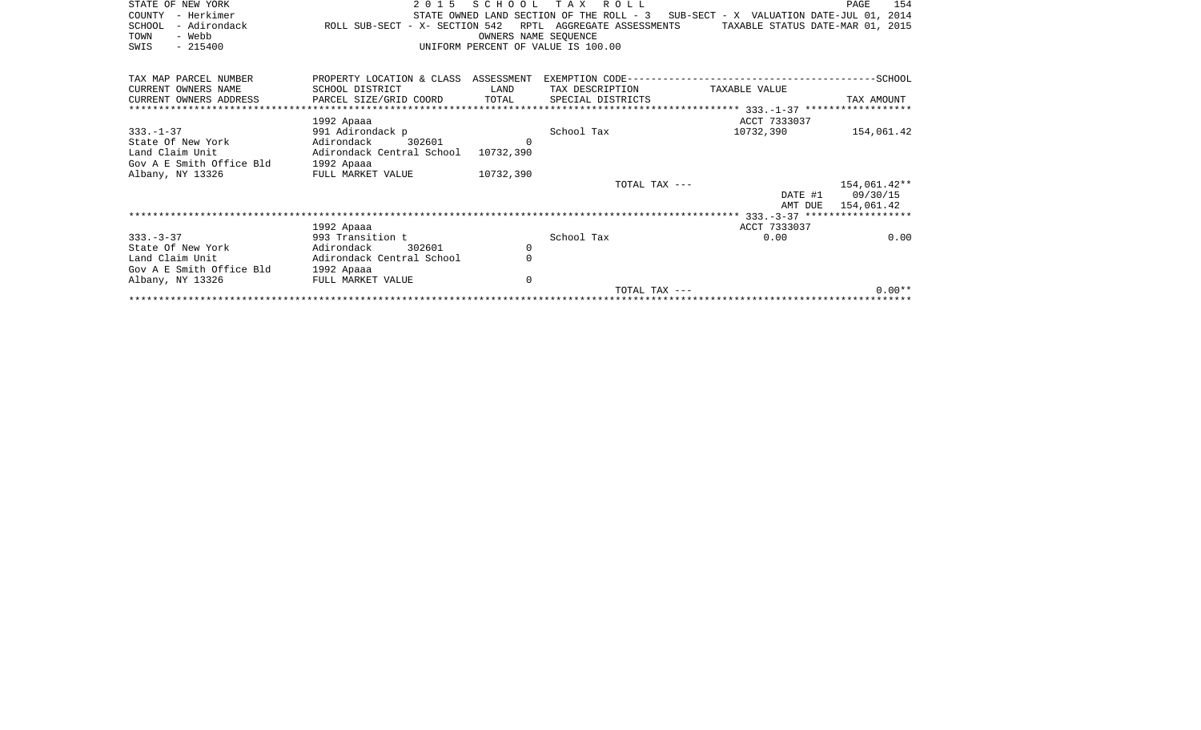| STATE OF NEW YORK<br>- Herkimer<br>COUNTY<br>- Adirondack<br>SCHOOL<br>- Webb<br>TOWN<br>$-215400$<br>SWIS | 2 0 1 5<br>ROLL SUB-SECT - X- SECTION 542 | SCHOOL      | T A X<br>ROLL<br>STATE OWNED LAND SECTION OF THE ROLL - 3<br>RPTL AGGREGATE ASSESSMENTS<br>OWNERS NAME SEOUENCE<br>UNIFORM PERCENT OF VALUE IS 100.00 | SUB-SECT - X VALUATION DATE-JUL 01, 2014<br>TAXABLE STATUS DATE-MAR 01, 2015 | 154<br>PAGE  |
|------------------------------------------------------------------------------------------------------------|-------------------------------------------|-------------|-------------------------------------------------------------------------------------------------------------------------------------------------------|------------------------------------------------------------------------------|--------------|
| TAX MAP PARCEL NUMBER                                                                                      | PROPERTY LOCATION & CLASS ASSESSMENT      |             |                                                                                                                                                       |                                                                              |              |
| CURRENT OWNERS NAME                                                                                        | SCHOOL DISTRICT                           | LAND        | TAX DESCRIPTION                                                                                                                                       | TAXABLE VALUE                                                                |              |
| CURRENT OWNERS ADDRESS                                                                                     | PARCEL SIZE/GRID COORD                    | TOTAL       | SPECIAL DISTRICTS                                                                                                                                     | ·***************** 333.__1_37 *******************                            | TAX AMOUNT   |
|                                                                                                            | 1992 Apaaa                                |             |                                                                                                                                                       | ACCT 7333037                                                                 |              |
| $333. - 1 - 37$                                                                                            | 991 Adirondack p                          |             | School Tax                                                                                                                                            | 10732,390                                                                    | 154,061.42   |
| State Of New York                                                                                          | 302601<br>Adirondack                      | $\Omega$    |                                                                                                                                                       |                                                                              |              |
| Land Claim Unit                                                                                            | Adirondack Central School                 | 10732,390   |                                                                                                                                                       |                                                                              |              |
| Gov A E Smith Office Bld                                                                                   | 1992 Apaaa                                |             |                                                                                                                                                       |                                                                              |              |
| Albany, NY 13326                                                                                           | FULL MARKET VALUE                         | 10732,390   |                                                                                                                                                       |                                                                              |              |
|                                                                                                            |                                           |             | TOTAL TAX ---                                                                                                                                         |                                                                              | 154,061.42** |
|                                                                                                            |                                           |             |                                                                                                                                                       | DATE #1                                                                      | 09/30/15     |
|                                                                                                            |                                           |             |                                                                                                                                                       | AMT DUE                                                                      | 154,061.42   |
|                                                                                                            |                                           |             |                                                                                                                                                       |                                                                              |              |
|                                                                                                            | 1992 Apaaa                                |             |                                                                                                                                                       | ACCT 7333037                                                                 |              |
| $333 - 3 - 37$                                                                                             | 993 Transition t                          |             | School Tax                                                                                                                                            | 0.00                                                                         | 0.00         |
| State Of New York                                                                                          | Adirondack<br>302601                      | 0           |                                                                                                                                                       |                                                                              |              |
| Land Claim Unit                                                                                            | Adirondack Central School                 | $\Omega$    |                                                                                                                                                       |                                                                              |              |
| Gov A E Smith Office Bld                                                                                   | 1992 Apaaa                                |             |                                                                                                                                                       |                                                                              |              |
| Albany, NY 13326                                                                                           | FULL MARKET VALUE                         | $\mathbf 0$ |                                                                                                                                                       |                                                                              |              |
|                                                                                                            |                                           |             | TOTAL TAX ---                                                                                                                                         |                                                                              | $0.00**$     |
|                                                                                                            |                                           |             |                                                                                                                                                       |                                                                              |              |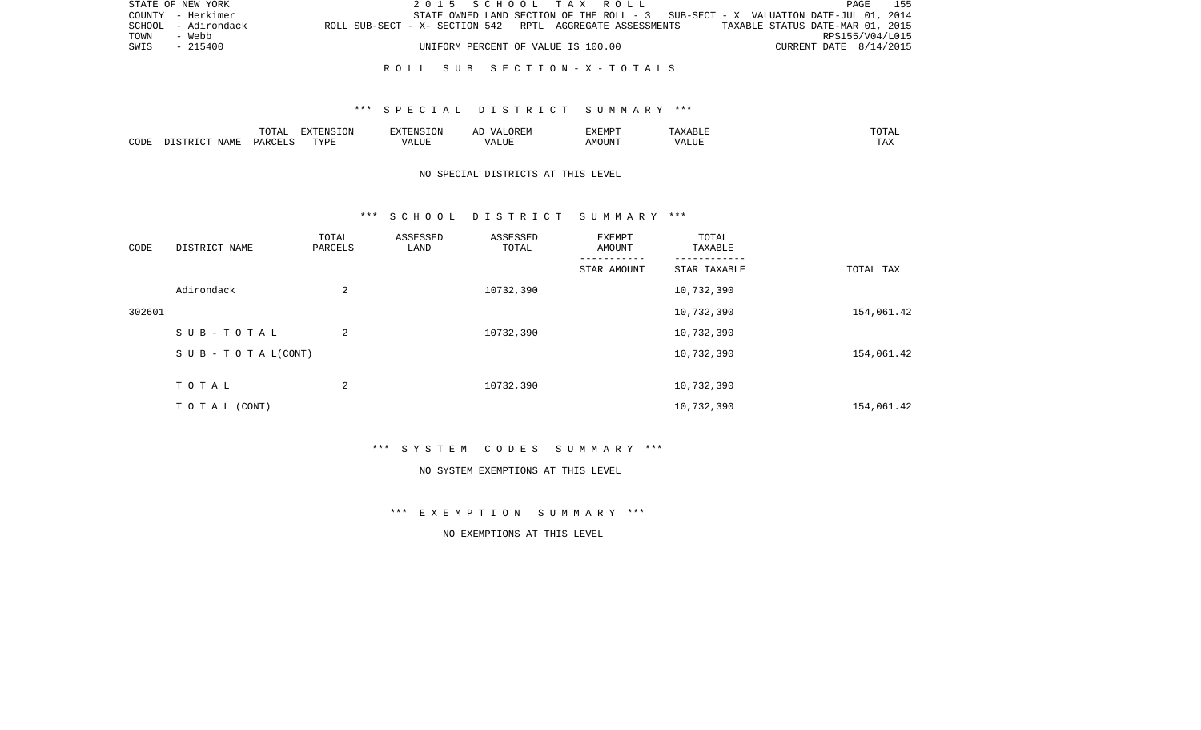|      | STATE OF NEW YORK   | 2015 SCHOOL TAX ROLL                                                                          |                        | PAGE 155 |
|------|---------------------|-----------------------------------------------------------------------------------------------|------------------------|----------|
|      | COUNTY - Herkimer   | STATE OWNED LAND SECTION OF THE ROLL - 3 SUB-SECT - X VALUATION DATE-JUL 01, 2014             |                        |          |
|      | SCHOOL - Adirondack | TAXABLE STATUS DATE-MAR 01, 2015<br>ROLL SUB-SECT - X- SECTION 542 RPTL AGGREGATE ASSESSMENTS |                        |          |
| TOWN | - Webb              |                                                                                               | RPS155/V04/L015        |          |
| SWIS | $-215400$           | UNIFORM PERCENT OF VALUE IS 100.00                                                            | CURRENT DATE 8/14/2015 |          |
|      |                     |                                                                                               |                        |          |

#### R O L L S U B S E C T I O N - X - T O T A L S

## \*\*\* S P E C I A L D I S T R I C T S U M M A R Y \*\*\*

|      |      | $m \wedge m \wedge n$<br>. U 171 | <b>FYTFNCT∩N</b><br>- 71 | ∴N.  | $\cdots$ | <b>DA 4 DI</b> |               | JIAL |
|------|------|----------------------------------|--------------------------|------|----------|----------------|---------------|------|
| CODE | NAMF | UAROTT                           | <b>TIZE</b>              | JU P |          | OUN            | .<br>$\cdots$ |      |

## NO SPECIAL DISTRICTS AT THIS LEVEL

#### \*\*\* S C H O O L D I S T R I C T S U M M A R Y \*\*\*

| CODE   | DISTRICT NAME                    | TOTAL<br>PARCELS | ASSESSED<br>LAND | ASSESSED<br>TOTAL | EXEMPT<br>AMOUNT | TOTAL<br>TAXABLE |            |
|--------|----------------------------------|------------------|------------------|-------------------|------------------|------------------|------------|
|        |                                  |                  |                  |                   | STAR AMOUNT      | STAR TAXABLE     | TOTAL TAX  |
|        | Adirondack                       | 2                |                  | 10732,390         |                  | 10,732,390       |            |
| 302601 |                                  |                  |                  |                   |                  | 10,732,390       | 154,061.42 |
|        | SUB-TOTAL                        | 2                |                  | 10732,390         |                  | 10,732,390       |            |
|        | $S \cup B - T \cup T A L (CONT)$ |                  |                  |                   |                  | 10,732,390       | 154,061.42 |
|        | TOTAL                            | 2                |                  | 10732,390         |                  | 10,732,390       |            |
|        |                                  |                  |                  |                   |                  |                  |            |
|        | TO TAL (CONT)                    |                  |                  |                   |                  | 10,732,390       | 154,061.42 |

\*\*\* S Y S T E M C O D E S S U M M A R Y \*\*\*

#### NO SYSTEM EXEMPTIONS AT THIS LEVEL

\*\*\* E X E M P T I O N S U M M A R Y \*\*\*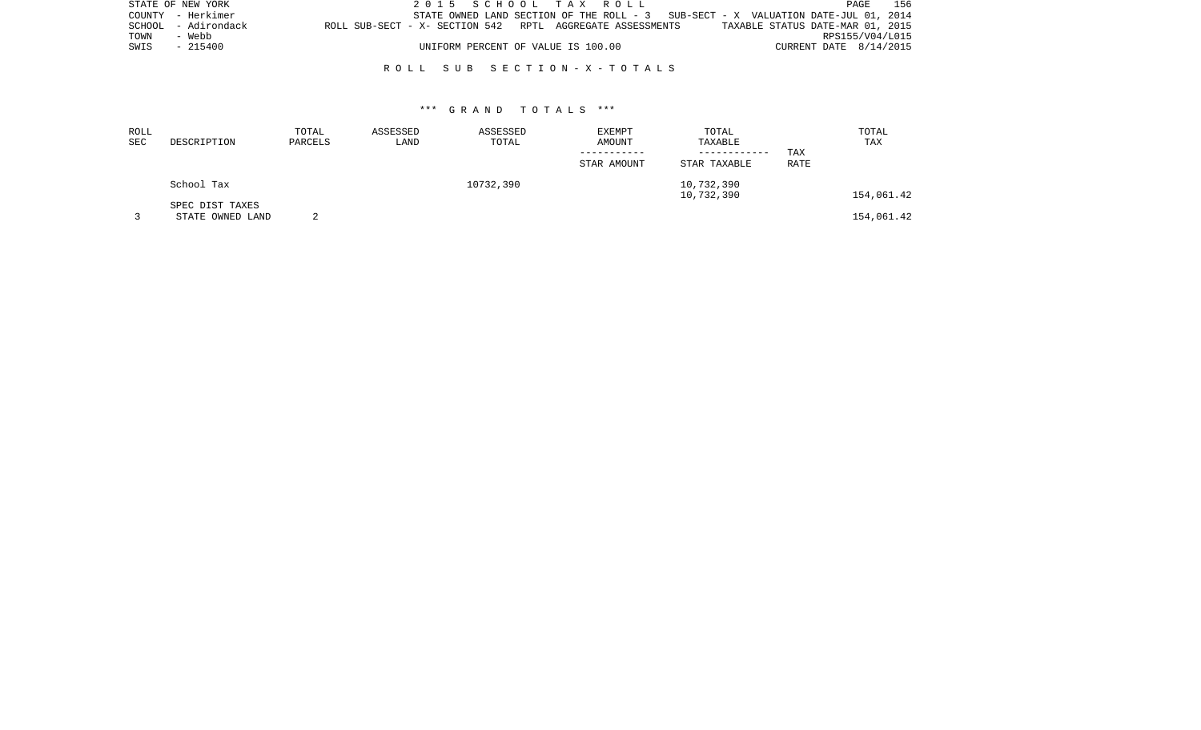|      | STATE OF NEW YORK   | 2015 SCHOOL TAX ROLL                                                              |  |                                  |                        | PAGE | 156 |
|------|---------------------|-----------------------------------------------------------------------------------|--|----------------------------------|------------------------|------|-----|
|      | COUNTY - Herkimer   | STATE OWNED LAND SECTION OF THE ROLL - 3 SUB-SECT - X VALUATION DATE-JUL 01, 2014 |  |                                  |                        |      |     |
|      | SCHOOL - Adirondack | ROLL SUB-SECT - X- SECTION 542 RPTL AGGREGATE ASSESSMENTS                         |  | TAXABLE STATUS DATE-MAR 01, 2015 |                        |      |     |
| TOWN | - Webb              |                                                                                   |  |                                  | RPS155/V04/L015        |      |     |
| SWIS | $-215400$           | UNIFORM PERCENT OF VALUE IS 100.00                                                |  |                                  | CURRENT DATE 8/14/2015 |      |     |
|      |                     |                                                                                   |  |                                  |                        |      |     |

## R O L L S U B S E C T I O N - X - T O T A L S

| ROLL |                  | TOTAL   | ASSESSED | ASSESSED  | <b>EXEMPT</b> | TOTAL        |             | TOTAL      |
|------|------------------|---------|----------|-----------|---------------|--------------|-------------|------------|
| SEC  | DESCRIPTION      | PARCELS | LAND     | TOTAL     | AMOUNT        | TAXABLE      |             | TAX        |
|      |                  |         |          |           |               | ------------ | TAX         |            |
|      |                  |         |          |           | STAR AMOUNT   | STAR TAXABLE | <b>RATE</b> |            |
|      | School Tax       |         |          | 10732,390 |               | 10,732,390   |             |            |
|      |                  |         |          |           |               | 10,732,390   |             | 154,061.42 |
|      | SPEC DIST TAXES  |         |          |           |               |              |             |            |
|      | STATE OWNED LAND |         |          |           |               |              |             | 154,061.42 |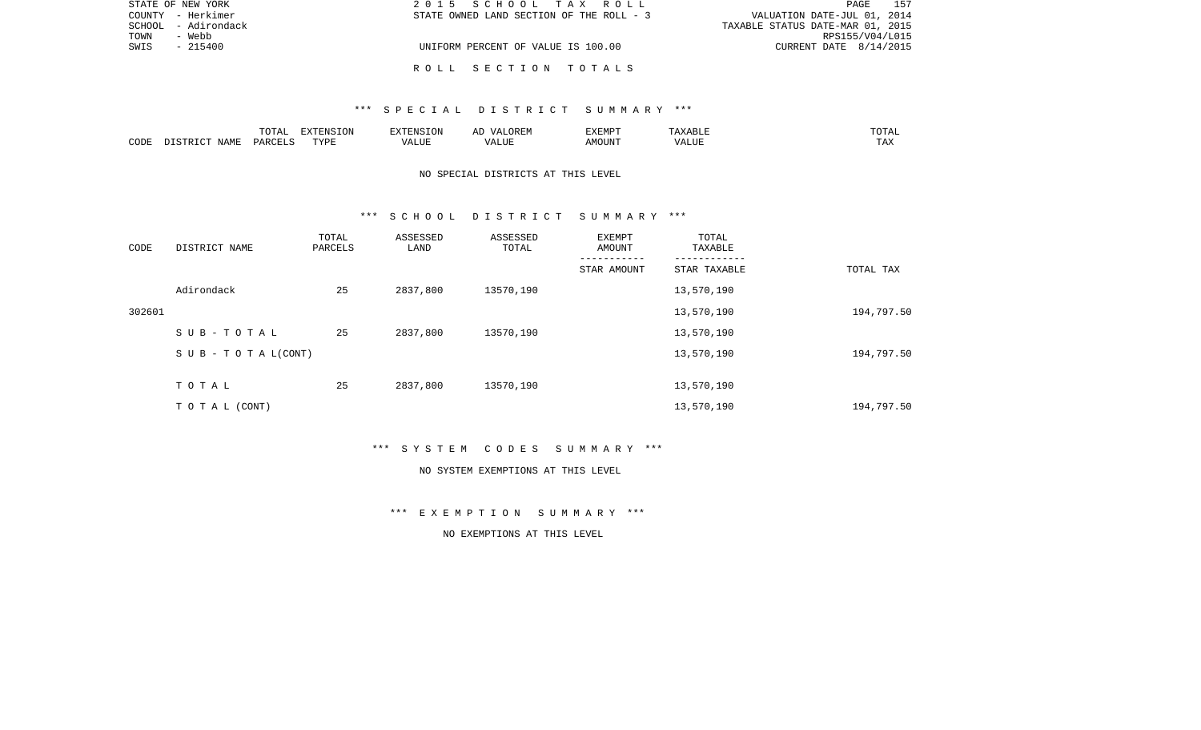|      | STATE OF NEW YORK   | 2015 SCHOOL TAX ROLL                     | 157<br>PAGE                      |
|------|---------------------|------------------------------------------|----------------------------------|
|      | COUNTY - Herkimer   | STATE OWNED LAND SECTION OF THE ROLL - 3 | VALUATION DATE-JUL 01, 2014      |
|      | SCHOOL - Adirondack |                                          | TAXABLE STATUS DATE-MAR 01, 2015 |
| TOWN | - Webb              |                                          | RPS155/V04/L015                  |
| SWIS | $-215400$           | UNIFORM PERCENT OF VALUE IS 100.00       | CURRENT DATE $8/14/2015$         |
|      |                     |                                          |                                  |
|      |                     | ROLL SECTION TOTALS                      |                                  |

|      |                          | $T$ $\cap$ $T$ $\cap$ $\cap$ $\cap$<br>۵.<br>. U 1 1 1 1 | <b>EXTENSION</b>     |      | , R ⊧:N<br>$\frac{1}{2}$  | <b>EXEMP</b><br>، تلند که ب<br>. | AABLE           | ◡∸⊷           |
|------|--------------------------|----------------------------------------------------------|----------------------|------|---------------------------|----------------------------------|-----------------|---------------|
| CODI | JAME<br>$\sim$<br>סידי ד | . PARCET $\tilde{c}$                                     | $m \tau \tau m$<br>. | ALUF | $\land$ LUF<br>$\sqrt{ }$ | OUN".<br>MC                      | 77\TTTT<br>ALUI | may<br>⊥ டு∡⊾ |

# NO SPECIAL DISTRICTS AT THIS LEVEL

#### \*\*\* S C H O O L D I S T R I C T S U M M A R Y \*\*\*

| CODE   | DISTRICT NAME                    | TOTAL<br>PARCELS | ASSESSED<br>LAND | ASSESSED<br>TOTAL | EXEMPT<br>AMOUNT | TOTAL<br>TAXABLE |            |
|--------|----------------------------------|------------------|------------------|-------------------|------------------|------------------|------------|
|        |                                  |                  |                  |                   | STAR AMOUNT      | STAR TAXABLE     | TOTAL TAX  |
|        | Adirondack                       | 25               | 2837,800         | 13570,190         |                  | 13,570,190       |            |
| 302601 |                                  |                  |                  |                   |                  | 13,570,190       | 194,797.50 |
|        | SUB-TOTAL                        | 25               | 2837,800         | 13570,190         |                  | 13,570,190       |            |
|        | $S \cup B - T \cup T A L (CONT)$ |                  |                  |                   |                  | 13,570,190       | 194,797.50 |
|        | TOTAL                            | 25               | 2837,800         | 13570,190         |                  | 13,570,190       |            |
|        | T O T A L (CONT)                 |                  |                  |                   |                  | 13,570,190       | 194,797.50 |

\*\*\* S Y S T E M C O D E S S U M M A R Y \*\*\*

#### NO SYSTEM EXEMPTIONS AT THIS LEVEL

\*\*\* E X E M P T I O N S U M M A R Y \*\*\*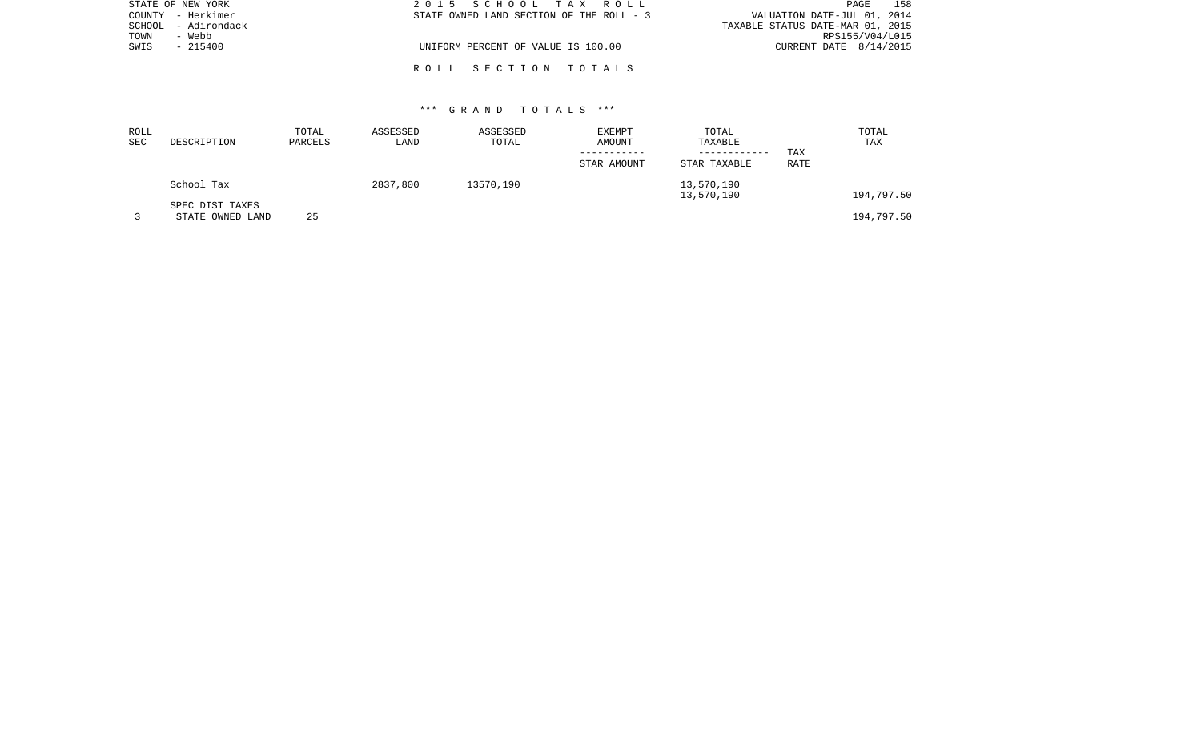| STATE OF NEW YORK   | 2015 SCHOOL TAX ROLL                     | 158<br>PAGE                      |
|---------------------|------------------------------------------|----------------------------------|
| COUNTY - Herkimer   | STATE OWNED LAND SECTION OF THE ROLL - 3 | VALUATION DATE-JUL 01, 2014      |
| SCHOOL - Adirondack |                                          | TAXABLE STATUS DATE-MAR 01, 2015 |
| TOWN<br>- Webb      |                                          | RPS155/V04/L015                  |
| SWIS<br>- 215400    | UNIFORM PERCENT OF VALUE IS 100.00       | CURRENT DATE 8/14/2015           |
|                     |                                          |                                  |
|                     | ROLL SECTION TOTALS                      |                                  |

| ROLL<br>SEC | DESCRIPTION                         | TOTAL<br>PARCELS | ASSESSED<br>LAND | ASSESSED<br>TOTAL | EXEMPT<br>AMOUNT | TOTAL<br>TAXABLE             |             | TOTAL<br>TAX |
|-------------|-------------------------------------|------------------|------------------|-------------------|------------------|------------------------------|-------------|--------------|
|             |                                     |                  |                  |                   | STAR AMOUNT      | ------------<br>STAR TAXABLE | TAX<br>RATE |              |
|             | School Tax                          |                  | 2837,800         | 13570,190         |                  | 13,570,190<br>13,570,190     |             | 194,797.50   |
|             | SPEC DIST TAXES<br>STATE OWNED LAND | 25               |                  |                   |                  |                              |             | 194,797.50   |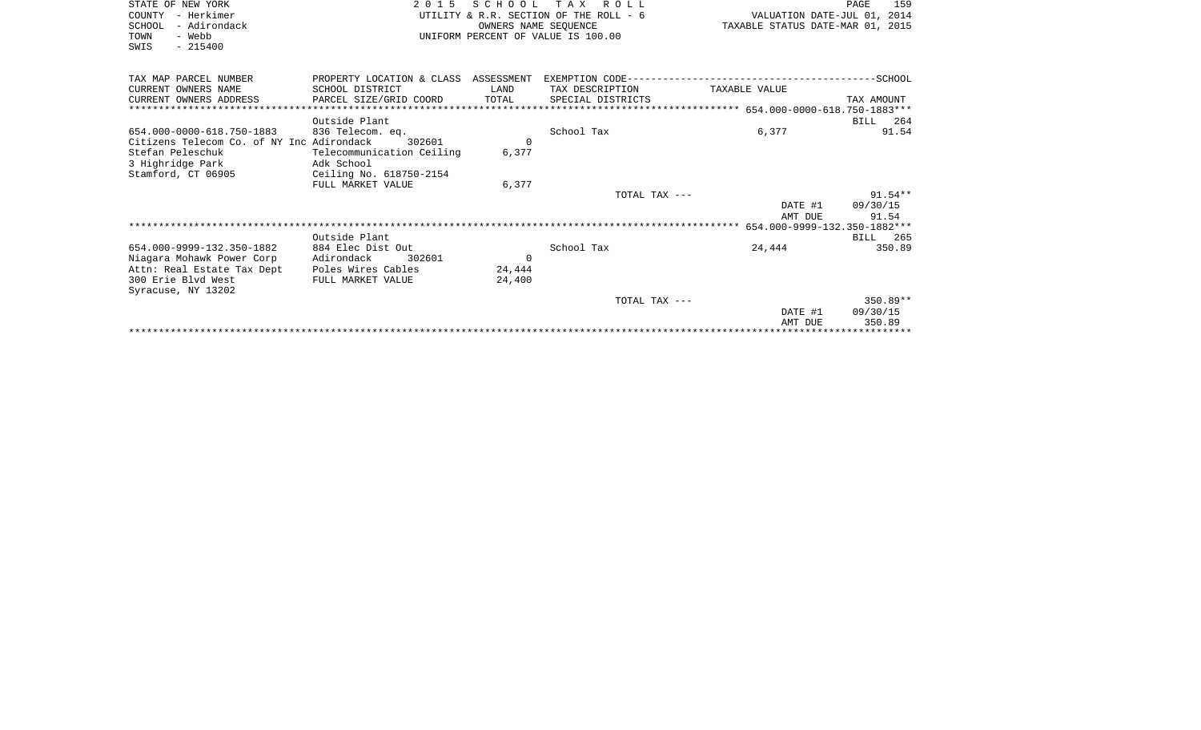| STATE OF NEW YORK<br>COUNTY - Herkimer<br>- Adirondack<br>SCHOOL<br>TOWN<br>- Webb<br>$-215400$<br>SWIS | 2 0 1 5                                                                                      | OWNERS NAME SEQUENCE | SCHOOL TAX ROLL<br>UTILITY & R.R. SECTION OF THE ROLL - 6<br>UNIFORM PERCENT OF VALUE IS 100.00 | PAGE<br>VALUATION DATE-JUL 01, 2014<br>TAXABLE STATUS DATE-MAR 01, 2015 |            |  |
|---------------------------------------------------------------------------------------------------------|----------------------------------------------------------------------------------------------|----------------------|-------------------------------------------------------------------------------------------------|-------------------------------------------------------------------------|------------|--|
| TAX MAP PARCEL NUMBER                                                                                   | PROPERTY LOCATION & CLASS ASSESSMENT EXEMPTION CODE-----------------------------------SCHOOL |                      |                                                                                                 |                                                                         |            |  |
| CURRENT OWNERS NAME                                                                                     | SCHOOL DISTRICT                                                                              | LAND                 | TAX DESCRIPTION                                                                                 | TAXABLE VALUE                                                           |            |  |
| CURRENT OWNERS ADDRESS                                                                                  | PARCEL SIZE/GRID COORD                                                                       | TOTAL                | SPECIAL DISTRICTS                                                                               |                                                                         | TAX AMOUNT |  |
|                                                                                                         |                                                                                              |                      |                                                                                                 |                                                                         |            |  |
|                                                                                                         | Outside Plant                                                                                |                      |                                                                                                 |                                                                         | BILL 264   |  |
| 654.000-0000-618.750-1883                                                                               | 836 Telecom. eq.                                                                             |                      | School Tax                                                                                      | 6,377                                                                   | 91.54      |  |
| Citizens Telecom Co. of NY Inc Adirondack                                                               | 302601                                                                                       | $\Omega$             |                                                                                                 |                                                                         |            |  |
| Stefan Peleschuk                                                                                        | Telecommunication Ceiling                                                                    | 6,377                |                                                                                                 |                                                                         |            |  |
| 3 Highridge Park                                                                                        | Adk School                                                                                   |                      |                                                                                                 |                                                                         |            |  |
| Stamford, CT 06905                                                                                      | Ceiling No. 618750-2154<br>FULL MARKET VALUE                                                 | 6,377                |                                                                                                 |                                                                         |            |  |
|                                                                                                         |                                                                                              |                      | TOTAL TAX ---                                                                                   |                                                                         | $91.54**$  |  |
|                                                                                                         |                                                                                              |                      |                                                                                                 | DATE #1                                                                 | 09/30/15   |  |
|                                                                                                         |                                                                                              |                      |                                                                                                 | AMT DUE                                                                 | 91.54      |  |
|                                                                                                         |                                                                                              |                      |                                                                                                 |                                                                         |            |  |
|                                                                                                         | Outside Plant                                                                                |                      |                                                                                                 |                                                                         | BILL 265   |  |
| 654.000-9999-132.350-1882                                                                               | 884 Elec Dist Out                                                                            |                      | School Tax                                                                                      | 24,444                                                                  | 350.89     |  |
| Niagara Mohawk Power Corp                                                                               | Adirondack<br>302601                                                                         | $\Omega$             |                                                                                                 |                                                                         |            |  |
| Attn: Real Estate Tax Dept                                                                              | Poles Wires Cables                                                                           | 24,444               |                                                                                                 |                                                                         |            |  |
| 300 Erie Blvd West<br>Syracuse, NY 13202                                                                | FULL MARKET VALUE                                                                            | 24,400               |                                                                                                 |                                                                         |            |  |
|                                                                                                         |                                                                                              |                      | TOTAL TAX ---                                                                                   |                                                                         | $350.89**$ |  |
|                                                                                                         |                                                                                              |                      |                                                                                                 | DATE #1                                                                 | 09/30/15   |  |
|                                                                                                         |                                                                                              |                      |                                                                                                 | AMT DUE                                                                 | 350.89     |  |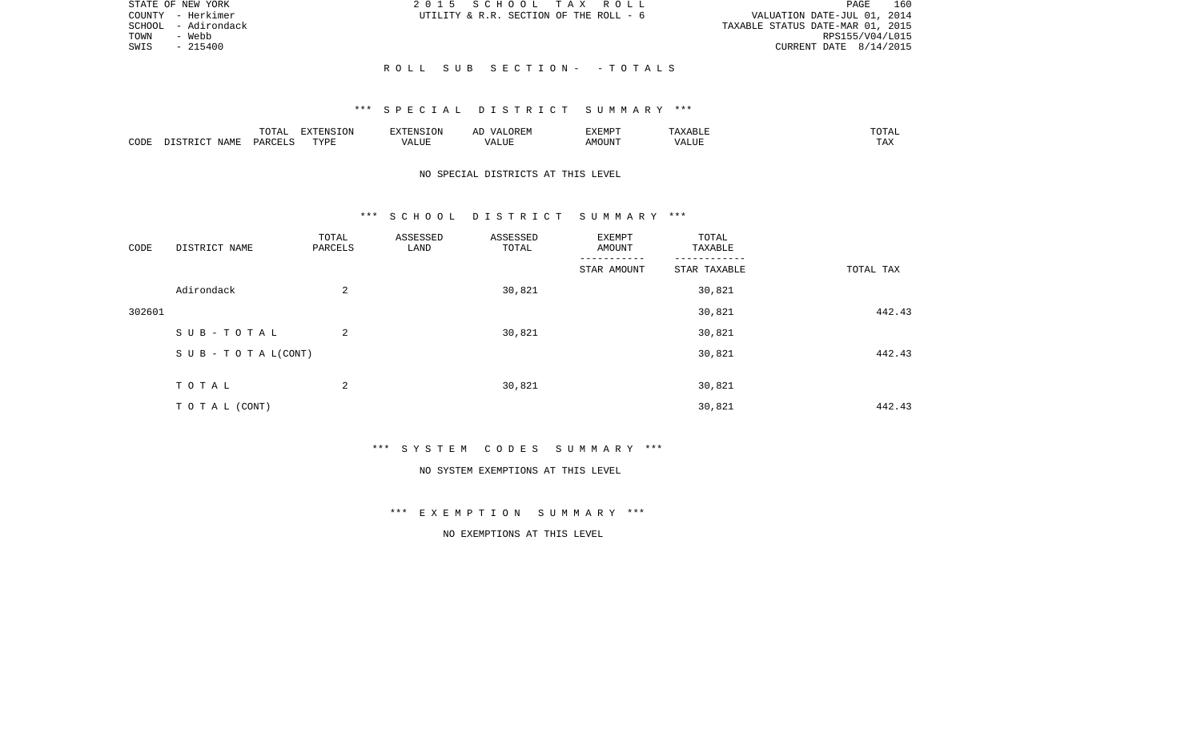|      | STATE OF NEW YORK   |                           | 2015 SCHOOL TAX ROLL                   |  |                                  | PAGE            | 160 |
|------|---------------------|---------------------------|----------------------------------------|--|----------------------------------|-----------------|-----|
|      | COUNTY - Herkimer   |                           | UTILITY & R.R. SECTION OF THE ROLL - 6 |  | VALUATION DATE-JUL 01, 2014      |                 |     |
|      | SCHOOL - Adirondack |                           |                                        |  | TAXABLE STATUS DATE-MAR 01, 2015 |                 |     |
| TOWN | - Webb              |                           |                                        |  |                                  | RPS155/V04/L015 |     |
| SWIS | - 215400            |                           |                                        |  | CURRENT DATE $8/14/2015$         |                 |     |
|      |                     |                           |                                        |  |                                  |                 |     |
|      |                     | ROLL SUB SECTION- -TOTALS |                                        |  |                                  |                 |     |

|      |        | <b>noma</b>                                  | <b>ION</b><br>n v |           | $\cdots$ | ,,, <del>,</del> ,,,,<br>⊣עדש∀י |                     | ۰д<br>---- |
|------|--------|----------------------------------------------|-------------------|-----------|----------|---------------------------------|---------------------|------------|
| CODE | NI∆N⊪. | $\ldots$ $\cap$ $\cap$ $\ldots$ $\cap$<br>◡◠ | <b>TIZT</b>       | $- - - -$ |          | MOUN'                           | $\lambda$<br>" שבב. | ⊥ 冖∡       |

## NO SPECIAL DISTRICTS AT THIS LEVEL

#### \*\*\* S C H O O L D I S T R I C T S U M M A R Y \*\*\*

| CODE   | DISTRICT NAME             | TOTAL<br>PARCELS | ASSESSED<br>LAND | ASSESSED<br>TOTAL | EXEMPT<br>AMOUNT | TOTAL<br>TAXABLE |           |
|--------|---------------------------|------------------|------------------|-------------------|------------------|------------------|-----------|
|        |                           |                  |                  |                   | STAR AMOUNT      | STAR TAXABLE     | TOTAL TAX |
|        | Adirondack                | 2                |                  | 30,821            |                  | 30,821           |           |
| 302601 |                           |                  |                  |                   |                  | 30,821           | 442.43    |
|        | SUB-TOTAL                 | 2                |                  | 30,821            |                  | 30,821           |           |
|        | S U B - T O T A $L(CONT)$ |                  |                  |                   |                  | 30,821           | 442.43    |
|        |                           |                  |                  |                   |                  |                  |           |
|        | TOTAL                     | 2                |                  | 30,821            |                  | 30,821           |           |
|        | TO TAL (CONT)             |                  |                  |                   |                  | 30,821           | 442.43    |

\*\*\* S Y S T E M C O D E S S U M M A R Y \*\*\*

#### NO SYSTEM EXEMPTIONS AT THIS LEVEL

\*\*\* E X E M P T I O N S U M M A R Y \*\*\*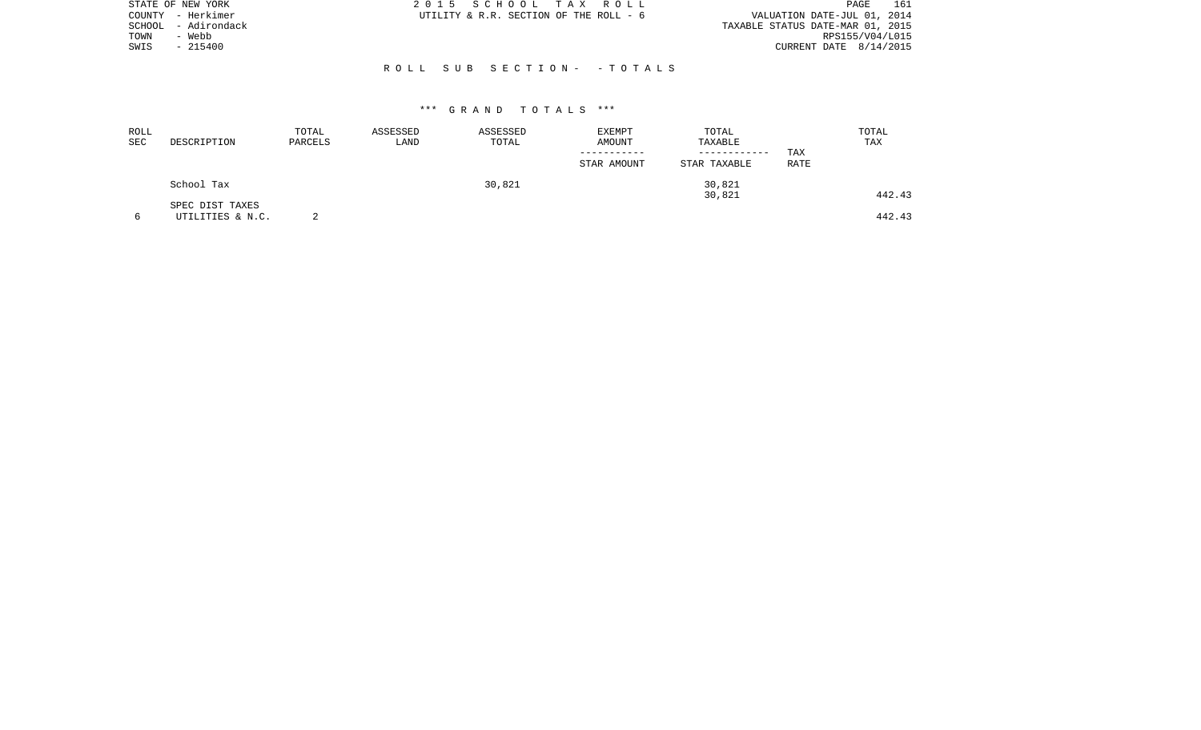| STATE OF NEW YORK |                   | 2015 SCHOOL TAX ROLL                   | 161<br>PAGE                      |
|-------------------|-------------------|----------------------------------------|----------------------------------|
|                   | COUNTY - Herkimer | UTILITY & R.R. SECTION OF THE ROLL - 6 | VALUATION DATE-JUL 01, 2014      |
| SCHOOL            | - Adirondack      |                                        | TAXABLE STATUS DATE-MAR 01, 2015 |
| TOWN              | - Webb            |                                        | RPS155/V04/L015                  |
| SWIS              | $-215400$         |                                        | CURRENT DATE $8/14/2015$         |
|                   |                   |                                        |                                  |
|                   |                   | ROLL SUB SECTION- -TOTALS              |                                  |

| ROLL<br>SEC | DESCRIPTION                         | TOTAL<br>PARCELS | ASSESSED<br>LAND | ASSESSED<br>TOTAL | EXEMPT<br>AMOUNT<br>STAR AMOUNT | TOTAL<br>TAXABLE<br>------------<br>STAR TAXABLE | TAX<br>RATE | TOTAL<br>TAX |
|-------------|-------------------------------------|------------------|------------------|-------------------|---------------------------------|--------------------------------------------------|-------------|--------------|
|             | School Tax                          |                  |                  | 30,821            |                                 | 30,821<br>30,821                                 |             | 442.43       |
|             | SPEC DIST TAXES<br>UTILITIES & N.C. |                  |                  |                   |                                 |                                                  |             | 442.43       |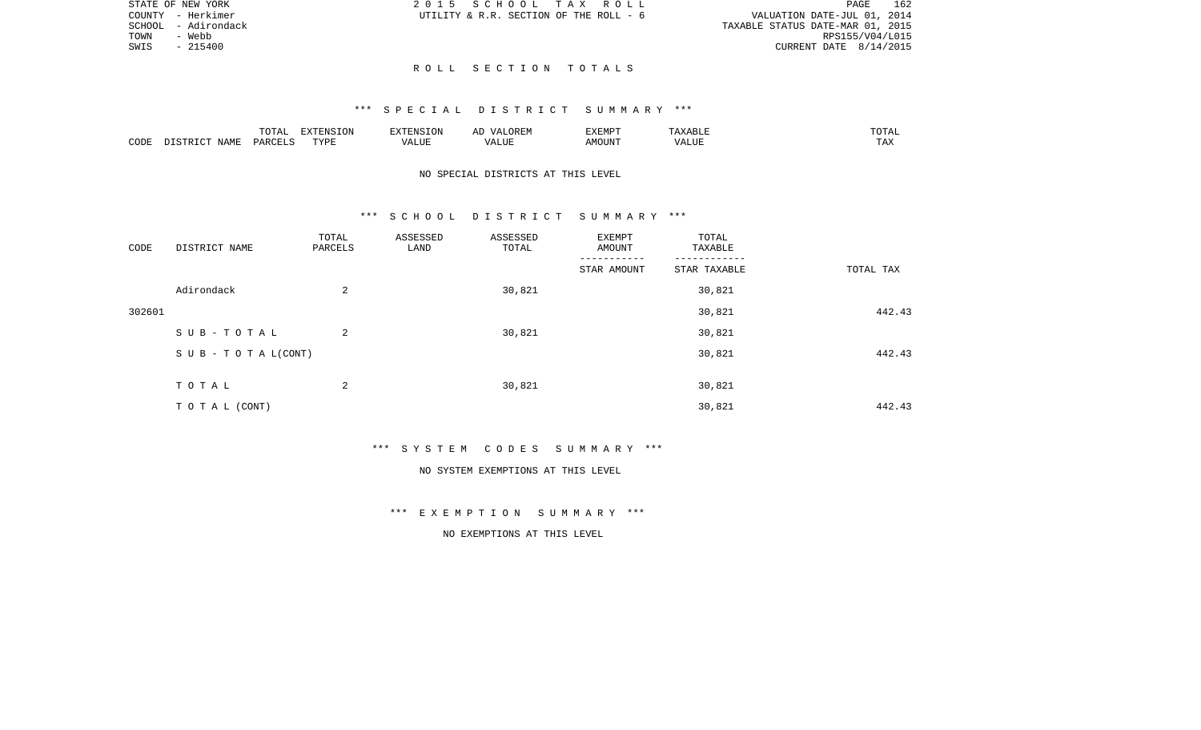| STATE OF NEW YORK      | 2015 SCHOOL TAX ROLL                   |  | 162<br>PAGE                      |
|------------------------|----------------------------------------|--|----------------------------------|
| COUNTY - Herkimer      | UTILITY & R.R. SECTION OF THE ROLL - 6 |  | VALUATION DATE-JUL 01, 2014      |
| - Adirondack<br>SCHOOL |                                        |  | TAXABLE STATUS DATE-MAR 01, 2015 |
| TOWN<br>- Webb         |                                        |  | RPS155/V04/L015                  |
| SWIS<br>$-215400$      |                                        |  | CURRENT DATE 8/14/2015           |
|                        |                                        |  |                                  |

### R O L L S E C T I O N T O T A L S

## \*\*\* S P E C I A L D I S T R I C T S U M M A R Y \*\*\*

|      |      | <b><u>noma</u></b><br>- 777 | - \ JIN          | a' Nisi   | 17 L<br><del></del> | <b>EXEMP1</b> |                             | ◡▴▱                   |
|------|------|-----------------------------|------------------|-----------|---------------------|---------------|-----------------------------|-----------------------|
| CODE | NAME | י א ב⊂                      | <b>TVD'</b><br>. | . L I U P |                     | 5.5077377     | <br>` /  Д .<br><b>ALUF</b> | <b>TRA</b><br>- - - - |

# NO SPECIAL DISTRICTS AT THIS LEVEL

#### \*\*\* S C H O O L D I S T R I C T S U M M A R Y \*\*\*

| CODE   | DISTRICT NAME                    | TOTAL<br>PARCELS | ASSESSED<br>LAND | ASSESSED<br>TOTAL | EXEMPT<br>AMOUNT | TOTAL<br>TAXABLE |           |
|--------|----------------------------------|------------------|------------------|-------------------|------------------|------------------|-----------|
|        |                                  |                  |                  |                   | STAR AMOUNT      | STAR TAXABLE     | TOTAL TAX |
|        | Adirondack                       | 2                |                  | 30,821            |                  | 30,821           |           |
| 302601 |                                  |                  |                  |                   |                  | 30,821           | 442.43    |
|        | SUB-TOTAL                        | 2                |                  | 30,821            |                  | 30,821           |           |
|        | $S \cup B - T \cup T A L (CONT)$ |                  |                  |                   |                  | 30,821           | 442.43    |
|        |                                  |                  |                  |                   |                  |                  |           |
|        | TOTAL                            | 2                |                  | 30,821            |                  | 30,821           |           |
|        | TO TAL (CONT)                    |                  |                  |                   |                  | 30,821           | 442.43    |

\*\*\* S Y S T E M C O D E S S U M M A R Y \*\*\*

#### NO SYSTEM EXEMPTIONS AT THIS LEVEL

\*\*\* E X E M P T I O N S U M M A R Y \*\*\*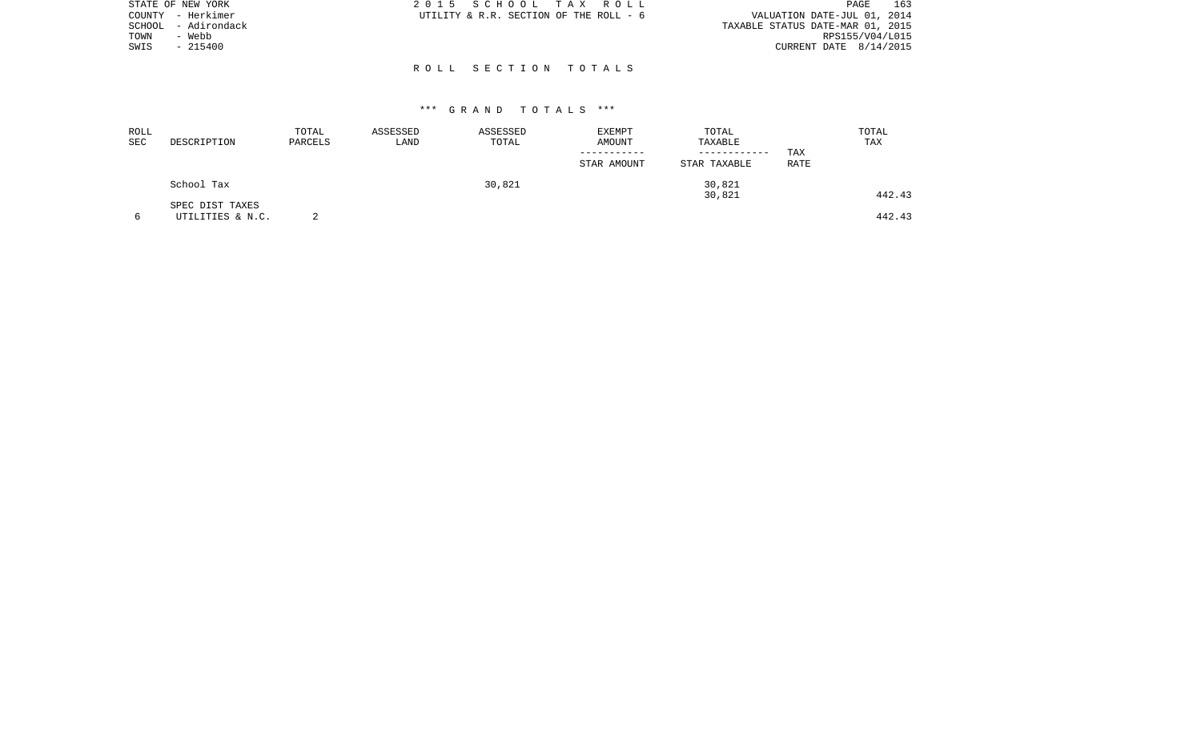| STATE OF NEW YORK      | 2015 SCHOOL TAX ROLL                   | 163<br>PAGE                      |
|------------------------|----------------------------------------|----------------------------------|
| COUNTY - Herkimer      | UTILITY & R.R. SECTION OF THE ROLL - 6 | VALUATION DATE-JUL 01, 2014      |
| - Adirondack<br>SCHOOL |                                        | TAXABLE STATUS DATE-MAR 01, 2015 |
| - Webb<br>TOWN         |                                        | RPS155/V04/L015                  |
| SWIS<br>$-215400$      |                                        | CURRENT DATE $8/14/2015$         |
|                        |                                        |                                  |
|                        | ROLL SECTION TOTALS                    |                                  |

| <b>ROLL</b><br>SEC | DESCRIPTION                         | TOTAL<br>PARCELS | ASSESSED<br>LAND | ASSESSED<br>TOTAL | <b>EXEMPT</b><br>AMOUNT<br>-----------<br>STAR AMOUNT | TOTAL<br>TAXABLE<br>------------<br>STAR TAXABLE | TOTAL<br>TAX<br>TAX<br>RATE |
|--------------------|-------------------------------------|------------------|------------------|-------------------|-------------------------------------------------------|--------------------------------------------------|-----------------------------|
|                    | School Tax                          |                  |                  | 30,821            |                                                       | 30,821<br>30,821                                 | 442.43                      |
| 6                  | SPEC DIST TAXES<br>UTILITIES & N.C. |                  |                  |                   |                                                       |                                                  | 442.43                      |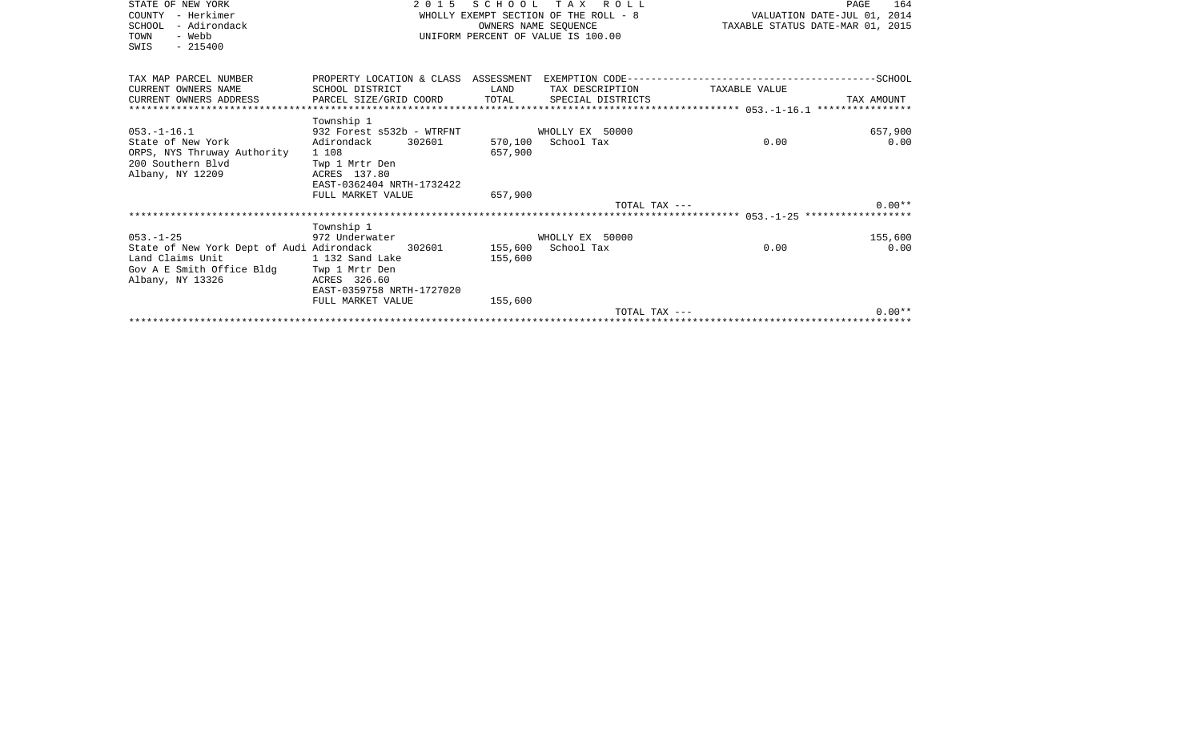| STATE OF NEW YORK<br>– Herkimer<br>COUNTY<br>SCHOOL<br>- Adirondack<br>TOWN<br>- Webb<br>$-215400$<br>SWIS | 2 0 1 5                                                       |         | SCHOOL TAX ROLL<br>OWNERS NAME SEOUENCE<br>UNIFORM PERCENT OF VALUE IS 100.00 | WHOLLY EXEMPT SECTION OF THE ROLL - 8 WALUATION DATE-JUL 01, 2014<br>TAXABLE STATUS DATE-MAR 01, 2015 | 164<br>PAGE |
|------------------------------------------------------------------------------------------------------------|---------------------------------------------------------------|---------|-------------------------------------------------------------------------------|-------------------------------------------------------------------------------------------------------|-------------|
| TAX MAP PARCEL NUMBER                                                                                      | PROPERTY LOCATION & CLASS ASSESSMENT                          |         |                                                                               |                                                                                                       |             |
| CURRENT OWNERS NAME                                                                                        | SCHOOL DISTRICT<br><b>EXAMPLE THE STATE OF STATE OF STATE</b> |         | TAX DESCRIPTION                                                               | TAXABLE VALUE                                                                                         |             |
| CURRENT OWNERS ADDRESS                                                                                     | PARCEL SIZE/GRID COORD                                        | TOTAL   | SPECIAL DISTRICTS                                                             |                                                                                                       | TAX AMOUNT  |
|                                                                                                            | Township 1                                                    |         |                                                                               |                                                                                                       |             |
| $053. - 1 - 16.1$                                                                                          | 932 Forest s532b - WTRFNT                                     |         | WHOLLY EX 50000                                                               |                                                                                                       | 657,900     |
| State of New York                                                                                          | 302601<br>Adirondack                                          |         | 570,100 School Tax                                                            | 0.00                                                                                                  | 0.00        |
| ORPS, NYS Thruway Authority                                                                                | 1 108                                                         | 657,900 |                                                                               |                                                                                                       |             |
| 200 Southern Blvd                                                                                          | Twp 1 Mrtr Den                                                |         |                                                                               |                                                                                                       |             |
| Albany, NY 12209                                                                                           | ACRES 137.80<br>EAST-0362404 NRTH-1732422                     |         |                                                                               |                                                                                                       |             |
|                                                                                                            | FULL MARKET VALUE                                             | 657,900 |                                                                               |                                                                                                       |             |
|                                                                                                            |                                                               |         | TOTAL TAX ---                                                                 |                                                                                                       | $0.00**$    |
|                                                                                                            |                                                               |         |                                                                               |                                                                                                       |             |
|                                                                                                            | Township 1                                                    |         |                                                                               |                                                                                                       |             |
| $053. -1 - 25$                                                                                             | 972 Underwater                                                |         | WHOLLY EX 50000                                                               |                                                                                                       | 155,600     |
| State of New York Dept of Audi Adirondack 302601 155,600 School Tax<br>Land Claims Unit                    | 1 132 Sand Lake                                               | 155,600 |                                                                               | 0.00                                                                                                  | 0.00        |
| Gov A E Smith Office Bldg                                                                                  | Twp 1 Mrtr Den                                                |         |                                                                               |                                                                                                       |             |
| Albany, NY 13326                                                                                           | ACRES 326.60                                                  |         |                                                                               |                                                                                                       |             |
|                                                                                                            | EAST-0359758 NRTH-1727020                                     |         |                                                                               |                                                                                                       |             |
|                                                                                                            | FULL MARKET VALUE                                             | 155,600 |                                                                               |                                                                                                       |             |
|                                                                                                            |                                                               |         | TOTAL TAX ---                                                                 |                                                                                                       | $0.00**$    |
|                                                                                                            |                                                               |         |                                                                               |                                                                                                       |             |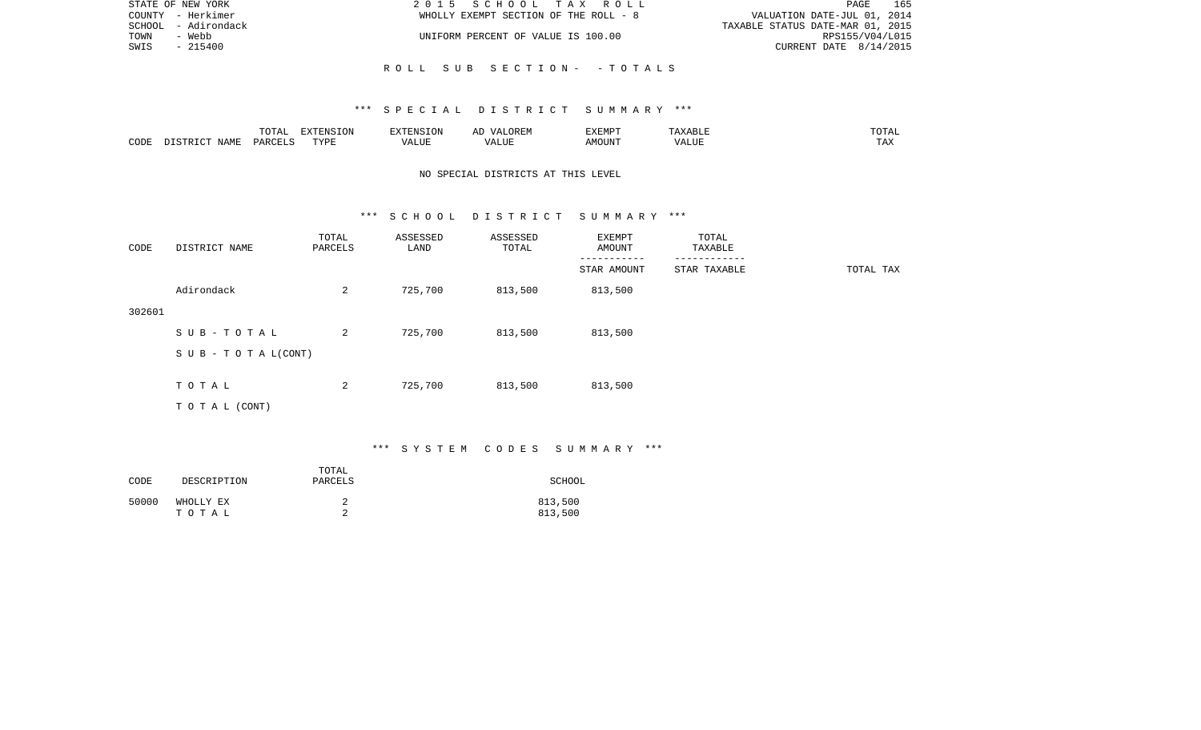| STATE OF NEW YORK   | 2015 SCHOOL TAX ROLL                  | 165<br>PAGE                      |
|---------------------|---------------------------------------|----------------------------------|
| COUNTY - Herkimer   | WHOLLY EXEMPT SECTION OF THE ROLL - 8 | VALUATION DATE-JUL 01, 2014      |
| SCHOOL - Adirondack |                                       | TAXABLE STATUS DATE-MAR 01, 2015 |
| TOWN<br>- Webb      | UNIFORM PERCENT OF VALUE IS 100.00    | RPS155/V04/L015                  |
| SWIS<br>- 215400    |                                       | CURRENT DATE $8/14/2015$         |
|                     |                                       |                                  |
|                     | ROLL SUB SECTION- -TOTALS             |                                  |

|      |       | <b>momm</b><br>◡∸⊷                | EXTENSION   | $7 - 21$       | $\cdots$ | 57735705<br>. .<br>7 YEN A |                              | ۰д<br>- - - - -        |
|------|-------|-----------------------------------|-------------|----------------|----------|----------------------------|------------------------------|------------------------|
| CODE | NAME. | $\alpha$ DORT $\tau$<br><b>DA</b> | <b>TITE</b> | T T T<br>/ALUE |          | MOUN.                      | $-77$<br>$\lambda$<br>٬ اسد. | $m \times n$<br>⊥ டு∡: |

## NO SPECIAL DISTRICTS AT THIS LEVEL

#### \*\*\* S C H O O L D I S T R I C T S U M M A R Y \*\*\*

| CODE   | DISTRICT NAME             | TOTAL<br>PARCELS | ASSESSED<br>LAND | ASSESSED<br>TOTAL | EXEMPT<br>AMOUNT | TOTAL<br>TAXABLE |           |
|--------|---------------------------|------------------|------------------|-------------------|------------------|------------------|-----------|
|        |                           |                  |                  |                   | STAR AMOUNT      | STAR TAXABLE     | TOTAL TAX |
|        | Adirondack                | 2                | 725,700          | 813,500           | 813,500          |                  |           |
| 302601 |                           |                  |                  |                   |                  |                  |           |
|        | SUB-TOTAL                 | 2                | 725,700          | 813,500           | 813,500          |                  |           |
|        | S U B - T O T A $L(CONT)$ |                  |                  |                   |                  |                  |           |
|        |                           |                  |                  |                   |                  |                  |           |
|        | TOTAL                     | 2                | 725,700          | 813,500           | 813,500          |                  |           |
|        | TOTAL (CONT)              |                  |                  |                   |                  |                  |           |

# \*\*\* S Y S T E M C O D E S S U M M A R Y \*\*\*

| CODE  | DESCRIPTION        | TOTAL<br>PARCELS | SCHOOL             |
|-------|--------------------|------------------|--------------------|
| 50000 | WHOLLY EX<br>тотаь |                  | 813,500<br>813,500 |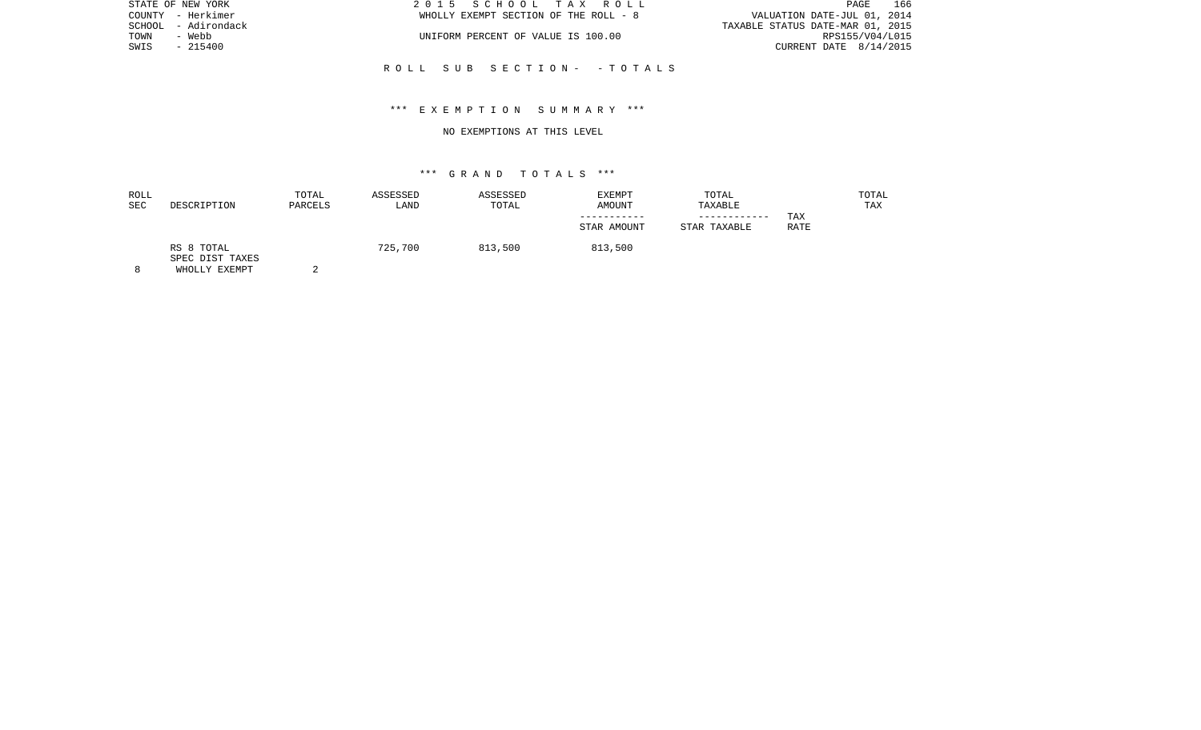| 2015 SCHOOL TAX ROLL                  | PAGE.                            | 166 |
|---------------------------------------|----------------------------------|-----|
| WHOLLY EXEMPT SECTION OF THE ROLL - 8 | VALUATION DATE-JUL 01, 2014      |     |
|                                       | TAXABLE STATUS DATE-MAR 01, 2015 |     |
| UNIFORM PERCENT OF VALUE IS 100.00    | RPS155/V04/L015                  |     |
|                                       | CURRENT DATE $8/14/2015$         |     |
|                                       |                                  |     |

R O L L S U B S E C T I O N - - T O T A L S

## \*\*\* E X E M P T I O N S U M M A R Y \*\*\*

#### NO EXEMPTIONS AT THIS LEVEL

# \*\*\* G R A N D T O T A L S \*\*\*

| ROLL<br>SEC | DESCRIPTION                   | TOTAL<br>PARCELS | ASSESSED<br>LAND | ASSESSED<br>TOTAL | EXEMPT<br>AMOUNT | TOTAL<br>TAXABLE |             | TOTAL<br>TAX |
|-------------|-------------------------------|------------------|------------------|-------------------|------------------|------------------|-------------|--------------|
|             |                               |                  |                  |                   |                  |                  | TAX         |              |
|             |                               |                  |                  |                   | STAR AMOUNT      | STAR TAXABLE     | <b>RATE</b> |              |
|             | RS 8 TOTAL<br>SPEC DIST TAXES |                  | 725,700          | 813,500           | 813,500          |                  |             |              |

8 WHOLLY EXEMPT 2

STATE OF NEW YORK

COUNTY - Herkimer SCHOOL - Adirondack TOWN - Webb  $SWIS$  - 215400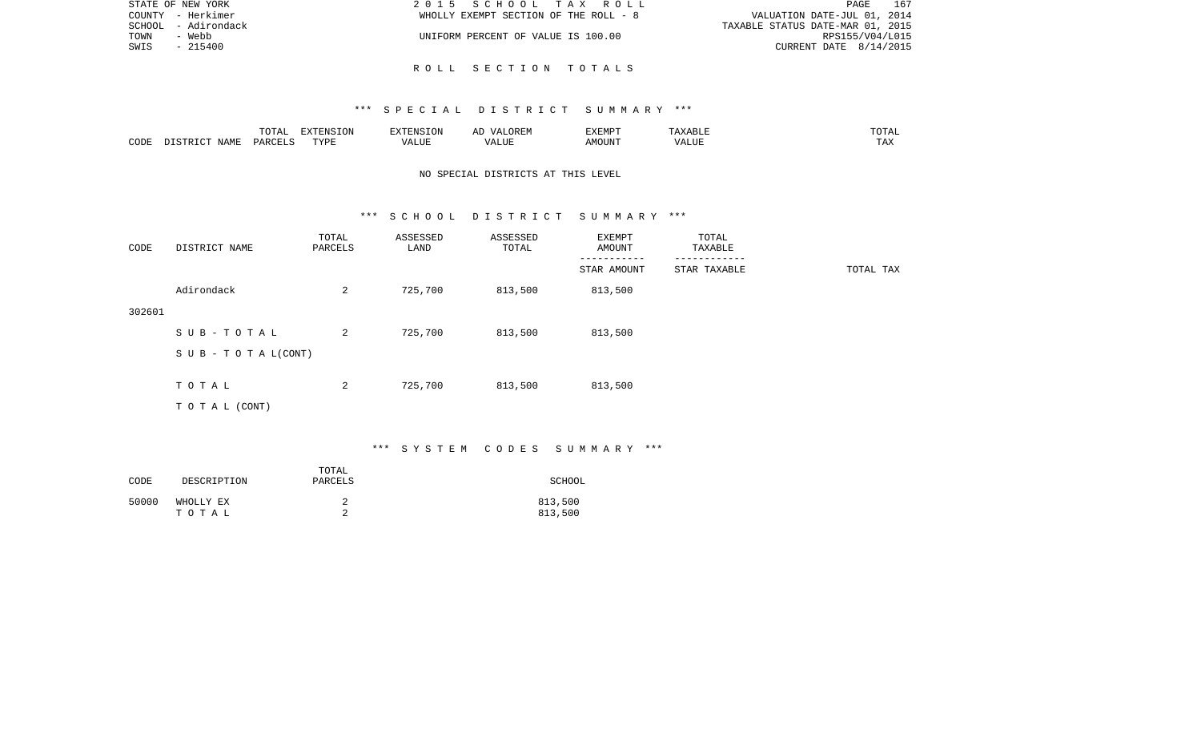| STATE OF NEW YORK   | 2015 SCHOOL TAX ROLL                  | 167<br>PAGE                      |
|---------------------|---------------------------------------|----------------------------------|
| COUNTY - Herkimer   | WHOLLY EXEMPT SECTION OF THE ROLL - 8 | VALUATION DATE-JUL 01, 2014      |
| SCHOOL - Adirondack |                                       | TAXABLE STATUS DATE-MAR 01, 2015 |
| TOWN<br>- Webb      | UNIFORM PERCENT OF VALUE IS 100.00    | RPS155/V04/L015                  |
| SWIS<br>- 215400    |                                       | CURRENT DATE $8/14/2015$         |
|                     |                                       |                                  |

R O L L S E C T I O N T O T A L S

|      |                    | TOTAL                        | EXTENSION | $\frac{1}{2}$<br>.         | <b>ΛΙΔ</b><br>▵ | EXEMPT |                | $m \wedge m \wedge r$<br>1 H A<br>. שנת |
|------|--------------------|------------------------------|-----------|----------------------------|-----------------|--------|----------------|-----------------------------------------|
| CODE | JAME<br>$T \cap T$ | $D$ $T$ $T$ .C<br><b>DAR</b> | TYPE      | <u>ид</u> .<br>۳۰ تا باشد. |                 | AMOUN' | - ---<br>'ALUL | $- - -$<br>LA                           |

# NO SPECIAL DISTRICTS AT THIS LEVEL

#### \*\*\* S C H O O L D I S T R I C T S U M M A R Y \*\*\*

| CODE   | DISTRICT NAME             | TOTAL<br>PARCELS | ASSESSED<br>LAND | ASSESSED<br>TOTAL | EXEMPT<br>AMOUNT | TOTAL<br>TAXABLE<br>-------- |           |
|--------|---------------------------|------------------|------------------|-------------------|------------------|------------------------------|-----------|
|        |                           |                  |                  |                   | STAR AMOUNT      | STAR TAXABLE                 | TOTAL TAX |
|        | Adirondack                | 2                | 725,700          | 813,500           | 813,500          |                              |           |
| 302601 |                           |                  |                  |                   |                  |                              |           |
|        | SUB-TOTAL                 | 2                | 725,700          | 813,500           | 813,500          |                              |           |
|        | S U B - T O T A $L(CONT)$ |                  |                  |                   |                  |                              |           |
|        |                           |                  |                  |                   |                  |                              |           |
|        | TOTAL                     | 2                | 725,700          | 813,500           | 813,500          |                              |           |
|        | T O T A L (CONT)          |                  |                  |                   |                  |                              |           |

# \*\*\* S Y S T E M C O D E S S U M M A R Y \*\*\*

| CODE  | DESCRIPTION        | TOTAL<br>PARCELS | SCHOOL             |
|-------|--------------------|------------------|--------------------|
| 50000 | WHOLLY EX<br>тотаь |                  | 813,500<br>813,500 |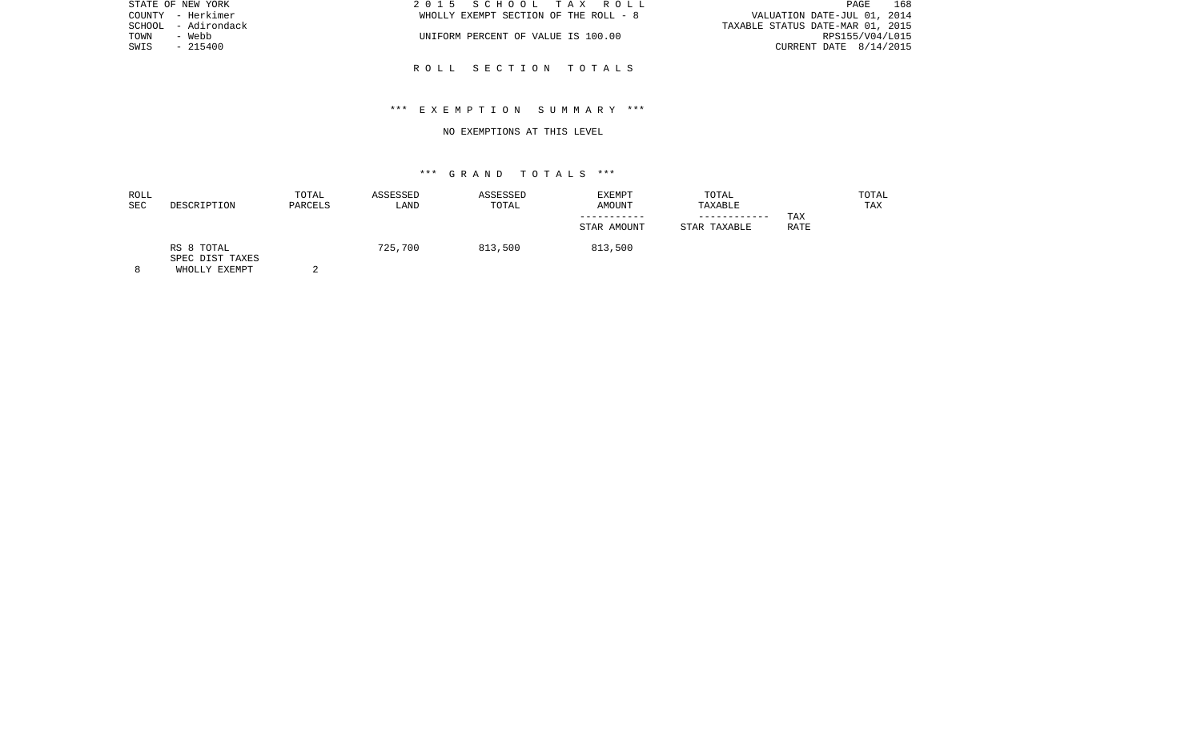|        | STATE OF NEW YORK | 2015 SCHOOL TAX ROLL                  | PAGE                             | 168 |
|--------|-------------------|---------------------------------------|----------------------------------|-----|
|        | COUNTY - Herkimer | WHOLLY EXEMPT SECTION OF THE ROLL - 8 | VALUATION DATE-JUL 01, 2014      |     |
| SCHOOL | - Adirondack      |                                       | TAXABLE STATUS DATE-MAR 01, 2015 |     |
| TOWN   | - Webb            | UNIFORM PERCENT OF VALUE IS 100.00    | RPS155/V04/L015                  |     |
| SWIS   | $-215400$         |                                       | CURRENT DATE $8/14/2015$         |     |
|        |                   |                                       |                                  |     |
|        |                   | ROLL SECTION TOTALS                   |                                  |     |

## \*\*\* E X E M P T I O N S U M M A R Y \*\*\*

#### NO EXEMPTIONS AT THIS LEVEL

## \*\*\* G R A N D T O T A L S \*\*\*

| ROLL<br><b>SEC</b> | DESCRIPTION                   | TOTAL<br>PARCELS | ASSESSED<br>LAND | ASSESSED<br>TOTAL | EXEMPT<br>AMOUNT<br>STAR AMOUNT | TOTAL<br>TAXABLE<br>------------<br>STAR TAXABLE | TAX<br><b>RATE</b> | TOTAL<br>TAX |
|--------------------|-------------------------------|------------------|------------------|-------------------|---------------------------------|--------------------------------------------------|--------------------|--------------|
|                    | RS 8 TOTAL<br>SPEC DIST TAXES |                  | 725,700          | 813,500           | 813,500                         |                                                  |                    |              |

8 WHOLLY EXEMPT 2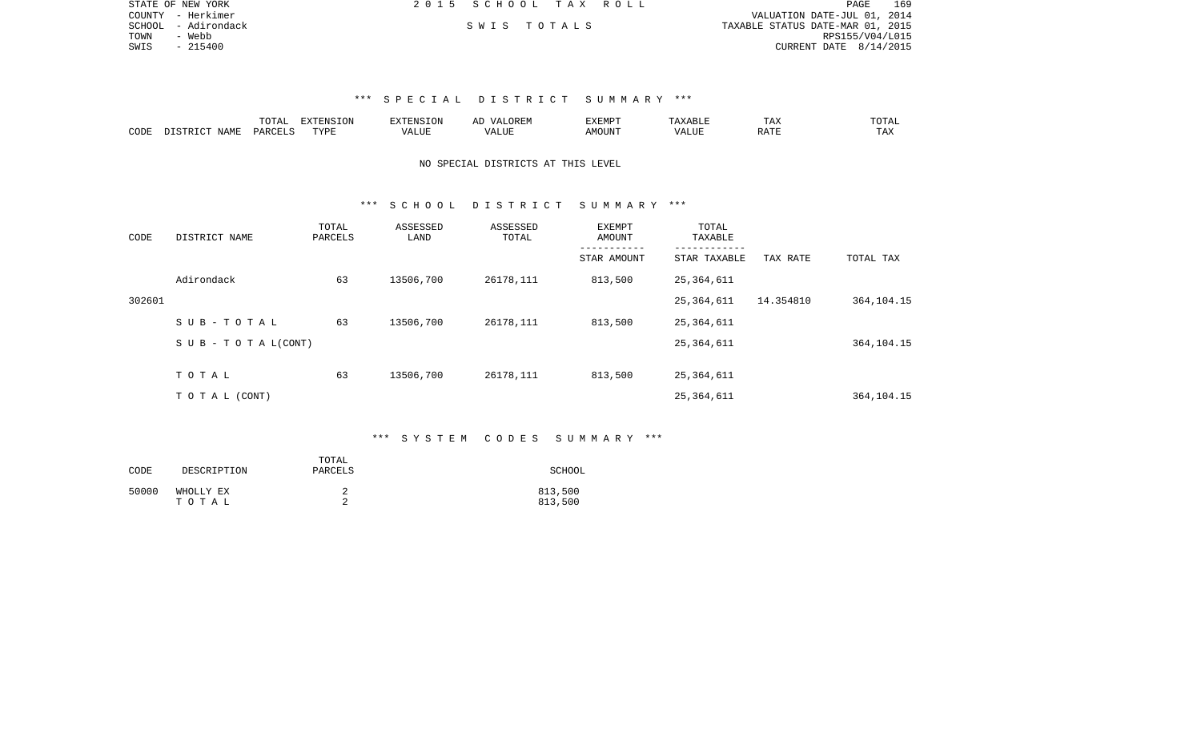|      | STATE OF NEW YORK   | 2015 SCHOOL TAX ROLL |  |                                  |                        | PAGE | 169 |
|------|---------------------|----------------------|--|----------------------------------|------------------------|------|-----|
|      | COUNTY - Herkimer   |                      |  | VALUATION DATE-JUL 01, 2014      |                        |      |     |
|      | SCHOOL - Adirondack | SWIS TOTALS          |  | TAXABLE STATUS DATE-MAR 01, 2015 |                        |      |     |
| TOWN | - Webb              |                      |  |                                  | RPS155/V04/L015        |      |     |
| SWIS | - 215400            |                      |  |                                  | CURRENT DATE 8/14/2015 |      |     |
|      |                     |                      |  |                                  |                        |      |     |

|      |         | ⊓∩m⊼ | <b>The State of State State</b> | - NIC 1 | 137 <del>.</del> 138. 139 | ∸⊷⊷ | $H \cap H$ |
|------|---------|------|---------------------------------|---------|---------------------------|-----|------------|
| CODE | $W$ AMP | UAR. | $mx \tau$                       | - ---   |                           |     | - ∠∡∡      |

## NO SPECIAL DISTRICTS AT THIS LEVEL

## \*\*\* S C H O O L D I S T R I C T S U M M A R Y \*\*\*

| CODE   | DISTRICT NAME                    | TOTAL<br>PARCELS | ASSESSED<br>LAND | ASSESSED<br>TOTAL | EXEMPT<br>AMOUNT | TOTAL<br>TAXABLE |           |              |
|--------|----------------------------------|------------------|------------------|-------------------|------------------|------------------|-----------|--------------|
|        |                                  |                  |                  |                   | STAR AMOUNT      | STAR TAXABLE     | TAX RATE  | TOTAL TAX    |
|        | Adirondack                       | 63               | 13506,700        | 26178,111         | 813,500          | 25,364,611       |           |              |
| 302601 |                                  |                  |                  |                   |                  | 25,364,611       | 14.354810 | 364, 104. 15 |
|        | SUB-TOTAL                        | 63               | 13506,700        | 26178,111         | 813,500          | 25,364,611       |           |              |
|        | $S \cup B - T \cup T A L (CONT)$ |                  |                  |                   |                  | 25,364,611       |           | 364, 104. 15 |
|        | TOTAL                            | 63               | 13506,700        | 26178,111         | 813,500          | 25,364,611       |           |              |
|        |                                  |                  |                  |                   |                  |                  |           |              |
|        | TOTAL (CONT)                     |                  |                  |                   |                  | 25,364,611       |           | 364, 104. 15 |

## \*\*\* S Y S T E M C O D E S S U M M A R Y \*\*\*

| CODE  | DESCRIPTION        | TOTAL<br>PARCELS | SCHOOL             |
|-------|--------------------|------------------|--------------------|
| 50000 | WHOLLY EX<br>тотаь |                  | 813,500<br>813,500 |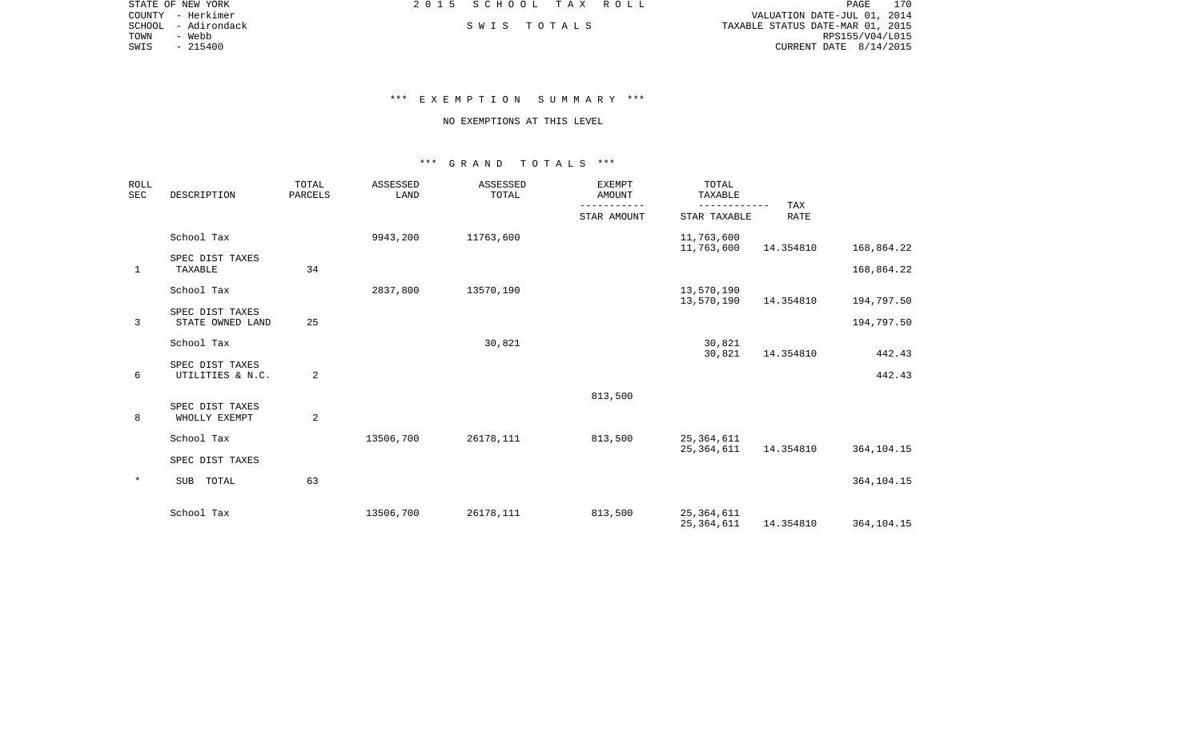|      | STATE OF NEW YORK   | 2015 SCHOOL TAX ROLL |             |                                  | PAGE            | 170 |
|------|---------------------|----------------------|-------------|----------------------------------|-----------------|-----|
|      | COUNTY - Herkimer   |                      |             | VALUATION DATE-JUL 01, 2014      |                 |     |
|      | SCHOOL - Adirondack |                      | SWIS TOTALS | TAXABLE STATUS DATE-MAR 01, 2015 |                 |     |
| TOWN | - Webb              |                      |             |                                  | RPS155/V04/L015 |     |
| SWIS | $-215400$           |                      |             | CURRENT DATE $8/14/2015$         |                 |     |

# \*\*\* E X E M P T I O N S U M M A R Y \*\*\*

#### NO EXEMPTIONS AT THIS LEVEL

| <b>ROLL</b><br><b>SEC</b> | DESCRIPTION                         | TOTAL<br>PARCELS | <b>ASSESSED</b><br>LAND | ASSESSED<br>TOTAL | <b>EXEMPT</b><br><b>AMOUNT</b> | TOTAL<br>TAXABLE<br>---------- | TAX         |              |
|---------------------------|-------------------------------------|------------------|-------------------------|-------------------|--------------------------------|--------------------------------|-------------|--------------|
|                           |                                     |                  |                         |                   | STAR AMOUNT                    | STAR TAXABLE                   | <b>RATE</b> |              |
|                           | School Tax                          |                  | 9943,200                | 11763,600         |                                | 11,763,600<br>11,763,600       | 14.354810   | 168,864.22   |
| $\mathbf{1}$              | SPEC DIST TAXES<br>TAXABLE          | 34               |                         |                   |                                |                                |             | 168,864.22   |
|                           | School Tax                          |                  | 2837,800                | 13570,190         |                                | 13,570,190<br>13,570,190       | 14.354810   | 194,797.50   |
| 3                         | SPEC DIST TAXES<br>STATE OWNED LAND | 25               |                         |                   |                                |                                |             | 194,797.50   |
|                           | School Tax                          |                  |                         | 30,821            |                                | 30,821<br>30,821               | 14.354810   | 442.43       |
| 6                         | SPEC DIST TAXES<br>UTILITIES & N.C. | 2                |                         |                   |                                |                                |             | 442.43       |
|                           |                                     |                  |                         |                   | 813,500                        |                                |             |              |
| 8                         | SPEC DIST TAXES<br>WHOLLY EXEMPT    | 2                |                         |                   |                                |                                |             |              |
|                           | School Tax                          |                  | 13506,700               | 26178,111         | 813,500                        | 25, 364, 611                   |             |              |
|                           | SPEC DIST TAXES                     |                  |                         |                   |                                | 25,364,611                     | 14.354810   | 364, 104. 15 |
| $\ast$                    | TOTAL<br>SUB                        | 63               |                         |                   |                                |                                |             | 364, 104. 15 |
|                           | School Tax                          |                  | 13506,700               | 26178,111         | 813,500                        | 25, 364, 611<br>25, 364, 611   | 14.354810   | 364, 104. 15 |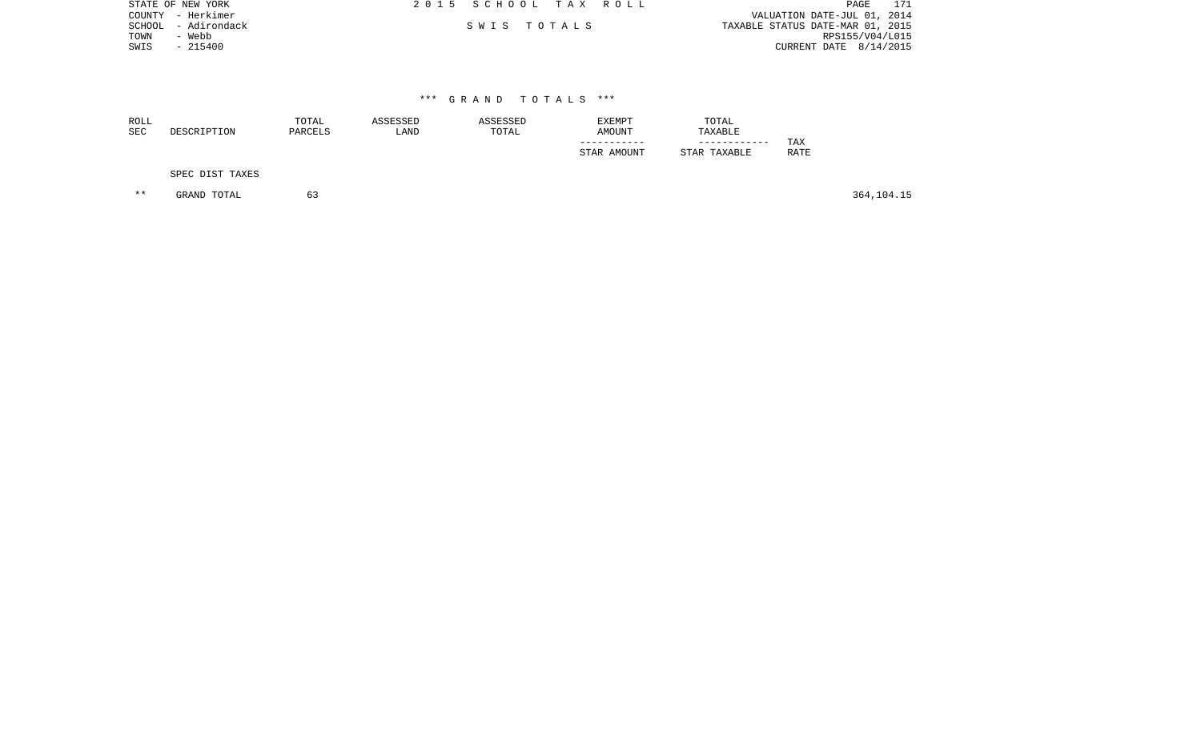|      | STATE OF NEW YORK   | 2015 SCHOOL TAX ROLL |  | PAGE                             |
|------|---------------------|----------------------|--|----------------------------------|
|      | COUNTY - Herkimer   |                      |  | VALUATION DATE-JUL 01, 2014      |
|      | SCHOOL - Adirondack | SWIS TOTALS          |  | TAXABLE STATUS DATE-MAR 01, 2015 |
| TOWN | - Webb              |                      |  | RPS155/V04/L015                  |
| SWIS | $-215400$           |                      |  | CURRENT DATE $8/14/2015$         |
|      |                     |                      |  |                                  |

| <b>ROLL</b><br><b>SEC</b> | DESCRIPTION     | ASSESSED<br>ASSESSED<br>TOTAL<br>PARCELS<br>TOTAL<br>LAND |  | EXEMPT<br><b>AMOUNT</b> | TOTAL<br>TAXABLE<br>------------ | TAX  |  |
|---------------------------|-----------------|-----------------------------------------------------------|--|-------------------------|----------------------------------|------|--|
|                           | SPEC DIST TAXES |                                                           |  | STAR AMOUNT             | STAR TAXABLE                     | RATE |  |

\*\* GRAND TOTAL 63 364,104.15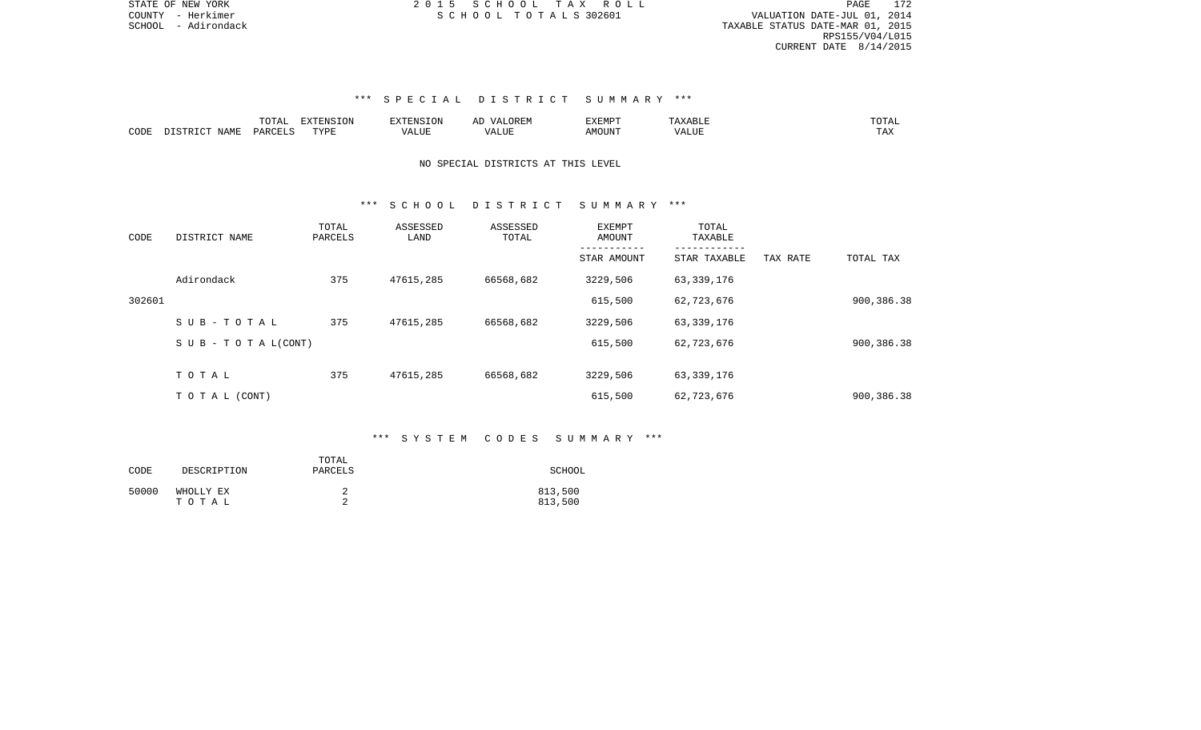PAGE 172 SCHOOL - Adirondack TAXABLE STATUS DATE-MAR 01, 2015 RPS155/V04/L015 CURRENT DATE 8/14/2015

# \*\*\* S P E C I A L D I S T R I C T S U M M A R Y \*\*\*

|      |                                      | mom <sub>n</sub><br>LVIAL | <b>EXTENSION</b> | $\n  75$ | ▵ | <b>EXEMPT</b> |                               | ----                   |
|------|--------------------------------------|---------------------------|------------------|----------|---|---------------|-------------------------------|------------------------|
| CODE | NAME.<br>$T$ QTR $\in$<br>$T \cap T$ | PARCF <sup>T</sup>        | TVDE             |          |   | AMOUNT        | <b>TRITITIO</b><br>. <i>.</i> | m <sub>n</sub><br>LT22 |

# NO SPECIAL DISTRICTS AT THIS LEVEL

## \*\*\* S C H O O L D I S T R I C T S U M M A R Y \*\*\*

| CODE   | DISTRICT NAME                    | TOTAL<br>PARCELS | ASSESSED<br>LAND | ASSESSED<br>TOTAL | EXEMPT<br>AMOUNT | TOTAL<br>TAXABLE<br>------------ |          |            |
|--------|----------------------------------|------------------|------------------|-------------------|------------------|----------------------------------|----------|------------|
|        |                                  |                  |                  |                   | STAR AMOUNT      | STAR TAXABLE                     | TAX RATE | TOTAL TAX  |
|        | Adirondack                       | 375              | 47615,285        | 66568,682         | 3229,506         | 63,339,176                       |          |            |
| 302601 |                                  |                  |                  |                   | 615,500          | 62,723,676                       |          | 900,386.38 |
|        | SUB-TOTAL                        | 375              | 47615,285        | 66568,682         | 3229,506         | 63,339,176                       |          |            |
|        | $S \cup B - T \cup T A L (CONT)$ |                  |                  |                   | 615,500          | 62,723,676                       |          | 900,386.38 |
|        |                                  |                  |                  |                   |                  |                                  |          |            |
|        | TOTAL                            | 375              | 47615,285        | 66568,682         | 3229,506         | 63,339,176                       |          |            |
|        | T O T A L (CONT)                 |                  |                  |                   | 615,500          | 62,723,676                       |          | 900,386.38 |

## \*\*\* S Y S T E M C O D E S S U M M A R Y \*\*\*

| CODE  | DESCRIPTION        | TOTAL<br>PARCELS | SCHOOL             |
|-------|--------------------|------------------|--------------------|
| 50000 | WHOLLY EX<br>тотаь |                  | 813,500<br>813,500 |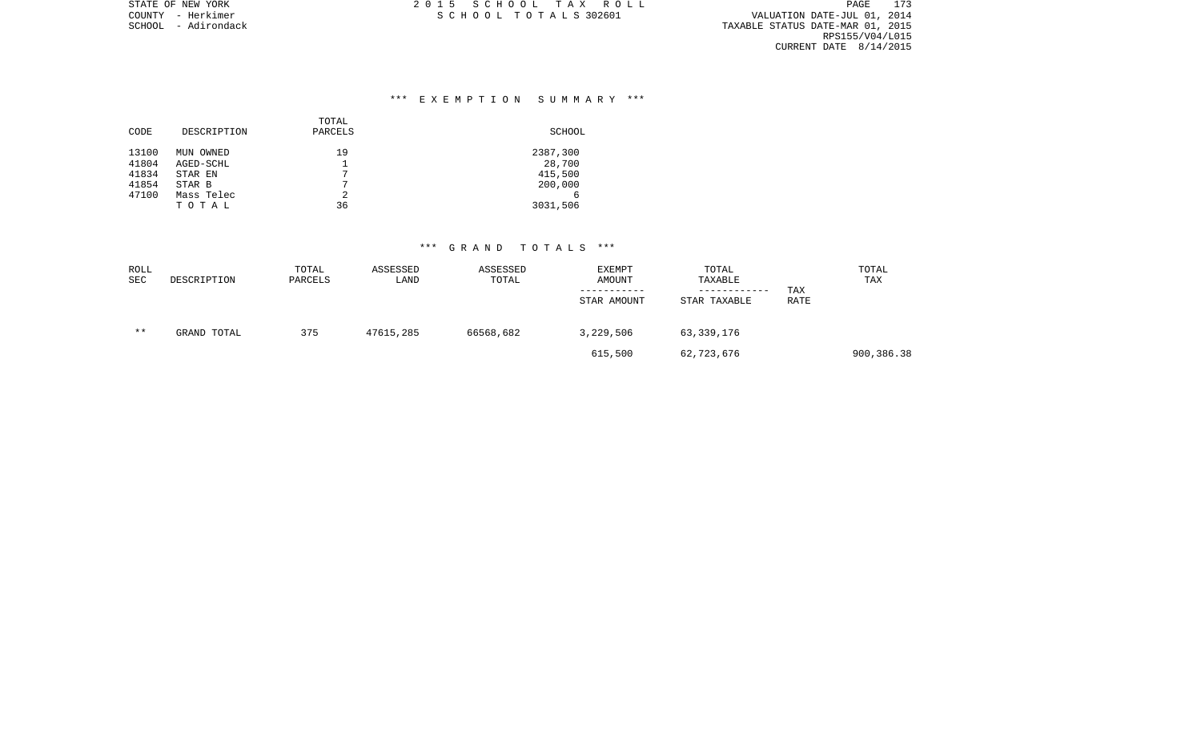SCHOOL - Adirondack TAXABLE STATUS DATE-MAR 01, 2015 RPS155/V04/L015 CURRENT DATE 8/14/2015

# \*\*\* E X E M P T I O N S U M M A R Y \*\*\*

| CODE                    | DESCRIPTION                       | TOTAL<br>PARCELS | SCHOOL                        |
|-------------------------|-----------------------------------|------------------|-------------------------------|
| 13100<br>41804<br>41834 | MUN OWNED<br>AGED-SCHL<br>STAR EN | 19<br>7          | 2387,300<br>28,700<br>415,500 |
| 41854<br>47100          | STAR B<br>Mass Telec<br>TOTAL     | 7<br>2<br>36     | 200,000<br>6<br>3031,506      |

| ROLL<br>SEC | DESCRIPTION | TOTAL<br>PARCELS | ASSESSED<br>LAND | ASSESSED<br>TOTAL | EXEMPT<br>AMOUNT<br>STAR AMOUNT | TOTAL<br>TAXABLE<br>------------<br>STAR TAXABLE | TAX<br>RATE | TOTAL<br>TAX |
|-------------|-------------|------------------|------------------|-------------------|---------------------------------|--------------------------------------------------|-------------|--------------|
| $* *$       | GRAND TOTAL | 375              | 47615,285        | 66568,682         | 3,229,506                       | 63,339,176                                       |             |              |
|             |             |                  |                  |                   | 615,500                         | 62,723,676                                       |             | 900,386.38   |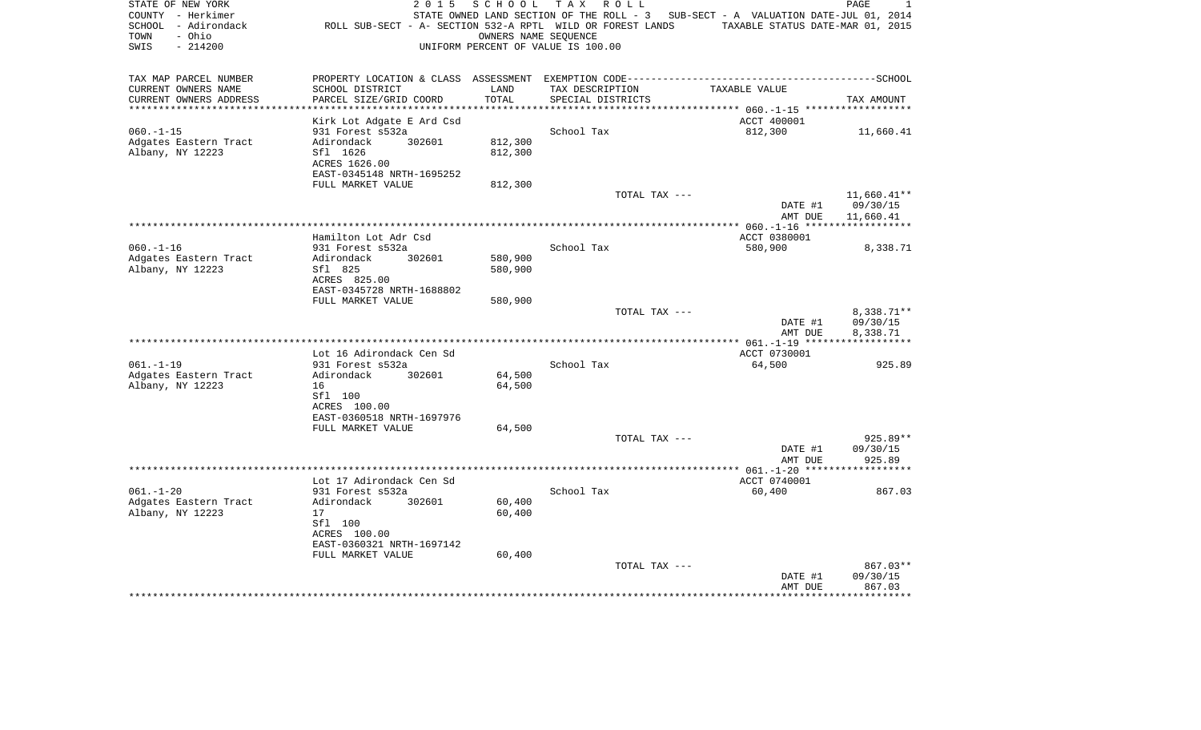| STATE OF NEW YORK<br>COUNTY - Herkimer<br>SCHOOL - Adirondack<br>- Ohio<br>TOWN<br>SWIS<br>$-214200$ | 2 0 1 5<br>ROLL SUB-SECT - A- SECTION 532-A RPTL WILD OR FOREST LANDS | SCHOOL  | T A X<br>R O L L<br>OWNERS NAME SEQUENCE<br>UNIFORM PERCENT OF VALUE IS 100.00 | STATE OWNED LAND SECTION OF THE ROLL - 3 SUB-SECT - A VALUATION DATE-JUL 01, 2014<br>TAXABLE STATUS DATE-MAR 01, 2015 | PAGE<br>1           |
|------------------------------------------------------------------------------------------------------|-----------------------------------------------------------------------|---------|--------------------------------------------------------------------------------|-----------------------------------------------------------------------------------------------------------------------|---------------------|
| TAX MAP PARCEL NUMBER<br>CURRENT OWNERS NAME                                                         | SCHOOL DISTRICT                                                       | LAND    | TAX DESCRIPTION                                                                | TAXABLE VALUE                                                                                                         |                     |
| CURRENT OWNERS ADDRESS                                                                               | PARCEL SIZE/GRID COORD                                                | TOTAL   | SPECIAL DISTRICTS                                                              |                                                                                                                       | TAX AMOUNT          |
|                                                                                                      |                                                                       |         |                                                                                |                                                                                                                       |                     |
| $060. -1 -15$                                                                                        | Kirk Lot Adgate E Ard Csd<br>931 Forest s532a                         |         | School Tax                                                                     | ACCT 400001<br>812,300                                                                                                | 11,660.41           |
| Adgates Eastern Tract                                                                                | 302601<br>Adirondack                                                  | 812,300 |                                                                                |                                                                                                                       |                     |
| Albany, NY 12223                                                                                     | Sfl 1626                                                              | 812,300 |                                                                                |                                                                                                                       |                     |
|                                                                                                      | ACRES 1626.00                                                         |         |                                                                                |                                                                                                                       |                     |
|                                                                                                      | EAST-0345148 NRTH-1695252                                             |         |                                                                                |                                                                                                                       |                     |
|                                                                                                      | FULL MARKET VALUE                                                     | 812,300 |                                                                                | TOTAL TAX ---                                                                                                         | $11,660.41**$       |
|                                                                                                      |                                                                       |         |                                                                                | DATE #1                                                                                                               | 09/30/15            |
|                                                                                                      |                                                                       |         |                                                                                | AMT DUE                                                                                                               | 11,660.41           |
|                                                                                                      |                                                                       |         |                                                                                |                                                                                                                       |                     |
| $060. -1 - 16$                                                                                       | Hamilton Lot Adr Csd<br>931 Forest s532a                              |         | School Tax                                                                     | ACCT 0380001<br>580,900                                                                                               | 8,338.71            |
| Adgates Eastern Tract                                                                                | 302601<br>Adirondack                                                  | 580,900 |                                                                                |                                                                                                                       |                     |
| Albany, NY 12223                                                                                     | Sfl 825                                                               | 580,900 |                                                                                |                                                                                                                       |                     |
|                                                                                                      | ACRES 825.00                                                          |         |                                                                                |                                                                                                                       |                     |
|                                                                                                      | EAST-0345728 NRTH-1688802                                             |         |                                                                                |                                                                                                                       |                     |
|                                                                                                      | FULL MARKET VALUE                                                     | 580,900 |                                                                                | TOTAL TAX ---                                                                                                         | 8,338.71**          |
|                                                                                                      |                                                                       |         |                                                                                | DATE #1                                                                                                               | 09/30/15            |
|                                                                                                      |                                                                       |         |                                                                                | AMT DUE                                                                                                               | 8,338.71            |
|                                                                                                      |                                                                       |         |                                                                                | ************** 061.-1-19 *******                                                                                      | ***********         |
| $061. -1 -19$                                                                                        | Lot 16 Adirondack Cen Sd<br>931 Forest s532a                          |         | School Tax                                                                     | ACCT 0730001<br>64,500                                                                                                | 925.89              |
| Adgates Eastern Tract                                                                                | Adirondack<br>302601                                                  | 64,500  |                                                                                |                                                                                                                       |                     |
| Albany, NY 12223                                                                                     | 16                                                                    | 64,500  |                                                                                |                                                                                                                       |                     |
|                                                                                                      | Sfl 100                                                               |         |                                                                                |                                                                                                                       |                     |
|                                                                                                      | ACRES 100.00                                                          |         |                                                                                |                                                                                                                       |                     |
|                                                                                                      | EAST-0360518 NRTH-1697976<br>FULL MARKET VALUE                        | 64,500  |                                                                                |                                                                                                                       |                     |
|                                                                                                      |                                                                       |         |                                                                                | TOTAL TAX ---                                                                                                         | 925.89**            |
|                                                                                                      |                                                                       |         |                                                                                | DATE #1                                                                                                               | 09/30/15            |
|                                                                                                      |                                                                       |         | *******************************                                                | AMT DUE                                                                                                               | 925.89              |
|                                                                                                      | Lot 17 Adirondack Cen Sd                                              |         |                                                                                | ************ 061.-1-20 *******<br>ACCT 0740001                                                                        |                     |
| $061. - 1 - 20$                                                                                      | 931 Forest s532a                                                      |         | School Tax                                                                     | 60,400                                                                                                                | 867.03              |
| Adgates Eastern Tract                                                                                | Adirondack<br>302601                                                  | 60,400  |                                                                                |                                                                                                                       |                     |
| Albany, NY 12223                                                                                     | 17                                                                    | 60,400  |                                                                                |                                                                                                                       |                     |
|                                                                                                      | Sfl 100                                                               |         |                                                                                |                                                                                                                       |                     |
|                                                                                                      | ACRES 100.00<br>EAST-0360321 NRTH-1697142                             |         |                                                                                |                                                                                                                       |                     |
|                                                                                                      | FULL MARKET VALUE                                                     | 60,400  |                                                                                |                                                                                                                       |                     |
|                                                                                                      |                                                                       |         |                                                                                | TOTAL TAX ---                                                                                                         | 867.03**            |
|                                                                                                      |                                                                       |         |                                                                                | DATE #1                                                                                                               | 09/30/15            |
|                                                                                                      |                                                                       |         |                                                                                | AMT DUE                                                                                                               | 867.03<br>********* |
|                                                                                                      |                                                                       |         |                                                                                |                                                                                                                       |                     |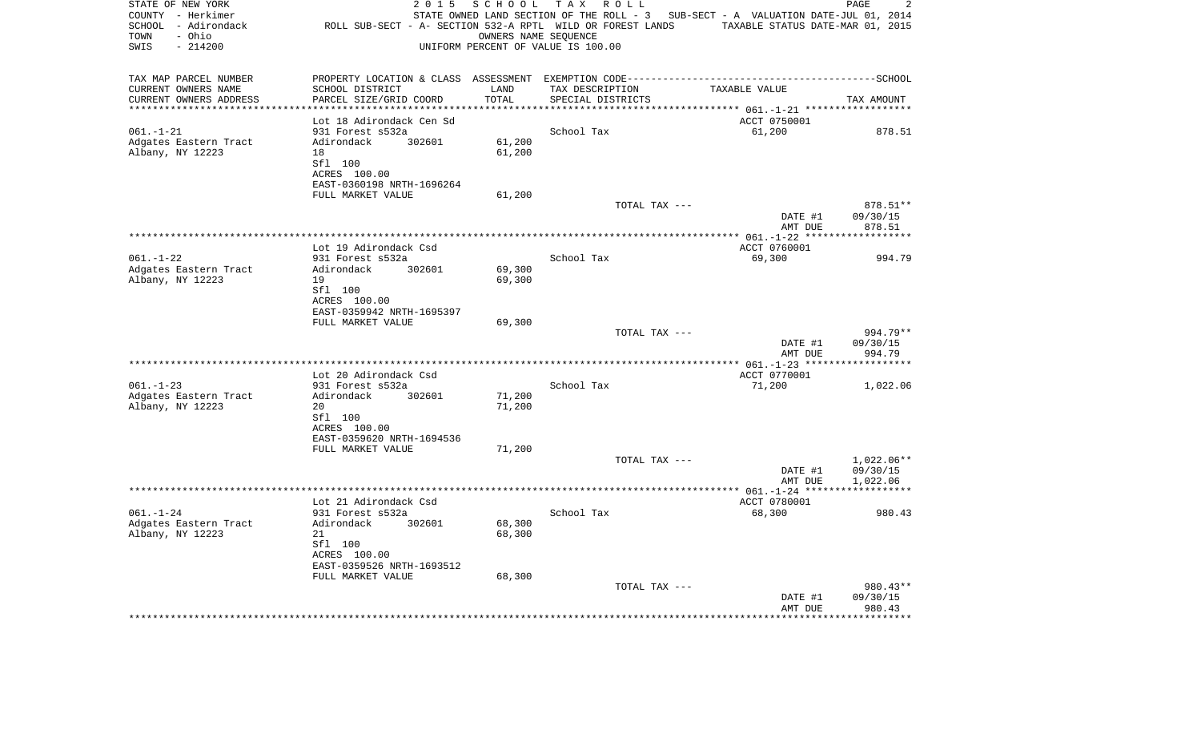| STATE OF NEW YORK<br>COUNTY - Herkimer<br>SCHOOL - Adirondack<br>- Ohio<br>TOWN<br>$-214200$<br>SWIS | 2 0 1 5<br>ROLL SUB-SECT - A- SECTION 532-A RPTL WILD OR FOREST LANDS | SCHOOL           | T A X<br>R O L L<br>OWNERS NAME SEQUENCE<br>UNIFORM PERCENT OF VALUE IS 100.00 | STATE OWNED LAND SECTION OF THE ROLL - 3 SUB-SECT - A VALUATION DATE-JUL 01, 2014<br>TAXABLE STATUS DATE-MAR 01, 2015 | 2<br>PAGE            |
|------------------------------------------------------------------------------------------------------|-----------------------------------------------------------------------|------------------|--------------------------------------------------------------------------------|-----------------------------------------------------------------------------------------------------------------------|----------------------|
| TAX MAP PARCEL NUMBER                                                                                |                                                                       |                  |                                                                                |                                                                                                                       |                      |
| CURRENT OWNERS NAME                                                                                  | SCHOOL DISTRICT                                                       | LAND             | TAX DESCRIPTION                                                                | TAXABLE VALUE                                                                                                         |                      |
| CURRENT OWNERS ADDRESS                                                                               | PARCEL SIZE/GRID COORD                                                | TOTAL            | SPECIAL DISTRICTS                                                              |                                                                                                                       | TAX AMOUNT           |
| ********************                                                                                 |                                                                       | *********        |                                                                                |                                                                                                                       |                      |
|                                                                                                      | Lot 18 Adirondack Cen Sd                                              |                  |                                                                                | ACCT 0750001                                                                                                          |                      |
| $061. - 1 - 21$<br>Adgates Eastern Tract                                                             | 931 Forest s532a<br>Adirondack<br>302601                              | 61,200           | School Tax                                                                     | 61,200                                                                                                                | 878.51               |
| Albany, NY 12223                                                                                     | 18                                                                    | 61,200           |                                                                                |                                                                                                                       |                      |
|                                                                                                      | Sfl 100                                                               |                  |                                                                                |                                                                                                                       |                      |
|                                                                                                      | ACRES 100.00                                                          |                  |                                                                                |                                                                                                                       |                      |
|                                                                                                      | EAST-0360198 NRTH-1696264                                             |                  |                                                                                |                                                                                                                       |                      |
|                                                                                                      | FULL MARKET VALUE                                                     | 61,200           |                                                                                |                                                                                                                       |                      |
|                                                                                                      |                                                                       |                  | TOTAL TAX ---                                                                  |                                                                                                                       | 878.51**             |
|                                                                                                      |                                                                       |                  |                                                                                | DATE #1                                                                                                               | 09/30/15<br>878.51   |
|                                                                                                      |                                                                       |                  |                                                                                | AMT DUE                                                                                                               |                      |
|                                                                                                      | Lot 19 Adirondack Csd                                                 |                  |                                                                                | ACCT 0760001                                                                                                          |                      |
| $061. - 1 - 22$                                                                                      | 931 Forest s532a                                                      |                  | School Tax                                                                     | 69,300                                                                                                                | 994.79               |
| Adgates Eastern Tract                                                                                | Adirondack<br>302601                                                  | 69,300           |                                                                                |                                                                                                                       |                      |
| Albany, NY 12223                                                                                     | 19                                                                    | 69,300           |                                                                                |                                                                                                                       |                      |
|                                                                                                      | Sfl 100                                                               |                  |                                                                                |                                                                                                                       |                      |
|                                                                                                      | ACRES 100.00<br>EAST-0359942 NRTH-1695397                             |                  |                                                                                |                                                                                                                       |                      |
|                                                                                                      | FULL MARKET VALUE                                                     | 69,300           |                                                                                |                                                                                                                       |                      |
|                                                                                                      |                                                                       |                  | TOTAL TAX ---                                                                  |                                                                                                                       | 994.79**             |
|                                                                                                      |                                                                       |                  |                                                                                | DATE #1<br>AMT DUE                                                                                                    | 09/30/15<br>994.79   |
|                                                                                                      |                                                                       |                  |                                                                                |                                                                                                                       |                      |
|                                                                                                      | Lot 20 Adirondack Csd                                                 |                  |                                                                                | ACCT 0770001                                                                                                          |                      |
| $061. - 1 - 23$                                                                                      | 931 Forest s532a<br>Adirondack                                        |                  | School Tax                                                                     | 71,200                                                                                                                | 1,022.06             |
| Adgates Eastern Tract<br>Albany, NY 12223                                                            | 302601<br>20                                                          | 71,200<br>71,200 |                                                                                |                                                                                                                       |                      |
|                                                                                                      | Sfl 100                                                               |                  |                                                                                |                                                                                                                       |                      |
|                                                                                                      | ACRES 100.00                                                          |                  |                                                                                |                                                                                                                       |                      |
|                                                                                                      | EAST-0359620 NRTH-1694536                                             |                  |                                                                                |                                                                                                                       |                      |
|                                                                                                      | FULL MARKET VALUE                                                     | 71,200           |                                                                                |                                                                                                                       |                      |
|                                                                                                      |                                                                       |                  | TOTAL TAX ---                                                                  |                                                                                                                       | $1,022.06**$         |
|                                                                                                      |                                                                       |                  |                                                                                | DATE #1<br>AMT DUE                                                                                                    | 09/30/15<br>1,022.06 |
|                                                                                                      |                                                                       |                  |                                                                                |                                                                                                                       |                      |
|                                                                                                      | Lot 21 Adirondack Csd                                                 |                  |                                                                                | ACCT 0780001                                                                                                          |                      |
| $061. - 1 - 24$                                                                                      | 931 Forest s532a                                                      |                  | School Tax                                                                     | 68,300                                                                                                                | 980.43               |
| Adgates Eastern Tract                                                                                | Adirondack<br>302601                                                  | 68,300           |                                                                                |                                                                                                                       |                      |
| Albany, NY 12223                                                                                     | 21                                                                    | 68,300           |                                                                                |                                                                                                                       |                      |
|                                                                                                      | Sfl 100                                                               |                  |                                                                                |                                                                                                                       |                      |
|                                                                                                      | ACRES 100.00<br>EAST-0359526 NRTH-1693512                             |                  |                                                                                |                                                                                                                       |                      |
|                                                                                                      | FULL MARKET VALUE                                                     | 68,300           |                                                                                |                                                                                                                       |                      |
|                                                                                                      |                                                                       |                  | TOTAL TAX ---                                                                  |                                                                                                                       | 980.43**             |
|                                                                                                      |                                                                       |                  |                                                                                | DATE #1                                                                                                               | 09/30/15             |
|                                                                                                      |                                                                       |                  |                                                                                | AMT DUE                                                                                                               | 980.43               |
|                                                                                                      | ************************                                              |                  |                                                                                |                                                                                                                       | ********             |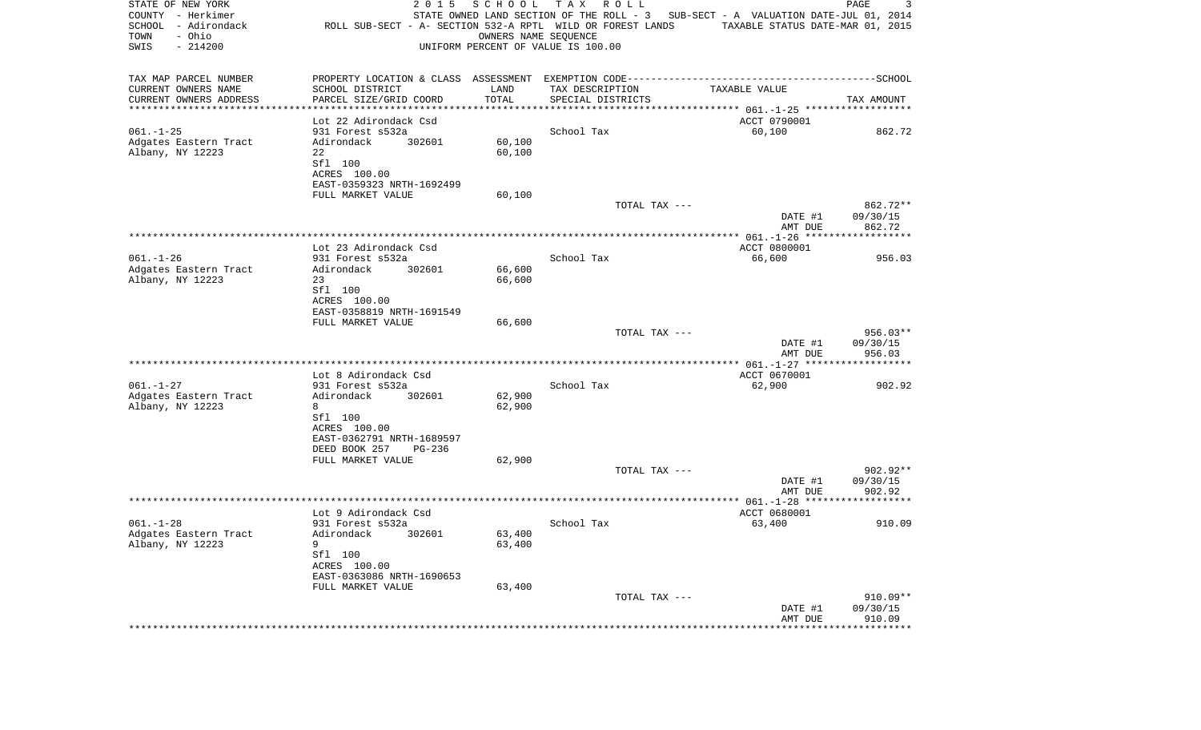| STATE OF NEW YORK<br>COUNTY - Herkimer<br>SCHOOL - Adirondack<br>- Ohio<br>TOWN<br>SWIS<br>$-214200$ | 2 0 1 5<br>ROLL SUB-SECT - A- SECTION 532-A RPTL WILD OR FOREST LANDS | SCHOOL<br>OWNERS NAME SEQUENCE | T A X<br>R O L L<br>UNIFORM PERCENT OF VALUE IS 100.00 | STATE OWNED LAND SECTION OF THE ROLL - 3 SUB-SECT - A VALUATION DATE-JUL 01, 2014<br>TAXABLE STATUS DATE-MAR 01, 2015 | 3<br>PAGE              |
|------------------------------------------------------------------------------------------------------|-----------------------------------------------------------------------|--------------------------------|--------------------------------------------------------|-----------------------------------------------------------------------------------------------------------------------|------------------------|
| TAX MAP PARCEL NUMBER                                                                                |                                                                       |                                |                                                        |                                                                                                                       |                        |
| CURRENT OWNERS NAME                                                                                  | SCHOOL DISTRICT                                                       | LAND                           | TAX DESCRIPTION                                        | TAXABLE VALUE                                                                                                         |                        |
| CURRENT OWNERS ADDRESS<br>***********************                                                    | PARCEL SIZE/GRID COORD                                                | TOTAL                          | SPECIAL DISTRICTS                                      |                                                                                                                       | TAX AMOUNT             |
|                                                                                                      | Lot 22 Adirondack Csd                                                 |                                |                                                        | ACCT 0790001                                                                                                          |                        |
| $061. - 1 - 25$                                                                                      | 931 Forest s532a                                                      |                                | School Tax                                             | 60,100                                                                                                                | 862.72                 |
| Adgates Eastern Tract                                                                                | 302601<br>Adirondack                                                  | 60,100                         |                                                        |                                                                                                                       |                        |
| Albany, NY 12223                                                                                     | 22                                                                    | 60,100                         |                                                        |                                                                                                                       |                        |
|                                                                                                      | Sfl 100<br>ACRES 100.00                                               |                                |                                                        |                                                                                                                       |                        |
|                                                                                                      | EAST-0359323 NRTH-1692499                                             |                                |                                                        |                                                                                                                       |                        |
|                                                                                                      | FULL MARKET VALUE                                                     | 60,100                         |                                                        |                                                                                                                       |                        |
|                                                                                                      |                                                                       |                                | TOTAL TAX ---                                          |                                                                                                                       | 862.72**               |
|                                                                                                      |                                                                       |                                |                                                        | DATE #1                                                                                                               | 09/30/15               |
|                                                                                                      |                                                                       |                                |                                                        | AMT DUE                                                                                                               | 862.72                 |
|                                                                                                      | Lot 23 Adirondack Csd                                                 |                                |                                                        | ACCT 0800001                                                                                                          |                        |
| $061. - 1 - 26$                                                                                      | 931 Forest s532a                                                      |                                | School Tax                                             | 66,600                                                                                                                | 956.03                 |
| Adgates Eastern Tract                                                                                | 302601<br>Adirondack                                                  | 66,600                         |                                                        |                                                                                                                       |                        |
| Albany, NY 12223                                                                                     | 23<br>Sfl 100                                                         | 66,600                         |                                                        |                                                                                                                       |                        |
|                                                                                                      | ACRES 100.00                                                          |                                |                                                        |                                                                                                                       |                        |
|                                                                                                      | EAST-0358819 NRTH-1691549                                             |                                |                                                        |                                                                                                                       |                        |
|                                                                                                      | FULL MARKET VALUE                                                     | 66,600                         |                                                        |                                                                                                                       |                        |
|                                                                                                      |                                                                       |                                | TOTAL TAX ---                                          |                                                                                                                       | $956.03**$             |
|                                                                                                      |                                                                       |                                |                                                        | DATE #1<br>AMT DUE                                                                                                    | 09/30/15<br>956.03     |
|                                                                                                      |                                                                       |                                |                                                        |                                                                                                                       |                        |
|                                                                                                      | Lot 8 Adirondack Csd                                                  |                                |                                                        | ACCT 0670001                                                                                                          |                        |
| $061. - 1 - 27$                                                                                      | 931 Forest s532a                                                      |                                | School Tax                                             | 62,900                                                                                                                | 902.92                 |
| Adgates Eastern Tract<br>Albany, NY 12223                                                            | Adirondack<br>302601<br>8                                             | 62,900<br>62,900               |                                                        |                                                                                                                       |                        |
|                                                                                                      | Sfl 100                                                               |                                |                                                        |                                                                                                                       |                        |
|                                                                                                      | ACRES 100.00                                                          |                                |                                                        |                                                                                                                       |                        |
|                                                                                                      | EAST-0362791 NRTH-1689597                                             |                                |                                                        |                                                                                                                       |                        |
|                                                                                                      | DEED BOOK 257<br>PG-236                                               |                                |                                                        |                                                                                                                       |                        |
|                                                                                                      | FULL MARKET VALUE                                                     | 62,900                         | TOTAL TAX ---                                          |                                                                                                                       | $902.92**$             |
|                                                                                                      |                                                                       |                                |                                                        | DATE #1                                                                                                               | 09/30/15               |
|                                                                                                      |                                                                       |                                |                                                        | AMT DUE                                                                                                               | 902.92                 |
|                                                                                                      |                                                                       |                                |                                                        |                                                                                                                       |                        |
| $061. - 1 - 28$                                                                                      | Lot 9 Adirondack Csd<br>931 Forest s532a                              |                                | School Tax                                             | ACCT 0680001<br>63,400                                                                                                | 910.09                 |
| Adgates Eastern Tract                                                                                | Adirondack 302601                                                     | 63,400                         |                                                        |                                                                                                                       |                        |
| Albany, NY 12223                                                                                     | 9                                                                     | 63,400                         |                                                        |                                                                                                                       |                        |
|                                                                                                      | Sfl 100                                                               |                                |                                                        |                                                                                                                       |                        |
|                                                                                                      | ACRES 100.00                                                          |                                |                                                        |                                                                                                                       |                        |
|                                                                                                      | EAST-0363086 NRTH-1690653<br>FULL MARKET VALUE                        | 63,400                         |                                                        |                                                                                                                       |                        |
|                                                                                                      |                                                                       |                                | TOTAL TAX ---                                          |                                                                                                                       | $910.09**$             |
|                                                                                                      |                                                                       |                                |                                                        | DATE #1                                                                                                               | 09/30/15               |
|                                                                                                      |                                                                       |                                |                                                        | AMT DUE                                                                                                               | 910.09<br>************ |
|                                                                                                      |                                                                       |                                |                                                        |                                                                                                                       |                        |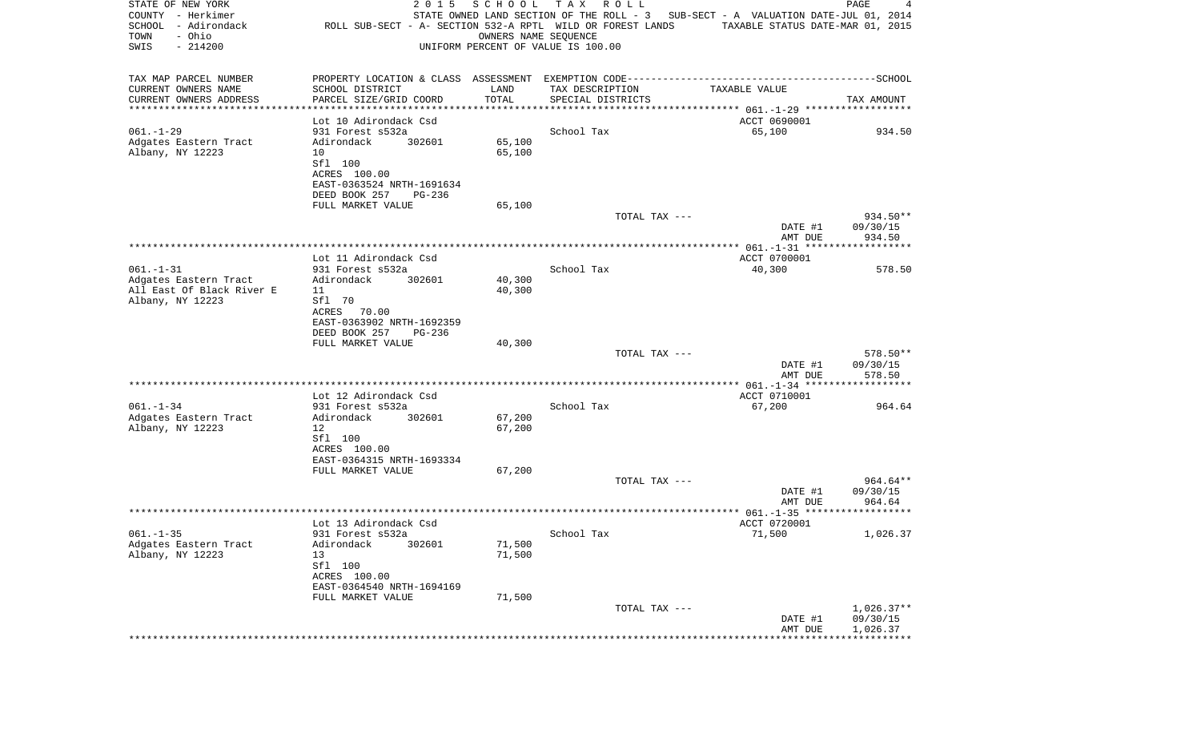| STATE OF NEW YORK<br>COUNTY - Herkimer<br>SCHOOL - Adirondack<br>- Ohio<br>TOWN<br>SWIS<br>$-214200$ | 2 0 1 5<br>ROLL SUB-SECT - A- SECTION 532-A RPTL WILD OR FOREST LANDS | SCHOOL           | T A X<br>R O L L<br>STATE OWNED LAND SECTION OF THE ROLL - 3 SUB-SECT - A VALUATION DATE-JUL 01, 2014<br>OWNERS NAME SEOUENCE<br>UNIFORM PERCENT OF VALUE IS 100.00 | TAXABLE STATUS DATE-MAR 01, 2015 | PAGE<br>4                |
|------------------------------------------------------------------------------------------------------|-----------------------------------------------------------------------|------------------|---------------------------------------------------------------------------------------------------------------------------------------------------------------------|----------------------------------|--------------------------|
| TAX MAP PARCEL NUMBER                                                                                |                                                                       |                  |                                                                                                                                                                     |                                  |                          |
| CURRENT OWNERS NAME                                                                                  | SCHOOL DISTRICT                                                       | LAND             | TAX DESCRIPTION                                                                                                                                                     | TAXABLE VALUE                    |                          |
| CURRENT OWNERS ADDRESS<br>**********************                                                     | PARCEL SIZE/GRID COORD<br>*******************                         | TOTAL            | SPECIAL DISTRICTS                                                                                                                                                   |                                  | TAX AMOUNT               |
|                                                                                                      | Lot 10 Adirondack Csd                                                 |                  |                                                                                                                                                                     | ACCT 0690001                     |                          |
| $061. - 1 - 29$                                                                                      | 931 Forest s532a                                                      |                  | School Tax                                                                                                                                                          | 65,100                           | 934.50                   |
| Adgates Eastern Tract                                                                                | Adirondack<br>302601                                                  | 65,100           |                                                                                                                                                                     |                                  |                          |
| Albany, NY 12223                                                                                     | 10<br>Sfl 100                                                         | 65,100           |                                                                                                                                                                     |                                  |                          |
|                                                                                                      | ACRES 100.00                                                          |                  |                                                                                                                                                                     |                                  |                          |
|                                                                                                      | EAST-0363524 NRTH-1691634                                             |                  |                                                                                                                                                                     |                                  |                          |
|                                                                                                      | DEED BOOK 257<br>PG-236<br>FULL MARKET VALUE                          | 65,100           |                                                                                                                                                                     |                                  |                          |
|                                                                                                      |                                                                       |                  | TOTAL TAX ---                                                                                                                                                       |                                  | 934.50**                 |
|                                                                                                      |                                                                       |                  |                                                                                                                                                                     | DATE #1                          | 09/30/15                 |
|                                                                                                      |                                                                       |                  |                                                                                                                                                                     | AMT DUE                          | 934.50                   |
|                                                                                                      | Lot 11 Adirondack Csd                                                 |                  |                                                                                                                                                                     | ACCT 0700001                     |                          |
| $061. - 1 - 31$                                                                                      | 931 Forest s532a                                                      |                  | School Tax                                                                                                                                                          | 40,300                           | 578.50                   |
| Adgates Eastern Tract<br>All East Of Black River E                                                   | Adirondack<br>302601<br>11                                            | 40,300<br>40,300 |                                                                                                                                                                     |                                  |                          |
| Albany, NY 12223                                                                                     | Sfl 70                                                                |                  |                                                                                                                                                                     |                                  |                          |
|                                                                                                      | ACRES 70.00                                                           |                  |                                                                                                                                                                     |                                  |                          |
|                                                                                                      | EAST-0363902 NRTH-1692359                                             |                  |                                                                                                                                                                     |                                  |                          |
|                                                                                                      | DEED BOOK 257<br>PG-236<br>FULL MARKET VALUE                          | 40,300           |                                                                                                                                                                     |                                  |                          |
|                                                                                                      |                                                                       |                  | TOTAL TAX ---                                                                                                                                                       |                                  | 578.50**                 |
|                                                                                                      |                                                                       |                  |                                                                                                                                                                     | DATE #1                          | 09/30/15                 |
|                                                                                                      |                                                                       |                  |                                                                                                                                                                     | AMT DUE                          | 578.50                   |
|                                                                                                      | Lot 12 Adirondack Csd                                                 |                  |                                                                                                                                                                     | ACCT 0710001                     |                          |
| $061. - 1 - 34$                                                                                      | 931 Forest s532a                                                      |                  | School Tax                                                                                                                                                          | 67,200                           | 964.64                   |
| Adgates Eastern Tract<br>Albany, NY 12223                                                            | Adirondack<br>302601<br>12                                            | 67,200<br>67,200 |                                                                                                                                                                     |                                  |                          |
|                                                                                                      | Sfl 100                                                               |                  |                                                                                                                                                                     |                                  |                          |
|                                                                                                      | ACRES 100.00                                                          |                  |                                                                                                                                                                     |                                  |                          |
|                                                                                                      | EAST-0364315 NRTH-1693334                                             |                  |                                                                                                                                                                     |                                  |                          |
|                                                                                                      | FULL MARKET VALUE                                                     | 67,200           | TOTAL TAX ---                                                                                                                                                       |                                  | 964.64**                 |
|                                                                                                      |                                                                       |                  |                                                                                                                                                                     | DATE #1                          | 09/30/15                 |
|                                                                                                      |                                                                       |                  |                                                                                                                                                                     | AMT DUE                          | 964.64                   |
|                                                                                                      | Lot 13 Adirondack Csd                                                 |                  |                                                                                                                                                                     | ACCT 0720001                     |                          |
| $061. - 1 - 35$                                                                                      | 931 Forest s532a                                                      |                  | School Tax                                                                                                                                                          | 71,500                           | 1,026.37                 |
| Adgates Eastern Tract                                                                                | Adirondack<br>302601                                                  | 71,500           |                                                                                                                                                                     |                                  |                          |
| Albany, NY 12223                                                                                     | 13<br>Sfl 100                                                         | 71,500           |                                                                                                                                                                     |                                  |                          |
|                                                                                                      | ACRES 100.00                                                          |                  |                                                                                                                                                                     |                                  |                          |
|                                                                                                      | EAST-0364540 NRTH-1694169                                             |                  |                                                                                                                                                                     |                                  |                          |
|                                                                                                      | FULL MARKET VALUE                                                     | 71,500           |                                                                                                                                                                     |                                  |                          |
|                                                                                                      |                                                                       |                  | TOTAL TAX ---                                                                                                                                                       | DATE #1                          | $1,026.37**$<br>09/30/15 |
|                                                                                                      |                                                                       |                  |                                                                                                                                                                     | AMT DUE                          | 1,026.37                 |
|                                                                                                      |                                                                       |                  |                                                                                                                                                                     |                                  |                          |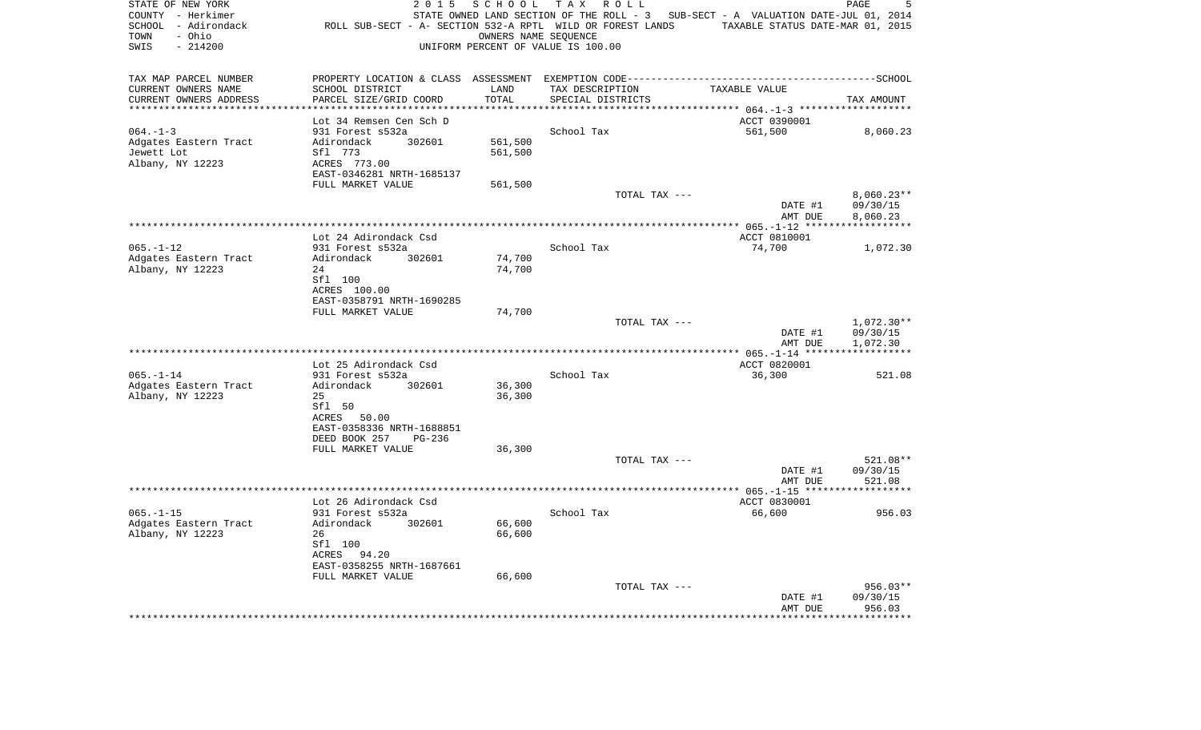| STATE OF NEW YORK<br>COUNTY - Herkimer<br>SCHOOL - Adirondack<br>- Ohio<br>TOWN<br>$-214200$<br>SWIS | 2 0 1 5<br>ROLL SUB-SECT - A- SECTION 532-A RPTL WILD OR FOREST LANDS | SCHOOL              | T A X<br>R O L L<br>OWNERS NAME SEQUENCE<br>UNIFORM PERCENT OF VALUE IS 100.00 | STATE OWNED LAND SECTION OF THE ROLL - 3 SUB-SECT - A VALUATION DATE-JUL 01, 2014<br>TAXABLE STATUS DATE-MAR 01, 2015 | PAGE<br>5    |
|------------------------------------------------------------------------------------------------------|-----------------------------------------------------------------------|---------------------|--------------------------------------------------------------------------------|-----------------------------------------------------------------------------------------------------------------------|--------------|
| TAX MAP PARCEL NUMBER                                                                                |                                                                       |                     |                                                                                |                                                                                                                       |              |
| CURRENT OWNERS NAME                                                                                  | SCHOOL DISTRICT                                                       | LAND                | TAX DESCRIPTION                                                                | TAXABLE VALUE                                                                                                         |              |
| CURRENT OWNERS ADDRESS<br>********************                                                       | PARCEL SIZE/GRID COORD<br>********************                        | TOTAL<br>********** | SPECIAL DISTRICTS                                                              |                                                                                                                       | TAX AMOUNT   |
|                                                                                                      | Lot 34 Remsen Cen Sch D                                               |                     |                                                                                | ACCT 0390001                                                                                                          |              |
| $064. -1 -3$                                                                                         | 931 Forest s532a                                                      |                     | School Tax                                                                     | 561,500                                                                                                               | 8,060.23     |
| Adgates Eastern Tract                                                                                | Adirondack<br>302601                                                  | 561,500             |                                                                                |                                                                                                                       |              |
| Jewett Lot                                                                                           | Sfl 773                                                               | 561,500             |                                                                                |                                                                                                                       |              |
| Albany, NY 12223                                                                                     | ACRES 773.00                                                          |                     |                                                                                |                                                                                                                       |              |
|                                                                                                      | EAST-0346281 NRTH-1685137                                             |                     |                                                                                |                                                                                                                       |              |
|                                                                                                      | FULL MARKET VALUE                                                     | 561,500             | TOTAL TAX ---                                                                  |                                                                                                                       | $8,060.23**$ |
|                                                                                                      |                                                                       |                     |                                                                                | DATE #1                                                                                                               | 09/30/15     |
|                                                                                                      |                                                                       |                     |                                                                                | AMT DUE                                                                                                               | 8,060.23     |
|                                                                                                      |                                                                       |                     |                                                                                | ***** $065. - 1 - 12$ ******                                                                                          |              |
| $065. - 1 - 12$                                                                                      | Lot 24 Adirondack Csd<br>931 Forest s532a                             |                     | School Tax                                                                     | ACCT 0810001<br>74,700                                                                                                |              |
| Adgates Eastern Tract                                                                                | Adirondack<br>302601                                                  | 74,700              |                                                                                |                                                                                                                       | 1,072.30     |
| Albany, NY 12223                                                                                     | 24                                                                    | 74,700              |                                                                                |                                                                                                                       |              |
|                                                                                                      | Sfl 100                                                               |                     |                                                                                |                                                                                                                       |              |
|                                                                                                      | ACRES 100.00                                                          |                     |                                                                                |                                                                                                                       |              |
|                                                                                                      | EAST-0358791 NRTH-1690285<br>FULL MARKET VALUE                        | 74,700              |                                                                                |                                                                                                                       |              |
|                                                                                                      |                                                                       |                     | TOTAL TAX ---                                                                  |                                                                                                                       | $1,072.30**$ |
|                                                                                                      |                                                                       |                     |                                                                                | DATE #1                                                                                                               | 09/30/15     |
|                                                                                                      |                                                                       |                     |                                                                                | AMT DUE                                                                                                               | 1,072.30     |
|                                                                                                      |                                                                       |                     |                                                                                |                                                                                                                       |              |
| $065. - 1 - 14$                                                                                      | Lot 25 Adirondack Csd<br>931 Forest s532a                             |                     | School Tax                                                                     | ACCT 0820001<br>36,300                                                                                                | 521.08       |
| Adgates Eastern Tract                                                                                | Adirondack<br>302601                                                  | 36,300              |                                                                                |                                                                                                                       |              |
| Albany, NY 12223                                                                                     | 25                                                                    | 36,300              |                                                                                |                                                                                                                       |              |
|                                                                                                      | Sfl 50                                                                |                     |                                                                                |                                                                                                                       |              |
|                                                                                                      | ACRES 50.00                                                           |                     |                                                                                |                                                                                                                       |              |
|                                                                                                      | EAST-0358336 NRTH-1688851<br>DEED BOOK 257                            |                     |                                                                                |                                                                                                                       |              |
|                                                                                                      | PG-236<br>FULL MARKET VALUE                                           | 36,300              |                                                                                |                                                                                                                       |              |
|                                                                                                      |                                                                       |                     | TOTAL TAX ---                                                                  |                                                                                                                       | 521.08**     |
|                                                                                                      |                                                                       |                     |                                                                                | DATE #1                                                                                                               | 09/30/15     |
|                                                                                                      |                                                                       |                     |                                                                                | AMT DUE                                                                                                               | 521.08       |
|                                                                                                      |                                                                       |                     |                                                                                |                                                                                                                       |              |
| $065. -1 - 15$                                                                                       | Lot 26 Adirondack Csd<br>931 Forest s532a                             |                     | School Tax                                                                     | ACCT 0830001<br>66,600                                                                                                | 956.03       |
| Adgates Eastern Tract                                                                                | Adirondack<br>302601                                                  | 66,600              |                                                                                |                                                                                                                       |              |
| Albany, NY 12223                                                                                     | 26                                                                    | 66,600              |                                                                                |                                                                                                                       |              |
|                                                                                                      | Sfl 100                                                               |                     |                                                                                |                                                                                                                       |              |
|                                                                                                      | ACRES 94.20                                                           |                     |                                                                                |                                                                                                                       |              |
|                                                                                                      | EAST-0358255 NRTH-1687661<br>FULL MARKET VALUE                        | 66,600              |                                                                                |                                                                                                                       |              |
|                                                                                                      |                                                                       |                     | TOTAL TAX ---                                                                  |                                                                                                                       | 956.03**     |
|                                                                                                      |                                                                       |                     |                                                                                | DATE #1                                                                                                               | 09/30/15     |
|                                                                                                      |                                                                       |                     |                                                                                | AMT DUE                                                                                                               | 956.03       |
|                                                                                                      |                                                                       |                     |                                                                                |                                                                                                                       | ********     |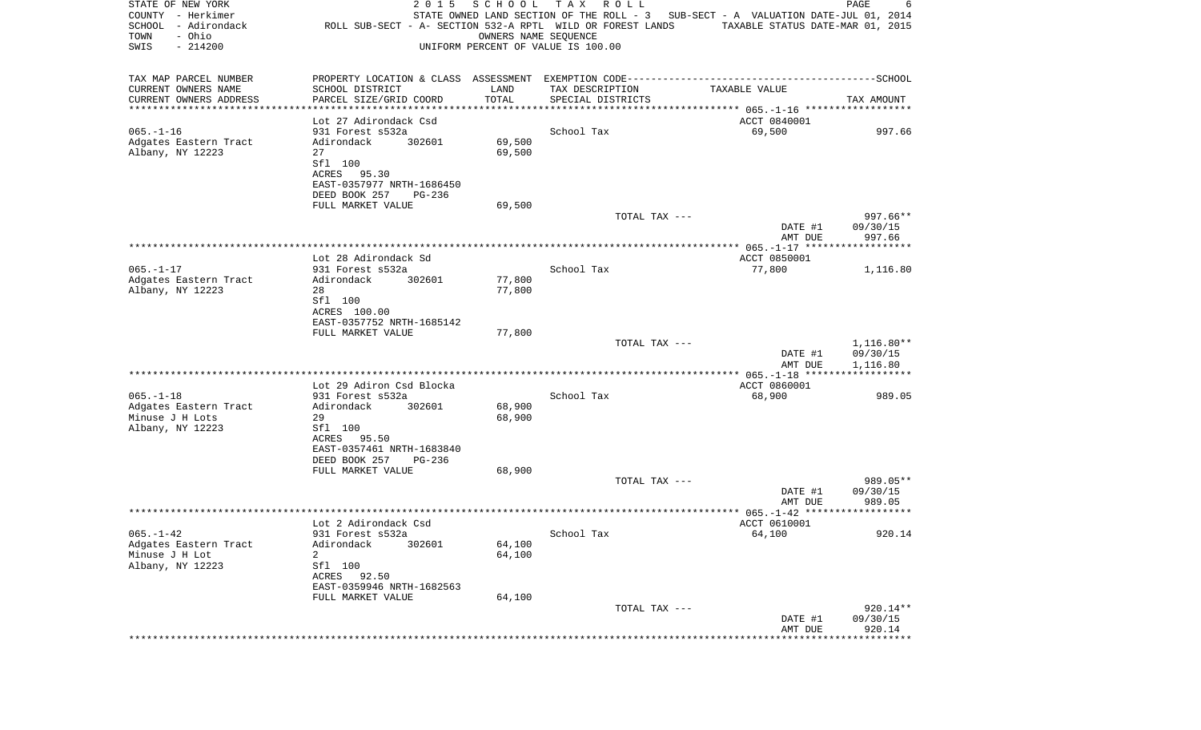| TAX MAP PARCEL NUMBER<br>CURRENT OWNERS NAME<br>SCHOOL DISTRICT<br>LAND<br>TAX DESCRIPTION<br>TAXABLE VALUE<br>CURRENT OWNERS ADDRESS<br>PARCEL SIZE/GRID COORD<br>TOTAL<br>SPECIAL DISTRICTS<br>TAX AMOUNT<br>***********************<br>Lot 27 Adirondack Csd<br>ACCT 0840001<br>$065. - 1 - 16$<br>School Tax<br>69,500<br>931 Forest s532a<br>302601<br>69,500<br>Adgates Eastern Tract<br>Adirondack<br>Albany, NY 12223<br>27<br>69,500<br>Sfl 100<br>ACRES 95.30<br>EAST-0357977 NRTH-1686450<br>DEED BOOK 257<br>PG-236<br>69,500<br>FULL MARKET VALUE<br>997.66**<br>TOTAL TAX ---<br>DATE #1<br>09/30/15<br>AMT DUE<br>997.66<br>Lot 28 Adirondack Sd<br>ACCT 0850001<br>$065. - 1 - 17$<br>931 Forest s532a<br>School Tax<br>77,800<br>1,116.80<br>Adgates Eastern Tract<br>Adirondack<br>302601<br>77,800<br>Albany, NY 12223<br>28<br>77,800<br>Sfl 100<br>ACRES 100.00<br>EAST-0357752 NRTH-1685142<br>FULL MARKET VALUE<br>77,800<br>TOTAL TAX ---<br>09/30/15<br>DATE #1<br>1,116.80<br>AMT DUE<br>***************** 065.-1-18 *******************<br>ACCT 0860001<br>Lot 29 Adiron Csd Blocka<br>$065. -1 - 18$<br>931 Forest s532a<br>School Tax<br>68,900<br>302601<br>68,900<br>Adgates Eastern Tract<br>Adirondack<br>Minuse J H Lots<br>29<br>68,900<br>Albany, NY 12223<br>Sfl 100<br>ACRES<br>95.50<br>EAST-0357461 NRTH-1683840<br>DEED BOOK 257<br>PG-236<br>68,900<br>FULL MARKET VALUE<br>989.05**<br>TOTAL TAX ---<br>DATE #1<br>09/30/15<br>AMT DUE<br>989.05<br>Lot 2 Adirondack Csd<br>ACCT 0610001<br>$065. - 1 - 42$<br>931 Forest s532a<br>64,100<br>920.14<br>School Tax<br>Adirondack<br>Adgates Eastern Tract<br>302601<br>64,100 | STATE OF NEW YORK<br>COUNTY - Herkimer<br>SCHOOL - Adirondack<br>- Ohio<br>TOWN<br>SWIS<br>$-214200$ | 2 0 1 5<br>ROLL SUB-SECT - A- SECTION 532-A RPTL WILD OR FOREST LANDS | SCHOOL | T A X<br>R O L L<br>OWNERS NAME SEQUENCE<br>UNIFORM PERCENT OF VALUE IS 100.00 | STATE OWNED LAND SECTION OF THE ROLL - 3 SUB-SECT - A VALUATION DATE-JUL 01, 2014<br>TAXABLE STATUS DATE-MAR 01, 2015 | PAGE<br>6    |
|-------------------------------------------------------------------------------------------------------------------------------------------------------------------------------------------------------------------------------------------------------------------------------------------------------------------------------------------------------------------------------------------------------------------------------------------------------------------------------------------------------------------------------------------------------------------------------------------------------------------------------------------------------------------------------------------------------------------------------------------------------------------------------------------------------------------------------------------------------------------------------------------------------------------------------------------------------------------------------------------------------------------------------------------------------------------------------------------------------------------------------------------------------------------------------------------------------------------------------------------------------------------------------------------------------------------------------------------------------------------------------------------------------------------------------------------------------------------------------------------------------------------------------------------------------------------------------------------------------------------------------------------------------------------------|------------------------------------------------------------------------------------------------------|-----------------------------------------------------------------------|--------|--------------------------------------------------------------------------------|-----------------------------------------------------------------------------------------------------------------------|--------------|
|                                                                                                                                                                                                                                                                                                                                                                                                                                                                                                                                                                                                                                                                                                                                                                                                                                                                                                                                                                                                                                                                                                                                                                                                                                                                                                                                                                                                                                                                                                                                                                                                                                                                         |                                                                                                      |                                                                       |        |                                                                                |                                                                                                                       |              |
|                                                                                                                                                                                                                                                                                                                                                                                                                                                                                                                                                                                                                                                                                                                                                                                                                                                                                                                                                                                                                                                                                                                                                                                                                                                                                                                                                                                                                                                                                                                                                                                                                                                                         |                                                                                                      |                                                                       |        |                                                                                |                                                                                                                       |              |
|                                                                                                                                                                                                                                                                                                                                                                                                                                                                                                                                                                                                                                                                                                                                                                                                                                                                                                                                                                                                                                                                                                                                                                                                                                                                                                                                                                                                                                                                                                                                                                                                                                                                         |                                                                                                      |                                                                       |        |                                                                                |                                                                                                                       |              |
|                                                                                                                                                                                                                                                                                                                                                                                                                                                                                                                                                                                                                                                                                                                                                                                                                                                                                                                                                                                                                                                                                                                                                                                                                                                                                                                                                                                                                                                                                                                                                                                                                                                                         |                                                                                                      |                                                                       |        |                                                                                |                                                                                                                       |              |
|                                                                                                                                                                                                                                                                                                                                                                                                                                                                                                                                                                                                                                                                                                                                                                                                                                                                                                                                                                                                                                                                                                                                                                                                                                                                                                                                                                                                                                                                                                                                                                                                                                                                         |                                                                                                      |                                                                       |        |                                                                                |                                                                                                                       | 997.66       |
|                                                                                                                                                                                                                                                                                                                                                                                                                                                                                                                                                                                                                                                                                                                                                                                                                                                                                                                                                                                                                                                                                                                                                                                                                                                                                                                                                                                                                                                                                                                                                                                                                                                                         |                                                                                                      |                                                                       |        |                                                                                |                                                                                                                       |              |
|                                                                                                                                                                                                                                                                                                                                                                                                                                                                                                                                                                                                                                                                                                                                                                                                                                                                                                                                                                                                                                                                                                                                                                                                                                                                                                                                                                                                                                                                                                                                                                                                                                                                         |                                                                                                      |                                                                       |        |                                                                                |                                                                                                                       |              |
|                                                                                                                                                                                                                                                                                                                                                                                                                                                                                                                                                                                                                                                                                                                                                                                                                                                                                                                                                                                                                                                                                                                                                                                                                                                                                                                                                                                                                                                                                                                                                                                                                                                                         |                                                                                                      |                                                                       |        |                                                                                |                                                                                                                       |              |
|                                                                                                                                                                                                                                                                                                                                                                                                                                                                                                                                                                                                                                                                                                                                                                                                                                                                                                                                                                                                                                                                                                                                                                                                                                                                                                                                                                                                                                                                                                                                                                                                                                                                         |                                                                                                      |                                                                       |        |                                                                                |                                                                                                                       |              |
|                                                                                                                                                                                                                                                                                                                                                                                                                                                                                                                                                                                                                                                                                                                                                                                                                                                                                                                                                                                                                                                                                                                                                                                                                                                                                                                                                                                                                                                                                                                                                                                                                                                                         |                                                                                                      |                                                                       |        |                                                                                |                                                                                                                       |              |
|                                                                                                                                                                                                                                                                                                                                                                                                                                                                                                                                                                                                                                                                                                                                                                                                                                                                                                                                                                                                                                                                                                                                                                                                                                                                                                                                                                                                                                                                                                                                                                                                                                                                         |                                                                                                      |                                                                       |        |                                                                                |                                                                                                                       |              |
|                                                                                                                                                                                                                                                                                                                                                                                                                                                                                                                                                                                                                                                                                                                                                                                                                                                                                                                                                                                                                                                                                                                                                                                                                                                                                                                                                                                                                                                                                                                                                                                                                                                                         |                                                                                                      |                                                                       |        |                                                                                |                                                                                                                       |              |
|                                                                                                                                                                                                                                                                                                                                                                                                                                                                                                                                                                                                                                                                                                                                                                                                                                                                                                                                                                                                                                                                                                                                                                                                                                                                                                                                                                                                                                                                                                                                                                                                                                                                         |                                                                                                      |                                                                       |        |                                                                                |                                                                                                                       |              |
|                                                                                                                                                                                                                                                                                                                                                                                                                                                                                                                                                                                                                                                                                                                                                                                                                                                                                                                                                                                                                                                                                                                                                                                                                                                                                                                                                                                                                                                                                                                                                                                                                                                                         |                                                                                                      |                                                                       |        |                                                                                |                                                                                                                       |              |
|                                                                                                                                                                                                                                                                                                                                                                                                                                                                                                                                                                                                                                                                                                                                                                                                                                                                                                                                                                                                                                                                                                                                                                                                                                                                                                                                                                                                                                                                                                                                                                                                                                                                         |                                                                                                      |                                                                       |        |                                                                                |                                                                                                                       |              |
|                                                                                                                                                                                                                                                                                                                                                                                                                                                                                                                                                                                                                                                                                                                                                                                                                                                                                                                                                                                                                                                                                                                                                                                                                                                                                                                                                                                                                                                                                                                                                                                                                                                                         |                                                                                                      |                                                                       |        |                                                                                |                                                                                                                       |              |
|                                                                                                                                                                                                                                                                                                                                                                                                                                                                                                                                                                                                                                                                                                                                                                                                                                                                                                                                                                                                                                                                                                                                                                                                                                                                                                                                                                                                                                                                                                                                                                                                                                                                         |                                                                                                      |                                                                       |        |                                                                                |                                                                                                                       |              |
|                                                                                                                                                                                                                                                                                                                                                                                                                                                                                                                                                                                                                                                                                                                                                                                                                                                                                                                                                                                                                                                                                                                                                                                                                                                                                                                                                                                                                                                                                                                                                                                                                                                                         |                                                                                                      |                                                                       |        |                                                                                |                                                                                                                       |              |
|                                                                                                                                                                                                                                                                                                                                                                                                                                                                                                                                                                                                                                                                                                                                                                                                                                                                                                                                                                                                                                                                                                                                                                                                                                                                                                                                                                                                                                                                                                                                                                                                                                                                         |                                                                                                      |                                                                       |        |                                                                                |                                                                                                                       |              |
|                                                                                                                                                                                                                                                                                                                                                                                                                                                                                                                                                                                                                                                                                                                                                                                                                                                                                                                                                                                                                                                                                                                                                                                                                                                                                                                                                                                                                                                                                                                                                                                                                                                                         |                                                                                                      |                                                                       |        |                                                                                |                                                                                                                       |              |
|                                                                                                                                                                                                                                                                                                                                                                                                                                                                                                                                                                                                                                                                                                                                                                                                                                                                                                                                                                                                                                                                                                                                                                                                                                                                                                                                                                                                                                                                                                                                                                                                                                                                         |                                                                                                      |                                                                       |        |                                                                                |                                                                                                                       | $1,116.80**$ |
|                                                                                                                                                                                                                                                                                                                                                                                                                                                                                                                                                                                                                                                                                                                                                                                                                                                                                                                                                                                                                                                                                                                                                                                                                                                                                                                                                                                                                                                                                                                                                                                                                                                                         |                                                                                                      |                                                                       |        |                                                                                |                                                                                                                       |              |
|                                                                                                                                                                                                                                                                                                                                                                                                                                                                                                                                                                                                                                                                                                                                                                                                                                                                                                                                                                                                                                                                                                                                                                                                                                                                                                                                                                                                                                                                                                                                                                                                                                                                         |                                                                                                      |                                                                       |        |                                                                                |                                                                                                                       |              |
|                                                                                                                                                                                                                                                                                                                                                                                                                                                                                                                                                                                                                                                                                                                                                                                                                                                                                                                                                                                                                                                                                                                                                                                                                                                                                                                                                                                                                                                                                                                                                                                                                                                                         |                                                                                                      |                                                                       |        |                                                                                |                                                                                                                       |              |
|                                                                                                                                                                                                                                                                                                                                                                                                                                                                                                                                                                                                                                                                                                                                                                                                                                                                                                                                                                                                                                                                                                                                                                                                                                                                                                                                                                                                                                                                                                                                                                                                                                                                         |                                                                                                      |                                                                       |        |                                                                                |                                                                                                                       | 989.05       |
|                                                                                                                                                                                                                                                                                                                                                                                                                                                                                                                                                                                                                                                                                                                                                                                                                                                                                                                                                                                                                                                                                                                                                                                                                                                                                                                                                                                                                                                                                                                                                                                                                                                                         |                                                                                                      |                                                                       |        |                                                                                |                                                                                                                       |              |
|                                                                                                                                                                                                                                                                                                                                                                                                                                                                                                                                                                                                                                                                                                                                                                                                                                                                                                                                                                                                                                                                                                                                                                                                                                                                                                                                                                                                                                                                                                                                                                                                                                                                         |                                                                                                      |                                                                       |        |                                                                                |                                                                                                                       |              |
|                                                                                                                                                                                                                                                                                                                                                                                                                                                                                                                                                                                                                                                                                                                                                                                                                                                                                                                                                                                                                                                                                                                                                                                                                                                                                                                                                                                                                                                                                                                                                                                                                                                                         |                                                                                                      |                                                                       |        |                                                                                |                                                                                                                       |              |
|                                                                                                                                                                                                                                                                                                                                                                                                                                                                                                                                                                                                                                                                                                                                                                                                                                                                                                                                                                                                                                                                                                                                                                                                                                                                                                                                                                                                                                                                                                                                                                                                                                                                         |                                                                                                      |                                                                       |        |                                                                                |                                                                                                                       |              |
|                                                                                                                                                                                                                                                                                                                                                                                                                                                                                                                                                                                                                                                                                                                                                                                                                                                                                                                                                                                                                                                                                                                                                                                                                                                                                                                                                                                                                                                                                                                                                                                                                                                                         |                                                                                                      |                                                                       |        |                                                                                |                                                                                                                       |              |
|                                                                                                                                                                                                                                                                                                                                                                                                                                                                                                                                                                                                                                                                                                                                                                                                                                                                                                                                                                                                                                                                                                                                                                                                                                                                                                                                                                                                                                                                                                                                                                                                                                                                         |                                                                                                      |                                                                       |        |                                                                                |                                                                                                                       |              |
|                                                                                                                                                                                                                                                                                                                                                                                                                                                                                                                                                                                                                                                                                                                                                                                                                                                                                                                                                                                                                                                                                                                                                                                                                                                                                                                                                                                                                                                                                                                                                                                                                                                                         |                                                                                                      |                                                                       |        |                                                                                |                                                                                                                       |              |
|                                                                                                                                                                                                                                                                                                                                                                                                                                                                                                                                                                                                                                                                                                                                                                                                                                                                                                                                                                                                                                                                                                                                                                                                                                                                                                                                                                                                                                                                                                                                                                                                                                                                         |                                                                                                      |                                                                       |        |                                                                                |                                                                                                                       |              |
|                                                                                                                                                                                                                                                                                                                                                                                                                                                                                                                                                                                                                                                                                                                                                                                                                                                                                                                                                                                                                                                                                                                                                                                                                                                                                                                                                                                                                                                                                                                                                                                                                                                                         |                                                                                                      |                                                                       |        |                                                                                |                                                                                                                       |              |
|                                                                                                                                                                                                                                                                                                                                                                                                                                                                                                                                                                                                                                                                                                                                                                                                                                                                                                                                                                                                                                                                                                                                                                                                                                                                                                                                                                                                                                                                                                                                                                                                                                                                         |                                                                                                      |                                                                       |        |                                                                                |                                                                                                                       |              |
|                                                                                                                                                                                                                                                                                                                                                                                                                                                                                                                                                                                                                                                                                                                                                                                                                                                                                                                                                                                                                                                                                                                                                                                                                                                                                                                                                                                                                                                                                                                                                                                                                                                                         |                                                                                                      |                                                                       |        |                                                                                |                                                                                                                       |              |
| 64,100<br>Minuse J H Lot<br>2                                                                                                                                                                                                                                                                                                                                                                                                                                                                                                                                                                                                                                                                                                                                                                                                                                                                                                                                                                                                                                                                                                                                                                                                                                                                                                                                                                                                                                                                                                                                                                                                                                           |                                                                                                      |                                                                       |        |                                                                                |                                                                                                                       |              |
| Albany, NY 12223<br>Sfl 100                                                                                                                                                                                                                                                                                                                                                                                                                                                                                                                                                                                                                                                                                                                                                                                                                                                                                                                                                                                                                                                                                                                                                                                                                                                                                                                                                                                                                                                                                                                                                                                                                                             |                                                                                                      |                                                                       |        |                                                                                |                                                                                                                       |              |
| ACRES 92.50                                                                                                                                                                                                                                                                                                                                                                                                                                                                                                                                                                                                                                                                                                                                                                                                                                                                                                                                                                                                                                                                                                                                                                                                                                                                                                                                                                                                                                                                                                                                                                                                                                                             |                                                                                                      |                                                                       |        |                                                                                |                                                                                                                       |              |
| EAST-0359946 NRTH-1682563<br>64,100<br>FULL MARKET VALUE                                                                                                                                                                                                                                                                                                                                                                                                                                                                                                                                                                                                                                                                                                                                                                                                                                                                                                                                                                                                                                                                                                                                                                                                                                                                                                                                                                                                                                                                                                                                                                                                                |                                                                                                      |                                                                       |        |                                                                                |                                                                                                                       |              |
| TOTAL TAX ---                                                                                                                                                                                                                                                                                                                                                                                                                                                                                                                                                                                                                                                                                                                                                                                                                                                                                                                                                                                                                                                                                                                                                                                                                                                                                                                                                                                                                                                                                                                                                                                                                                                           |                                                                                                      |                                                                       |        |                                                                                |                                                                                                                       | 920.14**     |
| DATE #1<br>09/30/15                                                                                                                                                                                                                                                                                                                                                                                                                                                                                                                                                                                                                                                                                                                                                                                                                                                                                                                                                                                                                                                                                                                                                                                                                                                                                                                                                                                                                                                                                                                                                                                                                                                     |                                                                                                      |                                                                       |        |                                                                                |                                                                                                                       |              |
| AMT DUE<br>920.14<br>********************************                                                                                                                                                                                                                                                                                                                                                                                                                                                                                                                                                                                                                                                                                                                                                                                                                                                                                                                                                                                                                                                                                                                                                                                                                                                                                                                                                                                                                                                                                                                                                                                                                   |                                                                                                      |                                                                       |        |                                                                                |                                                                                                                       |              |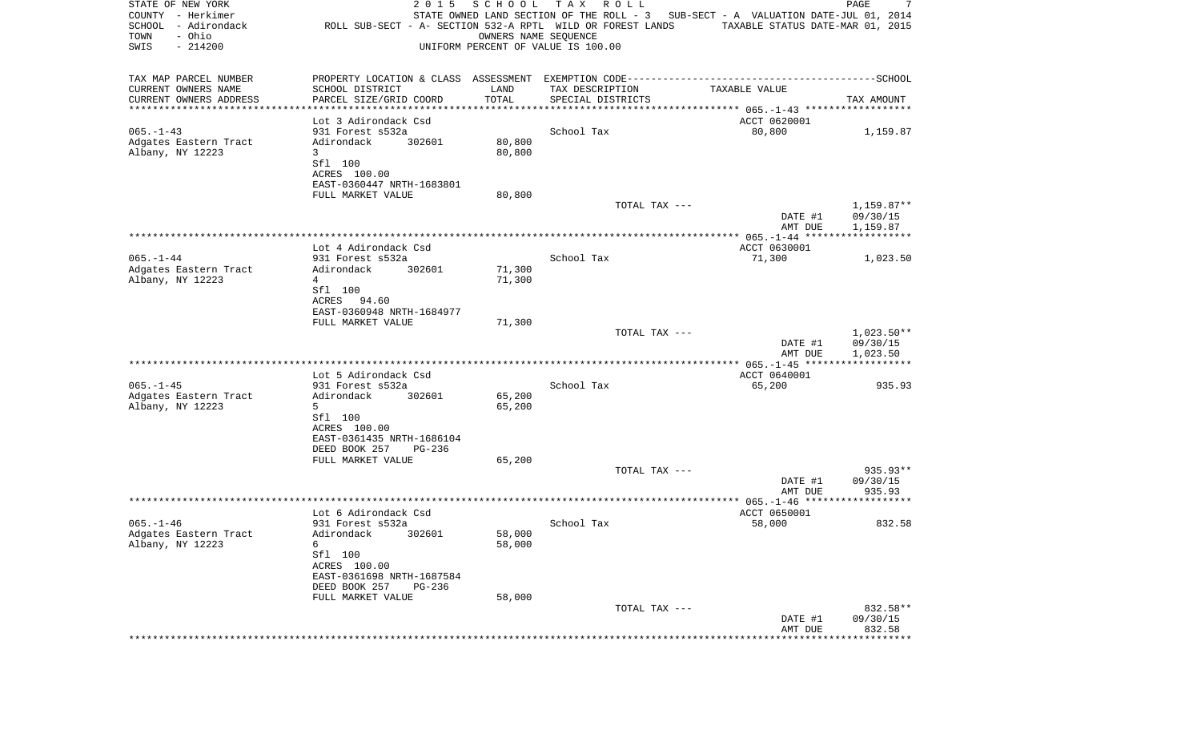| STATE OF NEW YORK<br>COUNTY - Herkimer<br>SCHOOL - Adirondack<br>- Ohio<br>TOWN<br>SWIS<br>$-214200$ | 2 0 1 5<br>ROLL SUB-SECT - A- SECTION 532-A RPTL WILD OR FOREST LANDS | SCHOOL<br>OWNERS NAME SEQUENCE | T A X<br>R O L L<br>UNIFORM PERCENT OF VALUE IS 100.00 | STATE OWNED LAND SECTION OF THE ROLL - 3 SUB-SECT - A VALUATION DATE-JUL 01, 2014<br>TAXABLE STATUS DATE-MAR 01, 2015 | PAGE<br>7              |
|------------------------------------------------------------------------------------------------------|-----------------------------------------------------------------------|--------------------------------|--------------------------------------------------------|-----------------------------------------------------------------------------------------------------------------------|------------------------|
| TAX MAP PARCEL NUMBER                                                                                |                                                                       |                                |                                                        |                                                                                                                       |                        |
| CURRENT OWNERS NAME                                                                                  | SCHOOL DISTRICT                                                       | LAND                           | TAX DESCRIPTION                                        | TAXABLE VALUE                                                                                                         |                        |
| CURRENT OWNERS ADDRESS                                                                               | PARCEL SIZE/GRID COORD                                                | TOTAL                          | SPECIAL DISTRICTS                                      |                                                                                                                       | TAX AMOUNT             |
| ***********************                                                                              | Lot 3 Adirondack Csd                                                  |                                |                                                        | ACCT 0620001                                                                                                          |                        |
| $065. - 1 - 43$                                                                                      | 931 Forest s532a                                                      |                                | School Tax                                             | 80,800                                                                                                                | 1,159.87               |
| Adgates Eastern Tract                                                                                | 302601<br>Adirondack                                                  | 80,800                         |                                                        |                                                                                                                       |                        |
| Albany, NY 12223                                                                                     | 3                                                                     | 80,800                         |                                                        |                                                                                                                       |                        |
|                                                                                                      | Sfl 100<br>ACRES 100.00                                               |                                |                                                        |                                                                                                                       |                        |
|                                                                                                      | EAST-0360447 NRTH-1683801                                             |                                |                                                        |                                                                                                                       |                        |
|                                                                                                      | FULL MARKET VALUE                                                     | 80,800                         |                                                        |                                                                                                                       |                        |
|                                                                                                      |                                                                       |                                | TOTAL TAX ---                                          | DATE #1                                                                                                               | 1,159.87**<br>09/30/15 |
|                                                                                                      |                                                                       |                                |                                                        | AMT DUE                                                                                                               | 1,159.87               |
|                                                                                                      |                                                                       |                                |                                                        |                                                                                                                       |                        |
| $065. - 1 - 44$                                                                                      | Lot 4 Adirondack Csd<br>931 Forest s532a                              |                                | School Tax                                             | ACCT 0630001<br>71,300                                                                                                | 1,023.50               |
| Adgates Eastern Tract                                                                                | 302601<br>Adirondack                                                  | 71,300                         |                                                        |                                                                                                                       |                        |
| Albany, NY 12223                                                                                     | 4                                                                     | 71,300                         |                                                        |                                                                                                                       |                        |
|                                                                                                      | Sfl 100<br>ACRES 94.60                                                |                                |                                                        |                                                                                                                       |                        |
|                                                                                                      | EAST-0360948 NRTH-1684977                                             |                                |                                                        |                                                                                                                       |                        |
|                                                                                                      | FULL MARKET VALUE                                                     | 71,300                         |                                                        |                                                                                                                       |                        |
|                                                                                                      |                                                                       |                                | TOTAL TAX ---                                          |                                                                                                                       | $1,023.50**$           |
|                                                                                                      |                                                                       |                                |                                                        | DATE #1<br>AMT DUE                                                                                                    | 09/30/15<br>1,023.50   |
|                                                                                                      |                                                                       |                                |                                                        |                                                                                                                       |                        |
|                                                                                                      | Lot 5 Adirondack Csd                                                  |                                |                                                        | ACCT 0640001                                                                                                          |                        |
| $065. -1 - 45$<br>Adgates Eastern Tract                                                              | 931 Forest s532a<br>Adirondack<br>302601                              | 65,200                         | School Tax                                             | 65,200                                                                                                                | 935.93                 |
| Albany, NY 12223                                                                                     | 5                                                                     | 65,200                         |                                                        |                                                                                                                       |                        |
|                                                                                                      | Sfl 100                                                               |                                |                                                        |                                                                                                                       |                        |
|                                                                                                      | ACRES 100.00<br>EAST-0361435 NRTH-1686104                             |                                |                                                        |                                                                                                                       |                        |
|                                                                                                      | DEED BOOK 257<br>PG-236                                               |                                |                                                        |                                                                                                                       |                        |
|                                                                                                      | FULL MARKET VALUE                                                     | 65,200                         |                                                        |                                                                                                                       |                        |
|                                                                                                      |                                                                       |                                | TOTAL TAX ---                                          | DATE #1                                                                                                               | 935.93**<br>09/30/15   |
|                                                                                                      |                                                                       |                                |                                                        | AMT DUE                                                                                                               | 935.93                 |
|                                                                                                      |                                                                       |                                |                                                        |                                                                                                                       |                        |
|                                                                                                      | Lot 6 Adirondack Csd                                                  |                                |                                                        | ACCT 0650001                                                                                                          |                        |
| $065. - 1 - 46$<br>Adgates Eastern Tract                                                             | 931 Forest s532a<br>Adirondack 302601                                 | 58,000                         | School Tax                                             | 58,000                                                                                                                | 832.58                 |
| Albany, NY 12223                                                                                     | 6                                                                     | 58,000                         |                                                        |                                                                                                                       |                        |
|                                                                                                      | Sfl 100                                                               |                                |                                                        |                                                                                                                       |                        |
|                                                                                                      | ACRES 100.00<br>EAST-0361698 NRTH-1687584                             |                                |                                                        |                                                                                                                       |                        |
|                                                                                                      | DEED BOOK 257<br><b>PG-236</b>                                        |                                |                                                        |                                                                                                                       |                        |
|                                                                                                      | FULL MARKET VALUE                                                     | 58,000                         |                                                        |                                                                                                                       |                        |
|                                                                                                      |                                                                       |                                | TOTAL TAX ---                                          | DATE #1                                                                                                               | 832.58**<br>09/30/15   |
|                                                                                                      |                                                                       |                                |                                                        | AMT DUE                                                                                                               | 832.58                 |
|                                                                                                      |                                                                       |                                |                                                        |                                                                                                                       |                        |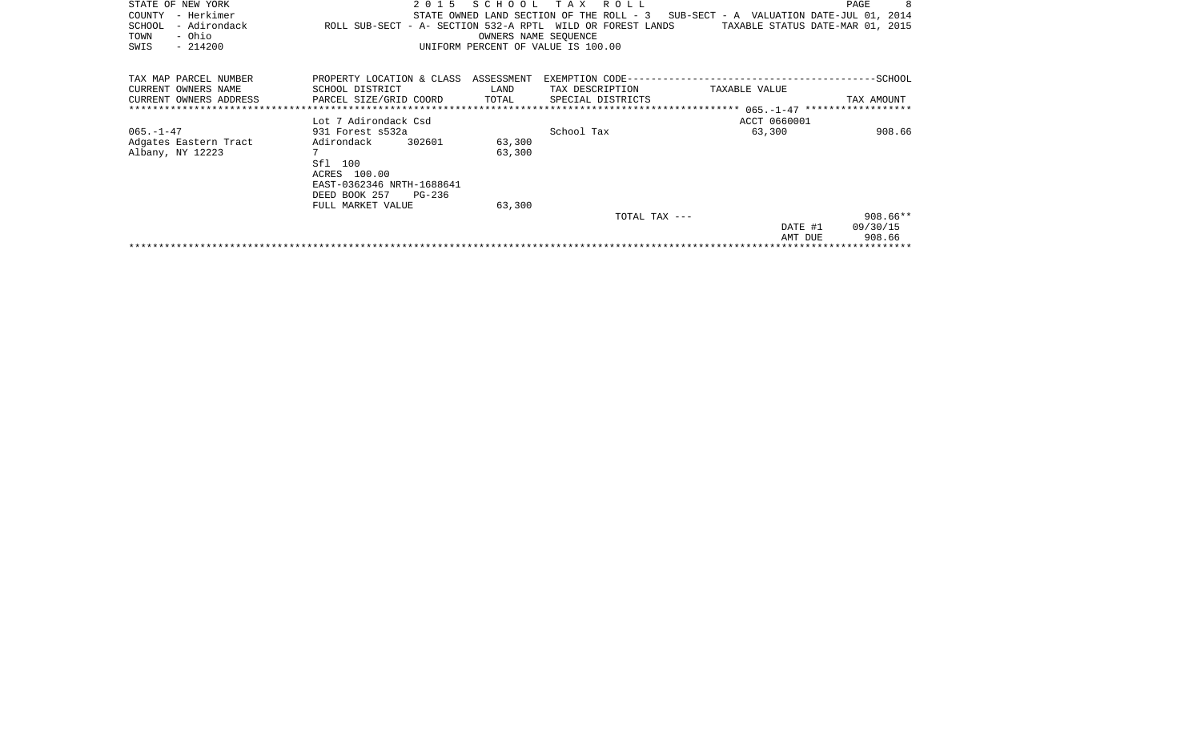| STATE OF NEW YORK<br>- Herkimer<br>COUNTY<br>- Adirondack<br>SCHOOL<br>- Ohio<br>TOWN<br>$-214200$<br>SWIS | 2 0 1 5<br>ROLL SUB-SECT - A- SECTION 532-A RPTL WILD OR FOREST LANDS | SCHOOL<br>OWNERS NAME SEOUENCE | T A X<br>ROLL<br>STATE OWNED LAND SECTION OF THE ROLL - 3<br>UNIFORM PERCENT OF VALUE IS 100.00 | SUB-SECT - A VALUATION DATE-JUL 01, 2014<br>TAXABLE STATUS DATE-MAR 01, 2015 | PAGE       |
|------------------------------------------------------------------------------------------------------------|-----------------------------------------------------------------------|--------------------------------|-------------------------------------------------------------------------------------------------|------------------------------------------------------------------------------|------------|
| TAX MAP PARCEL NUMBER                                                                                      | PROPERTY LOCATION & CLASS                                             | ASSESSMENT                     | EXEMPTION CODE--                                                                                |                                                                              | -SCHOOL    |
| CURRENT OWNERS NAME                                                                                        | SCHOOL DISTRICT                                                       | LAND                           | TAX DESCRIPTION                                                                                 | TAXABLE VALUE                                                                |            |
| CURRENT OWNERS ADDRESS                                                                                     | PARCEL SIZE/GRID COORD                                                | TOTAL                          | SPECIAL DISTRICTS                                                                               |                                                                              | TAX AMOUNT |
|                                                                                                            |                                                                       |                                |                                                                                                 |                                                                              |            |
|                                                                                                            | Lot 7 Adirondack Csd                                                  |                                |                                                                                                 | ACCT 0660001                                                                 |            |
| $065. - 1 - 47$                                                                                            | 931 Forest s532a                                                      |                                | School Tax                                                                                      | 63,300                                                                       | 908.66     |
| Adgates Eastern Tract                                                                                      | 302601<br>Adirondack                                                  | 63,300                         |                                                                                                 |                                                                              |            |
| Albany, NY 12223                                                                                           | $7\phantom{.0}$                                                       | 63,300                         |                                                                                                 |                                                                              |            |
|                                                                                                            | Sfl<br>100                                                            |                                |                                                                                                 |                                                                              |            |
|                                                                                                            | ACRES 100.00                                                          |                                |                                                                                                 |                                                                              |            |
|                                                                                                            | EAST-0362346 NRTH-1688641                                             |                                |                                                                                                 |                                                                              |            |
|                                                                                                            | DEED BOOK 257<br>PG-236                                               |                                |                                                                                                 |                                                                              |            |
|                                                                                                            | FULL MARKET VALUE                                                     | 63,300                         |                                                                                                 |                                                                              |            |
|                                                                                                            |                                                                       |                                | TOTAL TAX ---                                                                                   |                                                                              | $908.66**$ |
|                                                                                                            |                                                                       |                                |                                                                                                 | DATE #1                                                                      | 09/30/15   |
|                                                                                                            |                                                                       |                                |                                                                                                 | AMT DUE                                                                      | 908.66     |
|                                                                                                            |                                                                       |                                |                                                                                                 |                                                                              |            |
|                                                                                                            |                                                                       |                                |                                                                                                 |                                                                              |            |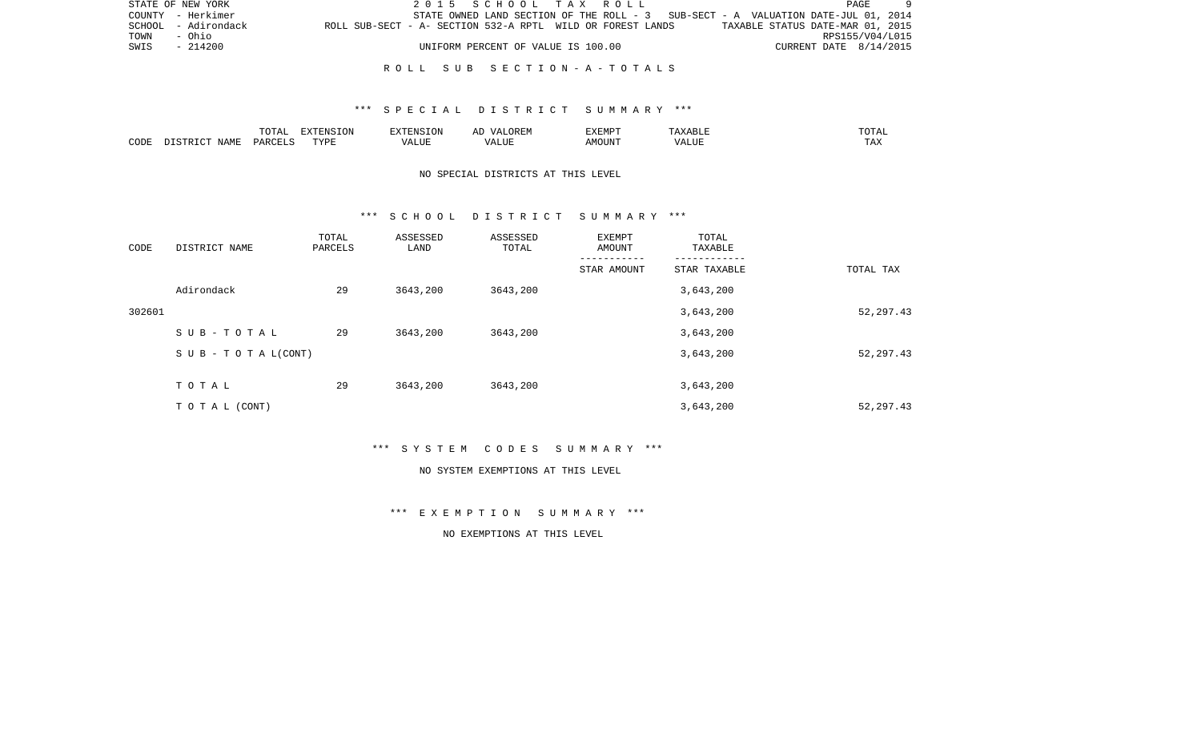|             | STATE OF NEW YORK   |                                                            |  | 2015 SCHOOL TAX ROLL               |  |  |                                                                                   |                                  |                        | PAGE |  |
|-------------|---------------------|------------------------------------------------------------|--|------------------------------------|--|--|-----------------------------------------------------------------------------------|----------------------------------|------------------------|------|--|
|             | COUNTY - Herkimer   |                                                            |  |                                    |  |  | STATE OWNED LAND SECTION OF THE ROLL - 3 SUB-SECT - A VALUATION DATE-JUL 01, 2014 |                                  |                        |      |  |
|             | SCHOOL - Adirondack | ROLL SUB-SECT - A- SECTION 532-A RPTL WILD OR FOREST LANDS |  |                                    |  |  |                                                                                   | TAXABLE STATUS DATE-MAR 01, 2015 |                        |      |  |
| TOWN - Ohio |                     |                                                            |  |                                    |  |  |                                                                                   |                                  | RPS155/V04/L015        |      |  |
| SWIS        | - 214200            |                                                            |  | UNIFORM PERCENT OF VALUE IS 100.00 |  |  |                                                                                   |                                  | CURRENT DATE 8/14/2015 |      |  |
|             |                     |                                                            |  |                                    |  |  |                                                                                   |                                  |                        |      |  |

## \*\*\* S P E C I A L D I S T R I C T S U M M A R Y \*\*\*

|      |                          | TOTA <sub>1</sub><br>◡∸ェ | EXTENSION<br>SIUN | <b>EXTENSION</b><br>. UN          | /\ I<br>$\sqrt{N}$<br>ℶ<br>$\cdots$ | EXEMPT | ABL L                         | .'U'I'AL |
|------|--------------------------|--------------------------|-------------------|-----------------------------------|-------------------------------------|--------|-------------------------------|----------|
| CODE | NAME<br>$ \sim$<br>CTD T | PARCELS                  | TVDF              | $2777$ T TTT<br>$\Delta$<br>பிப்ப | ALUI                                | AMOUNT | $T$ , $T$ , $T$ , $T$<br>ALUE | TAX      |

# NO SPECIAL DISTRICTS AT THIS LEVEL

#### \*\*\* S C H O O L D I S T R I C T S U M M A R Y \*\*\*

| CODE   | DISTRICT NAME                    | TOTAL<br>PARCELS | ASSESSED<br>LAND | ASSESSED<br>TOTAL | EXEMPT<br>AMOUNT | TOTAL<br>TAXABLE |            |
|--------|----------------------------------|------------------|------------------|-------------------|------------------|------------------|------------|
|        |                                  |                  |                  |                   | STAR AMOUNT      | STAR TAXABLE     | TOTAL TAX  |
|        | Adirondack                       | 29               | 3643,200         | 3643,200          |                  | 3,643,200        |            |
| 302601 |                                  |                  |                  |                   |                  | 3,643,200        | 52, 297.43 |
|        | SUB-TOTAL                        | 29               | 3643,200         | 3643,200          |                  | 3,643,200        |            |
|        | $S \cup B - T \cup T A L (CONT)$ |                  |                  |                   |                  | 3,643,200        | 52, 297.43 |
|        | TOTAL                            | 29               | 3643,200         | 3643,200          |                  | 3,643,200        |            |
|        | TO TAL (CONT)                    |                  |                  |                   |                  | 3,643,200        | 52, 297.43 |

\*\*\* S Y S T E M C O D E S S U M M A R Y \*\*\*

#### NO SYSTEM EXEMPTIONS AT THIS LEVEL

\*\*\* E X E M P T I O N S U M M A R Y \*\*\*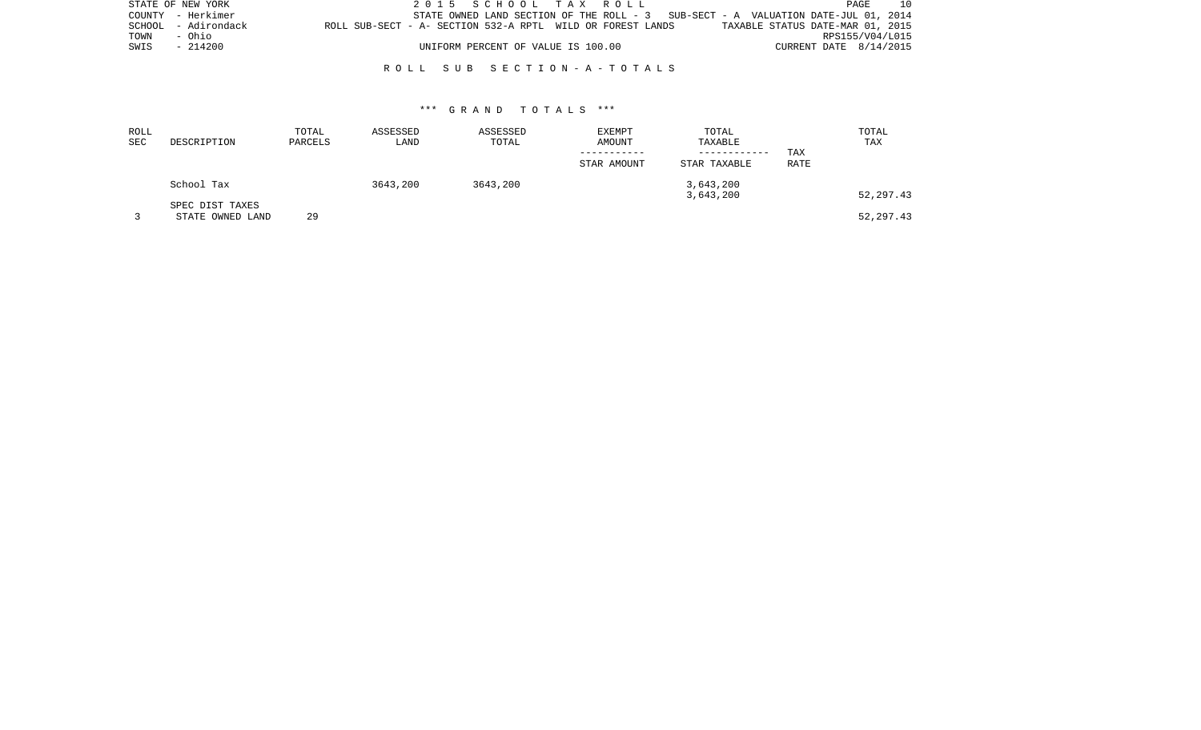| STATE OF NEW YORK |                     |                                                            | 2015 SCHOOL TAX ROLL               |  |  |                                                                                    |                                  |                        | PAGE            | 10 |
|-------------------|---------------------|------------------------------------------------------------|------------------------------------|--|--|------------------------------------------------------------------------------------|----------------------------------|------------------------|-----------------|----|
|                   | COUNTY - Herkimer   |                                                            |                                    |  |  | STATE OWNED LAND SECTION OF THE ROLL $-3$ SUB-SECT - A VALUATION DATE-JUL 01, 2014 |                                  |                        |                 |    |
|                   | SCHOOL - Adirondack | ROLL SUB-SECT - A- SECTION 532-A RPTL WILD OR FOREST LANDS |                                    |  |  |                                                                                    | TAXABLE STATUS DATE-MAR 01, 2015 |                        |                 |    |
| TOWN              | - Ohio              |                                                            |                                    |  |  |                                                                                    |                                  |                        | RPS155/V04/L015 |    |
| SWIS              | - 214200            |                                                            | UNIFORM PERCENT OF VALUE IS 100.00 |  |  |                                                                                    |                                  | CURRENT DATE 8/14/2015 |                 |    |
|                   |                     |                                                            |                                    |  |  |                                                                                    |                                  |                        |                 |    |

| ROLL<br>SEC | DESCRIPTION      | TOTAL<br>PARCELS | ASSESSED<br>LAND | ASSESSED<br>TOTAL | <b>EXEMPT</b><br>AMOUNT | TOTAL<br>TAXABLE<br>------------ | TAX  | TOTAL<br>TAX |
|-------------|------------------|------------------|------------------|-------------------|-------------------------|----------------------------------|------|--------------|
|             |                  |                  |                  |                   | STAR AMOUNT             | STAR TAXABLE                     | RATE |              |
|             | School Tax       |                  | 3643,200         | 3643,200          |                         | 3,643,200                        |      |              |
|             | SPEC DIST TAXES  |                  |                  |                   |                         | 3,643,200                        |      | 52, 297.43   |
|             | STATE OWNED LAND | 29               |                  |                   |                         |                                  |      | 52, 297.43   |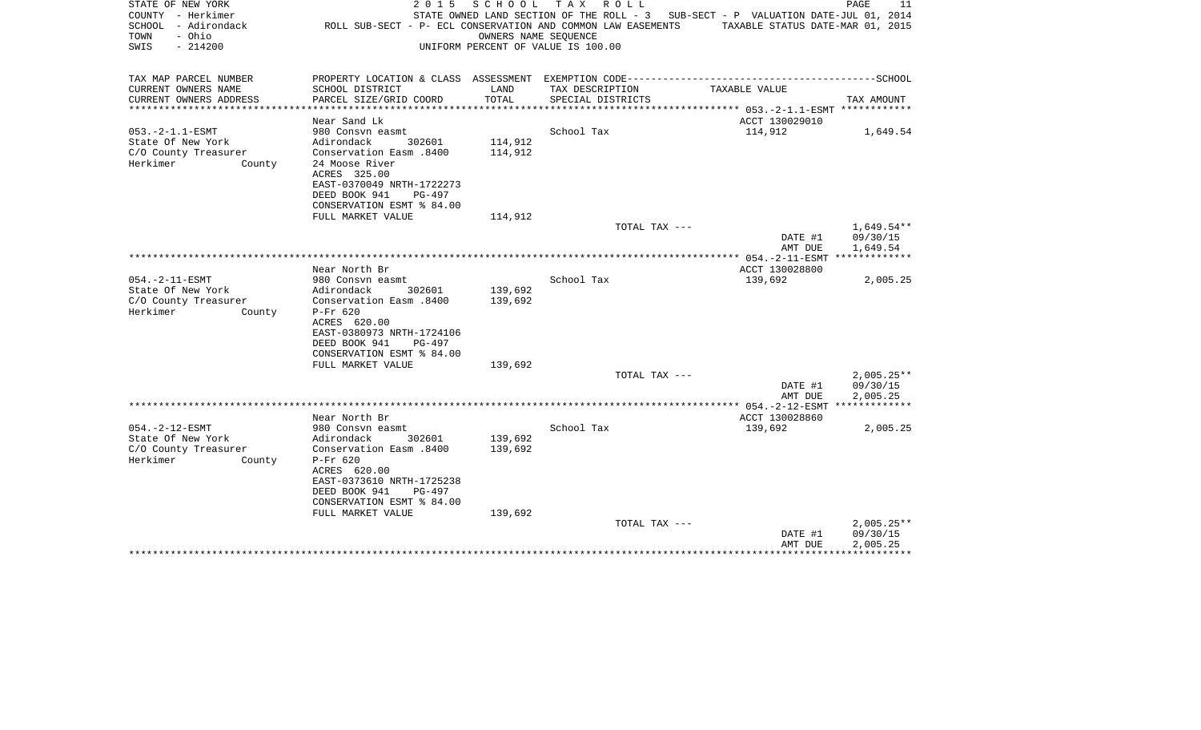| STATE OF NEW YORK<br>COUNTY - Herkimer<br>SCHOOL - Adirondack<br>- Ohio<br>TOWN<br>SWIS<br>$-214200$ | 2 0 1 5<br>ROLL SUB-SECT - P- ECL CONSERVATION AND COMMON LAW EASEMENTS | SCHOOL<br>OWNERS NAME SEQUENCE | T A X<br>R O L L<br>UNIFORM PERCENT OF VALUE IS 100.00 | STATE OWNED LAND SECTION OF THE ROLL - 3 SUB-SECT - P VALUATION DATE-JUL 01, 2014<br>TAXABLE STATUS DATE-MAR 01, 2015 | PAGE<br>11           |
|------------------------------------------------------------------------------------------------------|-------------------------------------------------------------------------|--------------------------------|--------------------------------------------------------|-----------------------------------------------------------------------------------------------------------------------|----------------------|
| TAX MAP PARCEL NUMBER                                                                                |                                                                         |                                |                                                        |                                                                                                                       |                      |
| CURRENT OWNERS NAME                                                                                  | SCHOOL DISTRICT                                                         | LAND                           | TAX DESCRIPTION                                        | TAXABLE VALUE                                                                                                         |                      |
| CURRENT OWNERS ADDRESS                                                                               | PARCEL SIZE/GRID COORD                                                  | TOTAL<br>********************  | SPECIAL DISTRICTS                                      | ************** 053.-2-1.1-ESMT ************                                                                           | TAX AMOUNT           |
|                                                                                                      | Near Sand Lk                                                            |                                |                                                        | ACCT 130029010                                                                                                        |                      |
| $053. -2 - 1.1 - ESMT$                                                                               | 980 Consvn easmt                                                        |                                | School Tax                                             | 114,912                                                                                                               | 1,649.54             |
| State Of New York                                                                                    | Adirondack<br>302601                                                    | 114,912                        |                                                        |                                                                                                                       |                      |
| C/O County Treasurer                                                                                 | 008. Conservation Easm                                                  | 114,912                        |                                                        |                                                                                                                       |                      |
| Herkimer<br>County                                                                                   | 24 Moose River<br>ACRES 325.00                                          |                                |                                                        |                                                                                                                       |                      |
|                                                                                                      | EAST-0370049 NRTH-1722273                                               |                                |                                                        |                                                                                                                       |                      |
|                                                                                                      | DEED BOOK 941<br>$PG-497$                                               |                                |                                                        |                                                                                                                       |                      |
|                                                                                                      | CONSERVATION ESMT % 84.00                                               |                                |                                                        |                                                                                                                       |                      |
|                                                                                                      | FULL MARKET VALUE                                                       | 114,912                        |                                                        |                                                                                                                       |                      |
|                                                                                                      |                                                                         |                                | TOTAL TAX ---                                          |                                                                                                                       | $1,649.54**$         |
|                                                                                                      |                                                                         |                                |                                                        | DATE #1<br>AMT DUE                                                                                                    | 09/30/15<br>1,649.54 |
|                                                                                                      |                                                                         |                                |                                                        | **************** 054.-2-11-ESMT *************                                                                         |                      |
|                                                                                                      | Near North Br                                                           |                                |                                                        | ACCT 130028800                                                                                                        |                      |
| $054. -2 - 11 - ESMT$                                                                                | 980 Consvn easmt                                                        |                                | School Tax                                             | 139,692                                                                                                               | 2,005.25             |
| State Of New York                                                                                    | Adirondack<br>302601                                                    | 139,692                        |                                                        |                                                                                                                       |                      |
| C/O County Treasurer<br>Herkimer<br>County                                                           | Conservation Easm .8400<br>$P-Fr$ 620                                   | 139,692                        |                                                        |                                                                                                                       |                      |
|                                                                                                      | ACRES 620.00                                                            |                                |                                                        |                                                                                                                       |                      |
|                                                                                                      | EAST-0380973 NRTH-1724106                                               |                                |                                                        |                                                                                                                       |                      |
|                                                                                                      | DEED BOOK 941<br>PG-497                                                 |                                |                                                        |                                                                                                                       |                      |
|                                                                                                      | CONSERVATION ESMT % 84.00                                               |                                |                                                        |                                                                                                                       |                      |
|                                                                                                      | FULL MARKET VALUE                                                       | 139,692                        | TOTAL TAX ---                                          |                                                                                                                       | $2,005.25**$         |
|                                                                                                      |                                                                         |                                |                                                        | DATE #1                                                                                                               | 09/30/15             |
|                                                                                                      |                                                                         |                                |                                                        | AMT DUE                                                                                                               | 2,005.25             |
|                                                                                                      |                                                                         |                                |                                                        |                                                                                                                       |                      |
|                                                                                                      | Near North Br                                                           |                                |                                                        | ACCT 130028860                                                                                                        |                      |
| $054. -2 - 12 - ESMT$<br>State Of New York                                                           | 980 Consyn easmt<br>Adirondack<br>302601                                | 139,692                        | School Tax                                             | 139,692                                                                                                               | 2,005.25             |
| C/O County Treasurer                                                                                 | Conservation Easm .8400                                                 | 139,692                        |                                                        |                                                                                                                       |                      |
| Herkimer<br>County                                                                                   | $P-Fr$ 620                                                              |                                |                                                        |                                                                                                                       |                      |
|                                                                                                      | ACRES 620.00                                                            |                                |                                                        |                                                                                                                       |                      |
|                                                                                                      | EAST-0373610 NRTH-1725238                                               |                                |                                                        |                                                                                                                       |                      |
|                                                                                                      | DEED BOOK 941<br>$PG-497$                                               |                                |                                                        |                                                                                                                       |                      |
|                                                                                                      | CONSERVATION ESMT % 84.00<br>FULL MARKET VALUE                          | 139,692                        |                                                        |                                                                                                                       |                      |
|                                                                                                      |                                                                         |                                | TOTAL TAX ---                                          |                                                                                                                       | $2,005.25**$         |
|                                                                                                      |                                                                         |                                |                                                        | DATE #1                                                                                                               | 09/30/15             |
|                                                                                                      |                                                                         |                                |                                                        | AMT DUE                                                                                                               | 2,005.25             |
|                                                                                                      |                                                                         |                                |                                                        |                                                                                                                       |                      |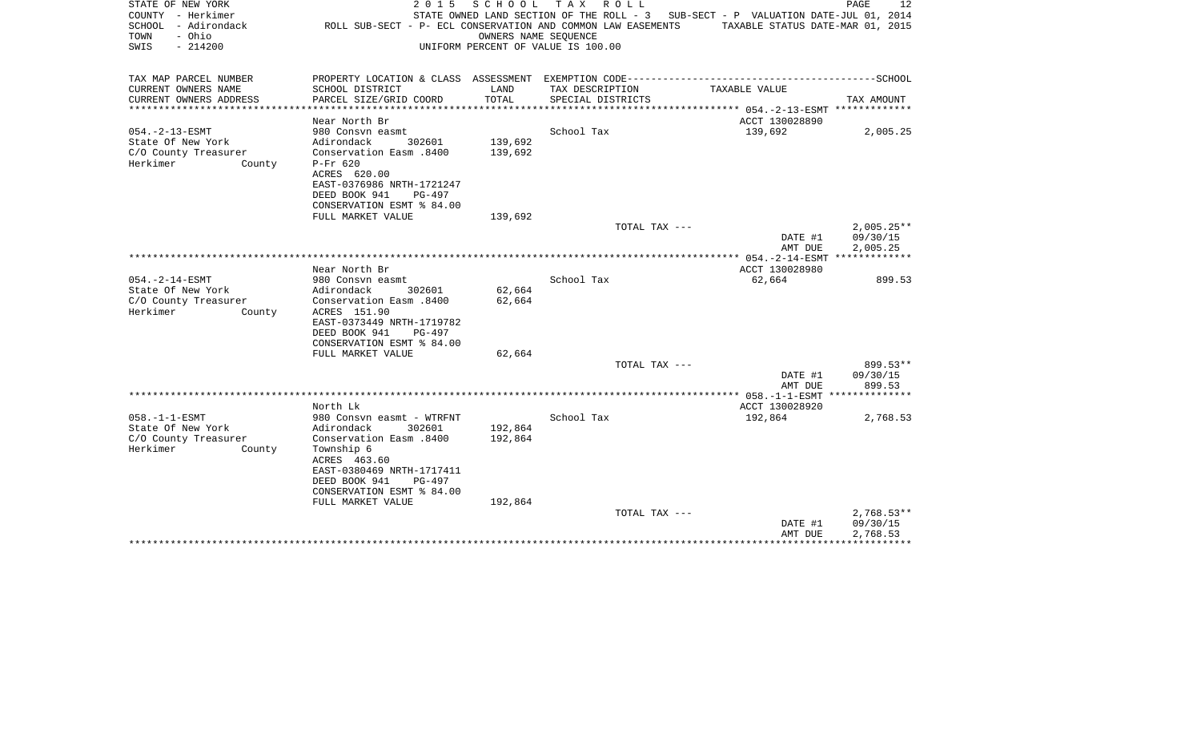| STATE OF NEW YORK<br>COUNTY - Herkimer<br>- Adirondack<br>SCHOOL<br>- Ohio<br>TOWN<br>SWIS<br>$-214200$ | 2 0 1 5<br>ROLL SUB-SECT - P- ECL CONSERVATION AND COMMON LAW EASEMENTS | SCHOOL<br>OWNERS NAME SEOUENCE | T A X<br>R O L L<br>STATE OWNED LAND SECTION OF THE ROLL - 3<br>UNIFORM PERCENT OF VALUE IS 100.00 | SUB-SECT - P VALUATION DATE-JUL 01, 2014<br>TAXABLE STATUS DATE-MAR 01, 2015 | PAGE<br>12               |
|---------------------------------------------------------------------------------------------------------|-------------------------------------------------------------------------|--------------------------------|----------------------------------------------------------------------------------------------------|------------------------------------------------------------------------------|--------------------------|
| TAX MAP PARCEL NUMBER                                                                                   |                                                                         |                                |                                                                                                    |                                                                              |                          |
| CURRENT OWNERS NAME                                                                                     | SCHOOL DISTRICT                                                         | LAND                           | TAX DESCRIPTION                                                                                    | TAXABLE VALUE                                                                |                          |
| CURRENT OWNERS ADDRESS<br>**********************                                                        | PARCEL SIZE/GRID COORD<br>**********************                        | TOTAL<br>***************       | SPECIAL DISTRICTS                                                                                  |                                                                              | TAX AMOUNT               |
|                                                                                                         | Near North Br                                                           |                                |                                                                                                    | ACCT 130028890                                                               |                          |
| $054. -2 - 13 - ESMT$                                                                                   | 980 Consvn easmt                                                        |                                | School Tax                                                                                         | 139,692                                                                      | 2,005.25                 |
| State Of New York                                                                                       | Adirondack<br>302601                                                    | 139,692                        |                                                                                                    |                                                                              |                          |
| C/O County Treasurer                                                                                    | Conservation Easm .8400                                                 | 139,692                        |                                                                                                    |                                                                              |                          |
| Herkimer<br>County                                                                                      | $P-Fr$ 620                                                              |                                |                                                                                                    |                                                                              |                          |
|                                                                                                         | ACRES 620.00                                                            |                                |                                                                                                    |                                                                              |                          |
|                                                                                                         | EAST-0376986 NRTH-1721247                                               |                                |                                                                                                    |                                                                              |                          |
|                                                                                                         | DEED BOOK 941<br>PG-497                                                 |                                |                                                                                                    |                                                                              |                          |
|                                                                                                         | CONSERVATION ESMT % 84.00                                               |                                |                                                                                                    |                                                                              |                          |
|                                                                                                         | FULL MARKET VALUE                                                       | 139,692                        |                                                                                                    |                                                                              |                          |
|                                                                                                         |                                                                         |                                | TOTAL TAX ---                                                                                      | DATE #1                                                                      | $2,005.25**$<br>09/30/15 |
|                                                                                                         |                                                                         |                                |                                                                                                    | AMT DUE                                                                      | 2,005.25                 |
|                                                                                                         |                                                                         |                                |                                                                                                    |                                                                              | *************            |
|                                                                                                         | Near North Br                                                           |                                |                                                                                                    | ACCT 130028980                                                               |                          |
| $054. -2 - 14 - ESMT$                                                                                   | 980 Consyn easmt                                                        |                                | School Tax                                                                                         | 62,664                                                                       | 899.53                   |
| State Of New York                                                                                       | Adirondack<br>302601                                                    | 62,664                         |                                                                                                    |                                                                              |                          |
| C/O County Treasurer                                                                                    | Conservation Easm .8400                                                 | 62,664                         |                                                                                                    |                                                                              |                          |
| Herkimer<br>County                                                                                      | ACRES 151.90                                                            |                                |                                                                                                    |                                                                              |                          |
|                                                                                                         | EAST-0373449 NRTH-1719782                                               |                                |                                                                                                    |                                                                              |                          |
|                                                                                                         | DEED BOOK 941<br>$PG-497$<br>CONSERVATION ESMT % 84.00                  |                                |                                                                                                    |                                                                              |                          |
|                                                                                                         | FULL MARKET VALUE                                                       | 62,664                         |                                                                                                    |                                                                              |                          |
|                                                                                                         |                                                                         |                                | TOTAL TAX ---                                                                                      |                                                                              | 899.53**                 |
|                                                                                                         |                                                                         |                                |                                                                                                    | DATE #1                                                                      | 09/30/15                 |
|                                                                                                         |                                                                         |                                |                                                                                                    | AMT DUE                                                                      | 899.53                   |
|                                                                                                         |                                                                         |                                |                                                                                                    |                                                                              |                          |
|                                                                                                         | North Lk                                                                |                                |                                                                                                    | ACCT 130028920                                                               |                          |
| $058. -1 -1 - ESMT$                                                                                     | 980 Consvn easmt - WTRFNT                                               |                                | School Tax                                                                                         | 192,864                                                                      | 2,768.53                 |
| State Of New York                                                                                       | Adirondack<br>302601                                                    | 192,864                        |                                                                                                    |                                                                              |                          |
| C/O County Treasurer<br>Herkimer                                                                        | Conservation Easm .8400                                                 | 192,864                        |                                                                                                    |                                                                              |                          |
| County                                                                                                  | Township 6<br>ACRES 463.60                                              |                                |                                                                                                    |                                                                              |                          |
|                                                                                                         | EAST-0380469 NRTH-1717411                                               |                                |                                                                                                    |                                                                              |                          |
|                                                                                                         | DEED BOOK 941<br>PG-497                                                 |                                |                                                                                                    |                                                                              |                          |
|                                                                                                         | CONSERVATION ESMT % 84.00                                               |                                |                                                                                                    |                                                                              |                          |
|                                                                                                         | FULL MARKET VALUE                                                       | 192,864                        |                                                                                                    |                                                                              |                          |
|                                                                                                         |                                                                         |                                | TOTAL TAX ---                                                                                      |                                                                              | $2,768.53**$             |
|                                                                                                         |                                                                         |                                |                                                                                                    | DATE #1                                                                      | 09/30/15                 |
|                                                                                                         |                                                                         |                                |                                                                                                    | AMT DUE                                                                      | 2,768.53<br>************ |
|                                                                                                         |                                                                         |                                |                                                                                                    |                                                                              |                          |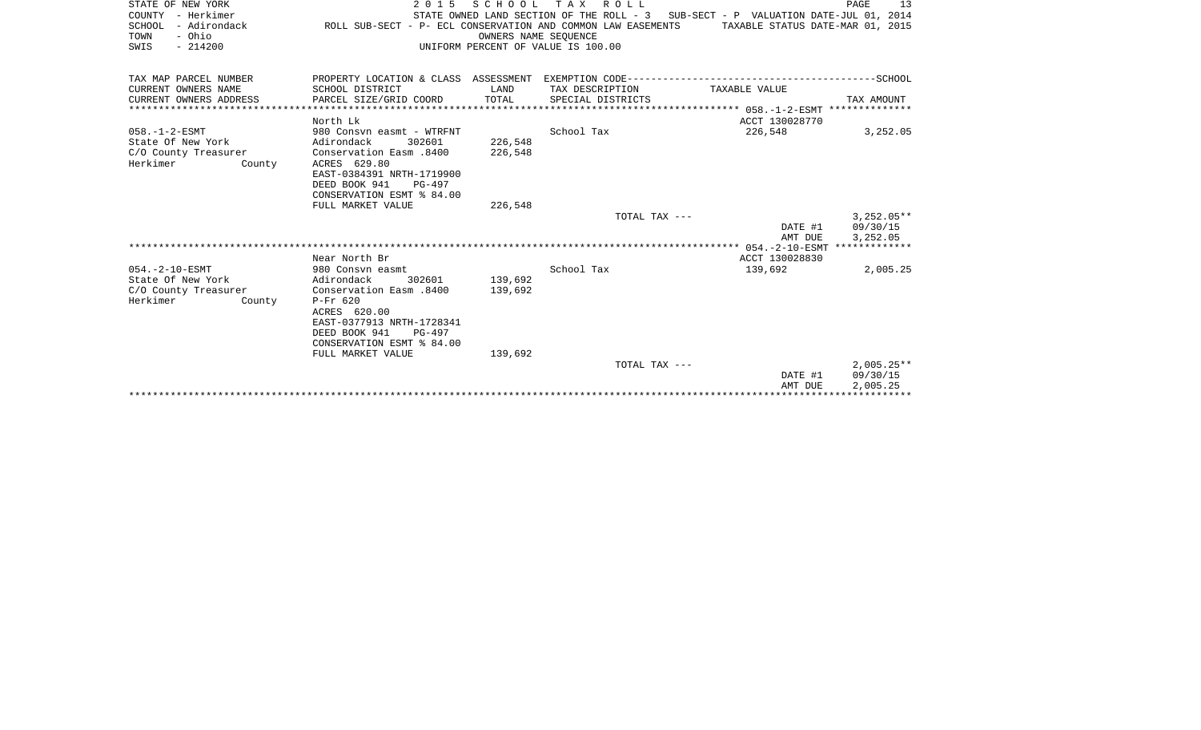| STATE OF NEW YORK<br>COUNTY - Herkimer<br>SCHOOL<br>- Adirondack<br>- Ohio<br>TOWN<br>SWIS<br>$-214200$ | 2 0 1 5<br>ROLL SUB-SECT - P- ECL CONSERVATION AND COMMON LAW EASEMENTS | SCHOOL<br>OWNERS NAME SEOUENCE | TAX ROLL<br>UNIFORM PERCENT OF VALUE IS 100.00 | STATE OWNED LAND SECTION OF THE ROLL - 3 SUB-SECT - P VALUATION DATE-JUL 01, 2014<br>TAXABLE STATUS DATE-MAR 01, 2015 | PAGE<br>13               |
|---------------------------------------------------------------------------------------------------------|-------------------------------------------------------------------------|--------------------------------|------------------------------------------------|-----------------------------------------------------------------------------------------------------------------------|--------------------------|
| TAX MAP PARCEL NUMBER                                                                                   |                                                                         |                                |                                                |                                                                                                                       |                          |
| CURRENT OWNERS NAME                                                                                     | SCHOOL DISTRICT                                                         | LAND                           | TAX DESCRIPTION                                | TAXABLE VALUE                                                                                                         |                          |
| CURRENT OWNERS ADDRESS                                                                                  | PARCEL SIZE/GRID COORD                                                  | TOTAL                          | SPECIAL DISTRICTS                              |                                                                                                                       | TAX AMOUNT               |
|                                                                                                         |                                                                         |                                |                                                |                                                                                                                       |                          |
| $058. - 1 - 2 - ESMT$                                                                                   | North Lk<br>980 Consvn easmt - WTRFNT                                   |                                | School Tax                                     | ACCT 130028770<br>226,548                                                                                             | 3,252.05                 |
| State Of New York                                                                                       | Adirondack<br>302601                                                    | 226,548                        |                                                |                                                                                                                       |                          |
| C/O County Treasurer                                                                                    | Conservation Easm .8400                                                 | 226,548                        |                                                |                                                                                                                       |                          |
| Herkimer<br>County                                                                                      | ACRES 629.80                                                            |                                |                                                |                                                                                                                       |                          |
|                                                                                                         | EAST-0384391 NRTH-1719900                                               |                                |                                                |                                                                                                                       |                          |
|                                                                                                         | DEED BOOK 941<br>PG-497                                                 |                                |                                                |                                                                                                                       |                          |
|                                                                                                         | CONSERVATION ESMT % 84.00                                               |                                |                                                |                                                                                                                       |                          |
|                                                                                                         | FULL MARKET VALUE                                                       | 226,548                        |                                                |                                                                                                                       |                          |
|                                                                                                         |                                                                         |                                | TOTAL TAX ---                                  | DATE #1                                                                                                               | $3.252.05**$<br>09/30/15 |
|                                                                                                         |                                                                         |                                |                                                | AMT DUE                                                                                                               | 3,252.05                 |
|                                                                                                         |                                                                         |                                |                                                |                                                                                                                       |                          |
|                                                                                                         | Near North Br                                                           |                                |                                                | ACCT 130028830                                                                                                        |                          |
| $054. - 2 - 10 - ESMT$                                                                                  | 980 Consvn easmt                                                        |                                | School Tax                                     | 139,692                                                                                                               | 2,005.25                 |
| State Of New York                                                                                       | Adirondack<br>302601                                                    | 139,692                        |                                                |                                                                                                                       |                          |
| C/O County Treasurer                                                                                    | Conservation Easm .8400                                                 | 139,692                        |                                                |                                                                                                                       |                          |
| Herkimer<br>County                                                                                      | $P-Fr$ 620<br>ACRES 620.00                                              |                                |                                                |                                                                                                                       |                          |
|                                                                                                         | EAST-0377913 NRTH-1728341                                               |                                |                                                |                                                                                                                       |                          |
|                                                                                                         | DEED BOOK 941<br>$PG-497$                                               |                                |                                                |                                                                                                                       |                          |
|                                                                                                         | CONSERVATION ESMT % 84.00                                               |                                |                                                |                                                                                                                       |                          |
|                                                                                                         | FULL MARKET VALUE                                                       | 139,692                        |                                                |                                                                                                                       |                          |
|                                                                                                         |                                                                         |                                | TOTAL TAX ---                                  |                                                                                                                       | $2,005.25**$             |
|                                                                                                         |                                                                         |                                |                                                | DATE #1                                                                                                               | 09/30/15                 |
|                                                                                                         |                                                                         |                                |                                                | AMT DUE                                                                                                               | 2,005.25                 |
|                                                                                                         |                                                                         |                                |                                                |                                                                                                                       |                          |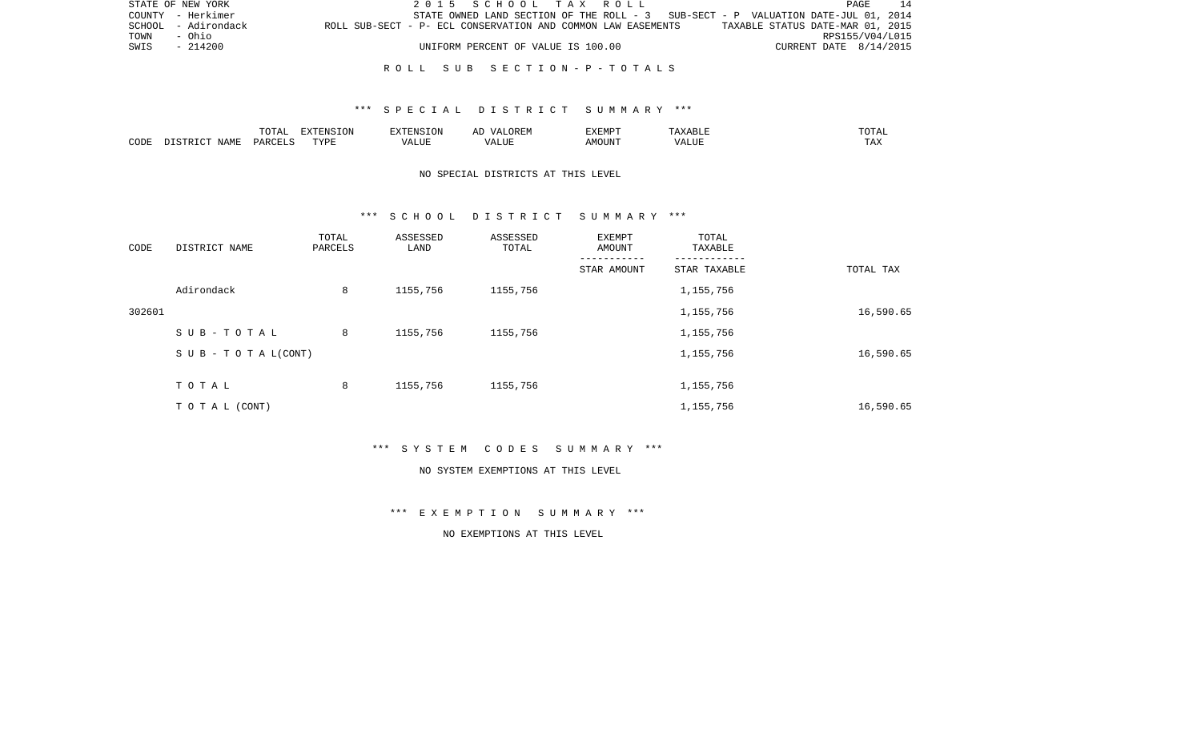|      | STATE OF NEW YORK   |                                                              | 2015 SCHOOL TAX ROLL                                                              |                                    |  |  |                                  |                        | PAGE | <sup>-</sup> 14 |
|------|---------------------|--------------------------------------------------------------|-----------------------------------------------------------------------------------|------------------------------------|--|--|----------------------------------|------------------------|------|-----------------|
|      | COUNTY - Herkimer   |                                                              | STATE OWNED LAND SECTION OF THE ROLL - 3 SUB-SECT - P VALUATION DATE-JUL 01, 2014 |                                    |  |  |                                  |                        |      |                 |
|      | SCHOOL - Adirondack | ROLL SUB-SECT - P- ECL CONSERVATION AND COMMON LAW EASEMENTS |                                                                                   |                                    |  |  | TAXABLE STATUS DATE-MAR 01, 2015 |                        |      |                 |
| TOWN | – Ohio              |                                                              |                                                                                   |                                    |  |  |                                  | RPS155/V04/L015        |      |                 |
| SWIS | - 214200            |                                                              |                                                                                   | UNIFORM PERCENT OF VALUE IS 100.00 |  |  |                                  | CURRENT DATE 8/14/2015 |      |                 |
|      |                     |                                                              |                                                                                   |                                    |  |  |                                  |                        |      |                 |

## \*\*\* S P E C I A L D I S T R I C T S U M M A R Y \*\*\*

|      |             | ---      | a'Niv∴ | את PYTENSTON<br>. UN                        |            | 332534DF |                | $\sqrt{2}$<br>UIAI |
|------|-------------|----------|--------|---------------------------------------------|------------|----------|----------------|--------------------|
| CODE | <b>MAML</b> | <u>.</u> |        | 7777777<br>$\prime$ $\prime$ $\prime$<br>-- | 77.<br>பபட | MOTIN'   | $\prime\prime$ | ∸∽                 |

# NO SPECIAL DISTRICTS AT THIS LEVEL

#### \*\*\* S C H O O L D I S T R I C T S U M M A R Y \*\*\*

| CODE   | DISTRICT NAME                    | TOTAL<br>PARCELS | ASSESSED<br>LAND | ASSESSED<br>TOTAL | EXEMPT<br>AMOUNT | TOTAL<br>TAXABLE |           |
|--------|----------------------------------|------------------|------------------|-------------------|------------------|------------------|-----------|
|        |                                  |                  |                  |                   | STAR AMOUNT      | STAR TAXABLE     | TOTAL TAX |
|        | Adirondack                       | 8                | 1155,756         | 1155,756          |                  | 1,155,756        |           |
| 302601 |                                  |                  |                  |                   |                  | 1,155,756        | 16,590.65 |
|        | SUB-TOTAL                        | 8                | 1155,756         | 1155,756          |                  | 1,155,756        |           |
|        | $S \cup B - T \cup T A L (CONT)$ |                  |                  |                   |                  | 1,155,756        | 16,590.65 |
|        | TOTAL                            | 8                | 1155,756         | 1155,756          |                  | 1,155,756        |           |
|        | TO TAL (CONT)                    |                  |                  |                   |                  | 1,155,756        | 16,590.65 |

\*\*\* S Y S T E M C O D E S S U M M A R Y \*\*\*

#### NO SYSTEM EXEMPTIONS AT THIS LEVEL

\*\*\* E X E M P T I O N S U M M A R Y \*\*\*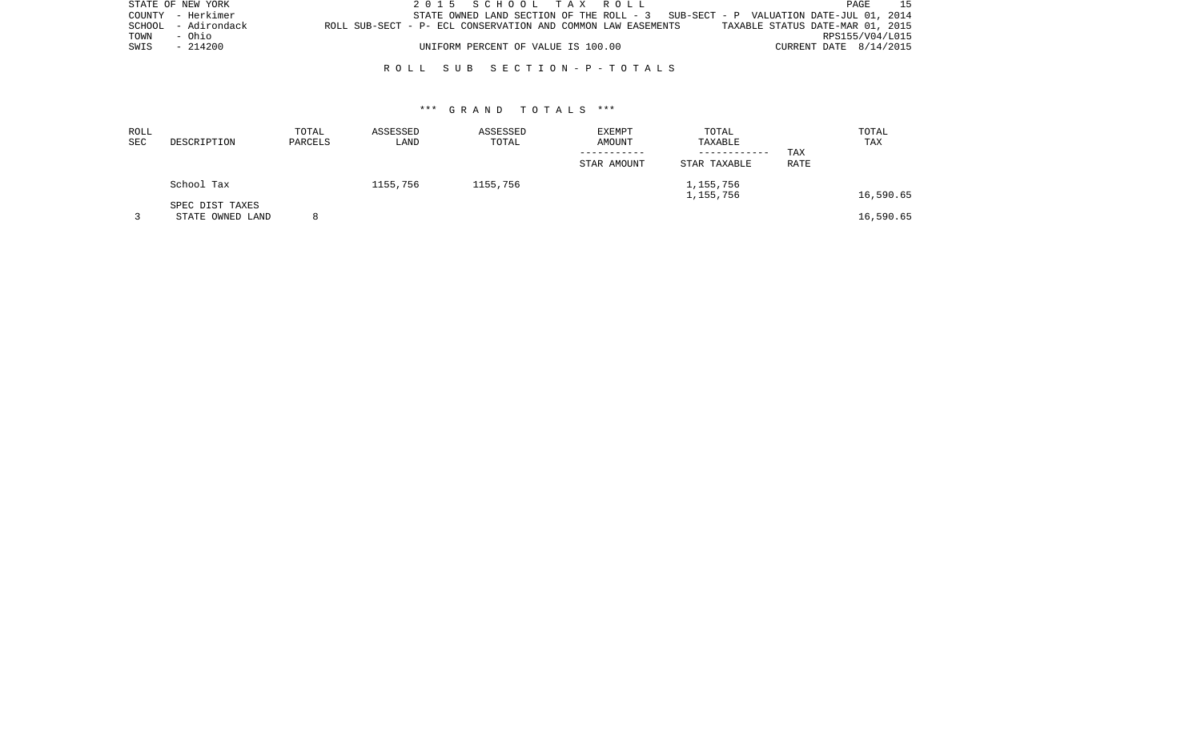|      | STATE OF NEW YORK   |                                                              | 2015 SCHOOL TAX ROLL |                                    |  |                                                                                    |                                  | PAGE            | 15 |
|------|---------------------|--------------------------------------------------------------|----------------------|------------------------------------|--|------------------------------------------------------------------------------------|----------------------------------|-----------------|----|
|      | COUNTY - Herkimer   |                                                              |                      |                                    |  | STATE OWNED LAND SECTION OF THE ROLL $-3$ SUB-SECT - P VALUATION DATE-JUL 01, 2014 |                                  |                 |    |
|      | SCHOOL - Adirondack | ROLL SUB-SECT - P- ECL CONSERVATION AND COMMON LAW EASEMENTS |                      |                                    |  |                                                                                    | TAXABLE STATUS DATE-MAR 01, 2015 |                 |    |
| TOWN | - Ohio              |                                                              |                      |                                    |  |                                                                                    |                                  | RPS155/V04/L015 |    |
| SWIS | - 214200            |                                                              |                      | UNIFORM PERCENT OF VALUE IS 100.00 |  |                                                                                    | CURRENT DATE $8/14/2015$         |                 |    |
|      |                     |                                                              |                      |                                    |  |                                                                                    |                                  |                 |    |

| ROLL<br>SEC | DESCRIPTION                         | TOTAL<br>PARCELS | ASSESSED<br>LAND | ASSESSED<br>TOTAL | EXEMPT<br>AMOUNT<br>STAR AMOUNT | TOTAL<br>TAXABLE<br>------------<br>STAR TAXABLE | TAX<br><b>RATE</b> | TOTAL<br>TAX |
|-------------|-------------------------------------|------------------|------------------|-------------------|---------------------------------|--------------------------------------------------|--------------------|--------------|
|             | School Tax                          |                  | 1155,756         | 1155,756          |                                 | 1,155,756<br>1,155,756                           |                    | 16,590.65    |
|             | SPEC DIST TAXES<br>STATE OWNED LAND |                  |                  |                   |                                 |                                                  |                    | 16,590.65    |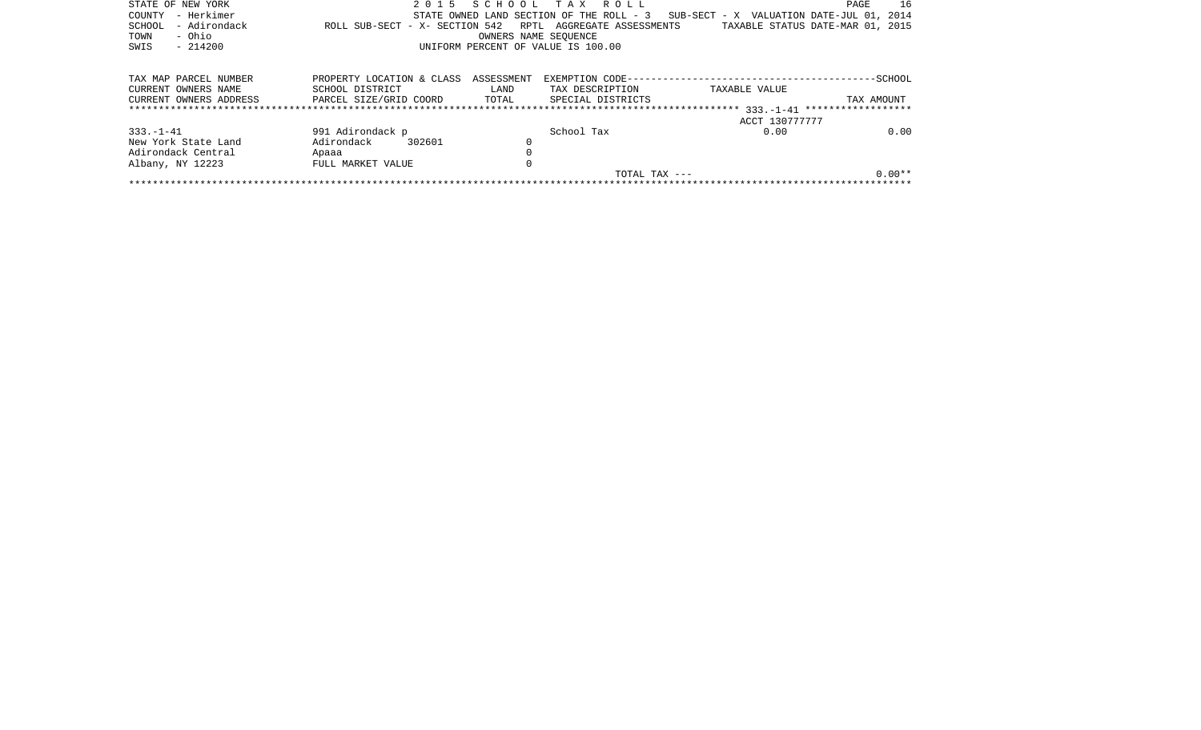| STATE OF NEW YORK      | 2 0 1 5                        | SCHOOL               | TAX ROLL                                 |                                          | PAGE<br>16 |  |  |  |  |  |
|------------------------|--------------------------------|----------------------|------------------------------------------|------------------------------------------|------------|--|--|--|--|--|
| – Herkimer<br>COUNTY   |                                |                      | STATE OWNED LAND SECTION OF THE ROLL - 3 | SUB-SECT - X VALUATION DATE-JUL 01, 2014 |            |  |  |  |  |  |
| - Adirondack<br>SCHOOL | ROLL SUB-SECT - X- SECTION 542 |                      | RPTL AGGREGATE ASSESSMENTS               | TAXABLE STATUS DATE-MAR 01, 2015         |            |  |  |  |  |  |
| - Ohio<br>TOWN         |                                | OWNERS NAME SEOUENCE |                                          |                                          |            |  |  |  |  |  |
| SWIS<br>$-214200$      |                                |                      | UNIFORM PERCENT OF VALUE IS 100.00       |                                          |            |  |  |  |  |  |
|                        |                                |                      |                                          |                                          |            |  |  |  |  |  |
|                        |                                |                      |                                          |                                          |            |  |  |  |  |  |
| TAX MAP PARCEL NUMBER  | PROPERTY LOCATION & CLASS      | ASSESSMENT           |                                          |                                          | -SCHOOL    |  |  |  |  |  |
| CURRENT OWNERS NAME    | SCHOOL DISTRICT                | LAND                 | TAX DESCRIPTION                          | TAXABLE VALUE                            |            |  |  |  |  |  |
| CURRENT OWNERS ADDRESS | PARCEL SIZE/GRID COORD         | TOTAL                | SPECIAL DISTRICTS                        |                                          | TAX AMOUNT |  |  |  |  |  |
|                        |                                |                      |                                          |                                          |            |  |  |  |  |  |
|                        |                                |                      |                                          | ACCT 130777777                           |            |  |  |  |  |  |
| $333. - 1 - 41$        | 991 Adirondack p               |                      | School Tax                               | 0.00                                     | 0.00       |  |  |  |  |  |
| New York State Land    | Adirondack<br>302601           |                      |                                          |                                          |            |  |  |  |  |  |
| Adirondack Central     | Apaaa                          |                      |                                          |                                          |            |  |  |  |  |  |
| Albany, NY 12223       | FULL MARKET VALUE              |                      |                                          |                                          |            |  |  |  |  |  |
|                        |                                |                      | TOTAL TAX $---$                          |                                          | $0.00**$   |  |  |  |  |  |
|                        |                                |                      |                                          |                                          |            |  |  |  |  |  |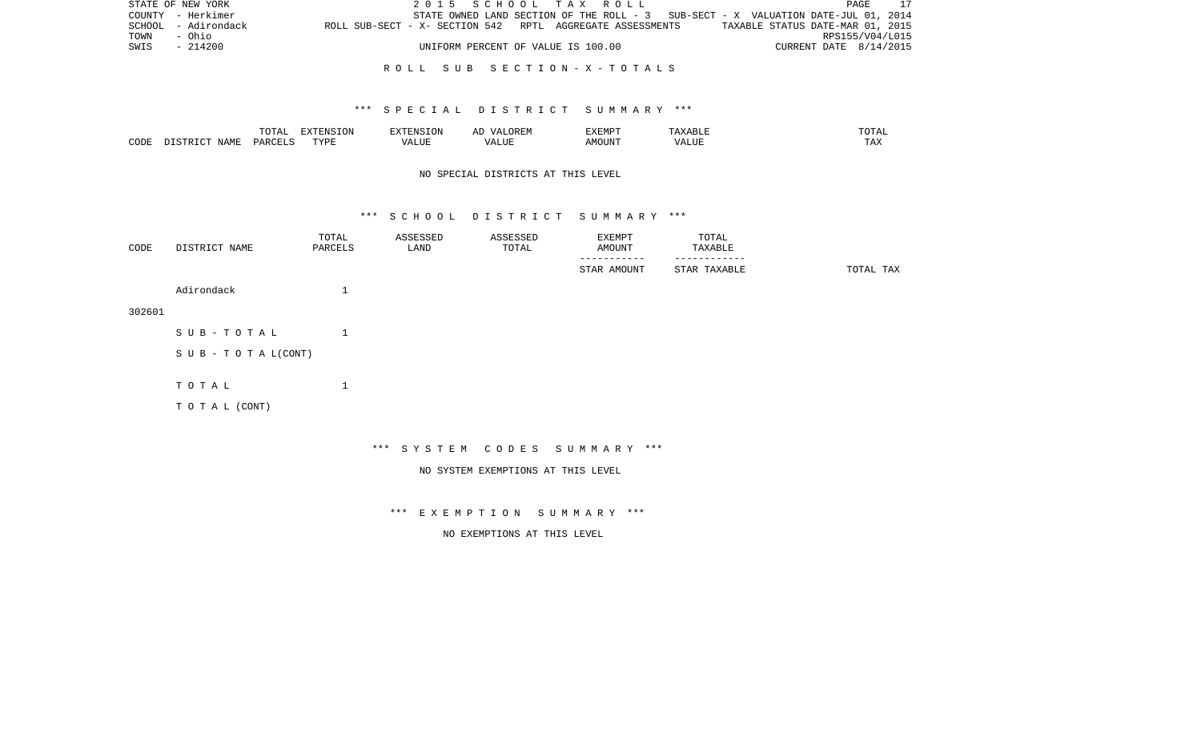|      | STATE OF NEW YORK   |                                                           | 2015 SCHOOL TAX ROLL |                                                                                   |  |  |                                  | PAGE            | 17 |
|------|---------------------|-----------------------------------------------------------|----------------------|-----------------------------------------------------------------------------------|--|--|----------------------------------|-----------------|----|
|      | COUNTY - Herkimer   |                                                           |                      | STATE OWNED LAND SECTION OF THE ROLL - 3 SUB-SECT - X VALUATION DATE-JUL 01, 2014 |  |  |                                  |                 |    |
|      | SCHOOL - Adirondack | ROLL SUB-SECT - X- SECTION 542 RPTL AGGREGATE ASSESSMENTS |                      |                                                                                   |  |  | TAXABLE STATUS DATE-MAR 01, 2015 |                 |    |
| TOWN | – Ohio              |                                                           |                      |                                                                                   |  |  |                                  | RPS155/V04/L015 |    |
| SWIS | - 214200            |                                                           |                      | UNIFORM PERCENT OF VALUE IS 100.00                                                |  |  | CURRENT DATE 8/14/2015           |                 |    |
|      |                     |                                                           |                      |                                                                                   |  |  |                                  |                 |    |

## \*\*\* S P E C I A L D I S T R I C T S U M M A R Y \*\*\*

|      |       | ----   | -------<br>$\overline{ }$ | $\sqrt{11}$                 | ∼         | 135 <del>.</del> 135. 135. 13<br>7 YEMB |             | ---- |
|------|-------|--------|---------------------------|-----------------------------|-----------|-----------------------------------------|-------------|------|
| CODE | NAME. | PARCET | TVDI                      | $-77$<br>$\cdots$<br>" ∪ىدد | ۳۰ بالله، | IOUN".                                  | $T = T + T$ | TΑ)  |

# NO SPECIAL DISTRICTS AT THIS LEVEL

#### \*\*\* S C H O O L D I S T R I C T S U M M A R Y \*\*\*

| CODE   | DISTRICT NAME                    | TOTAL<br>PARCELS | ASSESSED<br>LAND | ASSESSED<br>TOTAL | EXEMPT<br>AMOUNT | TOTAL<br>TAXABLE |           |
|--------|----------------------------------|------------------|------------------|-------------------|------------------|------------------|-----------|
|        |                                  |                  |                  |                   | STAR AMOUNT      | STAR TAXABLE     | TOTAL TAX |
|        | Adirondack                       | 1                |                  |                   |                  |                  |           |
| 302601 |                                  |                  |                  |                   |                  |                  |           |
|        | SUB-TOTAL                        | 1                |                  |                   |                  |                  |           |
|        | $S \cup B - T \cup T A L (CONT)$ |                  |                  |                   |                  |                  |           |
|        |                                  |                  |                  |                   |                  |                  |           |
|        | TOTAL                            | 1                |                  |                   |                  |                  |           |
|        | TO TAL (CONT)                    |                  |                  |                   |                  |                  |           |
|        |                                  |                  |                  |                   |                  |                  |           |

\*\*\* S Y S T E M C O D E S S U M M A R Y \*\*\*

NO SYSTEM EXEMPTIONS AT THIS LEVEL

\*\*\* E X E M P T I O N S U M M A R Y \*\*\*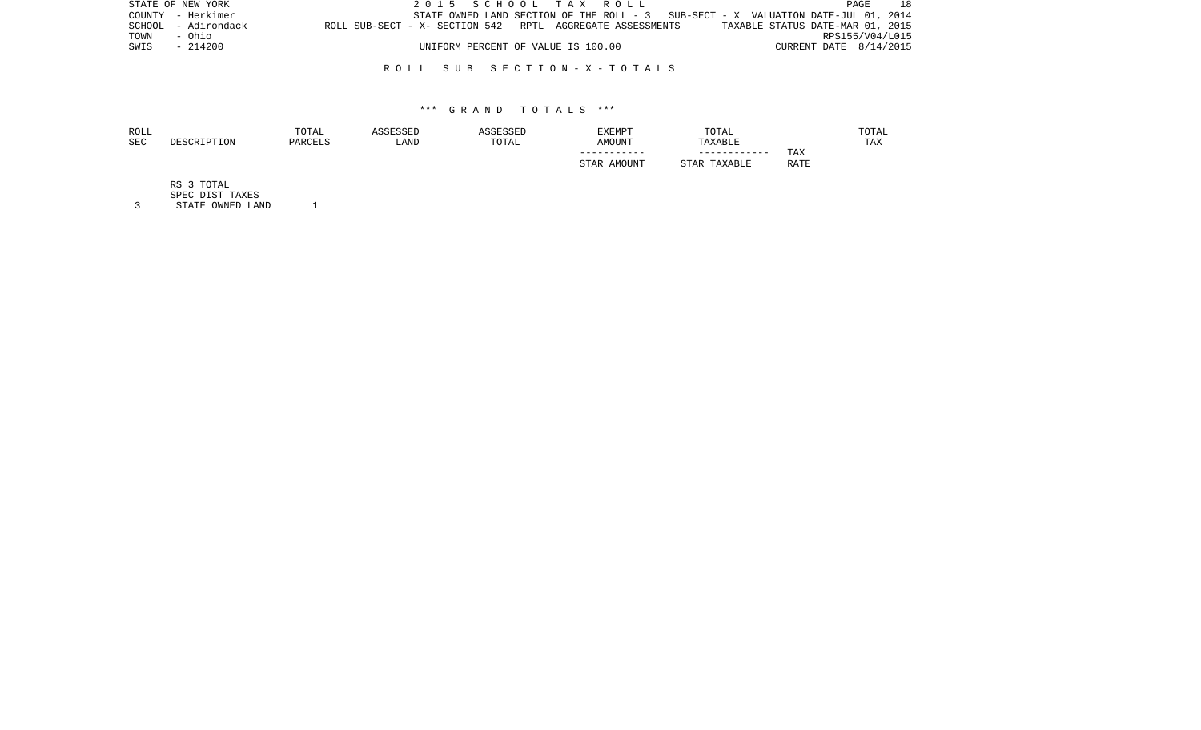| STATE OF NEW YORK   | 2015 SCHOOL TAX ROLL                                                                | 18<br>PAGE                       |
|---------------------|-------------------------------------------------------------------------------------|----------------------------------|
| COUNTY - Herkimer   | STATE OWNED LAND SECTION OF THE ROLL - $3$ SUB-SECT - X VALUATION DATE-JUL 01, 2014 |                                  |
| SCHOOL - Adirondack | ROLL SUB-SECT - X- SECTION 542 RPTL AGGREGATE ASSESSMENTS                           | TAXABLE STATUS DATE-MAR 01, 2015 |
| TOWN<br>- Ohio      |                                                                                     | RPS155/V04/L015                  |
| SWIS<br>- 214200    | UNIFORM PERCENT OF VALUE IS 100.00                                                  | CURRENT DATE 8/14/2015           |
|                     |                                                                                     |                                  |

## \*\*\* G R A N D T O T A L S \*\*\*

| ROLL       |             | TOTAL   | ASSESSED | ASSESSED | EXEMPT      | TOTAL           |             | TOTAL |
|------------|-------------|---------|----------|----------|-------------|-----------------|-------------|-------|
| <b>SEC</b> | DESCRIPTION | PARCELS | LAND     | TOTAL    | AMOUNT      | TAXABLE         |             | TAX   |
|            |             |         |          |          | ----------- | ------------    | TAX         |       |
|            |             |         |          |          | STAR AMOUNT | TAXABLE<br>STAR | <b>RATE</b> |       |
|            |             |         |          |          |             |                 |             |       |

RS 3 TOTAL

SPEC DIST TAXES

3 STATE OWNED LAND 1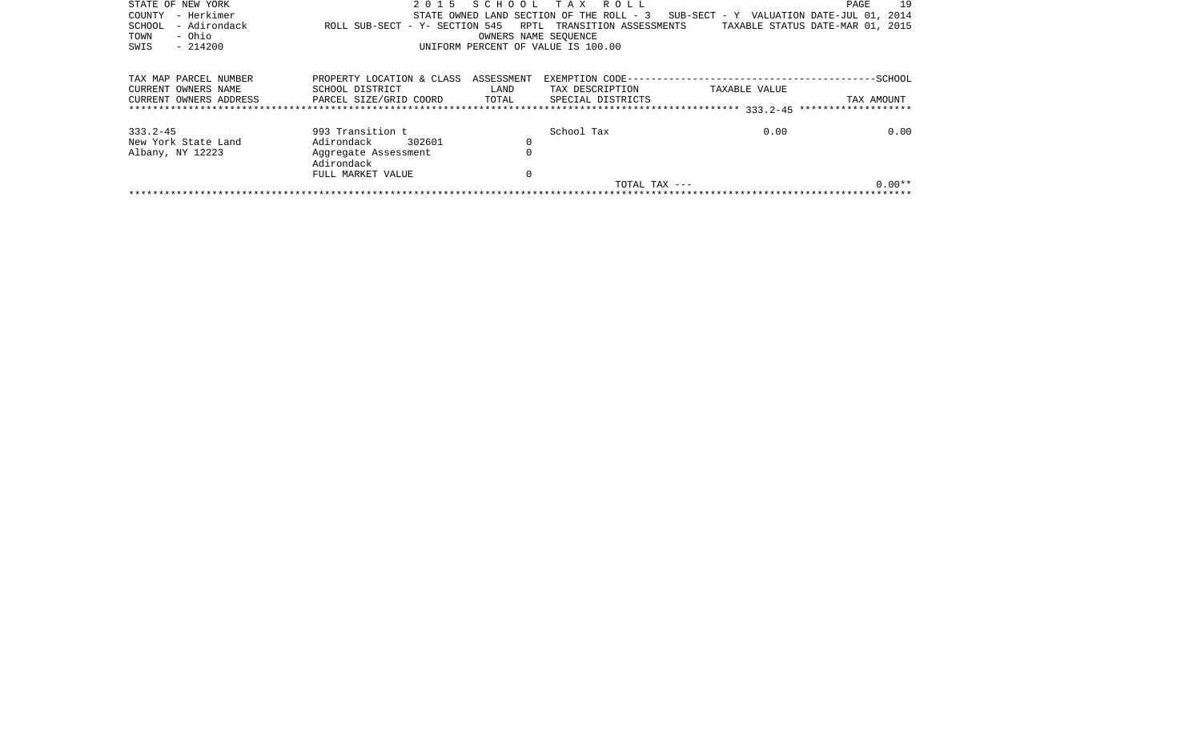| STATE OF NEW YORK      |                                                |          | 2015 SCHOOL TAX ROLL               |                                                                                   | PAGE       | 19       |
|------------------------|------------------------------------------------|----------|------------------------------------|-----------------------------------------------------------------------------------|------------|----------|
| - Herkimer<br>COUNTY   |                                                |          |                                    | STATE OWNED LAND SECTION OF THE ROLL - 3 SUB-SECT - Y VALUATION DATE-JUL 01, 2014 |            |          |
| - Adirondack<br>SCHOOL | ROLL SUB-SECT - Y- SECTION 545                 |          | RPTL TRANSITION ASSESSMENTS        | TAXABLE STATUS DATE-MAR 01, 2015                                                  |            |          |
| - Ohio<br>TOWN         |                                                |          | OWNERS NAME SEOUENCE               |                                                                                   |            |          |
| SWIS<br>$-214200$      |                                                |          | UNIFORM PERCENT OF VALUE IS 100.00 |                                                                                   |            |          |
|                        |                                                |          |                                    |                                                                                   |            |          |
|                        |                                                |          |                                    |                                                                                   |            |          |
| TAX MAP PARCEL NUMBER  | PROPERTY LOCATION & CLASS ASSESSMENT           |          |                                    |                                                                                   |            |          |
| CURRENT OWNERS NAME    | SCHOOL DISTRICT                                | LAND     | TAX DESCRIPTION                    | TAXABLE VALUE                                                                     |            |          |
| CURRENT OWNERS ADDRESS | PARCEL SIZE/GRID COORD TOTAL SPECIAL DISTRICTS |          |                                    |                                                                                   | TAX AMOUNT |          |
|                        |                                                |          |                                    |                                                                                   |            |          |
| 333.2-45               | 993 Transition t                               |          | School Tax                         | 0.00                                                                              |            | 0.00     |
| New York State Land    | 302601<br>Adirondack                           | 0        |                                    |                                                                                   |            |          |
| Albany, NY 12223       | Aggregate Assessment                           | $\Omega$ |                                    |                                                                                   |            |          |
|                        | Adirondack                                     |          |                                    |                                                                                   |            |          |
|                        | FULL MARKET VALUE                              | 0        |                                    |                                                                                   |            |          |
|                        |                                                |          | TOTAL TAX ---                      |                                                                                   |            | $0.00**$ |
|                        |                                                |          |                                    |                                                                                   |            |          |
|                        |                                                |          |                                    |                                                                                   |            |          |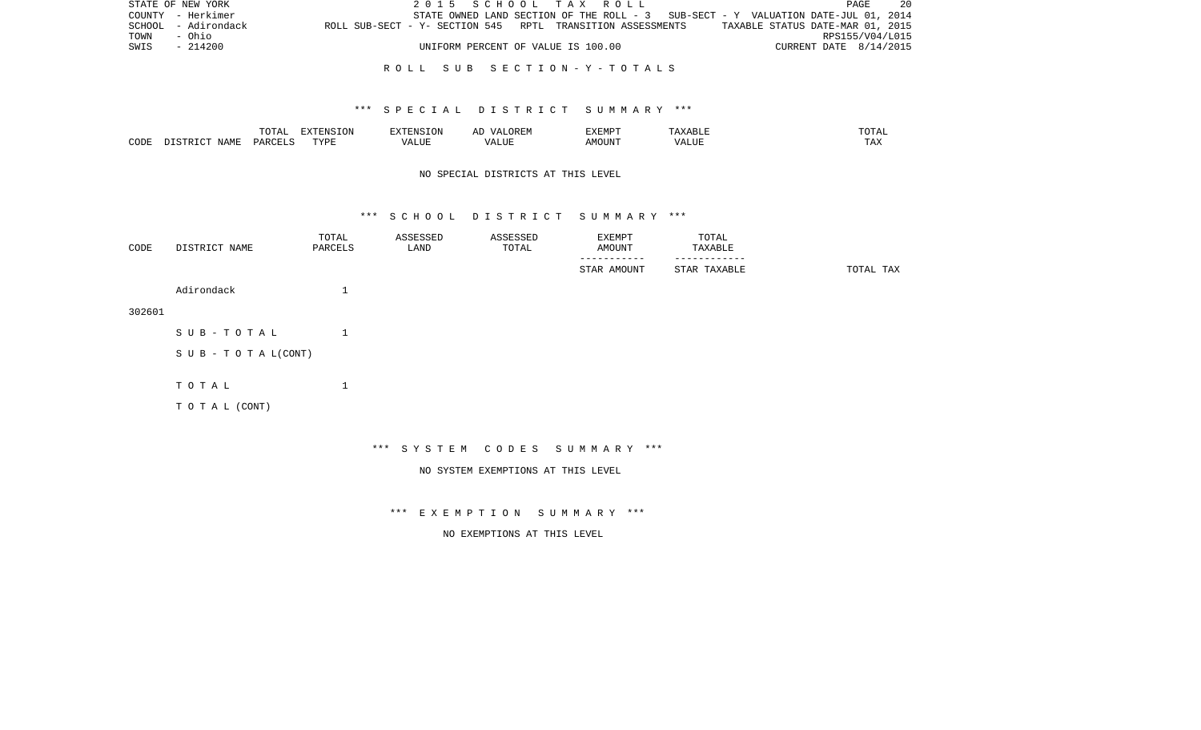|      | STATE OF NEW YORK   |                                                            | 2015 SCHOOL TAX ROLL               |  |  |                                                                                   |                        | PAGE | 20 |
|------|---------------------|------------------------------------------------------------|------------------------------------|--|--|-----------------------------------------------------------------------------------|------------------------|------|----|
|      | COUNTY - Herkimer   |                                                            |                                    |  |  | STATE OWNED LAND SECTION OF THE ROLL - 3 SUB-SECT - Y VALUATION DATE-JUL 01, 2014 |                        |      |    |
|      | SCHOOL - Adirondack | ROLL SUB-SECT - Y- SECTION 545 RPTL TRANSITION ASSESSMENTS |                                    |  |  | TAXABLE STATUS DATE-MAR 01, 2015                                                  |                        |      |    |
| TOWN | - Ohio              |                                                            |                                    |  |  |                                                                                   | RPS155/V04/L015        |      |    |
| SWIS | - 214200            |                                                            | UNIFORM PERCENT OF VALUE IS 100.00 |  |  |                                                                                   | CURRENT DATE 8/14/2015 |      |    |
|      |                     |                                                            |                                    |  |  |                                                                                   |                        |      |    |

## \*\*\* S P E C I A L D I S T R I C T S U M M A R Y \*\*\*

|      |                          | TOTA <sub>1</sub><br>◡∸ェ | EXTENSION<br>SIUN | <b>EXTENSION</b><br>. UN          | /\ I<br>$\sqrt{N}$<br>ℶ<br>$\cdots$ | EXEMPT | ABL L                         | .'U'I'AL |
|------|--------------------------|--------------------------|-------------------|-----------------------------------|-------------------------------------|--------|-------------------------------|----------|
| CODE | NAME<br>$ \sim$<br>CTD T | PARCELS                  | TVDF              | $2777$ T TTT<br>$\Delta$<br>பிப்ப | ALUI                                | AMOUNT | $T$ , $T$ , $T$ , $T$<br>ALUE | TAX      |

# NO SPECIAL DISTRICTS AT THIS LEVEL

#### \*\*\* S C H O O L D I S T R I C T S U M M A R Y \*\*\*

| CODE   | DISTRICT NAME                 | TOTAL<br>PARCELS  | ASSESSED<br>LAND | ASSESSED<br>TOTAL | EXEMPT<br>AMOUNT | TOTAL<br>TAXABLE |           |
|--------|-------------------------------|-------------------|------------------|-------------------|------------------|------------------|-----------|
|        |                               |                   |                  |                   | STAR AMOUNT      | STAR TAXABLE     | TOTAL TAX |
|        | Adirondack                    | $\mathbf{I}$<br>⊥ |                  |                   |                  |                  |           |
| 302601 |                               |                   |                  |                   |                  |                  |           |
|        | SUB-TOTAL                     | $\mathbf{1}$      |                  |                   |                  |                  |           |
|        | $S \cup B - T O T A L (CONT)$ |                   |                  |                   |                  |                  |           |
|        |                               |                   |                  |                   |                  |                  |           |
|        | TOTAL                         | $\mathbf{1}$      |                  |                   |                  |                  |           |
|        | TO TAL (CONT)                 |                   |                  |                   |                  |                  |           |
|        |                               |                   |                  |                   |                  |                  |           |

\*\*\* S Y S T E M C O D E S S U M M A R Y \*\*\*

NO SYSTEM EXEMPTIONS AT THIS LEVEL

\*\*\* E X E M P T I O N S U M M A R Y \*\*\*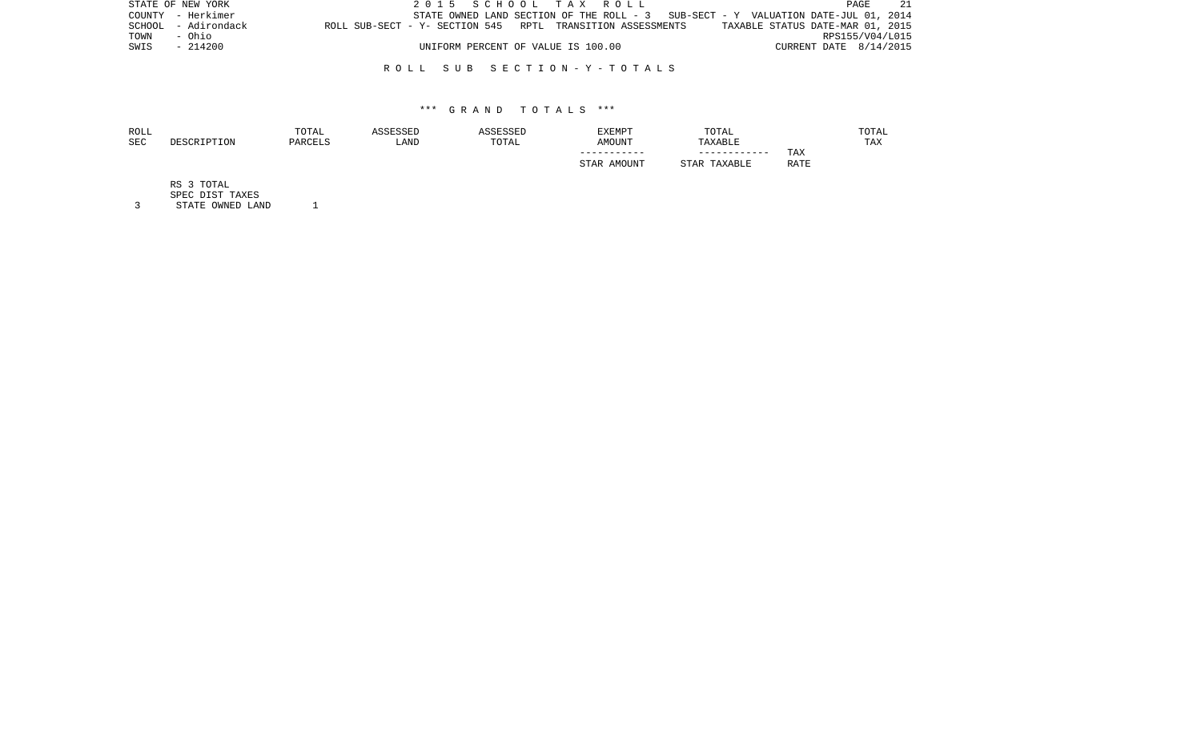| STATE OF NEW YORK   |                                                                                             |                                    | 2015 SCHOOL TAX ROLL                                                              |                          | 21<br>PAGE      |
|---------------------|---------------------------------------------------------------------------------------------|------------------------------------|-----------------------------------------------------------------------------------|--------------------------|-----------------|
| COUNTY - Herkimer   |                                                                                             |                                    | STATE OWNED LAND SECTION OF THE ROLL - 3 SUB-SECT - Y VALUATION DATE-JUL 01, 2014 |                          |                 |
| SCHOOL - Adirondack | ROLL SUB-SECT - Y- SECTION 545 RPTL TRANSITION ASSESSMENTS TAXABLE STATUS DATE-MAR 01, 2015 |                                    |                                                                                   |                          |                 |
| TOWN<br>- Ohio      |                                                                                             |                                    |                                                                                   |                          | RPS155/V04/L015 |
| SWIS - 214200       |                                                                                             | UNIFORM PERCENT OF VALUE IS 100.00 |                                                                                   | CURRENT DATE $8/14/2015$ |                 |

## \*\*\* G R A N D T O T A L S \*\*\*

| ROLL       |             | TOTAL   | ASSESSED | ASSESSED | <b>EXEMPT</b> | TOTAL           |             | TOTAL |
|------------|-------------|---------|----------|----------|---------------|-----------------|-------------|-------|
| <b>SEC</b> | DESCRIPTION | PARCELS | LAND     | TOTAL    | AMOUNT        | TAXABLE         |             | TAX   |
|            |             |         |          |          | -----------   | ------------    | <b>TAX</b>  |       |
|            |             |         |          |          | STAR AMOUNT   | TAXABLE<br>STAR | <b>RATE</b> |       |
|            |             |         |          |          |               |                 |             |       |

RS 3 TOTAL

SPEC DIST TAXES

3 STATE OWNED LAND 1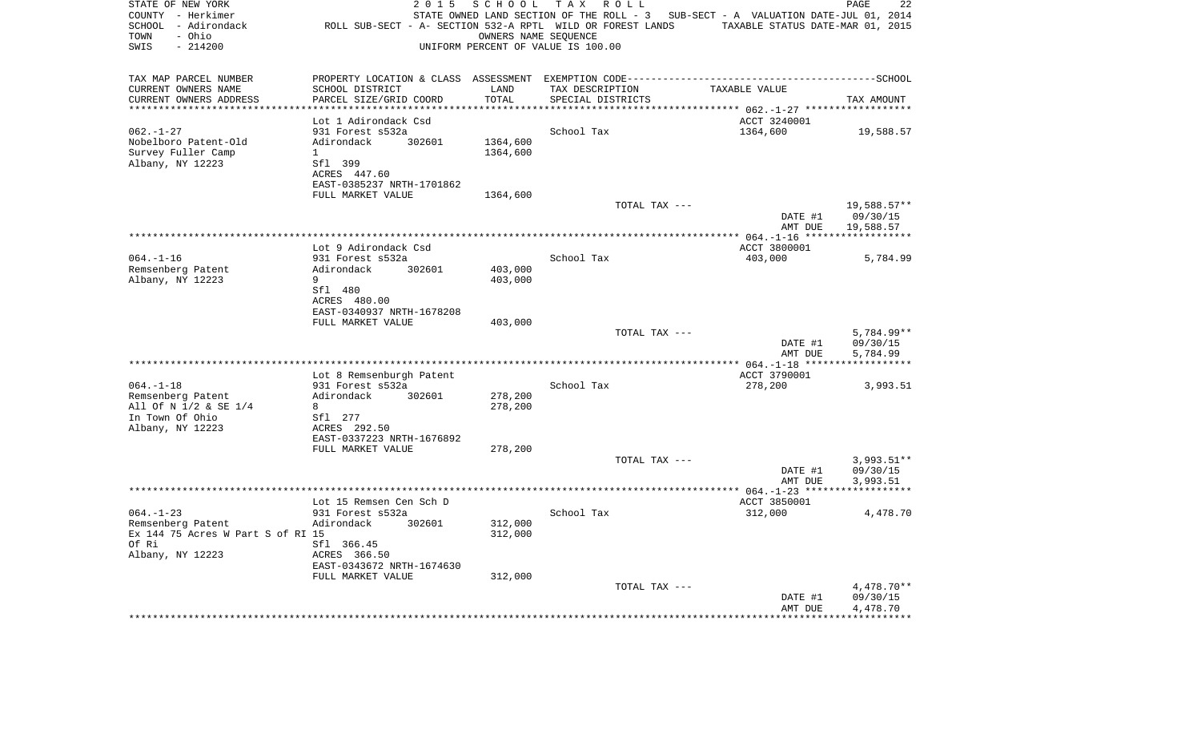| STATE OF NEW YORK<br>COUNTY - Herkimer<br>SCHOOL - Adirondack<br>- Ohio<br>TOWN<br>SWIS<br>$-214200$ | 2 0 1 5                                        | SCHOOL<br>UNIFORM PERCENT OF VALUE IS 100.00 | T A X<br>R O L L<br>ROLL SUB-SECT - A- SECTION 532-A RPTL WILD OR FOREST LANDS<br>OWNERS NAME SEQUENCE | STATE OWNED LAND SECTION OF THE ROLL - 3 SUB-SECT - A VALUATION DATE-JUL 01, 2014<br>TAXABLE STATUS DATE-MAR 01, 2015 | PAGE<br>22            |
|------------------------------------------------------------------------------------------------------|------------------------------------------------|----------------------------------------------|--------------------------------------------------------------------------------------------------------|-----------------------------------------------------------------------------------------------------------------------|-----------------------|
| TAX MAP PARCEL NUMBER                                                                                |                                                |                                              |                                                                                                        |                                                                                                                       |                       |
| CURRENT OWNERS NAME                                                                                  | SCHOOL DISTRICT                                | LAND                                         | TAX DESCRIPTION                                                                                        | TAXABLE VALUE                                                                                                         |                       |
| CURRENT OWNERS ADDRESS<br>********************                                                       | PARCEL SIZE/GRID COORD                         | TOTAL<br>********                            | SPECIAL DISTRICTS                                                                                      |                                                                                                                       | TAX AMOUNT            |
|                                                                                                      | Lot 1 Adirondack Csd                           |                                              |                                                                                                        | ********************* 062.-1-27 ******<br>ACCT 3240001                                                                |                       |
| $062. - 1 - 27$                                                                                      | 931 Forest s532a                               |                                              | School Tax                                                                                             | 1364,600                                                                                                              | 19,588.57             |
| Nobelboro Patent-Old                                                                                 | Adirondack<br>302601                           | 1364,600                                     |                                                                                                        |                                                                                                                       |                       |
| Survey Fuller Camp                                                                                   | $\mathbf{1}$                                   | 1364,600                                     |                                                                                                        |                                                                                                                       |                       |
| Albany, NY 12223                                                                                     | Sfl 399                                        |                                              |                                                                                                        |                                                                                                                       |                       |
|                                                                                                      | ACRES 447.60                                   |                                              |                                                                                                        |                                                                                                                       |                       |
|                                                                                                      | EAST-0385237 NRTH-1701862                      |                                              |                                                                                                        |                                                                                                                       |                       |
|                                                                                                      | FULL MARKET VALUE                              | 1364,600                                     |                                                                                                        |                                                                                                                       |                       |
|                                                                                                      |                                                |                                              | TOTAL TAX ---                                                                                          |                                                                                                                       | 19,588.57**           |
|                                                                                                      |                                                |                                              |                                                                                                        | DATE #1<br>AMT DUE                                                                                                    | 09/30/15<br>19,588.57 |
|                                                                                                      |                                                |                                              |                                                                                                        |                                                                                                                       |                       |
|                                                                                                      | Lot 9 Adirondack Csd                           |                                              |                                                                                                        | ACCT 3800001                                                                                                          |                       |
| $064. -1 - 16$                                                                                       | 931 Forest s532a                               |                                              | School Tax                                                                                             | 403,000                                                                                                               | 5,784.99              |
| Remsenberg Patent                                                                                    | Adirondack<br>302601                           | 403,000                                      |                                                                                                        |                                                                                                                       |                       |
| Albany, NY 12223                                                                                     | 9                                              | 403,000                                      |                                                                                                        |                                                                                                                       |                       |
|                                                                                                      | Sfl 480                                        |                                              |                                                                                                        |                                                                                                                       |                       |
|                                                                                                      | ACRES 480.00<br>EAST-0340937 NRTH-1678208      |                                              |                                                                                                        |                                                                                                                       |                       |
|                                                                                                      | FULL MARKET VALUE                              | 403,000                                      |                                                                                                        |                                                                                                                       |                       |
|                                                                                                      |                                                |                                              | TOTAL TAX ---                                                                                          |                                                                                                                       | 5,784.99**            |
|                                                                                                      |                                                |                                              |                                                                                                        | DATE #1                                                                                                               | 09/30/15              |
|                                                                                                      |                                                |                                              |                                                                                                        | AMT DUE                                                                                                               | 5,784.99              |
|                                                                                                      |                                                |                                              |                                                                                                        |                                                                                                                       |                       |
| $064. -1 - 18$                                                                                       | Lot 8 Remsenburgh Patent<br>931 Forest s532a   |                                              | School Tax                                                                                             | ACCT 3790001                                                                                                          |                       |
| Remsenberg Patent                                                                                    | Adirondack<br>302601                           | 278,200                                      |                                                                                                        | 278,200                                                                                                               | 3,993.51              |
| All Of N 1/2 & SE 1/4                                                                                | 8                                              | 278,200                                      |                                                                                                        |                                                                                                                       |                       |
| In Town Of Ohio                                                                                      | Sfl 277                                        |                                              |                                                                                                        |                                                                                                                       |                       |
| Albany, NY 12223                                                                                     | ACRES 292.50                                   |                                              |                                                                                                        |                                                                                                                       |                       |
|                                                                                                      | EAST-0337223 NRTH-1676892                      |                                              |                                                                                                        |                                                                                                                       |                       |
|                                                                                                      | FULL MARKET VALUE                              | 278,200                                      |                                                                                                        |                                                                                                                       |                       |
|                                                                                                      |                                                |                                              | TOTAL TAX ---                                                                                          |                                                                                                                       | $3,993.51**$          |
|                                                                                                      |                                                |                                              |                                                                                                        | DATE #1<br>AMT DUE                                                                                                    | 09/30/15<br>3,993.51  |
|                                                                                                      |                                                |                                              |                                                                                                        |                                                                                                                       |                       |
|                                                                                                      | Lot 15 Remsen Cen Sch D                        |                                              |                                                                                                        | ACCT 3850001                                                                                                          |                       |
| $064. -1 - 23$                                                                                       | 931 Forest s532a                               |                                              | School Tax                                                                                             | 312,000                                                                                                               | 4,478.70              |
| Remsenberg Patent                                                                                    | Adirondack<br>302601                           | 312,000                                      |                                                                                                        |                                                                                                                       |                       |
| Ex 144 75 Acres W Part S of RI 15                                                                    |                                                | 312,000                                      |                                                                                                        |                                                                                                                       |                       |
| Of Ri                                                                                                | Sfl 366.45                                     |                                              |                                                                                                        |                                                                                                                       |                       |
| Albany, NY 12223                                                                                     | ACRES 366.50                                   |                                              |                                                                                                        |                                                                                                                       |                       |
|                                                                                                      | EAST-0343672 NRTH-1674630<br>FULL MARKET VALUE | 312,000                                      |                                                                                                        |                                                                                                                       |                       |
|                                                                                                      |                                                |                                              | TOTAL TAX ---                                                                                          |                                                                                                                       | $4,478.70**$          |
|                                                                                                      |                                                |                                              |                                                                                                        | DATE #1                                                                                                               | 09/30/15              |
|                                                                                                      |                                                |                                              |                                                                                                        | AMT DUE                                                                                                               | 4,478.70              |
|                                                                                                      | ************************                       |                                              | *********************************                                                                      |                                                                                                                       |                       |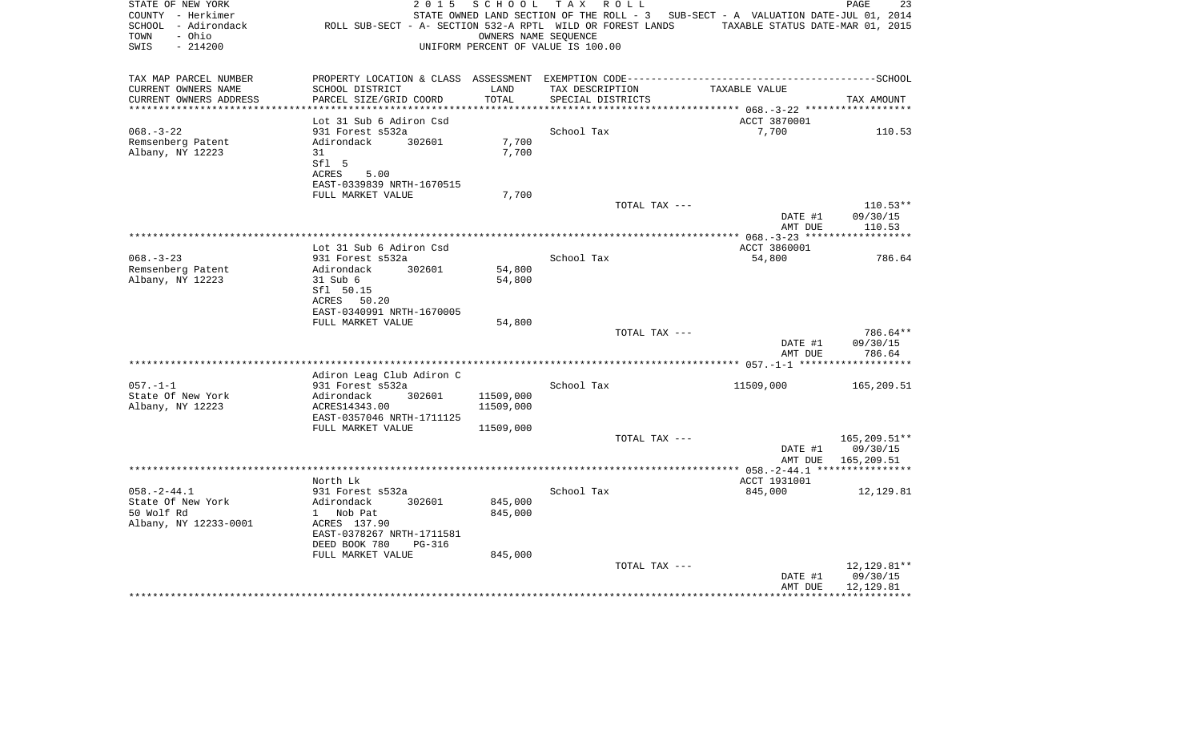| STATE OF NEW YORK<br>COUNTY - Herkimer<br>SCHOOL - Adirondack<br>- Ohio<br>TOWN<br>SWIS<br>$-214200$ | 2 0 1 5<br>ROLL SUB-SECT - A- SECTION 532-A RPTL WILD OR FOREST LANDS                                           | SCHOOL<br>OWNERS NAME SEQUENCE | T A X<br>R O L L<br>STATE OWNED LAND SECTION OF THE ROLL - 3 SUB-SECT - A VALUATION DATE-JUL 01, 2014<br>UNIFORM PERCENT OF VALUE IS 100.00 | TAXABLE STATUS DATE-MAR 01, 2015 | PAGE<br>23                           |
|------------------------------------------------------------------------------------------------------|-----------------------------------------------------------------------------------------------------------------|--------------------------------|---------------------------------------------------------------------------------------------------------------------------------------------|----------------------------------|--------------------------------------|
|                                                                                                      |                                                                                                                 |                                |                                                                                                                                             |                                  |                                      |
| TAX MAP PARCEL NUMBER<br>CURRENT OWNERS NAME                                                         | PROPERTY LOCATION & CLASS ASSESSMENT EXEMPTION CODE-----------------------------------SCHOOL<br>SCHOOL DISTRICT | LAND                           | TAX DESCRIPTION                                                                                                                             | TAXABLE VALUE                    |                                      |
| CURRENT OWNERS ADDRESS                                                                               | PARCEL SIZE/GRID COORD                                                                                          | TOTAL                          | SPECIAL DISTRICTS                                                                                                                           |                                  | TAX AMOUNT                           |
|                                                                                                      |                                                                                                                 |                                |                                                                                                                                             |                                  |                                      |
| $068. - 3 - 22$                                                                                      | Lot 31 Sub 6 Adiron Csd                                                                                         |                                | School Tax                                                                                                                                  | ACCT 3870001<br>7,700            |                                      |
| Remsenberg Patent                                                                                    | 931 Forest s532a<br>Adirondack<br>302601                                                                        | 7,700                          |                                                                                                                                             |                                  | 110.53                               |
| Albany, NY 12223                                                                                     | 31                                                                                                              | 7,700                          |                                                                                                                                             |                                  |                                      |
|                                                                                                      | Sfl 5                                                                                                           |                                |                                                                                                                                             |                                  |                                      |
|                                                                                                      | ACRES<br>5.00                                                                                                   |                                |                                                                                                                                             |                                  |                                      |
|                                                                                                      | EAST-0339839 NRTH-1670515                                                                                       |                                |                                                                                                                                             |                                  |                                      |
|                                                                                                      | FULL MARKET VALUE                                                                                               | 7,700                          | TOTAL TAX ---                                                                                                                               |                                  | $110.53**$                           |
|                                                                                                      |                                                                                                                 |                                |                                                                                                                                             | DATE #1                          | 09/30/15                             |
|                                                                                                      |                                                                                                                 |                                |                                                                                                                                             | AMT DUE                          | 110.53                               |
|                                                                                                      |                                                                                                                 |                                |                                                                                                                                             |                                  |                                      |
|                                                                                                      | Lot 31 Sub 6 Adiron Csd                                                                                         |                                |                                                                                                                                             | ACCT 3860001                     |                                      |
| $068. - 3 - 23$<br>Remsenberg Patent                                                                 | 931 Forest s532a<br>Adirondack<br>302601                                                                        | 54,800                         | School Tax                                                                                                                                  | 54,800                           | 786.64                               |
| Albany, NY 12223                                                                                     | 31 Sub 6                                                                                                        | 54,800                         |                                                                                                                                             |                                  |                                      |
|                                                                                                      | Sfl 50.15                                                                                                       |                                |                                                                                                                                             |                                  |                                      |
|                                                                                                      | ACRES 50.20                                                                                                     |                                |                                                                                                                                             |                                  |                                      |
|                                                                                                      | EAST-0340991 NRTH-1670005                                                                                       |                                |                                                                                                                                             |                                  |                                      |
|                                                                                                      | FULL MARKET VALUE                                                                                               | 54,800                         | TOTAL TAX ---                                                                                                                               |                                  | 786.64**                             |
|                                                                                                      |                                                                                                                 |                                |                                                                                                                                             | DATE #1                          | 09/30/15                             |
|                                                                                                      |                                                                                                                 |                                |                                                                                                                                             | AMT DUE                          | 786.64                               |
|                                                                                                      |                                                                                                                 |                                |                                                                                                                                             |                                  | **********                           |
|                                                                                                      | Adiron Leag Club Adiron C                                                                                       |                                |                                                                                                                                             |                                  |                                      |
| $057. -1 -1$<br>State Of New York                                                                    | 931 Forest s532a<br>Adirondack<br>302601                                                                        | 11509,000                      | School Tax                                                                                                                                  | 11509,000                        | 165,209.51                           |
| Albany, NY 12223                                                                                     | ACRES14343.00                                                                                                   | 11509,000                      |                                                                                                                                             |                                  |                                      |
|                                                                                                      | EAST-0357046 NRTH-1711125                                                                                       |                                |                                                                                                                                             |                                  |                                      |
|                                                                                                      | FULL MARKET VALUE                                                                                               | 11509,000                      |                                                                                                                                             |                                  |                                      |
|                                                                                                      |                                                                                                                 |                                | TOTAL TAX ---                                                                                                                               |                                  | 165,209.51**                         |
|                                                                                                      |                                                                                                                 |                                |                                                                                                                                             | DATE #1                          | 09/30/15<br>165,209.51               |
|                                                                                                      |                                                                                                                 |                                |                                                                                                                                             | AMT DUE                          |                                      |
|                                                                                                      | North Lk                                                                                                        |                                |                                                                                                                                             | ACCT 1931001                     |                                      |
| $058. - 2 - 44.1$                                                                                    | 931 Forest s532a                                                                                                |                                | School Tax                                                                                                                                  | 845,000                          | 12,129.81                            |
| State Of New York                                                                                    | 302601<br>Adirondack                                                                                            | 845,000                        |                                                                                                                                             |                                  |                                      |
| 50 Wolf Rd                                                                                           | 1 Nob Pat                                                                                                       | 845,000                        |                                                                                                                                             |                                  |                                      |
| Albany, NY 12233-0001                                                                                | ACRES 137.90<br>EAST-0378267 NRTH-1711581                                                                       |                                |                                                                                                                                             |                                  |                                      |
|                                                                                                      | DEED BOOK 780<br>PG-316                                                                                         |                                |                                                                                                                                             |                                  |                                      |
|                                                                                                      | FULL MARKET VALUE                                                                                               | 845,000                        |                                                                                                                                             |                                  |                                      |
|                                                                                                      |                                                                                                                 |                                | TOTAL TAX ---                                                                                                                               |                                  | 12,129.81**                          |
|                                                                                                      |                                                                                                                 |                                |                                                                                                                                             | DATE #1                          | 09/30/15                             |
|                                                                                                      |                                                                                                                 |                                |                                                                                                                                             | AMT DUE                          | 12,129.81<br>* * * * * * * * * * * * |
|                                                                                                      |                                                                                                                 |                                |                                                                                                                                             |                                  |                                      |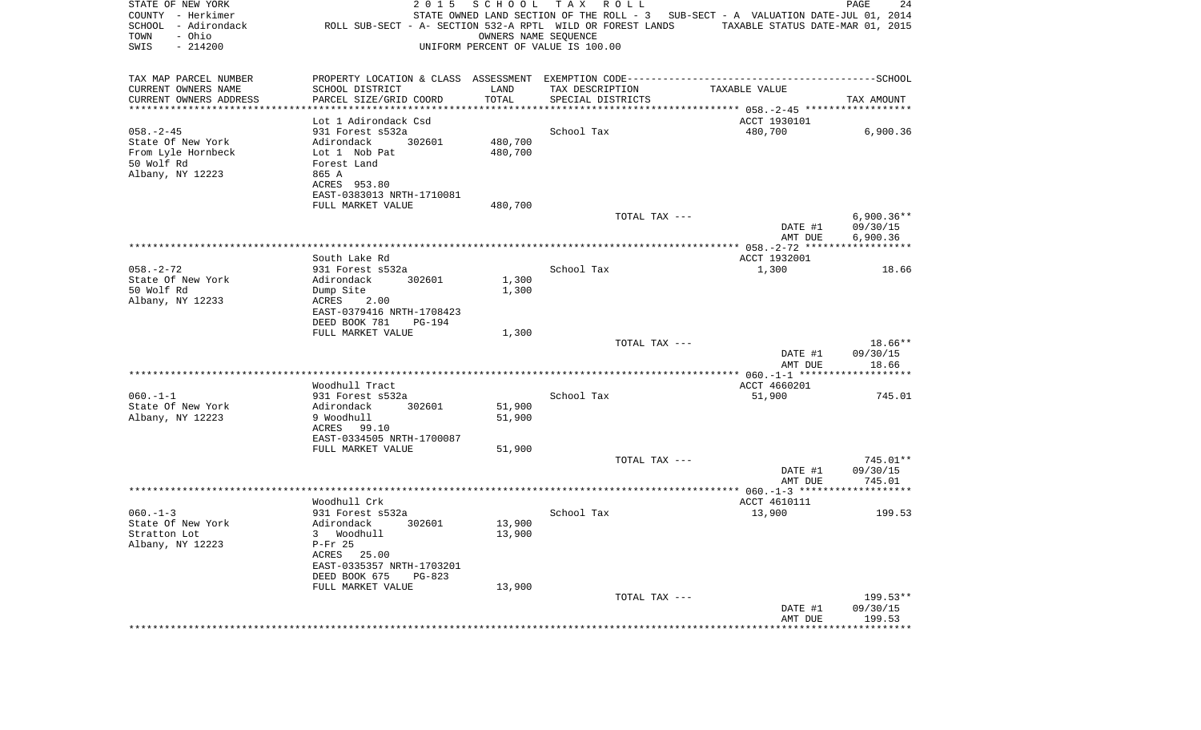| STATE OF NEW YORK<br>COUNTY - Herkimer<br>SCHOOL - Adirondack<br>- Ohio<br>TOWN | 2 0 1 5<br>ROLL SUB-SECT - A- SECTION 532-A RPTL WILD OR FOREST LANDS | SCHOOL<br>OWNERS NAME SEQUENCE | TAX ROLL                           | STATE OWNED LAND SECTION OF THE ROLL - 3 SUB-SECT - A VALUATION DATE-JUL 01, 2014<br>TAXABLE STATUS DATE-MAR 01, 2015 | PAGE<br>24           |
|---------------------------------------------------------------------------------|-----------------------------------------------------------------------|--------------------------------|------------------------------------|-----------------------------------------------------------------------------------------------------------------------|----------------------|
| SWIS<br>$-214200$                                                               |                                                                       |                                | UNIFORM PERCENT OF VALUE IS 100.00 |                                                                                                                       |                      |
| TAX MAP PARCEL NUMBER                                                           |                                                                       |                                |                                    | PROPERTY LOCATION & CLASS ASSESSMENT EXEMPTION CODE-----------------------------------SCHOOL                          |                      |
| CURRENT OWNERS NAME<br>CURRENT OWNERS ADDRESS                                   | SCHOOL DISTRICT                                                       | LAND<br>TOTAL                  | TAX DESCRIPTION                    | TAXABLE VALUE                                                                                                         |                      |
| **********************                                                          | PARCEL SIZE/GRID COORD                                                |                                | SPECIAL DISTRICTS                  |                                                                                                                       | TAX AMOUNT           |
|                                                                                 | Lot 1 Adirondack Csd                                                  |                                |                                    | ACCT 1930101                                                                                                          |                      |
| $058. - 2 - 45$                                                                 | 931 Forest s532a                                                      |                                | School Tax                         | 480,700                                                                                                               | 6,900.36             |
| State Of New York                                                               | Adirondack<br>302601                                                  | 480,700                        |                                    |                                                                                                                       |                      |
| From Lyle Hornbeck                                                              | Lot 1 Nob Pat                                                         | 480,700                        |                                    |                                                                                                                       |                      |
| 50 Wolf Rd                                                                      | Forest Land                                                           |                                |                                    |                                                                                                                       |                      |
| Albany, NY 12223                                                                | 865 A                                                                 |                                |                                    |                                                                                                                       |                      |
|                                                                                 | ACRES 953.80<br>EAST-0383013 NRTH-1710081                             |                                |                                    |                                                                                                                       |                      |
|                                                                                 | FULL MARKET VALUE                                                     | 480,700                        |                                    |                                                                                                                       |                      |
|                                                                                 |                                                                       |                                | TOTAL TAX ---                      |                                                                                                                       | $6,900.36**$         |
|                                                                                 |                                                                       |                                |                                    | DATE #1<br>AMT DUE                                                                                                    | 09/30/15<br>6,900.36 |
|                                                                                 |                                                                       |                                |                                    |                                                                                                                       |                      |
|                                                                                 | South Lake Rd                                                         |                                |                                    | ACCT 1932001                                                                                                          |                      |
| $058. - 2 - 72$                                                                 | 931 Forest s532a                                                      |                                | School Tax                         | 1,300                                                                                                                 | 18.66                |
| State Of New York<br>50 Wolf Rd                                                 | Adirondack<br>302601<br>Dump Site                                     | 1,300                          |                                    |                                                                                                                       |                      |
| Albany, NY 12233                                                                | ACRES<br>2.00                                                         | 1,300                          |                                    |                                                                                                                       |                      |
|                                                                                 | EAST-0379416 NRTH-1708423                                             |                                |                                    |                                                                                                                       |                      |
|                                                                                 | DEED BOOK 781<br>PG-194                                               |                                |                                    |                                                                                                                       |                      |
|                                                                                 | FULL MARKET VALUE                                                     | 1,300                          |                                    |                                                                                                                       |                      |
|                                                                                 |                                                                       |                                | TOTAL TAX ---                      |                                                                                                                       | 18.66**              |
|                                                                                 |                                                                       |                                |                                    | DATE #1                                                                                                               | 09/30/15             |
|                                                                                 |                                                                       |                                |                                    | AMT DUE                                                                                                               | 18.66                |
|                                                                                 | Woodhull Tract                                                        |                                |                                    | ACCT 4660201                                                                                                          |                      |
| $060. -1 -1$                                                                    | 931 Forest s532a                                                      |                                | School Tax                         | 51,900                                                                                                                | 745.01               |
| State Of New York                                                               | Adirondack<br>302601                                                  | 51,900                         |                                    |                                                                                                                       |                      |
| Albany, NY 12223                                                                | 9 Woodhull                                                            | 51,900                         |                                    |                                                                                                                       |                      |
|                                                                                 | ACRES 99.10                                                           |                                |                                    |                                                                                                                       |                      |
|                                                                                 | EAST-0334505 NRTH-1700087<br>FULL MARKET VALUE                        | 51,900                         |                                    |                                                                                                                       |                      |
|                                                                                 |                                                                       |                                | TOTAL TAX ---                      |                                                                                                                       | 745.01**             |
|                                                                                 |                                                                       |                                |                                    | DATE #1                                                                                                               | 09/30/15             |
|                                                                                 |                                                                       |                                |                                    | AMT DUE                                                                                                               | 745.01               |
|                                                                                 |                                                                       |                                |                                    |                                                                                                                       |                      |
| $060. -1 - 3$                                                                   | Woodhull Crk                                                          |                                |                                    | ACCT 4610111                                                                                                          |                      |
| State Of New York                                                               | 931 Forest s532a<br>Adirondack<br>302601                              | 13,900                         | School Tax                         | 13,900                                                                                                                | 199.53               |
| Stratton Lot                                                                    | 3 Woodhull                                                            | 13,900                         |                                    |                                                                                                                       |                      |
| Albany, NY 12223                                                                | $P-Fr$ 25                                                             |                                |                                    |                                                                                                                       |                      |
|                                                                                 | ACRES 25.00                                                           |                                |                                    |                                                                                                                       |                      |
|                                                                                 | EAST-0335357 NRTH-1703201                                             |                                |                                    |                                                                                                                       |                      |
|                                                                                 | DEED BOOK 675<br>$PG-823$                                             |                                |                                    |                                                                                                                       |                      |
|                                                                                 | FULL MARKET VALUE                                                     | 13,900                         | TOTAL TAX ---                      |                                                                                                                       | 199.53**             |
|                                                                                 |                                                                       |                                |                                    | DATE #1                                                                                                               | 09/30/15             |
|                                                                                 |                                                                       |                                |                                    | AMT DUE                                                                                                               | 199.53               |
|                                                                                 |                                                                       |                                |                                    | *********************                                                                                                 | *************        |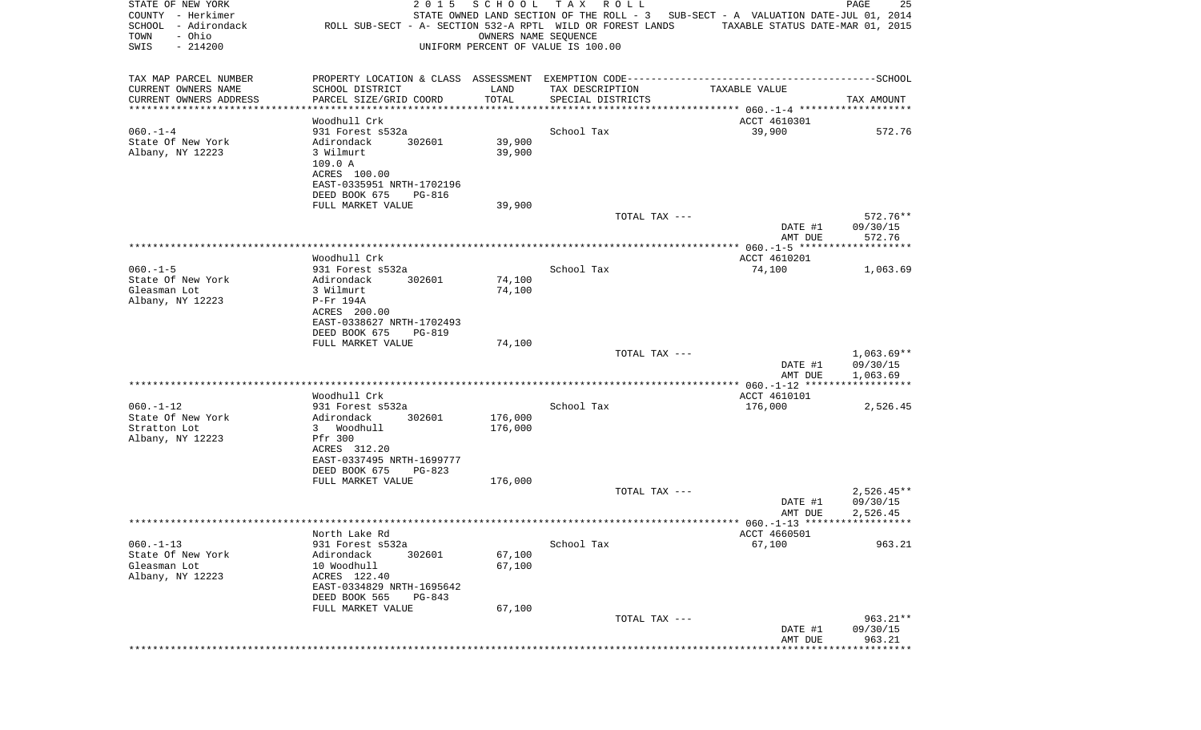| STATE OF NEW YORK<br>COUNTY - Herkimer<br>SCHOOL<br>- Adirondack<br>- Ohio<br>TOWN<br>$-214200$<br>SWIS | ROLL SUB-SECT - A- SECTION 532-A RPTL WILD OR FOREST LANDS | 2 0 1 5       | SCHOOL<br>OWNERS NAME SEQUENCE | T A X<br>UNIFORM PERCENT OF VALUE IS 100.00 | R O L L       | STATE OWNED LAND SECTION OF THE ROLL - 3 SUB-SECT - A VALUATION DATE-JUL 01, 2014<br>TAXABLE STATUS DATE-MAR 01, 2015 | PAGE                 | 25           |
|---------------------------------------------------------------------------------------------------------|------------------------------------------------------------|---------------|--------------------------------|---------------------------------------------|---------------|-----------------------------------------------------------------------------------------------------------------------|----------------------|--------------|
| TAX MAP PARCEL NUMBER                                                                                   |                                                            |               |                                |                                             |               |                                                                                                                       |                      |              |
| CURRENT OWNERS NAME                                                                                     | SCHOOL DISTRICT                                            |               | LAND                           | TAX DESCRIPTION                             |               | TAXABLE VALUE                                                                                                         |                      |              |
| CURRENT OWNERS ADDRESS<br>*********************                                                         | PARCEL SIZE/GRID COORD<br>*********************            |               | TOTAL<br>***********           | SPECIAL DISTRICTS                           |               |                                                                                                                       | TAX AMOUNT           |              |
|                                                                                                         | Woodhull Crk                                               |               |                                |                                             |               | ACCT 4610301                                                                                                          |                      |              |
| $060. -1 -4$<br>State Of New York                                                                       | 931 Forest s532a<br>Adirondack                             | 302601        | 39,900                         | School Tax                                  |               | 39,900                                                                                                                |                      | 572.76       |
| Albany, NY 12223                                                                                        | 3 Wilmurt                                                  |               | 39,900                         |                                             |               |                                                                                                                       |                      |              |
|                                                                                                         | 109.0 A                                                    |               |                                |                                             |               |                                                                                                                       |                      |              |
|                                                                                                         | ACRES 100.00                                               |               |                                |                                             |               |                                                                                                                       |                      |              |
|                                                                                                         | EAST-0335951 NRTH-1702196                                  |               |                                |                                             |               |                                                                                                                       |                      |              |
|                                                                                                         | DEED BOOK 675                                              | PG-816        |                                |                                             |               |                                                                                                                       |                      |              |
|                                                                                                         | FULL MARKET VALUE                                          |               | 39,900                         |                                             | TOTAL TAX --- |                                                                                                                       |                      | 572.76**     |
|                                                                                                         |                                                            |               |                                |                                             |               | DATE #1                                                                                                               | 09/30/15             |              |
|                                                                                                         |                                                            |               |                                |                                             |               | AMT DUE                                                                                                               |                      | 572.76       |
|                                                                                                         |                                                            |               |                                |                                             |               |                                                                                                                       |                      |              |
|                                                                                                         | Woodhull Crk                                               |               |                                |                                             |               | ACCT 4610201                                                                                                          |                      |              |
| $060. -1 - 5$                                                                                           | 931 Forest s532a                                           |               |                                | School Tax                                  |               | 74,100                                                                                                                |                      | 1,063.69     |
| State Of New York<br>Gleasman Lot                                                                       | Adirondack<br>3 Wilmurt                                    | 302601        | 74,100<br>74,100               |                                             |               |                                                                                                                       |                      |              |
| Albany, NY 12223                                                                                        | P-Fr 194A                                                  |               |                                |                                             |               |                                                                                                                       |                      |              |
|                                                                                                         | ACRES 200.00                                               |               |                                |                                             |               |                                                                                                                       |                      |              |
|                                                                                                         | EAST-0338627 NRTH-1702493                                  |               |                                |                                             |               |                                                                                                                       |                      |              |
|                                                                                                         | DEED BOOK 675                                              | <b>PG-819</b> |                                |                                             |               |                                                                                                                       |                      |              |
|                                                                                                         | FULL MARKET VALUE                                          |               | 74,100                         |                                             |               |                                                                                                                       |                      |              |
|                                                                                                         |                                                            |               |                                |                                             | TOTAL TAX --- | DATE #1                                                                                                               | 09/30/15             | $1,063.69**$ |
|                                                                                                         |                                                            |               |                                |                                             |               | AMT DUE                                                                                                               | 1,063.69             |              |
|                                                                                                         |                                                            |               |                                |                                             |               |                                                                                                                       |                      |              |
|                                                                                                         | Woodhull Crk                                               |               |                                |                                             |               | ACCT 4610101                                                                                                          |                      |              |
| $060. -1 - 12$                                                                                          | 931 Forest s532a                                           |               |                                | School Tax                                  |               | 176,000                                                                                                               |                      | 2,526.45     |
| State Of New York                                                                                       | Adirondack                                                 | 302601        | 176,000                        |                                             |               |                                                                                                                       |                      |              |
| Stratton Lot<br>Albany, NY 12223                                                                        | 3 Woodhull<br>Pfr 300                                      |               | 176,000                        |                                             |               |                                                                                                                       |                      |              |
|                                                                                                         | ACRES 312.20                                               |               |                                |                                             |               |                                                                                                                       |                      |              |
|                                                                                                         | EAST-0337495 NRTH-1699777                                  |               |                                |                                             |               |                                                                                                                       |                      |              |
|                                                                                                         | DEED BOOK 675                                              | $PG-823$      |                                |                                             |               |                                                                                                                       |                      |              |
|                                                                                                         | FULL MARKET VALUE                                          |               | 176,000                        |                                             |               |                                                                                                                       |                      |              |
|                                                                                                         |                                                            |               |                                |                                             | TOTAL TAX --- |                                                                                                                       |                      | $2,526.45**$ |
|                                                                                                         |                                                            |               |                                |                                             |               | DATE #1<br>AMT DUE                                                                                                    | 09/30/15<br>2,526.45 |              |
|                                                                                                         |                                                            |               |                                |                                             |               |                                                                                                                       |                      |              |
|                                                                                                         | North Lake Rd                                              |               |                                |                                             |               | ACCT 4660501                                                                                                          |                      |              |
| $060. -1 - 13$                                                                                          | 931 Forest s532a                                           |               |                                | School Tax                                  |               | 67,100                                                                                                                |                      | 963.21       |
| State Of New York                                                                                       | Adirondack                                                 | 302601        | 67,100                         |                                             |               |                                                                                                                       |                      |              |
| Gleasman Lot                                                                                            | 10 Woodhull                                                |               | 67,100                         |                                             |               |                                                                                                                       |                      |              |
| Albany, NY 12223                                                                                        | ACRES 122.40                                               |               |                                |                                             |               |                                                                                                                       |                      |              |
|                                                                                                         | EAST-0334829 NRTH-1695642<br>DEED BOOK 565                 | PG-843        |                                |                                             |               |                                                                                                                       |                      |              |
|                                                                                                         | FULL MARKET VALUE                                          |               | 67,100                         |                                             |               |                                                                                                                       |                      |              |
|                                                                                                         |                                                            |               |                                |                                             | TOTAL TAX --- |                                                                                                                       |                      | 963.21**     |
|                                                                                                         |                                                            |               |                                |                                             |               | DATE #1                                                                                                               | 09/30/15             |              |
|                                                                                                         |                                                            |               |                                |                                             |               | AMT DUE<br>********************                                                                                       | *************        | 963.21       |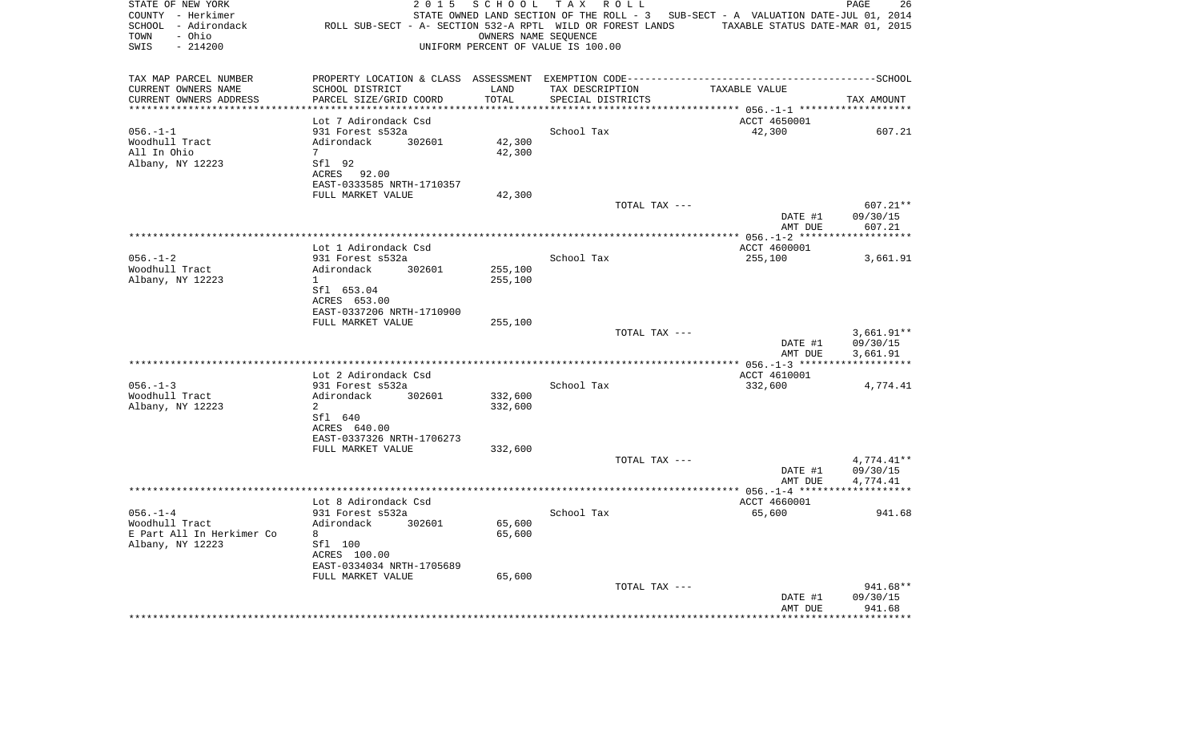| STATE OF NEW YORK<br>COUNTY - Herkimer<br>SCHOOL - Adirondack<br>- Ohio<br>TOWN<br>$-214200$<br>SWIS | 2 0 1 5<br>ROLL SUB-SECT - A- SECTION 532-A RPTL WILD OR FOREST LANDS | SCHOOL           | TAX ROLL<br>OWNERS NAME SEQUENCE<br>UNIFORM PERCENT OF VALUE IS 100.00 | STATE OWNED LAND SECTION OF THE ROLL - 3 SUB-SECT - A VALUATION DATE-JUL 01, 2014<br>TAXABLE STATUS DATE-MAR 01, 2015 | PAGE<br>26           |
|------------------------------------------------------------------------------------------------------|-----------------------------------------------------------------------|------------------|------------------------------------------------------------------------|-----------------------------------------------------------------------------------------------------------------------|----------------------|
| TAX MAP PARCEL NUMBER                                                                                |                                                                       |                  |                                                                        |                                                                                                                       |                      |
| CURRENT OWNERS NAME                                                                                  | SCHOOL DISTRICT                                                       | LAND             | TAX DESCRIPTION                                                        | TAXABLE VALUE                                                                                                         |                      |
| CURRENT OWNERS ADDRESS<br>*******************                                                        | PARCEL SIZE/GRID COORD                                                | TOTAL<br>******* | SPECIAL DISTRICTS                                                      | ********************* 056.-1-1 *******                                                                                | TAX AMOUNT           |
|                                                                                                      | Lot 7 Adirondack Csd                                                  |                  |                                                                        | ACCT 4650001                                                                                                          |                      |
| $056. - 1 - 1$                                                                                       | 931 Forest s532a                                                      |                  | School Tax                                                             | 42,300                                                                                                                | 607.21               |
| Woodhull Tract                                                                                       | Adirondack<br>302601                                                  | 42,300           |                                                                        |                                                                                                                       |                      |
| All In Ohio                                                                                          | $7\overline{ }$                                                       | 42,300           |                                                                        |                                                                                                                       |                      |
| Albany, NY 12223                                                                                     | Sfl 92<br>ACRES 92.00                                                 |                  |                                                                        |                                                                                                                       |                      |
|                                                                                                      | EAST-0333585 NRTH-1710357                                             |                  |                                                                        |                                                                                                                       |                      |
|                                                                                                      | FULL MARKET VALUE                                                     | 42,300           |                                                                        |                                                                                                                       |                      |
|                                                                                                      |                                                                       |                  | TOTAL TAX ---                                                          |                                                                                                                       | 607.21**             |
|                                                                                                      |                                                                       |                  |                                                                        | DATE #1                                                                                                               | 09/30/15             |
|                                                                                                      |                                                                       |                  |                                                                        | AMT DUE                                                                                                               | 607.21               |
|                                                                                                      | Lot 1 Adirondack Csd                                                  |                  |                                                                        | ACCT 4600001                                                                                                          |                      |
| $056. - 1 - 2$                                                                                       | 931 Forest s532a                                                      |                  | School Tax                                                             | 255,100                                                                                                               | 3,661.91             |
| Woodhull Tract                                                                                       | Adirondack<br>302601                                                  | 255,100          |                                                                        |                                                                                                                       |                      |
| Albany, NY 12223                                                                                     | $\mathbf{1}$                                                          | 255,100          |                                                                        |                                                                                                                       |                      |
|                                                                                                      | Sfl 653.04                                                            |                  |                                                                        |                                                                                                                       |                      |
|                                                                                                      | ACRES 653.00<br>EAST-0337206 NRTH-1710900                             |                  |                                                                        |                                                                                                                       |                      |
|                                                                                                      | FULL MARKET VALUE                                                     | 255,100          |                                                                        |                                                                                                                       |                      |
|                                                                                                      |                                                                       |                  | TOTAL TAX ---                                                          |                                                                                                                       | $3,661.91**$         |
|                                                                                                      |                                                                       |                  |                                                                        | DATE #1                                                                                                               | 09/30/15             |
|                                                                                                      |                                                                       |                  |                                                                        | AMT DUE                                                                                                               | 3,661.91             |
|                                                                                                      | Lot 2 Adirondack Csd                                                  |                  |                                                                        | ACCT 4610001                                                                                                          |                      |
| $0.56 - 1 - 3$                                                                                       | 931 Forest s532a                                                      |                  | School Tax                                                             | 332,600                                                                                                               | 4,774.41             |
| Woodhull Tract                                                                                       | Adirondack<br>302601                                                  | 332,600          |                                                                        |                                                                                                                       |                      |
| Albany, NY 12223                                                                                     | $\overline{a}$                                                        | 332,600          |                                                                        |                                                                                                                       |                      |
|                                                                                                      | Sfl 640                                                               |                  |                                                                        |                                                                                                                       |                      |
|                                                                                                      | ACRES 640.00                                                          |                  |                                                                        |                                                                                                                       |                      |
|                                                                                                      | EAST-0337326 NRTH-1706273<br>FULL MARKET VALUE                        | 332,600          |                                                                        |                                                                                                                       |                      |
|                                                                                                      |                                                                       |                  | TOTAL TAX ---                                                          |                                                                                                                       | $4,774.41**$         |
|                                                                                                      |                                                                       |                  |                                                                        | DATE #1                                                                                                               | 09/30/15             |
|                                                                                                      |                                                                       |                  |                                                                        | AMT DUE                                                                                                               | 4,774.41             |
|                                                                                                      |                                                                       |                  |                                                                        |                                                                                                                       |                      |
|                                                                                                      | Lot 8 Adirondack Csd                                                  |                  |                                                                        | ACCT 4660001                                                                                                          |                      |
| $056. - 1 - 4$<br>Woodhull Tract                                                                     | 931 Forest s532a<br>Adirondack<br>302601                              | 65,600           | School Tax                                                             | 65,600                                                                                                                | 941.68               |
| E Part All In Herkimer Co                                                                            | 8                                                                     | 65,600           |                                                                        |                                                                                                                       |                      |
| Albany, NY 12223                                                                                     | Sfl 100                                                               |                  |                                                                        |                                                                                                                       |                      |
|                                                                                                      | ACRES 100.00                                                          |                  |                                                                        |                                                                                                                       |                      |
|                                                                                                      | EAST-0334034 NRTH-1705689                                             |                  |                                                                        |                                                                                                                       |                      |
|                                                                                                      | FULL MARKET VALUE                                                     | 65,600           |                                                                        |                                                                                                                       |                      |
|                                                                                                      |                                                                       |                  | TOTAL TAX ---                                                          | DATE #1                                                                                                               | 941.68**<br>09/30/15 |
|                                                                                                      |                                                                       |                  |                                                                        | AMT DUE                                                                                                               | 941.68               |
|                                                                                                      |                                                                       |                  |                                                                        |                                                                                                                       | * * * * * * * * *    |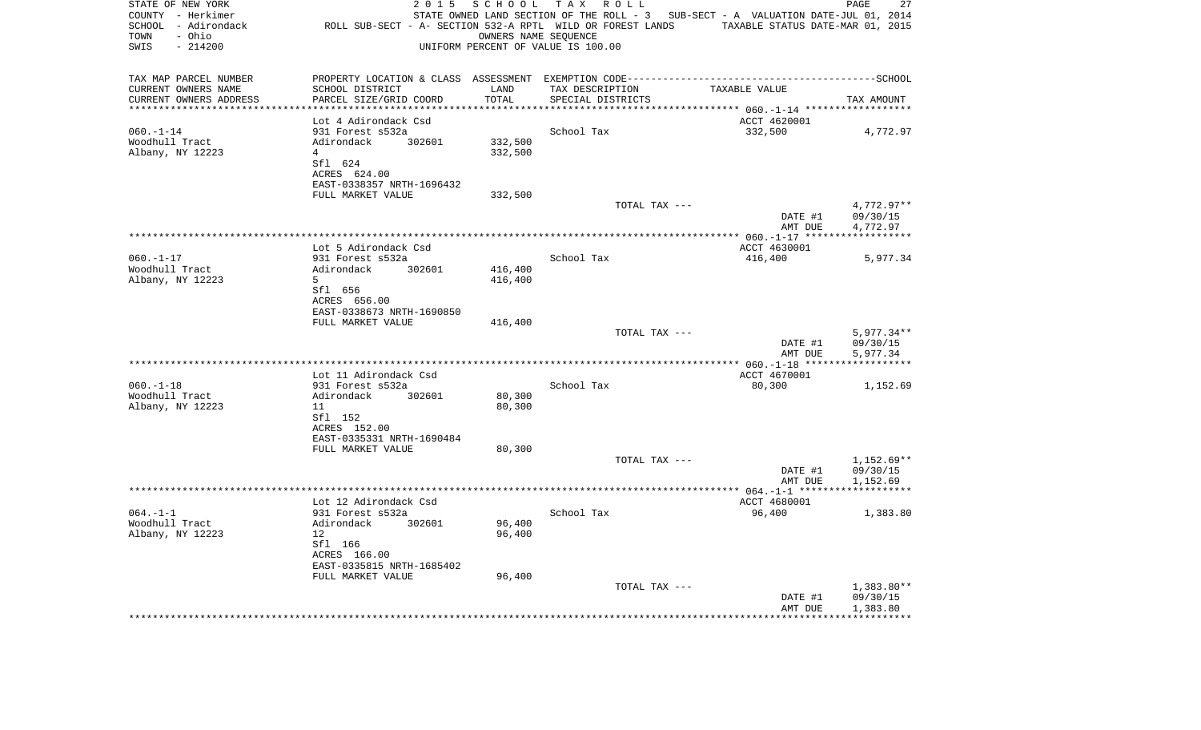| STATE OF NEW YORK<br>COUNTY - Herkimer<br>SCHOOL - Adirondack<br>- Ohio<br>TOWN<br>SWIS<br>$-214200$ | 2 0 1 5<br>ROLL SUB-SECT - A- SECTION 532-A RPTL WILD OR FOREST LANDS TAXABLE STATUS DATE-MAR 01, 2015 | SCHOOL                       | TAX ROLL<br>OWNERS NAME SEQUENCE<br>UNIFORM PERCENT OF VALUE IS 100.00 | STATE OWNED LAND SECTION OF THE ROLL - 3 SUB-SECT - A VALUATION DATE-JUL 01, 2014 | 27<br>PAGE             |
|------------------------------------------------------------------------------------------------------|--------------------------------------------------------------------------------------------------------|------------------------------|------------------------------------------------------------------------|-----------------------------------------------------------------------------------|------------------------|
| TAX MAP PARCEL NUMBER                                                                                | PROPERTY LOCATION & CLASS ASSESSMENT EXEMPTION CODE-----------------------------------SCHOOL           |                              |                                                                        |                                                                                   |                        |
| CURRENT OWNERS NAME                                                                                  | SCHOOL DISTRICT                                                                                        | LAND                         | TAX DESCRIPTION                                                        | TAXABLE VALUE                                                                     |                        |
| CURRENT OWNERS ADDRESS<br>*********************                                                      | PARCEL SIZE/GRID COORD                                                                                 | TOTAL<br>* * * * * * * * * * | SPECIAL DISTRICTS                                                      |                                                                                   | TAX AMOUNT             |
|                                                                                                      | Lot 4 Adirondack Csd                                                                                   |                              |                                                                        | ACCT 4620001                                                                      |                        |
| $060. -1 - 14$                                                                                       | 931 Forest s532a                                                                                       |                              | School Tax                                                             | 332,500                                                                           | 4,772.97               |
| Woodhull Tract                                                                                       | Adirondack<br>302601                                                                                   | 332,500                      |                                                                        |                                                                                   |                        |
| Albany, NY 12223                                                                                     | 4                                                                                                      | 332,500                      |                                                                        |                                                                                   |                        |
|                                                                                                      | Sfl 624                                                                                                |                              |                                                                        |                                                                                   |                        |
|                                                                                                      | ACRES 624.00                                                                                           |                              |                                                                        |                                                                                   |                        |
|                                                                                                      | EAST-0338357 NRTH-1696432                                                                              |                              |                                                                        |                                                                                   |                        |
|                                                                                                      | FULL MARKET VALUE                                                                                      | 332,500                      |                                                                        |                                                                                   |                        |
|                                                                                                      |                                                                                                        |                              | TOTAL TAX ---                                                          |                                                                                   | 4,772.97**             |
|                                                                                                      |                                                                                                        |                              |                                                                        | DATE #1<br>AMT DUE                                                                | 09/30/15<br>4,772.97   |
|                                                                                                      |                                                                                                        |                              |                                                                        |                                                                                   |                        |
|                                                                                                      | Lot 5 Adirondack Csd                                                                                   |                              |                                                                        | ACCT 4630001                                                                      |                        |
| $060. -1 - 17$                                                                                       | 931 Forest s532a                                                                                       |                              | School Tax                                                             | 416,400                                                                           | 5,977.34               |
| Woodhull Tract                                                                                       | Adirondack<br>302601                                                                                   | 416,400                      |                                                                        |                                                                                   |                        |
| Albany, NY 12223                                                                                     | 5                                                                                                      | 416,400                      |                                                                        |                                                                                   |                        |
|                                                                                                      | Sfl 656                                                                                                |                              |                                                                        |                                                                                   |                        |
|                                                                                                      | ACRES 656.00<br>EAST-0338673 NRTH-1690850                                                              |                              |                                                                        |                                                                                   |                        |
|                                                                                                      | FULL MARKET VALUE                                                                                      | 416,400                      |                                                                        |                                                                                   |                        |
|                                                                                                      |                                                                                                        |                              | TOTAL TAX ---                                                          |                                                                                   | $5,977.34**$           |
|                                                                                                      |                                                                                                        |                              |                                                                        | DATE #1<br>AMT DUE                                                                | 09/30/15<br>5,977.34   |
|                                                                                                      |                                                                                                        |                              |                                                                        |                                                                                   |                        |
|                                                                                                      | Lot 11 Adirondack Csd                                                                                  |                              |                                                                        | ACCT 4670001                                                                      |                        |
| $060. -1 -18$                                                                                        | 931 Forest s532a                                                                                       |                              | School Tax                                                             | 80,300                                                                            | 1,152.69               |
| Woodhull Tract<br>Albany, NY 12223                                                                   | Adirondack<br>302601<br>11                                                                             | 80,300<br>80,300             |                                                                        |                                                                                   |                        |
|                                                                                                      | Sfl 152                                                                                                |                              |                                                                        |                                                                                   |                        |
|                                                                                                      | ACRES 152.00                                                                                           |                              |                                                                        |                                                                                   |                        |
|                                                                                                      | EAST-0335331 NRTH-1690484                                                                              |                              |                                                                        |                                                                                   |                        |
|                                                                                                      | FULL MARKET VALUE                                                                                      | 80,300                       |                                                                        |                                                                                   |                        |
|                                                                                                      |                                                                                                        |                              | TOTAL TAX ---                                                          |                                                                                   | $1,152.69**$           |
|                                                                                                      |                                                                                                        |                              |                                                                        | DATE #1                                                                           | 09/30/15               |
|                                                                                                      |                                                                                                        |                              |                                                                        | AMT DUE                                                                           | 1,152.69               |
|                                                                                                      | Lot 12 Adirondack Csd                                                                                  |                              |                                                                        | ACCT 4680001                                                                      |                        |
| $064. -1 -1$                                                                                         | 931 Forest s532a                                                                                       |                              | School Tax                                                             | 96,400                                                                            | 1,383.80               |
| Woodhull Tract                                                                                       | Adirondack<br>302601                                                                                   | 96,400                       |                                                                        |                                                                                   |                        |
| Albany, NY 12223                                                                                     | 12                                                                                                     | 96,400                       |                                                                        |                                                                                   |                        |
|                                                                                                      | Sfl 166                                                                                                |                              |                                                                        |                                                                                   |                        |
|                                                                                                      | ACRES 166.00                                                                                           |                              |                                                                        |                                                                                   |                        |
|                                                                                                      | EAST-0335815 NRTH-1685402                                                                              |                              |                                                                        |                                                                                   |                        |
|                                                                                                      | FULL MARKET VALUE                                                                                      | 96,400                       | TOTAL TAX ---                                                          |                                                                                   |                        |
|                                                                                                      |                                                                                                        |                              |                                                                        | DATE #1                                                                           | 1,383.80**<br>09/30/15 |
|                                                                                                      |                                                                                                        |                              |                                                                        | AMT DUE                                                                           | 1,383.80               |
|                                                                                                      |                                                                                                        |                              | ********************************                                       |                                                                                   |                        |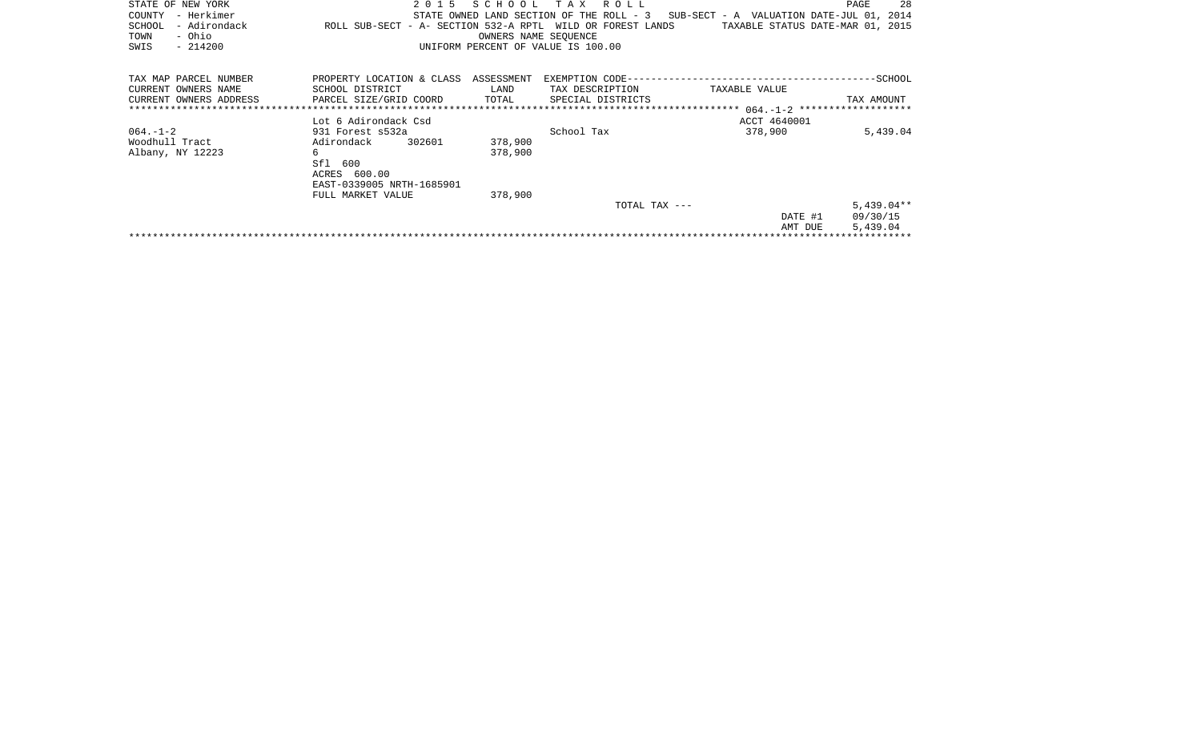| STATE OF NEW YORK<br>- Herkimer<br>COUNTY<br>- Adirondack<br>SCHOOL<br>- Ohio<br>TOWN<br>$-214200$<br>SWIS | 2 0 1 5<br>ROLL SUB-SECT - A- SECTION 532-A RPTL WILD OR FOREST LANDS | SCHOOL<br>OWNERS NAME SEOUENCE | TAX ROLL<br>STATE OWNED LAND SECTION OF THE ROLL - 3<br>UNIFORM PERCENT OF VALUE IS 100.00 | SUB-SECT - A VALUATION DATE-JUL 01, 2014<br>TAXABLE STATUS DATE-MAR 01, 2015 | -28<br>PAGE  |
|------------------------------------------------------------------------------------------------------------|-----------------------------------------------------------------------|--------------------------------|--------------------------------------------------------------------------------------------|------------------------------------------------------------------------------|--------------|
| TAX MAP PARCEL NUMBER                                                                                      | PROPERTY LOCATION & CLASS ASSESSMENT                                  |                                |                                                                                            |                                                                              |              |
| CURRENT OWNERS NAME                                                                                        | SCHOOL DISTRICT                                                       | LAND                           | TAX DESCRIPTION                                                                            | TAXABLE VALUE                                                                |              |
| CURRENT OWNERS ADDRESS                                                                                     | PARCEL SIZE/GRID COORD                                                | TOTAL                          | SPECIAL DISTRICTS                                                                          |                                                                              | TAX AMOUNT   |
|                                                                                                            |                                                                       |                                |                                                                                            |                                                                              |              |
|                                                                                                            | Lot 6 Adirondack Csd                                                  |                                |                                                                                            | ACCT 4640001                                                                 |              |
| $064. - 1 - 2$                                                                                             | 931 Forest s532a                                                      |                                | School Tax                                                                                 | 378,900                                                                      | 5,439.04     |
| Woodhull Tract                                                                                             | 302601<br>Adirondack                                                  | 378,900                        |                                                                                            |                                                                              |              |
| Albany, NY 12223                                                                                           | 6                                                                     | 378,900                        |                                                                                            |                                                                              |              |
|                                                                                                            | Sfl 600                                                               |                                |                                                                                            |                                                                              |              |
|                                                                                                            | ACRES 600.00                                                          |                                |                                                                                            |                                                                              |              |
|                                                                                                            | EAST-0339005 NRTH-1685901                                             |                                |                                                                                            |                                                                              |              |
|                                                                                                            | FULL MARKET VALUE                                                     | 378,900                        |                                                                                            |                                                                              |              |
|                                                                                                            |                                                                       |                                |                                                                                            |                                                                              |              |
|                                                                                                            |                                                                       |                                | TOTAL TAX ---                                                                              |                                                                              | $5,439.04**$ |
|                                                                                                            |                                                                       |                                |                                                                                            | DATE #1                                                                      | 09/30/15     |
|                                                                                                            |                                                                       |                                |                                                                                            | AMT DUE                                                                      | 5,439.04     |
|                                                                                                            |                                                                       |                                |                                                                                            |                                                                              |              |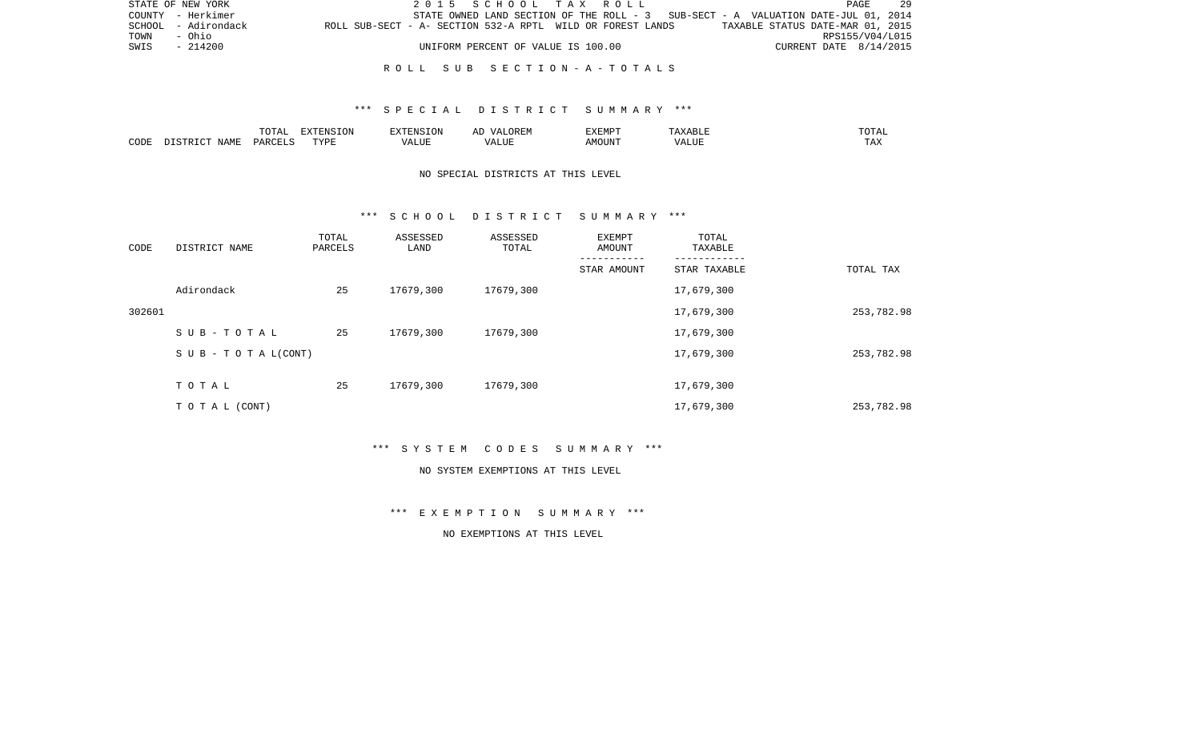|             | STATE OF NEW YORK   |                                                            |  | 2015 SCHOOL TAX ROLL               |  |  |                                                                                   |                                  |                        | PAGE | 29 |
|-------------|---------------------|------------------------------------------------------------|--|------------------------------------|--|--|-----------------------------------------------------------------------------------|----------------------------------|------------------------|------|----|
|             | COUNTY - Herkimer   |                                                            |  |                                    |  |  | STATE OWNED LAND SECTION OF THE ROLL - 3 SUB-SECT - A VALUATION DATE-JUL 01, 2014 |                                  |                        |      |    |
|             | SCHOOL - Adirondack | ROLL SUB-SECT - A- SECTION 532-A RPTL WILD OR FOREST LANDS |  |                                    |  |  |                                                                                   | TAXABLE STATUS DATE-MAR 01, 2015 |                        |      |    |
| TOWN - Ohio |                     |                                                            |  |                                    |  |  |                                                                                   |                                  | RPS155/V04/L015        |      |    |
| SWIS        | - 214200            |                                                            |  | UNIFORM PERCENT OF VALUE IS 100.00 |  |  |                                                                                   |                                  | CURRENT DATE 8/14/2015 |      |    |
|             |                     |                                                            |  |                                    |  |  |                                                                                   |                                  |                        |      |    |

## \*\*\* S P E C I A L D I S T R I C T S U M M A R Y \*\*\*

|      |                          | TOTA <sub>1</sub><br>◡∸ェ | EXTENSION<br>SIUN | <b>EXTENSION</b><br>. UN          | /\ I<br>$\sqrt{N}$<br>ℶ<br>$\cdots$ | EXEMPT | ABL L                         | .'U'I'AL |
|------|--------------------------|--------------------------|-------------------|-----------------------------------|-------------------------------------|--------|-------------------------------|----------|
| CODE | NAME<br>$ \sim$<br>CTD T | PARCELS                  | TVDF              | $2777$ T TTT<br>$\Delta$<br>பிப்ப | ALUI                                | AMOUNT | $T$ , $T$ , $T$ , $T$<br>ALUE | TAX      |

# NO SPECIAL DISTRICTS AT THIS LEVEL

#### \*\*\* S C H O O L D I S T R I C T S U M M A R Y \*\*\*

| CODE   | DISTRICT NAME                    | TOTAL<br>PARCELS | ASSESSED<br>LAND | ASSESSED<br>TOTAL | EXEMPT<br>AMOUNT | TOTAL<br>TAXABLE |            |
|--------|----------------------------------|------------------|------------------|-------------------|------------------|------------------|------------|
|        |                                  |                  |                  |                   | STAR AMOUNT      | STAR TAXABLE     | TOTAL TAX  |
|        | Adirondack                       | 25               | 17679,300        | 17679,300         |                  | 17,679,300       |            |
| 302601 |                                  |                  |                  |                   |                  | 17,679,300       | 253,782.98 |
|        | SUB-TOTAL                        | 25               | 17679,300        | 17679,300         |                  | 17,679,300       |            |
|        | $S \cup B - T \cup T A L (CONT)$ |                  |                  |                   |                  | 17,679,300       | 253,782.98 |
|        | TOTAL                            | 25               | 17679,300        | 17679,300         |                  | 17,679,300       |            |
|        | TO TAL (CONT)                    |                  |                  |                   |                  | 17,679,300       | 253,782.98 |

\*\*\* S Y S T E M C O D E S S U M M A R Y \*\*\*

#### NO SYSTEM EXEMPTIONS AT THIS LEVEL

\*\*\* E X E M P T I O N S U M M A R Y \*\*\*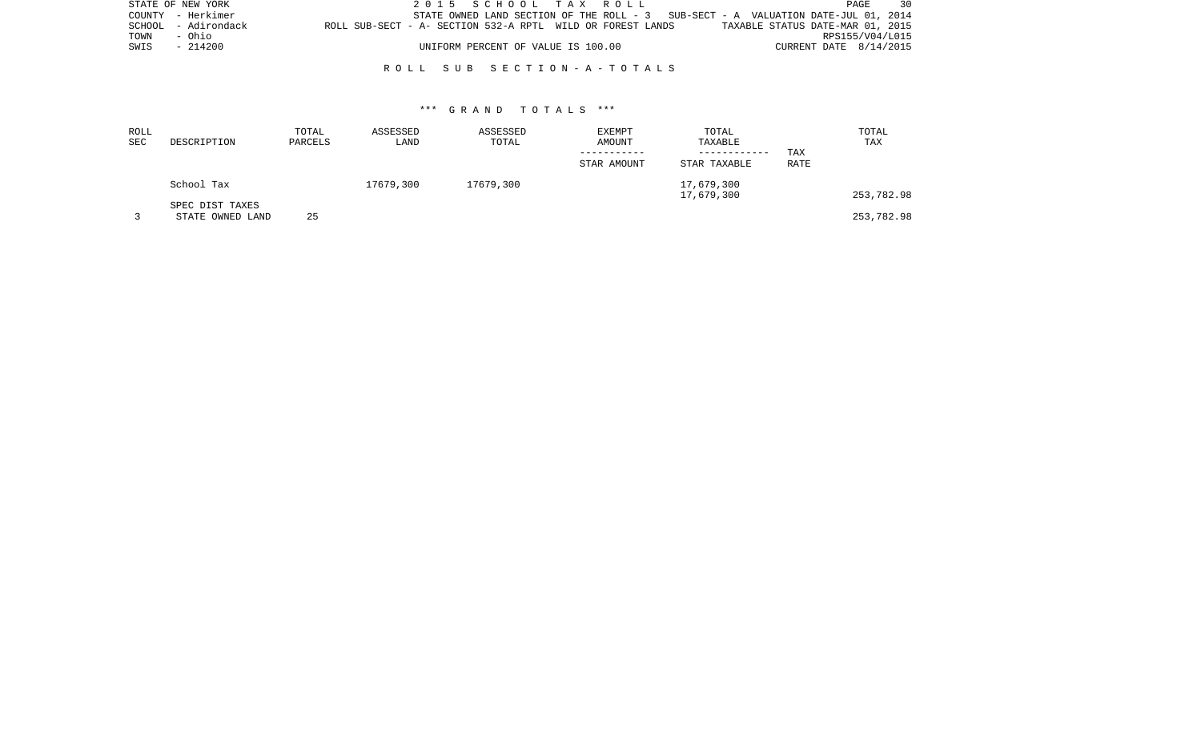| STATE OF NEW YORK |                     |                                                            |  | 2015 SCHOOL TAX ROLL               |  |                                                                                    |                                  |                        | PAGE            | 30 |
|-------------------|---------------------|------------------------------------------------------------|--|------------------------------------|--|------------------------------------------------------------------------------------|----------------------------------|------------------------|-----------------|----|
|                   | COUNTY - Herkimer   |                                                            |  |                                    |  | STATE OWNED LAND SECTION OF THE ROLL $-3$ SUB-SECT - A VALUATION DATE-JUL 01, 2014 |                                  |                        |                 |    |
|                   | SCHOOL - Adirondack | ROLL SUB-SECT - A- SECTION 532-A RPTL WILD OR FOREST LANDS |  |                                    |  |                                                                                    | TAXABLE STATUS DATE-MAR 01, 2015 |                        |                 |    |
| TOWN              | - Ohio              |                                                            |  |                                    |  |                                                                                    |                                  |                        | RPS155/V04/L015 |    |
| SWIS              | - 214200            |                                                            |  | UNIFORM PERCENT OF VALUE IS 100.00 |  |                                                                                    |                                  | CURRENT DATE 8/14/2015 |                 |    |
|                   |                     |                                                            |  |                                    |  |                                                                                    |                                  |                        |                 |    |

| ROLL<br>SEC | DESCRIPTION                         | TOTAL<br>PARCELS | ASSESSED<br>LAND | ASSESSED<br>TOTAL | <b>EXEMPT</b><br>AMOUNT<br>STAR AMOUNT | TOTAL<br>TAXABLE<br>------------<br>STAR TAXABLE | TAX<br>RATE | TOTAL<br>TAX |
|-------------|-------------------------------------|------------------|------------------|-------------------|----------------------------------------|--------------------------------------------------|-------------|--------------|
|             | School Tax                          |                  | 17679,300        | 17679,300         |                                        | 17,679,300<br>17,679,300                         |             | 253,782.98   |
|             | SPEC DIST TAXES<br>STATE OWNED LAND | 25               |                  |                   |                                        |                                                  |             | 253,782.98   |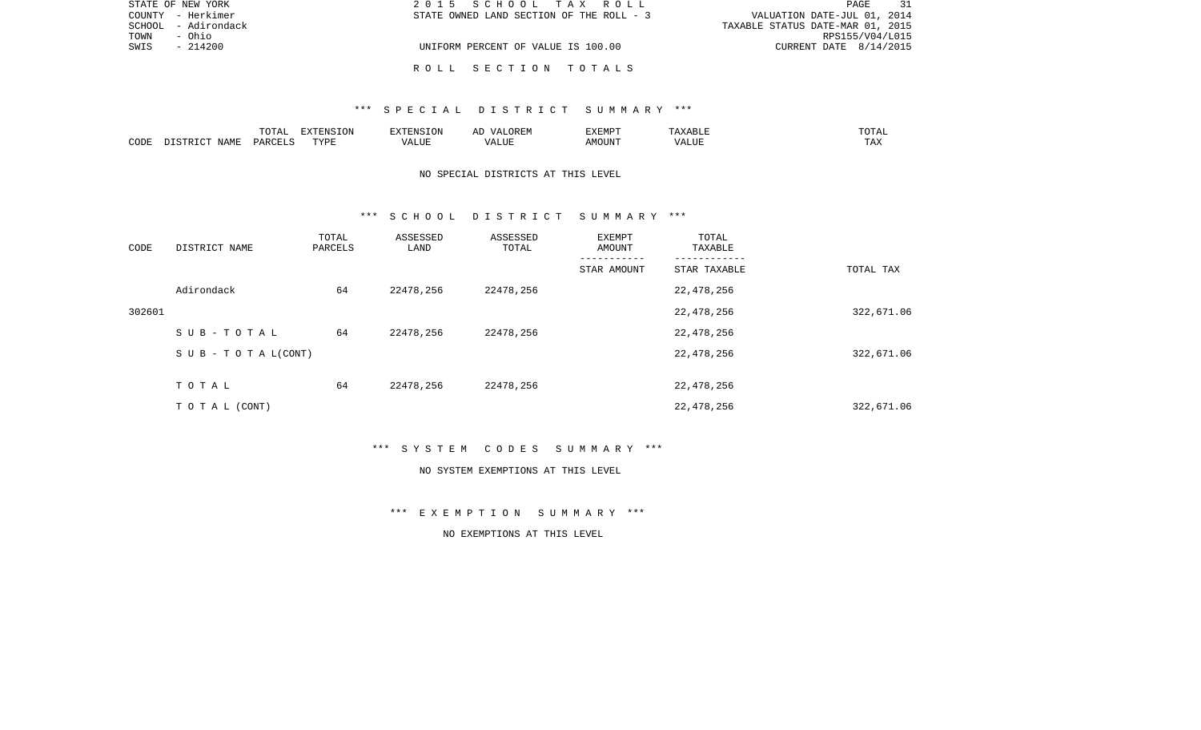|      | STATE OF NEW YORK   | 2015 SCHOOL TAX ROLL                     | 31<br>PAGE                       |
|------|---------------------|------------------------------------------|----------------------------------|
|      | COUNTY - Herkimer   | STATE OWNED LAND SECTION OF THE ROLL - 3 | VALUATION DATE-JUL 01, 2014      |
|      | SCHOOL - Adirondack |                                          | TAXABLE STATUS DATE-MAR 01, 2015 |
| TOWN | - Ohio              |                                          | RPS155/V04/L015                  |
| SWIS | - 214200            | UNIFORM PERCENT OF VALUE IS 100.00       | CURRENT DATE $8/14/2015$         |
|      |                     |                                          |                                  |
|      |                     | ROLL SECTION TOTALS                      |                                  |

## \*\*\* S P E C I A L D I S T R I C T S U M M A R Y \*\*\*

|      |             | $m \wedge m \wedge n$<br>$\overline{\phantom{a}}$<br><u>U 151</u> | $\blacksquare$<br>LVIP | $\cdot$ FNST $\cap$ . | AL | <b>EXEMPT</b> | $\lambda$ | $m \wedge m \wedge n$<br>$\cdots$<br>- - - - |
|------|-------------|-------------------------------------------------------------------|------------------------|-----------------------|----|---------------|-----------|----------------------------------------------|
| CODE | <b>NAMF</b> | DARCELS                                                           | TVDF                   | ALUF<br>ı Δ           |    |               | ALUI      | TAA                                          |

# NO SPECIAL DISTRICTS AT THIS LEVEL

#### \*\*\* S C H O O L D I S T R I C T S U M M A R Y \*\*\*

| CODE   | DISTRICT NAME                    | TOTAL<br>PARCELS | ASSESSED<br>LAND | ASSESSED<br>TOTAL | EXEMPT<br>AMOUNT | TOTAL<br>TAXABLE |            |
|--------|----------------------------------|------------------|------------------|-------------------|------------------|------------------|------------|
|        |                                  |                  |                  |                   | STAR AMOUNT      | STAR TAXABLE     | TOTAL TAX  |
|        | Adirondack                       | 64               | 22478,256        | 22478,256         |                  | 22,478,256       |            |
| 302601 |                                  |                  |                  |                   |                  | 22,478,256       | 322,671.06 |
|        | SUB-TOTAL                        | 64               | 22478,256        | 22478,256         |                  | 22,478,256       |            |
|        | $S \cup B - T \cup T A L (CONT)$ |                  |                  |                   |                  | 22,478,256       | 322,671.06 |
|        | TOTAL                            | 64               | 22478,256        | 22478,256         |                  | 22,478,256       |            |
|        | T O T A L (CONT)                 |                  |                  |                   |                  | 22,478,256       | 322,671.06 |

\*\*\* S Y S T E M C O D E S S U M M A R Y \*\*\*

#### NO SYSTEM EXEMPTIONS AT THIS LEVEL

\*\*\* E X E M P T I O N S U M M A R Y \*\*\*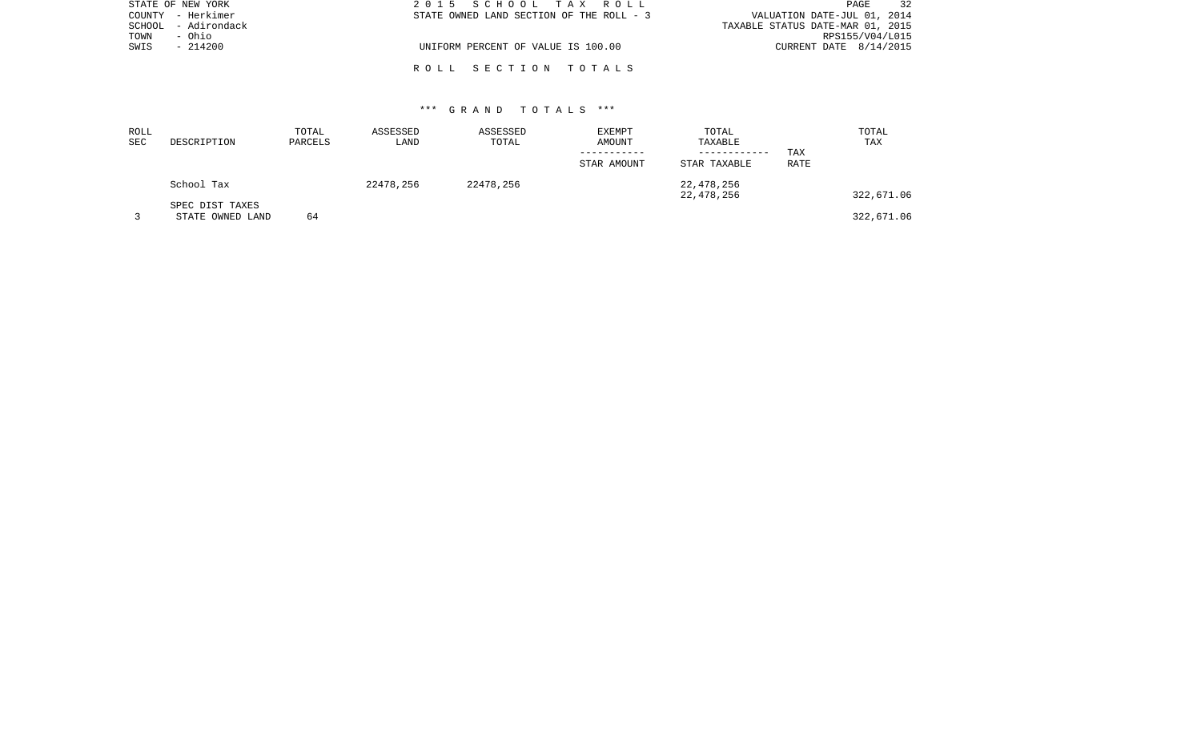| STATE OF NEW YORK   | 2015 SCHOOL TAX ROLL                     | 32<br>PAGE                       |
|---------------------|------------------------------------------|----------------------------------|
| COUNTY - Herkimer   | STATE OWNED LAND SECTION OF THE ROLL - 3 | VALUATION DATE-JUL 01, 2014      |
| SCHOOL - Adirondack |                                          | TAXABLE STATUS DATE-MAR 01, 2015 |
| TOWN<br>- Ohio      |                                          | RPS155/V04/L015                  |
| SWIS<br>$-214200$   | UNIFORM PERCENT OF VALUE IS 100.00       | CURRENT DATE $8/14/2015$         |
|                     |                                          |                                  |
|                     | ROLL SECTION TOTALS                      |                                  |

| ROLL |                                     | TOTAL   | ASSESSED  | ASSESSED  | EXEMPT      | TOTAL                   |      | TOTAL      |
|------|-------------------------------------|---------|-----------|-----------|-------------|-------------------------|------|------------|
| SEC  | DESCRIPTION                         | PARCELS | LAND      | TOTAL     | AMOUNT      | TAXABLE<br>------------ | TAX  | TAX        |
|      |                                     |         |           |           | STAR AMOUNT | STAR TAXABLE            | RATE |            |
|      | School Tax                          |         | 22478,256 | 22478,256 |             | 22,478,256              |      |            |
|      |                                     |         |           |           |             | 22,478,256              |      | 322,671.06 |
|      | SPEC DIST TAXES<br>STATE OWNED LAND | 64      |           |           |             |                         |      | 322,671.06 |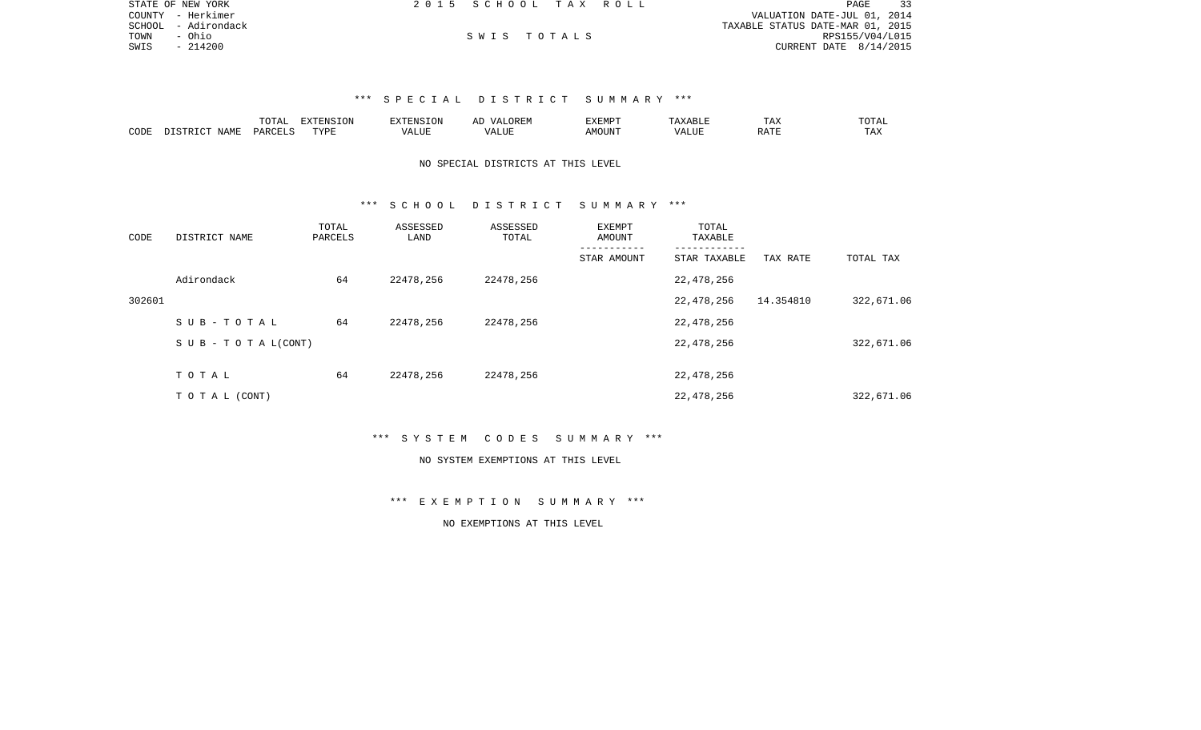| STATE OF NEW YORK   | 2015 SCHOOL TAX ROLL |             |  | 33<br>PAGE                       |
|---------------------|----------------------|-------------|--|----------------------------------|
| COUNTY - Herkimer   |                      |             |  | VALUATION DATE-JUL 01, 2014      |
| SCHOOL - Adirondack |                      |             |  | TAXABLE STATUS DATE-MAR 01, 2015 |
| TOWN<br>- Ohio      |                      | SWIS TOTALS |  | RPS155/V04/L015                  |
| SWIS<br>$-214200$   |                      |             |  | CURRENT DATE 8/14/2015           |

# \*\*\* S P E C I A L D I S T R I C T S U M M A R Y \*\*\*

|      |      | $m \wedge m \wedge n$<br>AI | .      | RXTRNSTON<br>$1 + 11$    | AL.<br>$\cdots$   | <b>EXEMPT</b> |   | $- - -$<br>$\sqrt{ }$<br>⊥ டு∡: | $T$ $\cap$ $T\Delta$ . |
|------|------|-----------------------------|--------|--------------------------|-------------------|---------------|---|---------------------------------|------------------------|
| CODE | NAMF | . PARCEL $\sim$             | וסעידי | ".UE<br>$- - - -$<br>/ ∆ | <b>TTT</b><br>IJР | JUN"          | . |                                 | $m + r$<br>⊥ A∆        |

# NO SPECIAL DISTRICTS AT THIS LEVEL

## \*\*\* S C H O O L D I S T R I C T S U M M A R Y \*\*\*

| CODE   | DISTRICT NAME                    | TOTAL<br>PARCELS | ASSESSED<br>LAND | ASSESSED<br>TOTAL | EXEMPT<br>AMOUNT | TOTAL<br>TAXABLE |           |            |
|--------|----------------------------------|------------------|------------------|-------------------|------------------|------------------|-----------|------------|
|        |                                  |                  |                  |                   | STAR AMOUNT      | STAR TAXABLE     | TAX RATE  | TOTAL TAX  |
|        | Adirondack                       | 64               | 22478,256        | 22478,256         |                  | 22,478,256       |           |            |
| 302601 |                                  |                  |                  |                   |                  | 22,478,256       | 14.354810 | 322,671.06 |
|        | SUB-TOTAL                        | 64               | 22478,256        | 22478,256         |                  | 22,478,256       |           |            |
|        | $S \cup B - T \cup T A L (CONT)$ |                  |                  |                   |                  | 22,478,256       |           | 322,671.06 |
|        | TOTAL                            | 64               | 22478,256        | 22478,256         |                  | 22,478,256       |           |            |
|        |                                  |                  |                  |                   |                  |                  |           |            |
|        | TO TAL (CONT)                    |                  |                  |                   |                  | 22,478,256       |           | 322,671.06 |

\*\*\* S Y S T E M C O D E S S U M M A R Y \*\*\*

#### NO SYSTEM EXEMPTIONS AT THIS LEVEL

\*\*\* E X E M P T I O N S U M M A R Y \*\*\*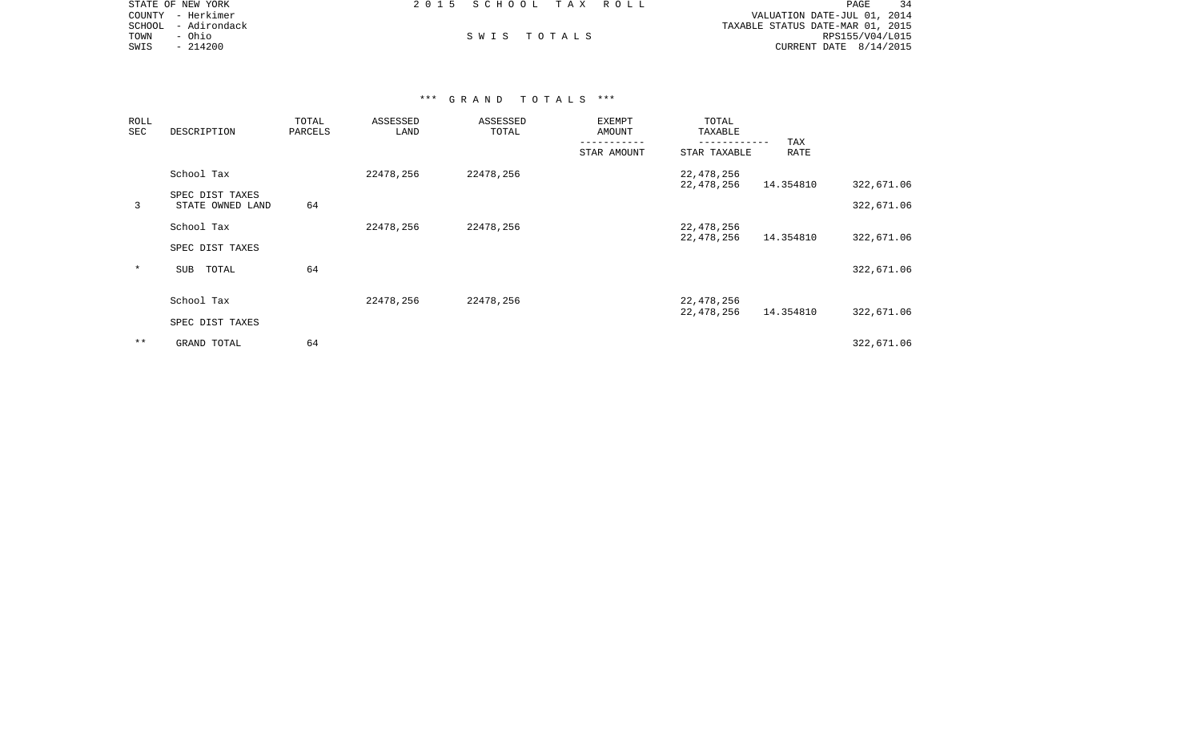|      | STATE OF NEW YORK   | 2015 SCHOOL TAX ROLL |  | PAGE                             |
|------|---------------------|----------------------|--|----------------------------------|
|      | COUNTY - Herkimer   |                      |  | VALUATION DATE-JUL 01, 2014      |
|      | SCHOOL - Adirondack |                      |  | TAXABLE STATUS DATE-MAR 01, 2015 |
| TOWN | - Ohio              | SWIS TOTALS          |  | RPS155/V04/L015                  |
| SWIS | $-214200$           |                      |  | CURRENT DATE $8/14/2015$         |

| ROLL<br>SEC | DESCRIPTION                         | TOTAL<br>PARCELS | ASSESSED<br>LAND | ASSESSED<br>TOTAL | EXEMPT<br>AMOUNT | TOTAL<br>TAXABLE           |             |            |
|-------------|-------------------------------------|------------------|------------------|-------------------|------------------|----------------------------|-------------|------------|
|             |                                     |                  |                  |                   | STAR AMOUNT      | ---------<br>STAR TAXABLE  | TAX<br>RATE |            |
|             | School Tax                          |                  | 22478,256        | 22478,256         |                  | 22,478,256<br>22,478,256   | 14.354810   | 322,671.06 |
| 3           | SPEC DIST TAXES<br>STATE OWNED LAND | 64               |                  |                   |                  |                            |             | 322,671.06 |
|             | School Tax                          |                  | 22478,256        | 22478,256         |                  | 22, 478, 256<br>22,478,256 | 14.354810   | 322,671.06 |
|             | SPEC DIST TAXES                     |                  |                  |                   |                  |                            |             |            |
| $\star$     | TOTAL<br>SUB                        | 64               |                  |                   |                  |                            |             | 322,671.06 |
|             | School Tax                          |                  | 22478,256        | 22478,256         |                  | 22,478,256<br>22,478,256   | 14.354810   | 322,671.06 |
|             | SPEC DIST TAXES                     |                  |                  |                   |                  |                            |             |            |
| $***$       | GRAND TOTAL                         | 64               |                  |                   |                  |                            |             | 322,671.06 |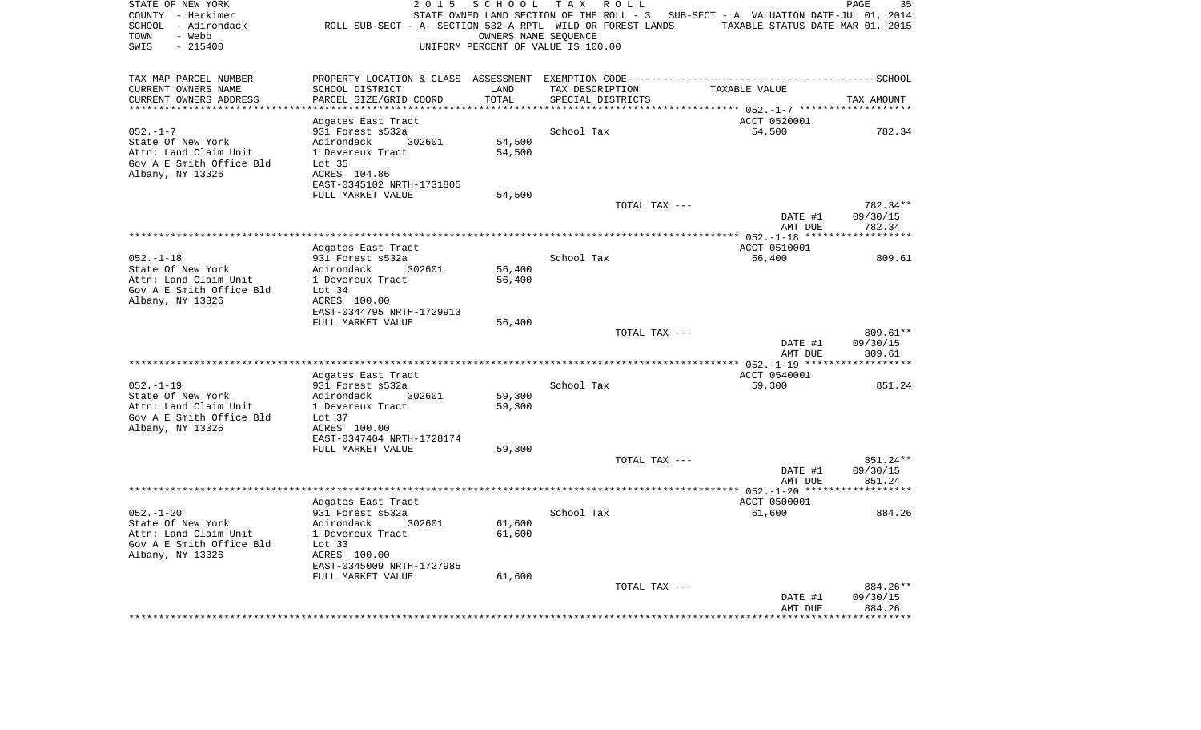| STATE OF NEW YORK<br>COUNTY - Herkimer<br>SCHOOL - Adirondack<br>- Webb<br>TOWN<br>$-215400$<br>SWIS | 2 0 1 5<br>ROLL SUB-SECT - A- SECTION 532-A RPTL WILD OR FOREST LANDS           | SCHOOL           | T A X<br>R O L L<br>STATE OWNED LAND SECTION OF THE ROLL - 3<br>OWNERS NAME SEQUENCE<br>UNIFORM PERCENT OF VALUE IS 100.00 | SUB-SECT - A VALUATION DATE-JUL 01, 2014<br>TAXABLE STATUS DATE-MAR 01, 2015 | PAGE<br>35           |
|------------------------------------------------------------------------------------------------------|---------------------------------------------------------------------------------|------------------|----------------------------------------------------------------------------------------------------------------------------|------------------------------------------------------------------------------|----------------------|
| TAX MAP PARCEL NUMBER                                                                                | PROPERTY LOCATION & CLASS ASSESSMENT EXEMPTION CODE---------------------------- |                  |                                                                                                                            |                                                                              | -------------SCHOOL  |
| CURRENT OWNERS NAME                                                                                  | SCHOOL DISTRICT                                                                 | LAND             | TAX DESCRIPTION                                                                                                            | TAXABLE VALUE                                                                |                      |
| CURRENT OWNERS ADDRESS                                                                               | PARCEL SIZE/GRID COORD                                                          | TOTAL<br>******  | SPECIAL DISTRICTS                                                                                                          | ****** $052 - 1 - 7$ ****                                                    | TAX AMOUNT           |
|                                                                                                      | Adgates East Tract                                                              |                  |                                                                                                                            | ACCT 0520001                                                                 |                      |
| $052. -1 - 7$                                                                                        | 931 Forest s532a                                                                |                  | School Tax                                                                                                                 | 54,500                                                                       | 782.34               |
| State Of New York                                                                                    | Adirondack<br>302601                                                            | 54,500           |                                                                                                                            |                                                                              |                      |
| Attn: Land Claim Unit                                                                                | 1 Devereux Tract                                                                | 54,500           |                                                                                                                            |                                                                              |                      |
| Gov A E Smith Office Bld                                                                             | Lot <sub>35</sub>                                                               |                  |                                                                                                                            |                                                                              |                      |
| Albany, NY 13326                                                                                     | ACRES 104.86                                                                    |                  |                                                                                                                            |                                                                              |                      |
|                                                                                                      | EAST-0345102 NRTH-1731805                                                       |                  |                                                                                                                            |                                                                              |                      |
|                                                                                                      | FULL MARKET VALUE                                                               | 54,500           |                                                                                                                            |                                                                              |                      |
|                                                                                                      |                                                                                 |                  | TOTAL TAX ---                                                                                                              | DATE #1                                                                      | 782.34**<br>09/30/15 |
|                                                                                                      |                                                                                 |                  |                                                                                                                            | AMT DUE                                                                      | 782.34               |
|                                                                                                      |                                                                                 |                  |                                                                                                                            |                                                                              |                      |
|                                                                                                      | Adgates East Tract                                                              |                  |                                                                                                                            | ACCT 0510001                                                                 |                      |
| $052. -1 - 18$                                                                                       | 931 Forest s532a                                                                |                  | School Tax                                                                                                                 | 56,400                                                                       | 809.61               |
| State Of New York                                                                                    | Adirondack<br>302601                                                            | 56,400           |                                                                                                                            |                                                                              |                      |
| Attn: Land Claim Unit                                                                                | 1 Devereux Tract                                                                | 56,400           |                                                                                                                            |                                                                              |                      |
| Gov A E Smith Office Bld                                                                             | Lot $34$                                                                        |                  |                                                                                                                            |                                                                              |                      |
| Albany, NY 13326                                                                                     | ACRES 100.00<br>EAST-0344795 NRTH-1729913                                       |                  |                                                                                                                            |                                                                              |                      |
|                                                                                                      | FULL MARKET VALUE                                                               | 56,400           |                                                                                                                            |                                                                              |                      |
|                                                                                                      |                                                                                 |                  | TOTAL TAX ---                                                                                                              |                                                                              | 809.61**             |
|                                                                                                      |                                                                                 |                  |                                                                                                                            | DATE #1                                                                      | 09/30/15             |
|                                                                                                      |                                                                                 |                  |                                                                                                                            | AMT DUE                                                                      | 809.61               |
|                                                                                                      |                                                                                 |                  |                                                                                                                            |                                                                              | ***********          |
|                                                                                                      | Adgates East Tract                                                              |                  |                                                                                                                            | ACCT 0540001                                                                 |                      |
| $052. -1 - 19$                                                                                       | 931 Forest s532a                                                                |                  | School Tax                                                                                                                 | 59,300                                                                       | 851.24               |
| State Of New York<br>Attn: Land Claim Unit                                                           | Adirondack<br>302601<br>1 Devereux Tract                                        | 59,300<br>59,300 |                                                                                                                            |                                                                              |                      |
| Gov A E Smith Office Bld                                                                             | Lot 37                                                                          |                  |                                                                                                                            |                                                                              |                      |
| Albany, NY 13326                                                                                     | ACRES 100.00                                                                    |                  |                                                                                                                            |                                                                              |                      |
|                                                                                                      | EAST-0347404 NRTH-1728174                                                       |                  |                                                                                                                            |                                                                              |                      |
|                                                                                                      | FULL MARKET VALUE                                                               | 59,300           |                                                                                                                            |                                                                              |                      |
|                                                                                                      |                                                                                 |                  | TOTAL TAX ---                                                                                                              |                                                                              | 851.24**             |
|                                                                                                      |                                                                                 |                  |                                                                                                                            | DATE #1                                                                      | 09/30/15             |
|                                                                                                      |                                                                                 |                  |                                                                                                                            | AMT DUE                                                                      | 851.24               |
|                                                                                                      | Adgates East Tract                                                              |                  |                                                                                                                            | ACCT 0500001                                                                 |                      |
| $052. - 1 - 20$                                                                                      | 931 Forest s532a                                                                |                  | School Tax                                                                                                                 | 61,600                                                                       | 884.26               |
| State Of New York                                                                                    | Adirondack<br>302601                                                            | 61,600           |                                                                                                                            |                                                                              |                      |
| Attn: Land Claim Unit                                                                                | 1 Devereux Tract                                                                | 61,600           |                                                                                                                            |                                                                              |                      |
| Gov A E Smith Office Bld                                                                             | Lot $33$                                                                        |                  |                                                                                                                            |                                                                              |                      |
| Albany, NY 13326                                                                                     | ACRES 100.00                                                                    |                  |                                                                                                                            |                                                                              |                      |
|                                                                                                      | EAST-0345009 NRTH-1727985                                                       |                  |                                                                                                                            |                                                                              |                      |
|                                                                                                      | FULL MARKET VALUE                                                               | 61,600           |                                                                                                                            |                                                                              |                      |
|                                                                                                      |                                                                                 |                  | TOTAL TAX ---                                                                                                              | DATE #1                                                                      | 884.26**<br>09/30/15 |
|                                                                                                      |                                                                                 |                  |                                                                                                                            | AMT DUE                                                                      | 884.26               |
|                                                                                                      |                                                                                 |                  |                                                                                                                            |                                                                              |                      |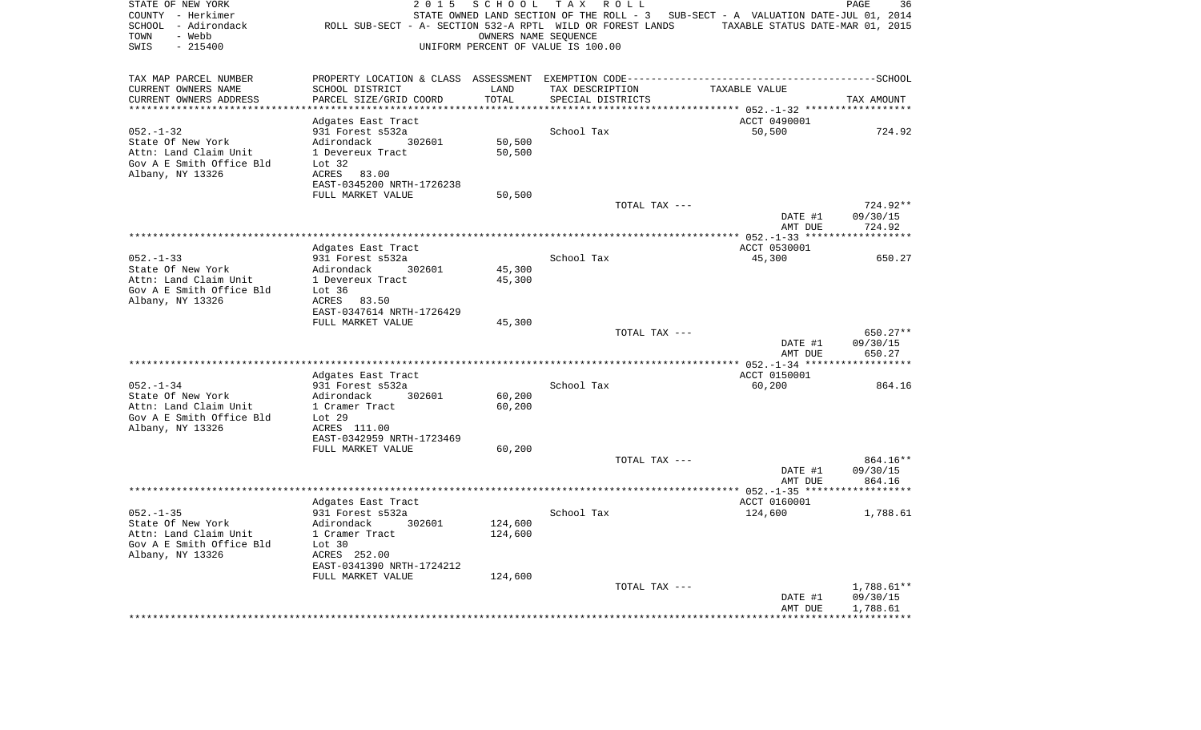| STATE OF NEW YORK<br>COUNTY - Herkimer<br>SCHOOL - Adirondack<br>- Webb<br>TOWN<br>$-215400$<br>SWIS | 2 0 1 5<br>ROLL SUB-SECT - A- SECTION 532-A RPTL WILD OR FOREST LANDS | SCHOOL            | T A X<br>R O L L<br>STATE OWNED LAND SECTION OF THE ROLL - 3<br>OWNERS NAME SEQUENCE<br>UNIFORM PERCENT OF VALUE IS 100.00 | SUB-SECT - A VALUATION DATE-JUL 01, 2014<br>TAXABLE STATUS DATE-MAR 01, 2015 | PAGE<br>36           |
|------------------------------------------------------------------------------------------------------|-----------------------------------------------------------------------|-------------------|----------------------------------------------------------------------------------------------------------------------------|------------------------------------------------------------------------------|----------------------|
| TAX MAP PARCEL NUMBER                                                                                |                                                                       |                   |                                                                                                                            |                                                                              |                      |
| CURRENT OWNERS NAME                                                                                  | SCHOOL DISTRICT                                                       | LAND              | TAX DESCRIPTION                                                                                                            | TAXABLE VALUE                                                                |                      |
| CURRENT OWNERS ADDRESS<br>*******************                                                        | PARCEL SIZE/GRID COORD<br>****************                            | TOTAL<br>******** | SPECIAL DISTRICTS                                                                                                          |                                                                              | TAX AMOUNT           |
|                                                                                                      | Adgates East Tract                                                    |                   |                                                                                                                            | ************************* 052.-1-32 ******<br>ACCT 0490001                   |                      |
| $052. - 1 - 32$                                                                                      | 931 Forest s532a                                                      |                   | School Tax                                                                                                                 | 50,500                                                                       | 724.92               |
| State Of New York                                                                                    | Adirondack<br>302601                                                  | 50,500            |                                                                                                                            |                                                                              |                      |
| Attn: Land Claim Unit                                                                                | 1 Devereux Tract                                                      | 50,500            |                                                                                                                            |                                                                              |                      |
| Gov A E Smith Office Bld                                                                             | Lot $32$                                                              |                   |                                                                                                                            |                                                                              |                      |
| Albany, NY 13326                                                                                     | ACRES<br>83.00                                                        |                   |                                                                                                                            |                                                                              |                      |
|                                                                                                      | EAST-0345200 NRTH-1726238<br>FULL MARKET VALUE                        | 50,500            |                                                                                                                            |                                                                              |                      |
|                                                                                                      |                                                                       |                   | TOTAL TAX ---                                                                                                              |                                                                              | 724.92**             |
|                                                                                                      |                                                                       |                   |                                                                                                                            | DATE #1                                                                      | 09/30/15             |
|                                                                                                      |                                                                       |                   |                                                                                                                            | AMT DUE                                                                      | 724.92               |
|                                                                                                      |                                                                       |                   |                                                                                                                            |                                                                              |                      |
| $052. - 1 - 33$                                                                                      | Adgates East Tract                                                    |                   | School Tax                                                                                                                 | ACCT 0530001<br>45,300                                                       |                      |
| State Of New York                                                                                    | 931 Forest s532a<br>Adirondack<br>302601                              | 45,300            |                                                                                                                            |                                                                              | 650.27               |
| Attn: Land Claim Unit                                                                                | 1 Devereux Tract                                                      | 45,300            |                                                                                                                            |                                                                              |                      |
| Gov A E Smith Office Bld                                                                             | Lot $36$                                                              |                   |                                                                                                                            |                                                                              |                      |
| Albany, NY 13326                                                                                     | ACRES<br>83.50                                                        |                   |                                                                                                                            |                                                                              |                      |
|                                                                                                      | EAST-0347614 NRTH-1726429                                             |                   |                                                                                                                            |                                                                              |                      |
|                                                                                                      | FULL MARKET VALUE                                                     | 45,300            | TOTAL TAX ---                                                                                                              |                                                                              | 650.27**             |
|                                                                                                      |                                                                       |                   |                                                                                                                            | DATE #1                                                                      | 09/30/15             |
|                                                                                                      |                                                                       |                   |                                                                                                                            | AMT DUE                                                                      | 650.27               |
|                                                                                                      |                                                                       |                   |                                                                                                                            |                                                                              | *********            |
|                                                                                                      | Adgates East Tract                                                    |                   |                                                                                                                            | ACCT 0150001                                                                 |                      |
| $052. - 1 - 34$<br>State Of New York                                                                 | 931 Forest s532a<br>Adirondack<br>302601                              |                   | School Tax                                                                                                                 | 60,200                                                                       | 864.16               |
| Attn: Land Claim Unit                                                                                | 1 Cramer Tract                                                        | 60,200<br>60,200  |                                                                                                                            |                                                                              |                      |
| Gov A E Smith Office Bld                                                                             | Lot 29                                                                |                   |                                                                                                                            |                                                                              |                      |
| Albany, NY 13326                                                                                     | ACRES 111.00                                                          |                   |                                                                                                                            |                                                                              |                      |
|                                                                                                      | EAST-0342959 NRTH-1723469                                             |                   |                                                                                                                            |                                                                              |                      |
|                                                                                                      | FULL MARKET VALUE                                                     | 60,200            |                                                                                                                            |                                                                              |                      |
|                                                                                                      |                                                                       |                   | TOTAL TAX ---                                                                                                              | DATE #1                                                                      | 864.16**<br>09/30/15 |
|                                                                                                      |                                                                       |                   |                                                                                                                            | AMT DUE                                                                      | 864.16               |
|                                                                                                      |                                                                       |                   |                                                                                                                            |                                                                              |                      |
|                                                                                                      | Adgates East Tract                                                    |                   |                                                                                                                            | ACCT 0160001                                                                 |                      |
| $052 - 1 - 35$                                                                                       | 931 Forest s532a                                                      |                   | School Tax                                                                                                                 | 124,600                                                                      | 1,788.61             |
| State Of New York                                                                                    | Adirondack<br>302601                                                  | 124,600           |                                                                                                                            |                                                                              |                      |
| Attn: Land Claim Unit<br>Gov A E Smith Office Bld                                                    | 1 Cramer Tract<br>Lot 30                                              | 124,600           |                                                                                                                            |                                                                              |                      |
| Albany, NY 13326                                                                                     | ACRES 252.00                                                          |                   |                                                                                                                            |                                                                              |                      |
|                                                                                                      | EAST-0341390 NRTH-1724212                                             |                   |                                                                                                                            |                                                                              |                      |
|                                                                                                      | FULL MARKET VALUE                                                     | 124,600           |                                                                                                                            |                                                                              |                      |
|                                                                                                      |                                                                       |                   | TOTAL TAX ---                                                                                                              |                                                                              | 1,788.61**           |
|                                                                                                      |                                                                       |                   |                                                                                                                            | DATE #1<br>AMT DUE                                                           | 09/30/15<br>1,788.61 |
|                                                                                                      |                                                                       |                   |                                                                                                                            |                                                                              |                      |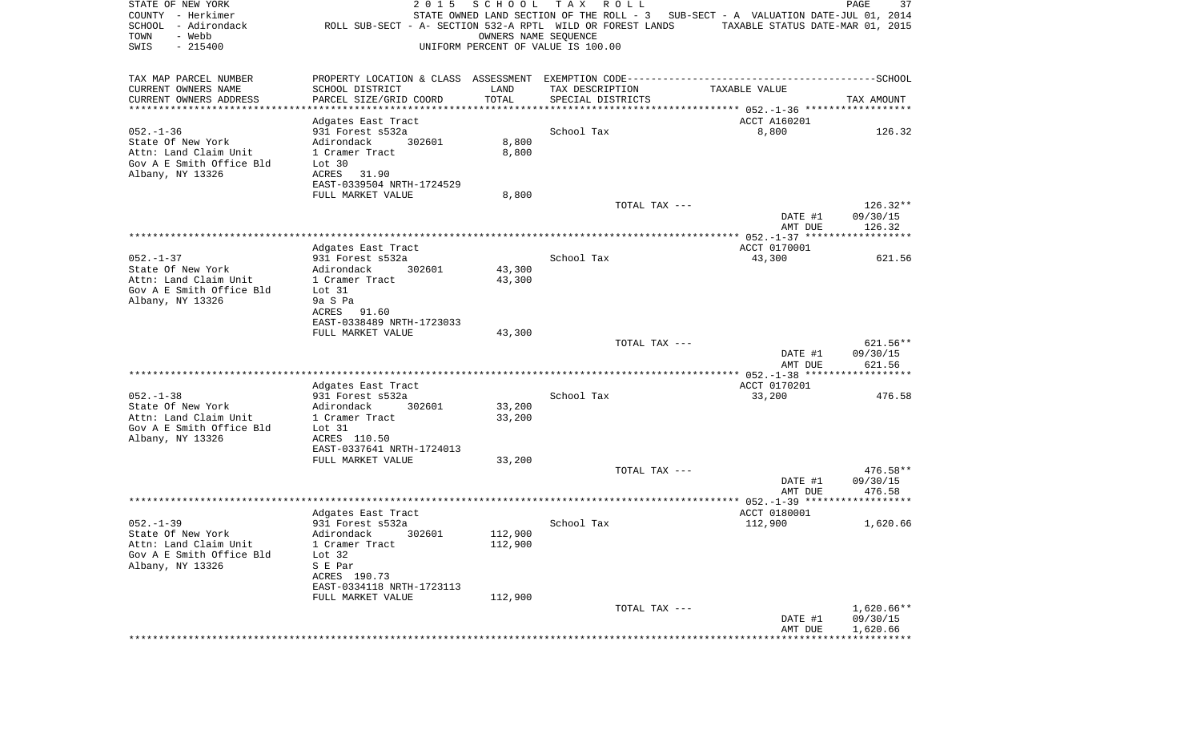| STATE OF NEW YORK<br>COUNTY - Herkimer<br>SCHOOL - Adirondack<br>- Webb<br>TOWN<br>SWIS<br>$-215400$ | 2 0 1 5<br>ROLL SUB-SECT - A- SECTION 532-A RPTL WILD OR FOREST LANDS | SCHOOL<br>OWNERS NAME SEOUENCE | T A X<br>R O L L<br>UNIFORM PERCENT OF VALUE IS 100.00 | STATE OWNED LAND SECTION OF THE ROLL - 3 SUB-SECT - A VALUATION DATE-JUL 01, 2014<br>TAXABLE STATUS DATE-MAR 01, 2015 | PAGE<br>37           |
|------------------------------------------------------------------------------------------------------|-----------------------------------------------------------------------|--------------------------------|--------------------------------------------------------|-----------------------------------------------------------------------------------------------------------------------|----------------------|
| TAX MAP PARCEL NUMBER                                                                                |                                                                       |                                |                                                        |                                                                                                                       |                      |
| CURRENT OWNERS NAME                                                                                  | SCHOOL DISTRICT                                                       | LAND                           | TAX DESCRIPTION                                        | TAXABLE VALUE                                                                                                         |                      |
| CURRENT OWNERS ADDRESS<br>***********************                                                    | PARCEL SIZE/GRID COORD                                                | TOTAL                          | SPECIAL DISTRICTS                                      |                                                                                                                       | TAX AMOUNT           |
|                                                                                                      | Adgates East Tract                                                    |                                |                                                        | ACCT A160201                                                                                                          |                      |
| $052. - 1 - 36$                                                                                      | 931 Forest s532a                                                      |                                | School Tax                                             | 8,800                                                                                                                 | 126.32               |
| State Of New York                                                                                    | Adirondack<br>302601                                                  | 8,800                          |                                                        |                                                                                                                       |                      |
| Attn: Land Claim Unit                                                                                | 1 Cramer Tract                                                        | 8,800                          |                                                        |                                                                                                                       |                      |
| Gov A E Smith Office Bld<br>Albany, NY 13326                                                         | Lot 30<br>ACRES<br>31.90                                              |                                |                                                        |                                                                                                                       |                      |
|                                                                                                      | EAST-0339504 NRTH-1724529                                             |                                |                                                        |                                                                                                                       |                      |
|                                                                                                      | FULL MARKET VALUE                                                     | 8,800                          |                                                        |                                                                                                                       |                      |
|                                                                                                      |                                                                       |                                | TOTAL TAX ---                                          |                                                                                                                       | $126.32**$           |
|                                                                                                      |                                                                       |                                |                                                        | DATE #1<br>AMT DUE                                                                                                    | 09/30/15<br>126.32   |
|                                                                                                      |                                                                       |                                |                                                        |                                                                                                                       |                      |
|                                                                                                      | Adgates East Tract                                                    |                                |                                                        | ACCT 0170001                                                                                                          |                      |
| $052. - 1 - 37$                                                                                      | 931 Forest s532a                                                      |                                | School Tax                                             | 43,300                                                                                                                | 621.56               |
| State Of New York<br>Attn: Land Claim Unit                                                           | Adirondack<br>302601<br>1 Cramer Tract                                | 43,300<br>43,300               |                                                        |                                                                                                                       |                      |
| Gov A E Smith Office Bld                                                                             | Lot 31                                                                |                                |                                                        |                                                                                                                       |                      |
| Albany, NY 13326                                                                                     | 9a S Pa                                                               |                                |                                                        |                                                                                                                       |                      |
|                                                                                                      | ACRES 91.60                                                           |                                |                                                        |                                                                                                                       |                      |
|                                                                                                      | EAST-0338489 NRTH-1723033<br>FULL MARKET VALUE                        | 43,300                         |                                                        |                                                                                                                       |                      |
|                                                                                                      |                                                                       |                                | TOTAL TAX ---                                          |                                                                                                                       | 621.56**             |
|                                                                                                      |                                                                       |                                |                                                        | DATE #1                                                                                                               | 09/30/15             |
|                                                                                                      |                                                                       |                                |                                                        | AMT DUE                                                                                                               | 621.56               |
|                                                                                                      | Adgates East Tract                                                    |                                |                                                        | ACCT 0170201                                                                                                          |                      |
| $052. -1 - 38$                                                                                       | 931 Forest s532a                                                      |                                | School Tax                                             | 33,200                                                                                                                | 476.58               |
| State Of New York                                                                                    | Adirondack<br>302601                                                  | 33,200                         |                                                        |                                                                                                                       |                      |
| Attn: Land Claim Unit<br>Gov A E Smith Office Bld                                                    | 1 Cramer Tract<br>Lot 31                                              | 33,200                         |                                                        |                                                                                                                       |                      |
| Albany, NY 13326                                                                                     | ACRES 110.50                                                          |                                |                                                        |                                                                                                                       |                      |
|                                                                                                      | EAST-0337641 NRTH-1724013                                             |                                |                                                        |                                                                                                                       |                      |
|                                                                                                      | FULL MARKET VALUE                                                     | 33,200                         |                                                        |                                                                                                                       |                      |
|                                                                                                      |                                                                       |                                | TOTAL TAX ---                                          | DATE #1                                                                                                               | 476.58**<br>09/30/15 |
|                                                                                                      |                                                                       |                                |                                                        | AMT DUE                                                                                                               | 476.58               |
|                                                                                                      |                                                                       |                                |                                                        |                                                                                                                       |                      |
|                                                                                                      | Adgates East Tract                                                    |                                |                                                        | ACCT 0180001                                                                                                          |                      |
| $052. - 1 - 39$<br>State Of New York                                                                 | 931 Forest s532a<br>Adirondack 302601                                 | 112,900                        | School Tax                                             | 112,900                                                                                                               | 1,620.66             |
| Attn: Land Claim Unit                                                                                | 1 Cramer Tract                                                        | 112,900                        |                                                        |                                                                                                                       |                      |
| Gov A E Smith Office Bld                                                                             | Lot $32$                                                              |                                |                                                        |                                                                                                                       |                      |
| Albany, NY 13326                                                                                     | S E Par                                                               |                                |                                                        |                                                                                                                       |                      |
|                                                                                                      | ACRES 190.73<br>EAST-0334118 NRTH-1723113                             |                                |                                                        |                                                                                                                       |                      |
|                                                                                                      | FULL MARKET VALUE                                                     | 112,900                        |                                                        |                                                                                                                       |                      |
|                                                                                                      |                                                                       |                                | TOTAL TAX ---                                          |                                                                                                                       | $1,620.66**$         |
|                                                                                                      |                                                                       |                                |                                                        | DATE #1                                                                                                               | 09/30/15             |
|                                                                                                      |                                                                       |                                |                                                        | AMT DUE                                                                                                               | 1,620.66             |
|                                                                                                      |                                                                       |                                |                                                        |                                                                                                                       |                      |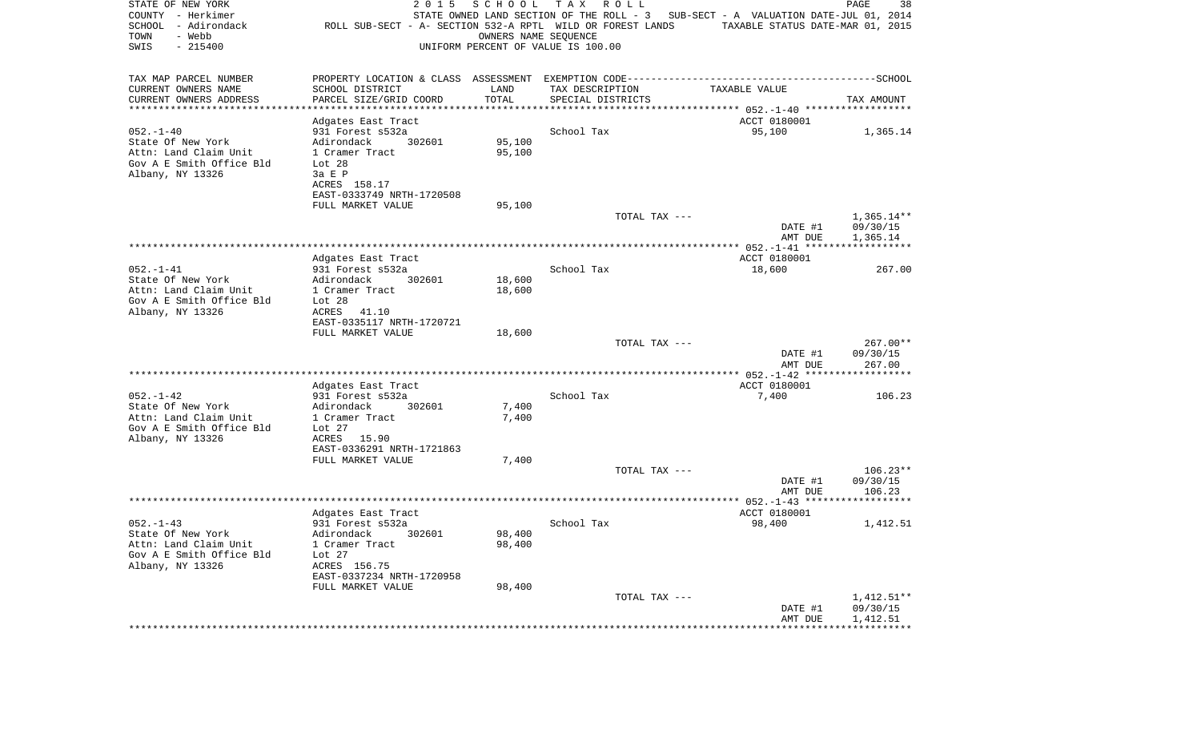| STATE OF NEW YORK<br>COUNTY - Herkimer<br>SCHOOL - Adirondack<br>- Webb<br>TOWN<br>SWIS<br>$-215400$ | 2 0 1 5<br>ROLL SUB-SECT - A- SECTION 532-A RPTL WILD OR FOREST LANDS | SCHOOL<br>OWNERS NAME SEQUENCE | T A X<br>R O L L<br>UNIFORM PERCENT OF VALUE IS 100.00 | STATE OWNED LAND SECTION OF THE ROLL - 3 SUB-SECT - A VALUATION DATE-JUL 01, 2014<br>TAXABLE STATUS DATE-MAR 01, 2015 | PAGE<br>38           |
|------------------------------------------------------------------------------------------------------|-----------------------------------------------------------------------|--------------------------------|--------------------------------------------------------|-----------------------------------------------------------------------------------------------------------------------|----------------------|
| TAX MAP PARCEL NUMBER                                                                                |                                                                       |                                |                                                        | PROPERTY LOCATION & CLASS ASSESSMENT EXEMPTION CODE-----------------------------------SCHOOL                          |                      |
| CURRENT OWNERS NAME                                                                                  | SCHOOL DISTRICT                                                       | LAND                           | TAX DESCRIPTION                                        | TAXABLE VALUE                                                                                                         |                      |
| CURRENT OWNERS ADDRESS<br>**********************                                                     | PARCEL SIZE/GRID COORD<br>*******************                         | TOTAL                          | SPECIAL DISTRICTS                                      |                                                                                                                       | TAX AMOUNT           |
|                                                                                                      | Adgates East Tract                                                    |                                |                                                        | ACCT 0180001                                                                                                          |                      |
| $052. - 1 - 40$                                                                                      | 931 Forest s532a                                                      |                                | School Tax                                             | 95,100                                                                                                                | 1,365.14             |
| State Of New York                                                                                    | 302601<br>Adirondack                                                  | 95,100                         |                                                        |                                                                                                                       |                      |
| Attn: Land Claim Unit                                                                                | 1 Cramer Tract                                                        | 95,100                         |                                                        |                                                                                                                       |                      |
| Gov A E Smith Office Bld                                                                             | Lot 28                                                                |                                |                                                        |                                                                                                                       |                      |
| Albany, NY 13326                                                                                     | 3a E P                                                                |                                |                                                        |                                                                                                                       |                      |
|                                                                                                      | ACRES 158.17                                                          |                                |                                                        |                                                                                                                       |                      |
|                                                                                                      | EAST-0333749 NRTH-1720508<br>FULL MARKET VALUE                        | 95,100                         |                                                        |                                                                                                                       |                      |
|                                                                                                      |                                                                       |                                | TOTAL TAX ---                                          |                                                                                                                       | $1,365.14**$         |
|                                                                                                      |                                                                       |                                |                                                        | DATE #1<br>AMT DUE                                                                                                    | 09/30/15<br>1,365.14 |
|                                                                                                      |                                                                       |                                |                                                        |                                                                                                                       |                      |
|                                                                                                      | Adgates East Tract                                                    |                                |                                                        | ACCT 0180001                                                                                                          |                      |
| $052. - 1 - 41$                                                                                      | 931 Forest s532a                                                      |                                | School Tax                                             | 18,600                                                                                                                | 267.00               |
| State Of New York                                                                                    | Adirondack<br>302601                                                  | 18,600                         |                                                        |                                                                                                                       |                      |
| Attn: Land Claim Unit<br>Gov A E Smith Office Bld                                                    | 1 Cramer Tract<br>Lot $28$                                            | 18,600                         |                                                        |                                                                                                                       |                      |
| Albany, NY 13326                                                                                     | ACRES<br>41.10                                                        |                                |                                                        |                                                                                                                       |                      |
|                                                                                                      | EAST-0335117 NRTH-1720721                                             |                                |                                                        |                                                                                                                       |                      |
|                                                                                                      | FULL MARKET VALUE                                                     | 18,600                         |                                                        |                                                                                                                       |                      |
|                                                                                                      |                                                                       |                                | TOTAL TAX ---                                          |                                                                                                                       | 267.00**             |
|                                                                                                      |                                                                       |                                |                                                        | DATE #1                                                                                                               | 09/30/15             |
|                                                                                                      |                                                                       |                                |                                                        | AMT DUE                                                                                                               | 267.00               |
|                                                                                                      | Adgates East Tract                                                    |                                |                                                        | ACCT 0180001                                                                                                          |                      |
| $052. -1 - 42$                                                                                       | 931 Forest s532a                                                      |                                | School Tax                                             | 7,400                                                                                                                 | 106.23               |
| State Of New York                                                                                    | Adirondack<br>302601                                                  | 7,400                          |                                                        |                                                                                                                       |                      |
| Attn: Land Claim Unit                                                                                | 1 Cramer Tract                                                        | 7,400                          |                                                        |                                                                                                                       |                      |
| Gov A E Smith Office Bld                                                                             | Lot $27$                                                              |                                |                                                        |                                                                                                                       |                      |
| Albany, NY 13326                                                                                     | ACRES<br>15.90                                                        |                                |                                                        |                                                                                                                       |                      |
|                                                                                                      | EAST-0336291 NRTH-1721863<br>FULL MARKET VALUE                        | 7,400                          |                                                        |                                                                                                                       |                      |
|                                                                                                      |                                                                       |                                | TOTAL TAX ---                                          |                                                                                                                       | $106.23**$           |
|                                                                                                      |                                                                       |                                |                                                        | DATE #1                                                                                                               | 09/30/15             |
|                                                                                                      |                                                                       |                                |                                                        | AMT DUE                                                                                                               | 106.23               |
|                                                                                                      |                                                                       |                                |                                                        |                                                                                                                       |                      |
|                                                                                                      | Adgates East Tract                                                    |                                |                                                        | ACCT 0180001                                                                                                          |                      |
| $052. -1 - 43$                                                                                       | 931 Forest s532a                                                      |                                | School Tax                                             | 98,400                                                                                                                | 1,412.51             |
| State Of New York<br>Attn: Land Claim Unit                                                           | 302601<br>Adirondack<br>1 Cramer Tract                                | 98,400<br>98,400               |                                                        |                                                                                                                       |                      |
| Gov A E Smith Office Bld                                                                             | Lot 27                                                                |                                |                                                        |                                                                                                                       |                      |
| Albany, NY 13326                                                                                     | ACRES 156.75                                                          |                                |                                                        |                                                                                                                       |                      |
|                                                                                                      | EAST-0337234 NRTH-1720958                                             |                                |                                                        |                                                                                                                       |                      |
|                                                                                                      | FULL MARKET VALUE                                                     | 98,400                         |                                                        |                                                                                                                       |                      |
|                                                                                                      |                                                                       |                                | TOTAL TAX ---                                          |                                                                                                                       | 1,412.51**           |
|                                                                                                      |                                                                       |                                |                                                        | DATE #1                                                                                                               | 09/30/15<br>1,412.51 |
|                                                                                                      |                                                                       |                                |                                                        | AMT DUE                                                                                                               |                      |
|                                                                                                      |                                                                       |                                |                                                        |                                                                                                                       |                      |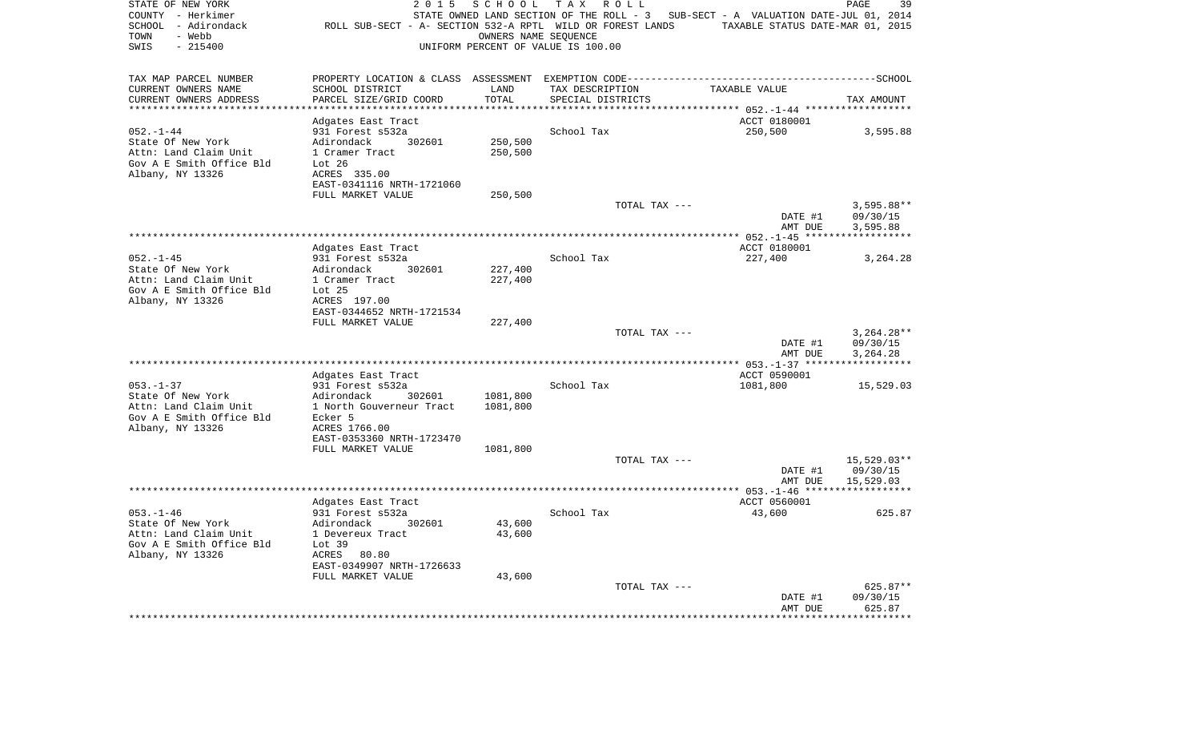| STATE OF NEW YORK<br>COUNTY - Herkimer<br>SCHOOL - Adirondack<br>- Webb<br>TOWN<br>$-215400$<br>SWIS | 2 0 1 5<br>ROLL SUB-SECT - A- SECTION 532-A RPTL WILD OR FOREST LANDS | SCHOOL             | T A X<br>R O L L<br>STATE OWNED LAND SECTION OF THE ROLL - 3<br>OWNERS NAME SEQUENCE<br>UNIFORM PERCENT OF VALUE IS 100.00 | SUB-SECT - A VALUATION DATE-JUL 01, 2014<br>TAXABLE STATUS DATE-MAR 01, 2015 | PAGE<br>39               |
|------------------------------------------------------------------------------------------------------|-----------------------------------------------------------------------|--------------------|----------------------------------------------------------------------------------------------------------------------------|------------------------------------------------------------------------------|--------------------------|
| TAX MAP PARCEL NUMBER                                                                                |                                                                       |                    |                                                                                                                            |                                                                              |                          |
| CURRENT OWNERS NAME                                                                                  | SCHOOL DISTRICT                                                       | LAND               | TAX DESCRIPTION                                                                                                            | TAXABLE VALUE                                                                |                          |
| CURRENT OWNERS ADDRESS                                                                               | PARCEL SIZE/GRID COORD<br>**************                              | TOTAL<br>*******   | SPECIAL DISTRICTS                                                                                                          |                                                                              | TAX AMOUNT               |
|                                                                                                      |                                                                       |                    |                                                                                                                            | ******** 052.-1-44 ******                                                    |                          |
| $052. -1 - 44$                                                                                       | Adgates East Tract<br>931 Forest s532a                                |                    | School Tax                                                                                                                 | ACCT 0180001<br>250,500                                                      | 3,595.88                 |
| State Of New York                                                                                    | Adirondack<br>302601                                                  | 250,500            |                                                                                                                            |                                                                              |                          |
| Attn: Land Claim Unit                                                                                | 1 Cramer Tract                                                        | 250,500            |                                                                                                                            |                                                                              |                          |
| Gov A E Smith Office Bld                                                                             | Lot 26                                                                |                    |                                                                                                                            |                                                                              |                          |
| Albany, NY 13326                                                                                     | ACRES 335.00                                                          |                    |                                                                                                                            |                                                                              |                          |
|                                                                                                      | EAST-0341116 NRTH-1721060                                             |                    |                                                                                                                            |                                                                              |                          |
|                                                                                                      | FULL MARKET VALUE                                                     | 250,500            |                                                                                                                            |                                                                              |                          |
|                                                                                                      |                                                                       |                    | TOTAL TAX ---                                                                                                              | DATE #1                                                                      | $3,595.88**$<br>09/30/15 |
|                                                                                                      |                                                                       |                    |                                                                                                                            | AMT DUE                                                                      | 3,595.88                 |
|                                                                                                      |                                                                       |                    |                                                                                                                            |                                                                              |                          |
|                                                                                                      | Adgates East Tract                                                    |                    |                                                                                                                            | ACCT 0180001                                                                 |                          |
| $052. - 1 - 45$                                                                                      | 931 Forest s532a                                                      |                    | School Tax                                                                                                                 | 227,400                                                                      | 3,264.28                 |
| State Of New York<br>Attn: Land Claim Unit                                                           | Adirondack<br>302601<br>1 Cramer Tract                                | 227,400<br>227,400 |                                                                                                                            |                                                                              |                          |
| Gov A E Smith Office Bld                                                                             | Lot <sub>25</sub>                                                     |                    |                                                                                                                            |                                                                              |                          |
| Albany, NY 13326                                                                                     | ACRES 197.00                                                          |                    |                                                                                                                            |                                                                              |                          |
|                                                                                                      | EAST-0344652 NRTH-1721534                                             |                    |                                                                                                                            |                                                                              |                          |
|                                                                                                      | FULL MARKET VALUE                                                     | 227,400            |                                                                                                                            |                                                                              |                          |
|                                                                                                      |                                                                       |                    | TOTAL TAX ---                                                                                                              |                                                                              | $3,264.28**$             |
|                                                                                                      |                                                                       |                    |                                                                                                                            | DATE #1<br>AMT DUE                                                           | 09/30/15<br>3,264.28     |
|                                                                                                      |                                                                       |                    |                                                                                                                            |                                                                              |                          |
|                                                                                                      | Adgates East Tract                                                    |                    |                                                                                                                            | ACCT 0590001                                                                 |                          |
| $053. - 1 - 37$                                                                                      | 931 Forest s532a                                                      |                    | School Tax                                                                                                                 | 1081,800                                                                     | 15,529.03                |
| State Of New York                                                                                    | Adirondack<br>302601                                                  | 1081,800           |                                                                                                                            |                                                                              |                          |
| Attn: Land Claim Unit<br>Gov A E Smith Office Bld                                                    | 1 North Gouverneur Tract<br>Ecker 5                                   | 1081,800           |                                                                                                                            |                                                                              |                          |
| Albany, NY 13326                                                                                     | ACRES 1766.00                                                         |                    |                                                                                                                            |                                                                              |                          |
|                                                                                                      | EAST-0353360 NRTH-1723470                                             |                    |                                                                                                                            |                                                                              |                          |
|                                                                                                      | FULL MARKET VALUE                                                     | 1081,800           |                                                                                                                            |                                                                              |                          |
|                                                                                                      |                                                                       |                    | TOTAL TAX ---                                                                                                              |                                                                              | 15,529.03**              |
|                                                                                                      |                                                                       |                    |                                                                                                                            | DATE #1                                                                      | 09/30/15                 |
|                                                                                                      |                                                                       |                    |                                                                                                                            | AMT DUE                                                                      | 15,529.03                |
|                                                                                                      | Adgates East Tract                                                    |                    |                                                                                                                            | ACCT 0560001                                                                 |                          |
| $053. -1 - 46$                                                                                       | 931 Forest s532a                                                      |                    | School Tax                                                                                                                 | 43,600                                                                       | 625.87                   |
| State Of New York                                                                                    | Adirondack<br>302601                                                  | 43,600             |                                                                                                                            |                                                                              |                          |
| Attn: Land Claim Unit                                                                                | 1 Devereux Tract                                                      | 43,600             |                                                                                                                            |                                                                              |                          |
| Gov A E Smith Office Bld                                                                             | Lot 39                                                                |                    |                                                                                                                            |                                                                              |                          |
| Albany, NY 13326                                                                                     | ACRES 80.80<br>EAST-0349907 NRTH-1726633                              |                    |                                                                                                                            |                                                                              |                          |
|                                                                                                      | FULL MARKET VALUE                                                     | 43,600             |                                                                                                                            |                                                                              |                          |
|                                                                                                      |                                                                       |                    | TOTAL TAX ---                                                                                                              |                                                                              | 625.87**                 |
|                                                                                                      |                                                                       |                    |                                                                                                                            | DATE #1                                                                      | 09/30/15                 |
|                                                                                                      |                                                                       |                    |                                                                                                                            | AMT DUE                                                                      | 625.87<br>********       |
|                                                                                                      |                                                                       |                    |                                                                                                                            |                                                                              |                          |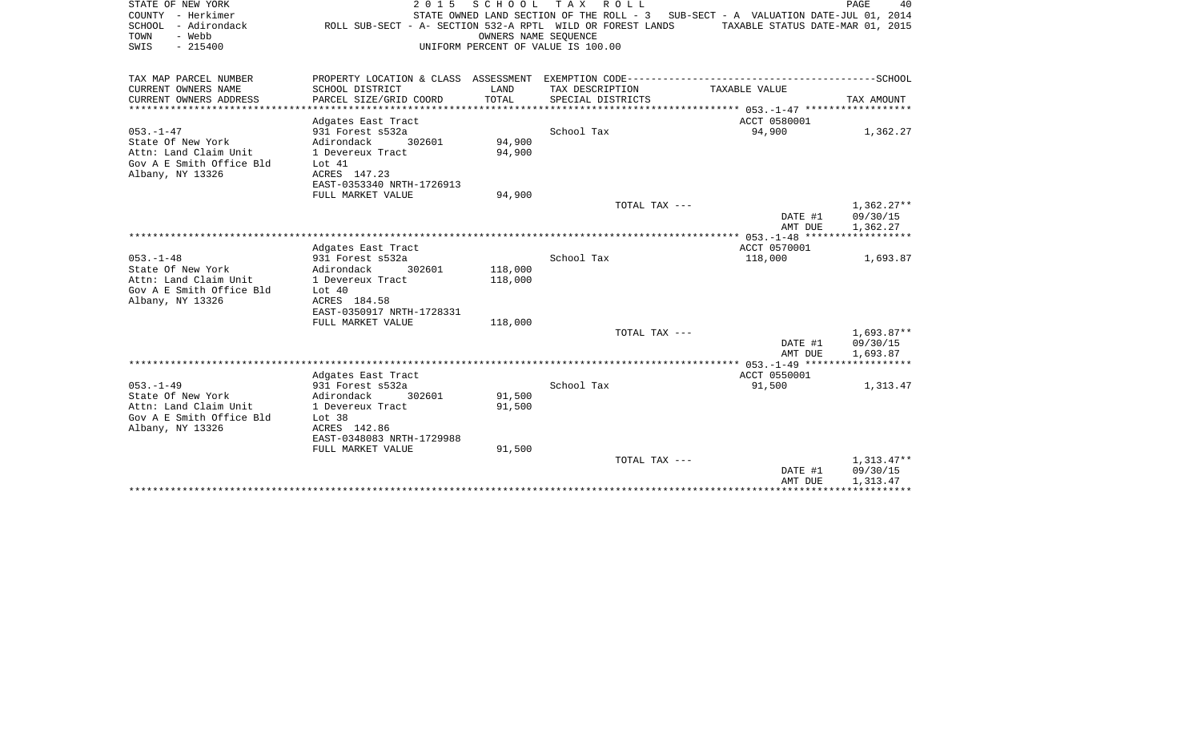| STATE OF NEW YORK<br>COUNTY - Herkimer<br>SCHOOL - Adirondack<br>TOWN<br>- Webb<br>SWIS<br>$-215400$ | ROLL SUB-SECT - A- SECTION 532-A RPTL WILD OR FOREST LANDS | 2015 SCHOOL<br>OWNERS NAME SEOUENCE | TAX ROLL<br>STATE OWNED LAND SECTION OF THE ROLL - 3 SUB-SECT - A VALUATION DATE-JUL 01, 2014<br>UNIFORM PERCENT OF VALUE IS 100.00 | TAXABLE STATUS DATE-MAR 01, 2015 | PAGE<br>40             |
|------------------------------------------------------------------------------------------------------|------------------------------------------------------------|-------------------------------------|-------------------------------------------------------------------------------------------------------------------------------------|----------------------------------|------------------------|
| TAX MAP PARCEL NUMBER                                                                                |                                                            |                                     |                                                                                                                                     |                                  |                        |
| CURRENT OWNERS NAME                                                                                  | SCHOOL DISTRICT                                            | LAND                                | TAX DESCRIPTION                                                                                                                     | TAXABLE VALUE                    |                        |
| CURRENT OWNERS ADDRESS                                                                               | PARCEL SIZE/GRID COORD                                     | TOTAL                               | SPECIAL DISTRICTS                                                                                                                   |                                  | TAX AMOUNT             |
|                                                                                                      | Adgates East Tract                                         |                                     |                                                                                                                                     | ACCT 0580001                     |                        |
| $053. -1 - 47$                                                                                       | 931 Forest s532a                                           |                                     | School Tax                                                                                                                          | 94,900                           | 1,362.27               |
| State Of New York                                                                                    | Adirondack<br>302601                                       | 94,900                              |                                                                                                                                     |                                  |                        |
| Attn: Land Claim Unit<br>Gov A E Smith Office Bld                                                    | 1 Devereux Tract<br>Lot 41                                 | 94,900                              |                                                                                                                                     |                                  |                        |
| Albany, NY 13326                                                                                     | ACRES 147.23                                               |                                     |                                                                                                                                     |                                  |                        |
|                                                                                                      | EAST-0353340 NRTH-1726913                                  |                                     |                                                                                                                                     |                                  |                        |
|                                                                                                      | FULL MARKET VALUE                                          | 94,900                              |                                                                                                                                     |                                  |                        |
|                                                                                                      |                                                            |                                     | TOTAL TAX ---                                                                                                                       |                                  | $1,362.27**$           |
|                                                                                                      |                                                            |                                     |                                                                                                                                     | DATE #1<br>AMT DUE               | 09/30/15<br>1,362.27   |
|                                                                                                      |                                                            |                                     |                                                                                                                                     |                                  |                        |
|                                                                                                      | Adgates East Tract                                         |                                     |                                                                                                                                     | ACCT 0570001                     |                        |
| $053. -1 - 48$                                                                                       | 931 Forest s532a                                           |                                     | School Tax                                                                                                                          | 118,000                          | 1,693.87               |
| State Of New York<br>Attn: Land Claim Unit                                                           | Adirondack<br>302601<br>1 Devereux Tract                   | 118,000<br>118,000                  |                                                                                                                                     |                                  |                        |
| Gov A E Smith Office Bld                                                                             | Lot $40$                                                   |                                     |                                                                                                                                     |                                  |                        |
| Albany, NY 13326                                                                                     | ACRES 184.58                                               |                                     |                                                                                                                                     |                                  |                        |
|                                                                                                      | EAST-0350917 NRTH-1728331                                  |                                     |                                                                                                                                     |                                  |                        |
|                                                                                                      | FULL MARKET VALUE                                          | 118,000                             |                                                                                                                                     |                                  |                        |
|                                                                                                      |                                                            |                                     | TOTAL TAX ---                                                                                                                       | DATE #1                          | 1,693.87**<br>09/30/15 |
|                                                                                                      |                                                            |                                     |                                                                                                                                     | AMT DUE                          | 1,693.87               |
|                                                                                                      |                                                            |                                     |                                                                                                                                     |                                  |                        |
|                                                                                                      | Adgates East Tract                                         |                                     |                                                                                                                                     | ACCT 0550001                     |                        |
| $053. -1 - 49$<br>State Of New York                                                                  | 931 Forest s532a<br>Adirondack<br>302601                   | 91,500                              | School Tax                                                                                                                          | 91,500                           | 1,313.47               |
| Attn: Land Claim Unit                                                                                | 1 Devereux Tract                                           | 91,500                              |                                                                                                                                     |                                  |                        |
| Gov A E Smith Office Bld                                                                             | Lot <sub>38</sub>                                          |                                     |                                                                                                                                     |                                  |                        |
| Albany, NY 13326                                                                                     | ACRES 142.86                                               |                                     |                                                                                                                                     |                                  |                        |
|                                                                                                      | EAST-0348083 NRTH-1729988                                  |                                     |                                                                                                                                     |                                  |                        |
|                                                                                                      | FULL MARKET VALUE                                          | 91,500                              | TOTAL TAX ---                                                                                                                       |                                  | 1,313.47**             |
|                                                                                                      |                                                            |                                     |                                                                                                                                     | DATE #1                          | 09/30/15               |
|                                                                                                      |                                                            |                                     |                                                                                                                                     | AMT DUE                          | 1,313.47               |
|                                                                                                      |                                                            |                                     |                                                                                                                                     | * * * * * * * * * * * * * * *    |                        |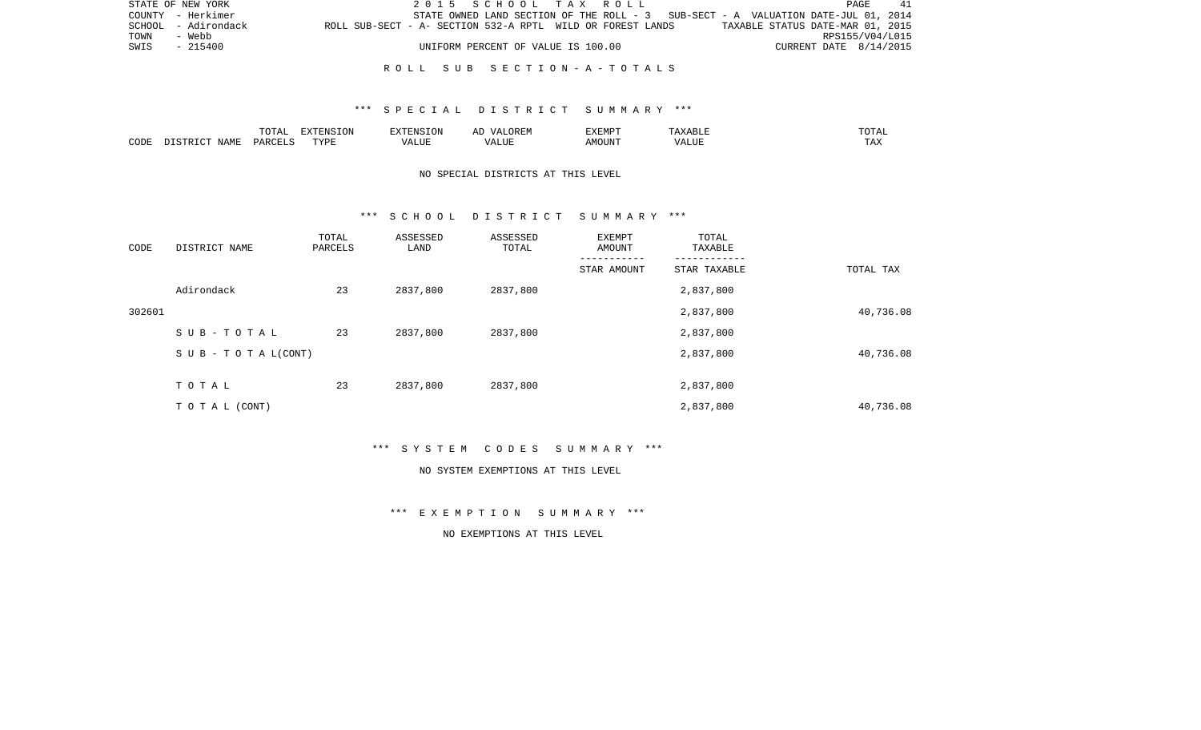|      | STATE OF NEW YORK   |                                                            |  | 2015 SCHOOL TAX ROLL               |  |  |                                                                                   |                                  |                        | PAGE | 41 |
|------|---------------------|------------------------------------------------------------|--|------------------------------------|--|--|-----------------------------------------------------------------------------------|----------------------------------|------------------------|------|----|
|      | COUNTY - Herkimer   |                                                            |  |                                    |  |  | STATE OWNED LAND SECTION OF THE ROLL - 3 SUB-SECT - A VALUATION DATE-JUL 01, 2014 |                                  |                        |      |    |
|      | SCHOOL - Adirondack | ROLL SUB-SECT - A- SECTION 532-A RPTL WILD OR FOREST LANDS |  |                                    |  |  |                                                                                   | TAXABLE STATUS DATE-MAR 01, 2015 |                        |      |    |
| TOWN | - Webb              |                                                            |  |                                    |  |  |                                                                                   |                                  | RPS155/V04/L015        |      |    |
| SWIS | - 215400            |                                                            |  | UNIFORM PERCENT OF VALUE IS 100.00 |  |  |                                                                                   |                                  | CURRENT DATE 8/14/2015 |      |    |
|      |                     |                                                            |  |                                    |  |  |                                                                                   |                                  |                        |      |    |

## \*\*\* S P E C I A L D I S T R I C T S U M M A R Y \*\*\*

|      |                          | TOTA <sub>1</sub><br>◡∸ェ | EXTENSION<br>SIUN | <b>EXTENSION</b><br>. UN          | /\ I<br>$\sqrt{N}$<br>ℶ<br>$\cdots$ | EXEMPT | ABL L                         | .'U'I'AL |
|------|--------------------------|--------------------------|-------------------|-----------------------------------|-------------------------------------|--------|-------------------------------|----------|
| CODE | NAME<br>$ \sim$<br>CTD T | PARCELS                  | TVDF              | $2777$ T TTT<br>$\Delta$<br>பிப்ப | ALUI                                | AMOUNT | $T$ , $T$ , $T$ , $T$<br>ALUE | TAX      |

# NO SPECIAL DISTRICTS AT THIS LEVEL

#### \*\*\* S C H O O L D I S T R I C T S U M M A R Y \*\*\*

| CODE   | DISTRICT NAME                    | TOTAL<br>PARCELS | ASSESSED<br>LAND | ASSESSED<br>TOTAL | EXEMPT<br>AMOUNT | TOTAL<br>TAXABLE |           |
|--------|----------------------------------|------------------|------------------|-------------------|------------------|------------------|-----------|
|        |                                  |                  |                  |                   | STAR AMOUNT      | STAR TAXABLE     | TOTAL TAX |
|        | Adirondack                       | 23               | 2837,800         | 2837,800          |                  | 2,837,800        |           |
| 302601 |                                  |                  |                  |                   |                  | 2,837,800        | 40,736.08 |
|        | SUB-TOTAL                        | 23               | 2837,800         | 2837,800          |                  | 2,837,800        |           |
|        | $S \cup B - T \cup T A L (CONT)$ |                  |                  |                   |                  | 2,837,800        | 40,736.08 |
|        | TOTAL                            | 23               | 2837,800         | 2837,800          |                  | 2,837,800        |           |
|        | T O T A L (CONT)                 |                  |                  |                   |                  | 2,837,800        | 40,736.08 |

\*\*\* S Y S T E M C O D E S S U M M A R Y \*\*\*

#### NO SYSTEM EXEMPTIONS AT THIS LEVEL

\*\*\* E X E M P T I O N S U M M A R Y \*\*\*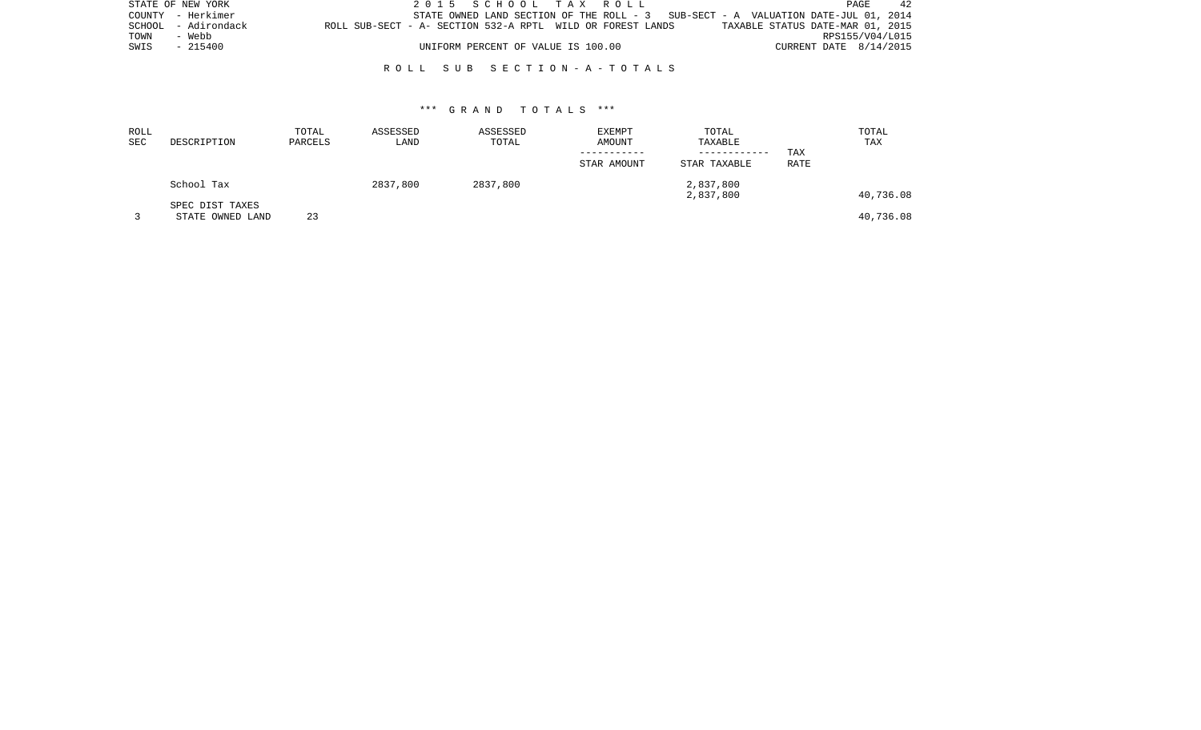| STATE OF NEW YORK |                     |                                                            |  | 2015 SCHOOL TAX ROLL               |  |                                                                                    |                                  |                        | PAGE            | 42 |
|-------------------|---------------------|------------------------------------------------------------|--|------------------------------------|--|------------------------------------------------------------------------------------|----------------------------------|------------------------|-----------------|----|
|                   | COUNTY - Herkimer   |                                                            |  |                                    |  | STATE OWNED LAND SECTION OF THE ROLL $-3$ SUB-SECT - A VALUATION DATE-JUL 01, 2014 |                                  |                        |                 |    |
|                   | SCHOOL - Adirondack | ROLL SUB-SECT - A- SECTION 532-A RPTL WILD OR FOREST LANDS |  |                                    |  |                                                                                    | TAXABLE STATUS DATE-MAR 01, 2015 |                        |                 |    |
| TOWN              | - Webb              |                                                            |  |                                    |  |                                                                                    |                                  |                        | RPS155/V04/L015 |    |
| SWIS              | $-215400$           |                                                            |  | UNIFORM PERCENT OF VALUE IS 100.00 |  |                                                                                    |                                  | CURRENT DATE 8/14/2015 |                 |    |
|                   |                     |                                                            |  |                                    |  |                                                                                    |                                  |                        |                 |    |

| ROLL<br><b>SEC</b> | DESCRIPTION      | TOTAL<br>PARCELS | ASSESSED<br>LAND | ASSESSED<br>TOTAL | <b>EXEMPT</b><br>AMOUNT | TOTAL<br>TAXABLE |             | TOTAL<br>TAX |
|--------------------|------------------|------------------|------------------|-------------------|-------------------------|------------------|-------------|--------------|
|                    |                  |                  |                  |                   |                         | ------------     | TAX         |              |
|                    |                  |                  |                  |                   | STAR AMOUNT             | STAR TAXABLE     | <b>RATE</b> |              |
|                    | School Tax       |                  | 2837,800         | 2837,800          |                         | 2,837,800        |             |              |
|                    |                  |                  |                  |                   |                         | 2,837,800        |             | 40,736.08    |
|                    | SPEC DIST TAXES  |                  |                  |                   |                         |                  |             |              |
|                    | STATE OWNED LAND | 23               |                  |                   |                         |                  |             | 40,736.08    |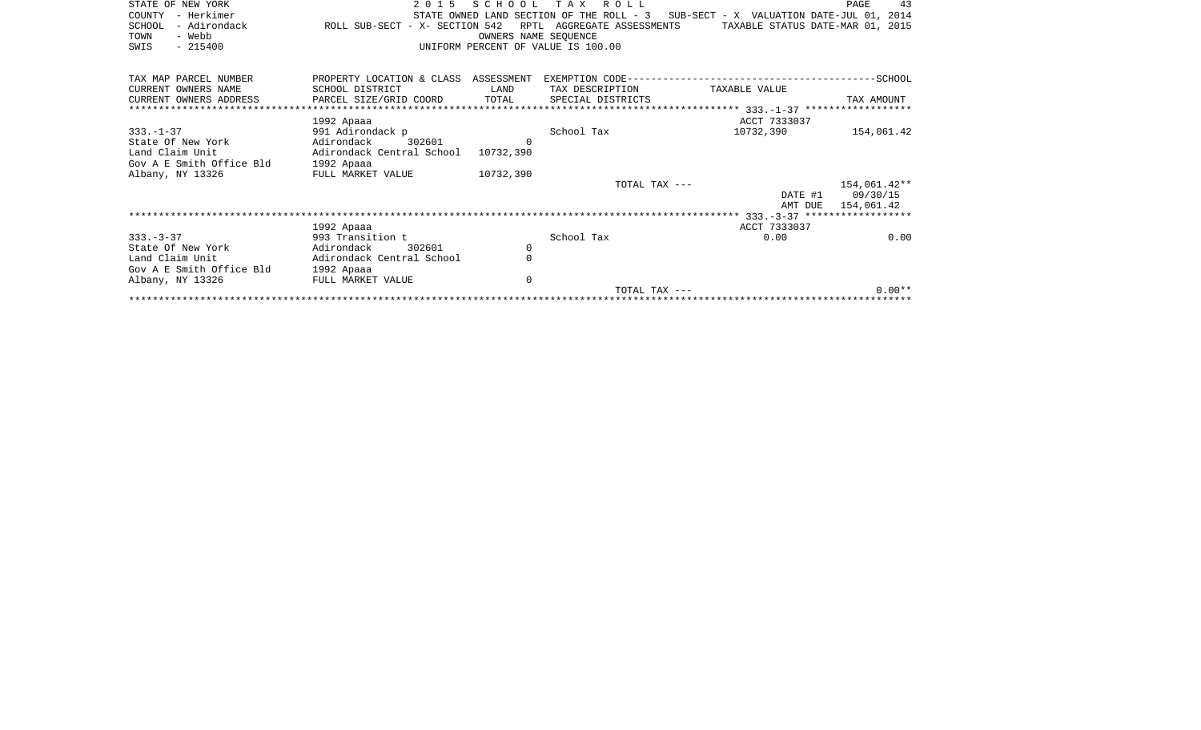| STATE OF NEW YORK<br>- Herkimer<br>COUNTY<br>SCHOOL<br>- Adirondack<br>TOWN<br>- Webb<br>$-215400$<br>SWIS | 2015<br>ROLL SUB-SECT - X- SECTION 542   | SCHOOL<br>RPTL | T A X<br>R O L L<br>AGGREGATE ASSESSMENTS<br>OWNERS NAME SEQUENCE<br>UNIFORM PERCENT OF VALUE IS 100.00 | STATE OWNED LAND SECTION OF THE ROLL - 3 SUB-SECT - X VALUATION DATE-JUL 01, 2014<br>TAXABLE STATUS DATE-MAR 01, 2015 | 43<br>PAGE   |
|------------------------------------------------------------------------------------------------------------|------------------------------------------|----------------|---------------------------------------------------------------------------------------------------------|-----------------------------------------------------------------------------------------------------------------------|--------------|
| TAX MAP PARCEL NUMBER                                                                                      | PROPERTY LOCATION & CLASS ASSESSMENT     |                |                                                                                                         |                                                                                                                       |              |
| CURRENT OWNERS NAME                                                                                        | SCHOOL DISTRICT                          | LAND           | TAX DESCRIPTION                                                                                         | TAXABLE VALUE                                                                                                         |              |
| CURRENT OWNERS ADDRESS                                                                                     | PARCEL SIZE/GRID COORD                   | TOTAL          | SPECIAL DISTRICTS                                                                                       |                                                                                                                       | TAX AMOUNT   |
|                                                                                                            |                                          |                |                                                                                                         |                                                                                                                       |              |
| $333. - 1 - 37$                                                                                            | 1992 Apaaa                               |                | School Tax                                                                                              | ACCT 7333037<br>10732,390                                                                                             |              |
| State Of New York                                                                                          | 991 Adirondack p<br>Adirondack<br>302601 | $\Omega$       |                                                                                                         |                                                                                                                       | 154,061.42   |
| Land Claim Unit                                                                                            | Adirondack Central School                | 10732,390      |                                                                                                         |                                                                                                                       |              |
| Gov A E Smith Office Bld                                                                                   | 1992 Apaaa                               |                |                                                                                                         |                                                                                                                       |              |
| Albany, NY 13326                                                                                           | FULL MARKET VALUE                        | 10732,390      |                                                                                                         |                                                                                                                       |              |
|                                                                                                            |                                          |                | TOTAL TAX ---                                                                                           |                                                                                                                       | 154,061.42** |
|                                                                                                            |                                          |                |                                                                                                         | DATE #1                                                                                                               | 09/30/15     |
|                                                                                                            |                                          |                |                                                                                                         | AMT DUE                                                                                                               | 154,061.42   |
|                                                                                                            |                                          |                |                                                                                                         |                                                                                                                       |              |
|                                                                                                            | 1992 Apaaa                               |                |                                                                                                         | ACCT 7333037                                                                                                          |              |
| $333 - 3 - 37$                                                                                             | 993 Transition t                         |                | School Tax                                                                                              | 0.00                                                                                                                  | 0.00         |
| State Of New York                                                                                          | Adirondack<br>302601                     | 0              |                                                                                                         |                                                                                                                       |              |
| Land Claim Unit                                                                                            | Adirondack Central School                | $\Omega$       |                                                                                                         |                                                                                                                       |              |
| Gov A E Smith Office Bld                                                                                   | 1992 Apaaa                               |                |                                                                                                         |                                                                                                                       |              |
| Albany, NY 13326                                                                                           | FULL MARKET VALUE                        | $\Omega$       | TOTAL TAX ---                                                                                           |                                                                                                                       | $0.00**$     |
|                                                                                                            |                                          |                |                                                                                                         |                                                                                                                       |              |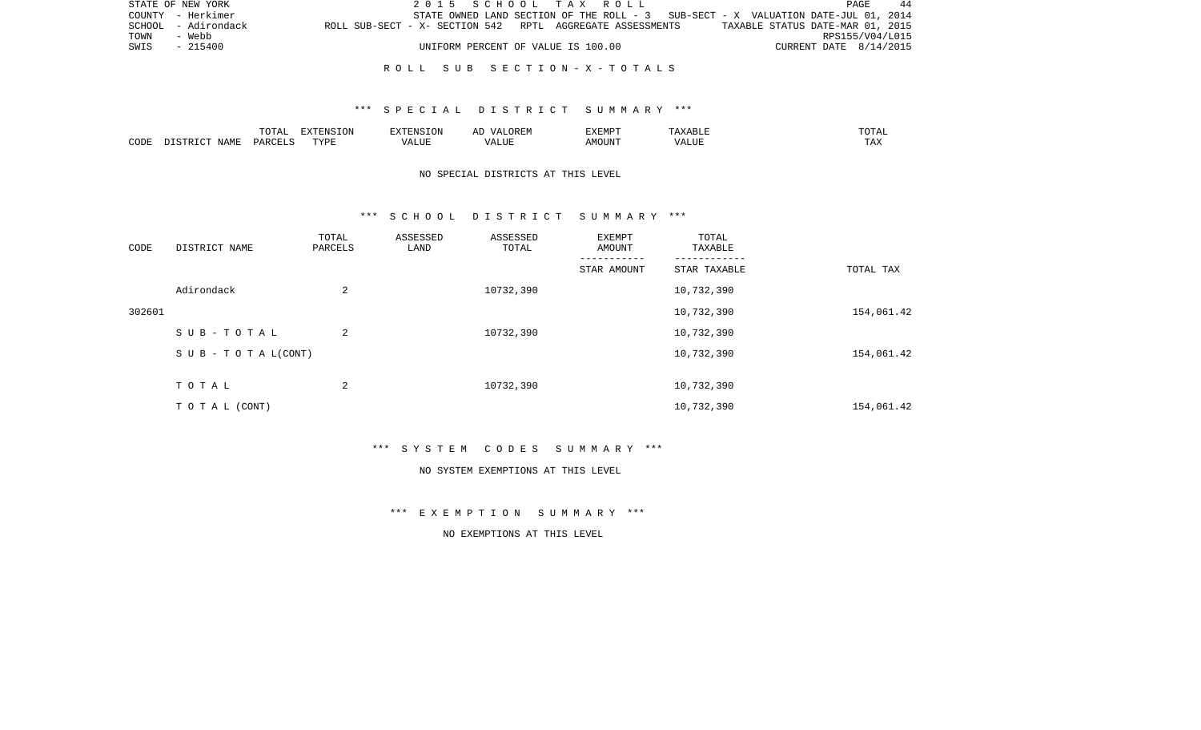|      | STATE OF NEW YORK   |                                                           | 2015 SCHOOL TAX ROLL               |  |  |                                                                                   |                        | PAGE | 44 |
|------|---------------------|-----------------------------------------------------------|------------------------------------|--|--|-----------------------------------------------------------------------------------|------------------------|------|----|
|      | COUNTY - Herkimer   |                                                           |                                    |  |  | STATE OWNED LAND SECTION OF THE ROLL - 3 SUB-SECT - X VALUATION DATE-JUL 01, 2014 |                        |      |    |
|      | SCHOOL - Adirondack | ROLL SUB-SECT - X- SECTION 542 RPTL AGGREGATE ASSESSMENTS |                                    |  |  | TAXABLE STATUS DATE-MAR 01, 2015                                                  |                        |      |    |
| TOWN | - Webb              |                                                           |                                    |  |  |                                                                                   | RPS155/V04/L015        |      |    |
| SWIS | - 215400            |                                                           | UNIFORM PERCENT OF VALUE IS 100.00 |  |  |                                                                                   | CURRENT DATE 8/14/2015 |      |    |
|      |                     |                                                           |                                    |  |  |                                                                                   |                        |      |    |

### R O L L S U B S E C T I O N - X - T O T A L S

### \*\*\* S P E C I A L D I S T R I C T S U M M A R Y \*\*\*

|      |       | ----           | "ENSION     |               | − | ⊓תואס∨ס<br>8 스 8 년 7 |                       |     |
|------|-------|----------------|-------------|---------------|---|----------------------|-----------------------|-----|
| CODE | NAML. | $\cap$<br>DAW' | <b>TVDL</b> | / ∆∣<br>91.IH |   | MOUN'                | T T<br>. <del>.</del> | TAX |

## NO SPECIAL DISTRICTS AT THIS LEVEL

### \*\*\* S C H O O L D I S T R I C T S U M M A R Y \*\*\*

| CODE   | DISTRICT NAME                    | TOTAL<br>PARCELS | ASSESSED<br>LAND | ASSESSED<br>TOTAL | EXEMPT<br>AMOUNT | TOTAL<br>TAXABLE |            |
|--------|----------------------------------|------------------|------------------|-------------------|------------------|------------------|------------|
|        |                                  |                  |                  |                   | STAR AMOUNT      | STAR TAXABLE     | TOTAL TAX  |
|        | Adirondack                       | 2                |                  | 10732,390         |                  | 10,732,390       |            |
| 302601 |                                  |                  |                  |                   |                  | 10,732,390       | 154,061.42 |
|        | SUB-TOTAL                        | 2                |                  | 10732,390         |                  | 10,732,390       |            |
|        | $S \cup B - T \cup T A L (CONT)$ |                  |                  |                   |                  | 10,732,390       | 154,061.42 |
|        | TOTAL                            | 2                |                  | 10732,390         |                  | 10,732,390       |            |
|        | TO TAL (CONT)                    |                  |                  |                   |                  | 10,732,390       | 154,061.42 |

\*\*\* S Y S T E M C O D E S S U M M A R Y \*\*\*

#### NO SYSTEM EXEMPTIONS AT THIS LEVEL

\*\*\* E X E M P T I O N S U M M A R Y \*\*\*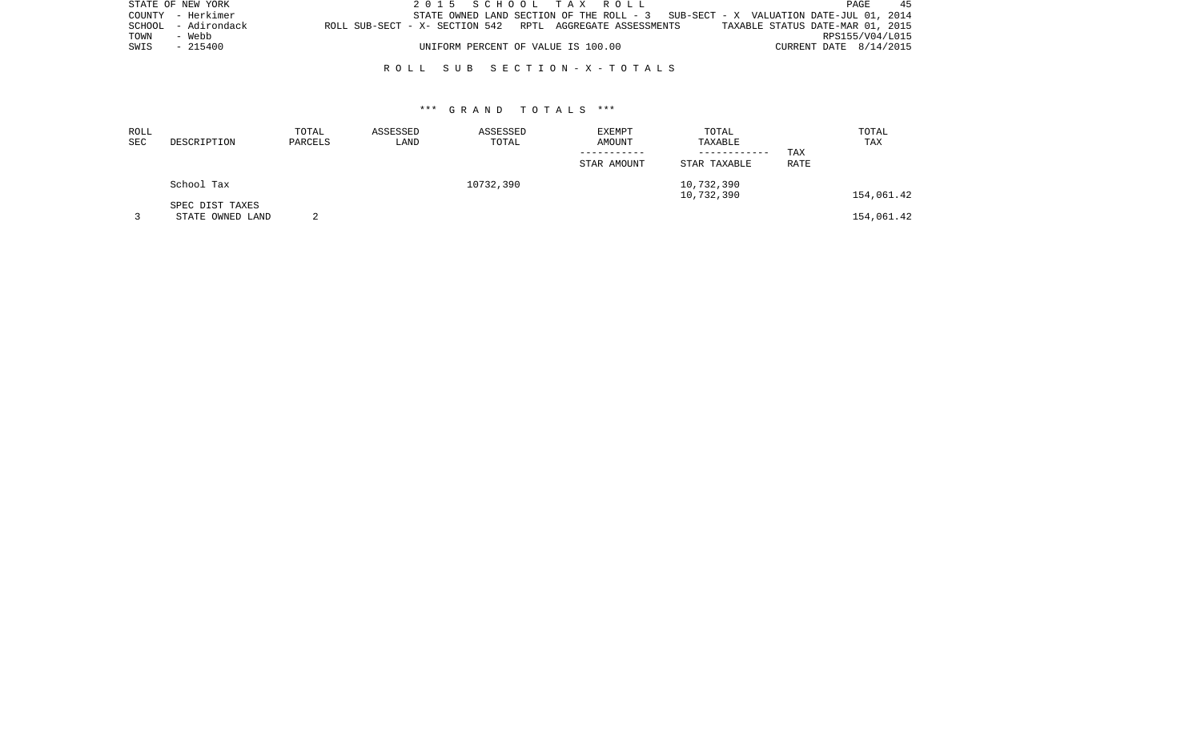| STATE OF NEW YORK   | 2015 SCHOOL TAX ROLL                                                              | PAGE<br>45                       |
|---------------------|-----------------------------------------------------------------------------------|----------------------------------|
| COUNTY - Herkimer   | STATE OWNED LAND SECTION OF THE ROLL - 3 SUB-SECT - X VALUATION DATE-JUL 01, 2014 |                                  |
| SCHOOL - Adirondack | ROLL SUB-SECT - X- SECTION 542 RPTL AGGREGATE ASSESSMENTS                         | TAXABLE STATUS DATE-MAR 01, 2015 |
| TOWN<br>- Webb      |                                                                                   | RPS155/V04/L015                  |
| SWIS - 215400       | UNIFORM PERCENT OF VALUE IS 100.00                                                | CURRENT DATE 8/14/2015           |
|                     |                                                                                   |                                  |

### R O L L S U B S E C T I O N - X - T O T A L S

| ROLL |                  | TOTAL   | ASSESSED | ASSESSED  | <b>EXEMPT</b> | TOTAL        |             | TOTAL      |
|------|------------------|---------|----------|-----------|---------------|--------------|-------------|------------|
| SEC  | DESCRIPTION      | PARCELS | LAND     | TOTAL     | AMOUNT        | TAXABLE      |             | TAX        |
|      |                  |         |          |           |               | ------------ | TAX         |            |
|      |                  |         |          |           | STAR AMOUNT   | STAR TAXABLE | <b>RATE</b> |            |
|      | School Tax       |         |          | 10732,390 |               | 10,732,390   |             |            |
|      |                  |         |          |           |               | 10,732,390   |             | 154,061.42 |
|      | SPEC DIST TAXES  |         |          |           |               |              |             |            |
|      | STATE OWNED LAND |         |          |           |               |              |             | 154,061.42 |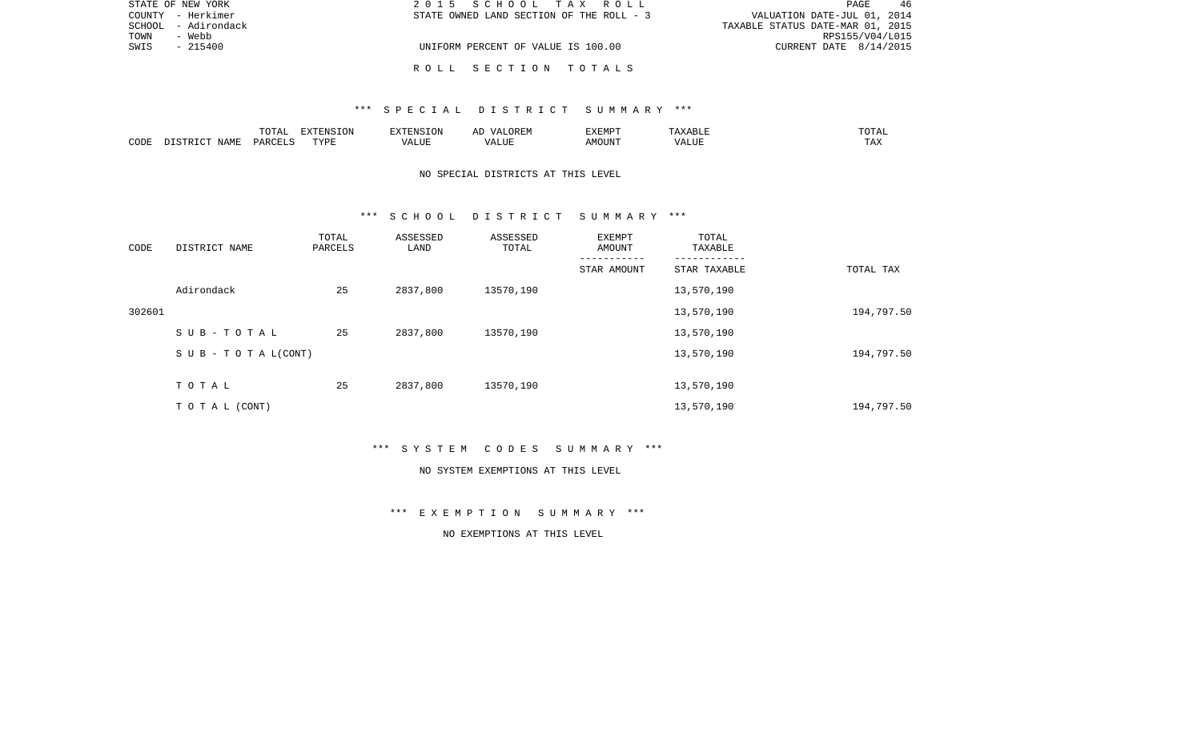| STATE OF NEW YORK   | 2015 SCHOOL TAX ROLL                     | -46<br>PAGE                      |
|---------------------|------------------------------------------|----------------------------------|
| COUNTY - Herkimer   | STATE OWNED LAND SECTION OF THE ROLL - 3 | VALUATION DATE-JUL 01, 2014      |
| SCHOOL - Adirondack |                                          | TAXABLE STATUS DATE-MAR 01, 2015 |
| TOWN<br>- Webb      |                                          | RPS155/V04/L015                  |
| $-215400$<br>SWIS   | UNIFORM PERCENT OF VALUE IS 100.00       | CURRENT DATE $8/14/2015$         |
|                     |                                          |                                  |
|                     | ROLL SECTION TOTALS                      |                                  |

### \*\*\* S P E C I A L D I S T R I C T S U M M A R Y \*\*\*

|      |             | $m \wedge m \wedge n$<br>$\overline{\phantom{a}}$<br><u>U 151</u> | $\blacksquare$<br>LVIP | $\cdot$ FNST $\cap$ . | AL | <b>EXEMPT</b> | $\lambda$ | $m \wedge m \wedge n$<br>$\cdots$<br>- - - - |
|------|-------------|-------------------------------------------------------------------|------------------------|-----------------------|----|---------------|-----------|----------------------------------------------|
| CODE | <b>NAMF</b> | DARCELS                                                           | TVDF                   | ALUF<br>ı Δ           |    |               | ALUI      | TAA                                          |

## NO SPECIAL DISTRICTS AT THIS LEVEL

#### \*\*\* S C H O O L D I S T R I C T S U M M A R Y \*\*\*

| CODE   | DISTRICT NAME                    | TOTAL<br>PARCELS | ASSESSED<br>LAND | ASSESSED<br>TOTAL | EXEMPT<br>AMOUNT | TOTAL<br>TAXABLE |            |
|--------|----------------------------------|------------------|------------------|-------------------|------------------|------------------|------------|
|        |                                  |                  |                  |                   | STAR AMOUNT      | STAR TAXABLE     | TOTAL TAX  |
|        | Adirondack                       | 25               | 2837,800         | 13570,190         |                  | 13,570,190       |            |
| 302601 |                                  |                  |                  |                   |                  | 13,570,190       | 194,797.50 |
|        | SUB-TOTAL                        | 25               | 2837,800         | 13570,190         |                  | 13,570,190       |            |
|        | $S \cup B - T \cup T A L (CONT)$ |                  |                  |                   |                  | 13,570,190       | 194,797.50 |
|        | TOTAL                            | 25               | 2837,800         | 13570,190         |                  | 13,570,190       |            |
|        | TO TAL (CONT)                    |                  |                  |                   |                  | 13,570,190       | 194,797.50 |

\*\*\* S Y S T E M C O D E S S U M M A R Y \*\*\*

#### NO SYSTEM EXEMPTIONS AT THIS LEVEL

\*\*\* E X E M P T I O N S U M M A R Y \*\*\*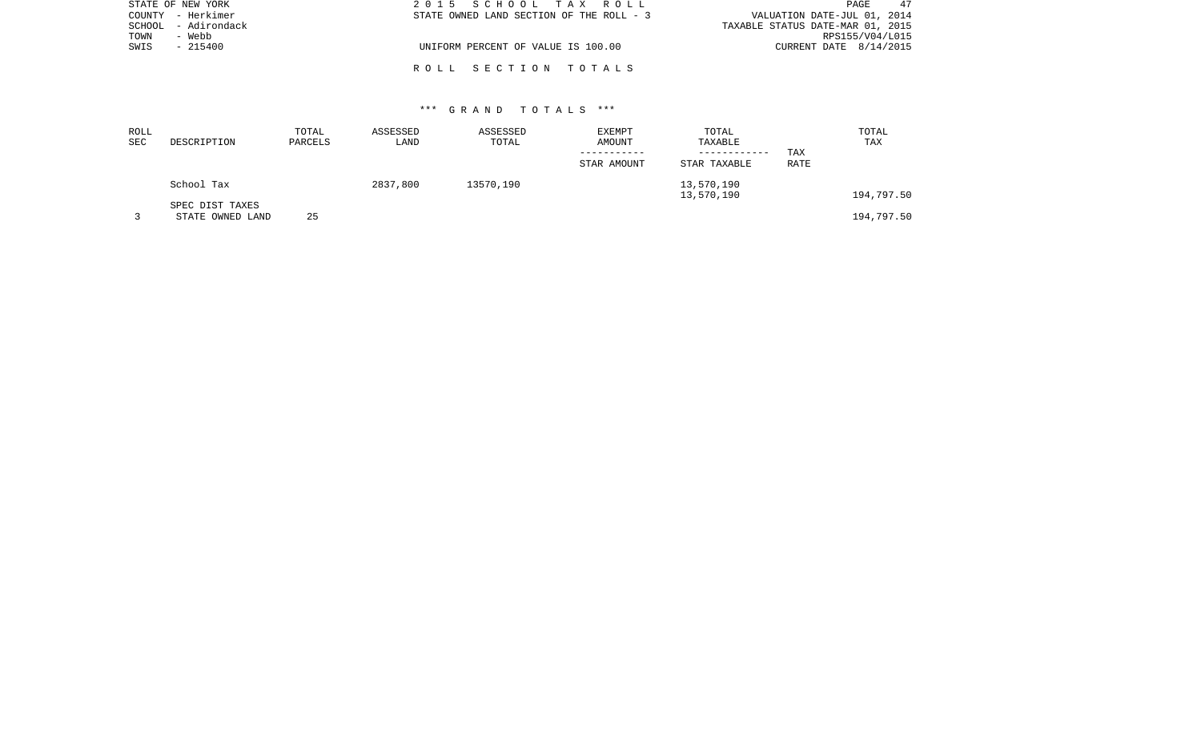| STATE OF NEW YORK   | 2015 SCHOOL TAX ROLL                     | 47<br>PAGE                       |
|---------------------|------------------------------------------|----------------------------------|
| COUNTY - Herkimer   | STATE OWNED LAND SECTION OF THE ROLL - 3 | VALUATION DATE-JUL 01, 2014      |
| SCHOOL - Adirondack |                                          | TAXABLE STATUS DATE-MAR 01, 2015 |
| TOWN<br>- Webb      |                                          | RPS155/V04/L015                  |
| SWIS<br>$-215400$   | UNIFORM PERCENT OF VALUE IS 100.00       | CURRENT DATE 8/14/2015           |
|                     |                                          |                                  |
|                     | ROLL SECTION TOTALS                      |                                  |

| ROLL<br>SEC | DESCRIPTION                         | TOTAL<br>PARCELS | ASSESSED<br>LAND | ASSESSED<br>TOTAL | EXEMPT<br>AMOUNT | TOTAL<br>TAXABLE             |             | TOTAL<br>TAX |
|-------------|-------------------------------------|------------------|------------------|-------------------|------------------|------------------------------|-------------|--------------|
|             |                                     |                  |                  |                   | STAR AMOUNT      | ------------<br>STAR TAXABLE | TAX<br>RATE |              |
|             | School Tax                          |                  | 2837,800         | 13570,190         |                  | 13,570,190<br>13,570,190     |             | 194,797.50   |
|             | SPEC DIST TAXES<br>STATE OWNED LAND | 25               |                  |                   |                  |                              |             | 194,797.50   |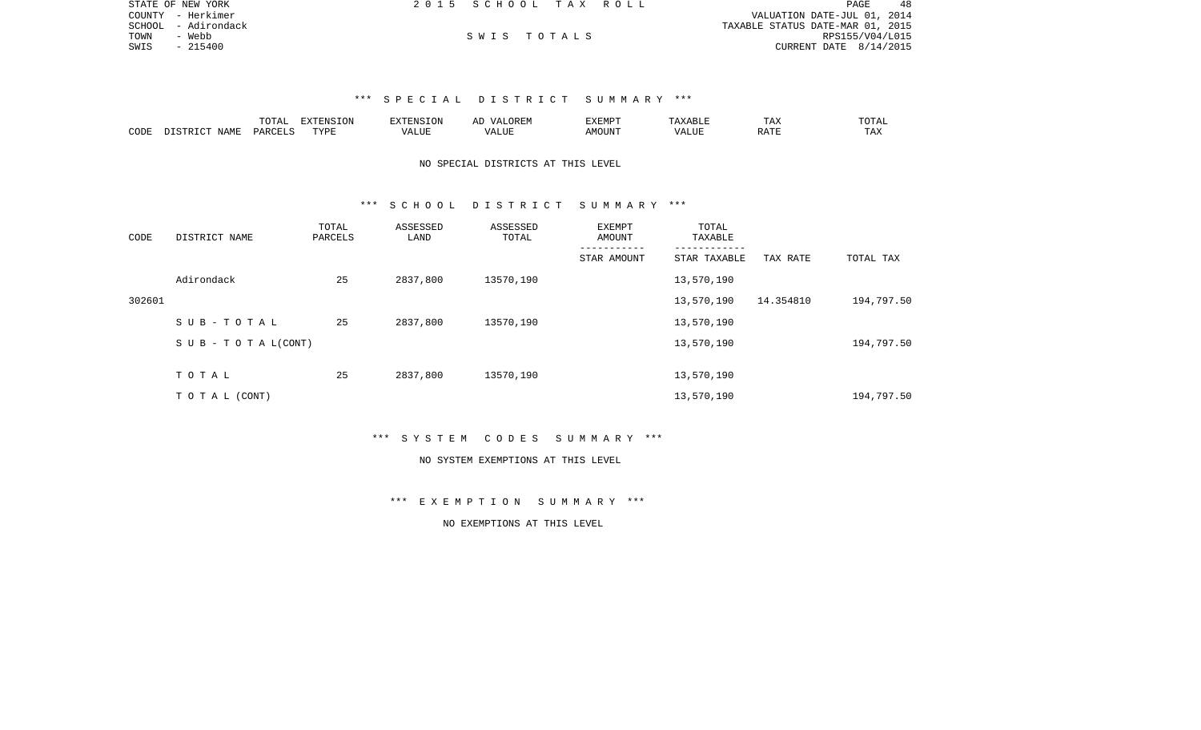| STATE OF NEW YORK   | 2015 SCHOOL TAX ROLL |             |  | 48<br>PAGE                       |
|---------------------|----------------------|-------------|--|----------------------------------|
| COUNTY - Herkimer   |                      |             |  | VALUATION DATE-JUL 01, 2014      |
| SCHOOL - Adirondack |                      |             |  | TAXABLE STATUS DATE-MAR 01, 2015 |
| TOWN<br>- Webb      |                      | SWIS TOTALS |  | RPS155/V04/L015                  |
| SWIS<br>$-215400$   |                      |             |  | CURRENT DATE 8/14/2015           |

# \*\*\* S P E C I A L D I S T R I C T S U M M A R Y \*\*\*

|      |      | $m \wedge m \wedge n$<br>AI | .      | RXTRNSTON<br>$1 + 111$   | AL.<br>$\cdots$   | <b>EXEMPT</b> |   | $- - -$<br>$\overline{\phantom{a}}$<br>⊥ டு∡: | $T$ $\cap$ $T\Delta$ . |
|------|------|-----------------------------|--------|--------------------------|-------------------|---------------|---|-----------------------------------------------|------------------------|
| CODE | NAMF | . PARCEL $\sim$             | וסעידי | ".UE<br>$- - - -$<br>/ ∆ | <b>TTT</b><br>IJР | JUN"          | . |                                               | $m + r$<br>⊥ A∆        |

## NO SPECIAL DISTRICTS AT THIS LEVEL

### \*\*\* S C H O O L D I S T R I C T S U M M A R Y \*\*\*

| CODE   | DISTRICT NAME                    | TOTAL<br>PARCELS | ASSESSED<br>LAND | ASSESSED<br>TOTAL | EXEMPT<br>AMOUNT | TOTAL<br>TAXABLE |           |            |
|--------|----------------------------------|------------------|------------------|-------------------|------------------|------------------|-----------|------------|
|        |                                  |                  |                  |                   | STAR AMOUNT      | STAR TAXABLE     | TAX RATE  | TOTAL TAX  |
|        | Adirondack                       | 25               | 2837,800         | 13570,190         |                  | 13,570,190       |           |            |
| 302601 |                                  |                  |                  |                   |                  | 13,570,190       | 14.354810 | 194,797.50 |
|        | SUB-TOTAL                        | 25               | 2837,800         | 13570,190         |                  | 13,570,190       |           |            |
|        | $S \cup B - T \cup T A L (CONT)$ |                  |                  |                   |                  | 13,570,190       |           | 194,797.50 |
|        |                                  |                  |                  |                   |                  |                  |           |            |
|        | TOTAL                            | 25               | 2837,800         | 13570,190         |                  | 13,570,190       |           |            |
|        | TO TAL (CONT)                    |                  |                  |                   |                  | 13,570,190       |           | 194,797.50 |

### \*\*\* S Y S T E M C O D E S S U M M A R Y \*\*\*

#### NO SYSTEM EXEMPTIONS AT THIS LEVEL

# \*\*\* E X E M P T I O N S U M M A R Y \*\*\*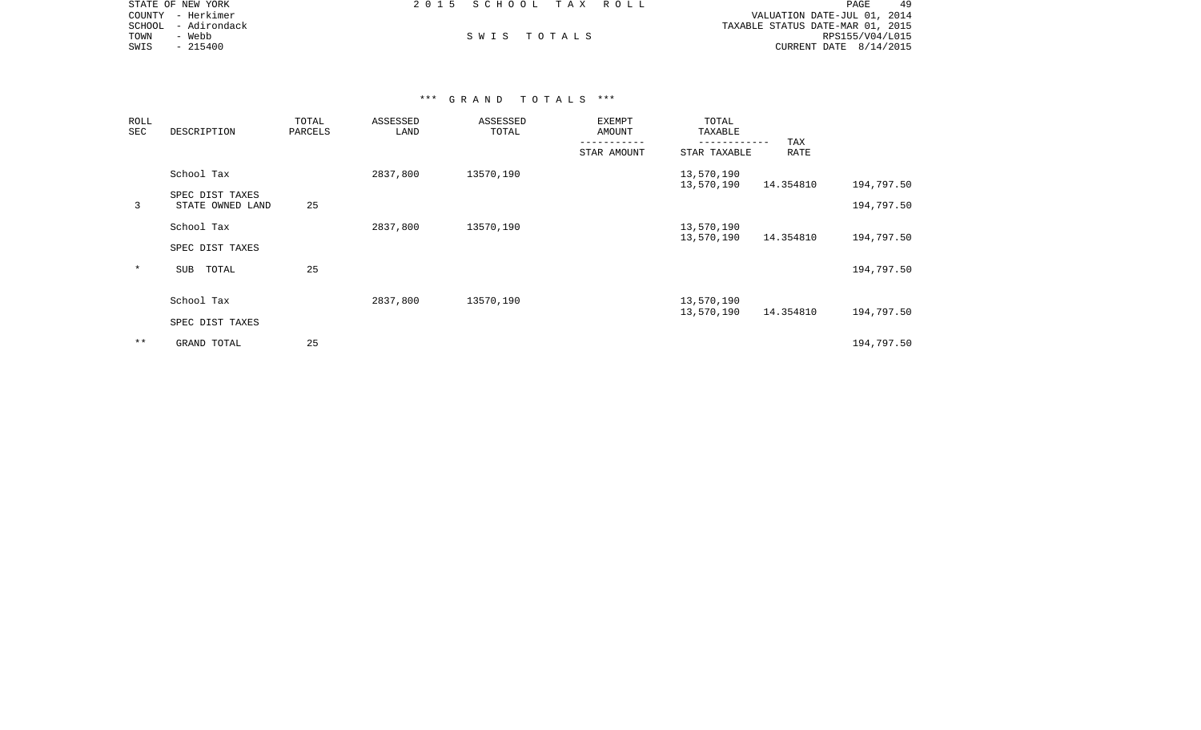| STATE OF NEW YORK   |          | 2015 SCHOOL TAX ROLL |  |                                  | <b>PAGE</b>     |  |
|---------------------|----------|----------------------|--|----------------------------------|-----------------|--|
| COUNTY - Herkimer   |          |                      |  | VALUATION DATE-JUL 01, 2014      |                 |  |
| SCHOOL - Adirondack |          |                      |  | TAXABLE STATUS DATE-MAR 01, 2015 |                 |  |
| TOWN                | - Webb   | SWIS TOTALS          |  |                                  | RPS155/V04/L015 |  |
| SWIS                | - 215400 |                      |  | CURRENT DATE $8/14/2015$         |                 |  |

| ROLL<br>SEC | DESCRIPTION                         | TOTAL<br>PARCELS | ASSESSED<br>LAND | ASSESSED<br>TOTAL | EXEMPT<br>AMOUNT | TOTAL<br>TAXABLE            |             |            |
|-------------|-------------------------------------|------------------|------------------|-------------------|------------------|-----------------------------|-------------|------------|
|             |                                     |                  |                  |                   | STAR AMOUNT      | -----------<br>STAR TAXABLE | TAX<br>RATE |            |
|             | School Tax                          |                  | 2837,800         | 13570,190         |                  | 13,570,190<br>13,570,190    | 14.354810   | 194,797.50 |
| 3           | SPEC DIST TAXES<br>STATE OWNED LAND | 25               |                  |                   |                  |                             |             | 194,797.50 |
|             | School Tax                          |                  | 2837,800         | 13570,190         |                  | 13,570,190                  |             |            |
|             | SPEC DIST TAXES                     |                  |                  |                   |                  | 13,570,190                  | 14.354810   | 194,797.50 |
| $\ast$      | SUB<br>TOTAL                        | 25               |                  |                   |                  |                             |             | 194,797.50 |
|             | School Tax                          |                  | 2837,800         | 13570,190         |                  | 13,570,190                  |             |            |
|             | SPEC DIST TAXES                     |                  |                  |                   |                  | 13,570,190                  | 14.354810   | 194,797.50 |
| $* *$       | GRAND TOTAL                         | 25               |                  |                   |                  |                             |             | 194,797.50 |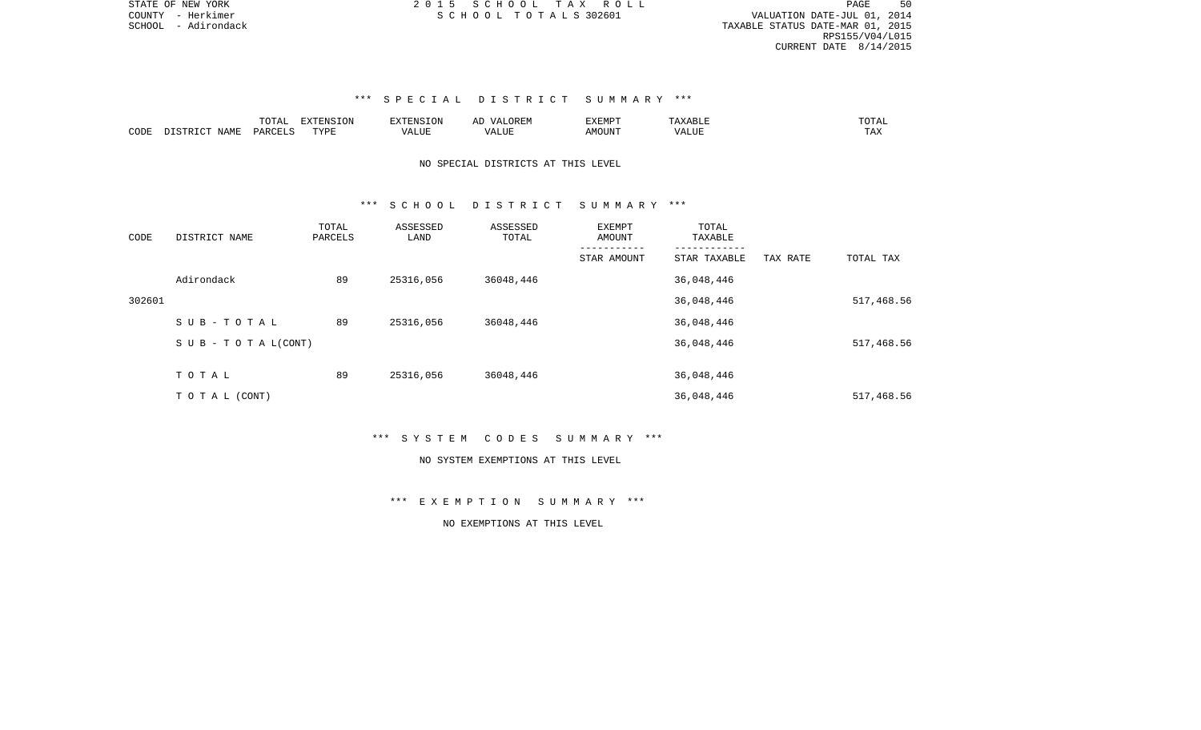PAGE 50 SCHOOL - Adirondack and the state of the state of the state of the state of the state of the state of the state of the state of the state of the state of the state of the state of the state of the state of the state of the RPS155/V04/L015 CURRENT DATE 8/14/2015

# \*\*\* S P E C I A L D I S T R I C T S U M M A R Y \*\*\*

|                          |             | $m \wedge m \wedge n$<br>A <sub>1</sub> | <b>FYTFNCTON</b><br>. | $- - - -$<br>13 <i>75</i> 5<br>- UP | △Ⅰ<br>∸                          | 117773500<br>◡<br>- ۱٬۱۳۱٬۱۰۰ |       | $m \wedge m \wedge \tau$<br>™I`A∟ |
|--------------------------|-------------|-----------------------------------------|-----------------------|-------------------------------------|----------------------------------|-------------------------------|-------|-----------------------------------|
| C <sub>ODI</sub><br>تطاب | NAMF<br>--- | PARC                                    | <b>TIVOL</b><br>.     | JUE.                                | 'JUE<br>$\overline{\phantom{a}}$ | OUN.                          | - --- | $m \times$                        |

# NO SPECIAL DISTRICTS AT THIS LEVEL

### \*\*\* S C H O O L D I S T R I C T S U M M A R Y \*\*\*

| CODE   | DISTRICT NAME                    | TOTAL<br>PARCELS | ASSESSED<br>LAND | ASSESSED<br>TOTAL | EXEMPT<br>AMOUNT | TOTAL<br>TAXABLE |          |            |
|--------|----------------------------------|------------------|------------------|-------------------|------------------|------------------|----------|------------|
|        |                                  |                  |                  |                   | STAR AMOUNT      | STAR TAXABLE     | TAX RATE | TOTAL TAX  |
|        | Adirondack                       | 89               | 25316,056        | 36048,446         |                  | 36,048,446       |          |            |
| 302601 |                                  |                  |                  |                   |                  | 36,048,446       |          | 517,468.56 |
|        | SUB-TOTAL                        | 89               | 25316,056        | 36048,446         |                  | 36,048,446       |          |            |
|        | $S \cup B - T \cup T A L (CONT)$ |                  |                  |                   |                  | 36,048,446       |          | 517,468.56 |
|        | TOTAL                            | 89               | 25316,056        | 36048,446         |                  | 36,048,446       |          |            |
|        | TO TAL (CONT)                    |                  |                  |                   |                  | 36,048,446       |          | 517,468.56 |

\*\*\* S Y S T E M C O D E S S U M M A R Y \*\*\*

#### NO SYSTEM EXEMPTIONS AT THIS LEVEL

\*\*\* E X E M P T I O N S U M M A R Y \*\*\*